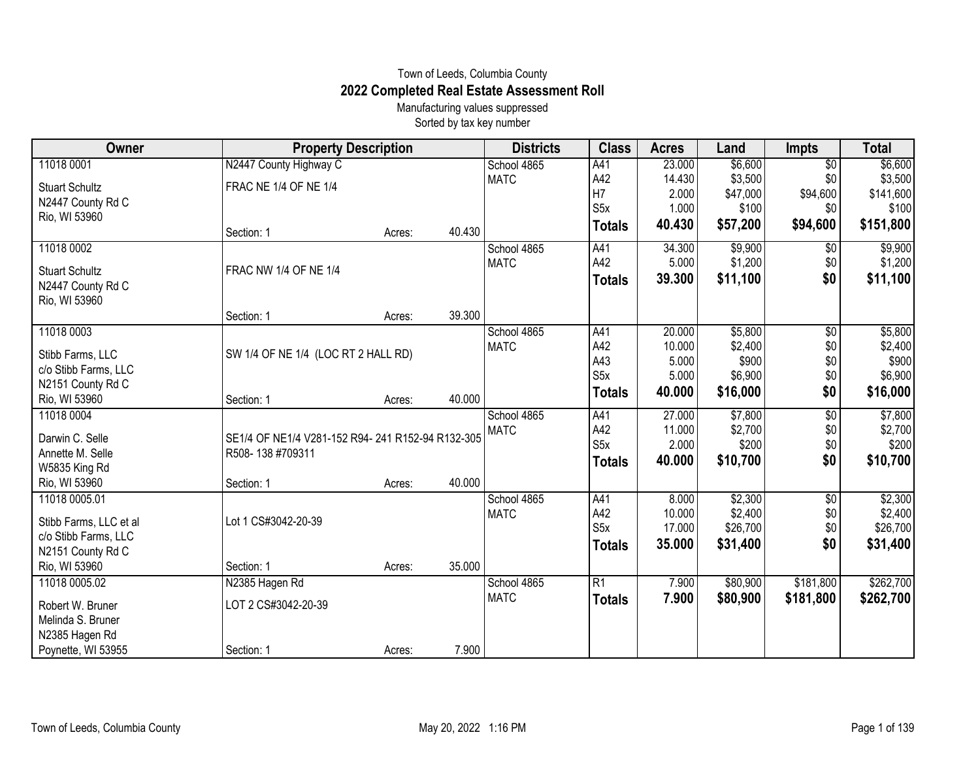## Town of Leeds, Columbia County **2022 Completed Real Estate Assessment Roll**

Manufacturing values suppressed Sorted by tax key number

| Owner                                      | <b>Property Description</b>                      |        |        | <b>Districts</b> | <b>Class</b>     | <b>Acres</b>     | Land               | <b>Impts</b>           | <b>Total</b>       |
|--------------------------------------------|--------------------------------------------------|--------|--------|------------------|------------------|------------------|--------------------|------------------------|--------------------|
| 11018 0001                                 | N2447 County Highway C                           |        |        | School 4865      | A41              | 23.000           | \$6,600            | $\overline{50}$        | \$6,600            |
| <b>Stuart Schultz</b>                      | FRAC NE 1/4 OF NE 1/4                            |        |        | <b>MATC</b>      | A42              | 14.430           | \$3,500            | \$0                    | \$3,500            |
| N2447 County Rd C                          |                                                  |        |        |                  | H7               | 2.000            | \$47,000           | \$94,600               | \$141,600          |
| Rio, WI 53960                              |                                                  |        |        |                  | S <sub>5</sub> x | 1.000            | \$100              | \$0                    | \$100              |
|                                            | Section: 1                                       | Acres: | 40.430 |                  | <b>Totals</b>    | 40.430           | \$57,200           | \$94,600               | \$151,800          |
| 11018 0002                                 |                                                  |        |        | School 4865      | A41              | 34.300           | \$9,900            | $\overline{50}$        | \$9,900            |
|                                            | FRAC NW 1/4 OF NE 1/4                            |        |        | <b>MATC</b>      | A42              | 5.000            | \$1,200            | \$0                    | \$1,200            |
| <b>Stuart Schultz</b><br>N2447 County Rd C |                                                  |        |        |                  | <b>Totals</b>    | 39.300           | \$11,100           | \$0                    | \$11,100           |
| Rio, WI 53960                              |                                                  |        |        |                  |                  |                  |                    |                        |                    |
|                                            | Section: 1                                       | Acres: | 39.300 |                  |                  |                  |                    |                        |                    |
| 11018 0003                                 |                                                  |        |        | School 4865      | A41              | 20.000           | \$5,800            | \$0                    | \$5,800            |
|                                            |                                                  |        |        | <b>MATC</b>      | A42              | 10.000           | \$2,400            | \$0                    | \$2,400            |
| Stibb Farms, LLC                           | SW 1/4 OF NE 1/4 (LOC RT 2 HALL RD)              |        |        |                  | A43              | 5.000            | \$900              | \$0                    | \$900              |
| c/o Stibb Farms, LLC                       |                                                  |        |        |                  | S <sub>5</sub> x | 5.000            | \$6,900            | \$0                    | \$6,900            |
| N2151 County Rd C                          |                                                  |        | 40.000 |                  | <b>Totals</b>    | 40.000           | \$16,000           | \$0                    | \$16,000           |
| Rio, WI 53960                              | Section: 1                                       | Acres: |        |                  |                  |                  |                    |                        |                    |
| 11018 0004                                 |                                                  |        |        | School 4865      | A41<br>A42       | 27.000<br>11.000 | \$7,800<br>\$2,700 | $\overline{50}$<br>\$0 | \$7,800<br>\$2,700 |
| Darwin C. Selle                            | SE1/4 OF NE1/4 V281-152 R94-241 R152-94 R132-305 |        |        | <b>MATC</b>      | S <sub>5</sub> x | 2.000            | \$200              | \$0                    | \$200              |
| Annette M. Selle                           | R508-138 #709311                                 |        |        |                  |                  |                  |                    |                        |                    |
| W5835 King Rd                              |                                                  |        |        |                  | <b>Totals</b>    | 40.000           | \$10,700           | \$0                    | \$10,700           |
| Rio, WI 53960                              | Section: 1                                       | Acres: | 40.000 |                  |                  |                  |                    |                        |                    |
| 11018 0005.01                              |                                                  |        |        | School 4865      | A41              | 8.000            | \$2,300            | \$0                    | \$2,300            |
| Stibb Farms, LLC et al                     | Lot 1 CS#3042-20-39                              |        |        | <b>MATC</b>      | A42              | 10.000           | \$2,400            | \$0                    | \$2,400            |
| c/o Stibb Farms, LLC                       |                                                  |        |        |                  | S <sub>5</sub> x | 17.000           | \$26,700           | \$0                    | \$26,700           |
|                                            |                                                  |        |        |                  | <b>Totals</b>    | 35.000           | \$31,400           | \$0                    | \$31,400           |
| N2151 County Rd C<br>Rio, WI 53960         | Section: 1                                       |        | 35.000 |                  |                  |                  |                    |                        |                    |
| 11018 0005.02                              |                                                  | Acres: |        | School 4865      | R1               | 7.900            |                    | \$181,800              | \$262,700          |
|                                            | N2385 Hagen Rd                                   |        |        | <b>MATC</b>      |                  |                  | \$80,900           |                        |                    |
| Robert W. Bruner                           | LOT 2 CS#3042-20-39                              |        |        |                  | <b>Totals</b>    | 7.900            | \$80,900           | \$181,800              | \$262,700          |
| Melinda S. Bruner                          |                                                  |        |        |                  |                  |                  |                    |                        |                    |
| N2385 Hagen Rd                             |                                                  |        |        |                  |                  |                  |                    |                        |                    |
| Poynette, WI 53955                         | Section: 1                                       | Acres: | 7.900  |                  |                  |                  |                    |                        |                    |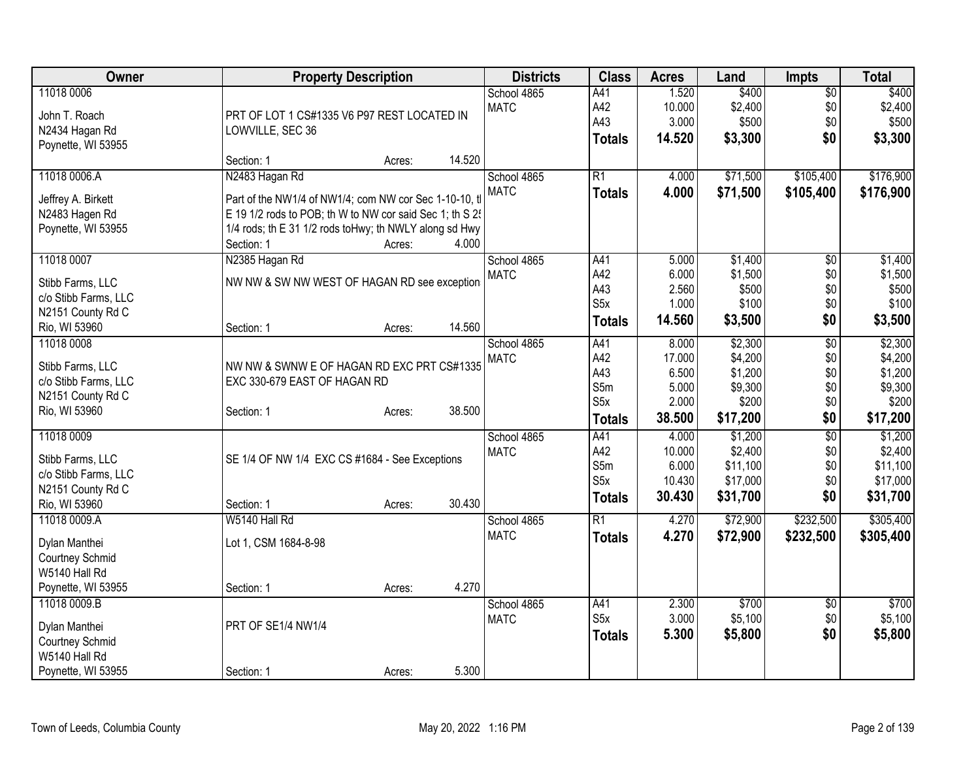| Owner                  | <b>Property Description</b>                              |        | <b>Districts</b> | <b>Class</b>     | <b>Acres</b>    | Land                 | <b>Impts</b>    | <b>Total</b>         |
|------------------------|----------------------------------------------------------|--------|------------------|------------------|-----------------|----------------------|-----------------|----------------------|
| 11018 0006             |                                                          |        | School 4865      | A41              | 1.520           | \$400                | $\overline{50}$ | \$400                |
| John T. Roach          | PRT OF LOT 1 CS#1335 V6 P97 REST LOCATED IN              |        | <b>MATC</b>      | A42              | 10.000          | \$2,400              | \$0             | \$2,400              |
| N2434 Hagan Rd         | LOWVILLE, SEC 36                                         |        |                  | A43              | 3.000           | \$500                | \$0             | \$500                |
| Poynette, WI 53955     |                                                          |        |                  | <b>Totals</b>    | 14.520          | \$3,300              | \$0             | \$3,300              |
|                        | Section: 1<br>Acres:                                     | 14.520 |                  |                  |                 |                      |                 |                      |
| 11018 0006.A           | N2483 Hagan Rd                                           |        | School 4865      | $\overline{R1}$  | 4.000           | \$71,500             | \$105,400       | \$176,900            |
| Jeffrey A. Birkett     | Part of the NW1/4 of NW1/4; com NW cor Sec 1-10-10, tl   |        | <b>MATC</b>      | <b>Totals</b>    | 4.000           | \$71,500             | \$105,400       | \$176,900            |
| N2483 Hagen Rd         | E 19 1/2 rods to POB; th W to NW cor said Sec 1; th S 2! |        |                  |                  |                 |                      |                 |                      |
| Poynette, WI 53955     | 1/4 rods; th E 31 1/2 rods toHwy; th NWLY along sd Hwy   |        |                  |                  |                 |                      |                 |                      |
|                        | Section: 1<br>Acres:                                     | 4.000  |                  |                  |                 |                      |                 |                      |
| 11018 0007             | N2385 Hagan Rd                                           |        | School 4865      | A41              | 5.000           | \$1,400              | $\overline{50}$ | \$1,400              |
| Stibb Farms, LLC       | NW NW & SW NW WEST OF HAGAN RD see exception             |        | <b>MATC</b>      | A42              | 6.000           | \$1,500              | \$0             | \$1,500              |
| c/o Stibb Farms, LLC   |                                                          |        |                  | A43              | 2.560           | \$500                | \$0             | \$500                |
| N2151 County Rd C      |                                                          |        |                  | S5x              | 1.000           | \$100                | \$0             | \$100                |
| Rio, WI 53960          | Section: 1<br>Acres:                                     | 14.560 |                  | <b>Totals</b>    | 14.560          | \$3,500              | \$0             | \$3,500              |
| 11018 0008             |                                                          |        | School 4865      | A41              | 8.000           | \$2,300              | $\overline{50}$ | \$2,300              |
| Stibb Farms, LLC       | NW NW & SWNW E OF HAGAN RD EXC PRT CS#1335               |        | <b>MATC</b>      | A42              | 17.000          | \$4,200              | \$0             | \$4,200              |
| c/o Stibb Farms, LLC   | EXC 330-679 EAST OF HAGAN RD                             |        |                  | A43              | 6.500           | \$1,200              | \$0             | \$1,200              |
| N2151 County Rd C      |                                                          |        |                  | S5m              | 5.000           | \$9,300              | \$0             | \$9,300              |
| Rio, WI 53960          | Section: 1<br>Acres:                                     | 38.500 |                  | S5x              | 2.000           | \$200                | \$0             | \$200                |
|                        |                                                          |        |                  | <b>Totals</b>    | 38.500          | \$17,200             | \$0             | \$17,200             |
| 11018 0009             |                                                          |        | School 4865      | A41              | 4.000           | \$1,200              | $\overline{50}$ | \$1,200              |
| Stibb Farms, LLC       | SE 1/4 OF NW 1/4 EXC CS #1684 - See Exceptions           |        | <b>MATC</b>      | A42              | 10.000          | \$2,400              | \$0             | \$2,400              |
| c/o Stibb Farms, LLC   |                                                          |        |                  | S5m<br>S5x       | 6.000<br>10.430 | \$11,100<br>\$17,000 | \$0<br>\$0      | \$11,100<br>\$17,000 |
| N2151 County Rd C      |                                                          |        |                  |                  | 30.430          | \$31,700             | \$0             |                      |
| Rio, WI 53960          | Section: 1<br>Acres:                                     | 30.430 |                  | <b>Totals</b>    |                 |                      |                 | \$31,700             |
| 11018 0009.A           | W5140 Hall Rd                                            |        | School 4865      | $\overline{R1}$  | 4.270           | \$72,900             | \$232,500       | \$305,400            |
| Dylan Manthei          | Lot 1, CSM 1684-8-98                                     |        | <b>MATC</b>      | <b>Totals</b>    | 4.270           | \$72,900             | \$232,500       | \$305,400            |
| <b>Courtney Schmid</b> |                                                          |        |                  |                  |                 |                      |                 |                      |
| W5140 Hall Rd          |                                                          |        |                  |                  |                 |                      |                 |                      |
| Poynette, WI 53955     | Section: 1<br>Acres:                                     | 4.270  |                  |                  |                 |                      |                 |                      |
| 11018 0009.B           |                                                          |        | School 4865      | A41              | 2.300           | \$700                | \$0             | \$700                |
| Dylan Manthei          | PRT OF SE1/4 NW1/4                                       |        | <b>MATC</b>      | S <sub>5</sub> x | 3.000           | \$5,100              | \$0             | \$5,100              |
| Courtney Schmid        |                                                          |        |                  | <b>Totals</b>    | 5.300           | \$5,800              | \$0             | \$5,800              |
| W5140 Hall Rd          |                                                          |        |                  |                  |                 |                      |                 |                      |
| Poynette, WI 53955     | Section: 1<br>Acres:                                     | 5.300  |                  |                  |                 |                      |                 |                      |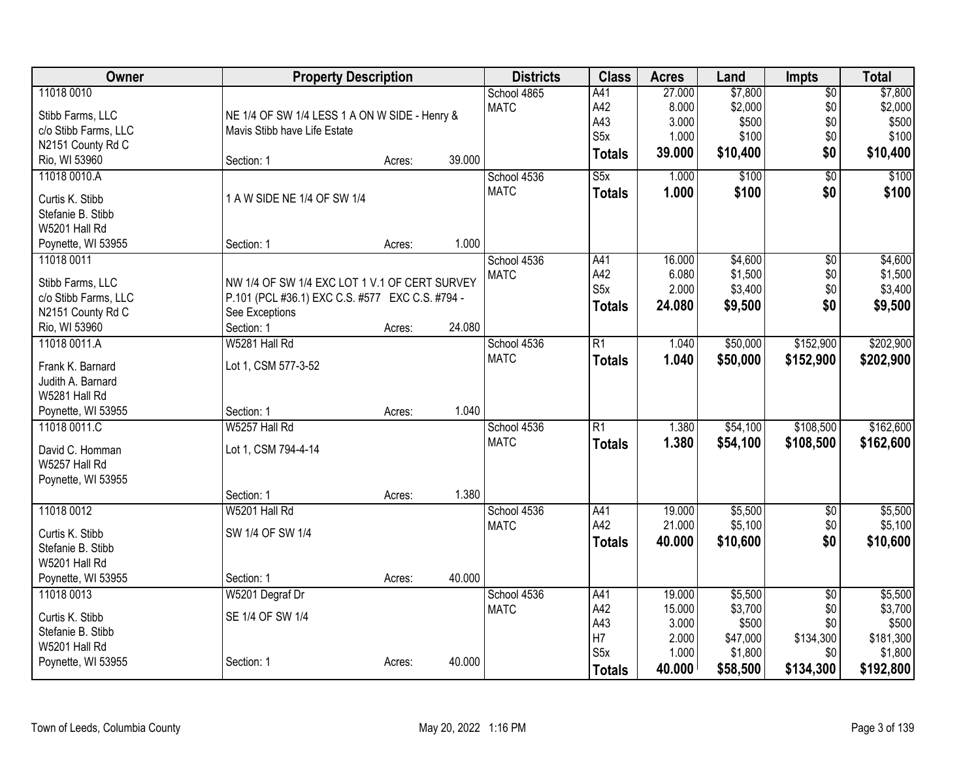| Owner                | <b>Property Description</b>                     |        |        | <b>Districts</b> | <b>Class</b>            | <b>Acres</b> | Land     | <b>Impts</b>    | <b>Total</b> |
|----------------------|-------------------------------------------------|--------|--------|------------------|-------------------------|--------------|----------|-----------------|--------------|
| 11018 0010           |                                                 |        |        | School 4865      | A41                     | 27.000       | \$7,800  | $\overline{50}$ | \$7,800      |
| Stibb Farms, LLC     | NE 1/4 OF SW 1/4 LESS 1 A ON W SIDE - Henry &   |        |        | <b>MATC</b>      | A42                     | 8.000        | \$2,000  | \$0             | \$2,000      |
| c/o Stibb Farms, LLC | Mavis Stibb have Life Estate                    |        |        |                  | A43                     | 3.000        | \$500    | \$0             | \$500        |
| N2151 County Rd C    |                                                 |        |        |                  | S <sub>5</sub> x        | 1.000        | \$100    | \$0             | \$100        |
| Rio, WI 53960        | Section: 1                                      | Acres: | 39.000 |                  | <b>Totals</b>           | 39.000       | \$10,400 | \$0             | \$10,400     |
| 11018 0010.A         |                                                 |        |        | School 4536      | $\overline{\text{S5x}}$ | 1.000        | \$100    | $\overline{50}$ | \$100        |
| Curtis K. Stibb      | 1 A W SIDE NE 1/4 OF SW 1/4                     |        |        | <b>MATC</b>      | <b>Totals</b>           | 1.000        | \$100    | \$0             | \$100        |
| Stefanie B. Stibb    |                                                 |        |        |                  |                         |              |          |                 |              |
| W5201 Hall Rd        |                                                 |        |        |                  |                         |              |          |                 |              |
| Poynette, WI 53955   | Section: 1                                      | Acres: | 1.000  |                  |                         |              |          |                 |              |
| 11018 0011           |                                                 |        |        | School 4536      | A41                     | 16.000       | \$4,600  | $\overline{50}$ | \$4,600      |
|                      |                                                 |        |        | <b>MATC</b>      | A42                     | 6.080        | \$1,500  | \$0             | \$1,500      |
| Stibb Farms, LLC     | NW 1/4 OF SW 1/4 EXC LOT 1 V.1 OF CERT SURVEY   |        |        |                  | S <sub>5</sub> x        | 2.000        | \$3,400  | \$0             | \$3,400      |
| c/o Stibb Farms, LLC | P.101 (PCL #36.1) EXC C.S. #577 EXC C.S. #794 - |        |        |                  | <b>Totals</b>           | 24.080       | \$9,500  | \$0             | \$9,500      |
| N2151 County Rd C    | See Exceptions                                  |        |        |                  |                         |              |          |                 |              |
| Rio, WI 53960        | Section: 1                                      | Acres: | 24.080 |                  |                         |              |          |                 |              |
| 11018 0011.A         | W5281 Hall Rd                                   |        |        | School 4536      | $\overline{R1}$         | 1.040        | \$50,000 | \$152,900       | \$202,900    |
| Frank K. Barnard     | Lot 1, CSM 577-3-52                             |        |        | <b>MATC</b>      | <b>Totals</b>           | 1.040        | \$50,000 | \$152,900       | \$202,900    |
| Judith A. Barnard    |                                                 |        |        |                  |                         |              |          |                 |              |
| W5281 Hall Rd        |                                                 |        |        |                  |                         |              |          |                 |              |
| Poynette, WI 53955   | Section: 1                                      | Acres: | 1.040  |                  |                         |              |          |                 |              |
| 11018 0011.C         | W5257 Hall Rd                                   |        |        | School 4536      | $\overline{R1}$         | 1.380        | \$54,100 | \$108,500       | \$162,600    |
| David C. Homman      | Lot 1, CSM 794-4-14                             |        |        | <b>MATC</b>      | <b>Totals</b>           | 1.380        | \$54,100 | \$108,500       | \$162,600    |
| W5257 Hall Rd        |                                                 |        |        |                  |                         |              |          |                 |              |
| Poynette, WI 53955   |                                                 |        |        |                  |                         |              |          |                 |              |
|                      | Section: 1                                      | Acres: | 1.380  |                  |                         |              |          |                 |              |
| 11018 0012           | W5201 Hall Rd                                   |        |        | School 4536      | A41                     | 19.000       | \$5,500  | $\overline{50}$ | \$5,500      |
| Curtis K. Stibb      | SW 1/4 OF SW 1/4                                |        |        | <b>MATC</b>      | A42                     | 21.000       | \$5,100  | \$0             | \$5,100      |
| Stefanie B. Stibb    |                                                 |        |        |                  | <b>Totals</b>           | 40.000       | \$10,600 | \$0             | \$10,600     |
| W5201 Hall Rd        |                                                 |        |        |                  |                         |              |          |                 |              |
| Poynette, WI 53955   | Section: 1                                      | Acres: | 40.000 |                  |                         |              |          |                 |              |
| 11018 0013           | W5201 Degraf Dr                                 |        |        | School 4536      | A41                     | 19.000       | \$5,500  | $\overline{50}$ | \$5,500      |
|                      |                                                 |        |        | <b>MATC</b>      | A42                     | 15.000       | \$3,700  | \$0             | \$3,700      |
| Curtis K. Stibb      | SE 1/4 OF SW 1/4                                |        |        |                  | A43                     | 3.000        | \$500    | \$0             | \$500        |
| Stefanie B. Stibb    |                                                 |        |        |                  | H7                      | 2.000        | \$47,000 | \$134,300       | \$181,300    |
| W5201 Hall Rd        |                                                 |        |        |                  | S <sub>5</sub> x        | 1.000        | \$1,800  | \$0             | \$1,800      |
| Poynette, WI 53955   | Section: 1                                      | Acres: | 40.000 |                  | <b>Totals</b>           | 40.000       | \$58,500 | \$134,300       | \$192,800    |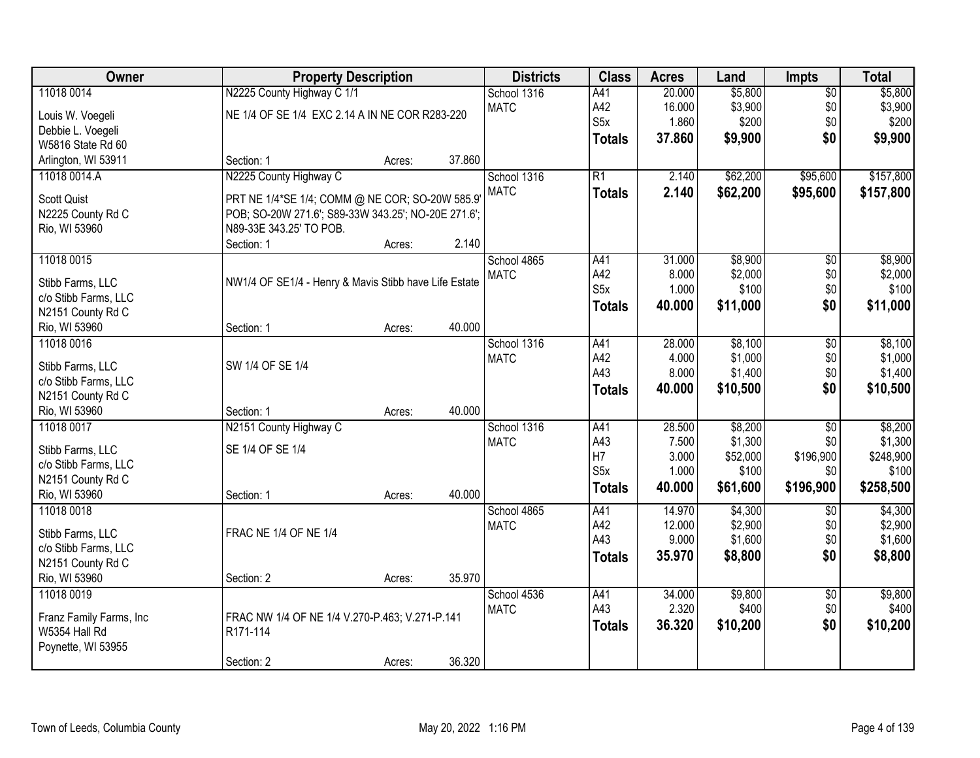| Owner                                    |                                                            | <b>Property Description</b> |        |             | <b>Class</b>                      | <b>Acres</b>   | Land              | <b>Impts</b>     | <b>Total</b>       |
|------------------------------------------|------------------------------------------------------------|-----------------------------|--------|-------------|-----------------------------------|----------------|-------------------|------------------|--------------------|
| 11018 0014                               | N2225 County Highway C 1/1                                 |                             |        | School 1316 | A41                               | 20.000         | \$5,800           | $\overline{50}$  | \$5,800            |
| Louis W. Voegeli                         | NE 1/4 OF SE 1/4 EXC 2.14 A IN NE COR R283-220             |                             |        | <b>MATC</b> | A42                               | 16.000         | \$3,900           | \$0              | \$3,900            |
| Debbie L. Voegeli                        |                                                            |                             |        |             | S5x                               | 1.860          | \$200             | \$0              | \$200              |
| W5816 State Rd 60                        |                                                            |                             |        |             | <b>Totals</b>                     | 37.860         | \$9,900           | \$0              | \$9,900            |
| Arlington, WI 53911                      | Section: 1                                                 | Acres:                      | 37.860 |             |                                   |                |                   |                  |                    |
| 11018 0014.A                             | N2225 County Highway C                                     |                             |        | School 1316 | $\overline{R1}$                   | 2.140          | \$62,200          | \$95,600         | \$157,800          |
| <b>Scott Quist</b>                       | PRT NE 1/4*SE 1/4; COMM @ NE COR; SO-20W 585.9'            |                             |        | <b>MATC</b> | <b>Totals</b>                     | 2.140          | \$62,200          | \$95,600         | \$157,800          |
| N2225 County Rd C                        | POB; SO-20W 271.6'; S89-33W 343.25'; NO-20E 271.6';        |                             |        |             |                                   |                |                   |                  |                    |
| Rio, WI 53960                            | N89-33E 343.25' TO POB.                                    |                             |        |             |                                   |                |                   |                  |                    |
|                                          | Section: 1                                                 | Acres:                      | 2.140  |             |                                   |                |                   |                  |                    |
| 11018 0015                               |                                                            |                             |        | School 4865 | A41                               | 31.000         | \$8,900           | $\overline{50}$  | \$8,900            |
|                                          |                                                            |                             |        | <b>MATC</b> | A42                               | 8.000          | \$2,000           | \$0              | \$2,000            |
| Stibb Farms, LLC                         | NW1/4 OF SE1/4 - Henry & Mavis Stibb have Life Estate      |                             |        |             | S <sub>5</sub> x                  | 1.000          | \$100             | \$0              | \$100              |
| c/o Stibb Farms, LLC                     |                                                            |                             |        |             | <b>Totals</b>                     | 40.000         | \$11,000          | \$0              | \$11,000           |
| N2151 County Rd C<br>Rio, WI 53960       | Section: 1                                                 | Acres:                      | 40.000 |             |                                   |                |                   |                  |                    |
| 11018 0016                               |                                                            |                             |        | School 1316 | A41                               | 28.000         | \$8,100           | \$0              | \$8,100            |
|                                          |                                                            |                             |        | <b>MATC</b> | A42                               | 4.000          | \$1,000           | \$0              | \$1,000            |
| Stibb Farms, LLC                         | SW 1/4 OF SE 1/4                                           |                             |        |             | A43                               | 8.000          | \$1,400           | \$0              | \$1,400            |
| c/o Stibb Farms, LLC                     |                                                            |                             |        |             | <b>Totals</b>                     | 40.000         | \$10,500          | \$0              | \$10,500           |
| N2151 County Rd C                        |                                                            |                             |        |             |                                   |                |                   |                  |                    |
| Rio, WI 53960                            | Section: 1                                                 | Acres:                      | 40.000 |             |                                   |                |                   |                  |                    |
| 11018 0017                               | N2151 County Highway C                                     |                             |        | School 1316 | A41                               | 28.500         | \$8,200           | $\overline{50}$  | \$8,200            |
| Stibb Farms, LLC                         | SE 1/4 OF SE 1/4                                           |                             |        | <b>MATC</b> | A43                               | 7.500          | \$1,300           | \$0              | \$1,300            |
| c/o Stibb Farms, LLC                     |                                                            |                             |        |             | H <sub>7</sub><br>S <sub>5x</sub> | 3.000<br>1.000 | \$52,000<br>\$100 | \$196,900<br>\$0 | \$248,900<br>\$100 |
| N2151 County Rd C                        |                                                            |                             |        |             |                                   |                |                   |                  |                    |
| Rio, WI 53960                            | Section: 1                                                 | Acres:                      | 40.000 |             | <b>Totals</b>                     | 40.000         | \$61,600          | \$196,900        | \$258,500          |
| 11018 0018                               |                                                            |                             |        | School 4865 | A41                               | 14.970         | \$4,300           | $\overline{50}$  | \$4,300            |
| Stibb Farms, LLC                         | FRAC NE 1/4 OF NE 1/4                                      |                             |        | <b>MATC</b> | A42                               | 12.000         | \$2,900           | \$0              | \$2,900            |
| c/o Stibb Farms, LLC                     |                                                            |                             |        |             | A43                               | 9.000          | \$1,600           | \$0              | \$1,600            |
| N2151 County Rd C                        |                                                            |                             |        |             | <b>Totals</b>                     | 35.970         | \$8,800           | \$0              | \$8,800            |
| Rio, WI 53960                            | Section: 2                                                 | Acres:                      | 35.970 |             |                                   |                |                   |                  |                    |
| 11018 0019                               |                                                            |                             |        | School 4536 | A41                               | 34.000         | \$9,800           | $\overline{60}$  | \$9,800            |
|                                          |                                                            |                             |        | <b>MATC</b> | A43                               | 2.320          | \$400             | \$0              | \$400              |
| Franz Family Farms, Inc<br>W5354 Hall Rd | FRAC NW 1/4 OF NE 1/4 V.270-P.463; V.271-P.141<br>R171-114 |                             |        |             | <b>Totals</b>                     | 36.320         | \$10,200          | \$0              | \$10,200           |
| Poynette, WI 53955                       |                                                            |                             |        |             |                                   |                |                   |                  |                    |
|                                          | Section: 2                                                 | Acres:                      | 36.320 |             |                                   |                |                   |                  |                    |
|                                          |                                                            |                             |        |             |                                   |                |                   |                  |                    |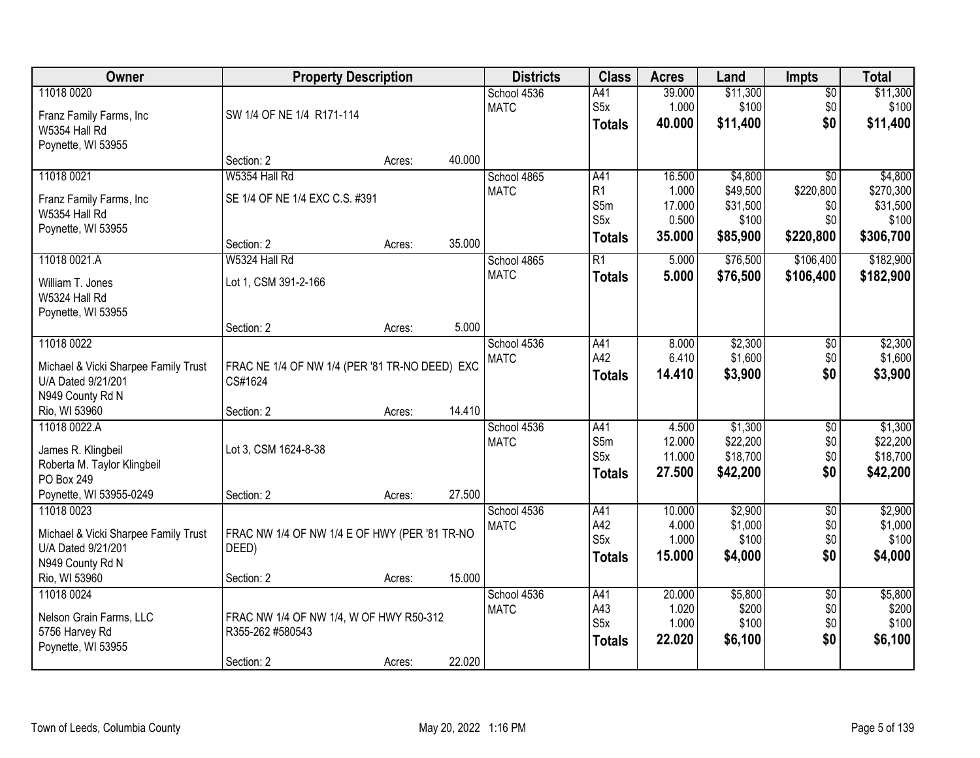| <b>Owner</b>                                                                                                  | <b>Property Description</b>                                               |        |        | <b>Districts</b>           | <b>Class</b>                                         | <b>Acres</b>                                 | Land                                                 | <b>Impts</b>                                            | <b>Total</b>                                           |
|---------------------------------------------------------------------------------------------------------------|---------------------------------------------------------------------------|--------|--------|----------------------------|------------------------------------------------------|----------------------------------------------|------------------------------------------------------|---------------------------------------------------------|--------------------------------------------------------|
| 11018 0020<br>Franz Family Farms, Inc<br>W5354 Hall Rd                                                        | SW 1/4 OF NE 1/4 R171-114                                                 |        |        | School 4536<br><b>MATC</b> | A41<br>S <sub>5</sub> x<br><b>Totals</b>             | 39.000<br>1.000<br>40.000                    | \$11,300<br>\$100<br>\$11,400                        | $\sqrt{$0}$<br>\$0<br>\$0                               | \$11,300<br>\$100<br>\$11,400                          |
| Poynette, WI 53955                                                                                            | Section: 2                                                                | Acres: | 40.000 |                            |                                                      |                                              |                                                      |                                                         |                                                        |
| 11018 0021<br>Franz Family Farms, Inc<br>W5354 Hall Rd<br>Poynette, WI 53955                                  | W5354 Hall Rd<br>SE 1/4 OF NE 1/4 EXC C.S. #391<br>Section: 2             | Acres: | 35.000 | School 4865<br><b>MATC</b> | A41<br>R <sub>1</sub><br>S5m<br>S5x<br><b>Totals</b> | 16.500<br>1.000<br>17.000<br>0.500<br>35.000 | \$4,800<br>\$49,500<br>\$31,500<br>\$100<br>\$85,900 | $\overline{50}$<br>\$220,800<br>\$0<br>\$0<br>\$220,800 | \$4,800<br>\$270,300<br>\$31,500<br>\$100<br>\$306,700 |
| 11018 0021.A<br>William T. Jones<br>W5324 Hall Rd<br>Poynette, WI 53955                                       | W5324 Hall Rd<br>Lot 1, CSM 391-2-166<br>Section: 2                       | Acres: | 5.000  | School 4865<br><b>MATC</b> | $\overline{R1}$<br><b>Totals</b>                     | 5.000<br>5.000                               | \$76,500<br>\$76,500                                 | \$106,400<br>\$106,400                                  | \$182,900<br>\$182,900                                 |
| 11018 0022<br>Michael & Vicki Sharpee Family Trust<br>U/A Dated 9/21/201<br>N949 County Rd N<br>Rio, WI 53960 | FRAC NE 1/4 OF NW 1/4 (PER '81 TR-NO DEED) EXC<br>CS#1624<br>Section: 2   | Acres: | 14.410 | School 4536<br><b>MATC</b> | A41<br>A42<br><b>Totals</b>                          | 8.000<br>6.410<br>14.410                     | \$2,300<br>\$1,600<br>\$3,900                        | \$0<br>\$0<br>\$0                                       | \$2,300<br>\$1,600<br>\$3,900                          |
| 11018 0022.A<br>James R. Klingbeil<br>Roberta M. Taylor Klingbeil<br>PO Box 249<br>Poynette, WI 53955-0249    | Lot 3, CSM 1624-8-38<br>Section: 2                                        | Acres: | 27.500 | School 4536<br><b>MATC</b> | A41<br>S5m<br>S <sub>5</sub> x<br><b>Totals</b>      | 4.500<br>12.000<br>11.000<br>27.500          | \$1,300<br>\$22,200<br>\$18,700<br>\$42,200          | \$0<br>\$0<br>\$0<br>\$0                                | \$1,300<br>\$22,200<br>\$18,700<br>\$42,200            |
| 11018 0023<br>Michael & Vicki Sharpee Family Trust<br>U/A Dated 9/21/201<br>N949 County Rd N<br>Rio, WI 53960 | FRAC NW 1/4 OF NW 1/4 E OF HWY (PER '81 TR-NO<br>DEED)<br>Section: 2      | Acres: | 15.000 | School 4536<br><b>MATC</b> | A41<br>A42<br>S5x<br><b>Totals</b>                   | 10.000<br>4.000<br>1.000<br>15.000           | \$2,900<br>\$1,000<br>\$100<br>\$4,000               | $\overline{50}$<br>\$0<br>\$0<br>\$0                    | \$2,900<br>\$1,000<br>\$100<br>\$4,000                 |
| 11018 0024<br>Nelson Grain Farms, LLC<br>5756 Harvey Rd<br>Poynette, WI 53955                                 | FRAC NW 1/4 OF NW 1/4, W OF HWY R50-312<br>R355-262 #580543<br>Section: 2 | Acres: | 22.020 | School 4536<br><b>MATC</b> | A41<br>A43<br>S5x<br><b>Totals</b>                   | 20.000<br>1.020<br>1.000<br>22.020           | \$5,800<br>\$200<br>\$100<br>\$6,100                 | $\overline{50}$<br>\$0<br>\$0<br>\$0                    | \$5,800<br>\$200<br>\$100<br>\$6,100                   |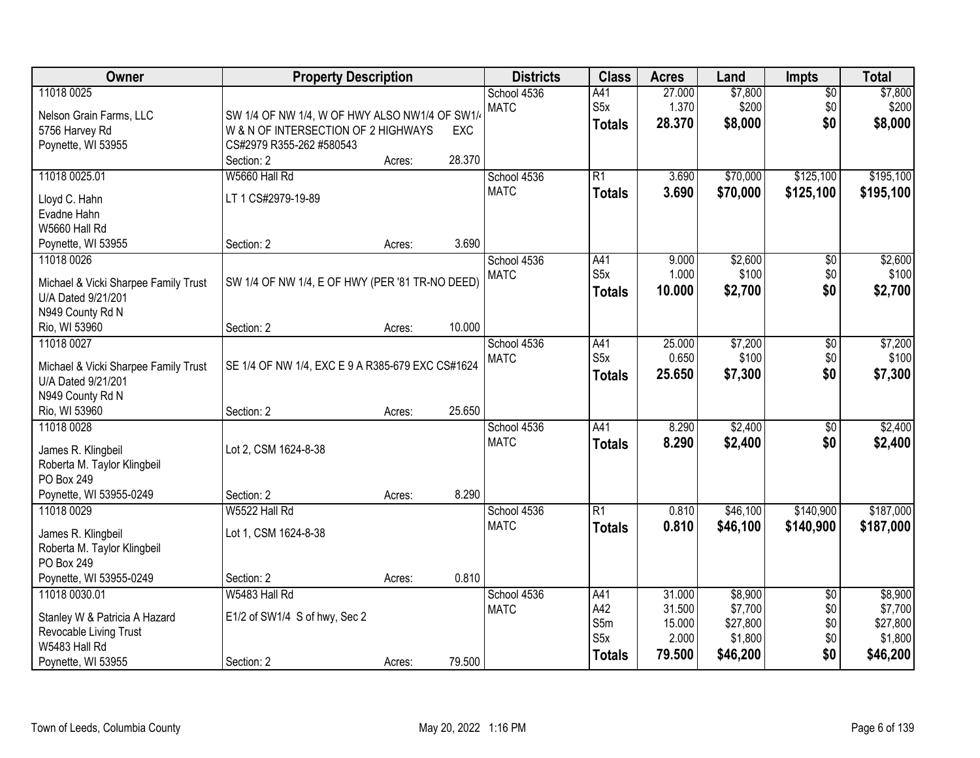| Owner                                                                                          | <b>Property Description</b>                                                                                       |        |        | <b>Districts</b>           | <b>Class</b>                                    | <b>Acres</b>                        | Land                                       | <b>Impts</b>                                | <b>Total</b>                               |
|------------------------------------------------------------------------------------------------|-------------------------------------------------------------------------------------------------------------------|--------|--------|----------------------------|-------------------------------------------------|-------------------------------------|--------------------------------------------|---------------------------------------------|--------------------------------------------|
| 11018 0025<br>Nelson Grain Farms, LLC<br>5756 Harvey Rd<br>Poynette, WI 53955                  | SW 1/4 OF NW 1/4, W OF HWY ALSO NW1/4 OF SW1/4<br>W & N OF INTERSECTION OF 2 HIGHWAYS<br>CS#2979 R355-262 #580543 |        | EXC    | School 4536<br><b>MATC</b> | A41<br>S <sub>5</sub> x<br><b>Totals</b>        | 27.000<br>1.370<br>28.370           | \$7,800<br>\$200<br>\$8,000                | $\sqrt{$0}$<br>\$0<br>\$0                   | \$7,800<br>\$200<br>\$8,000                |
|                                                                                                | Section: 2                                                                                                        | Acres: | 28.370 |                            |                                                 |                                     |                                            |                                             |                                            |
| 11018 0025.01                                                                                  | W5660 Hall Rd                                                                                                     |        |        | School 4536<br><b>MATC</b> | $\overline{R1}$                                 | 3.690                               | \$70,000                                   | \$125,100                                   | \$195,100                                  |
| Lloyd C. Hahn                                                                                  | LT 1 CS#2979-19-89                                                                                                |        |        |                            | <b>Totals</b>                                   | 3.690                               | \$70,000                                   | \$125,100                                   | \$195,100                                  |
| Evadne Hahn                                                                                    |                                                                                                                   |        |        |                            |                                                 |                                     |                                            |                                             |                                            |
| W5660 Hall Rd                                                                                  | Section: 2                                                                                                        |        | 3.690  |                            |                                                 |                                     |                                            |                                             |                                            |
| Poynette, WI 53955<br>11018 0026                                                               |                                                                                                                   | Acres: |        | School 4536                | A41                                             | 9.000                               | \$2,600                                    | $\sqrt[6]{3}$                               | \$2,600                                    |
| Michael & Vicki Sharpee Family Trust<br>U/A Dated 9/21/201                                     | SW 1/4 OF NW 1/4, E OF HWY (PER '81 TR-NO DEED)                                                                   |        |        | <b>MATC</b>                | S <sub>5</sub> x<br><b>Totals</b>               | 1.000<br>10.000                     | \$100<br>\$2,700                           | \$0<br>\$0                                  | \$100<br>\$2,700                           |
| N949 County Rd N<br>Rio, WI 53960                                                              | Section: 2                                                                                                        | Acres: | 10.000 |                            |                                                 |                                     |                                            |                                             |                                            |
| 11018 0027                                                                                     |                                                                                                                   |        |        | School 4536                | A41                                             | 25.000                              | \$7,200                                    | \$0                                         | \$7,200                                    |
| Michael & Vicki Sharpee Family Trust<br>U/A Dated 9/21/201<br>N949 County Rd N                 | SE 1/4 OF NW 1/4, EXC E 9 A R385-679 EXC CS#1624                                                                  |        |        | <b>MATC</b>                | S <sub>5</sub> x<br><b>Totals</b>               | 0.650<br>25.650                     | \$100<br>\$7,300                           | \$0<br>\$0                                  | \$100<br>\$7,300                           |
| Rio, WI 53960                                                                                  | Section: 2                                                                                                        | Acres: | 25.650 |                            |                                                 |                                     |                                            |                                             |                                            |
| 11018 0028<br>James R. Klingbeil<br>Roberta M. Taylor Klingbeil<br>PO Box 249                  | Lot 2, CSM 1624-8-38                                                                                              |        |        | School 4536<br><b>MATC</b> | A41<br><b>Totals</b>                            | 8.290<br>8.290                      | \$2,400<br>\$2,400                         | \$0<br>\$0                                  | \$2,400<br>\$2,400                         |
| Poynette, WI 53955-0249                                                                        | Section: 2                                                                                                        | Acres: | 8.290  |                            |                                                 |                                     |                                            |                                             |                                            |
| 11018 0029<br>James R. Klingbeil<br>Roberta M. Taylor Klingbeil                                | W5522 Hall Rd<br>Lot 1, CSM 1624-8-38                                                                             |        |        | School 4536<br><b>MATC</b> | $\overline{R1}$<br><b>Totals</b>                | 0.810<br>0.810                      | \$46,100<br>\$46,100                       | \$140,900<br>\$140,900                      | \$187,000<br>\$187,000                     |
| PO Box 249                                                                                     |                                                                                                                   |        |        |                            |                                                 |                                     |                                            |                                             |                                            |
| Poynette, WI 53955-0249<br>11018 0030.01                                                       | Section: 2<br>W5483 Hall Rd                                                                                       | Acres: | 0.810  | School 4536                | A41                                             | 31.000                              | \$8,900                                    |                                             | \$8,900                                    |
| Stanley W & Patricia A Hazard<br>Revocable Living Trust<br>W5483 Hall Rd<br>Poynette, WI 53955 | E1/2 of SW1/4 S of hwy, Sec 2<br>Section: 2                                                                       | Acres: | 79.500 | <b>MATC</b>                | A42<br>S5m<br>S <sub>5</sub> x<br><b>Totals</b> | 31.500<br>15.000<br>2.000<br>79.500 | \$7,700<br>\$27,800<br>\$1,800<br>\$46,200 | $\overline{60}$<br>\$0<br>\$0<br>\$0<br>\$0 | \$7,700<br>\$27,800<br>\$1,800<br>\$46,200 |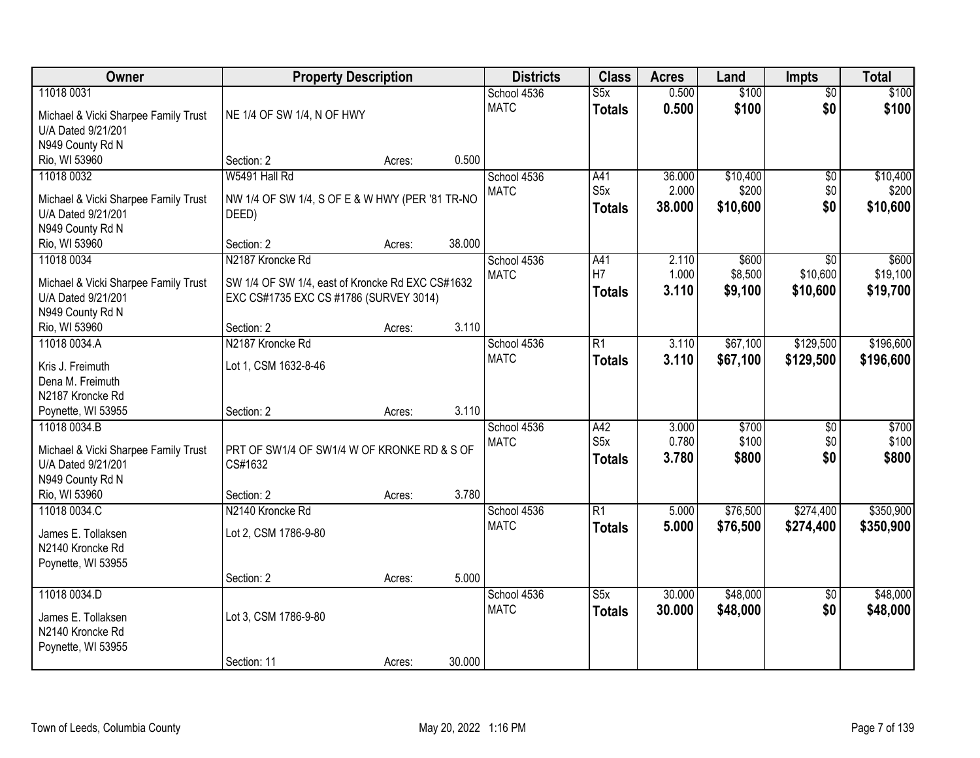| Owner                                                      | <b>Property Description</b>                                                                |        |        | <b>Districts</b>           | <b>Class</b>         | <b>Acres</b>   | Land           | <b>Impts</b>           | <b>Total</b>   |
|------------------------------------------------------------|--------------------------------------------------------------------------------------------|--------|--------|----------------------------|----------------------|----------------|----------------|------------------------|----------------|
| 11018 0031<br>Michael & Vicki Sharpee Family Trust         | NE 1/4 OF SW 1/4, N OF HWY                                                                 |        |        | School 4536<br><b>MATC</b> | S5x<br><b>Totals</b> | 0.500<br>0.500 | \$100<br>\$100 | $\overline{50}$<br>\$0 | \$100<br>\$100 |
| U/A Dated 9/21/201                                         |                                                                                            |        |        |                            |                      |                |                |                        |                |
| N949 County Rd N                                           |                                                                                            |        | 0.500  |                            |                      |                |                |                        |                |
| Rio, WI 53960<br>11018 0032                                | Section: 2<br>W5491 Hall Rd                                                                | Acres: |        | School 4536                | A41                  | 36.000         | \$10,400       | $\overline{50}$        | \$10,400       |
|                                                            |                                                                                            |        |        | <b>MATC</b>                | S5x                  | 2.000          | \$200          | \$0                    | \$200          |
| Michael & Vicki Sharpee Family Trust                       | NW 1/4 OF SW 1/4, S OF E & W HWY (PER '81 TR-NO                                            |        |        |                            | <b>Totals</b>        | 38.000         | \$10,600       | \$0                    | \$10,600       |
| U/A Dated 9/21/201<br>N949 County Rd N                     | DEED)                                                                                      |        |        |                            |                      |                |                |                        |                |
| Rio, WI 53960                                              | Section: 2                                                                                 | Acres: | 38.000 |                            |                      |                |                |                        |                |
| 11018 0034                                                 | N2187 Kroncke Rd                                                                           |        |        | School 4536                | A41                  | 2.110          | \$600          | $\overline{50}$        | \$600          |
|                                                            |                                                                                            |        |        | <b>MATC</b>                | H7                   | 1.000          | \$8,500        | \$10,600               | \$19,100       |
| Michael & Vicki Sharpee Family Trust<br>U/A Dated 9/21/201 | SW 1/4 OF SW 1/4, east of Kroncke Rd EXC CS#1632<br>EXC CS#1735 EXC CS #1786 (SURVEY 3014) |        |        |                            | <b>Totals</b>        | 3.110          | \$9,100        | \$10,600               | \$19,700       |
| N949 County Rd N                                           |                                                                                            |        |        |                            |                      |                |                |                        |                |
| Rio, WI 53960                                              | Section: 2                                                                                 | Acres: | 3.110  |                            |                      |                |                |                        |                |
| 11018 0034.A                                               | N2187 Kroncke Rd                                                                           |        |        | School 4536                | R1                   | 3.110          | \$67,100       | \$129,500              | \$196,600      |
| Kris J. Freimuth                                           | Lot 1, CSM 1632-8-46                                                                       |        |        | <b>MATC</b>                | <b>Totals</b>        | 3.110          | \$67,100       | \$129,500              | \$196,600      |
| Dena M. Freimuth                                           |                                                                                            |        |        |                            |                      |                |                |                        |                |
| N2187 Kroncke Rd                                           |                                                                                            |        |        |                            |                      |                |                |                        |                |
| Poynette, WI 53955                                         | Section: 2                                                                                 | Acres: | 3.110  |                            |                      |                |                |                        |                |
| 11018 0034.B                                               |                                                                                            |        |        | School 4536                | A42                  | 3.000          | \$700          | $\overline{50}$        | \$700          |
| Michael & Vicki Sharpee Family Trust                       | PRT OF SW1/4 OF SW1/4 W OF KRONKE RD & S OF                                                |        |        | <b>MATC</b>                | S5x                  | 0.780          | \$100          | \$0                    | \$100          |
| U/A Dated 9/21/201                                         | CS#1632                                                                                    |        |        |                            | <b>Totals</b>        | 3.780          | \$800          | \$0                    | \$800          |
| N949 County Rd N                                           |                                                                                            |        |        |                            |                      |                |                |                        |                |
| Rio, WI 53960                                              | Section: 2                                                                                 | Acres: | 3.780  |                            |                      |                |                |                        |                |
| 11018 0034.C                                               | N2140 Kroncke Rd                                                                           |        |        | School 4536                | $\overline{R1}$      | 5.000          | \$76,500       | \$274,400              | \$350,900      |
| James E. Tollaksen                                         | Lot 2, CSM 1786-9-80                                                                       |        |        | <b>MATC</b>                | <b>Totals</b>        | 5.000          | \$76,500       | \$274,400              | \$350,900      |
| N2140 Kroncke Rd                                           |                                                                                            |        |        |                            |                      |                |                |                        |                |
| Poynette, WI 53955                                         |                                                                                            |        |        |                            |                      |                |                |                        |                |
|                                                            | Section: 2                                                                                 | Acres: | 5.000  |                            |                      |                |                |                        |                |
| 11018 0034.D                                               |                                                                                            |        |        | School 4536                | S5x                  | 30.000         | \$48,000       | $\overline{50}$        | \$48,000       |
| James E. Tollaksen                                         | Lot 3, CSM 1786-9-80                                                                       |        |        | <b>MATC</b>                | <b>Totals</b>        | 30.000         | \$48,000       | \$0                    | \$48,000       |
| N2140 Kroncke Rd                                           |                                                                                            |        |        |                            |                      |                |                |                        |                |
| Poynette, WI 53955                                         |                                                                                            |        |        |                            |                      |                |                |                        |                |
|                                                            | Section: 11                                                                                | Acres: | 30.000 |                            |                      |                |                |                        |                |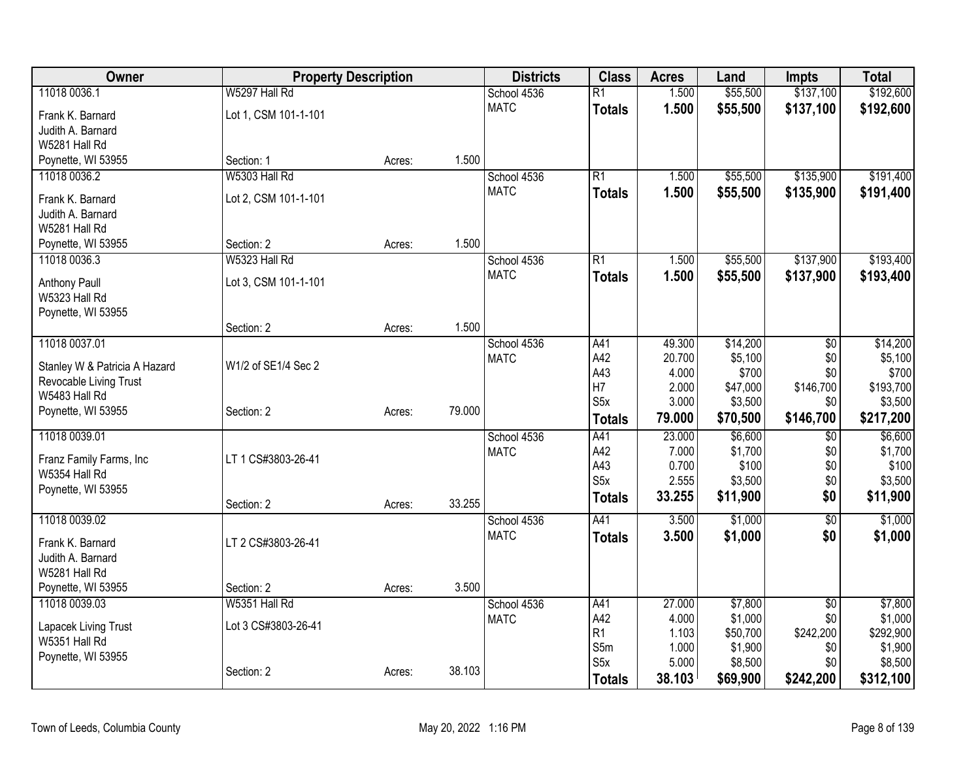| Owner                          | <b>Property Description</b> |        |        | <b>Districts</b> | <b>Class</b>     | <b>Acres</b> | Land     | <b>Impts</b>    | <b>Total</b> |
|--------------------------------|-----------------------------|--------|--------|------------------|------------------|--------------|----------|-----------------|--------------|
| 11018 0036.1                   | W5297 Hall Rd               |        |        | School 4536      | R1               | 1.500        | \$55,500 | \$137,100       | \$192,600    |
| Frank K. Barnard               | Lot 1, CSM 101-1-101        |        |        | <b>MATC</b>      | <b>Totals</b>    | 1.500        | \$55,500 | \$137,100       | \$192,600    |
| Judith A. Barnard              |                             |        |        |                  |                  |              |          |                 |              |
| W5281 Hall Rd                  |                             |        |        |                  |                  |              |          |                 |              |
| Poynette, WI 53955             | Section: 1                  | Acres: | 1.500  |                  |                  |              |          |                 |              |
| 11018 0036.2                   | W5303 Hall Rd               |        |        | School 4536      | R1               | 1.500        | \$55,500 | \$135,900       | \$191,400    |
| Frank K. Barnard               | Lot 2, CSM 101-1-101        |        |        | <b>MATC</b>      | <b>Totals</b>    | 1.500        | \$55,500 | \$135,900       | \$191,400    |
| Judith A. Barnard              |                             |        |        |                  |                  |              |          |                 |              |
| W5281 Hall Rd                  |                             |        |        |                  |                  |              |          |                 |              |
| Poynette, WI 53955             | Section: 2                  | Acres: | 1.500  |                  |                  |              |          |                 |              |
| 11018 0036.3                   | W5323 Hall Rd               |        |        | School 4536      | R1               | 1.500        | \$55,500 | \$137,900       | \$193,400    |
|                                |                             |        |        | <b>MATC</b>      | <b>Totals</b>    | 1.500        | \$55,500 | \$137,900       | \$193,400    |
| Anthony Paull<br>W5323 Hall Rd | Lot 3, CSM 101-1-101        |        |        |                  |                  |              |          |                 |              |
| Poynette, WI 53955             |                             |        |        |                  |                  |              |          |                 |              |
|                                | Section: 2                  | Acres: | 1.500  |                  |                  |              |          |                 |              |
| 11018 0037.01                  |                             |        |        | School 4536      | A41              | 49.300       | \$14,200 | \$0             | \$14,200     |
|                                |                             |        |        | <b>MATC</b>      | A42              | 20.700       | \$5,100  | \$0             | \$5,100      |
| Stanley W & Patricia A Hazard  | W1/2 of SE1/4 Sec 2         |        |        |                  | A43              | 4.000        | \$700    | \$0             | \$700        |
| Revocable Living Trust         |                             |        |        |                  | H7               | 2.000        | \$47,000 | \$146,700       | \$193,700    |
| W5483 Hall Rd                  |                             |        |        |                  | S <sub>5</sub> x | 3.000        | \$3,500  | \$0             | \$3,500      |
| Poynette, WI 53955             | Section: 2                  | Acres: | 79.000 |                  | <b>Totals</b>    | 79.000       | \$70,500 | \$146,700       | \$217,200    |
| 11018 0039.01                  |                             |        |        | School 4536      | A41              | 23.000       | \$6,600  | $\overline{50}$ | \$6,600      |
| Franz Family Farms, Inc        | LT 1 CS#3803-26-41          |        |        | <b>MATC</b>      | A42              | 7.000        | \$1,700  | \$0             | \$1,700      |
| W5354 Hall Rd                  |                             |        |        |                  | A43              | 0.700        | \$100    | \$0             | \$100        |
| Poynette, WI 53955             |                             |        |        |                  | S <sub>5</sub> x | 2.555        | \$3,500  | \$0             | \$3,500      |
|                                | Section: 2                  | Acres: | 33.255 |                  | Totals           | 33.255       | \$11,900 | \$0             | \$11,900     |
| 11018 0039.02                  |                             |        |        | School 4536      | A41              | 3.500        | \$1,000  | $\overline{50}$ | \$1,000      |
| Frank K. Barnard               | LT 2 CS#3803-26-41          |        |        | <b>MATC</b>      | <b>Totals</b>    | 3.500        | \$1,000  | \$0             | \$1,000      |
| Judith A. Barnard              |                             |        |        |                  |                  |              |          |                 |              |
| W5281 Hall Rd                  |                             |        |        |                  |                  |              |          |                 |              |
| Poynette, WI 53955             | Section: 2                  | Acres: | 3.500  |                  |                  |              |          |                 |              |
| 11018 0039.03                  | W5351 Hall Rd               |        |        | School 4536      | A41              | 27.000       | \$7,800  | $\overline{50}$ | \$7,800      |
|                                |                             |        |        | <b>MATC</b>      | A42              | 4.000        | \$1,000  | \$0             | \$1,000      |
| Lapacek Living Trust           | Lot 3 CS#3803-26-41         |        |        |                  | R1               | 1.103        | \$50,700 | \$242,200       | \$292,900    |
| W5351 Hall Rd                  |                             |        |        |                  | S5m              | 1.000        | \$1,900  | \$0             | \$1,900      |
| Poynette, WI 53955             | Section: 2                  |        | 38.103 |                  | S <sub>5</sub> x | 5.000        | \$8,500  | \$0             | \$8,500      |
|                                |                             | Acres: |        |                  | <b>Totals</b>    | 38.103       | \$69,900 | \$242,200       | \$312,100    |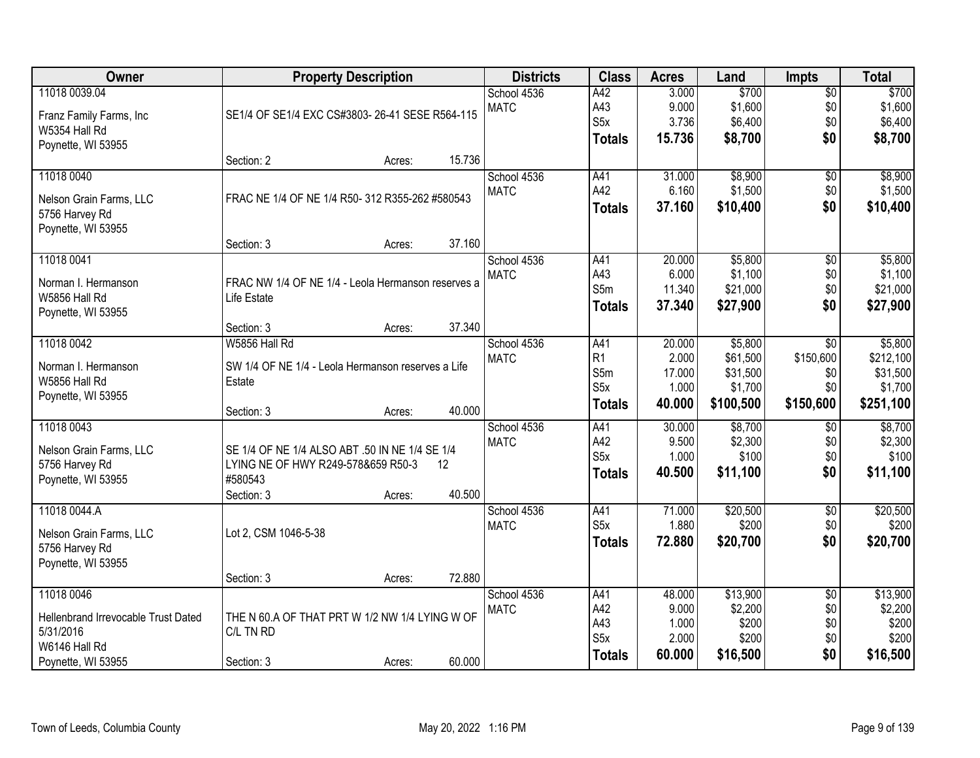| Owner                                      |                                                    | <b>Property Description</b> |                   | <b>Districts</b> | <b>Class</b>     | <b>Acres</b> | Land      | <b>Impts</b>    | <b>Total</b> |
|--------------------------------------------|----------------------------------------------------|-----------------------------|-------------------|------------------|------------------|--------------|-----------|-----------------|--------------|
| 11018 0039.04                              |                                                    |                             |                   | School 4536      | A42              | 3.000        | \$700     | $\overline{50}$ | \$700        |
| Franz Family Farms, Inc.                   | SE1/4 OF SE1/4 EXC CS#3803-26-41 SESE R564-115     |                             |                   | <b>MATC</b>      | A43              | 9.000        | \$1,600   | \$0             | \$1,600      |
| W5354 Hall Rd                              |                                                    |                             |                   |                  | S <sub>5</sub> x | 3.736        | \$6,400   | \$0             | \$6,400      |
| Poynette, WI 53955                         |                                                    |                             |                   |                  | <b>Totals</b>    | 15.736       | \$8,700   | \$0             | \$8,700      |
|                                            | Section: 2                                         | Acres:                      | 15.736            |                  |                  |              |           |                 |              |
| 11018 0040                                 |                                                    |                             |                   | School 4536      | A41              | 31.000       | \$8,900   | $\overline{50}$ | \$8,900      |
| Nelson Grain Farms, LLC                    | FRAC NE 1/4 OF NE 1/4 R50- 312 R355-262 #580543    |                             |                   | <b>MATC</b>      | A42              | 6.160        | \$1,500   | \$0             | \$1,500      |
| 5756 Harvey Rd                             |                                                    |                             |                   |                  | <b>Totals</b>    | 37.160       | \$10,400  | \$0             | \$10,400     |
| Poynette, WI 53955                         |                                                    |                             |                   |                  |                  |              |           |                 |              |
|                                            | Section: 3                                         | Acres:                      | 37.160            |                  |                  |              |           |                 |              |
| 11018 0041                                 |                                                    |                             |                   | School 4536      | A41              | 20.000       | \$5,800   | $\overline{50}$ | \$5,800      |
| Norman I. Hermanson                        | FRAC NW 1/4 OF NE 1/4 - Leola Hermanson reserves a |                             |                   | <b>MATC</b>      | A43              | 6.000        | \$1,100   | \$0             | \$1,100      |
| W5856 Hall Rd                              | Life Estate                                        |                             |                   |                  | S5m              | 11.340       | \$21,000  | \$0             | \$21,000     |
| Poynette, WI 53955                         |                                                    |                             |                   |                  | <b>Totals</b>    | 37.340       | \$27,900  | \$0             | \$27,900     |
|                                            | Section: 3                                         | Acres:                      | 37.340            |                  |                  |              |           |                 |              |
| 11018 0042                                 | W5856 Hall Rd                                      |                             |                   | School 4536      | A41              | 20.000       | \$5,800   | \$0             | \$5,800      |
|                                            |                                                    |                             |                   | <b>MATC</b>      | R1               | 2.000        | \$61,500  | \$150,600       | \$212,100    |
| Norman I. Hermanson                        | SW 1/4 OF NE 1/4 - Leola Hermanson reserves a Life |                             |                   |                  | S5m              | 17.000       | \$31,500  | \$0             | \$31,500     |
| W5856 Hall Rd                              | Estate                                             |                             |                   |                  | S <sub>5</sub> x | 1.000        | \$1,700   | \$0             | \$1,700      |
| Poynette, WI 53955                         | Section: 3                                         | Acres:                      | 40.000            |                  | <b>Totals</b>    | 40.000       | \$100,500 | \$150,600       | \$251,100    |
| 11018 0043                                 |                                                    |                             |                   | School 4536      | A41              | 30.000       | \$8,700   | $\overline{30}$ | \$8,700      |
|                                            |                                                    |                             |                   | <b>MATC</b>      | A42              | 9.500        | \$2,300   | \$0             | \$2,300      |
| Nelson Grain Farms, LLC                    | SE 1/4 OF NE 1/4 ALSO ABT .50 IN NE 1/4 SE 1/4     |                             |                   |                  | S <sub>5</sub> x | 1.000        | \$100     | \$0             | \$100        |
| 5756 Harvey Rd                             | LYING NE OF HWY R249-578&659 R50-3                 |                             | $12 \overline{ }$ |                  | <b>Totals</b>    | 40.500       | \$11,100  | \$0             | \$11,100     |
| Poynette, WI 53955                         | #580543<br>Section: 3                              | Acres:                      | 40.500            |                  |                  |              |           |                 |              |
| 11018 0044.A                               |                                                    |                             |                   | School 4536      | A41              | 71.000       | \$20,500  | $\overline{60}$ | \$20,500     |
|                                            |                                                    |                             |                   | <b>MATC</b>      | S <sub>5</sub> x | 1.880        | \$200     | \$0             | \$200        |
| Nelson Grain Farms, LLC                    | Lot 2, CSM 1046-5-38                               |                             |                   |                  | <b>Totals</b>    | 72.880       | \$20,700  | \$0             | \$20,700     |
| 5756 Harvey Rd                             |                                                    |                             |                   |                  |                  |              |           |                 |              |
| Poynette, WI 53955                         |                                                    |                             |                   |                  |                  |              |           |                 |              |
|                                            | Section: 3                                         | Acres:                      | 72.880            |                  |                  |              |           |                 |              |
| 11018 0046                                 |                                                    |                             |                   | School 4536      | A41              | 48.000       | \$13,900  | $\overline{30}$ | \$13,900     |
| <b>Hellenbrand Irrevocable Trust Dated</b> | THE N 60.A OF THAT PRT W 1/2 NW 1/4 LYING W OF     |                             |                   | <b>MATC</b>      | A42              | 9.000        | \$2,200   | \$0             | \$2,200      |
| 5/31/2016                                  | C/L TN RD                                          |                             |                   |                  | A43              | 1.000        | \$200     | \$0             | \$200        |
| W6146 Hall Rd                              |                                                    |                             |                   |                  | S <sub>5</sub> x | 2.000        | \$200     | \$0             | \$200        |
| Poynette, WI 53955                         | Section: 3                                         | Acres:                      | 60.000            |                  | <b>Totals</b>    | 60.000       | \$16,500  | \$0             | \$16,500     |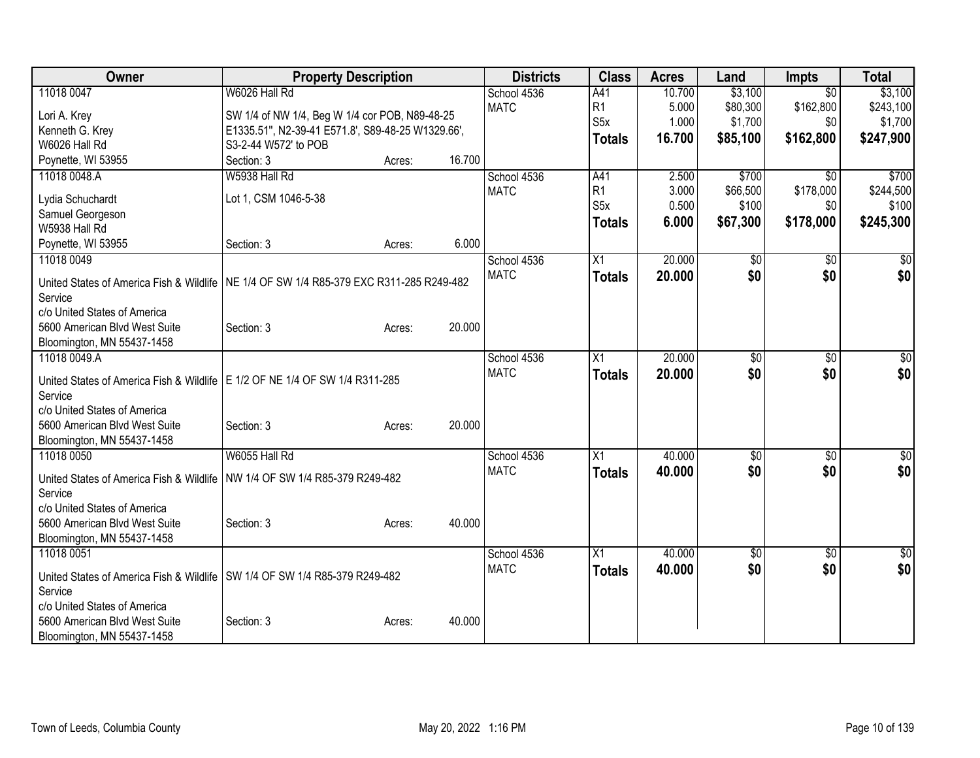| Owner                                                                                     | <b>Property Description</b>                       |        |        | <b>Districts</b> | <b>Class</b>     | <b>Acres</b> | Land     | <b>Impts</b>    | <b>Total</b> |
|-------------------------------------------------------------------------------------------|---------------------------------------------------|--------|--------|------------------|------------------|--------------|----------|-----------------|--------------|
| 11018 0047                                                                                | W6026 Hall Rd                                     |        |        | School 4536      | A41              | 10.700       | \$3,100  | $\overline{30}$ | \$3,100      |
| Lori A. Krey                                                                              | SW 1/4 of NW 1/4, Beg W 1/4 cor POB, N89-48-25    |        |        | <b>MATC</b>      | R1               | 5.000        | \$80,300 | \$162,800       | \$243,100    |
| Kenneth G. Krey                                                                           | E1335.51", N2-39-41 E571.8', S89-48-25 W1329.66', |        |        |                  | S <sub>5</sub> x | 1.000        | \$1,700  | \$0             | \$1,700      |
| W6026 Hall Rd                                                                             | S3-2-44 W572' to POB                              |        |        |                  | <b>Totals</b>    | 16.700       | \$85,100 | \$162,800       | \$247,900    |
| Poynette, WI 53955                                                                        | Section: 3                                        | Acres: | 16.700 |                  |                  |              |          |                 |              |
| 11018 0048.A                                                                              | W5938 Hall Rd                                     |        |        | School 4536      | A41              | 2.500        | \$700    | \$0             | \$700        |
| Lydia Schuchardt                                                                          | Lot 1, CSM 1046-5-38                              |        |        | <b>MATC</b>      | R <sub>1</sub>   | 3.000        | \$66,500 | \$178,000       | \$244,500    |
| Samuel Georgeson                                                                          |                                                   |        |        |                  | S <sub>5x</sub>  | 0.500        | \$100    | \$0             | \$100        |
| W5938 Hall Rd                                                                             |                                                   |        |        |                  | <b>Totals</b>    | 6.000        | \$67,300 | \$178,000       | \$245,300    |
| Poynette, WI 53955                                                                        | Section: 3                                        | Acres: | 6.000  |                  |                  |              |          |                 |              |
| 11018 0049                                                                                |                                                   |        |        | School 4536      | $\overline{X1}$  | 20.000       | \$0      | \$0             | \$0          |
|                                                                                           |                                                   |        |        | <b>MATC</b>      | <b>Totals</b>    | 20.000       | \$0      | \$0             | \$0          |
| United States of America Fish & Wildlife   NE 1/4 OF SW 1/4 R85-379 EXC R311-285 R249-482 |                                                   |        |        |                  |                  |              |          |                 |              |
| Service                                                                                   |                                                   |        |        |                  |                  |              |          |                 |              |
| c/o United States of America<br>5600 American Blvd West Suite                             | Section: 3                                        | Acres: | 20.000 |                  |                  |              |          |                 |              |
| Bloomington, MN 55437-1458                                                                |                                                   |        |        |                  |                  |              |          |                 |              |
| 11018 0049.A                                                                              |                                                   |        |        | School 4536      | X1               | 20.000       | \$0      | \$0             | \$0          |
|                                                                                           |                                                   |        |        | <b>MATC</b>      | <b>Totals</b>    | 20.000       | \$0      | \$0             | \$0          |
| United States of America Fish & Wildlife   E 1/2 OF NE 1/4 OF SW 1/4 R311-285             |                                                   |        |        |                  |                  |              |          |                 |              |
| Service                                                                                   |                                                   |        |        |                  |                  |              |          |                 |              |
| c/o United States of America                                                              |                                                   |        |        |                  |                  |              |          |                 |              |
| 5600 American Blvd West Suite                                                             | Section: 3                                        | Acres: | 20.000 |                  |                  |              |          |                 |              |
| Bloomington, MN 55437-1458<br>11018 0050                                                  | W6055 Hall Rd                                     |        |        | School 4536      | X1               | 40.000       | \$0      | \$0             | \$0          |
|                                                                                           |                                                   |        |        | <b>MATC</b>      |                  | 40.000       | \$0      | \$0             | \$0          |
| United States of America Fish & Wildlife                                                  | NW 1/4 OF SW 1/4 R85-379 R249-482                 |        |        |                  | <b>Totals</b>    |              |          |                 |              |
| Service                                                                                   |                                                   |        |        |                  |                  |              |          |                 |              |
| c/o United States of America                                                              |                                                   |        |        |                  |                  |              |          |                 |              |
| 5600 American Blvd West Suite                                                             | Section: 3                                        | Acres: | 40.000 |                  |                  |              |          |                 |              |
| Bloomington, MN 55437-1458                                                                |                                                   |        |        |                  |                  |              |          |                 |              |
| 11018 0051                                                                                |                                                   |        |        | School 4536      | X1               | 40.000       | \$0      | \$0             | \$0          |
| United States of America Fish & Wildlife   SW 1/4 OF SW 1/4 R85-379 R249-482              |                                                   |        |        | <b>MATC</b>      | <b>Totals</b>    | 40.000       | \$0      | \$0             | \$0          |
| Service                                                                                   |                                                   |        |        |                  |                  |              |          |                 |              |
| c/o United States of America                                                              |                                                   |        |        |                  |                  |              |          |                 |              |
| 5600 American Blvd West Suite                                                             | Section: 3                                        | Acres: | 40.000 |                  |                  |              |          |                 |              |
| Bloomington, MN 55437-1458                                                                |                                                   |        |        |                  |                  |              |          |                 |              |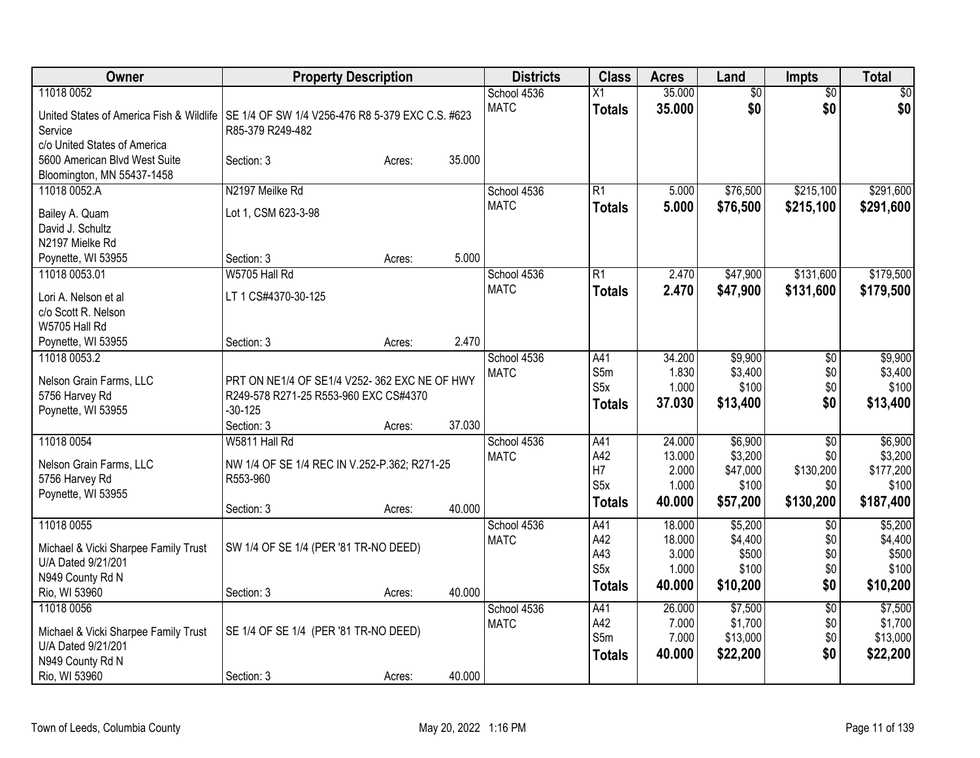| Owner                                                                                                                                                | <b>Property Description</b>                                                                                        |        |        | <b>Districts</b>           | <b>Class</b>                                    | <b>Acres</b>                                 | Land                                                | <b>Impts</b>                                            | <b>Total</b>                                          |
|------------------------------------------------------------------------------------------------------------------------------------------------------|--------------------------------------------------------------------------------------------------------------------|--------|--------|----------------------------|-------------------------------------------------|----------------------------------------------|-----------------------------------------------------|---------------------------------------------------------|-------------------------------------------------------|
| 11018 0052<br>United States of America Fish & Wildlife   SE 1/4 OF SW 1/4 V256-476 R8 5-379 EXC C.S. #623<br>Service<br>c/o United States of America | R85-379 R249-482                                                                                                   |        |        | School 4536<br><b>MATC</b> | Χ1<br><b>Totals</b>                             | 35.000<br>35.000                             | $\overline{50}$<br>\$0                              | $\overline{50}$<br>\$0                                  | $\overline{50}$<br>\$0                                |
| 5600 American Blvd West Suite<br>Bloomington, MN 55437-1458                                                                                          | Section: 3                                                                                                         | Acres: | 35.000 |                            |                                                 |                                              |                                                     |                                                         |                                                       |
| 11018 0052.A<br>Bailey A. Quam<br>David J. Schultz<br>N2197 Mielke Rd                                                                                | N2197 Meilke Rd<br>Lot 1, CSM 623-3-98                                                                             |        |        | School 4536<br><b>MATC</b> | R1<br><b>Totals</b>                             | 5.000<br>5.000                               | \$76,500<br>\$76,500                                | \$215,100<br>\$215,100                                  | \$291,600<br>\$291,600                                |
| Poynette, WI 53955                                                                                                                                   | Section: 3                                                                                                         | Acres: | 5.000  |                            |                                                 |                                              |                                                     |                                                         |                                                       |
| 11018 0053.01<br>Lori A. Nelson et al<br>c/o Scott R. Nelson                                                                                         | W5705 Hall Rd<br>LT 1 CS#4370-30-125                                                                               |        |        | School 4536<br><b>MATC</b> | R1<br><b>Totals</b>                             | 2.470<br>2.470                               | \$47,900<br>\$47,900                                | \$131,600<br>\$131,600                                  | \$179,500<br>\$179,500                                |
| W5705 Hall Rd<br>Poynette, WI 53955                                                                                                                  | Section: 3                                                                                                         | Acres: | 2.470  |                            |                                                 |                                              |                                                     |                                                         |                                                       |
| 11018 0053.2<br>Nelson Grain Farms, LLC<br>5756 Harvey Rd<br>Poynette, WI 53955                                                                      | PRT ON NE1/4 OF SE1/4 V252-362 EXC NE OF HWY<br>R249-578 R271-25 R553-960 EXC CS#4370<br>$-30 - 125$<br>Section: 3 | Acres: | 37.030 | School 4536<br><b>MATC</b> | A41<br>S5m<br>S <sub>5</sub> x<br><b>Totals</b> | 34.200<br>1.830<br>1.000<br>37.030           | \$9,900<br>\$3,400<br>\$100<br>\$13,400             | \$0<br>\$0<br>\$0<br>\$0                                | \$9,900<br>\$3,400<br>\$100<br>\$13,400               |
| 11018 0054<br>Nelson Grain Farms, LLC<br>5756 Harvey Rd<br>Poynette, WI 53955                                                                        | W5811 Hall Rd<br>NW 1/4 OF SE 1/4 REC IN V.252-P.362; R271-25<br>R553-960<br>Section: 3                            | Acres: | 40.000 | School 4536<br><b>MATC</b> | A41<br>A42<br>H7<br>S5x<br><b>Totals</b>        | 24.000<br>13.000<br>2.000<br>1.000<br>40.000 | \$6,900<br>\$3,200<br>\$47,000<br>\$100<br>\$57,200 | $\overline{30}$<br>\$0<br>\$130,200<br>\$0<br>\$130,200 | \$6,900<br>\$3,200<br>\$177,200<br>\$100<br>\$187,400 |
| 11018 0055<br>Michael & Vicki Sharpee Family Trust<br>U/A Dated 9/21/201<br>N949 County Rd N<br>Rio, WI 53960                                        | SW 1/4 OF SE 1/4 (PER '81 TR-NO DEED)<br>Section: 3                                                                | Acres: | 40.000 | School 4536<br><b>MATC</b> | A41<br>A42<br>A43<br>S5x<br><b>Totals</b>       | 18.000<br>18.000<br>3.000<br>1.000<br>40.000 | \$5,200<br>\$4,400<br>\$500<br>\$100<br>\$10,200    | $\overline{50}$<br>\$0<br>\$0<br>\$0<br>\$0             | \$5,200<br>\$4,400<br>\$500<br>\$100<br>\$10,200      |
| 11018 0056<br>Michael & Vicki Sharpee Family Trust<br>U/A Dated 9/21/201<br>N949 County Rd N<br>Rio, WI 53960                                        | SE 1/4 OF SE 1/4 (PER '81 TR-NO DEED)<br>Section: 3                                                                | Acres: | 40.000 | School 4536<br><b>MATC</b> | A41<br>A42<br>S5m<br><b>Totals</b>              | 26.000<br>7.000<br>7.000<br>40.000           | \$7,500<br>\$1,700<br>\$13,000<br>\$22,200          | $\overline{50}$<br>\$0<br>\$0<br>\$0                    | \$7,500<br>\$1,700<br>\$13,000<br>\$22,200            |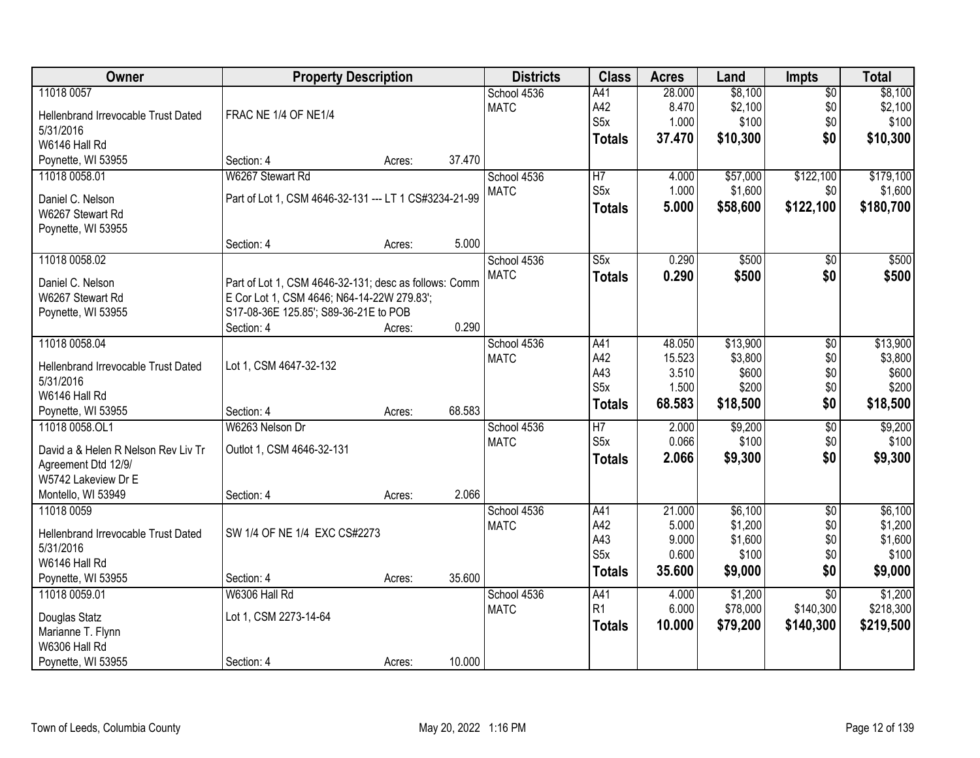| Owner                                | <b>Property Description</b>                           |        |        | <b>Districts</b> | <b>Class</b>     | <b>Acres</b>    | Land             | <b>Impts</b>    | <b>Total</b>     |
|--------------------------------------|-------------------------------------------------------|--------|--------|------------------|------------------|-----------------|------------------|-----------------|------------------|
| 11018 0057                           |                                                       |        |        | School 4536      | A41              | 28.000          | \$8,100          | $\overline{50}$ | \$8,100          |
| Hellenbrand Irrevocable Trust Dated  | FRAC NE 1/4 OF NE1/4                                  |        |        | <b>MATC</b>      | A42              | 8.470           | \$2,100          | \$0             | \$2,100          |
| 5/31/2016                            |                                                       |        |        |                  | S <sub>5</sub> x | 1.000           | \$100            | \$0             | \$100            |
| W6146 Hall Rd                        |                                                       |        |        |                  | <b>Totals</b>    | 37.470          | \$10,300         | \$0             | \$10,300         |
| Poynette, WI 53955                   | Section: 4                                            | Acres: | 37.470 |                  |                  |                 |                  |                 |                  |
| 11018 0058.01                        | W6267 Stewart Rd                                      |        |        | School 4536      | $\overline{H7}$  | 4.000           | \$57,000         | \$122,100       | \$179,100        |
|                                      | Part of Lot 1, CSM 4646-32-131 --- LT 1 CS#3234-21-99 |        |        | <b>MATC</b>      | S5x              | 1.000           | \$1,600          | \$0             | \$1,600          |
| Daniel C. Nelson<br>W6267 Stewart Rd |                                                       |        |        |                  | <b>Totals</b>    | 5.000           | \$58,600         | \$122,100       | \$180,700        |
| Poynette, WI 53955                   |                                                       |        |        |                  |                  |                 |                  |                 |                  |
|                                      | Section: 4                                            | Acres: | 5.000  |                  |                  |                 |                  |                 |                  |
| 11018 0058.02                        |                                                       |        |        | School 4536      | S5x              | 0.290           | \$500            | \$0             | \$500            |
|                                      |                                                       |        |        | <b>MATC</b>      | <b>Totals</b>    | 0.290           | \$500            | \$0             | \$500            |
| Daniel C. Nelson                     | Part of Lot 1, CSM 4646-32-131; desc as follows: Comm |        |        |                  |                  |                 |                  |                 |                  |
| W6267 Stewart Rd                     | E Cor Lot 1, CSM 4646; N64-14-22W 279.83';            |        |        |                  |                  |                 |                  |                 |                  |
| Poynette, WI 53955                   | S17-08-36E 125.85'; S89-36-21E to POB                 |        |        |                  |                  |                 |                  |                 |                  |
|                                      | Section: 4                                            | Acres: | 0.290  |                  |                  |                 |                  |                 |                  |
| 11018 0058.04                        |                                                       |        |        | School 4536      | A41<br>A42       | 48.050          | \$13,900         | \$0<br>\$0      | \$13,900         |
| Hellenbrand Irrevocable Trust Dated  | Lot 1, CSM 4647-32-132                                |        |        | <b>MATC</b>      | A43              | 15.523<br>3.510 | \$3,800<br>\$600 | \$0             | \$3,800<br>\$600 |
| 5/31/2016                            |                                                       |        |        |                  | S <sub>5</sub> x | 1.500           | \$200            | \$0             | \$200            |
| W6146 Hall Rd                        |                                                       |        |        |                  | <b>Totals</b>    | 68.583          | \$18,500         | \$0             | \$18,500         |
| Poynette, WI 53955                   | Section: 4                                            | Acres: | 68.583 |                  |                  |                 |                  |                 |                  |
| 11018 0058.OL1                       | W6263 Nelson Dr                                       |        |        | School 4536      | $\overline{H7}$  | 2.000           | \$9,200          | $\overline{50}$ | \$9,200          |
| David a & Helen R Nelson Rev Liv Tr  | Outlot 1, CSM 4646-32-131                             |        |        | <b>MATC</b>      | S5x              | 0.066           | \$100            | \$0             | \$100            |
| Agreement Dtd 12/9/                  |                                                       |        |        |                  | <b>Totals</b>    | 2.066           | \$9,300          | \$0             | \$9,300          |
| W5742 Lakeview Dr E                  |                                                       |        |        |                  |                  |                 |                  |                 |                  |
| Montello, WI 53949                   | Section: 4                                            | Acres: | 2.066  |                  |                  |                 |                  |                 |                  |
| 11018 0059                           |                                                       |        |        | School 4536      | A41              | 21.000          | \$6,100          | $\overline{50}$ | \$6,100          |
| Hellenbrand Irrevocable Trust Dated  | SW 1/4 OF NE 1/4 EXC CS#2273                          |        |        | <b>MATC</b>      | A42              | 5.000           | \$1,200          | \$0             | \$1,200          |
| 5/31/2016                            |                                                       |        |        |                  | A43              | 9.000           | \$1,600          | \$0             | \$1,600          |
| W6146 Hall Rd                        |                                                       |        |        |                  | S <sub>5x</sub>  | 0.600           | \$100            | \$0             | \$100            |
| Poynette, WI 53955                   | Section: 4                                            | Acres: | 35.600 |                  | <b>Totals</b>    | 35.600          | \$9,000          | \$0             | \$9,000          |
| 11018 0059.01                        | W6306 Hall Rd                                         |        |        | School 4536      | A41              | 4.000           | \$1,200          | $\overline{50}$ | \$1,200          |
|                                      |                                                       |        |        | <b>MATC</b>      | R1               | 6.000           | \$78,000         | \$140,300       | \$218,300        |
| Douglas Statz                        | Lot 1, CSM 2273-14-64                                 |        |        |                  | <b>Totals</b>    | 10.000          | \$79,200         | \$140,300       | \$219,500        |
| Marianne T. Flynn                    |                                                       |        |        |                  |                  |                 |                  |                 |                  |
| W6306 Hall Rd                        |                                                       |        | 10.000 |                  |                  |                 |                  |                 |                  |
| Poynette, WI 53955                   | Section: 4                                            | Acres: |        |                  |                  |                 |                  |                 |                  |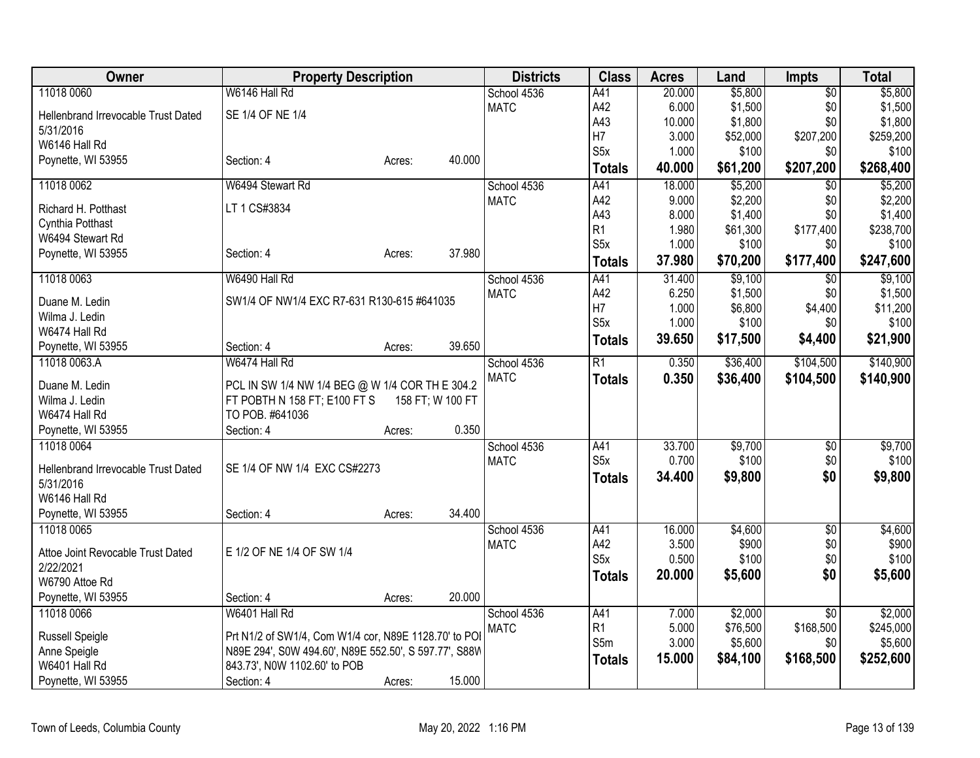| Owner                               | <b>Property Description</b>                           |        |                  | <b>Districts</b>           | <b>Class</b>            | <b>Acres</b> | Land             | <b>Impts</b>           | <b>Total</b>     |
|-------------------------------------|-------------------------------------------------------|--------|------------------|----------------------------|-------------------------|--------------|------------------|------------------------|------------------|
| 11018 0060                          | W6146 Hall Rd                                         |        |                  | School 4536                | A41                     | 20.000       | \$5,800          | $\overline{50}$        | \$5,800          |
| Hellenbrand Irrevocable Trust Dated | SE 1/4 OF NE 1/4                                      |        |                  | <b>MATC</b>                | A42                     | 6.000        | \$1,500          | \$0                    | \$1,500          |
| 5/31/2016                           |                                                       |        |                  |                            | A43                     | 10.000       | \$1,800          | \$0                    | \$1,800          |
| W6146 Hall Rd                       |                                                       |        |                  |                            | H7                      | 3.000        | \$52,000         | \$207,200              | \$259,200        |
| Poynette, WI 53955                  | Section: 4                                            | Acres: | 40.000           |                            | S <sub>5</sub> x        | 1.000        | \$100            | \$0                    | \$100            |
|                                     |                                                       |        |                  |                            | <b>Totals</b>           | 40.000       | \$61,200         | \$207,200              | \$268,400        |
| 11018 0062                          | W6494 Stewart Rd                                      |        |                  | School 4536                | A41                     | 18.000       | \$5,200          | $\overline{50}$        | \$5,200          |
| Richard H. Potthast                 | LT 1 CS#3834                                          |        |                  | <b>MATC</b>                | A42                     | 9.000        | \$2,200          | \$0                    | \$2,200          |
| Cynthia Potthast                    |                                                       |        |                  |                            | A43                     | 8.000        | \$1,400          | \$0                    | \$1,400          |
| W6494 Stewart Rd                    |                                                       |        |                  |                            | R <sub>1</sub>          | 1.980        | \$61,300         | \$177,400              | \$238,700        |
| Poynette, WI 53955                  | Section: 4                                            | Acres: | 37.980           |                            | S <sub>5</sub> x        | 1.000        | \$100            | \$0                    | \$100            |
|                                     |                                                       |        |                  |                            | <b>Totals</b>           | 37.980       | \$70,200         | \$177,400              | \$247,600        |
| 11018 0063                          | W6490 Hall Rd                                         |        |                  | School 4536                | A41                     | 31.400       | \$9,100          | $\overline{50}$        | \$9,100          |
| Duane M. Ledin                      | SW1/4 OF NW1/4 EXC R7-631 R130-615 #641035            |        |                  | <b>MATC</b>                | A42                     | 6.250        | \$1,500          | \$0                    | \$1,500          |
| Wilma J. Ledin                      |                                                       |        |                  |                            | H7                      | 1.000        | \$6,800          | \$4,400                | \$11,200         |
| W6474 Hall Rd                       |                                                       |        |                  |                            | S <sub>5</sub> x        | 1.000        | \$100            | \$0                    | \$100            |
| Poynette, WI 53955                  | Section: 4                                            | Acres: | 39.650           |                            | <b>Totals</b>           | 39.650       | \$17,500         | \$4,400                | \$21,900         |
| 11018 0063.A                        | W6474 Hall Rd                                         |        |                  | School 4536                | $\overline{R1}$         | 0.350        | \$36,400         | \$104,500              | \$140,900        |
|                                     |                                                       |        |                  | <b>MATC</b>                | <b>Totals</b>           | 0.350        | \$36,400         | \$104,500              | \$140,900        |
| Duane M. Ledin                      | PCL IN SW 1/4 NW 1/4 BEG @ W 1/4 COR TH E 304.2       |        |                  |                            |                         |              |                  |                        |                  |
| Wilma J. Ledin<br>W6474 Hall Rd     | FT POBTH N 158 FT; E100 FT S<br>TO POB. #641036       |        | 158 FT; W 100 FT |                            |                         |              |                  |                        |                  |
|                                     |                                                       |        | 0.350            |                            |                         |              |                  |                        |                  |
| Poynette, WI 53955<br>11018 0064    | Section: 4                                            | Acres: |                  |                            |                         | 33.700       |                  |                        |                  |
|                                     |                                                       |        |                  | School 4536<br><b>MATC</b> | A41<br>S <sub>5</sub> x | 0.700        | \$9,700<br>\$100 | $\overline{50}$<br>\$0 | \$9,700<br>\$100 |
| Hellenbrand Irrevocable Trust Dated | SE 1/4 OF NW 1/4 EXC CS#2273                          |        |                  |                            |                         |              |                  | \$0                    |                  |
| 5/31/2016                           |                                                       |        |                  |                            | <b>Totals</b>           | 34.400       | \$9,800          |                        | \$9,800          |
| W6146 Hall Rd                       |                                                       |        |                  |                            |                         |              |                  |                        |                  |
| Poynette, WI 53955                  | Section: 4                                            | Acres: | 34.400           |                            |                         |              |                  |                        |                  |
| 11018 0065                          |                                                       |        |                  | School 4536                | A41                     | 16.000       | \$4,600          | $\overline{50}$        | \$4,600          |
| Attoe Joint Revocable Trust Dated   | E 1/2 OF NE 1/4 OF SW 1/4                             |        |                  | <b>MATC</b>                | A42                     | 3.500        | \$900            | \$0                    | \$900            |
| 2/22/2021                           |                                                       |        |                  |                            | S <sub>5x</sub>         | 0.500        | \$100            | \$0                    | \$100            |
| W6790 Attoe Rd                      |                                                       |        |                  |                            | <b>Totals</b>           | 20.000       | \$5,600          | \$0                    | \$5,600          |
| Poynette, WI 53955                  | Section: 4                                            | Acres: | 20.000           |                            |                         |              |                  |                        |                  |
| 11018 0066                          | W6401 Hall Rd                                         |        |                  | School 4536                | A41                     | 7.000        | \$2,000          | $\overline{50}$        | \$2,000          |
|                                     |                                                       |        |                  | <b>MATC</b>                | R1                      | 5.000        | \$76,500         | \$168,500              | \$245,000        |
| Russell Speigle                     | Prt N1/2 of SW1/4, Com W1/4 cor, N89E 1128.70' to POI |        |                  |                            | S5m                     | 3.000        | \$5,600          | \$0                    | \$5,600          |
| Anne Speigle                        | N89E 294', S0W 494.60', N89E 552.50', S 597.77', S88W |        |                  |                            | <b>Totals</b>           | 15.000       | \$84,100         | \$168,500              | \$252,600        |
| W6401 Hall Rd                       | 843.73', N0W 1102.60' to POB                          |        |                  |                            |                         |              |                  |                        |                  |
| Poynette, WI 53955                  | Section: 4                                            | Acres: | 15.000           |                            |                         |              |                  |                        |                  |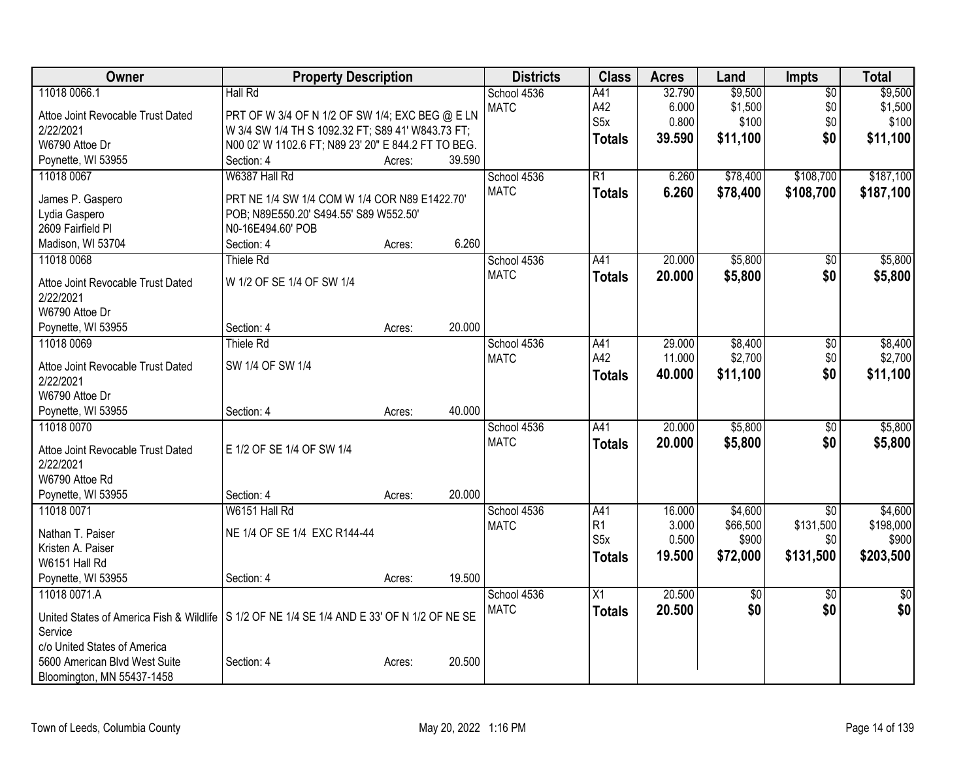| Owner                                                                                         | <b>Property Description</b>                         |        |        | <b>Districts</b> | <b>Class</b>     | <b>Acres</b> | Land            | <b>Impts</b>    | <b>Total</b>  |
|-----------------------------------------------------------------------------------------------|-----------------------------------------------------|--------|--------|------------------|------------------|--------------|-----------------|-----------------|---------------|
| 11018 0066.1                                                                                  | Hall Rd                                             |        |        | School 4536      | A41              | 32.790       | \$9,500         | $\overline{50}$ | \$9,500       |
| Attoe Joint Revocable Trust Dated                                                             | PRT OF W 3/4 OF N 1/2 OF SW 1/4; EXC BEG @ E LN     |        |        | <b>MATC</b>      | A42              | 6.000        | \$1,500         | \$0             | \$1,500       |
| 2/22/2021                                                                                     | W 3/4 SW 1/4 TH S 1092.32 FT; S89 41' W843.73 FT;   |        |        |                  | S <sub>5</sub> x | 0.800        | \$100           | \$0             | \$100         |
| W6790 Attoe Dr                                                                                | N00 02' W 1102.6 FT; N89 23' 20" E 844.2 FT TO BEG. |        |        |                  | <b>Totals</b>    | 39.590       | \$11,100        | \$0             | \$11,100      |
| Poynette, WI 53955                                                                            | Section: 4                                          | Acres: | 39.590 |                  |                  |              |                 |                 |               |
| 11018 0067                                                                                    | W6387 Hall Rd                                       |        |        | School 4536      | $\overline{R1}$  | 6.260        | \$78,400        | \$108,700       | \$187,100     |
|                                                                                               |                                                     |        |        | <b>MATC</b>      | <b>Totals</b>    | 6.260        | \$78,400        | \$108,700       | \$187,100     |
| James P. Gaspero                                                                              | PRT NE 1/4 SW 1/4 COM W 1/4 COR N89 E1422.70'       |        |        |                  |                  |              |                 |                 |               |
| Lydia Gaspero<br>2609 Fairfield Pl                                                            | POB; N89E550.20' S494.55' S89 W552.50'              |        |        |                  |                  |              |                 |                 |               |
|                                                                                               | N0-16E494.60' POB<br>Section: 4                     |        | 6.260  |                  |                  |              |                 |                 |               |
| Madison, WI 53704<br>11018 0068                                                               | Thiele Rd                                           | Acres: |        | School 4536      | A41              | 20.000       | \$5,800         |                 | \$5,800       |
|                                                                                               |                                                     |        |        | <b>MATC</b>      |                  |              |                 | \$0             |               |
| Attoe Joint Revocable Trust Dated                                                             | W 1/2 OF SE 1/4 OF SW 1/4                           |        |        |                  | <b>Totals</b>    | 20.000       | \$5,800         | \$0             | \$5,800       |
| 2/22/2021                                                                                     |                                                     |        |        |                  |                  |              |                 |                 |               |
| W6790 Attoe Dr                                                                                |                                                     |        |        |                  |                  |              |                 |                 |               |
| Poynette, WI 53955                                                                            | Section: 4                                          | Acres: | 20.000 |                  |                  |              |                 |                 |               |
| 11018 0069                                                                                    | Thiele Rd                                           |        |        | School 4536      | A41              | 29.000       | \$8,400         | \$0             | \$8,400       |
| Attoe Joint Revocable Trust Dated                                                             | SW 1/4 OF SW 1/4                                    |        |        | <b>MATC</b>      | A42              | 11.000       | \$2,700         | \$0             | \$2,700       |
| 2/22/2021                                                                                     |                                                     |        |        |                  | <b>Totals</b>    | 40.000       | \$11,100        | \$0             | \$11,100      |
| W6790 Attoe Dr                                                                                |                                                     |        |        |                  |                  |              |                 |                 |               |
| Poynette, WI 53955                                                                            | Section: 4                                          | Acres: | 40.000 |                  |                  |              |                 |                 |               |
| 11018 0070                                                                                    |                                                     |        |        | School 4536      | A41              | 20.000       | \$5,800         | $\overline{50}$ | \$5,800       |
|                                                                                               |                                                     |        |        | <b>MATC</b>      | <b>Totals</b>    | 20.000       | \$5,800         | \$0             | \$5,800       |
| Attoe Joint Revocable Trust Dated                                                             | E 1/2 OF SE 1/4 OF SW 1/4                           |        |        |                  |                  |              |                 |                 |               |
| 2/22/2021                                                                                     |                                                     |        |        |                  |                  |              |                 |                 |               |
| W6790 Attoe Rd                                                                                |                                                     |        |        |                  |                  |              |                 |                 |               |
| Poynette, WI 53955                                                                            | Section: 4                                          | Acres: | 20.000 |                  |                  |              |                 |                 |               |
| 11018 0071                                                                                    | W6151 Hall Rd                                       |        |        | School 4536      | A41              | 16.000       | \$4,600         | $\overline{50}$ | \$4,600       |
| Nathan T. Paiser                                                                              | NE 1/4 OF SE 1/4 EXC R144-44                        |        |        | <b>MATC</b>      | R <sub>1</sub>   | 3.000        | \$66,500        | \$131,500       | \$198,000     |
| Kristen A. Paiser                                                                             |                                                     |        |        |                  | S <sub>5</sub> x | 0.500        | \$900           | \$0             | \$900         |
| W6151 Hall Rd                                                                                 |                                                     |        |        |                  | <b>Totals</b>    | 19.500       | \$72,000        | \$131,500       | \$203,500     |
| Poynette, WI 53955                                                                            | Section: 4                                          | Acres: | 19.500 |                  |                  |              |                 |                 |               |
| 11018 0071.A                                                                                  |                                                     |        |        | School 4536      | $\overline{X1}$  | 20.500       | $\overline{50}$ | $\overline{50}$ | $\frac{1}{2}$ |
|                                                                                               |                                                     |        |        | <b>MATC</b>      | <b>Totals</b>    | 20.500       | \$0             | \$0             | \$0           |
| United States of America Fish & Wildlife   S 1/2 OF NE 1/4 SE 1/4 AND E 33' OF N 1/2 OF NE SE |                                                     |        |        |                  |                  |              |                 |                 |               |
| Service                                                                                       |                                                     |        |        |                  |                  |              |                 |                 |               |
| c/o United States of America                                                                  |                                                     |        |        |                  |                  |              |                 |                 |               |
| 5600 American Blvd West Suite                                                                 | Section: 4                                          | Acres: | 20.500 |                  |                  |              |                 |                 |               |
| Bloomington, MN 55437-1458                                                                    |                                                     |        |        |                  |                  |              |                 |                 |               |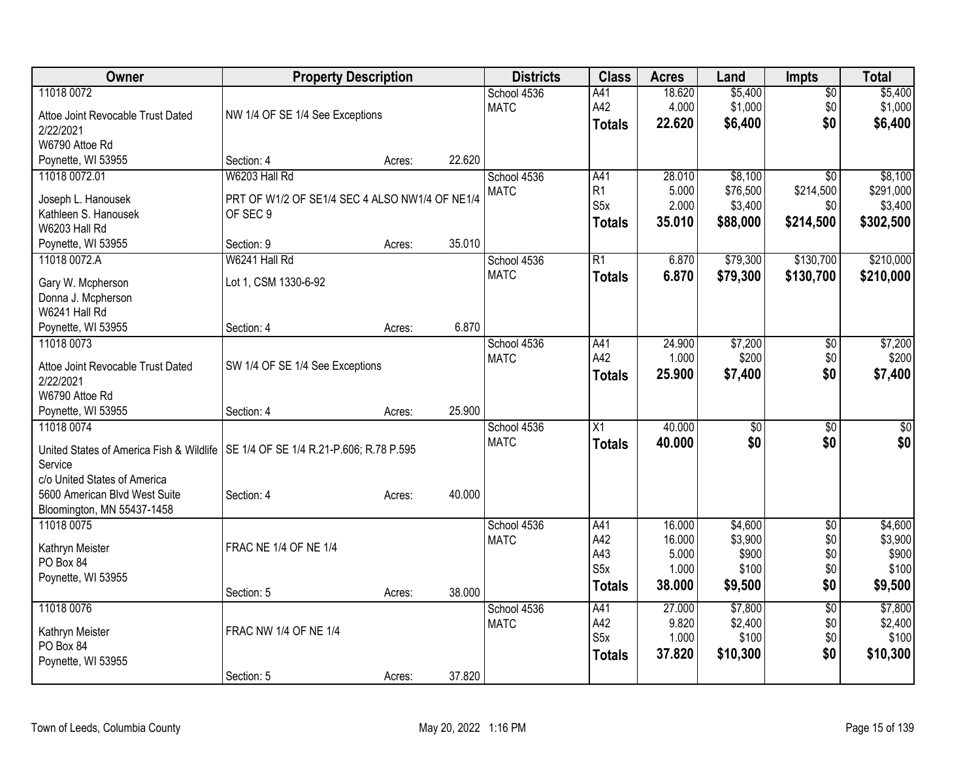| Owner                                                                              | <b>Property Description</b>                    |        |        | <b>Districts</b> | <b>Class</b>     | <b>Acres</b> | Land     | <b>Impts</b>    | <b>Total</b> |
|------------------------------------------------------------------------------------|------------------------------------------------|--------|--------|------------------|------------------|--------------|----------|-----------------|--------------|
| 11018 0072                                                                         |                                                |        |        | School 4536      | A41              | 18.620       | \$5,400  | $\overline{50}$ | \$5,400      |
| Attoe Joint Revocable Trust Dated                                                  | NW 1/4 OF SE 1/4 See Exceptions                |        |        | <b>MATC</b>      | A42              | 4.000        | \$1,000  | \$0             | \$1,000      |
| 2/22/2021                                                                          |                                                |        |        |                  | <b>Totals</b>    | 22.620       | \$6,400  | \$0             | \$6,400      |
| W6790 Attoe Rd                                                                     |                                                |        |        |                  |                  |              |          |                 |              |
| Poynette, WI 53955                                                                 | Section: 4                                     | Acres: | 22.620 |                  |                  |              |          |                 |              |
| 11018 0072.01                                                                      | W6203 Hall Rd                                  |        |        | School 4536      | A41              | 28.010       | \$8,100  | \$0             | \$8,100      |
|                                                                                    |                                                |        |        | <b>MATC</b>      | R1               | 5.000        | \$76,500 | \$214,500       | \$291,000    |
| Joseph L. Hanousek                                                                 | PRT OF W1/2 OF SE1/4 SEC 4 ALSO NW1/4 OF NE1/4 |        |        |                  | S <sub>5</sub> x | 2.000        | \$3,400  | \$0             | \$3,400      |
| Kathleen S. Hanousek<br>W6203 Hall Rd                                              | OF SEC 9                                       |        |        |                  | <b>Totals</b>    | 35.010       | \$88,000 | \$214,500       | \$302,500    |
| Poynette, WI 53955                                                                 | Section: 9                                     | Acres: | 35.010 |                  |                  |              |          |                 |              |
| 11018 0072.A                                                                       | W6241 Hall Rd                                  |        |        | School 4536      | R1               | 6.870        | \$79,300 | \$130,700       | \$210,000    |
|                                                                                    |                                                |        |        | <b>MATC</b>      | <b>Totals</b>    | 6.870        | \$79,300 | \$130,700       | \$210,000    |
| Gary W. Mcpherson                                                                  | Lot 1, CSM 1330-6-92                           |        |        |                  |                  |              |          |                 |              |
| Donna J. Mcpherson                                                                 |                                                |        |        |                  |                  |              |          |                 |              |
| W6241 Hall Rd                                                                      |                                                |        |        |                  |                  |              |          |                 |              |
| Poynette, WI 53955                                                                 | Section: 4                                     | Acres: | 6.870  |                  |                  |              |          |                 |              |
| 11018 0073                                                                         |                                                |        |        | School 4536      | A41              | 24.900       | \$7,200  | \$0             | \$7,200      |
| Attoe Joint Revocable Trust Dated                                                  | SW 1/4 OF SE 1/4 See Exceptions                |        |        | <b>MATC</b>      | A42              | 1.000        | \$200    | \$0             | \$200        |
| 2/22/2021                                                                          |                                                |        |        |                  | <b>Totals</b>    | 25.900       | \$7,400  | \$0             | \$7,400      |
| W6790 Attoe Rd                                                                     |                                                |        |        |                  |                  |              |          |                 |              |
| Poynette, WI 53955                                                                 | Section: 4                                     | Acres: | 25.900 |                  |                  |              |          |                 |              |
| 11018 0074                                                                         |                                                |        |        | School 4536      | X1               | 40.000       | \$0      | \$0             | \$0          |
|                                                                                    |                                                |        |        | <b>MATC</b>      | <b>Totals</b>    | 40.000       | \$0      | \$0             | \$0          |
| United States of America Fish & Wildlife   SE 1/4 OF SE 1/4 R.21-P.606; R.78 P.595 |                                                |        |        |                  |                  |              |          |                 |              |
| Service<br>c/o United States of America                                            |                                                |        |        |                  |                  |              |          |                 |              |
| 5600 American Blvd West Suite                                                      | Section: 4                                     |        | 40.000 |                  |                  |              |          |                 |              |
| Bloomington, MN 55437-1458                                                         |                                                | Acres: |        |                  |                  |              |          |                 |              |
| 11018 0075                                                                         |                                                |        |        | School 4536      | A41              | 16.000       | \$4,600  | $\sqrt{6}$      | \$4,600      |
|                                                                                    |                                                |        |        | <b>MATC</b>      | A42              | 16.000       | \$3,900  | \$0             | \$3,900      |
| Kathryn Meister                                                                    | FRAC NE 1/4 OF NE 1/4                          |        |        |                  | A43              | 5.000        | \$900    | \$0             | \$900        |
| PO Box 84                                                                          |                                                |        |        |                  | S <sub>5</sub> x | 1.000        | \$100    | \$0             | \$100        |
| Poynette, WI 53955                                                                 |                                                |        |        |                  | <b>Totals</b>    | 38.000       | \$9,500  | \$0             | \$9,500      |
|                                                                                    | Section: 5                                     | Acres: | 38.000 |                  |                  |              |          |                 |              |
| 11018 0076                                                                         |                                                |        |        | School 4536      | A41              | 27.000       | \$7,800  | $\overline{50}$ | \$7,800      |
| Kathryn Meister                                                                    | FRAC NW 1/4 OF NE 1/4                          |        |        | <b>MATC</b>      | A42              | 9.820        | \$2,400  | \$0             | \$2,400      |
| PO Box 84                                                                          |                                                |        |        |                  | S <sub>5</sub> x | 1.000        | \$100    | \$0             | \$100        |
| Poynette, WI 53955                                                                 |                                                |        |        |                  | <b>Totals</b>    | 37.820       | \$10,300 | \$0             | \$10,300     |
|                                                                                    | Section: 5                                     | Acres: | 37.820 |                  |                  |              |          |                 |              |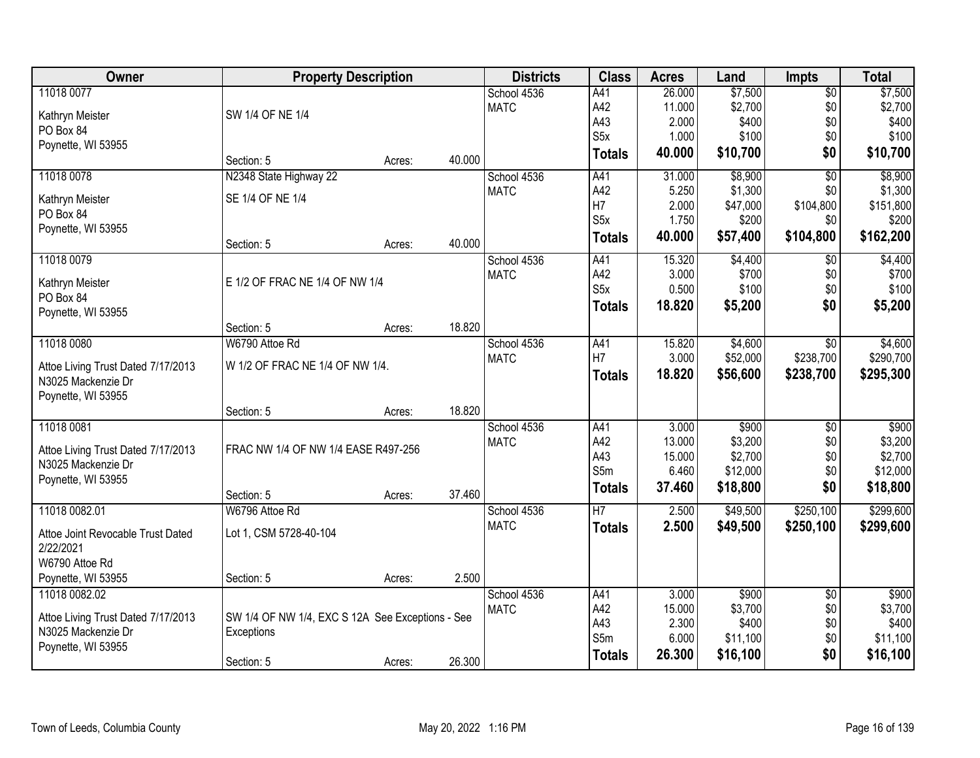| Owner                                                    | <b>Property Description</b>                      |        |        | <b>Districts</b> | <b>Class</b>     | <b>Acres</b> | Land     | <b>Impts</b>    | <b>Total</b> |
|----------------------------------------------------------|--------------------------------------------------|--------|--------|------------------|------------------|--------------|----------|-----------------|--------------|
| 11018 0077                                               |                                                  |        |        | School 4536      | A41              | 26.000       | \$7,500  | $\overline{50}$ | \$7,500      |
| Kathryn Meister                                          | SW 1/4 OF NE 1/4                                 |        |        | <b>MATC</b>      | A42              | 11.000       | \$2,700  | \$0             | \$2,700      |
| PO Box 84                                                |                                                  |        |        |                  | A43              | 2.000        | \$400    | \$0             | \$400        |
| Poynette, WI 53955                                       |                                                  |        |        |                  | S <sub>5</sub> x | 1.000        | \$100    | \$0             | \$100        |
|                                                          | Section: 5                                       | Acres: | 40.000 |                  | <b>Totals</b>    | 40.000       | \$10,700 | \$0             | \$10,700     |
| 11018 0078                                               | N2348 State Highway 22                           |        |        | School 4536      | A41              | 31.000       | \$8,900  | $\overline{50}$ | \$8,900      |
| Kathryn Meister                                          | SE 1/4 OF NE 1/4                                 |        |        | <b>MATC</b>      | A42              | 5.250        | \$1,300  | \$0             | \$1,300      |
| PO Box 84                                                |                                                  |        |        |                  | H7               | 2.000        | \$47,000 | \$104,800       | \$151,800    |
| Poynette, WI 53955                                       |                                                  |        |        |                  | S <sub>5</sub> x | 1.750        | \$200    | \$0             | \$200        |
|                                                          | Section: 5                                       | Acres: | 40.000 |                  | <b>Totals</b>    | 40.000       | \$57,400 | \$104,800       | \$162,200    |
| 11018 0079                                               |                                                  |        |        | School 4536      | A41              | 15.320       | \$4,400  | \$0             | \$4,400      |
| Kathryn Meister                                          | E 1/2 OF FRAC NE 1/4 OF NW 1/4                   |        |        | <b>MATC</b>      | A42              | 3.000        | \$700    | \$0             | \$700        |
| PO Box 84                                                |                                                  |        |        |                  | S5x              | 0.500        | \$100    | \$0             | \$100        |
| Poynette, WI 53955                                       |                                                  |        |        |                  | <b>Totals</b>    | 18.820       | \$5,200  | \$0             | \$5,200      |
|                                                          | Section: 5                                       | Acres: | 18.820 |                  |                  |              |          |                 |              |
| 11018 0080                                               | W6790 Attoe Rd                                   |        |        | School 4536      | A41              | 15.820       | \$4,600  | \$0             | \$4,600      |
|                                                          | W 1/2 OF FRAC NE 1/4 OF NW 1/4.                  |        |        | <b>MATC</b>      | H7               | 3.000        | \$52,000 | \$238,700       | \$290,700    |
| Attoe Living Trust Dated 7/17/2013<br>N3025 Mackenzie Dr |                                                  |        |        |                  | <b>Totals</b>    | 18.820       | \$56,600 | \$238,700       | \$295,300    |
| Poynette, WI 53955                                       |                                                  |        |        |                  |                  |              |          |                 |              |
|                                                          | Section: 5                                       | Acres: | 18.820 |                  |                  |              |          |                 |              |
| 11018 0081                                               |                                                  |        |        | School 4536      | A41              | 3.000        | \$900    | \$0             | \$900        |
| Attoe Living Trust Dated 7/17/2013                       | FRAC NW 1/4 OF NW 1/4 EASE R497-256              |        |        | <b>MATC</b>      | A42              | 13.000       | \$3,200  | \$0             | \$3,200      |
| N3025 Mackenzie Dr                                       |                                                  |        |        |                  | A43              | 15.000       | \$2,700  | \$0             | \$2,700      |
| Poynette, WI 53955                                       |                                                  |        |        |                  | S5m              | 6.460        | \$12,000 | \$0             | \$12,000     |
|                                                          | Section: 5                                       | Acres: | 37.460 |                  | <b>Totals</b>    | 37.460       | \$18,800 | \$0             | \$18,800     |
| 11018 0082.01                                            | W6796 Attoe Rd                                   |        |        | School 4536      | H7               | 2.500        | \$49,500 | \$250,100       | \$299,600    |
| Attoe Joint Revocable Trust Dated                        | Lot 1, CSM 5728-40-104                           |        |        | <b>MATC</b>      | <b>Totals</b>    | 2.500        | \$49,500 | \$250,100       | \$299,600    |
| 2/22/2021                                                |                                                  |        |        |                  |                  |              |          |                 |              |
| W6790 Attoe Rd                                           |                                                  |        |        |                  |                  |              |          |                 |              |
| Poynette, WI 53955                                       | Section: 5                                       | Acres: | 2.500  |                  |                  |              |          |                 |              |
| 11018 0082.02                                            |                                                  |        |        | School 4536      | A41              | 3.000        | \$900    | $\overline{50}$ | \$900        |
| Attoe Living Trust Dated 7/17/2013                       | SW 1/4 OF NW 1/4, EXC S 12A See Exceptions - See |        |        | <b>MATC</b>      | A42              | 15.000       | \$3,700  | \$0             | \$3,700      |
| N3025 Mackenzie Dr                                       | Exceptions                                       |        |        |                  | A43              | 2.300        | \$400    | \$0             | \$400        |
| Poynette, WI 53955                                       |                                                  |        |        |                  | S5m              | 6.000        | \$11,100 | \$0             | \$11,100     |
|                                                          | Section: 5                                       | Acres: | 26.300 |                  | <b>Totals</b>    | 26.300       | \$16,100 | \$0             | \$16,100     |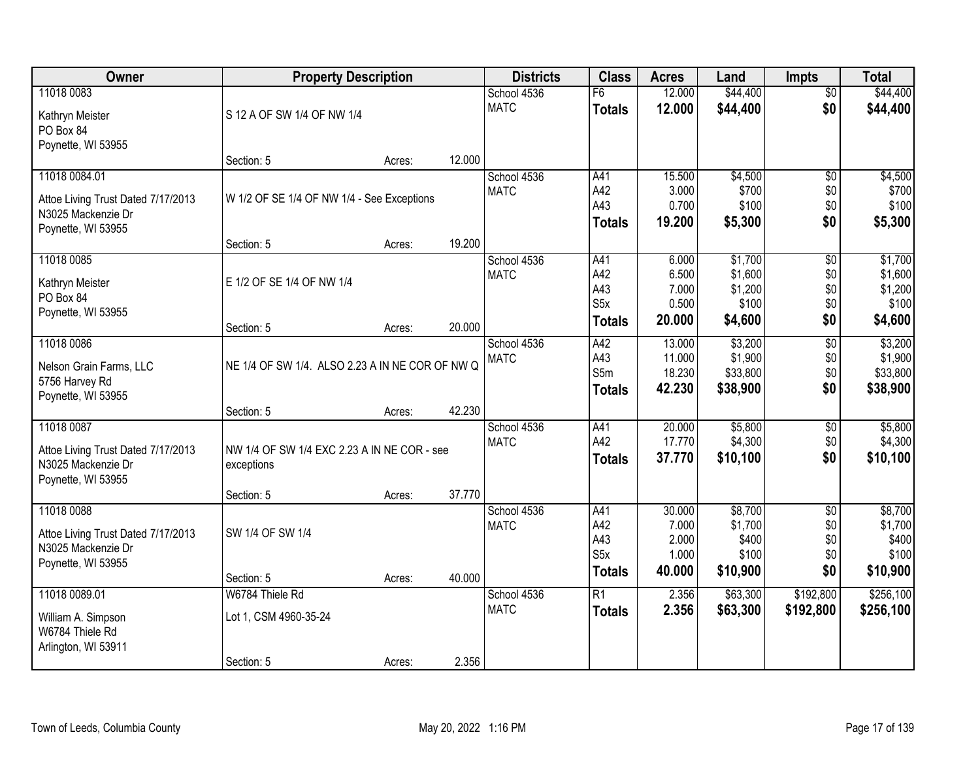| Owner                              | <b>Property Description</b>                     |        |        | <b>Districts</b> | <b>Class</b>     | <b>Acres</b>   | Land             | <b>Impts</b>    | <b>Total</b>     |
|------------------------------------|-------------------------------------------------|--------|--------|------------------|------------------|----------------|------------------|-----------------|------------------|
| 11018 0083                         |                                                 |        |        | School 4536      | F6               | 12.000         | \$44,400         | \$0             | \$44,400         |
| Kathryn Meister                    | S 12 A OF SW 1/4 OF NW 1/4                      |        |        | <b>MATC</b>      | <b>Totals</b>    | 12.000         | \$44,400         | \$0             | \$44,400         |
| PO Box 84                          |                                                 |        |        |                  |                  |                |                  |                 |                  |
| Poynette, WI 53955                 |                                                 |        |        |                  |                  |                |                  |                 |                  |
|                                    | Section: 5                                      | Acres: | 12.000 |                  |                  |                |                  |                 |                  |
| 11018 0084.01                      |                                                 |        |        | School 4536      | A41              | 15.500         | \$4,500          | $\overline{50}$ | \$4,500          |
| Attoe Living Trust Dated 7/17/2013 | W 1/2 OF SE 1/4 OF NW 1/4 - See Exceptions      |        |        | <b>MATC</b>      | A42              | 3.000          | \$700            | \$0             | \$700            |
| N3025 Mackenzie Dr                 |                                                 |        |        |                  | A43              | 0.700          | \$100            | \$0             | \$100            |
| Poynette, WI 53955                 |                                                 |        |        |                  | <b>Totals</b>    | 19.200         | \$5,300          | \$0             | \$5,300          |
|                                    | Section: 5                                      | Acres: | 19.200 |                  |                  |                |                  |                 |                  |
| 11018 0085                         |                                                 |        |        | School 4536      | A41              | 6.000          | \$1,700          | \$0             | \$1,700          |
| Kathryn Meister                    | E 1/2 OF SE 1/4 OF NW 1/4                       |        |        | <b>MATC</b>      | A42              | 6.500          | \$1,600          | \$0             | \$1,600          |
| PO Box 84                          |                                                 |        |        |                  | A43<br>S5x       | 7.000<br>0.500 | \$1,200<br>\$100 | \$0<br>\$0      | \$1,200<br>\$100 |
| Poynette, WI 53955                 |                                                 |        |        |                  | <b>Totals</b>    | 20.000         | \$4,600          | \$0             | \$4,600          |
|                                    | Section: 5                                      | Acres: | 20.000 |                  |                  |                |                  |                 |                  |
| 11018 0086                         |                                                 |        |        | School 4536      | A42              | 13.000         | \$3,200          | $\overline{50}$ | \$3,200          |
| Nelson Grain Farms, LLC            | NE 1/4 OF SW 1/4. ALSO 2.23 A IN NE COR OF NW Q |        |        | <b>MATC</b>      | A43              | 11.000         | \$1,900          | \$0             | \$1,900          |
| 5756 Harvey Rd                     |                                                 |        |        |                  | S5m              | 18.230         | \$33,800         | \$0             | \$33,800         |
| Poynette, WI 53955                 |                                                 |        |        |                  | <b>Totals</b>    | 42.230         | \$38,900         | \$0             | \$38,900         |
|                                    | Section: 5                                      | Acres: | 42.230 |                  |                  |                |                  |                 |                  |
| 11018 0087                         |                                                 |        |        | School 4536      | A41              | 20.000         | \$5,800          | $\overline{50}$ | \$5,800          |
| Attoe Living Trust Dated 7/17/2013 | NW 1/4 OF SW 1/4 EXC 2.23 A IN NE COR - see     |        |        | <b>MATC</b>      | A42              | 17.770         | \$4,300          | \$0             | \$4,300          |
| N3025 Mackenzie Dr                 | exceptions                                      |        |        |                  | <b>Totals</b>    | 37.770         | \$10,100         | \$0             | \$10,100         |
| Poynette, WI 53955                 |                                                 |        |        |                  |                  |                |                  |                 |                  |
|                                    | Section: 5                                      | Acres: | 37.770 |                  |                  |                |                  |                 |                  |
| 11018 0088                         |                                                 |        |        | School 4536      | A41              | 30.000         | \$8,700          | $\overline{50}$ | \$8,700          |
| Attoe Living Trust Dated 7/17/2013 | SW 1/4 OF SW 1/4                                |        |        | <b>MATC</b>      | A42<br>A43       | 7.000<br>2.000 | \$1,700<br>\$400 | \$0             | \$1,700<br>\$400 |
| N3025 Mackenzie Dr                 |                                                 |        |        |                  | S <sub>5</sub> x | 1.000          | \$100            | \$0<br>\$0      | \$100            |
| Poynette, WI 53955                 |                                                 |        |        |                  | <b>Totals</b>    | 40.000         | \$10,900         | \$0             | \$10,900         |
|                                    | Section: 5                                      | Acres: | 40.000 |                  |                  |                |                  |                 |                  |
| 11018 0089.01                      | W6784 Thiele Rd                                 |        |        | School 4536      | $\overline{R1}$  | 2.356          | \$63,300         | \$192,800       | \$256,100        |
| William A. Simpson                 | Lot 1, CSM 4960-35-24                           |        |        | <b>MATC</b>      | <b>Totals</b>    | 2.356          | \$63,300         | \$192,800       | \$256,100        |
| W6784 Thiele Rd                    |                                                 |        |        |                  |                  |                |                  |                 |                  |
| Arlington, WI 53911                |                                                 |        |        |                  |                  |                |                  |                 |                  |
|                                    | Section: 5                                      | Acres: | 2.356  |                  |                  |                |                  |                 |                  |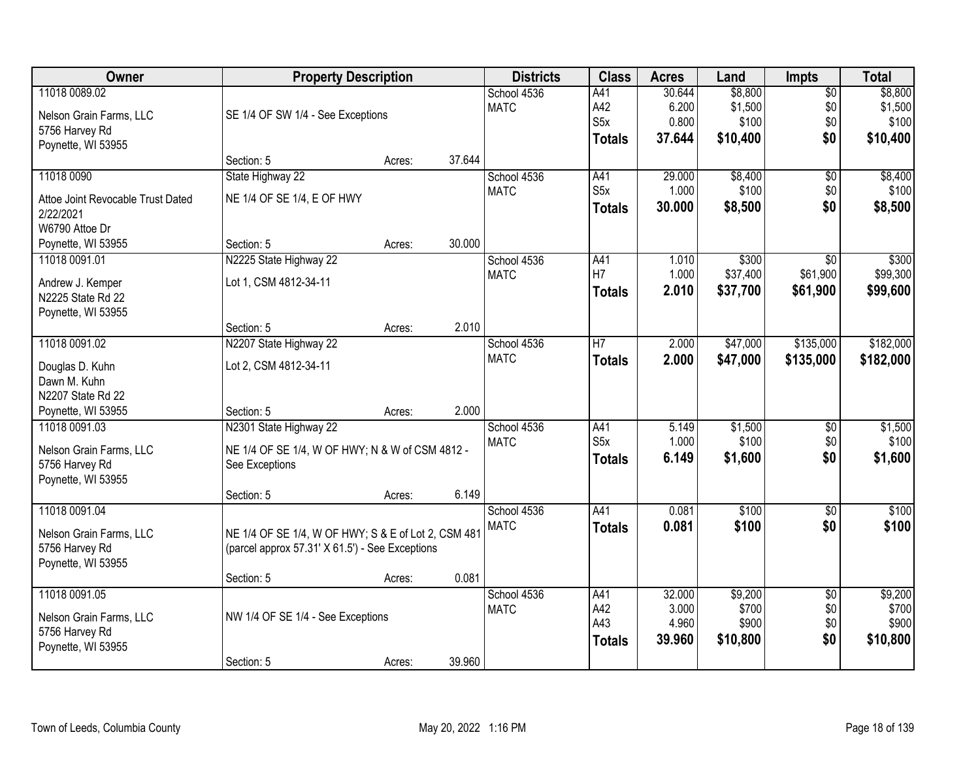| <b>Owner</b>                      | <b>Property Description</b>                         |        |        | <b>Districts</b>           | <b>Class</b>     | <b>Acres</b> | Land     | Impts           | <b>Total</b> |
|-----------------------------------|-----------------------------------------------------|--------|--------|----------------------------|------------------|--------------|----------|-----------------|--------------|
| 11018 0089.02                     |                                                     |        |        | School 4536                | A41              | 30.644       | \$8,800  | $\overline{50}$ | \$8,800      |
| Nelson Grain Farms, LLC           | SE 1/4 OF SW 1/4 - See Exceptions                   |        |        | <b>MATC</b>                | A42              | 6.200        | \$1,500  | \$0             | \$1,500      |
| 5756 Harvey Rd                    |                                                     |        |        |                            | S <sub>5</sub> x | 0.800        | \$100    | \$0             | \$100        |
| Poynette, WI 53955                |                                                     |        |        |                            | <b>Totals</b>    | 37.644       | \$10,400 | \$0             | \$10,400     |
|                                   | Section: 5                                          | Acres: | 37.644 |                            |                  |              |          |                 |              |
| 11018 0090                        | State Highway 22                                    |        |        | School 4536                | A41              | 29,000       | \$8,400  | $\overline{50}$ | \$8,400      |
| Attoe Joint Revocable Trust Dated | NE 1/4 OF SE 1/4, E OF HWY                          |        |        | <b>MATC</b>                | S5x              | 1.000        | \$100    | \$0             | \$100        |
| 2/22/2021                         |                                                     |        |        |                            | <b>Totals</b>    | 30.000       | \$8,500  | \$0             | \$8,500      |
| W6790 Attoe Dr                    |                                                     |        |        |                            |                  |              |          |                 |              |
| Poynette, WI 53955                | Section: 5                                          | Acres: | 30.000 |                            |                  |              |          |                 |              |
| 11018 0091.01                     | N2225 State Highway 22                              |        |        | School 4536                | A41              | 1.010        | \$300    | $\overline{50}$ | \$300        |
|                                   |                                                     |        |        | <b>MATC</b>                | H7               | 1.000        | \$37,400 | \$61,900        | \$99,300     |
| Andrew J. Kemper                  | Lot 1, CSM 4812-34-11                               |        |        |                            | <b>Totals</b>    | 2.010        | \$37,700 | \$61,900        | \$99,600     |
| N2225 State Rd 22                 |                                                     |        |        |                            |                  |              |          |                 |              |
| Poynette, WI 53955                |                                                     |        |        |                            |                  |              |          |                 |              |
| 11018 0091.02                     | Section: 5                                          | Acres: | 2.010  |                            | $\overline{H}$   |              |          |                 |              |
|                                   | N2207 State Highway 22                              |        |        | School 4536<br><b>MATC</b> |                  | 2.000        | \$47,000 | \$135,000       | \$182,000    |
| Douglas D. Kuhn                   | Lot 2, CSM 4812-34-11                               |        |        |                            | <b>Totals</b>    | 2.000        | \$47,000 | \$135,000       | \$182,000    |
| Dawn M. Kuhn                      |                                                     |        |        |                            |                  |              |          |                 |              |
| N2207 State Rd 22                 |                                                     |        |        |                            |                  |              |          |                 |              |
| Poynette, WI 53955                | Section: 5                                          | Acres: | 2.000  |                            |                  |              |          |                 |              |
| 11018 0091.03                     | N2301 State Highway 22                              |        |        | School 4536                | A41              | 5.149        | \$1,500  | $\overline{50}$ | \$1,500      |
| Nelson Grain Farms, LLC           | NE 1/4 OF SE 1/4, W OF HWY; N & W of CSM 4812 -     |        |        | <b>MATC</b>                | S5x              | 1.000        | \$100    | \$0             | \$100        |
| 5756 Harvey Rd                    | See Exceptions                                      |        |        |                            | <b>Totals</b>    | 6.149        | \$1,600  | \$0             | \$1,600      |
| Poynette, WI 53955                |                                                     |        |        |                            |                  |              |          |                 |              |
|                                   | Section: 5                                          | Acres: | 6.149  |                            |                  |              |          |                 |              |
| 11018 0091.04                     |                                                     |        |        | School 4536                | A41              | 0.081        | \$100    | $\overline{50}$ | \$100        |
| Nelson Grain Farms, LLC           | NE 1/4 OF SE 1/4, W OF HWY; S & E of Lot 2, CSM 481 |        |        | <b>MATC</b>                | <b>Totals</b>    | 0.081        | \$100    | \$0             | \$100        |
| 5756 Harvey Rd                    | (parcel approx 57.31' X 61.5') - See Exceptions     |        |        |                            |                  |              |          |                 |              |
| Poynette, WI 53955                |                                                     |        |        |                            |                  |              |          |                 |              |
|                                   | Section: 5                                          | Acres: | 0.081  |                            |                  |              |          |                 |              |
| 11018 0091.05                     |                                                     |        |        | School 4536                | A41              | 32.000       | \$9,200  | $\overline{50}$ | \$9,200      |
| Nelson Grain Farms, LLC           | NW 1/4 OF SE 1/4 - See Exceptions                   |        |        | <b>MATC</b>                | A42              | 3.000        | \$700    | \$0             | \$700        |
| 5756 Harvey Rd                    |                                                     |        |        |                            | A43              | 4.960        | \$900    | \$0             | \$900        |
| Poynette, WI 53955                |                                                     |        |        |                            | <b>Totals</b>    | 39.960       | \$10,800 | \$0             | \$10,800     |
|                                   | Section: 5                                          | Acres: | 39.960 |                            |                  |              |          |                 |              |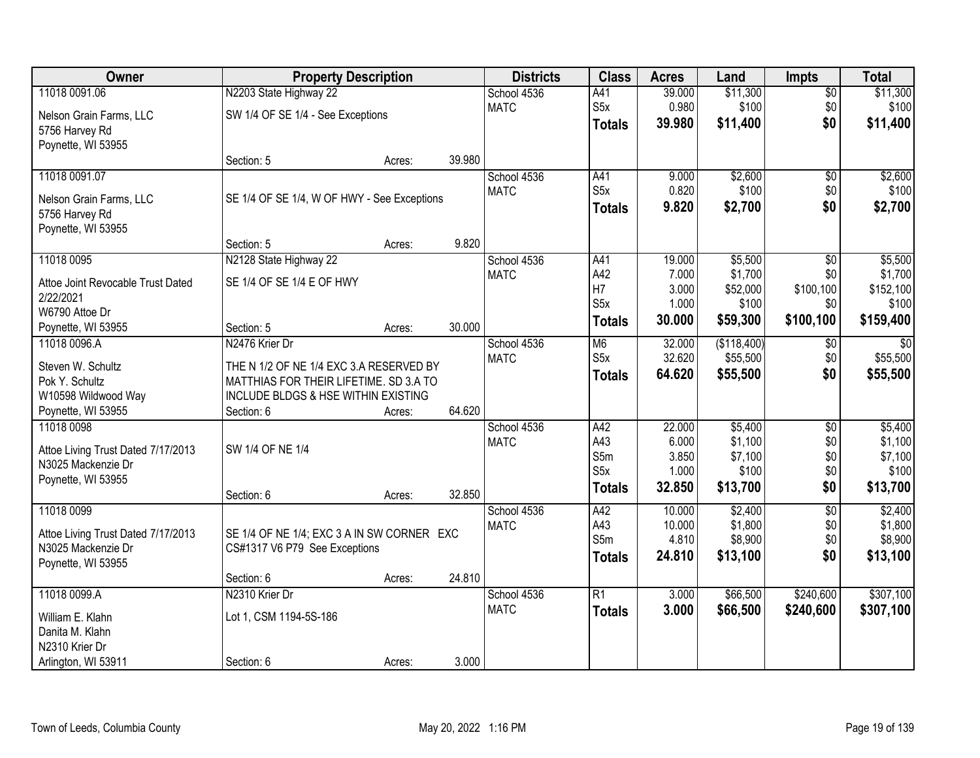| Owner                               | <b>Property Description</b>                                                       |        |        | <b>Districts</b> | <b>Class</b>     | <b>Acres</b> | Land        | <b>Impts</b>    | <b>Total</b>    |
|-------------------------------------|-----------------------------------------------------------------------------------|--------|--------|------------------|------------------|--------------|-------------|-----------------|-----------------|
| 11018 0091.06                       | N2203 State Highway 22                                                            |        |        | School 4536      | A41              | 39.000       | \$11,300    | $\overline{50}$ | \$11,300        |
| Nelson Grain Farms, LLC             | SW 1/4 OF SE 1/4 - See Exceptions                                                 |        |        | <b>MATC</b>      | S <sub>5</sub> x | 0.980        | \$100       | \$0             | \$100           |
| 5756 Harvey Rd                      |                                                                                   |        |        |                  | <b>Totals</b>    | 39.980       | \$11,400    | \$0             | \$11,400        |
| Poynette, WI 53955                  |                                                                                   |        |        |                  |                  |              |             |                 |                 |
|                                     | Section: 5                                                                        | Acres: | 39.980 |                  |                  |              |             |                 |                 |
| 11018 0091.07                       |                                                                                   |        |        | School 4536      | A41              | 9.000        | \$2,600     | $\overline{50}$ | \$2,600         |
| Nelson Grain Farms, LLC             | SE 1/4 OF SE 1/4, W OF HWY - See Exceptions                                       |        |        | <b>MATC</b>      | S5x              | 0.820        | \$100       | \$0             | \$100           |
| 5756 Harvey Rd                      |                                                                                   |        |        |                  | <b>Totals</b>    | 9.820        | \$2,700     | \$0             | \$2,700         |
| Poynette, WI 53955                  |                                                                                   |        |        |                  |                  |              |             |                 |                 |
|                                     | Section: 5                                                                        | Acres: | 9.820  |                  |                  |              |             |                 |                 |
| 11018 0095                          | N2128 State Highway 22                                                            |        |        | School 4536      | A41              | 19.000       | \$5,500     | \$0             | \$5,500         |
| Attoe Joint Revocable Trust Dated   | SE 1/4 OF SE 1/4 E OF HWY                                                         |        |        | <b>MATC</b>      | A42              | 7.000        | \$1,700     | \$0             | \$1,700         |
| 2/22/2021                           |                                                                                   |        |        |                  | H7               | 3.000        | \$52,000    | \$100,100       | \$152,100       |
| W6790 Attoe Dr                      |                                                                                   |        |        |                  | S5x              | 1.000        | \$100       | \$0             | \$100           |
| Poynette, WI 53955                  | Section: 5                                                                        | Acres: | 30.000 |                  | <b>Totals</b>    | 30.000       | \$59,300    | \$100,100       | \$159,400       |
| 11018 0096.A                        | N2476 Krier Dr                                                                    |        |        | School 4536      | M <sub>6</sub>   | 32.000       | (\$118,400) | $\sqrt[6]{3}$   | $\overline{50}$ |
|                                     |                                                                                   |        |        | <b>MATC</b>      | S <sub>5</sub> x | 32.620       | \$55,500    | \$0             | \$55,500        |
| Steven W. Schultz<br>Pok Y. Schultz | THE N 1/2 OF NE 1/4 EXC 3.A RESERVED BY<br>MATTHIAS FOR THEIR LIFETIME. SD 3.A TO |        |        |                  | <b>Totals</b>    | 64.620       | \$55,500    | \$0             | \$55,500        |
| W10598 Wildwood Way                 | <b>INCLUDE BLDGS &amp; HSE WITHIN EXISTING</b>                                    |        |        |                  |                  |              |             |                 |                 |
| Poynette, WI 53955                  | Section: 6                                                                        | Acres: | 64.620 |                  |                  |              |             |                 |                 |
| 11018 0098                          |                                                                                   |        |        | School 4536      | A42              | 22.000       | \$5,400     | $\overline{50}$ | \$5,400         |
|                                     |                                                                                   |        |        | <b>MATC</b>      | A43              | 6.000        | \$1,100     | \$0             | \$1,100         |
| Attoe Living Trust Dated 7/17/2013  | SW 1/4 OF NE 1/4                                                                  |        |        |                  | S5m              | 3.850        | \$7,100     | \$0             | \$7,100         |
| N3025 Mackenzie Dr                  |                                                                                   |        |        |                  | S <sub>5x</sub>  | 1.000        | \$100       | \$0             | \$100           |
| Poynette, WI 53955                  |                                                                                   |        |        |                  | <b>Totals</b>    | 32.850       | \$13,700    | \$0             | \$13,700        |
| 11018 0099                          | Section: 6                                                                        | Acres: | 32.850 | School 4536      | A42              | 10.000       | \$2,400     | $\overline{50}$ | \$2,400         |
|                                     |                                                                                   |        |        | <b>MATC</b>      | A43              | 10.000       | \$1,800     | \$0             | \$1,800         |
| Attoe Living Trust Dated 7/17/2013  | SE 1/4 OF NE 1/4; EXC 3 A IN SW CORNER EXC                                        |        |        |                  | S5m              | 4.810        | \$8,900     | \$0             | \$8,900         |
| N3025 Mackenzie Dr                  | CS#1317 V6 P79 See Exceptions                                                     |        |        |                  | <b>Totals</b>    | 24.810       | \$13,100    | \$0             | \$13,100        |
| Poynette, WI 53955                  |                                                                                   |        |        |                  |                  |              |             |                 |                 |
|                                     | Section: 6                                                                        | Acres: | 24.810 |                  |                  |              |             |                 |                 |
| 11018 0099.A                        | N2310 Krier Dr                                                                    |        |        | School 4536      | $\overline{R1}$  | 3.000        | \$66,500    | \$240,600       | \$307,100       |
| William E. Klahn                    | Lot 1, CSM 1194-5S-186                                                            |        |        | <b>MATC</b>      | <b>Totals</b>    | 3.000        | \$66,500    | \$240,600       | \$307,100       |
| Danita M. Klahn                     |                                                                                   |        |        |                  |                  |              |             |                 |                 |
| N2310 Krier Dr                      |                                                                                   |        |        |                  |                  |              |             |                 |                 |
| Arlington, WI 53911                 | Section: 6                                                                        | Acres: | 3.000  |                  |                  |              |             |                 |                 |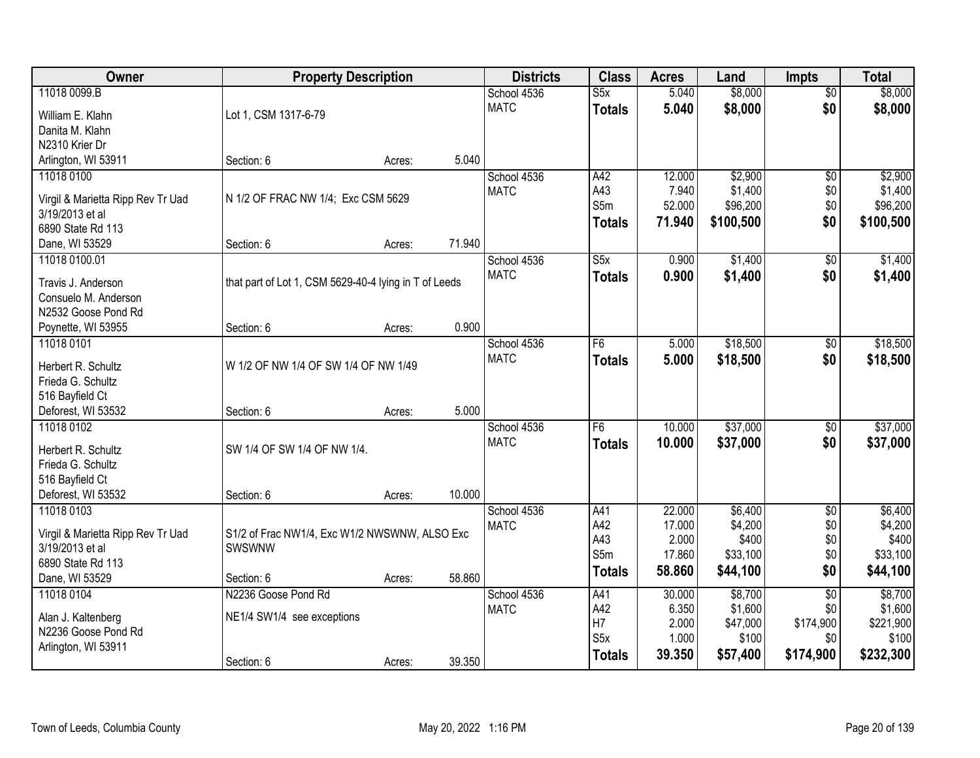| Owner                                |                                                       | <b>Property Description</b> |        | <b>Districts</b> | <b>Class</b>            | <b>Acres</b> | Land      | <b>Impts</b>    | <b>Total</b> |
|--------------------------------------|-------------------------------------------------------|-----------------------------|--------|------------------|-------------------------|--------------|-----------|-----------------|--------------|
| 11018 0099.B                         |                                                       |                             |        | School 4536      | $\overline{\text{S5x}}$ | 5.040        | \$8,000   | $\overline{50}$ | \$8,000      |
| William E. Klahn                     | Lot 1, CSM 1317-6-79                                  |                             |        | <b>MATC</b>      | <b>Totals</b>           | 5.040        | \$8,000   | \$0             | \$8,000      |
| Danita M. Klahn                      |                                                       |                             |        |                  |                         |              |           |                 |              |
| N2310 Krier Dr                       |                                                       |                             |        |                  |                         |              |           |                 |              |
| Arlington, WI 53911                  | Section: 6                                            | Acres:                      | 5.040  |                  |                         |              |           |                 |              |
| 11018 0100                           |                                                       |                             |        | School 4536      | A42                     | 12.000       | \$2,900   | $\overline{50}$ | \$2,900      |
|                                      |                                                       |                             |        | <b>MATC</b>      | A43                     | 7.940        | \$1,400   | \$0             | \$1,400      |
| Virgil & Marietta Ripp Rev Tr Uad    | N 1/2 OF FRAC NW 1/4; Exc CSM 5629                    |                             |        |                  | S5m                     | 52.000       | \$96,200  | \$0             | \$96,200     |
| 3/19/2013 et al.                     |                                                       |                             |        |                  | <b>Totals</b>           | 71.940       | \$100,500 | \$0             | \$100,500    |
| 6890 State Rd 113                    |                                                       |                             |        |                  |                         |              |           |                 |              |
| Dane, WI 53529                       | Section: 6                                            | Acres:                      | 71.940 |                  |                         |              |           |                 |              |
| 11018 0100.01                        |                                                       |                             |        | School 4536      | S5x                     | 0.900        | \$1,400   | \$0             | \$1,400      |
| Travis J. Anderson                   | that part of Lot 1, CSM 5629-40-4 lying in T of Leeds |                             |        | <b>MATC</b>      | <b>Totals</b>           | 0.900        | \$1,400   | \$0             | \$1,400      |
| Consuelo M. Anderson                 |                                                       |                             |        |                  |                         |              |           |                 |              |
| N2532 Goose Pond Rd                  |                                                       |                             |        |                  |                         |              |           |                 |              |
| Poynette, WI 53955                   | Section: 6                                            | Acres:                      | 0.900  |                  |                         |              |           |                 |              |
| 11018 0101                           |                                                       |                             |        | School 4536      | F6                      | 5.000        | \$18,500  | \$0             | \$18,500     |
|                                      |                                                       |                             |        | <b>MATC</b>      | <b>Totals</b>           | 5.000        | \$18,500  | \$0             | \$18,500     |
| Herbert R. Schultz                   | W 1/2 OF NW 1/4 OF SW 1/4 OF NW 1/49                  |                             |        |                  |                         |              |           |                 |              |
| Frieda G. Schultz<br>516 Bayfield Ct |                                                       |                             |        |                  |                         |              |           |                 |              |
| Deforest, WI 53532                   | Section: 6                                            | Acres:                      | 5.000  |                  |                         |              |           |                 |              |
| 11018 0102                           |                                                       |                             |        | School 4536      | F6                      | 10.000       | \$37,000  | $\overline{50}$ | \$37,000     |
|                                      |                                                       |                             |        | <b>MATC</b>      |                         | 10,000       |           |                 |              |
| Herbert R. Schultz                   | SW 1/4 OF SW 1/4 OF NW 1/4.                           |                             |        |                  | <b>Totals</b>           |              | \$37,000  | \$0             | \$37,000     |
| Frieda G. Schultz                    |                                                       |                             |        |                  |                         |              |           |                 |              |
| 516 Bayfield Ct                      |                                                       |                             |        |                  |                         |              |           |                 |              |
| Deforest, WI 53532                   | Section: 6                                            | Acres:                      | 10.000 |                  |                         |              |           |                 |              |
| 11018 0103                           |                                                       |                             |        | School 4536      | A41                     | 22.000       | \$6,400   | $\overline{50}$ | \$6,400      |
| Virgil & Marietta Ripp Rev Tr Uad    | S1/2 of Frac NW1/4, Exc W1/2 NWSWNW, ALSO Exc         |                             |        | <b>MATC</b>      | A42                     | 17.000       | \$4,200   | \$0             | \$4,200      |
| 3/19/2013 et al                      | SWSWNW                                                |                             |        |                  | A43                     | 2.000        | \$400     | \$0             | \$400        |
| 6890 State Rd 113                    |                                                       |                             |        |                  | S5m                     | 17.860       | \$33,100  | \$0             | \$33,100     |
| Dane, WI 53529                       | Section: 6                                            | Acres:                      | 58.860 |                  | <b>Totals</b>           | 58.860       | \$44,100  | \$0             | \$44,100     |
| 11018 0104                           | N2236 Goose Pond Rd                                   |                             |        | School 4536      | A41                     | 30.000       | \$8,700   | $\overline{30}$ | \$8,700      |
|                                      |                                                       |                             |        | <b>MATC</b>      | A42                     | 6.350        | \$1,600   | \$0             | \$1,600      |
| Alan J. Kaltenberg                   | NE1/4 SW1/4 see exceptions                            |                             |        |                  | H <sub>7</sub>          | 2.000        | \$47,000  | \$174,900       | \$221,900    |
| N2236 Goose Pond Rd                  |                                                       |                             |        |                  | S <sub>5</sub> x        | 1.000        | \$100     | \$0             | \$100        |
| Arlington, WI 53911                  |                                                       |                             |        |                  | <b>Totals</b>           | 39.350       | \$57,400  | \$174,900       | \$232,300    |
|                                      | Section: 6                                            | Acres:                      | 39.350 |                  |                         |              |           |                 |              |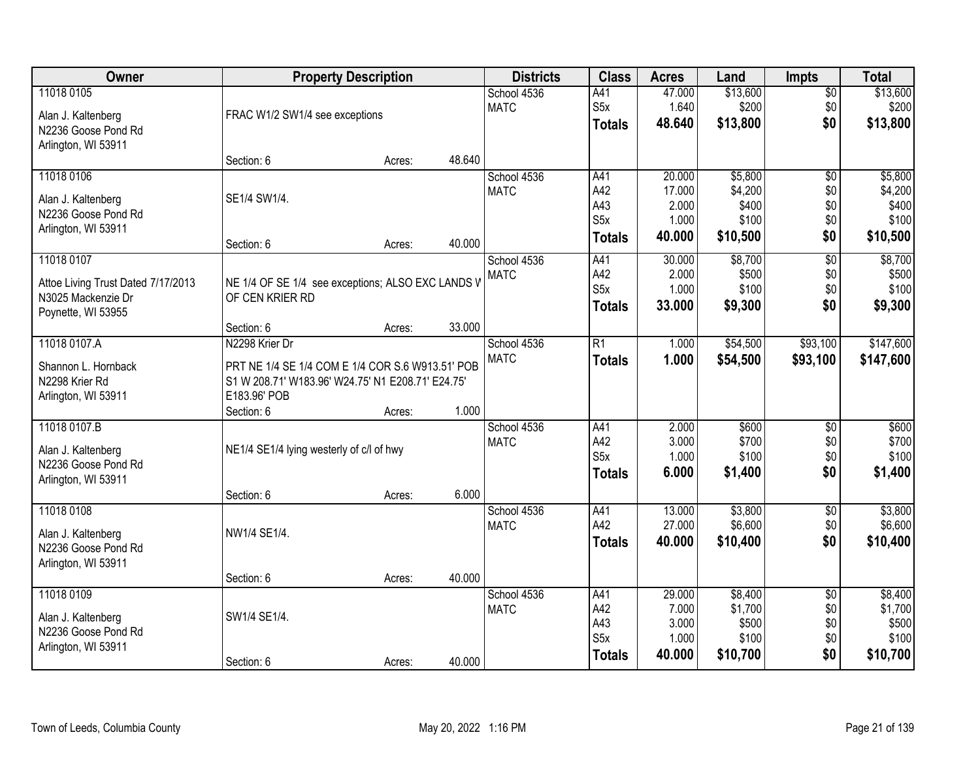| Owner                                     |                                                   | <b>Property Description</b> |        | <b>Districts</b> | <b>Class</b>     | <b>Acres</b> | Land     | <b>Impts</b>    | <b>Total</b> |
|-------------------------------------------|---------------------------------------------------|-----------------------------|--------|------------------|------------------|--------------|----------|-----------------|--------------|
| 11018 0105                                |                                                   |                             |        | School 4536      | A41              | 47.000       | \$13,600 | $\overline{50}$ | \$13,600     |
| Alan J. Kaltenberg                        | FRAC W1/2 SW1/4 see exceptions                    |                             |        | <b>MATC</b>      | S <sub>5</sub> x | 1.640        | \$200    | \$0             | \$200        |
| N2236 Goose Pond Rd                       |                                                   |                             |        |                  | <b>Totals</b>    | 48.640       | \$13,800 | \$0             | \$13,800     |
| Arlington, WI 53911                       |                                                   |                             |        |                  |                  |              |          |                 |              |
|                                           | Section: 6                                        | Acres:                      | 48.640 |                  |                  |              |          |                 |              |
| 11018 0106                                |                                                   |                             |        | School 4536      | A41              | 20.000       | \$5,800  | $\overline{50}$ | \$5,800      |
| Alan J. Kaltenberg                        | SE1/4 SW1/4.                                      |                             |        | <b>MATC</b>      | A42              | 17.000       | \$4,200  | \$0             | \$4,200      |
| N2236 Goose Pond Rd                       |                                                   |                             |        |                  | A43              | 2.000        | \$400    | \$0             | \$400        |
| Arlington, WI 53911                       |                                                   |                             |        |                  | S <sub>5</sub> x | 1.000        | \$100    | \$0             | \$100        |
|                                           | Section: 6                                        | Acres:                      | 40.000 |                  | <b>Totals</b>    | 40.000       | \$10,500 | \$0             | \$10,500     |
| 11018 0107                                |                                                   |                             |        | School 4536      | A41              | 30.000       | \$8,700  | \$0             | \$8,700      |
| Attoe Living Trust Dated 7/17/2013        | NE 1/4 OF SE 1/4 see exceptions; ALSO EXC LANDS V |                             |        | <b>MATC</b>      | A42              | 2.000        | \$500    | \$0             | \$500        |
| N3025 Mackenzie Dr                        | OF CEN KRIER RD                                   |                             |        |                  | S <sub>5</sub> x | 1.000        | \$100    | \$0             | \$100        |
| Poynette, WI 53955                        |                                                   |                             |        |                  | <b>Totals</b>    | 33.000       | \$9,300  | \$0             | \$9,300      |
|                                           | Section: 6                                        | Acres:                      | 33.000 |                  |                  |              |          |                 |              |
| 11018 0107.A                              | N2298 Krier Dr                                    |                             |        | School 4536      | R1               | 1.000        | \$54,500 | \$93,100        | \$147,600    |
| Shannon L. Hornback                       | PRT NE 1/4 SE 1/4 COM E 1/4 COR S.6 W913.51' POB  |                             |        | <b>MATC</b>      | <b>Totals</b>    | 1.000        | \$54,500 | \$93,100        | \$147,600    |
| N2298 Krier Rd                            | S1 W 208.71' W183.96' W24.75' N1 E208.71' E24.75' |                             |        |                  |                  |              |          |                 |              |
| Arlington, WI 53911                       | E183.96' POB                                      |                             |        |                  |                  |              |          |                 |              |
|                                           | Section: 6                                        | Acres:                      | 1.000  |                  |                  |              |          |                 |              |
| 11018 0107.B                              |                                                   |                             |        | School 4536      | A41              | 2.000        | \$600    | $\overline{50}$ | \$600        |
|                                           | NE1/4 SE1/4 lying westerly of c/l of hwy          |                             |        | <b>MATC</b>      | A42              | 3.000        | \$700    | \$0             | \$700        |
| Alan J. Kaltenberg<br>N2236 Goose Pond Rd |                                                   |                             |        |                  | S <sub>5</sub> x | 1.000        | \$100    | \$0             | \$100        |
| Arlington, WI 53911                       |                                                   |                             |        |                  | <b>Totals</b>    | 6.000        | \$1,400  | \$0             | \$1,400      |
|                                           | Section: 6                                        | Acres:                      | 6.000  |                  |                  |              |          |                 |              |
| 11018 0108                                |                                                   |                             |        | School 4536      | A41              | 13.000       | \$3,800  | $\overline{$0}$ | \$3,800      |
| Alan J. Kaltenberg                        | NW1/4 SE1/4.                                      |                             |        | <b>MATC</b>      | A42              | 27.000       | \$6,600  | \$0             | \$6,600      |
| N2236 Goose Pond Rd                       |                                                   |                             |        |                  | <b>Totals</b>    | 40.000       | \$10,400 | \$0             | \$10,400     |
| Arlington, WI 53911                       |                                                   |                             |        |                  |                  |              |          |                 |              |
|                                           | Section: 6                                        | Acres:                      | 40.000 |                  |                  |              |          |                 |              |
| 11018 0109                                |                                                   |                             |        | School 4536      | A41              | 29.000       | \$8,400  | $\overline{50}$ | \$8,400      |
| Alan J. Kaltenberg                        | SW1/4 SE1/4.                                      |                             |        | <b>MATC</b>      | A42              | 7.000        | \$1,700  | \$0             | \$1,700      |
| N2236 Goose Pond Rd                       |                                                   |                             |        |                  | A43              | 3.000        | \$500    | \$0             | \$500        |
| Arlington, WI 53911                       |                                                   |                             |        |                  | S <sub>5</sub> x | 1.000        | \$100    | \$0             | \$100        |
|                                           | Section: 6                                        | Acres:                      | 40.000 |                  | <b>Totals</b>    | 40.000       | \$10,700 | \$0             | \$10,700     |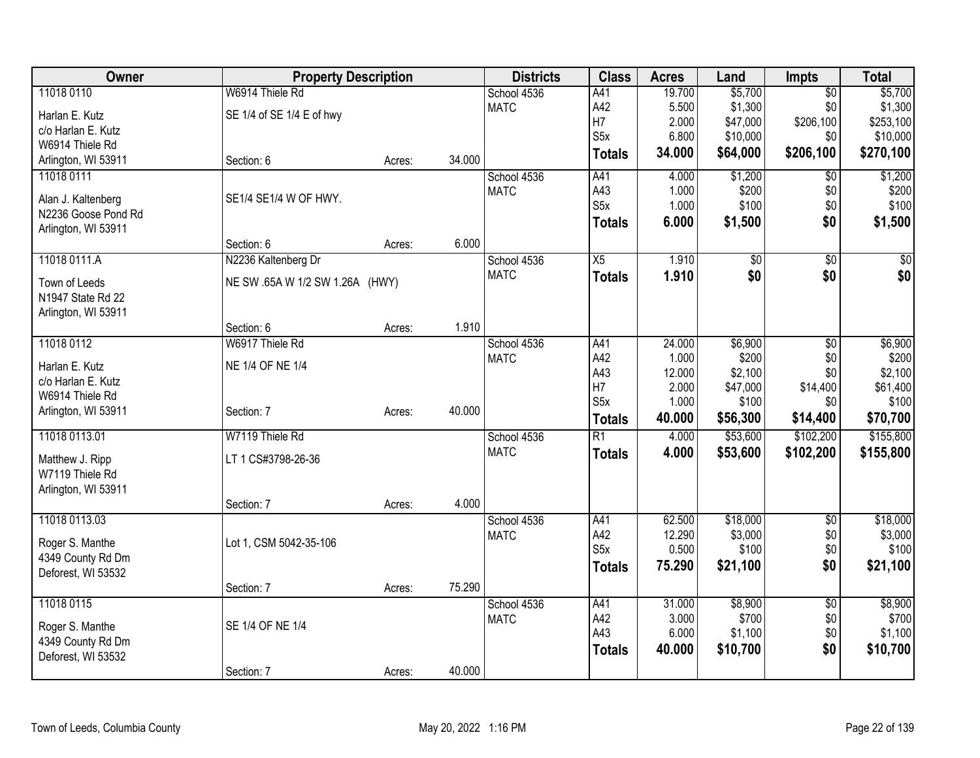| Owner                                     | <b>Property Description</b>     |        |        | <b>Districts</b> | <b>Class</b>     | <b>Acres</b> | Land            | <b>Impts</b>    | <b>Total</b> |
|-------------------------------------------|---------------------------------|--------|--------|------------------|------------------|--------------|-----------------|-----------------|--------------|
| 11018 0110                                | W6914 Thiele Rd                 |        |        | School 4536      | A41              | 19.700       | \$5,700         | $\overline{50}$ | \$5,700      |
| Harlan E. Kutz                            | SE 1/4 of SE 1/4 E of hwy       |        |        | <b>MATC</b>      | A42              | 5.500        | \$1,300         | \$0             | \$1,300      |
| c/o Harlan E. Kutz                        |                                 |        |        |                  | H7               | 2.000        | \$47,000        | \$206,100       | \$253,100    |
| W6914 Thiele Rd                           |                                 |        |        |                  | S <sub>5</sub> x | 6.800        | \$10,000        | \$0             | \$10,000     |
| Arlington, WI 53911                       | Section: 6                      | Acres: | 34.000 |                  | <b>Totals</b>    | 34.000       | \$64,000        | \$206,100       | \$270,100    |
| 11018 0111                                |                                 |        |        | School 4536      | A41              | 4.000        | \$1,200         | $\overline{50}$ | \$1,200      |
|                                           | SE1/4 SE1/4 W OF HWY.           |        |        | <b>MATC</b>      | A43              | 1.000        | \$200           | \$0             | \$200        |
| Alan J. Kaltenberg<br>N2236 Goose Pond Rd |                                 |        |        |                  | S5x              | 1.000        | \$100           | \$0             | \$100        |
| Arlington, WI 53911                       |                                 |        |        |                  | <b>Totals</b>    | 6.000        | \$1,500         | \$0             | \$1,500      |
|                                           | Section: 6                      | Acres: | 6.000  |                  |                  |              |                 |                 |              |
| 11018 0111.A                              | N2236 Kaltenberg Dr             |        |        | School 4536      | X5               | 1.910        | $\overline{60}$ | $\overline{50}$ | \$0          |
|                                           |                                 |        |        | <b>MATC</b>      | <b>Totals</b>    | 1.910        | \$0             | \$0             | \$0          |
| Town of Leeds                             | NE SW .65A W 1/2 SW 1.26A (HWY) |        |        |                  |                  |              |                 |                 |              |
| N1947 State Rd 22                         |                                 |        |        |                  |                  |              |                 |                 |              |
| Arlington, WI 53911                       |                                 |        |        |                  |                  |              |                 |                 |              |
|                                           | Section: 6                      | Acres: | 1.910  |                  |                  |              |                 |                 |              |
| 11018 0112                                | W6917 Thiele Rd                 |        |        | School 4536      | A41              | 24.000       | \$6,900         | \$0             | \$6,900      |
| Harlan E. Kutz                            | NE 1/4 OF NE 1/4                |        |        | <b>MATC</b>      | A42              | 1.000        | \$200           | \$0             | \$200        |
| c/o Harlan E. Kutz                        |                                 |        |        |                  | A43              | 12.000       | \$2,100         | \$0             | \$2,100      |
| W6914 Thiele Rd                           |                                 |        |        |                  | H7               | 2.000        | \$47,000        | \$14,400        | \$61,400     |
| Arlington, WI 53911                       | Section: 7                      | Acres: | 40.000 |                  | S5x              | 1.000        | \$100           | \$0             | \$100        |
|                                           |                                 |        |        |                  | <b>Totals</b>    | 40.000       | \$56,300        | \$14,400        | \$70,700     |
| 11018 0113.01                             | W7119 Thiele Rd                 |        |        | School 4536      | $\overline{R1}$  | 4.000        | \$53,600        | \$102,200       | \$155,800    |
| Matthew J. Ripp                           | LT 1 CS#3798-26-36              |        |        | <b>MATC</b>      | <b>Totals</b>    | 4.000        | \$53,600        | \$102,200       | \$155,800    |
| W7119 Thiele Rd                           |                                 |        |        |                  |                  |              |                 |                 |              |
| Arlington, WI 53911                       |                                 |        |        |                  |                  |              |                 |                 |              |
|                                           | Section: 7                      | Acres: | 4.000  |                  |                  |              |                 |                 |              |
| 11018 0113.03                             |                                 |        |        | School 4536      | A41              | 62.500       | \$18,000        | \$0             | \$18,000     |
| Roger S. Manthe                           | Lot 1, CSM 5042-35-106          |        |        | <b>MATC</b>      | A42              | 12.290       | \$3,000         | \$0             | \$3,000      |
| 4349 County Rd Dm                         |                                 |        |        |                  | S5x              | 0.500        | \$100           | \$0             | \$100        |
| Deforest, WI 53532                        |                                 |        |        |                  | <b>Totals</b>    | 75.290       | \$21,100        | \$0             | \$21,100     |
|                                           | Section: 7                      | Acres: | 75.290 |                  |                  |              |                 |                 |              |
| 11018 0115                                |                                 |        |        | School 4536      | A41              | 31.000       | \$8,900         | $\overline{50}$ | \$8,900      |
| Roger S. Manthe                           | SE 1/4 OF NE 1/4                |        |        | <b>MATC</b>      | A42              | 3.000        | \$700           | \$0             | \$700        |
| 4349 County Rd Dm                         |                                 |        |        |                  | A43              | 6.000        | \$1,100         | \$0             | \$1,100      |
| Deforest, WI 53532                        |                                 |        |        |                  | <b>Totals</b>    | 40.000       | \$10,700        | \$0             | \$10,700     |
|                                           | Section: 7                      | Acres: | 40.000 |                  |                  |              |                 |                 |              |
|                                           |                                 |        |        |                  |                  |              |                 |                 |              |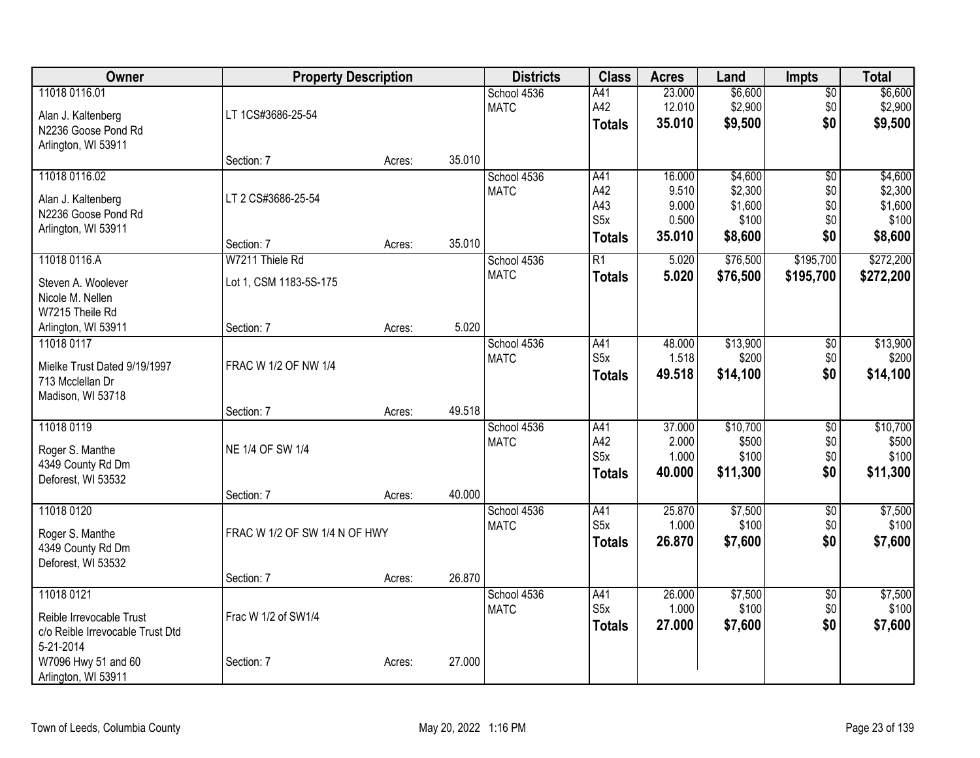| Owner                            | <b>Property Description</b>   |        |        | <b>Districts</b> | <b>Class</b>            | <b>Acres</b>    | Land             | <b>Impts</b>    | <b>Total</b>     |
|----------------------------------|-------------------------------|--------|--------|------------------|-------------------------|-----------------|------------------|-----------------|------------------|
| 11018 0116.01                    |                               |        |        | School 4536      | A41                     | 23.000          | \$6,600          | \$0             | \$6,600          |
| Alan J. Kaltenberg               | LT 1CS#3686-25-54             |        |        | <b>MATC</b>      | A42                     | 12.010          | \$2,900          | \$0             | \$2,900          |
| N2236 Goose Pond Rd              |                               |        |        |                  | <b>Totals</b>           | 35.010          | \$9,500          | \$0             | \$9,500          |
| Arlington, WI 53911              |                               |        |        |                  |                         |                 |                  |                 |                  |
|                                  | Section: 7                    | Acres: | 35.010 |                  |                         |                 |                  |                 |                  |
| 11018 0116.02                    |                               |        |        | School 4536      | A41                     | 16.000          | \$4,600          | $\overline{50}$ | \$4,600          |
| Alan J. Kaltenberg               | LT 2 CS#3686-25-54            |        |        | <b>MATC</b>      | A42                     | 9.510           | \$2,300          | \$0             | \$2,300          |
| N2236 Goose Pond Rd              |                               |        |        |                  | A43<br>S <sub>5</sub> x | 9.000<br>0.500  | \$1,600<br>\$100 | \$0<br>\$0      | \$1,600<br>\$100 |
| Arlington, WI 53911              |                               |        |        |                  |                         | 35.010          | \$8,600          | \$0             | \$8,600          |
|                                  | Section: 7                    | Acres: | 35.010 |                  | Totals                  |                 |                  |                 |                  |
| 11018 0116.A                     | W7211 Thiele Rd               |        |        | School 4536      | R1                      | 5.020           | \$76,500         | \$195,700       | \$272,200        |
| Steven A. Woolever               | Lot 1, CSM 1183-5S-175        |        |        | <b>MATC</b>      | <b>Totals</b>           | 5.020           | \$76,500         | \$195,700       | \$272,200        |
| Nicole M. Nellen                 |                               |        |        |                  |                         |                 |                  |                 |                  |
| W7215 Theile Rd                  |                               |        |        |                  |                         |                 |                  |                 |                  |
| Arlington, WI 53911              | Section: 7                    | Acres: | 5.020  |                  |                         |                 |                  |                 |                  |
| 11018 0117                       |                               |        |        | School 4536      | A41                     | 48.000          | \$13,900         | $\overline{50}$ | \$13,900         |
| Mielke Trust Dated 9/19/1997     | FRAC W 1/2 OF NW 1/4          |        |        | <b>MATC</b>      | S <sub>5x</sub>         | 1.518           | \$200            | \$0             | \$200            |
| 713 Mcclellan Dr                 |                               |        |        |                  | <b>Totals</b>           | 49.518          | \$14,100         | \$0             | \$14,100         |
| Madison, WI 53718                |                               |        |        |                  |                         |                 |                  |                 |                  |
|                                  | Section: 7                    | Acres: | 49.518 |                  |                         |                 |                  |                 |                  |
| 11018 0119                       |                               |        |        | School 4536      | A41                     | 37.000          | \$10,700         | $\overline{50}$ | \$10,700         |
| Roger S. Manthe                  | NE 1/4 OF SW 1/4              |        |        | <b>MATC</b>      | A42<br>S <sub>5</sub> x | 2.000           | \$500<br>\$100   | \$0             | \$500<br>\$100   |
| 4349 County Rd Dm                |                               |        |        |                  | <b>Totals</b>           | 1.000<br>40.000 | \$11,300         | \$0<br>\$0      | \$11,300         |
| Deforest, WI 53532               |                               |        |        |                  |                         |                 |                  |                 |                  |
|                                  | Section: 7                    | Acres: | 40.000 |                  |                         |                 |                  |                 |                  |
| 11018 0120                       |                               |        |        | School 4536      | A41                     | 25.870          | \$7,500          | $\overline{50}$ | \$7,500          |
| Roger S. Manthe                  | FRAC W 1/2 OF SW 1/4 N OF HWY |        |        | <b>MATC</b>      | S <sub>5x</sub>         | 1.000           | \$100            | \$0             | \$100            |
| 4349 County Rd Dm                |                               |        |        |                  | <b>Totals</b>           | 26.870          | \$7,600          | \$0             | \$7,600          |
| Deforest, WI 53532               |                               |        |        |                  |                         |                 |                  |                 |                  |
|                                  | Section: 7                    | Acres: | 26.870 |                  |                         |                 |                  |                 |                  |
| 11018 0121                       |                               |        |        | School 4536      | A41<br>S <sub>5x</sub>  | 26.000          | \$7,500          | $\overline{50}$ | \$7,500          |
| Reible Irrevocable Trust         | Frac W 1/2 of SW1/4           |        |        | <b>MATC</b>      |                         | 1.000           | \$100            | \$0             | \$100            |
| c/o Reible Irrevocable Trust Dtd |                               |        |        |                  | <b>Totals</b>           | 27.000          | \$7,600          | \$0             | \$7,600          |
| 5-21-2014                        |                               |        |        |                  |                         |                 |                  |                 |                  |
| W7096 Hwy 51 and 60              | Section: 7                    | Acres: | 27.000 |                  |                         |                 |                  |                 |                  |
| Arlington, WI 53911              |                               |        |        |                  |                         |                 |                  |                 |                  |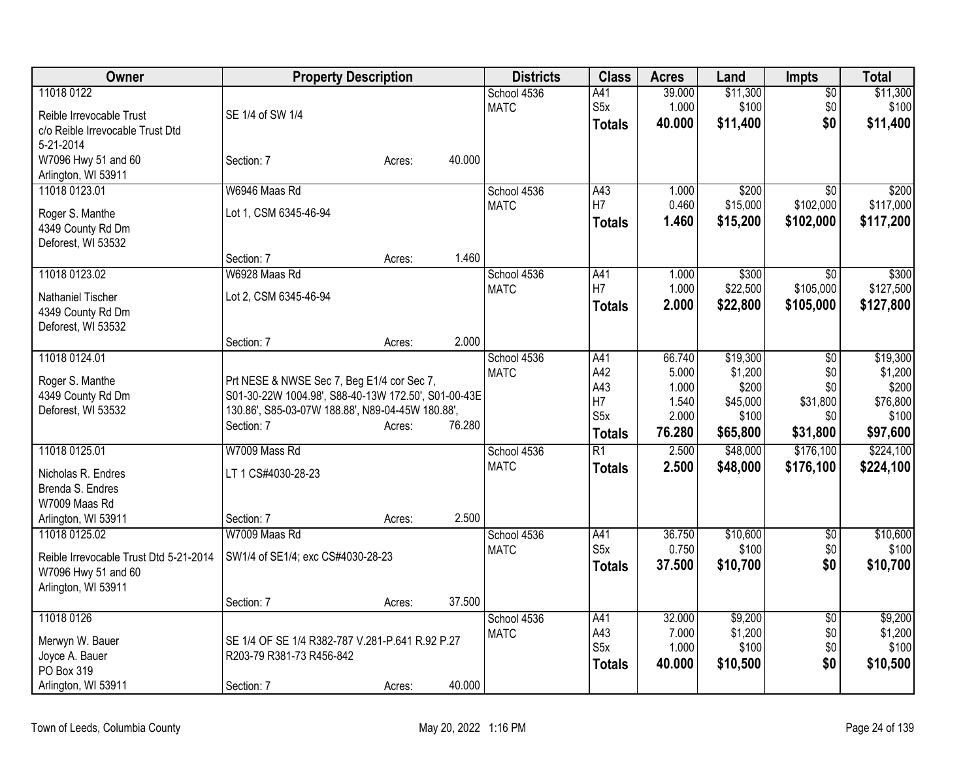| Owner                                  | <b>Property Description</b>                         |        |        | <b>Districts</b> | <b>Class</b>     | <b>Acres</b> | Land     | <b>Impts</b>    | <b>Total</b> |
|----------------------------------------|-----------------------------------------------------|--------|--------|------------------|------------------|--------------|----------|-----------------|--------------|
| 11018 0122                             |                                                     |        |        | School 4536      | A41              | 39.000       | \$11,300 | $\overline{50}$ | \$11,300     |
| Reible Irrevocable Trust               | SE 1/4 of SW 1/4                                    |        |        | <b>MATC</b>      | S <sub>5</sub> x | 1.000        | \$100    | \$0             | \$100        |
| c/o Reible Irrevocable Trust Dtd       |                                                     |        |        |                  | <b>Totals</b>    | 40.000       | \$11,400 | \$0             | \$11,400     |
| 5-21-2014                              |                                                     |        |        |                  |                  |              |          |                 |              |
| W7096 Hwy 51 and 60                    | Section: 7                                          | Acres: | 40.000 |                  |                  |              |          |                 |              |
| Arlington, WI 53911                    |                                                     |        |        |                  |                  |              |          |                 |              |
| 11018 0123.01                          | W6946 Maas Rd                                       |        |        | School 4536      | A43              | 1.000        | \$200    | $\overline{50}$ | \$200        |
| Roger S. Manthe                        | Lot 1, CSM 6345-46-94                               |        |        | <b>MATC</b>      | H7               | 0.460        | \$15,000 | \$102,000       | \$117,000    |
| 4349 County Rd Dm                      |                                                     |        |        |                  | <b>Totals</b>    | 1.460        | \$15,200 | \$102,000       | \$117,200    |
| Deforest, WI 53532                     |                                                     |        |        |                  |                  |              |          |                 |              |
|                                        | Section: 7                                          | Acres: | 1.460  |                  |                  |              |          |                 |              |
| 11018 0123.02                          | W6928 Maas Rd                                       |        |        | School 4536      | A41              | 1.000        | \$300    | $\overline{50}$ | \$300        |
| Nathaniel Tischer                      | Lot 2, CSM 6345-46-94                               |        |        | <b>MATC</b>      | H7               | 1.000        | \$22,500 | \$105,000       | \$127,500    |
| 4349 County Rd Dm                      |                                                     |        |        |                  | <b>Totals</b>    | 2.000        | \$22,800 | \$105,000       | \$127,800    |
| Deforest, WI 53532                     |                                                     |        |        |                  |                  |              |          |                 |              |
|                                        | Section: 7                                          | Acres: | 2.000  |                  |                  |              |          |                 |              |
| 11018 0124.01                          |                                                     |        |        | School 4536      | A41              | 66.740       | \$19,300 | $\overline{50}$ | \$19,300     |
| Roger S. Manthe                        | Prt NESE & NWSE Sec 7, Beg E1/4 cor Sec 7,          |        |        | <b>MATC</b>      | A42              | 5.000        | \$1,200  | \$0             | \$1,200      |
| 4349 County Rd Dm                      | S01-30-22W 1004.98', S88-40-13W 172.50', S01-00-43E |        |        |                  | A43              | 1.000        | \$200    | \$0             | \$200        |
| Deforest, WI 53532                     | 130.86', S85-03-07W 188.88', N89-04-45W 180.88',    |        |        |                  | H <sub>7</sub>   | 1.540        | \$45,000 | \$31,800        | \$76,800     |
|                                        | Section: 7                                          | Acres: | 76.280 |                  | S <sub>5</sub> x | 2.000        | \$100    | \$0             | \$100        |
|                                        |                                                     |        |        |                  | <b>Totals</b>    | 76.280       | \$65,800 | \$31,800        | \$97,600     |
| 11018 0125.01                          | W7009 Mass Rd                                       |        |        | School 4536      | R1               | 2.500        | \$48,000 | \$176,100       | \$224,100    |
| Nicholas R. Endres                     | LT 1 CS#4030-28-23                                  |        |        | <b>MATC</b>      | <b>Totals</b>    | 2.500        | \$48,000 | \$176,100       | \$224,100    |
| Brenda S. Endres                       |                                                     |        |        |                  |                  |              |          |                 |              |
| W7009 Maas Rd                          |                                                     |        |        |                  |                  |              |          |                 |              |
| Arlington, WI 53911                    | Section: 7                                          | Acres: | 2.500  |                  |                  |              |          |                 |              |
| 11018 0125.02                          | W7009 Maas Rd                                       |        |        | School 4536      | A41              | 36.750       | \$10,600 | $\overline{50}$ | \$10,600     |
| Reible Irrevocable Trust Dtd 5-21-2014 | SW1/4 of SE1/4; exc CS#4030-28-23                   |        |        | <b>MATC</b>      | S <sub>5x</sub>  | 0.750        | \$100    | \$0             | \$100        |
| W7096 Hwy 51 and 60                    |                                                     |        |        |                  | <b>Totals</b>    | 37.500       | \$10,700 | \$0             | \$10,700     |
| Arlington, WI 53911                    |                                                     |        |        |                  |                  |              |          |                 |              |
|                                        | Section: 7                                          | Acres: | 37.500 |                  |                  |              |          |                 |              |
| 11018 0126                             |                                                     |        |        | School 4536      | A41              | 32.000       | \$9,200  | $\overline{50}$ | \$9,200      |
| Merwyn W. Bauer                        | SE 1/4 OF SE 1/4 R382-787 V.281-P.641 R.92 P.27     |        |        | <b>MATC</b>      | A43              | 7.000        | \$1,200  | \$0             | \$1,200      |
| Joyce A. Bauer                         | R203-79 R381-73 R456-842                            |        |        |                  | S <sub>5</sub> x | 1.000        | \$100    | \$0             | \$100        |
| PO Box 319                             |                                                     |        |        |                  | <b>Totals</b>    | 40,000       | \$10,500 | \$0             | \$10,500     |
| Arlington, WI 53911                    | Section: 7                                          | Acres: | 40.000 |                  |                  |              |          |                 |              |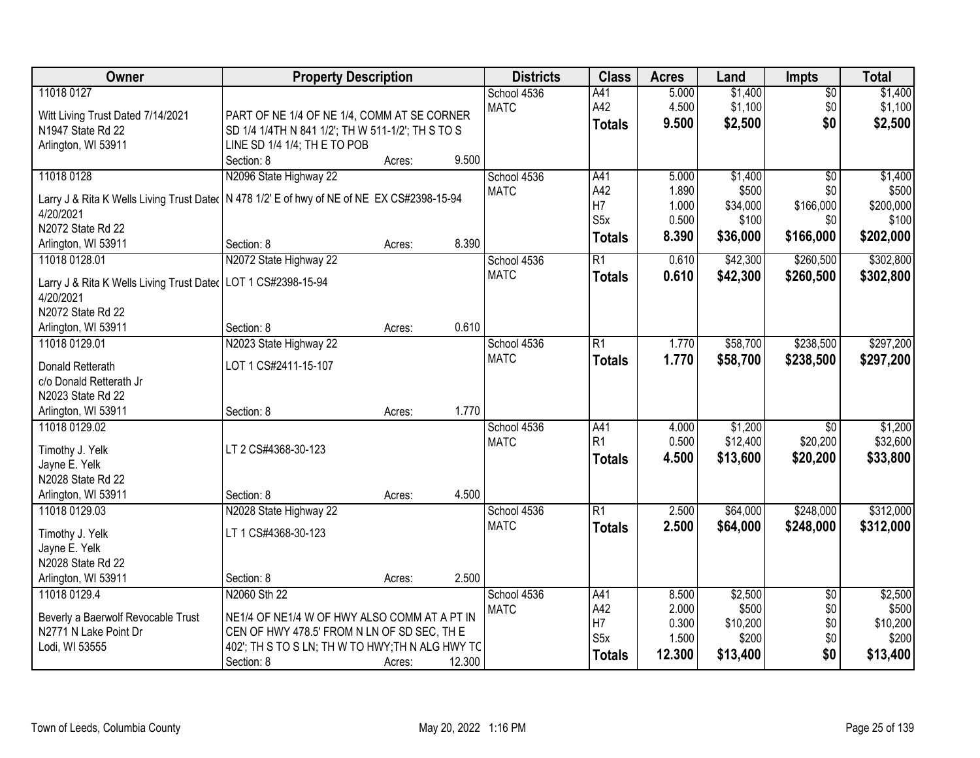| Owner                                                           | <b>Property Description</b>                       |        |        | <b>Districts</b>           | <b>Class</b>     | <b>Acres</b> | Land     | <b>Impts</b>    | <b>Total</b> |
|-----------------------------------------------------------------|---------------------------------------------------|--------|--------|----------------------------|------------------|--------------|----------|-----------------|--------------|
| 11018 0127                                                      |                                                   |        |        | School 4536                | A41              | 5.000        | \$1,400  | $\overline{50}$ | \$1,400      |
| Witt Living Trust Dated 7/14/2021                               | PART OF NE 1/4 OF NE 1/4, COMM AT SE CORNER       |        |        | <b>MATC</b>                | A42              | 4.500        | \$1,100  | \$0             | \$1,100      |
| N1947 State Rd 22                                               | SD 1/4 1/4TH N 841 1/2'; TH W 511-1/2'; TH S TO S |        |        |                            | <b>Totals</b>    | 9.500        | \$2,500  | \$0             | \$2,500      |
| Arlington, WI 53911                                             | LINE SD 1/4 1/4; TH E TO POB                      |        |        |                            |                  |              |          |                 |              |
|                                                                 | Section: 8                                        | Acres: | 9.500  |                            |                  |              |          |                 |              |
| 11018 0128                                                      | N2096 State Highway 22                            |        |        | School 4536                | A41              | 5.000        | \$1,400  | $\overline{50}$ | \$1,400      |
|                                                                 | N 478 1/2' E of hwy of NE of NE EX CS#2398-15-94  |        |        | <b>MATC</b>                | A42              | 1.890        | \$500    | \$0             | \$500        |
| Larry J & Rita K Wells Living Trust Dated<br>4/20/2021          |                                                   |        |        |                            | H7               | 1.000        | \$34,000 | \$166,000       | \$200,000    |
| N2072 State Rd 22                                               |                                                   |        |        |                            | S <sub>5</sub> x | 0.500        | \$100    | \$0             | \$100        |
| Arlington, WI 53911                                             | Section: 8                                        | Acres: | 8.390  |                            | <b>Totals</b>    | 8.390        | \$36,000 | \$166,000       | \$202,000    |
| 11018 0128.01                                                   | N2072 State Highway 22                            |        |        | School 4536                | $\overline{R1}$  | 0.610        | \$42,300 | \$260,500       | \$302,800    |
|                                                                 |                                                   |        |        | <b>MATC</b>                | <b>Totals</b>    | 0.610        | \$42,300 | \$260,500       | \$302,800    |
| Larry J & Rita K Wells Living Trust Dater   LOT 1 CS#2398-15-94 |                                                   |        |        |                            |                  |              |          |                 |              |
| 4/20/2021                                                       |                                                   |        |        |                            |                  |              |          |                 |              |
| N2072 State Rd 22                                               |                                                   |        | 0.610  |                            |                  |              |          |                 |              |
| Arlington, WI 53911                                             | Section: 8                                        | Acres: |        |                            |                  |              |          |                 |              |
| 11018 0129.01                                                   | N2023 State Highway 22                            |        |        | School 4536<br><b>MATC</b> | R1               | 1.770        | \$58,700 | \$238,500       | \$297,200    |
| Donald Retterath                                                | LOT 1 CS#2411-15-107                              |        |        |                            | <b>Totals</b>    | 1.770        | \$58,700 | \$238,500       | \$297,200    |
| c/o Donald Retterath Jr                                         |                                                   |        |        |                            |                  |              |          |                 |              |
| N2023 State Rd 22                                               |                                                   |        |        |                            |                  |              |          |                 |              |
| Arlington, WI 53911                                             | Section: 8                                        | Acres: | 1.770  |                            |                  |              |          |                 |              |
| 11018 0129.02                                                   |                                                   |        |        | School 4536                | A41              | 4.000        | \$1,200  | \$0             | \$1,200      |
| Timothy J. Yelk                                                 | LT 2 CS#4368-30-123                               |        |        | <b>MATC</b>                | R <sub>1</sub>   | 0.500        | \$12,400 | \$20,200        | \$32,600     |
| Jayne E. Yelk                                                   |                                                   |        |        |                            | <b>Totals</b>    | 4.500        | \$13,600 | \$20,200        | \$33,800     |
| N2028 State Rd 22                                               |                                                   |        |        |                            |                  |              |          |                 |              |
| Arlington, WI 53911                                             | Section: 8                                        | Acres: | 4.500  |                            |                  |              |          |                 |              |
| 11018 0129.03                                                   | N2028 State Highway 22                            |        |        | School 4536                | $\overline{R1}$  | 2.500        | \$64,000 | \$248,000       | \$312,000    |
| Timothy J. Yelk                                                 | LT 1 CS#4368-30-123                               |        |        | <b>MATC</b>                | <b>Totals</b>    | 2.500        | \$64,000 | \$248,000       | \$312,000    |
| Jayne E. Yelk                                                   |                                                   |        |        |                            |                  |              |          |                 |              |
| N2028 State Rd 22                                               |                                                   |        |        |                            |                  |              |          |                 |              |
| Arlington, WI 53911                                             | Section: 8                                        | Acres: | 2.500  |                            |                  |              |          |                 |              |
| 11018 0129.4                                                    | N2060 Sth 22                                      |        |        | School 4536                | A41              | 8.500        | \$2,500  | $\overline{50}$ | \$2,500      |
|                                                                 |                                                   |        |        | <b>MATC</b>                | A42              | 2.000        | \$500    | \$0             | \$500        |
| Beverly a Baerwolf Revocable Trust                              | NE1/4 OF NE1/4 W OF HWY ALSO COMM AT A PT IN      |        |        |                            | H7               | 0.300        | \$10,200 | \$0             | \$10,200     |
| N2771 N Lake Point Dr                                           | CEN OF HWY 478.5' FROM N LN OF SD SEC, TH E       |        |        |                            | S5x              | 1.500        | \$200    | \$0             | \$200        |
| Lodi, WI 53555                                                  | 402'; TH S TO S LN; TH W TO HWY; TH N ALG HWY TC  |        |        |                            | <b>Totals</b>    | 12.300       | \$13,400 | \$0             | \$13,400     |
|                                                                 | Section: 8                                        | Acres: | 12.300 |                            |                  |              |          |                 |              |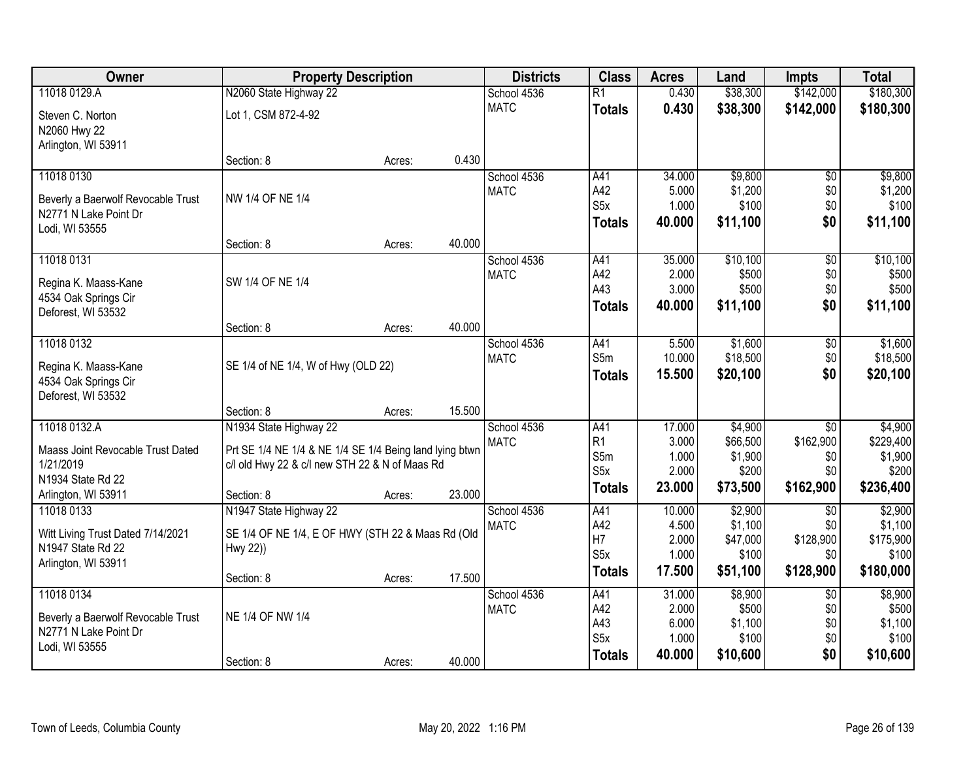| Owner                              | <b>Property Description</b>                             |        |        | <b>Districts</b> | <b>Class</b>            | <b>Acres</b>   | Land                | <b>Impts</b>     | <b>Total</b>         |
|------------------------------------|---------------------------------------------------------|--------|--------|------------------|-------------------------|----------------|---------------------|------------------|----------------------|
| 11018 0129.A                       | N2060 State Highway 22                                  |        |        | School 4536      | $\overline{R1}$         | 0.430          | \$38,300            | \$142,000        | \$180,300            |
| Steven C. Norton                   | Lot 1, CSM 872-4-92                                     |        |        | <b>MATC</b>      | <b>Totals</b>           | 0.430          | \$38,300            | \$142,000        | \$180,300            |
| N2060 Hwy 22                       |                                                         |        |        |                  |                         |                |                     |                  |                      |
| Arlington, WI 53911                |                                                         |        |        |                  |                         |                |                     |                  |                      |
|                                    | Section: 8                                              | Acres: | 0.430  |                  |                         |                |                     |                  |                      |
| 11018 0130                         |                                                         |        |        | School 4536      | A41                     | 34.000         | \$9,800             | \$0              | \$9,800              |
| Beverly a Baerwolf Revocable Trust | NW 1/4 OF NE 1/4                                        |        |        | <b>MATC</b>      | A42                     | 5.000          | \$1,200             | \$0              | \$1,200              |
| N2771 N Lake Point Dr              |                                                         |        |        |                  | S <sub>5</sub> x        | 1.000          | \$100               | \$0              | \$100                |
| Lodi, WI 53555                     |                                                         |        |        |                  | <b>Totals</b>           | 40.000         | \$11,100            | \$0              | \$11,100             |
|                                    | Section: 8                                              | Acres: | 40.000 |                  |                         |                |                     |                  |                      |
| 11018 0131                         |                                                         |        |        | School 4536      | A41                     | 35.000         | \$10,100            | $\overline{60}$  | \$10,100             |
| Regina K. Maass-Kane               | SW 1/4 OF NE 1/4                                        |        |        | <b>MATC</b>      | A42                     | 2.000          | \$500               | \$0              | \$500                |
| 4534 Oak Springs Cir               |                                                         |        |        |                  | A43                     | 3.000          | \$500               | \$0              | \$500                |
| Deforest, WI 53532                 |                                                         |        |        |                  | <b>Totals</b>           | 40.000         | \$11,100            | \$0              | \$11,100             |
|                                    | Section: 8                                              | Acres: | 40.000 |                  |                         |                |                     |                  |                      |
| 11018 0132                         |                                                         |        |        | School 4536      | A41                     | 5.500          | \$1,600             | \$0              | \$1,600              |
| Regina K. Maass-Kane               | SE 1/4 of NE 1/4, W of Hwy (OLD 22)                     |        |        | <b>MATC</b>      | S5m                     | 10.000         | \$18,500            | \$0              | \$18,500             |
| 4534 Oak Springs Cir               |                                                         |        |        |                  | <b>Totals</b>           | 15.500         | \$20,100            | \$0              | \$20,100             |
| Deforest, WI 53532                 |                                                         |        |        |                  |                         |                |                     |                  |                      |
|                                    | Section: 8                                              | Acres: | 15.500 |                  |                         |                |                     |                  |                      |
| 11018 0132.A                       | N1934 State Highway 22                                  |        |        | School 4536      | A41                     | 17.000         | \$4,900             | $\overline{30}$  | \$4,900              |
| Maass Joint Revocable Trust Dated  | Prt SE 1/4 NE 1/4 & NE 1/4 SE 1/4 Being land lying btwn |        |        | <b>MATC</b>      | R <sub>1</sub>          | 3.000          | \$66,500            | \$162,900        | \$229,400            |
| 1/21/2019                          | c/l old Hwy 22 & c/l new STH 22 & N of Maas Rd          |        |        |                  | S5m<br>S <sub>5</sub> x | 1.000<br>2.000 | \$1,900<br>\$200    | \$0<br>\$0       | \$1,900<br>\$200     |
| N1934 State Rd 22                  |                                                         |        |        |                  | <b>Totals</b>           | 23.000         | \$73,500            | \$162,900        | \$236,400            |
| Arlington, WI 53911                | Section: 8                                              | Acres: | 23.000 |                  |                         |                |                     |                  |                      |
| 11018 0133                         | N1947 State Highway 22                                  |        |        | School 4536      | A41                     | 10.000         | \$2,900             | \$0              | \$2,900              |
| Witt Living Trust Dated 7/14/2021  | SE 1/4 OF NE 1/4, E OF HWY (STH 22 & Maas Rd (Old       |        |        | <b>MATC</b>      | A42<br>H7               | 4.500<br>2.000 | \$1,100<br>\$47,000 | \$0<br>\$128,900 | \$1,100<br>\$175,900 |
| N1947 State Rd 22                  | Hwy 22))                                                |        |        |                  | S <sub>5x</sub>         | 1.000          | \$100               | \$0              | \$100                |
| Arlington, WI 53911                |                                                         |        |        |                  | <b>Totals</b>           | 17.500         | \$51,100            | \$128,900        | \$180,000            |
|                                    | Section: 8                                              | Acres: | 17.500 |                  |                         |                |                     |                  |                      |
| 11018 0134                         |                                                         |        |        | School 4536      | A41                     | 31.000         | \$8,900             | $\overline{50}$  | \$8,900              |
| Beverly a Baerwolf Revocable Trust | NE 1/4 OF NW 1/4                                        |        |        | <b>MATC</b>      | A42<br>A43              | 2.000<br>6.000 | \$500<br>\$1,100    | \$0<br>\$0       | \$500<br>\$1,100     |
| N2771 N Lake Point Dr              |                                                         |        |        |                  | S <sub>5</sub> x        | 1.000          | \$100               | \$0              | \$100                |
| Lodi, WI 53555                     |                                                         |        |        |                  | <b>Totals</b>           | 40.000         | \$10,600            | \$0              | \$10,600             |
|                                    | Section: 8                                              | Acres: | 40.000 |                  |                         |                |                     |                  |                      |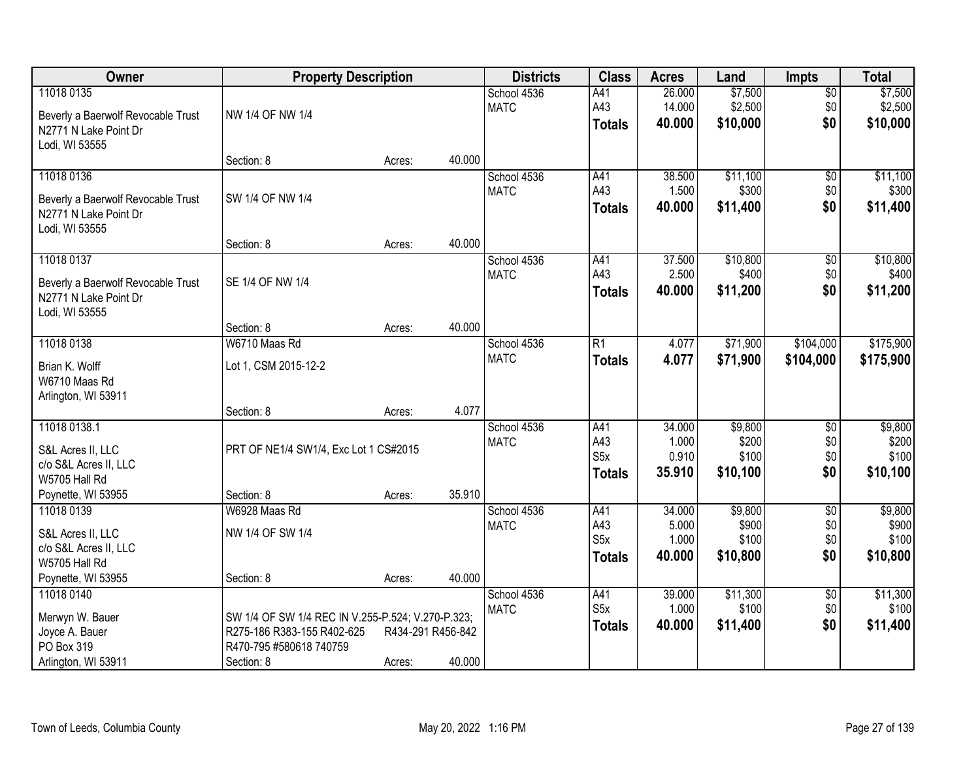| Owner                                            | <b>Property Description</b>                       |                   |        | <b>Districts</b>           | <b>Class</b>     | <b>Acres</b>     | Land               | <b>Impts</b>       | <b>Total</b>       |
|--------------------------------------------------|---------------------------------------------------|-------------------|--------|----------------------------|------------------|------------------|--------------------|--------------------|--------------------|
| 11018 0135<br>Beverly a Baerwolf Revocable Trust | NW 1/4 OF NW 1/4                                  |                   |        | School 4536<br><b>MATC</b> | A41<br>A43       | 26.000<br>14.000 | \$7,500<br>\$2,500 | $\sqrt{$0}$<br>\$0 | \$7,500<br>\$2,500 |
| N2771 N Lake Point Dr<br>Lodi, WI 53555          |                                                   |                   |        |                            | <b>Totals</b>    | 40.000           | \$10,000           | \$0                | \$10,000           |
|                                                  | Section: 8                                        | Acres:            | 40.000 |                            |                  |                  |                    |                    |                    |
| 11018 0136                                       |                                                   |                   |        | School 4536                | A41              | 38.500           | \$11,100           | $\overline{50}$    | \$11,100           |
| Beverly a Baerwolf Revocable Trust               | SW 1/4 OF NW 1/4                                  |                   |        | <b>MATC</b>                | A43              | 1.500            | \$300              | \$0                | \$300              |
| N2771 N Lake Point Dr                            |                                                   |                   |        |                            | <b>Totals</b>    | 40.000           | \$11,400           | \$0                | \$11,400           |
| Lodi, WI 53555                                   |                                                   |                   |        |                            |                  |                  |                    |                    |                    |
|                                                  | Section: 8                                        | Acres:            | 40.000 |                            |                  |                  |                    |                    |                    |
| 11018 0137                                       |                                                   |                   |        | School 4536                | A41              | 37.500           | \$10,800           | \$0                | \$10,800           |
| Beverly a Baerwolf Revocable Trust               | SE 1/4 OF NW 1/4                                  |                   |        | <b>MATC</b>                | A43              | 2.500            | \$400              | \$0                | \$400              |
| N2771 N Lake Point Dr                            |                                                   |                   |        |                            | <b>Totals</b>    | 40.000           | \$11,200           | \$0                | \$11,200           |
| Lodi, WI 53555                                   |                                                   |                   |        |                            |                  |                  |                    |                    |                    |
|                                                  | Section: 8                                        | Acres:            | 40.000 |                            |                  |                  |                    |                    |                    |
| 11018 0138                                       | W6710 Maas Rd                                     |                   |        | School 4536                | R1               | 4.077            | \$71,900           | \$104,000          | \$175,900          |
| Brian K. Wolff                                   | Lot 1, CSM 2015-12-2                              |                   |        | <b>MATC</b>                | <b>Totals</b>    | 4.077            | \$71,900           | \$104,000          | \$175,900          |
| W6710 Maas Rd                                    |                                                   |                   |        |                            |                  |                  |                    |                    |                    |
| Arlington, WI 53911                              |                                                   |                   |        |                            |                  |                  |                    |                    |                    |
|                                                  | Section: 8                                        | Acres:            | 4.077  |                            |                  |                  |                    |                    |                    |
| 11018 0138.1                                     |                                                   |                   |        | School 4536                | A41              | 34.000           | \$9,800            | \$0                | \$9,800            |
| S&L Acres II, LLC                                | PRT OF NE1/4 SW1/4, Exc Lot 1 CS#2015             |                   |        | <b>MATC</b>                | A43              | 1.000            | \$200              | \$0                | \$200              |
| c/o S&L Acres II, LLC                            |                                                   |                   |        |                            | S <sub>5</sub> x | 0.910            | \$100              | \$0                | \$100              |
| W5705 Hall Rd                                    |                                                   |                   |        |                            | <b>Totals</b>    | 35.910           | \$10,100           | \$0                | \$10,100           |
| Poynette, WI 53955                               | Section: 8                                        | Acres:            | 35.910 |                            |                  |                  |                    |                    |                    |
| 11018 0139                                       | W6928 Maas Rd                                     |                   |        | School 4536                | A41              | 34.000           | \$9,800            | $\sqrt{6}$         | \$9,800            |
| S&L Acres II, LLC                                | NW 1/4 OF SW 1/4                                  |                   |        | <b>MATC</b>                | A43              | 5.000            | \$900              | \$0                | \$900              |
| c/o S&L Acres II, LLC                            |                                                   |                   |        |                            | S5x              | 1.000            | \$100              | \$0                | \$100              |
| W5705 Hall Rd                                    |                                                   |                   |        |                            | <b>Totals</b>    | 40.000           | \$10,800           | \$0                | \$10,800           |
| Poynette, WI 53955                               | Section: 8                                        | Acres:            | 40.000 |                            |                  |                  |                    |                    |                    |
| 11018 0140                                       |                                                   |                   |        | School 4536                | A41              | 39.000           | \$11,300           | $\sqrt{$0}$        | \$11,300           |
| Merwyn W. Bauer                                  | SW 1/4 OF SW 1/4 REC IN V.255-P.524; V.270-P.323; |                   |        | <b>MATC</b>                | S5x              | 1.000            | \$100              | \$0                | \$100              |
| Joyce A. Bauer                                   | R275-186 R383-155 R402-625                        | R434-291 R456-842 |        |                            | <b>Totals</b>    | 40.000           | \$11,400           | \$0                | \$11,400           |
| PO Box 319                                       | R470-795 #580618 740759                           |                   |        |                            |                  |                  |                    |                    |                    |
| Arlington, WI 53911                              | Section: 8                                        | Acres:            | 40.000 |                            |                  |                  |                    |                    |                    |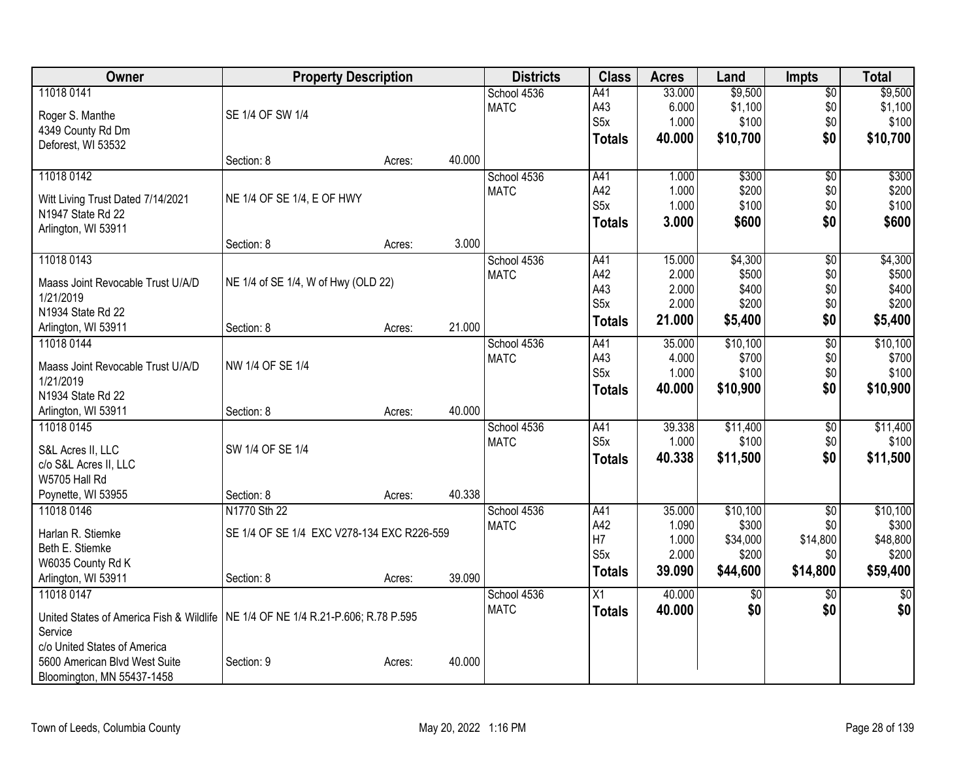| Owner                                                                              | <b>Property Description</b>                |        |        | <b>Districts</b> | <b>Class</b>     | <b>Acres</b> | Land            | <b>Impts</b>    | <b>Total</b>    |
|------------------------------------------------------------------------------------|--------------------------------------------|--------|--------|------------------|------------------|--------------|-----------------|-----------------|-----------------|
| 11018 0141                                                                         |                                            |        |        | School 4536      | A41              | 33.000       | \$9,500         | $\overline{50}$ | \$9,500         |
| Roger S. Manthe                                                                    | SE 1/4 OF SW 1/4                           |        |        | <b>MATC</b>      | A43              | 6.000        | \$1,100         | \$0             | \$1,100         |
| 4349 County Rd Dm                                                                  |                                            |        |        |                  | S <sub>5</sub> x | 1.000        | \$100           | \$0             | \$100           |
| Deforest, WI 53532                                                                 |                                            |        |        |                  | <b>Totals</b>    | 40.000       | \$10,700        | \$0             | \$10,700        |
|                                                                                    | Section: 8                                 | Acres: | 40.000 |                  |                  |              |                 |                 |                 |
| 11018 0142                                                                         |                                            |        |        | School 4536      | A41              | 1.000        | \$300           | \$0             | \$300           |
| Witt Living Trust Dated 7/14/2021                                                  | NE 1/4 OF SE 1/4, E OF HWY                 |        |        | <b>MATC</b>      | A42              | 1.000        | \$200           | \$0             | \$200           |
| N1947 State Rd 22                                                                  |                                            |        |        |                  | S <sub>5</sub> x | 1.000        | \$100           | \$0             | \$100           |
| Arlington, WI 53911                                                                |                                            |        |        |                  | <b>Totals</b>    | 3.000        | \$600           | \$0             | \$600           |
|                                                                                    | Section: 8                                 | Acres: | 3.000  |                  |                  |              |                 |                 |                 |
| 11018 0143                                                                         |                                            |        |        | School 4536      | A41              | 15.000       | \$4,300         | $\overline{50}$ | \$4,300         |
|                                                                                    |                                            |        |        | <b>MATC</b>      | A42              | 2.000        | \$500           | \$0             | \$500           |
| Maass Joint Revocable Trust U/A/D                                                  | NE 1/4 of SE 1/4, W of Hwy (OLD 22)        |        |        |                  | A43              | 2.000        | \$400           | \$0             | \$400           |
| 1/21/2019                                                                          |                                            |        |        |                  | S <sub>5</sub> x | 2.000        | \$200           | \$0             | \$200           |
| N1934 State Rd 22                                                                  |                                            |        | 21.000 |                  | <b>Totals</b>    | 21.000       | \$5,400         | \$0             | \$5,400         |
| Arlington, WI 53911                                                                | Section: 8                                 | Acres: |        |                  |                  | 35.000       | \$10,100        |                 | \$10,100        |
| 11018 0144                                                                         |                                            |        |        | School 4536      | A41<br>A43       | 4.000        |                 | $\overline{50}$ | \$700           |
| Maass Joint Revocable Trust U/A/D                                                  | NW 1/4 OF SE 1/4                           |        |        | <b>MATC</b>      | S <sub>5</sub> x | 1.000        | \$700<br>\$100  | \$0<br>\$0      | \$100           |
| 1/21/2019                                                                          |                                            |        |        |                  |                  | 40.000       | \$10,900        | \$0             | \$10,900        |
| N1934 State Rd 22                                                                  |                                            |        |        |                  | <b>Totals</b>    |              |                 |                 |                 |
| Arlington, WI 53911                                                                | Section: 8                                 | Acres: | 40.000 |                  |                  |              |                 |                 |                 |
| 11018 0145                                                                         |                                            |        |        | School 4536      | A41              | 39.338       | \$11,400        | \$0             | \$11,400        |
| S&L Acres II, LLC                                                                  | SW 1/4 OF SE 1/4                           |        |        | <b>MATC</b>      | S <sub>5</sub> x | 1.000        | \$100           | \$0             | \$100           |
| c/o S&L Acres II, LLC                                                              |                                            |        |        |                  | <b>Totals</b>    | 40.338       | \$11,500        | \$0             | \$11,500        |
| W5705 Hall Rd                                                                      |                                            |        |        |                  |                  |              |                 |                 |                 |
| Poynette, WI 53955                                                                 | Section: 8                                 | Acres: | 40.338 |                  |                  |              |                 |                 |                 |
| 11018 0146                                                                         | N1770 Sth 22                               |        |        | School 4536      | A41              | 35.000       | \$10,100        | $\overline{50}$ | \$10,100        |
| Harlan R. Stiemke                                                                  | SE 1/4 OF SE 1/4 EXC V278-134 EXC R226-559 |        |        | <b>MATC</b>      | A42              | 1.090        | \$300           | \$0             | \$300           |
| Beth E. Stiemke                                                                    |                                            |        |        |                  | H7               | 1.000        | \$34,000        | \$14,800        | \$48,800        |
| W6035 County Rd K                                                                  |                                            |        |        |                  | S <sub>5</sub> x | 2.000        | \$200           | \$0             | \$200           |
| Arlington, WI 53911                                                                | Section: 8                                 | Acres: | 39.090 |                  | <b>Totals</b>    | 39.090       | \$44,600        | \$14,800        | \$59,400        |
| 11018 0147                                                                         |                                            |        |        | School 4536      | X1               | 40.000       | $\overline{60}$ | $\overline{60}$ | $\overline{50}$ |
|                                                                                    |                                            |        |        | <b>MATC</b>      | <b>Totals</b>    | 40.000       | \$0             | \$0             | \$0             |
| United States of America Fish & Wildlife   NE 1/4 OF NE 1/4 R.21-P.606; R.78 P.595 |                                            |        |        |                  |                  |              |                 |                 |                 |
| Service                                                                            |                                            |        |        |                  |                  |              |                 |                 |                 |
| c/o United States of America                                                       |                                            |        |        |                  |                  |              |                 |                 |                 |
| 5600 American Blvd West Suite                                                      | Section: 9                                 | Acres: | 40.000 |                  |                  |              |                 |                 |                 |
| Bloomington, MN 55437-1458                                                         |                                            |        |        |                  |                  |              |                 |                 |                 |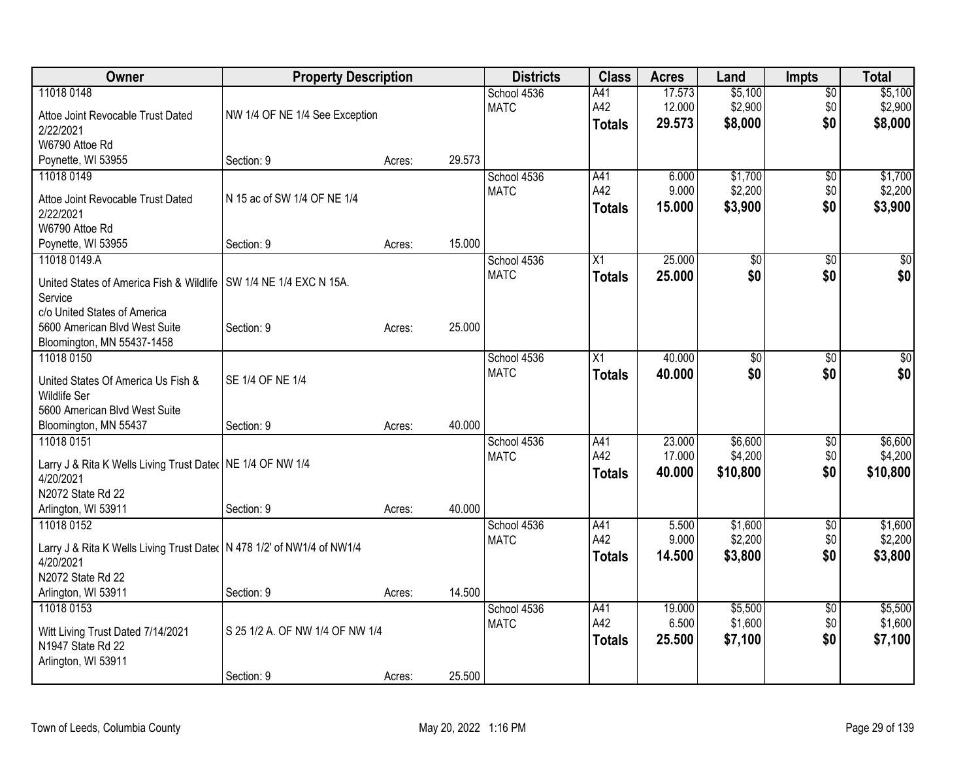| Owner                                                                    | <b>Property Description</b>     |        |        | <b>Districts</b>           | <b>Class</b>  | <b>Acres</b> | Land            | <b>Impts</b>         | <b>Total</b> |
|--------------------------------------------------------------------------|---------------------------------|--------|--------|----------------------------|---------------|--------------|-----------------|----------------------|--------------|
| 11018 0148                                                               |                                 |        |        | School 4536                | A41           | 17.573       | \$5,100         | $\overline{50}$      | \$5,100      |
| Attoe Joint Revocable Trust Dated                                        | NW 1/4 OF NE 1/4 See Exception  |        |        | <b>MATC</b>                | A42           | 12.000       | \$2,900         | \$0                  | \$2,900      |
| 2/22/2021                                                                |                                 |        |        |                            | <b>Totals</b> | 29.573       | \$8,000         | \$0                  | \$8,000      |
| W6790 Attoe Rd                                                           |                                 |        |        |                            |               |              |                 |                      |              |
| Poynette, WI 53955                                                       | Section: 9                      | Acres: | 29.573 |                            |               |              |                 |                      |              |
| 11018 0149                                                               |                                 |        |        | School 4536                | A41           | 6.000        | \$1,700         | $\sqrt[6]{}$         | \$1,700      |
| Attoe Joint Revocable Trust Dated                                        | N 15 ac of SW 1/4 OF NE 1/4     |        |        | <b>MATC</b>                | A42           | 9.000        | \$2,200         | \$0                  | \$2,200      |
| 2/22/2021                                                                |                                 |        |        |                            | <b>Totals</b> | 15.000       | \$3,900         | \$0                  | \$3,900      |
| W6790 Attoe Rd                                                           |                                 |        |        |                            |               |              |                 |                      |              |
| Poynette, WI 53955                                                       | Section: 9                      | Acres: | 15.000 |                            |               |              |                 |                      |              |
| 11018 0149.A                                                             |                                 |        |        | School 4536                | X1            | 25.000       | $\overline{60}$ | \$0                  | $\sqrt{50}$  |
|                                                                          |                                 |        |        | <b>MATC</b>                | <b>Totals</b> | 25.000       | \$0             | \$0                  | \$0          |
| United States of America Fish & Wildlife                                 | SW 1/4 NE 1/4 EXC N 15A.        |        |        |                            |               |              |                 |                      |              |
| Service<br>c/o United States of America                                  |                                 |        |        |                            |               |              |                 |                      |              |
| 5600 American Blvd West Suite                                            | Section: 9                      | Acres: | 25.000 |                            |               |              |                 |                      |              |
| Bloomington, MN 55437-1458                                               |                                 |        |        |                            |               |              |                 |                      |              |
| 11018 0150                                                               |                                 |        |        | School 4536                | X1            | 40.000       | \$0             | \$0                  | $\sqrt{50}$  |
|                                                                          |                                 |        |        | <b>MATC</b>                | <b>Totals</b> | 40.000       | \$0             | \$0                  | \$0          |
| United States Of America Us Fish &                                       | SE 1/4 OF NE 1/4                |        |        |                            |               |              |                 |                      |              |
| <b>Wildlife Ser</b>                                                      |                                 |        |        |                            |               |              |                 |                      |              |
| 5600 American Blvd West Suite                                            |                                 |        | 40.000 |                            |               |              |                 |                      |              |
| Bloomington, MN 55437<br>11018 0151                                      | Section: 9                      | Acres: |        |                            |               | 23.000       | \$6,600         |                      | \$6,600      |
|                                                                          |                                 |        |        | School 4536<br><b>MATC</b> | A41<br>A42    | 17.000       | \$4,200         | $\sqrt[6]{3}$<br>\$0 | \$4,200      |
| Larry J & Rita K Wells Living Trust Dater   NE 1/4 OF NW 1/4             |                                 |        |        |                            |               | 40.000       | \$10,800        | \$0                  | \$10,800     |
| 4/20/2021                                                                |                                 |        |        |                            | <b>Totals</b> |              |                 |                      |              |
| N2072 State Rd 22                                                        |                                 |        |        |                            |               |              |                 |                      |              |
| Arlington, WI 53911                                                      | Section: 9                      | Acres: | 40.000 |                            |               |              |                 |                      |              |
| 11018 0152                                                               |                                 |        |        | School 4536                | A41           | 5.500        | \$1,600         | $\sqrt{6}$           | \$1,600      |
| Larry J & Rita K Wells Living Trust Dater   N 478 1/2' of NW1/4 of NW1/4 |                                 |        |        | <b>MATC</b>                | A42           | 9.000        | \$2,200         | \$0                  | \$2,200      |
| 4/20/2021                                                                |                                 |        |        |                            | <b>Totals</b> | 14.500       | \$3,800         | \$0                  | \$3,800      |
| N2072 State Rd 22                                                        |                                 |        |        |                            |               |              |                 |                      |              |
| Arlington, WI 53911                                                      | Section: 9                      | Acres: | 14.500 |                            |               |              |                 |                      |              |
| 11018 0153                                                               |                                 |        |        | School 4536                | A41           | 19.000       | \$5,500         | $\overline{50}$      | \$5,500      |
| Witt Living Trust Dated 7/14/2021                                        | S 25 1/2 A. OF NW 1/4 OF NW 1/4 |        |        | <b>MATC</b>                | A42           | 6.500        | \$1,600         | \$0                  | \$1,600      |
| N1947 State Rd 22                                                        |                                 |        |        |                            | <b>Totals</b> | 25.500       | \$7,100         | \$0                  | \$7,100      |
| Arlington, WI 53911                                                      |                                 |        |        |                            |               |              |                 |                      |              |
|                                                                          | Section: 9                      | Acres: | 25.500 |                            |               |              |                 |                      |              |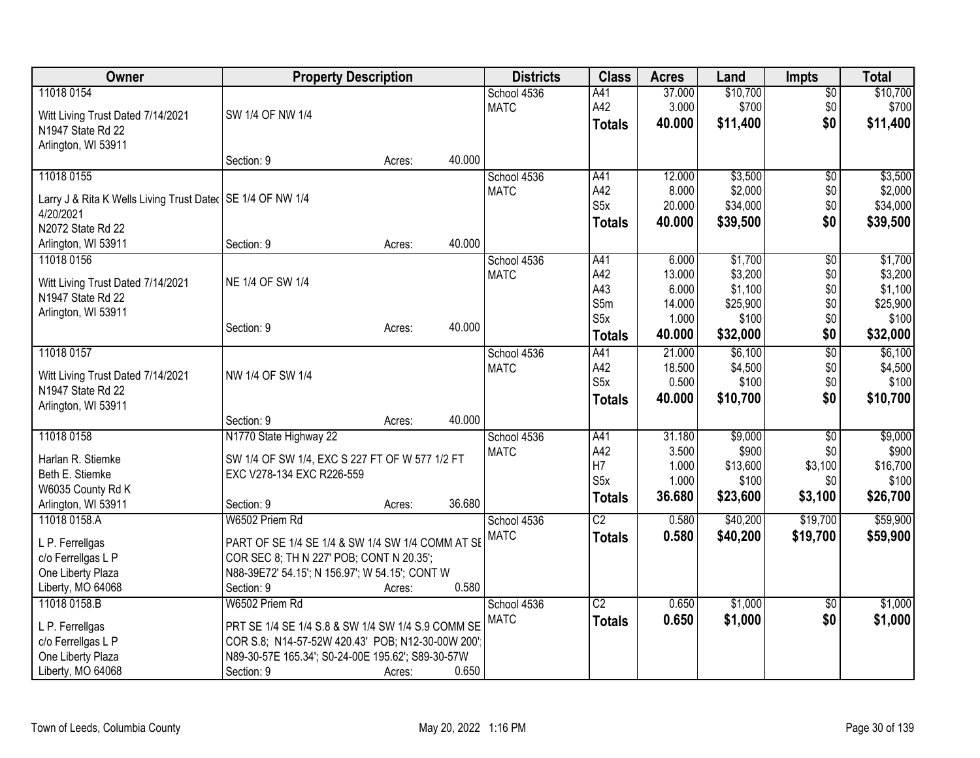| Owner                                                        | <b>Property Description</b>                       |        |        | <b>Districts</b> | <b>Class</b>     | <b>Acres</b> | Land     | <b>Impts</b>    | <b>Total</b> |
|--------------------------------------------------------------|---------------------------------------------------|--------|--------|------------------|------------------|--------------|----------|-----------------|--------------|
| 11018 0154                                                   |                                                   |        |        | School 4536      | A41              | 37.000       | \$10,700 | \$0             | \$10,700     |
| Witt Living Trust Dated 7/14/2021                            | SW 1/4 OF NW 1/4                                  |        |        | <b>MATC</b>      | A42              | 3.000        | \$700    | \$0             | \$700        |
| N1947 State Rd 22                                            |                                                   |        |        |                  | <b>Totals</b>    | 40.000       | \$11,400 | \$0             | \$11,400     |
| Arlington, WI 53911                                          |                                                   |        |        |                  |                  |              |          |                 |              |
|                                                              | Section: 9                                        | Acres: | 40.000 |                  |                  |              |          |                 |              |
| 11018 0155                                                   |                                                   |        |        | School 4536      | A41              | 12.000       | \$3,500  | \$0             | \$3,500      |
| Larry J & Rita K Wells Living Trust Dater   SE 1/4 OF NW 1/4 |                                                   |        |        | <b>MATC</b>      | A42              | 8.000        | \$2,000  | \$0             | \$2,000      |
| 4/20/2021                                                    |                                                   |        |        |                  | S <sub>5</sub> x | 20.000       | \$34,000 | \$0             | \$34,000     |
| N2072 State Rd 22                                            |                                                   |        |        |                  | <b>Totals</b>    | 40.000       | \$39,500 | \$0             | \$39,500     |
| Arlington, WI 53911                                          | Section: 9                                        | Acres: | 40.000 |                  |                  |              |          |                 |              |
| 11018 0156                                                   |                                                   |        |        | School 4536      | A41              | 6.000        | \$1,700  | $\overline{50}$ | \$1,700      |
|                                                              |                                                   |        |        | <b>MATC</b>      | A42              | 13.000       | \$3,200  | \$0             | \$3,200      |
| Witt Living Trust Dated 7/14/2021                            | NE 1/4 OF SW 1/4                                  |        |        |                  | A43              | 6.000        | \$1,100  | \$0             | \$1,100      |
| N1947 State Rd 22                                            |                                                   |        |        |                  | S5m              | 14.000       | \$25,900 | \$0             | \$25,900     |
| Arlington, WI 53911                                          |                                                   |        |        |                  | S <sub>5</sub> x | 1.000        | \$100    | \$0             | \$100        |
|                                                              | Section: 9                                        | Acres: | 40.000 |                  | <b>Totals</b>    | 40.000       | \$32,000 | \$0             | \$32,000     |
| 11018 0157                                                   |                                                   |        |        | School 4536      | A41              | 21.000       | \$6,100  | $\overline{50}$ | \$6,100      |
|                                                              | NW 1/4 OF SW 1/4                                  |        |        | <b>MATC</b>      | A42              | 18.500       | \$4,500  | \$0             | \$4,500      |
| Witt Living Trust Dated 7/14/2021                            |                                                   |        |        |                  | S <sub>5x</sub>  | 0.500        | \$100    | \$0             | \$100        |
| N1947 State Rd 22                                            |                                                   |        |        |                  | <b>Totals</b>    | 40.000       | \$10,700 | \$0             | \$10,700     |
| Arlington, WI 53911                                          | Section: 9                                        | Acres: | 40.000 |                  |                  |              |          |                 |              |
| 11018 0158                                                   | N1770 State Highway 22                            |        |        | School 4536      | A41              | 31.180       | \$9,000  | $\overline{50}$ | \$9,000      |
|                                                              |                                                   |        |        | <b>MATC</b>      | A42              | 3.500        | \$900    | \$0             | \$900        |
| Harlan R. Stiemke                                            | SW 1/4 OF SW 1/4, EXC S 227 FT OF W 577 1/2 FT    |        |        |                  | H7               | 1.000        | \$13,600 | \$3,100         | \$16,700     |
| Beth E. Stiemke                                              | EXC V278-134 EXC R226-559                         |        |        |                  | S <sub>5x</sub>  | 1.000        | \$100    | \$0             | \$100        |
| W6035 County Rd K                                            |                                                   |        |        |                  | <b>Totals</b>    | 36.680       | \$23,600 | \$3,100         | \$26,700     |
| Arlington, WI 53911                                          | Section: 9                                        | Acres: | 36.680 |                  |                  |              |          |                 |              |
| 11018 0158.A                                                 | W6502 Priem Rd                                    |        |        | School 4536      | $\overline{C2}$  | 0.580        | \$40,200 | \$19,700        | \$59,900     |
| L P. Ferrellgas                                              | PART OF SE 1/4 SE 1/4 & SW 1/4 SW 1/4 COMM AT SE  |        |        | <b>MATC</b>      | <b>Totals</b>    | 0.580        | \$40,200 | \$19,700        | \$59,900     |
| c/o Ferrellgas L P                                           | COR SEC 8; TH N 227' POB; CONT N 20.35';          |        |        |                  |                  |              |          |                 |              |
| One Liberty Plaza                                            | N88-39E72' 54.15'; N 156.97'; W 54.15'; CONT W    |        |        |                  |                  |              |          |                 |              |
| Liberty, MO 64068                                            | Section: 9                                        | Acres: | 0.580  |                  |                  |              |          |                 |              |
| 11018 0158.B                                                 | W6502 Priem Rd                                    |        |        | School 4536      | C2               | 0.650        | \$1,000  | \$0             | \$1,000      |
|                                                              |                                                   |        |        | <b>MATC</b>      | <b>Totals</b>    | 0.650        | \$1,000  | \$0             | \$1,000      |
| L P. Ferrellgas                                              | PRT SE 1/4 SE 1/4 S.8 & SW 1/4 SW 1/4 S.9 COMM SE |        |        |                  |                  |              |          |                 |              |
| c/o Ferrellgas L P                                           | COR S.8; N14-57-52W 420.43' POB; N12-30-00W 200'  |        |        |                  |                  |              |          |                 |              |
| One Liberty Plaza                                            | N89-30-57E 165.34'; S0-24-00E 195.62'; S89-30-57W |        |        |                  |                  |              |          |                 |              |
| Liberty, MO 64068                                            | Section: 9                                        | Acres: | 0.650  |                  |                  |              |          |                 |              |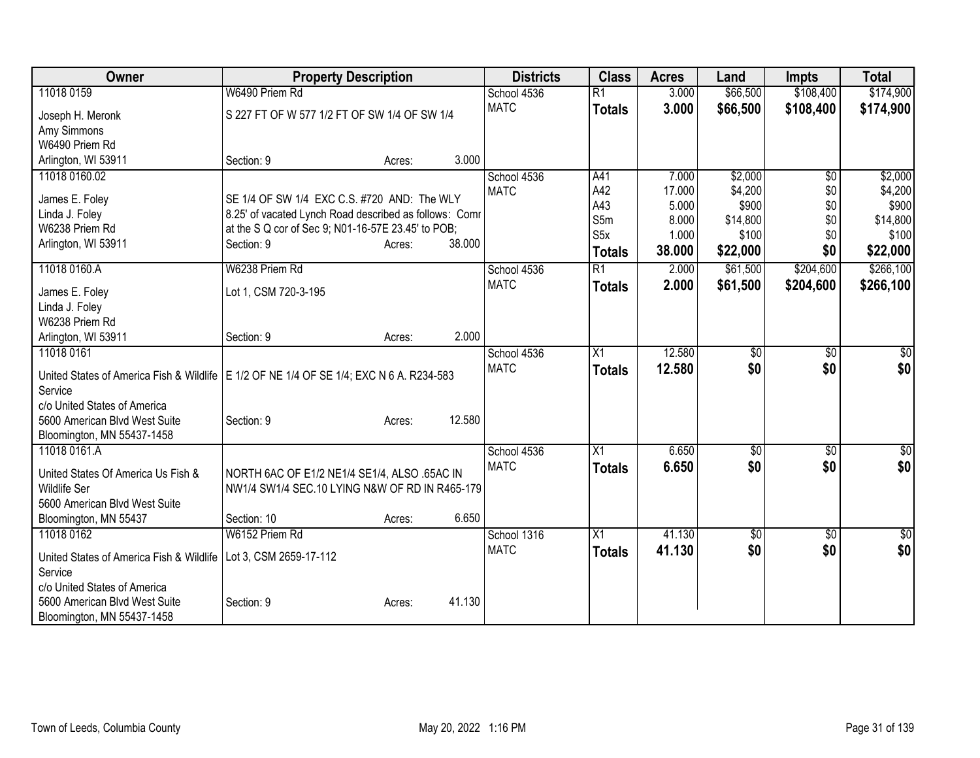| Owner                                                | <b>Property Description</b>                                                                           |        | <b>Districts</b> | <b>Class</b>  | <b>Acres</b> | Land            | <b>Impts</b>    | <b>Total</b> |
|------------------------------------------------------|-------------------------------------------------------------------------------------------------------|--------|------------------|---------------|--------------|-----------------|-----------------|--------------|
| 11018 0159                                           | W6490 Priem Rd                                                                                        |        | School 4536      | R1            | 3.000        | \$66,500        | \$108,400       | \$174,900    |
| Joseph H. Meronk                                     | S 227 FT OF W 577 1/2 FT OF SW 1/4 OF SW 1/4                                                          |        | <b>MATC</b>      | <b>Totals</b> | 3.000        | \$66,500        | \$108,400       | \$174,900    |
| Amy Simmons                                          |                                                                                                       |        |                  |               |              |                 |                 |              |
| W6490 Priem Rd                                       |                                                                                                       |        |                  |               |              |                 |                 |              |
| Arlington, WI 53911                                  | Section: 9<br>Acres:                                                                                  | 3.000  |                  |               |              |                 |                 |              |
| 11018 0160.02                                        |                                                                                                       |        | School 4536      | A41           | 7.000        | \$2,000         | \$0             | \$2,000      |
|                                                      |                                                                                                       |        | <b>MATC</b>      | A42           | 17.000       | \$4,200         | \$0             | \$4,200      |
| James E. Foley                                       | SE 1/4 OF SW 1/4 EXC C.S. #720 AND: The WLY<br>8.25' of vacated Lynch Road described as follows: Comr |        |                  | A43           | 5.000        | \$900           | \$0             | \$900        |
| Linda J. Foley<br>W6238 Priem Rd                     | at the S Q cor of Sec 9; N01-16-57E 23.45' to POB;                                                    |        |                  | S5m           | 8.000        | \$14,800        | \$0             | \$14,800     |
| Arlington, WI 53911                                  | Section: 9<br>Acres:                                                                                  | 38.000 |                  | S5x           | 1.000        | \$100           | \$0             | \$100        |
|                                                      |                                                                                                       |        |                  | <b>Totals</b> | 38.000       | \$22,000        | \$0             | \$22,000     |
| 11018 0160.A                                         | W6238 Priem Rd                                                                                        |        | School 4536      | R1            | 2.000        | \$61,500        | \$204,600       | \$266,100    |
| James E. Foley                                       | Lot 1, CSM 720-3-195                                                                                  |        | <b>MATC</b>      | <b>Totals</b> | 2.000        | \$61,500        | \$204,600       | \$266,100    |
| Linda J. Foley                                       |                                                                                                       |        |                  |               |              |                 |                 |              |
| W6238 Priem Rd                                       |                                                                                                       |        |                  |               |              |                 |                 |              |
| Arlington, WI 53911                                  | Section: 9<br>Acres:                                                                                  | 2.000  |                  |               |              |                 |                 |              |
| 11018 0161                                           |                                                                                                       |        | School 4536      | X1            | 12.580       | $\sqrt{6}$      | \$0             | \$0          |
|                                                      | United States of America Fish & Wildlife   E 1/2 OF NE 1/4 OF SE 1/4; EXC N 6 A. R234-583             |        | <b>MATC</b>      | <b>Totals</b> | 12.580       | \$0             | \$0             | \$0          |
| Service                                              |                                                                                                       |        |                  |               |              |                 |                 |              |
| c/o United States of America                         |                                                                                                       |        |                  |               |              |                 |                 |              |
| 5600 American Blvd West Suite                        | Section: 9<br>Acres:                                                                                  | 12.580 |                  |               |              |                 |                 |              |
| Bloomington, MN 55437-1458                           |                                                                                                       |        |                  |               |              |                 |                 |              |
| 11018 0161.A                                         |                                                                                                       |        | School 4536      | X1            | 6.650        | $\overline{50}$ | $\overline{50}$ | \$0          |
|                                                      |                                                                                                       |        | <b>MATC</b>      | <b>Totals</b> | 6.650        | \$0             | \$0             | \$0          |
| United States Of America Us Fish &                   | NORTH 6AC OF E1/2 NE1/4 SE1/4, ALSO .65AC IN                                                          |        |                  |               |              |                 |                 |              |
| <b>Wildlife Ser</b><br>5600 American Blvd West Suite | NW1/4 SW1/4 SEC.10 LYING N&W OF RD IN R465-179                                                        |        |                  |               |              |                 |                 |              |
| Bloomington, MN 55437                                | Section: 10                                                                                           | 6.650  |                  |               |              |                 |                 |              |
| 11018 0162                                           | Acres:<br>W6152 Priem Rd                                                                              |        | School 1316      | X1            | 41.130       | $\overline{60}$ | $\overline{50}$ | \$0          |
|                                                      |                                                                                                       |        | <b>MATC</b>      |               | 41.130       | \$0             | \$0             | \$0          |
| United States of America Fish & Wildlife             | Lot 3, CSM 2659-17-112                                                                                |        |                  | <b>Totals</b> |              |                 |                 |              |
| Service                                              |                                                                                                       |        |                  |               |              |                 |                 |              |
| c/o United States of America                         |                                                                                                       |        |                  |               |              |                 |                 |              |
| 5600 American Blvd West Suite                        | Section: 9<br>Acres:                                                                                  | 41.130 |                  |               |              |                 |                 |              |
| Bloomington, MN 55437-1458                           |                                                                                                       |        |                  |               |              |                 |                 |              |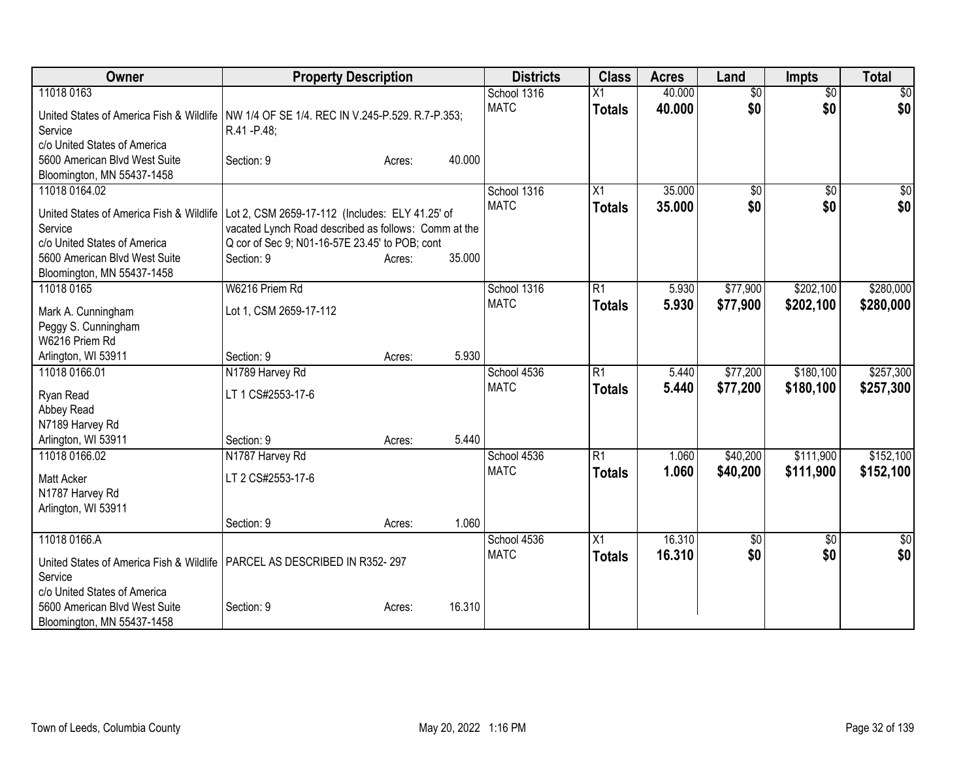| Owner                                                                                                                                                               | <b>Property Description</b>                                                                                                                                             |        |        | <b>Districts</b>           | <b>Class</b>                     | <b>Acres</b>     | Land                   | <b>Impts</b>           | <b>Total</b>           |
|---------------------------------------------------------------------------------------------------------------------------------------------------------------------|-------------------------------------------------------------------------------------------------------------------------------------------------------------------------|--------|--------|----------------------------|----------------------------------|------------------|------------------------|------------------------|------------------------|
| 11018 0163<br>United States of America Fish & Wildlife<br>Service<br>c/o United States of America                                                                   | NW 1/4 OF SE 1/4. REC IN V.245-P.529. R.7-P.353;<br>R.41 - P.48;                                                                                                        |        |        | School 1316<br><b>MATC</b> | Χ1<br><b>Totals</b>              | 40.000<br>40.000 | $\overline{60}$<br>\$0 | $\overline{30}$<br>\$0 | \$0<br>\$0             |
| 5600 American Blvd West Suite<br>Bloomington, MN 55437-1458                                                                                                         | Section: 9                                                                                                                                                              | Acres: | 40.000 |                            |                                  |                  |                        |                        |                        |
| 11018 0164.02<br>United States of America Fish & Wildlife<br>Service<br>c/o United States of America<br>5600 American Blvd West Suite<br>Bloomington, MN 55437-1458 | Lot 2, CSM 2659-17-112 (Includes: ELY 41.25' of<br>vacated Lynch Road described as follows: Comm at the<br>Q cor of Sec 9; N01-16-57E 23.45' to POB; cont<br>Section: 9 | Acres: | 35.000 | School 1316<br><b>MATC</b> | $\overline{X1}$<br><b>Totals</b> | 35.000<br>35.000 | $\overline{50}$<br>\$0 | $\overline{30}$<br>\$0 | \$0<br>\$0             |
| 11018 0165<br>Mark A. Cunningham<br>Peggy S. Cunningham<br>W6216 Priem Rd                                                                                           | W6216 Priem Rd<br>Lot 1, CSM 2659-17-112                                                                                                                                |        |        | School 1316<br><b>MATC</b> | $\overline{R1}$<br><b>Totals</b> | 5.930<br>5.930   | \$77,900<br>\$77,900   | \$202,100<br>\$202,100 | \$280,000<br>\$280,000 |
| Arlington, WI 53911<br>11018 0166.01                                                                                                                                | Section: 9<br>N1789 Harvey Rd                                                                                                                                           | Acres: | 5.930  | School 4536                | $\overline{R1}$                  | 5.440            | \$77,200               | \$180,100              | \$257,300              |
| Ryan Read<br>Abbey Read<br>N7189 Harvey Rd                                                                                                                          | LT 1 CS#2553-17-6                                                                                                                                                       |        |        | <b>MATC</b>                | <b>Totals</b>                    | 5.440            | \$77,200               | \$180,100              | \$257,300              |
| Arlington, WI 53911                                                                                                                                                 | Section: 9                                                                                                                                                              | Acres: | 5.440  |                            |                                  |                  |                        |                        |                        |
| 11018 0166.02<br>Matt Acker<br>N1787 Harvey Rd<br>Arlington, WI 53911                                                                                               | N1787 Harvey Rd<br>LT 2 CS#2553-17-6                                                                                                                                    |        |        | School 4536<br><b>MATC</b> | $\overline{R1}$<br><b>Totals</b> | 1.060<br>1.060   | \$40,200<br>\$40,200   | \$111,900<br>\$111,900 | \$152,100<br>\$152,100 |
|                                                                                                                                                                     | Section: 9                                                                                                                                                              | Acres: | 1.060  |                            |                                  |                  |                        |                        |                        |
| 11018 0166.A<br>United States of America Fish & Wildlife   PARCEL AS DESCRIBED IN R352-297<br>Service<br>c/o United States of America                               |                                                                                                                                                                         |        |        | School 4536<br><b>MATC</b> | $\overline{X1}$<br><b>Totals</b> | 16.310<br>16.310 | $\overline{50}$<br>\$0 | $\overline{50}$<br>\$0 | $\overline{50}$<br>\$0 |
| 5600 American Blvd West Suite<br>Bloomington, MN 55437-1458                                                                                                         | Section: 9                                                                                                                                                              | Acres: | 16.310 |                            |                                  |                  |                        |                        |                        |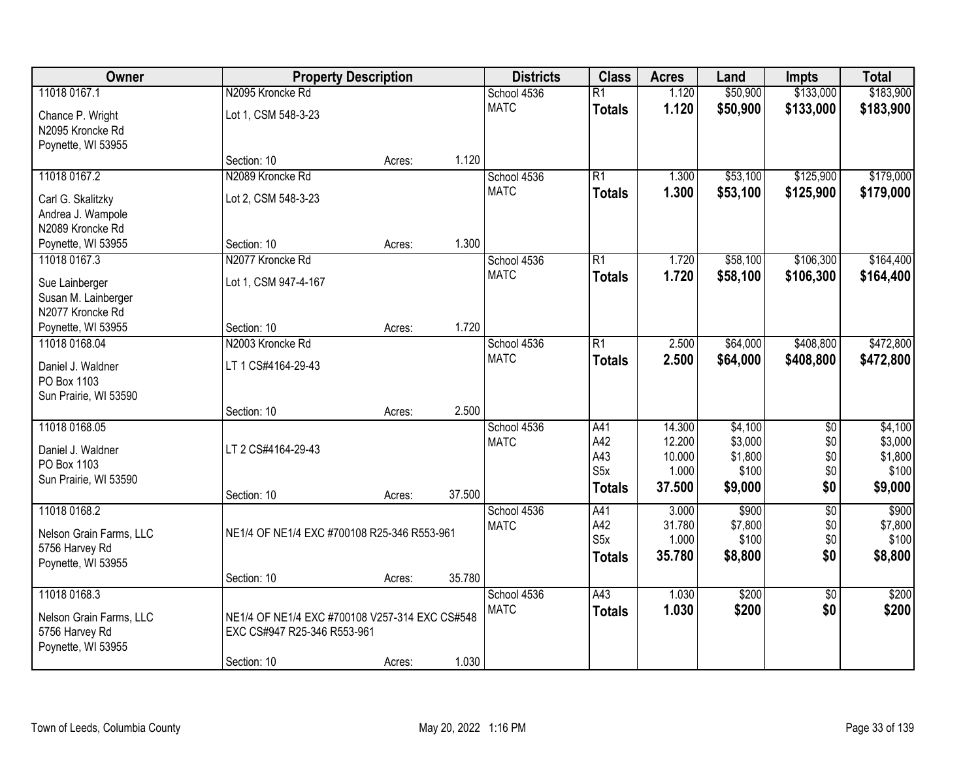| Owner                   |                                                | <b>Property Description</b> |        | <b>Districts</b> | <b>Class</b>     | <b>Acres</b> | Land     | <b>Impts</b>    | <b>Total</b> |
|-------------------------|------------------------------------------------|-----------------------------|--------|------------------|------------------|--------------|----------|-----------------|--------------|
| 11018 0167.1            | N2095 Kroncke Rd                               |                             |        | School 4536      | $\overline{R1}$  | 1.120        | \$50,900 | \$133,000       | \$183,900    |
| Chance P. Wright        | Lot 1, CSM 548-3-23                            |                             |        | <b>MATC</b>      | <b>Totals</b>    | 1.120        | \$50,900 | \$133,000       | \$183,900    |
| N2095 Kroncke Rd        |                                                |                             |        |                  |                  |              |          |                 |              |
| Poynette, WI 53955      |                                                |                             |        |                  |                  |              |          |                 |              |
|                         | Section: 10                                    | Acres:                      | 1.120  |                  |                  |              |          |                 |              |
| 11018 0167.2            | N2089 Kroncke Rd                               |                             |        | School 4536      | $\overline{R1}$  | 1.300        | \$53,100 | \$125,900       | \$179,000    |
| Carl G. Skalitzky       | Lot 2, CSM 548-3-23                            |                             |        | <b>MATC</b>      | <b>Totals</b>    | 1.300        | \$53,100 | \$125,900       | \$179,000    |
| Andrea J. Wampole       |                                                |                             |        |                  |                  |              |          |                 |              |
| N2089 Kroncke Rd        |                                                |                             |        |                  |                  |              |          |                 |              |
| Poynette, WI 53955      | Section: 10                                    | Acres:                      | 1.300  |                  |                  |              |          |                 |              |
| 11018 0167.3            | N2077 Kroncke Rd                               |                             |        | School 4536      | $\overline{R1}$  | 1.720        | \$58,100 | \$106,300       | \$164,400    |
| Sue Lainberger          | Lot 1, CSM 947-4-167                           |                             |        | <b>MATC</b>      | <b>Totals</b>    | 1.720        | \$58,100 | \$106,300       | \$164,400    |
| Susan M. Lainberger     |                                                |                             |        |                  |                  |              |          |                 |              |
| N2077 Kroncke Rd        |                                                |                             |        |                  |                  |              |          |                 |              |
| Poynette, WI 53955      | Section: 10                                    | Acres:                      | 1.720  |                  |                  |              |          |                 |              |
| 11018 0168.04           | N2003 Kroncke Rd                               |                             |        | School 4536      | $\overline{R1}$  | 2.500        | \$64,000 | \$408,800       | \$472,800    |
| Daniel J. Waldner       | LT 1 CS#4164-29-43                             |                             |        | <b>MATC</b>      | <b>Totals</b>    | 2.500        | \$64,000 | \$408,800       | \$472,800    |
| PO Box 1103             |                                                |                             |        |                  |                  |              |          |                 |              |
| Sun Prairie, WI 53590   |                                                |                             |        |                  |                  |              |          |                 |              |
|                         | Section: 10                                    | Acres:                      | 2.500  |                  |                  |              |          |                 |              |
| 11018 0168.05           |                                                |                             |        | School 4536      | A41              | 14.300       | \$4,100  | $\overline{30}$ | \$4,100      |
| Daniel J. Waldner       | LT 2 CS#4164-29-43                             |                             |        | <b>MATC</b>      | A42              | 12.200       | \$3,000  | \$0             | \$3,000      |
| PO Box 1103             |                                                |                             |        |                  | A43              | 10.000       | \$1,800  | \$0             | \$1,800      |
| Sun Prairie, WI 53590   |                                                |                             |        |                  | S <sub>5</sub> x | 1.000        | \$100    | \$0             | \$100        |
|                         | Section: 10                                    | Acres:                      | 37.500 |                  | <b>Totals</b>    | 37.500       | \$9,000  | \$0             | \$9,000      |
| 11018 0168.2            |                                                |                             |        | School 4536      | A41              | 3.000        | \$900    | $\overline{60}$ | \$900        |
| Nelson Grain Farms, LLC | NE1/4 OF NE1/4 EXC #700108 R25-346 R553-961    |                             |        | <b>MATC</b>      | A42              | 31.780       | \$7,800  | \$0             | \$7,800      |
| 5756 Harvey Rd          |                                                |                             |        |                  | S <sub>5</sub> x | 1.000        | \$100    | \$0             | \$100        |
| Poynette, WI 53955      |                                                |                             |        |                  | <b>Totals</b>    | 35.780       | \$8,800  | \$0             | \$8,800      |
|                         | Section: 10                                    | Acres:                      | 35.780 |                  |                  |              |          |                 |              |
| 11018 0168.3            |                                                |                             |        | School 4536      | A43              | 1.030        | \$200    | $\overline{50}$ | \$200        |
| Nelson Grain Farms, LLC | NE1/4 OF NE1/4 EXC #700108 V257-314 EXC CS#548 |                             |        | <b>MATC</b>      | <b>Totals</b>    | 1.030        | \$200    | \$0             | \$200        |
| 5756 Harvey Rd          | EXC CS#947 R25-346 R553-961                    |                             |        |                  |                  |              |          |                 |              |
| Poynette, WI 53955      |                                                |                             |        |                  |                  |              |          |                 |              |
|                         | Section: 10                                    | Acres:                      | 1.030  |                  |                  |              |          |                 |              |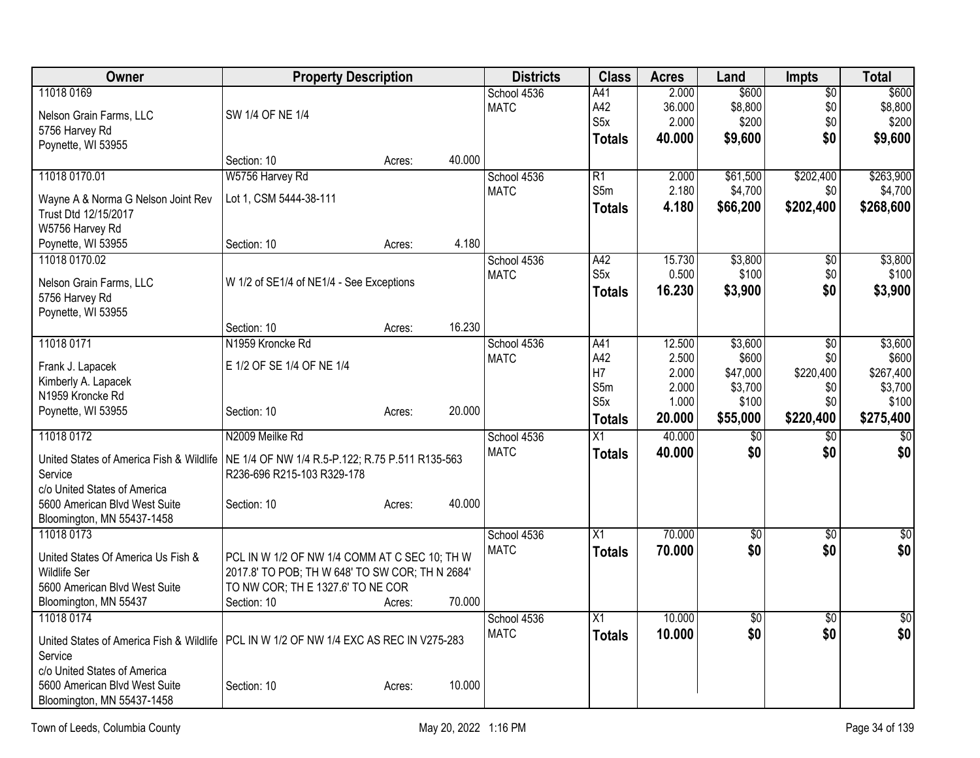| Owner                                                                                    | <b>Property Description</b>                                                         |        |        | <b>Districts</b> | <b>Class</b>     | <b>Acres</b> | Land            | Impts           | <b>Total</b> |
|------------------------------------------------------------------------------------------|-------------------------------------------------------------------------------------|--------|--------|------------------|------------------|--------------|-----------------|-----------------|--------------|
| 11018 0169                                                                               |                                                                                     |        |        | School 4536      | A41              | 2.000        | \$600           | $\sqrt{$0}$     | \$600        |
| Nelson Grain Farms, LLC                                                                  | SW 1/4 OF NE 1/4                                                                    |        |        | <b>MATC</b>      | A42              | 36.000       | \$8,800         | \$0             | \$8,800      |
| 5756 Harvey Rd                                                                           |                                                                                     |        |        |                  | S5x              | 2.000        | \$200           | \$0             | \$200        |
| Poynette, WI 53955                                                                       |                                                                                     |        |        |                  | <b>Totals</b>    | 40.000       | \$9,600         | \$0             | \$9,600      |
|                                                                                          | Section: 10                                                                         | Acres: | 40.000 |                  |                  |              |                 |                 |              |
| 11018 0170.01                                                                            | W5756 Harvey Rd                                                                     |        |        | School 4536      | R1               | 2.000        | \$61,500        | \$202,400       | \$263,900    |
| Wayne A & Norma G Nelson Joint Rev                                                       | Lot 1, CSM 5444-38-111                                                              |        |        | <b>MATC</b>      | S5m              | 2.180        | \$4,700         | \$0             | \$4,700      |
| Trust Dtd 12/15/2017                                                                     |                                                                                     |        |        |                  | <b>Totals</b>    | 4.180        | \$66,200        | \$202,400       | \$268,600    |
| W5756 Harvey Rd                                                                          |                                                                                     |        |        |                  |                  |              |                 |                 |              |
| Poynette, WI 53955                                                                       | Section: 10                                                                         | Acres: | 4.180  |                  |                  |              |                 |                 |              |
| 11018 0170.02                                                                            |                                                                                     |        |        | School 4536      | A42              | 15.730       | \$3,800         | $\overline{50}$ | \$3,800      |
|                                                                                          |                                                                                     |        |        | <b>MATC</b>      | S <sub>5</sub> x | 0.500        | \$100           | \$0             | \$100        |
| Nelson Grain Farms, LLC                                                                  | W 1/2 of SE1/4 of NE1/4 - See Exceptions                                            |        |        |                  | <b>Totals</b>    | 16.230       | \$3,900         | \$0             | \$3,900      |
| 5756 Harvey Rd                                                                           |                                                                                     |        |        |                  |                  |              |                 |                 |              |
| Poynette, WI 53955                                                                       | Section: 10                                                                         | Acres: | 16.230 |                  |                  |              |                 |                 |              |
| 11018 0171                                                                               | N1959 Kroncke Rd                                                                    |        |        | School 4536      | A41              | 12.500       | \$3,600         | $\sqrt[6]{3}$   | \$3,600      |
|                                                                                          |                                                                                     |        |        | <b>MATC</b>      | A42              | 2.500        | \$600           | \$0             | \$600        |
| Frank J. Lapacek                                                                         | E 1/2 OF SE 1/4 OF NE 1/4                                                           |        |        |                  | H7               | 2.000        | \$47,000        | \$220,400       | \$267,400    |
| Kimberly A. Lapacek                                                                      |                                                                                     |        |        |                  | S5m              | 2.000        | \$3,700         | \$0             | \$3,700      |
| N1959 Kroncke Rd                                                                         |                                                                                     |        |        |                  | S <sub>5x</sub>  | 1.000        | \$100           | \$0             | \$100        |
| Poynette, WI 53955                                                                       | Section: 10                                                                         | Acres: | 20.000 |                  | <b>Totals</b>    | 20.000       | \$55,000        | \$220,400       | \$275,400    |
| 11018 0172                                                                               | N2009 Meilke Rd                                                                     |        |        | School 4536      | X1               | 40.000       | $\overline{50}$ | \$0             | \$0          |
|                                                                                          | NE 1/4 OF NW 1/4 R.5-P.122; R.75 P.511 R135-563                                     |        |        | <b>MATC</b>      | <b>Totals</b>    | 40.000       | \$0             | \$0             | \$0          |
| United States of America Fish & Wildlife<br>Service                                      | R236-696 R215-103 R329-178                                                          |        |        |                  |                  |              |                 |                 |              |
| c/o United States of America                                                             |                                                                                     |        |        |                  |                  |              |                 |                 |              |
| 5600 American Blvd West Suite                                                            | Section: 10                                                                         | Acres: | 40.000 |                  |                  |              |                 |                 |              |
| Bloomington, MN 55437-1458                                                               |                                                                                     |        |        |                  |                  |              |                 |                 |              |
| 11018 0173                                                                               |                                                                                     |        |        | School 4536      | $\overline{X1}$  | 70.000       | $\overline{50}$ | $\overline{50}$ | \$0          |
|                                                                                          |                                                                                     |        |        | <b>MATC</b>      | <b>Totals</b>    | 70.000       | \$0             | \$0             | \$0          |
| United States Of America Us Fish &                                                       | PCL IN W 1/2 OF NW 1/4 COMM AT C SEC 10; TH W                                       |        |        |                  |                  |              |                 |                 |              |
| Wildlife Ser<br>5600 American Blvd West Suite                                            | 2017.8' TO POB; TH W 648' TO SW COR; TH N 2684'<br>TO NW COR; THE 1327.6' TO NE COR |        |        |                  |                  |              |                 |                 |              |
| Bloomington, MN 55437                                                                    | Section: 10                                                                         |        | 70.000 |                  |                  |              |                 |                 |              |
| 11018 0174                                                                               |                                                                                     | Acres: |        | School 4536      | X1               | 10.000       | $\overline{50}$ | $\overline{30}$ | $\sqrt{50}$  |
|                                                                                          |                                                                                     |        |        | <b>MATC</b>      | <b>Totals</b>    | 10.000       | \$0             | \$0             | \$0          |
| United States of America Fish & Wildlife   PCL IN W 1/2 OF NW 1/4 EXC AS REC IN V275-283 |                                                                                     |        |        |                  |                  |              |                 |                 |              |
| Service                                                                                  |                                                                                     |        |        |                  |                  |              |                 |                 |              |
| c/o United States of America                                                             |                                                                                     |        |        |                  |                  |              |                 |                 |              |
| 5600 American Blvd West Suite                                                            | Section: 10                                                                         | Acres: | 10.000 |                  |                  |              |                 |                 |              |
| Bloomington, MN 55437-1458                                                               |                                                                                     |        |        |                  |                  |              |                 |                 |              |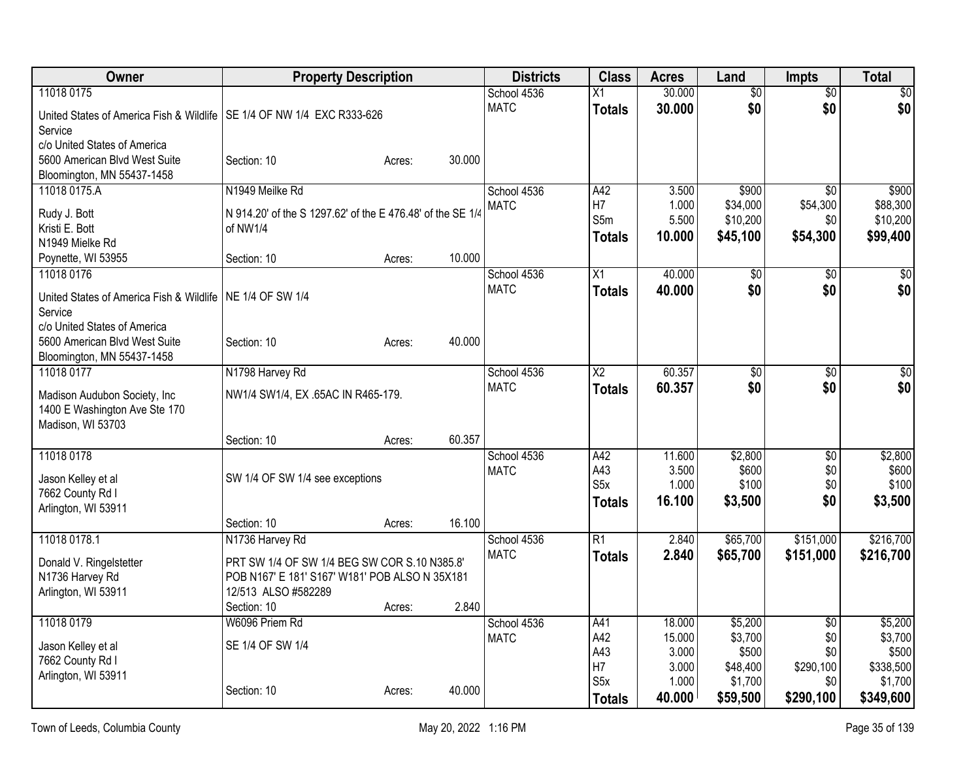| Owner                                                                    | <b>Property Description</b>                                |        |        | <b>Districts</b> | <b>Class</b>           | <b>Acres</b> | Land            | <b>Impts</b>    | <b>Total</b> |
|--------------------------------------------------------------------------|------------------------------------------------------------|--------|--------|------------------|------------------------|--------------|-----------------|-----------------|--------------|
| 11018 0175                                                               |                                                            |        |        | School 4536      | Х1                     | 30.000       | $\overline{60}$ | $\overline{50}$ | $\sqrt{50}$  |
| United States of America Fish & Wildlife   SE 1/4 OF NW 1/4 EXC R333-626 |                                                            |        |        | <b>MATC</b>      | <b>Totals</b>          | 30.000       | \$0             | \$0             | \$0          |
| Service                                                                  |                                                            |        |        |                  |                        |              |                 |                 |              |
| c/o United States of America                                             |                                                            |        |        |                  |                        |              |                 |                 |              |
| 5600 American Blvd West Suite                                            | Section: 10                                                | Acres: | 30.000 |                  |                        |              |                 |                 |              |
| Bloomington, MN 55437-1458                                               |                                                            |        |        |                  |                        |              |                 |                 |              |
| 11018 0175.A                                                             | N1949 Meilke Rd                                            |        |        | School 4536      | A42                    | 3.500        | \$900           | $\overline{30}$ | \$900        |
| Rudy J. Bott                                                             | N 914.20' of the S 1297.62' of the E 476.48' of the SE 1/4 |        |        | <b>MATC</b>      | H7                     | 1.000        | \$34,000        | \$54,300        | \$88,300     |
| Kristi E. Bott                                                           | of NW1/4                                                   |        |        |                  | S5m                    | 5.500        | \$10,200        | \$0             | \$10,200     |
| N1949 Mielke Rd                                                          |                                                            |        |        |                  | <b>Totals</b>          | 10.000       | \$45,100        | \$54,300        | \$99,400     |
| Poynette, WI 53955                                                       | Section: 10                                                | Acres: | 10.000 |                  |                        |              |                 |                 |              |
| 11018 0176                                                               |                                                            |        |        | School 4536      | X1                     | 40.000       | \$0             | $\overline{50}$ | \$0          |
|                                                                          |                                                            |        |        | <b>MATC</b>      | <b>Totals</b>          | 40.000       | \$0             | \$0             | \$0          |
| United States of America Fish & Wildlife   NE 1/4 OF SW 1/4              |                                                            |        |        |                  |                        |              |                 |                 |              |
| Service                                                                  |                                                            |        |        |                  |                        |              |                 |                 |              |
| c/o United States of America                                             |                                                            |        |        |                  |                        |              |                 |                 |              |
| 5600 American Blvd West Suite                                            | Section: 10                                                | Acres: | 40.000 |                  |                        |              |                 |                 |              |
| Bloomington, MN 55437-1458                                               |                                                            |        |        |                  |                        |              |                 |                 |              |
| 11018 0177                                                               | N1798 Harvey Rd                                            |        |        | School 4536      | $\overline{\text{X2}}$ | 60.357       | $\overline{50}$ | $\overline{50}$ | $\sqrt{50}$  |
| Madison Audubon Society, Inc                                             | NW1/4 SW1/4, EX .65AC IN R465-179.                         |        |        | <b>MATC</b>      | <b>Totals</b>          | 60.357       | \$0             | \$0             | \$0          |
| 1400 E Washington Ave Ste 170                                            |                                                            |        |        |                  |                        |              |                 |                 |              |
| Madison, WI 53703                                                        |                                                            |        |        |                  |                        |              |                 |                 |              |
|                                                                          | Section: 10                                                | Acres: | 60.357 |                  |                        |              |                 |                 |              |
| 11018 0178                                                               |                                                            |        |        | School 4536      | A42                    | 11.600       | \$2,800         | \$0             | \$2,800      |
| Jason Kelley et al                                                       | SW 1/4 OF SW 1/4 see exceptions                            |        |        | <b>MATC</b>      | A43                    | 3.500        | \$600           | \$0             | \$600        |
| 7662 County Rd I                                                         |                                                            |        |        |                  | S <sub>5</sub> x       | 1.000        | \$100           | \$0             | \$100        |
| Arlington, WI 53911                                                      |                                                            |        |        |                  | <b>Totals</b>          | 16.100       | \$3,500         | \$0             | \$3,500      |
|                                                                          | Section: 10                                                | Acres: | 16.100 |                  |                        |              |                 |                 |              |
| 11018 0178.1                                                             | N1736 Harvey Rd                                            |        |        | School 4536      | $\overline{R1}$        | 2.840        | \$65,700        | \$151,000       | \$216,700    |
| Donald V. Ringelstetter                                                  | PRT SW 1/4 OF SW 1/4 BEG SW COR S.10 N385.8'               |        |        | <b>MATC</b>      | <b>Totals</b>          | 2.840        | \$65,700        | \$151,000       | \$216,700    |
| N1736 Harvey Rd                                                          | POB N167' E 181' S167' W181' POB ALSO N 35X181             |        |        |                  |                        |              |                 |                 |              |
| Arlington, WI 53911                                                      | 12/513 ALSO #582289                                        |        |        |                  |                        |              |                 |                 |              |
|                                                                          | Section: 10                                                | Acres: | 2.840  |                  |                        |              |                 |                 |              |
| 11018 0179                                                               | W6096 Priem Rd                                             |        |        | School 4536      | A41                    | 18.000       | \$5,200         | $\overline{50}$ | \$5,200      |
|                                                                          |                                                            |        |        | <b>MATC</b>      | A42                    | 15.000       | \$3,700         | \$0             | \$3,700      |
| Jason Kelley et al                                                       | SE 1/4 OF SW 1/4                                           |        |        |                  | A43                    | 3.000        | \$500           | \$0             | \$500        |
| 7662 County Rd I                                                         |                                                            |        |        |                  | H <sub>7</sub>         | 3.000        | \$48,400        | \$290,100       | \$338,500    |
| Arlington, WI 53911                                                      |                                                            |        |        |                  | S <sub>5</sub> x       | 1.000        | \$1,700         | \$0             | \$1,700      |
|                                                                          | Section: 10                                                | Acres: | 40.000 |                  | <b>Totals</b>          | 40.000       | \$59,500        | \$290,100       | \$349,600    |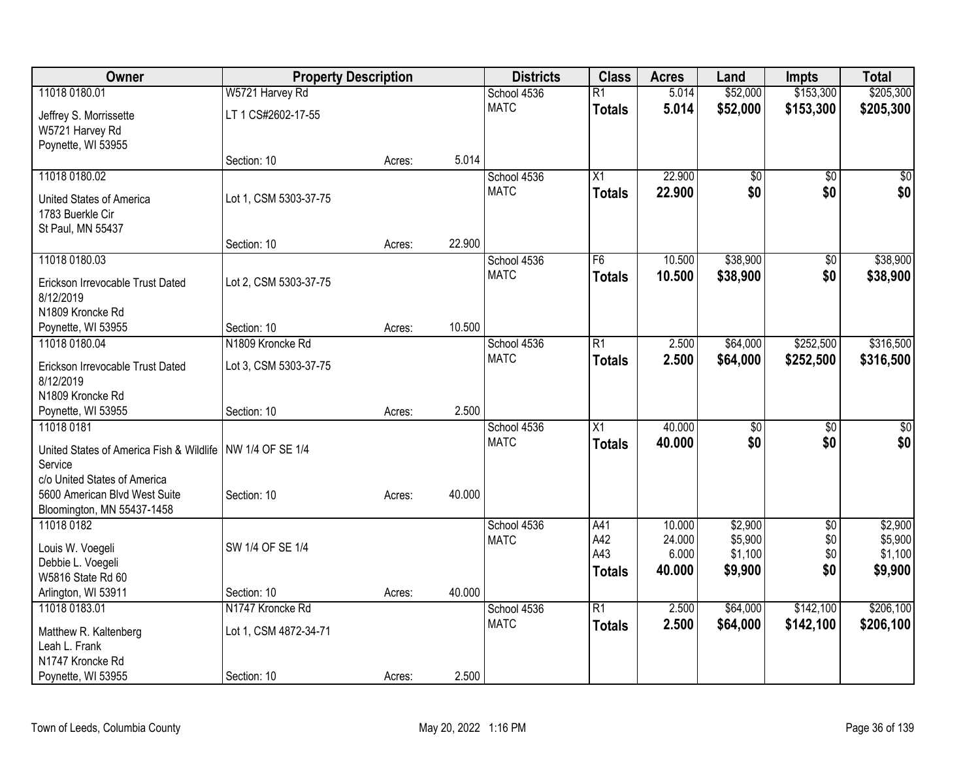| Owner                                                       | <b>Property Description</b> |        |        | <b>Districts</b>           | <b>Class</b>    | <b>Acres</b> | Land            | <b>Impts</b>    | <b>Total</b> |
|-------------------------------------------------------------|-----------------------------|--------|--------|----------------------------|-----------------|--------------|-----------------|-----------------|--------------|
| 11018 0180.01                                               | W5721 Harvey Rd             |        |        | School 4536                | $\overline{R1}$ | 5.014        | \$52,000        | \$153,300       | \$205,300    |
| Jeffrey S. Morrissette                                      | LT 1 CS#2602-17-55          |        |        | <b>MATC</b>                | <b>Totals</b>   | 5.014        | \$52,000        | \$153,300       | \$205,300    |
| W5721 Harvey Rd                                             |                             |        |        |                            |                 |              |                 |                 |              |
| Poynette, WI 53955                                          |                             |        |        |                            |                 |              |                 |                 |              |
|                                                             | Section: 10                 | Acres: | 5.014  |                            |                 |              |                 |                 |              |
| 11018 0180.02                                               |                             |        |        | School 4536                | X1              | 22.900       | \$0             | $\sqrt{6}$      | \$0          |
| United States of America                                    | Lot 1, CSM 5303-37-75       |        |        | <b>MATC</b>                | <b>Totals</b>   | 22.900       | \$0             | \$0             | \$0          |
| 1783 Buerkle Cir                                            |                             |        |        |                            |                 |              |                 |                 |              |
| St Paul, MN 55437                                           |                             |        |        |                            |                 |              |                 |                 |              |
|                                                             | Section: 10                 | Acres: | 22.900 |                            |                 |              |                 |                 |              |
| 11018 0180.03                                               |                             |        |        | School 4536                | F <sub>6</sub>  | 10.500       | \$38,900        | \$0             | \$38,900     |
| Erickson Irrevocable Trust Dated                            | Lot 2, CSM 5303-37-75       |        |        | <b>MATC</b>                | <b>Totals</b>   | 10.500       | \$38,900        | \$0             | \$38,900     |
| 8/12/2019                                                   |                             |        |        |                            |                 |              |                 |                 |              |
| N1809 Kroncke Rd                                            |                             |        |        |                            |                 |              |                 |                 |              |
| Poynette, WI 53955                                          | Section: 10                 | Acres: | 10.500 |                            |                 |              |                 |                 |              |
| 11018 0180.04                                               | N1809 Kroncke Rd            |        |        | School 4536                | $\overline{R1}$ | 2.500        | \$64,000        | \$252,500       | \$316,500    |
| Erickson Irrevocable Trust Dated                            | Lot 3, CSM 5303-37-75       |        |        | <b>MATC</b>                | <b>Totals</b>   | 2.500        | \$64,000        | \$252,500       | \$316,500    |
| 8/12/2019                                                   |                             |        |        |                            |                 |              |                 |                 |              |
| N1809 Kroncke Rd                                            |                             |        |        |                            |                 |              |                 |                 |              |
| Poynette, WI 53955                                          | Section: 10                 | Acres: | 2.500  |                            |                 |              |                 |                 |              |
| 11018 0181                                                  |                             |        |        | School 4536<br><b>MATC</b> | $\overline{X1}$ | 40.000       | $\overline{50}$ | $\overline{50}$ | $\sqrt{50}$  |
| United States of America Fish & Wildlife                    | NW 1/4 OF SE 1/4            |        |        |                            | <b>Totals</b>   | 40.000       | \$0             | \$0             | \$0          |
| Service                                                     |                             |        |        |                            |                 |              |                 |                 |              |
| c/o United States of America                                |                             |        |        |                            |                 |              |                 |                 |              |
| 5600 American Blvd West Suite<br>Bloomington, MN 55437-1458 | Section: 10                 | Acres: | 40.000 |                            |                 |              |                 |                 |              |
| 11018 0182                                                  |                             |        |        | School 4536                | A41             | 10.000       | \$2,900         | $\overline{60}$ | \$2,900      |
|                                                             |                             |        |        | <b>MATC</b>                | A42             | 24.000       | \$5,900         | \$0             | \$5,900      |
| Louis W. Voegeli                                            | SW 1/4 OF SE 1/4            |        |        |                            | A43             | 6.000        | \$1,100         | \$0             | \$1,100      |
| Debbie L. Voegeli<br>W5816 State Rd 60                      |                             |        |        |                            | <b>Totals</b>   | 40.000       | \$9,900         | \$0             | \$9,900      |
| Arlington, WI 53911                                         | Section: 10                 | Acres: | 40.000 |                            |                 |              |                 |                 |              |
| 11018 0183.01                                               | N1747 Kroncke Rd            |        |        | School 4536                | $\overline{R1}$ | 2.500        | \$64,000        | \$142,100       | \$206,100    |
|                                                             |                             |        |        | <b>MATC</b>                | <b>Totals</b>   | 2.500        | \$64,000        | \$142,100       | \$206,100    |
| Matthew R. Kaltenberg<br>Leah L. Frank                      | Lot 1, CSM 4872-34-71       |        |        |                            |                 |              |                 |                 |              |
| N1747 Kroncke Rd                                            |                             |        |        |                            |                 |              |                 |                 |              |
| Poynette, WI 53955                                          | Section: 10                 | Acres: | 2.500  |                            |                 |              |                 |                 |              |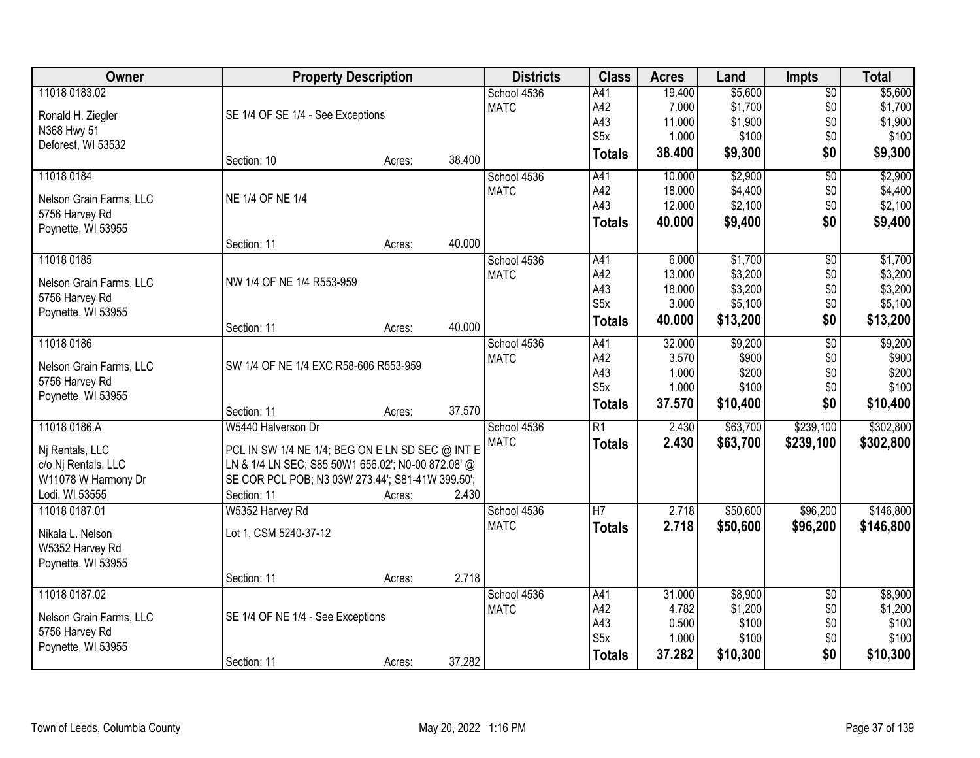| Owner                   | <b>Property Description</b>                        |        |        | <b>Districts</b> | <b>Class</b>     | <b>Acres</b> | Land     | <b>Impts</b>           | <b>Total</b> |
|-------------------------|----------------------------------------------------|--------|--------|------------------|------------------|--------------|----------|------------------------|--------------|
| 11018 0183.02           |                                                    |        |        | School 4536      | A41              | 19.400       | \$5,600  | $\overline{$0}$        | \$5,600      |
| Ronald H. Ziegler       | SE 1/4 OF SE 1/4 - See Exceptions                  |        |        | <b>MATC</b>      | A42              | 7.000        | \$1,700  | \$0                    | \$1,700      |
| N368 Hwy 51             |                                                    |        |        |                  | A43              | 11.000       | \$1,900  | \$0                    | \$1,900      |
| Deforest, WI 53532      |                                                    |        |        |                  | S <sub>5</sub> x | 1.000        | \$100    | \$0                    | \$100        |
|                         | Section: 10                                        | Acres: | 38.400 |                  | <b>Totals</b>    | 38.400       | \$9,300  | \$0                    | \$9,300      |
| 11018 0184              |                                                    |        |        | School 4536      | A41              | 10.000       | \$2,900  | $\overline{50}$        | \$2,900      |
| Nelson Grain Farms, LLC | NE 1/4 OF NE 1/4                                   |        |        | <b>MATC</b>      | A42              | 18.000       | \$4,400  | \$0                    | \$4,400      |
| 5756 Harvey Rd          |                                                    |        |        |                  | A43              | 12.000       | \$2,100  | \$0                    | \$2,100      |
| Poynette, WI 53955      |                                                    |        |        |                  | <b>Totals</b>    | 40.000       | \$9,400  | \$0                    | \$9,400      |
|                         | Section: 11                                        | Acres: | 40.000 |                  |                  |              |          |                        |              |
| 11018 0185              |                                                    |        |        | School 4536      | A41              | 6.000        | \$1,700  | $\overline{60}$        | \$1,700      |
| Nelson Grain Farms, LLC | NW 1/4 OF NE 1/4 R553-959                          |        |        | <b>MATC</b>      | A42              | 13.000       | \$3,200  | \$0                    | \$3,200      |
| 5756 Harvey Rd          |                                                    |        |        |                  | A43              | 18.000       | \$3,200  | \$0                    | \$3,200      |
| Poynette, WI 53955      |                                                    |        |        |                  | S <sub>5x</sub>  | 3.000        | \$5,100  | \$0                    | \$5,100      |
|                         | Section: 11                                        | Acres: | 40.000 |                  | <b>Totals</b>    | 40.000       | \$13,200 | \$0                    | \$13,200     |
| 11018 0186              |                                                    |        |        | School 4536      | A41              | 32.000       | \$9,200  | $\overline{50}$        | \$9,200      |
| Nelson Grain Farms, LLC | SW 1/4 OF NE 1/4 EXC R58-606 R553-959              |        |        | <b>MATC</b>      | A42              | 3.570        | \$900    | \$0                    | \$900        |
| 5756 Harvey Rd          |                                                    |        |        |                  | A43              | 1.000        | \$200    | \$0                    | \$200        |
| Poynette, WI 53955      |                                                    |        |        |                  | S <sub>5</sub> x | 1.000        | \$100    | \$0                    | \$100        |
|                         | Section: 11                                        | Acres: | 37.570 |                  | <b>Totals</b>    | 37.570       | \$10,400 | \$0                    | \$10,400     |
| 11018 0186.A            | W5440 Halverson Dr                                 |        |        | School 4536      | $\overline{R1}$  | 2.430        | \$63,700 | \$239,100              | \$302,800    |
| Nj Rentals, LLC         | PCL IN SW 1/4 NE 1/4; BEG ON E LN SD SEC @ INT E   |        |        | <b>MATC</b>      | <b>Totals</b>    | 2.430        | \$63,700 | \$239,100              | \$302,800    |
| c/o Nj Rentals, LLC     | LN & 1/4 LN SEC; S85 50W1 656.02'; N0-00 872.08' @ |        |        |                  |                  |              |          |                        |              |
| W11078 W Harmony Dr     | SE COR PCL POB; N3 03W 273.44'; S81-41W 399.50';   |        |        |                  |                  |              |          |                        |              |
| Lodi, WI 53555          | Section: 11                                        | Acres: | 2.430  |                  |                  |              |          |                        |              |
| 11018 0187.01           | W5352 Harvey Rd                                    |        |        | School 4536      | $\overline{H}$   | 2.718        | \$50,600 | \$96,200               | \$146,800    |
|                         |                                                    |        |        | <b>MATC</b>      | <b>Totals</b>    | 2.718        | \$50,600 | \$96,200               | \$146,800    |
| Nikala L. Nelson        | Lot 1, CSM 5240-37-12                              |        |        |                  |                  |              |          |                        |              |
| W5352 Harvey Rd         |                                                    |        |        |                  |                  |              |          |                        |              |
| Poynette, WI 53955      |                                                    |        | 2.718  |                  |                  |              |          |                        |              |
| 11018 0187.02           | Section: 11                                        | Acres: |        | School 4536      | A41              | 31.000       | \$8,900  |                        | \$8,900      |
|                         |                                                    |        |        | <b>MATC</b>      | A42              | 4.782        | \$1,200  | $\overline{50}$<br>\$0 | \$1,200      |
| Nelson Grain Farms, LLC | SE 1/4 OF NE 1/4 - See Exceptions                  |        |        |                  | A43              | 0.500        | \$100    | \$0                    | \$100        |
| 5756 Harvey Rd          |                                                    |        |        |                  | S <sub>5</sub> x | 1.000        | \$100    | \$0                    | \$100        |
| Poynette, WI 53955      |                                                    |        |        |                  | <b>Totals</b>    | 37.282       | \$10,300 | \$0                    | \$10,300     |
|                         | Section: 11                                        | Acres: | 37.282 |                  |                  |              |          |                        |              |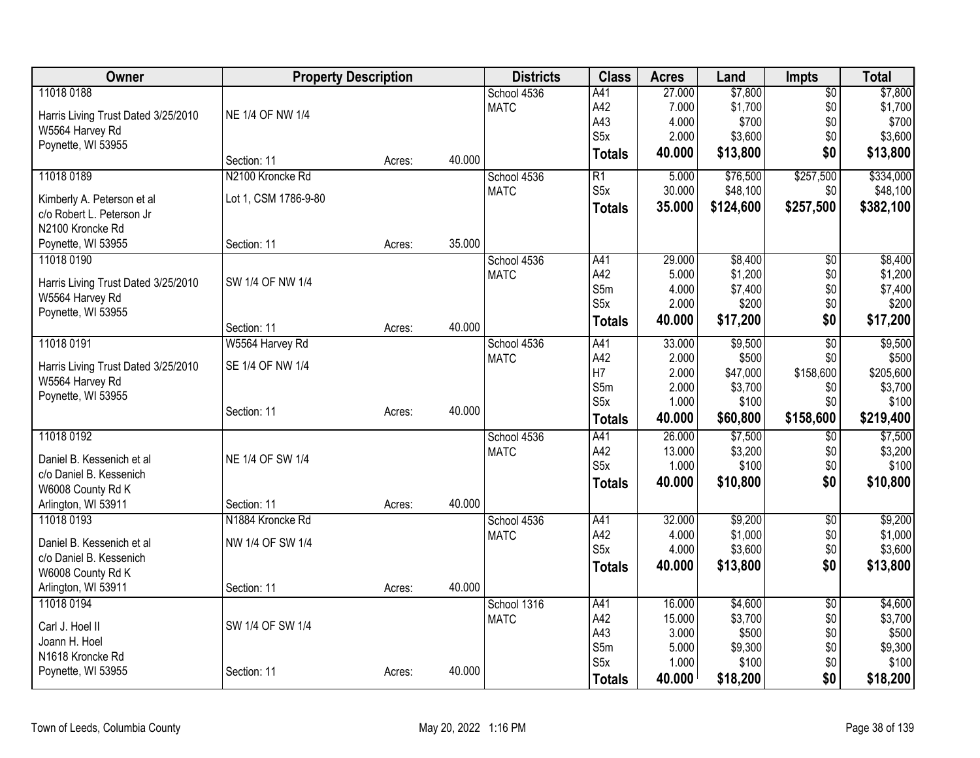| Owner                               |                      | <b>Property Description</b> |        | <b>Districts</b> | <b>Class</b>     | <b>Acres</b> | Land      | <b>Impts</b>    | <b>Total</b> |
|-------------------------------------|----------------------|-----------------------------|--------|------------------|------------------|--------------|-----------|-----------------|--------------|
| 11018 0188                          |                      |                             |        | School 4536      | A41              | 27.000       | \$7,800   | $\overline{50}$ | \$7,800      |
| Harris Living Trust Dated 3/25/2010 | NE 1/4 OF NW 1/4     |                             |        | <b>MATC</b>      | A42              | 7.000        | \$1,700   | \$0             | \$1,700      |
| W5564 Harvey Rd                     |                      |                             |        |                  | A43              | 4.000        | \$700     | \$0             | \$700        |
| Poynette, WI 53955                  |                      |                             |        |                  | S <sub>5</sub> x | 2.000        | \$3,600   | \$0             | \$3,600      |
|                                     | Section: 11          | Acres:                      | 40.000 |                  | <b>Totals</b>    | 40.000       | \$13,800  | \$0             | \$13,800     |
| 11018 0189                          | N2100 Kroncke Rd     |                             |        | School 4536      | R1               | 5.000        | \$76,500  | \$257,500       | \$334,000    |
| Kimberly A. Peterson et al          | Lot 1, CSM 1786-9-80 |                             |        | <b>MATC</b>      | S <sub>5</sub> x | 30.000       | \$48,100  | \$0             | \$48,100     |
| c/o Robert L. Peterson Jr           |                      |                             |        |                  | <b>Totals</b>    | 35.000       | \$124,600 | \$257,500       | \$382,100    |
| N2100 Kroncke Rd                    |                      |                             |        |                  |                  |              |           |                 |              |
| Poynette, WI 53955                  | Section: 11          | Acres:                      | 35.000 |                  |                  |              |           |                 |              |
| 11018 0190                          |                      |                             |        | School 4536      | A41              | 29.000       | \$8,400   | \$0             | \$8,400      |
|                                     |                      |                             |        | <b>MATC</b>      | A42              | 5.000        | \$1,200   | \$0             | \$1,200      |
| Harris Living Trust Dated 3/25/2010 | SW 1/4 OF NW 1/4     |                             |        |                  | S5m              | 4.000        | \$7,400   | \$0             | \$7,400      |
| W5564 Harvey Rd                     |                      |                             |        |                  | S <sub>5</sub> x | 2.000        | \$200     | \$0             | \$200        |
| Poynette, WI 53955                  |                      |                             |        |                  | <b>Totals</b>    | 40.000       | \$17,200  | \$0             | \$17,200     |
|                                     | Section: 11          | Acres:                      | 40.000 |                  |                  |              |           |                 |              |
| 11018 0191                          | W5564 Harvey Rd      |                             |        | School 4536      | A41              | 33.000       | \$9,500   | $\overline{50}$ | \$9,500      |
| Harris Living Trust Dated 3/25/2010 | SE 1/4 OF NW 1/4     |                             |        | <b>MATC</b>      | A42              | 2.000        | \$500     | \$0             | \$500        |
| W5564 Harvey Rd                     |                      |                             |        |                  | H <sub>7</sub>   | 2.000        | \$47,000  | \$158,600       | \$205,600    |
| Poynette, WI 53955                  |                      |                             |        |                  | S5m              | 2.000        | \$3,700   | \$0             | \$3,700      |
|                                     | Section: 11          | Acres:                      | 40.000 |                  | S <sub>5</sub> x | 1.000        | \$100     | \$0             | \$100        |
|                                     |                      |                             |        |                  | <b>Totals</b>    | 40.000       | \$60,800  | \$158,600       | \$219,400    |
| 11018 0192                          |                      |                             |        | School 4536      | A41              | 26.000       | \$7,500   | $\overline{50}$ | \$7,500      |
| Daniel B. Kessenich et al           | NE 1/4 OF SW 1/4     |                             |        | <b>MATC</b>      | A42              | 13.000       | \$3,200   | \$0             | \$3,200      |
| c/o Daniel B. Kessenich             |                      |                             |        |                  | S <sub>5</sub> x | 1.000        | \$100     | \$0             | \$100        |
| W6008 County Rd K                   |                      |                             |        |                  | <b>Totals</b>    | 40.000       | \$10,800  | \$0             | \$10,800     |
| Arlington, WI 53911                 | Section: 11          | Acres:                      | 40.000 |                  |                  |              |           |                 |              |
| 11018 0193                          | N1884 Kroncke Rd     |                             |        | School 4536      | A41              | 32.000       | \$9,200   | $\overline{50}$ | \$9,200      |
|                                     |                      |                             |        | <b>MATC</b>      | A42              | 4.000        | \$1,000   | \$0             | \$1,000      |
| Daniel B. Kessenich et al           | NW 1/4 OF SW 1/4     |                             |        |                  | S <sub>5</sub> x | 4.000        | \$3,600   | \$0             | \$3,600      |
| c/o Daniel B. Kessenich             |                      |                             |        |                  | <b>Totals</b>    | 40.000       | \$13,800  | \$0             | \$13,800     |
| W6008 County Rd K                   |                      |                             |        |                  |                  |              |           |                 |              |
| Arlington, WI 53911                 | Section: 11          | Acres:                      | 40.000 |                  |                  |              |           |                 |              |
| 11018 0194                          |                      |                             |        | School 1316      | A41              | 16.000       | \$4,600   | $\overline{50}$ | \$4,600      |
| Carl J. Hoel II                     | SW 1/4 OF SW 1/4     |                             |        | <b>MATC</b>      | A42              | 15.000       | \$3,700   | \$0             | \$3,700      |
| Joann H. Hoel                       |                      |                             |        |                  | A43              | 3.000        | \$500     | \$0             | \$500        |
| N1618 Kroncke Rd                    |                      |                             |        |                  | S5m              | 5.000        | \$9,300   | \$0             | \$9,300      |
| Poynette, WI 53955                  | Section: 11          | Acres:                      | 40.000 |                  | S <sub>5</sub> x | 1.000        | \$100     | \$0             | \$100        |
|                                     |                      |                             |        |                  | <b>Totals</b>    | 40.000       | \$18,200  | \$0             | \$18,200     |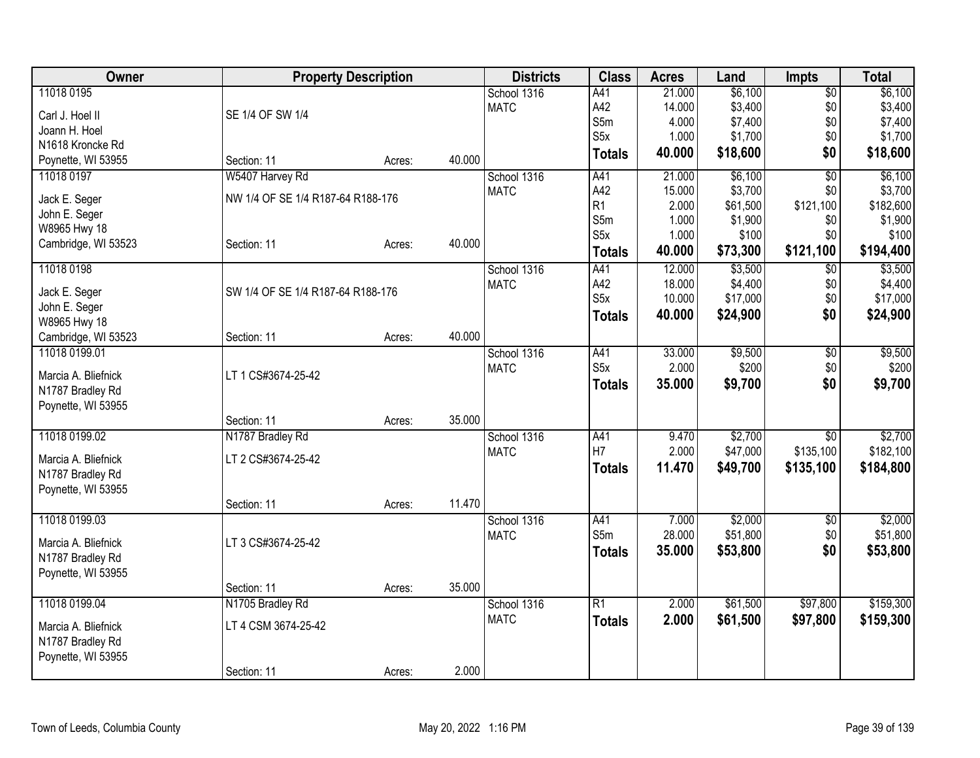| Owner                         | <b>Property Description</b>       |        |        | <b>Districts</b> | <b>Class</b>     | <b>Acres</b>   | Land                | <b>Impts</b>    | <b>Total</b> |
|-------------------------------|-----------------------------------|--------|--------|------------------|------------------|----------------|---------------------|-----------------|--------------|
| 11018 0195                    |                                   |        |        | School 1316      | A41              | 21.000         | \$6,100             | $\overline{50}$ | \$6,100      |
| Carl J. Hoel II               | SE 1/4 OF SW 1/4                  |        |        | <b>MATC</b>      | A42              | 14.000         | \$3,400             | \$0             | \$3,400      |
| Joann H. Hoel                 |                                   |        |        |                  | S5m              | 4.000          | \$7,400             | \$0             | \$7,400      |
| N1618 Kroncke Rd              |                                   |        |        |                  | S5x              | 1.000          | \$1,700             | \$0             | \$1,700      |
| Poynette, WI 53955            | Section: 11                       | Acres: | 40.000 |                  | <b>Totals</b>    | 40.000         | \$18,600            | \$0             | \$18,600     |
| 11018 0197                    | W5407 Harvey Rd                   |        |        | School 1316      | A41              | 21.000         | \$6,100             | $\overline{50}$ | \$6,100      |
|                               | NW 1/4 OF SE 1/4 R187-64 R188-176 |        |        | <b>MATC</b>      | A42              | 15.000         | \$3,700             | \$0             | \$3,700      |
| Jack E. Seger                 |                                   |        |        |                  | R <sub>1</sub>   | 2.000          | \$61,500            | \$121,100       | \$182,600    |
| John E. Seger<br>W8965 Hwy 18 |                                   |        |        |                  | S5m              | 1.000          | \$1,900             | \$0             | \$1,900      |
| Cambridge, WI 53523           | Section: 11                       | Acres: | 40.000 |                  | S5x              | 1.000          | \$100               | \$0             | \$100        |
|                               |                                   |        |        |                  | <b>Totals</b>    | 40.000         | \$73,300            | \$121,100       | \$194,400    |
| 11018 0198                    |                                   |        |        | School 1316      | A41              | 12.000         | \$3,500             | $\overline{$0}$ | \$3,500      |
| Jack E. Seger                 | SW 1/4 OF SE 1/4 R187-64 R188-176 |        |        | <b>MATC</b>      | A42              | 18.000         | \$4,400             | \$0             | \$4,400      |
| John E. Seger                 |                                   |        |        |                  | S <sub>5</sub> x | 10.000         | \$17,000            | \$0             | \$17,000     |
| W8965 Hwy 18                  |                                   |        |        |                  | <b>Totals</b>    | 40.000         | \$24,900            | \$0             | \$24,900     |
| Cambridge, WI 53523           | Section: 11                       | Acres: | 40.000 |                  |                  |                |                     |                 |              |
| 11018 0199.01                 |                                   |        |        | School 1316      | A41              | 33.000         | \$9,500             | $\overline{60}$ | \$9,500      |
|                               |                                   |        |        | <b>MATC</b>      | S <sub>5</sub> x | 2.000          | \$200               | \$0             | \$200        |
| Marcia A. Bliefnick           | LT 1 CS#3674-25-42                |        |        |                  | <b>Totals</b>    | 35.000         | \$9,700             | \$0             | \$9,700      |
| N1787 Bradley Rd              |                                   |        |        |                  |                  |                |                     |                 |              |
| Poynette, WI 53955            |                                   |        |        |                  |                  |                |                     |                 |              |
|                               | Section: 11                       | Acres: | 35.000 |                  |                  |                |                     |                 |              |
| 11018 0199.02                 | N1787 Bradley Rd                  |        |        | School 1316      | A41<br>H7        | 9.470<br>2.000 | \$2,700<br>\$47,000 | $\overline{50}$ | \$2,700      |
| Marcia A. Bliefnick           | LT 2 CS#3674-25-42                |        |        | <b>MATC</b>      |                  |                |                     | \$135,100       | \$182,100    |
| N1787 Bradley Rd              |                                   |        |        |                  | <b>Totals</b>    | 11.470         | \$49,700            | \$135,100       | \$184,800    |
| Poynette, WI 53955            |                                   |        |        |                  |                  |                |                     |                 |              |
|                               | Section: 11                       | Acres: | 11.470 |                  |                  |                |                     |                 |              |
| 11018 0199.03                 |                                   |        |        | School 1316      | A41              | 7.000          | \$2,000             | \$0             | \$2,000      |
| Marcia A. Bliefnick           | LT 3 CS#3674-25-42                |        |        | <b>MATC</b>      | S5m              | 28.000         | \$51,800            | \$0             | \$51,800     |
| N1787 Bradley Rd              |                                   |        |        |                  | <b>Totals</b>    | 35.000         | \$53,800            | \$0             | \$53,800     |
| Poynette, WI 53955            |                                   |        |        |                  |                  |                |                     |                 |              |
|                               | Section: 11                       | Acres: | 35.000 |                  |                  |                |                     |                 |              |
| 11018 0199.04                 | N1705 Bradley Rd                  |        |        | School 1316      | $\overline{R1}$  | 2.000          | \$61,500            | \$97,800        | \$159,300    |
| Marcia A. Bliefnick           | LT 4 CSM 3674-25-42               |        |        | <b>MATC</b>      | <b>Totals</b>    | 2.000          | \$61,500            | \$97,800        | \$159,300    |
| N1787 Bradley Rd              |                                   |        |        |                  |                  |                |                     |                 |              |
| Poynette, WI 53955            |                                   |        |        |                  |                  |                |                     |                 |              |
|                               | Section: 11                       | Acres: | 2.000  |                  |                  |                |                     |                 |              |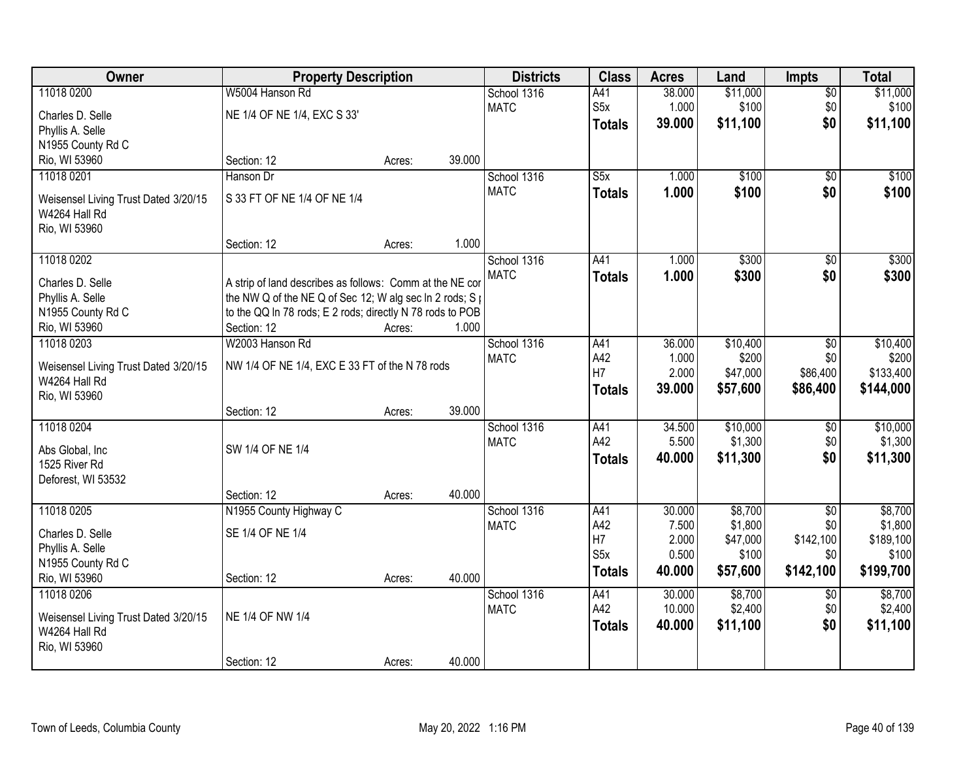| <b>Owner</b>                                          | <b>Property Description</b>                                              |        |        | <b>Districts</b> | <b>Class</b>            | <b>Acres</b> | Land     | <b>Impts</b>    | <b>Total</b> |
|-------------------------------------------------------|--------------------------------------------------------------------------|--------|--------|------------------|-------------------------|--------------|----------|-----------------|--------------|
| 11018 0200                                            | W5004 Hanson Rd                                                          |        |        | School 1316      | A41                     | 38.000       | \$11,000 | $\overline{50}$ | \$11,000     |
| Charles D. Selle                                      | NE 1/4 OF NE 1/4, EXC S 33'                                              |        |        | <b>MATC</b>      | S5x                     | 1.000        | \$100    | \$0             | \$100        |
| Phyllis A. Selle                                      |                                                                          |        |        |                  | <b>Totals</b>           | 39.000       | \$11,100 | \$0             | \$11,100     |
| N1955 County Rd C                                     |                                                                          |        |        |                  |                         |              |          |                 |              |
| Rio, WI 53960                                         | Section: 12                                                              | Acres: | 39.000 |                  |                         |              |          |                 |              |
| 11018 0201                                            | Hanson Dr                                                                |        |        | School 1316      | $\overline{\text{S5x}}$ | 1.000        | \$100    | $\overline{50}$ | \$100        |
|                                                       | S 33 FT OF NE 1/4 OF NE 1/4                                              |        |        | <b>MATC</b>      | <b>Totals</b>           | 1.000        | \$100    | \$0             | \$100        |
| Weisensel Living Trust Dated 3/20/15<br>W4264 Hall Rd |                                                                          |        |        |                  |                         |              |          |                 |              |
| Rio, WI 53960                                         |                                                                          |        |        |                  |                         |              |          |                 |              |
|                                                       | Section: 12                                                              | Acres: | 1.000  |                  |                         |              |          |                 |              |
| 11018 0202                                            |                                                                          |        |        | School 1316      | A41                     | 1.000        | \$300    | \$0             | \$300        |
|                                                       |                                                                          |        |        | <b>MATC</b>      | <b>Totals</b>           | 1.000        | \$300    | \$0             | \$300        |
| Charles D. Selle                                      | A strip of land describes as follows: Comm at the NE cor                 |        |        |                  |                         |              |          |                 |              |
| Phyllis A. Selle                                      | the NW Q of the NE Q of Sec 12; W alg sec In 2 rods; $S_1$               |        |        |                  |                         |              |          |                 |              |
| N1955 County Rd C<br>Rio, WI 53960                    | to the QQ In 78 rods; E 2 rods; directly N 78 rods to POB<br>Section: 12 | Acres: | 1.000  |                  |                         |              |          |                 |              |
| 11018 0203                                            | W2003 Hanson Rd                                                          |        |        | School 1316      | A41                     | 36.000       | \$10,400 | \$0             | \$10,400     |
|                                                       |                                                                          |        |        | <b>MATC</b>      | A42                     | 1.000        | \$200    | \$0             | \$200        |
| Weisensel Living Trust Dated 3/20/15                  | NW 1/4 OF NE 1/4, EXC E 33 FT of the N 78 rods                           |        |        |                  | H7                      | 2.000        | \$47,000 | \$86,400        | \$133,400    |
| W4264 Hall Rd                                         |                                                                          |        |        |                  | <b>Totals</b>           | 39.000       | \$57,600 | \$86,400        | \$144,000    |
| Rio, WI 53960                                         |                                                                          |        |        |                  |                         |              |          |                 |              |
|                                                       | Section: 12                                                              | Acres: | 39.000 |                  |                         |              |          |                 |              |
| 11018 0204                                            |                                                                          |        |        | School 1316      | A41                     | 34.500       | \$10,000 | \$0             | \$10,000     |
| Abs Global, Inc                                       | SW 1/4 OF NE 1/4                                                         |        |        | <b>MATC</b>      | A42                     | 5.500        | \$1,300  | \$0             | \$1,300      |
| 1525 River Rd                                         |                                                                          |        |        |                  | <b>Totals</b>           | 40.000       | \$11,300 | \$0             | \$11,300     |
| Deforest, WI 53532                                    |                                                                          |        |        |                  |                         |              |          |                 |              |
|                                                       | Section: 12                                                              | Acres: | 40.000 |                  |                         |              |          |                 |              |
| 11018 0205                                            | N1955 County Highway C                                                   |        |        | School 1316      | A41                     | 30.000       | \$8,700  | $\overline{50}$ | \$8,700      |
| Charles D. Selle                                      | SE 1/4 OF NE 1/4                                                         |        |        | <b>MATC</b>      | A42                     | 7.500        | \$1,800  | \$0             | \$1,800      |
| Phyllis A. Selle                                      |                                                                          |        |        |                  | H7                      | 2.000        | \$47,000 | \$142,100       | \$189,100    |
| N1955 County Rd C                                     |                                                                          |        |        |                  | S5x                     | 0.500        | \$100    | \$0             | \$100        |
| Rio, WI 53960                                         | Section: 12                                                              | Acres: | 40.000 |                  | <b>Totals</b>           | 40.000       | \$57,600 | \$142,100       | \$199,700    |
| 11018 0206                                            |                                                                          |        |        | School 1316      | A41                     | 30.000       | \$8,700  | \$0             | \$8,700      |
|                                                       | NE 1/4 OF NW 1/4                                                         |        |        | <b>MATC</b>      | A42                     | 10.000       | \$2,400  | \$0             | \$2,400      |
| Weisensel Living Trust Dated 3/20/15<br>W4264 Hall Rd |                                                                          |        |        |                  | <b>Totals</b>           | 40.000       | \$11,100 | \$0             | \$11,100     |
| Rio, WI 53960                                         |                                                                          |        |        |                  |                         |              |          |                 |              |
|                                                       | Section: 12                                                              | Acres: | 40.000 |                  |                         |              |          |                 |              |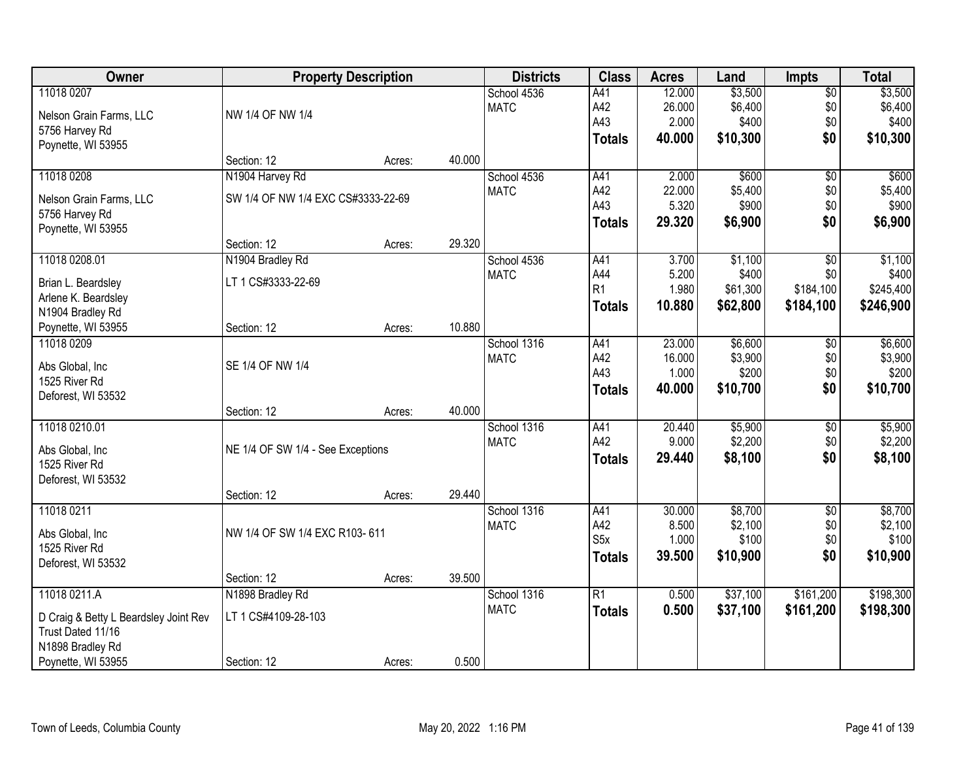| Owner                                   |                                    | <b>Property Description</b> |        | <b>Districts</b> | <b>Class</b>     | <b>Acres</b> | Land     | <b>Impts</b>    | <b>Total</b> |
|-----------------------------------------|------------------------------------|-----------------------------|--------|------------------|------------------|--------------|----------|-----------------|--------------|
| 11018 0207                              |                                    |                             |        | School 4536      | A41              | 12.000       | \$3,500  | \$0             | \$3,500      |
| Nelson Grain Farms, LLC                 | NW 1/4 OF NW 1/4                   |                             |        | <b>MATC</b>      | A42              | 26.000       | \$6,400  | \$0             | \$6,400      |
| 5756 Harvey Rd                          |                                    |                             |        |                  | A43              | 2.000        | \$400    | \$0             | \$400        |
| Poynette, WI 53955                      |                                    |                             |        |                  | <b>Totals</b>    | 40.000       | \$10,300 | \$0             | \$10,300     |
|                                         | Section: 12                        | Acres:                      | 40.000 |                  |                  |              |          |                 |              |
| 11018 0208                              | N1904 Harvey Rd                    |                             |        | School 4536      | A41              | 2.000        | \$600    | $\overline{50}$ | \$600        |
| Nelson Grain Farms, LLC                 | SW 1/4 OF NW 1/4 EXC CS#3333-22-69 |                             |        | <b>MATC</b>      | A42              | 22.000       | \$5,400  | \$0             | \$5,400      |
| 5756 Harvey Rd                          |                                    |                             |        |                  | A43              | 5.320        | \$900    | \$0             | \$900        |
| Poynette, WI 53955                      |                                    |                             |        |                  | <b>Totals</b>    | 29.320       | \$6,900  | \$0             | \$6,900      |
|                                         | Section: 12                        | Acres:                      | 29.320 |                  |                  |              |          |                 |              |
| 11018 0208.01                           | N1904 Bradley Rd                   |                             |        | School 4536      | A41              | 3.700        | \$1,100  | \$0             | \$1,100      |
|                                         |                                    |                             |        | <b>MATC</b>      | A44              | 5.200        | \$400    | \$0             | \$400        |
| Brian L. Beardsley                      | LT 1 CS#3333-22-69                 |                             |        |                  | R1               | 1.980        | \$61,300 | \$184,100       | \$245,400    |
| Arlene K. Beardsley<br>N1904 Bradley Rd |                                    |                             |        |                  | <b>Totals</b>    | 10.880       | \$62,800 | \$184,100       | \$246,900    |
| Poynette, WI 53955                      | Section: 12                        | Acres:                      | 10.880 |                  |                  |              |          |                 |              |
| 11018 0209                              |                                    |                             |        | School 1316      | A41              | 23.000       | \$6,600  | $\sqrt[6]{3}$   | \$6,600      |
|                                         |                                    |                             |        | <b>MATC</b>      | A42              | 16.000       | \$3,900  | \$0             | \$3,900      |
| Abs Global, Inc                         | SE 1/4 OF NW 1/4                   |                             |        |                  | A43              | 1.000        | \$200    | \$0             | \$200        |
| 1525 River Rd                           |                                    |                             |        |                  | <b>Totals</b>    | 40.000       | \$10,700 | \$0             | \$10,700     |
| Deforest, WI 53532                      |                                    |                             |        |                  |                  |              |          |                 |              |
|                                         | Section: 12                        | Acres:                      | 40.000 |                  |                  |              |          |                 |              |
| 11018 0210.01                           |                                    |                             |        | School 1316      | A41              | 20.440       | \$5,900  | $\overline{50}$ | \$5,900      |
| Abs Global, Inc                         | NE 1/4 OF SW 1/4 - See Exceptions  |                             |        | <b>MATC</b>      | A42              | 9.000        | \$2,200  | \$0             | \$2,200      |
| 1525 River Rd                           |                                    |                             |        |                  | <b>Totals</b>    | 29.440       | \$8,100  | \$0             | \$8,100      |
| Deforest, WI 53532                      |                                    |                             |        |                  |                  |              |          |                 |              |
|                                         | Section: 12                        | Acres:                      | 29.440 |                  |                  |              |          |                 |              |
| 11018 0211                              |                                    |                             |        | School 1316      | A41              | 30.000       | \$8,700  | $\overline{50}$ | \$8,700      |
| Abs Global, Inc                         | NW 1/4 OF SW 1/4 EXC R103-611      |                             |        | <b>MATC</b>      | A42              | 8.500        | \$2,100  | \$0             | \$2,100      |
| 1525 River Rd                           |                                    |                             |        |                  | S <sub>5</sub> x | 1.000        | \$100    | \$0             | \$100        |
| Deforest, WI 53532                      |                                    |                             |        |                  | <b>Totals</b>    | 39.500       | \$10,900 | \$0             | \$10,900     |
|                                         | Section: 12                        | Acres:                      | 39.500 |                  |                  |              |          |                 |              |
| 11018 0211.A                            | N1898 Bradley Rd                   |                             |        | School 1316      | $\overline{R1}$  | 0.500        | \$37,100 | \$161,200       | \$198,300    |
| D Craig & Betty L Beardsley Joint Rev   | LT 1 CS#4109-28-103                |                             |        | <b>MATC</b>      | <b>Totals</b>    | 0.500        | \$37,100 | \$161,200       | \$198,300    |
| Trust Dated 11/16                       |                                    |                             |        |                  |                  |              |          |                 |              |
| N1898 Bradley Rd                        |                                    |                             |        |                  |                  |              |          |                 |              |
| Poynette, WI 53955                      | Section: 12                        | Acres:                      | 0.500  |                  |                  |              |          |                 |              |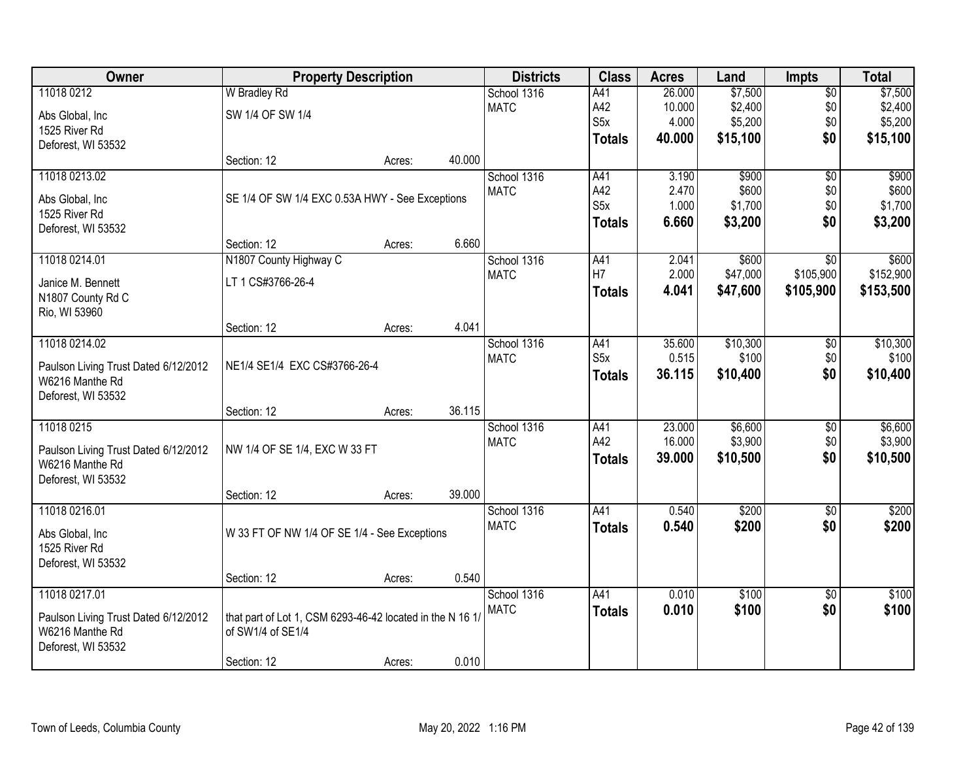| Owner                                | <b>Property Description</b>                               |        |        | <b>Districts</b> | <b>Class</b>     | <b>Acres</b> | Land     | <b>Impts</b>    | <b>Total</b> |
|--------------------------------------|-----------------------------------------------------------|--------|--------|------------------|------------------|--------------|----------|-----------------|--------------|
| 11018 0212                           | <b>W</b> Bradley Rd                                       |        |        | School 1316      | A41              | 26.000       | \$7,500  | $\overline{50}$ | \$7,500      |
| Abs Global, Inc                      | SW 1/4 OF SW 1/4                                          |        |        | <b>MATC</b>      | A42              | 10.000       | \$2,400  | \$0             | \$2,400      |
| 1525 River Rd                        |                                                           |        |        |                  | S <sub>5</sub> x | 4.000        | \$5,200  | \$0             | \$5,200      |
| Deforest, WI 53532                   |                                                           |        |        |                  | <b>Totals</b>    | 40.000       | \$15,100 | \$0             | \$15,100     |
|                                      | Section: 12                                               | Acres: | 40.000 |                  |                  |              |          |                 |              |
| 11018 0213.02                        |                                                           |        |        | School 1316      | A41              | 3.190        | \$900    | $\overline{50}$ | \$900        |
| Abs Global, Inc                      | SE 1/4 OF SW 1/4 EXC 0.53A HWY - See Exceptions           |        |        | <b>MATC</b>      | A42              | 2.470        | \$600    | \$0             | \$600        |
| 1525 River Rd                        |                                                           |        |        |                  | S <sub>5</sub> x | 1.000        | \$1,700  | \$0             | \$1,700      |
| Deforest, WI 53532                   |                                                           |        |        |                  | <b>Totals</b>    | 6.660        | \$3,200  | \$0             | \$3,200      |
|                                      | Section: 12                                               | Acres: | 6.660  |                  |                  |              |          |                 |              |
| 11018 0214.01                        | N1807 County Highway C                                    |        |        | School 1316      | A41              | 2.041        | \$600    | $\overline{50}$ | \$600        |
| Janice M. Bennett                    | LT 1 CS#3766-26-4                                         |        |        | <b>MATC</b>      | H7               | 2.000        | \$47,000 | \$105,900       | \$152,900    |
| N1807 County Rd C                    |                                                           |        |        |                  | Totals           | 4.041        | \$47,600 | \$105,900       | \$153,500    |
| Rio, WI 53960                        |                                                           |        |        |                  |                  |              |          |                 |              |
|                                      | Section: 12                                               | Acres: | 4.041  |                  |                  |              |          |                 |              |
| 11018 0214.02                        |                                                           |        |        | School 1316      | A41              | 35.600       | \$10,300 | \$0             | \$10,300     |
| Paulson Living Trust Dated 6/12/2012 | NE1/4 SE1/4 EXC CS#3766-26-4                              |        |        | <b>MATC</b>      | S <sub>5</sub> x | 0.515        | \$100    | \$0             | \$100        |
| W6216 Manthe Rd                      |                                                           |        |        |                  | <b>Totals</b>    | 36.115       | \$10,400 | \$0             | \$10,400     |
| Deforest, WI 53532                   |                                                           |        |        |                  |                  |              |          |                 |              |
|                                      | Section: 12                                               | Acres: | 36.115 |                  |                  |              |          |                 |              |
| 11018 0215                           |                                                           |        |        | School 1316      | A41              | 23.000       | \$6,600  | \$0             | \$6,600      |
| Paulson Living Trust Dated 6/12/2012 | NW 1/4 OF SE 1/4, EXC W 33 FT                             |        |        | <b>MATC</b>      | A42              | 16.000       | \$3,900  | \$0             | \$3,900      |
| W6216 Manthe Rd                      |                                                           |        |        |                  | <b>Totals</b>    | 39.000       | \$10,500 | \$0             | \$10,500     |
| Deforest, WI 53532                   |                                                           |        |        |                  |                  |              |          |                 |              |
|                                      | Section: 12                                               | Acres: | 39.000 |                  |                  |              |          |                 |              |
| 11018 0216.01                        |                                                           |        |        | School 1316      | A41              | 0.540        | \$200    | $\overline{60}$ | \$200        |
| Abs Global, Inc                      | W 33 FT OF NW 1/4 OF SE 1/4 - See Exceptions              |        |        | <b>MATC</b>      | <b>Totals</b>    | 0.540        | \$200    | \$0             | \$200        |
| 1525 River Rd                        |                                                           |        |        |                  |                  |              |          |                 |              |
| Deforest, WI 53532                   |                                                           |        |        |                  |                  |              |          |                 |              |
|                                      | Section: 12                                               | Acres: | 0.540  |                  |                  |              |          |                 |              |
| 11018 0217.01                        |                                                           |        |        | School 1316      | A41              | 0.010        | \$100    | \$0             | \$100        |
| Paulson Living Trust Dated 6/12/2012 | that part of Lot 1, CSM 6293-46-42 located in the N 16 1/ |        |        | <b>MATC</b>      | <b>Totals</b>    | 0.010        | \$100    | \$0             | \$100        |
| W6216 Manthe Rd                      | of SW1/4 of SE1/4                                         |        |        |                  |                  |              |          |                 |              |
| Deforest, WI 53532                   |                                                           |        |        |                  |                  |              |          |                 |              |
|                                      | Section: 12                                               | Acres: | 0.010  |                  |                  |              |          |                 |              |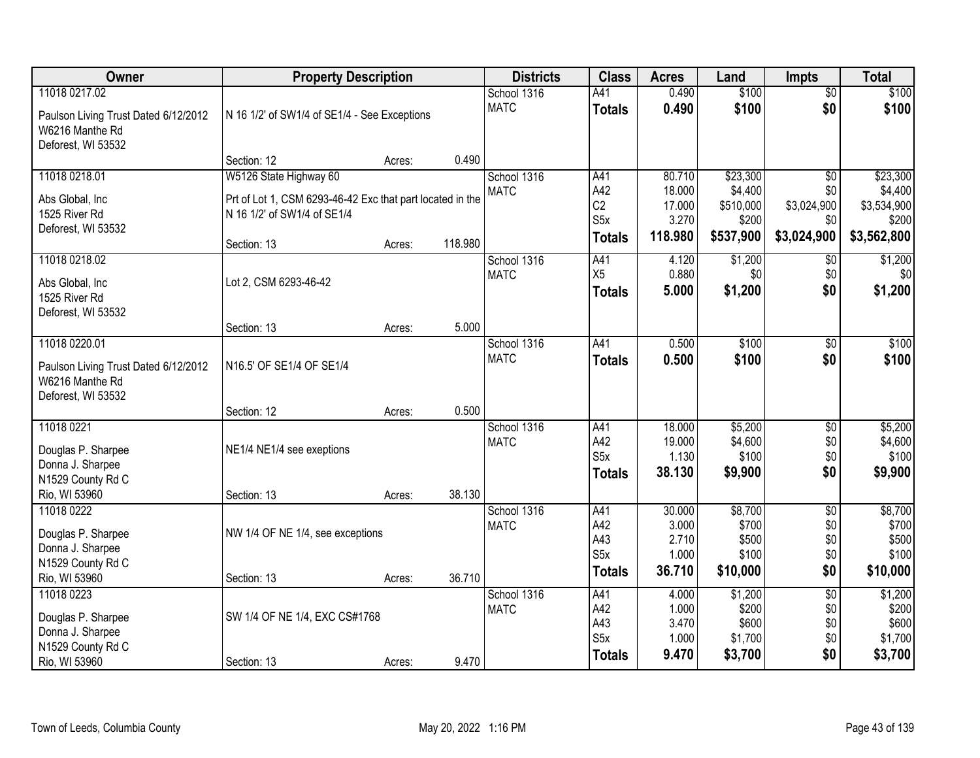| Owner                                                                         | <b>Property Description</b>                               |        |         | <b>Districts</b> | <b>Class</b>     | <b>Acres</b>   | Land      | <b>Impts</b>    | <b>Total</b> |
|-------------------------------------------------------------------------------|-----------------------------------------------------------|--------|---------|------------------|------------------|----------------|-----------|-----------------|--------------|
| 11018 0217.02                                                                 |                                                           |        |         | School 1316      | A41              | 0.490          | \$100     | $\overline{60}$ | \$100        |
| Paulson Living Trust Dated 6/12/2012<br>W6216 Manthe Rd<br>Deforest, WI 53532 | N 16 1/2' of SW1/4 of SE1/4 - See Exceptions              |        |         | <b>MATC</b>      | <b>Totals</b>    | 0.490          | \$100     | \$0             | \$100        |
|                                                                               | Section: 12                                               | Acres: | 0.490   |                  |                  |                |           |                 |              |
| 11018 0218.01                                                                 | W5126 State Highway 60                                    |        |         | School 1316      | A41              | 80.710         | \$23,300  | $\overline{50}$ | \$23,300     |
| Abs Global, Inc                                                               | Prt of Lot 1, CSM 6293-46-42 Exc that part located in the |        |         | <b>MATC</b>      | A42              | 18.000         | \$4,400   | \$0             | \$4,400      |
| 1525 River Rd                                                                 | N 16 1/2' of SW1/4 of SE1/4                               |        |         |                  | C <sub>2</sub>   | 17.000         | \$510,000 | \$3,024,900     | \$3,534,900  |
| Deforest, WI 53532                                                            |                                                           |        |         |                  | S <sub>5</sub> x | 3.270          | \$200     | \$0             | \$200        |
|                                                                               | Section: 13                                               | Acres: | 118.980 |                  | <b>Totals</b>    | 118.980        | \$537,900 | \$3,024,900     | \$3,562,800  |
| 11018 0218.02                                                                 |                                                           |        |         | School 1316      | A41              | 4.120          | \$1,200   | \$0             | \$1,200      |
| Abs Global, Inc                                                               | Lot 2, CSM 6293-46-42                                     |        |         | <b>MATC</b>      | X <sub>5</sub>   | 0.880          | \$0       | \$0             | \$0          |
| 1525 River Rd                                                                 |                                                           |        |         |                  | <b>Totals</b>    | 5.000          | \$1,200   | \$0             | \$1,200      |
| Deforest, WI 53532                                                            |                                                           |        |         |                  |                  |                |           |                 |              |
|                                                                               | Section: 13                                               | Acres: | 5.000   |                  |                  |                |           |                 |              |
| 11018 0220.01                                                                 |                                                           |        |         | School 1316      | A41              | 0.500          | \$100     | $\sqrt[6]{3}$   | \$100        |
| Paulson Living Trust Dated 6/12/2012<br>W6216 Manthe Rd<br>Deforest, WI 53532 | N16.5' OF SE1/4 OF SE1/4                                  |        |         | <b>MATC</b>      | <b>Totals</b>    | 0.500          | \$100     | \$0             | \$100        |
|                                                                               | Section: 12                                               | Acres: | 0.500   |                  |                  |                |           |                 |              |
| 11018 0221                                                                    |                                                           |        |         | School 1316      | A41              | 18.000         | \$5,200   | \$0             | \$5,200      |
| Douglas P. Sharpee                                                            | NE1/4 NE1/4 see exeptions                                 |        |         | <b>MATC</b>      | A42              | 19.000         | \$4,600   | \$0             | \$4,600      |
| Donna J. Sharpee                                                              |                                                           |        |         |                  | S <sub>5</sub> x | 1.130          | \$100     | \$0             | \$100        |
| N1529 County Rd C                                                             |                                                           |        |         |                  | <b>Totals</b>    | 38.130         | \$9,900   | \$0             | \$9,900      |
| Rio, WI 53960                                                                 | Section: 13                                               | Acres: | 38.130  |                  |                  |                |           |                 |              |
| 11018 0222                                                                    |                                                           |        |         | School 1316      | A41              | 30.000         | \$8,700   | $\overline{50}$ | \$8,700      |
| Douglas P. Sharpee                                                            | NW 1/4 OF NE 1/4, see exceptions                          |        |         | <b>MATC</b>      | A42              | 3.000          | \$700     | \$0             | \$700        |
| Donna J. Sharpee                                                              |                                                           |        |         |                  | A43              | 2.710          | \$500     | \$0             | \$500        |
| N1529 County Rd C                                                             |                                                           |        |         |                  | S <sub>5</sub> x | 1.000          | \$100     | \$0             | \$100        |
| Rio, WI 53960                                                                 | Section: 13                                               | Acres: | 36.710  |                  | <b>Totals</b>    | 36.710         | \$10,000  | \$0             | \$10,000     |
| 11018 0223                                                                    |                                                           |        |         | School 1316      | A41              | 4.000          | \$1,200   | $\overline{50}$ | \$1,200      |
| Douglas P. Sharpee                                                            | SW 1/4 OF NE 1/4, EXC CS#1768                             |        |         | <b>MATC</b>      | A42              | 1.000          | \$200     | \$0             | \$200        |
| Donna J. Sharpee                                                              |                                                           |        |         |                  | A43              | 3.470          | \$600     | \$0             | \$600        |
| N1529 County Rd C                                                             |                                                           |        |         |                  | S <sub>5</sub> x | 1.000<br>9.470 | \$1,700   | \$0<br>\$0      | \$1,700      |
| Rio, WI 53960                                                                 | Section: 13                                               | Acres: | 9.470   |                  | <b>Totals</b>    |                | \$3,700   |                 | \$3,700      |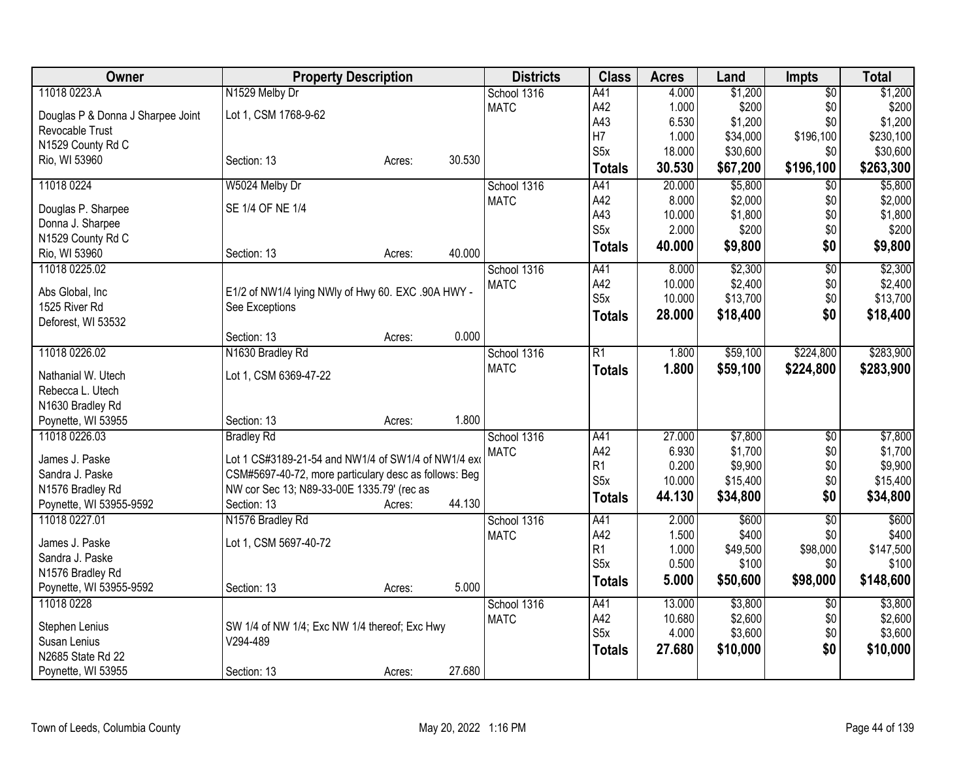| Owner                             | <b>Property Description</b>                           |        |        | <b>Districts</b> | <b>Class</b>     | <b>Acres</b> | Land     | <b>Impts</b>    | <b>Total</b> |
|-----------------------------------|-------------------------------------------------------|--------|--------|------------------|------------------|--------------|----------|-----------------|--------------|
| 11018 0223.A                      | N1529 Melby Dr                                        |        |        | School 1316      | A41              | 4.000        | \$1,200  | $\overline{50}$ | \$1,200      |
| Douglas P & Donna J Sharpee Joint | Lot 1, CSM 1768-9-62                                  |        |        | <b>MATC</b>      | A42              | 1.000        | \$200    | \$0             | \$200        |
| Revocable Trust                   |                                                       |        |        |                  | A43              | 6.530        | \$1,200  | \$0             | \$1,200      |
| N1529 County Rd C                 |                                                       |        |        |                  | H7               | 1.000        | \$34,000 | \$196,100       | \$230,100    |
| Rio, WI 53960                     | Section: 13                                           | Acres: | 30.530 |                  | S5x              | 18.000       | \$30,600 | \$0             | \$30,600     |
|                                   |                                                       |        |        |                  | <b>Totals</b>    | 30.530       | \$67,200 | \$196,100       | \$263,300    |
| 11018 0224                        | W5024 Melby Dr                                        |        |        | School 1316      | A41              | 20.000       | \$5,800  | $\overline{50}$ | \$5,800      |
| Douglas P. Sharpee                | SE 1/4 OF NE 1/4                                      |        |        | <b>MATC</b>      | A42              | 8.000        | \$2,000  | \$0             | \$2,000      |
| Donna J. Sharpee                  |                                                       |        |        |                  | A43              | 10.000       | \$1,800  | \$0             | \$1,800      |
| N1529 County Rd C                 |                                                       |        |        |                  | S <sub>5</sub> x | 2.000        | \$200    | \$0             | \$200        |
| Rio, WI 53960                     | Section: 13                                           | Acres: | 40.000 |                  | <b>Totals</b>    | 40.000       | \$9,800  | \$0             | \$9,800      |
| 11018 0225.02                     |                                                       |        |        | School 1316      | A41              | 8.000        | \$2,300  | $\overline{50}$ | \$2,300      |
|                                   |                                                       |        |        | <b>MATC</b>      | A42              | 10.000       | \$2,400  | \$0             | \$2,400      |
| Abs Global, Inc                   | E1/2 of NW1/4 lying NWly of Hwy 60. EXC .90A HWY -    |        |        |                  | S <sub>5</sub> x | 10.000       | \$13,700 | \$0             | \$13,700     |
| 1525 River Rd                     | See Exceptions                                        |        |        |                  | <b>Totals</b>    | 28.000       | \$18,400 | \$0             | \$18,400     |
| Deforest, WI 53532                | Section: 13                                           | Acres: | 0.000  |                  |                  |              |          |                 |              |
| 11018 0226.02                     | N1630 Bradley Rd                                      |        |        | School 1316      | $\overline{R1}$  | 1.800        | \$59,100 | \$224,800       | \$283,900    |
|                                   |                                                       |        |        | <b>MATC</b>      |                  | 1.800        | \$59,100 | \$224,800       | \$283,900    |
| Nathanial W. Utech                | Lot 1, CSM 6369-47-22                                 |        |        |                  | <b>Totals</b>    |              |          |                 |              |
| Rebecca L. Utech                  |                                                       |        |        |                  |                  |              |          |                 |              |
| N1630 Bradley Rd                  |                                                       |        |        |                  |                  |              |          |                 |              |
| Poynette, WI 53955                | Section: 13                                           | Acres: | 1.800  |                  |                  |              |          |                 |              |
| 11018 0226.03                     | <b>Bradley Rd</b>                                     |        |        | School 1316      | A41              | 27.000       | \$7,800  | $\overline{60}$ | \$7,800      |
| James J. Paske                    | Lot 1 CS#3189-21-54 and NW1/4 of SW1/4 of NW1/4 ext   |        |        | <b>MATC</b>      | A42              | 6.930        | \$1,700  | \$0             | \$1,700      |
| Sandra J. Paske                   | CSM#5697-40-72, more particulary desc as follows: Beg |        |        |                  | R <sub>1</sub>   | 0.200        | \$9,900  | \$0             | \$9,900      |
| N1576 Bradley Rd                  | NW cor Sec 13; N89-33-00E 1335.79' (rec as            |        |        |                  | S <sub>5</sub> x | 10.000       | \$15,400 | \$0             | \$15,400     |
| Poynette, WI 53955-9592           | Section: 13                                           | Acres: | 44.130 |                  | <b>Totals</b>    | 44.130       | \$34,800 | \$0             | \$34,800     |
| 11018 0227.01                     | N1576 Bradley Rd                                      |        |        | School 1316      | A41              | 2.000        | \$600    | $\overline{50}$ | \$600        |
| James J. Paske                    | Lot 1, CSM 5697-40-72                                 |        |        | <b>MATC</b>      | A42              | 1.500        | \$400    | \$0             | \$400        |
| Sandra J. Paske                   |                                                       |        |        |                  | R <sub>1</sub>   | 1.000        | \$49,500 | \$98,000        | \$147,500    |
| N1576 Bradley Rd                  |                                                       |        |        |                  | S <sub>5</sub> x | 0.500        | \$100    | \$0             | \$100        |
| Poynette, WI 53955-9592           | Section: 13                                           | Acres: | 5.000  |                  | <b>Totals</b>    | 5.000        | \$50,600 | \$98,000        | \$148,600    |
| 11018 0228                        |                                                       |        |        | School 1316      | A41              | 13.000       | \$3,800  | \$0             | \$3,800      |
|                                   |                                                       |        |        | <b>MATC</b>      | A42              | 10.680       | \$2,600  | \$0             | \$2,600      |
| Stephen Lenius                    | SW 1/4 of NW 1/4; Exc NW 1/4 thereof; Exc Hwy         |        |        |                  | S <sub>5</sub> x | 4.000        | \$3,600  | \$0             | \$3,600      |
| Susan Lenius                      | V294-489                                              |        |        |                  | <b>Totals</b>    | 27,680       | \$10,000 | \$0             | \$10,000     |
| N2685 State Rd 22                 |                                                       |        |        |                  |                  |              |          |                 |              |
| Poynette, WI 53955                | Section: 13                                           | Acres: | 27.680 |                  |                  |              |          |                 |              |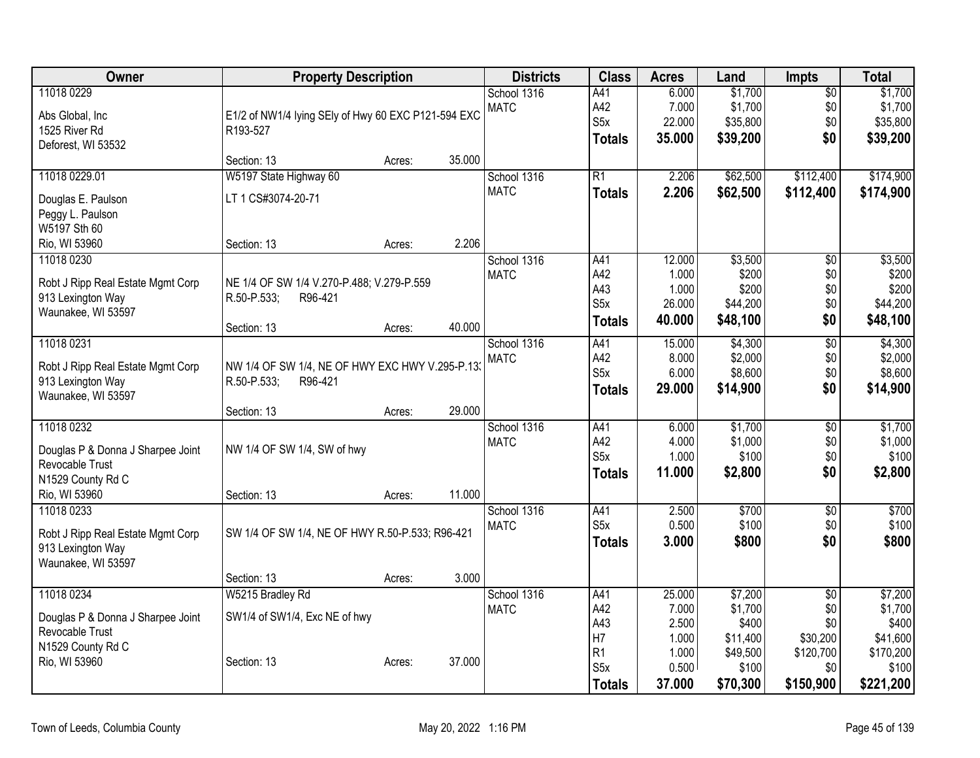| Owner                             | <b>Property Description</b>                         |        |        | <b>Districts</b> | <b>Class</b>            | <b>Acres</b>   | Land               | <b>Impts</b>    | <b>Total</b>       |
|-----------------------------------|-----------------------------------------------------|--------|--------|------------------|-------------------------|----------------|--------------------|-----------------|--------------------|
| 11018 0229                        |                                                     |        |        | School 1316      | A41                     | 6.000          | \$1,700            | $\overline{50}$ | \$1,700            |
| Abs Global, Inc                   | E1/2 of NW1/4 lying SEly of Hwy 60 EXC P121-594 EXC |        |        | <b>MATC</b>      | A42                     | 7.000          | \$1,700            | \$0             | \$1,700            |
| 1525 River Rd                     | R193-527                                            |        |        |                  | S <sub>5</sub> x        | 22.000         | \$35,800           | \$0             | \$35,800           |
| Deforest, WI 53532                |                                                     |        |        |                  | <b>Totals</b>           | 35.000         | \$39,200           | \$0             | \$39,200           |
|                                   | Section: 13                                         | Acres: | 35.000 |                  |                         |                |                    |                 |                    |
| 11018 0229.01                     | W5197 State Highway 60                              |        |        | School 1316      | $\overline{R1}$         | 2.206          | \$62,500           | \$112,400       | \$174,900          |
| Douglas E. Paulson                | LT 1 CS#3074-20-71                                  |        |        | <b>MATC</b>      | <b>Totals</b>           | 2.206          | \$62,500           | \$112,400       | \$174,900          |
| Peggy L. Paulson                  |                                                     |        |        |                  |                         |                |                    |                 |                    |
| W5197 Sth 60                      |                                                     |        |        |                  |                         |                |                    |                 |                    |
| Rio, WI 53960                     | Section: 13                                         | Acres: | 2.206  |                  |                         |                |                    |                 |                    |
| 11018 0230                        |                                                     |        |        | School 1316      | A41                     | 12.000         | \$3,500            | $\overline{50}$ | \$3,500            |
| Robt J Ripp Real Estate Mgmt Corp | NE 1/4 OF SW 1/4 V.270-P.488; V.279-P.559           |        |        | <b>MATC</b>      | A42<br>A43              | 1.000<br>1.000 | \$200<br>\$200     | \$0<br>\$0      | \$200<br>\$200     |
| 913 Lexington Way                 | R.50-P.533;<br>R96-421                              |        |        |                  | S <sub>5</sub> x        | 26.000         | \$44,200           | \$0             | \$44,200           |
| Waunakee, WI 53597                |                                                     |        |        |                  | <b>Totals</b>           | 40.000         | \$48,100           | \$0             | \$48,100           |
|                                   | Section: 13                                         | Acres: | 40.000 |                  |                         |                |                    |                 |                    |
| 11018 0231                        |                                                     |        |        | School 1316      | A41                     | 15.000         | \$4,300            | $\overline{60}$ | \$4,300            |
| Robt J Ripp Real Estate Mgmt Corp | NW 1/4 OF SW 1/4, NE OF HWY EXC HWY V.295-P.13      |        |        | <b>MATC</b>      | A42<br>S <sub>5</sub> x | 8.000<br>6.000 | \$2,000<br>\$8,600 | \$0<br>\$0      | \$2,000<br>\$8,600 |
| 913 Lexington Way                 | R.50-P.533;<br>R96-421                              |        |        |                  | <b>Totals</b>           | 29.000         | \$14,900           | \$0             | \$14,900           |
| Waunakee, WI 53597                |                                                     |        |        |                  |                         |                |                    |                 |                    |
|                                   | Section: 13                                         | Acres: | 29.000 |                  |                         |                |                    |                 |                    |
| 11018 0232                        |                                                     |        |        | School 1316      | A41                     | 6.000          | \$1,700            | \$0             | \$1,700            |
| Douglas P & Donna J Sharpee Joint | NW 1/4 OF SW 1/4, SW of hwy                         |        |        | <b>MATC</b>      | A42<br>S5x              | 4.000<br>1.000 | \$1,000<br>\$100   | \$0<br>\$0      | \$1,000<br>\$100   |
| Revocable Trust                   |                                                     |        |        |                  | <b>Totals</b>           | 11.000         | \$2,800            | \$0             | \$2,800            |
| N1529 County Rd C                 |                                                     |        |        |                  |                         |                |                    |                 |                    |
| Rio, WI 53960                     | Section: 13                                         | Acres: | 11.000 |                  |                         |                |                    |                 |                    |
| 11018 0233                        |                                                     |        |        | School 1316      | A41                     | 2.500          | \$700              | $\overline{60}$ | \$700              |
| Robt J Ripp Real Estate Mgmt Corp | SW 1/4 OF SW 1/4, NE OF HWY R.50-P.533; R96-421     |        |        | <b>MATC</b>      | S5x                     | 0.500<br>3.000 | \$100<br>\$800     | \$0<br>\$0      | \$100<br>\$800     |
| 913 Lexington Way                 |                                                     |        |        |                  | <b>Totals</b>           |                |                    |                 |                    |
| Waunakee, WI 53597                |                                                     |        |        |                  |                         |                |                    |                 |                    |
|                                   | Section: 13                                         | Acres: | 3.000  |                  |                         |                |                    |                 |                    |
| 11018 0234                        | W5215 Bradley Rd                                    |        |        | School 1316      | A41                     | 25.000         | \$7,200            | $\overline{50}$ | \$7,200            |
| Douglas P & Donna J Sharpee Joint | SW1/4 of SW1/4, Exc NE of hwy                       |        |        | <b>MATC</b>      | A42<br>A43              | 7.000<br>2.500 | \$1,700<br>\$400   | \$0<br>\$0      | \$1,700<br>\$400   |
| Revocable Trust                   |                                                     |        |        |                  | H7                      | 1.000          | \$11,400           | \$30,200        | \$41,600           |
| N1529 County Rd C                 |                                                     |        |        |                  | R <sub>1</sub>          | 1.000          | \$49,500           | \$120,700       | \$170,200          |
| Rio, WI 53960                     | Section: 13                                         | Acres: | 37.000 |                  | S <sub>5</sub> x        | 0.500          | \$100              | \$0             | \$100              |
|                                   |                                                     |        |        |                  | <b>Totals</b>           | 37.000         | \$70,300           | \$150,900       | \$221,200          |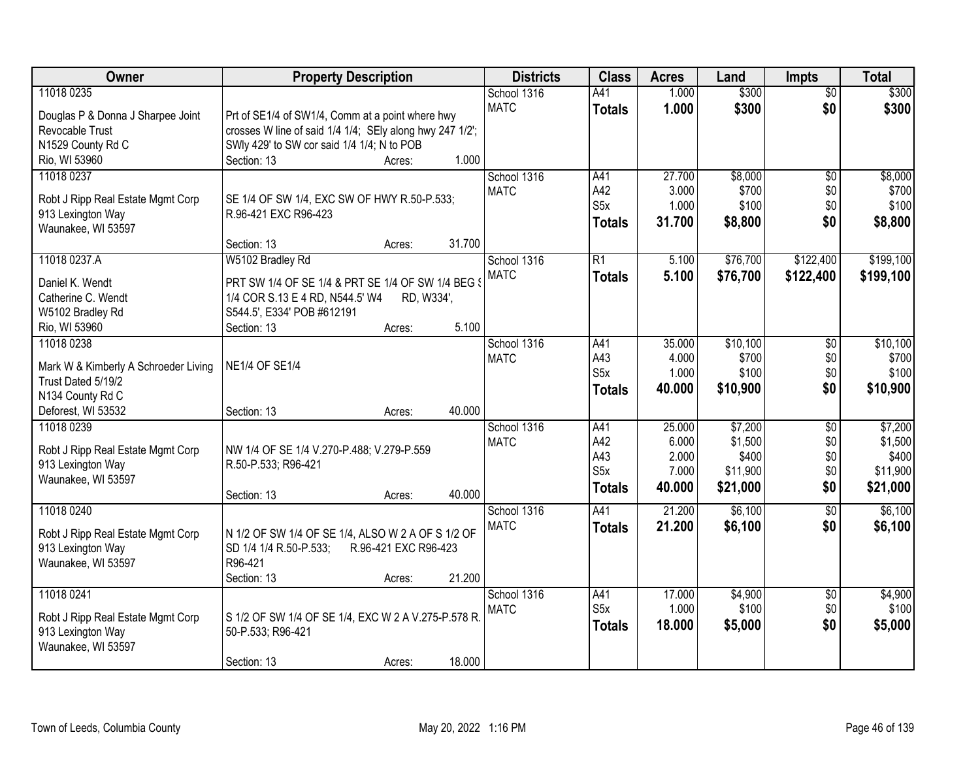| Owner                                                  | <b>Property Description</b>                                                                         | <b>Districts</b> | <b>Class</b>     | <b>Acres</b> | Land     | <b>Impts</b>    | <b>Total</b> |
|--------------------------------------------------------|-----------------------------------------------------------------------------------------------------|------------------|------------------|--------------|----------|-----------------|--------------|
| 11018 0235                                             |                                                                                                     | School 1316      | A41              | 1.000        | \$300    | $\overline{50}$ | \$300        |
| Douglas P & Donna J Sharpee Joint                      | Prt of SE1/4 of SW1/4, Comm at a point where hwy                                                    | <b>MATC</b>      | <b>Totals</b>    | 1.000        | \$300    | \$0             | \$300        |
| Revocable Trust                                        | crosses W line of said 1/4 1/4; SEly along hwy 247 1/2';                                            |                  |                  |              |          |                 |              |
| N1529 County Rd C                                      | SWIy 429' to SW cor said 1/4 1/4; N to POB                                                          |                  |                  |              |          |                 |              |
| Rio, WI 53960                                          | 1.000<br>Section: 13<br>Acres:                                                                      |                  |                  |              |          |                 |              |
| 11018 0237                                             |                                                                                                     | School 1316      | A41              | 27.700       | \$8,000  | $\overline{50}$ | \$8,000      |
| Robt J Ripp Real Estate Mgmt Corp                      | SE 1/4 OF SW 1/4, EXC SW OF HWY R.50-P.533;                                                         | <b>MATC</b>      | A42              | 3.000        | \$700    | \$0             | \$700        |
| 913 Lexington Way                                      | R.96-421 EXC R96-423                                                                                |                  | S <sub>5</sub> x | 1.000        | \$100    | \$0             | \$100        |
| Waunakee, WI 53597                                     |                                                                                                     |                  | <b>Totals</b>    | 31.700       | \$8,800  | \$0             | \$8,800      |
|                                                        | 31.700<br>Section: 13<br>Acres:                                                                     |                  |                  |              |          |                 |              |
| 11018 0237.A                                           | W5102 Bradley Rd                                                                                    | School 1316      | $\overline{R1}$  | 5.100        | \$76,700 | \$122,400       | \$199,100    |
| Daniel K. Wendt                                        | PRT SW 1/4 OF SE 1/4 & PRT SE 1/4 OF SW 1/4 BEG \$                                                  | <b>MATC</b>      | <b>Totals</b>    | 5.100        | \$76,700 | \$122,400       | \$199,100    |
| Catherine C. Wendt                                     | 1/4 COR S.13 E 4 RD, N544.5' W4<br>RD, W334',                                                       |                  |                  |              |          |                 |              |
| W5102 Bradley Rd                                       | S544.5', E334' POB #612191                                                                          |                  |                  |              |          |                 |              |
| Rio, WI 53960                                          | 5.100<br>Section: 13<br>Acres:                                                                      |                  |                  |              |          |                 |              |
| 11018 0238                                             |                                                                                                     | School 1316      | A41              | 35.000       | \$10,100 | \$0             | \$10,100     |
| Mark W & Kimberly A Schroeder Living                   | <b>NE1/4 OF SE1/4</b>                                                                               | <b>MATC</b>      | A43              | 4.000        | \$700    | \$0             | \$700        |
| Trust Dated 5/19/2                                     |                                                                                                     |                  | S <sub>5</sub> x | 1.000        | \$100    | \$0             | \$100        |
| N134 County Rd C                                       |                                                                                                     |                  | <b>Totals</b>    | 40.000       | \$10,900 | \$0             | \$10,900     |
| Deforest, WI 53532                                     | 40.000<br>Section: 13<br>Acres:                                                                     |                  |                  |              |          |                 |              |
| 11018 0239                                             |                                                                                                     | School 1316      | A41              | 25.000       | \$7,200  | $\overline{50}$ | \$7,200      |
|                                                        |                                                                                                     | <b>MATC</b>      | A42              | 6.000        | \$1,500  | \$0             | \$1,500      |
| Robt J Ripp Real Estate Mgmt Corp<br>913 Lexington Way | NW 1/4 OF SE 1/4 V.270-P.488; V.279-P.559<br>R.50-P.533; R96-421                                    |                  | A43              | 2.000        | \$400    | \$0             | \$400        |
| Waunakee, WI 53597                                     |                                                                                                     |                  | S <sub>5</sub> x | 7.000        | \$11,900 | \$0             | \$11,900     |
|                                                        | 40.000<br>Section: 13<br>Acres:                                                                     |                  | <b>Totals</b>    | 40.000       | \$21,000 | \$0             | \$21,000     |
| 11018 0240                                             |                                                                                                     | School 1316      | A41              | 21.200       | \$6,100  | $\overline{30}$ | \$6,100      |
|                                                        |                                                                                                     | <b>MATC</b>      | <b>Totals</b>    | 21.200       | \$6,100  | \$0             | \$6,100      |
| Robt J Ripp Real Estate Mgmt Corp<br>913 Lexington Way | N 1/2 OF SW 1/4 OF SE 1/4, ALSO W 2 A OF S 1/2 OF<br>SD 1/4 1/4 R.50-P.533;<br>R.96-421 EXC R96-423 |                  |                  |              |          |                 |              |
| Waunakee, WI 53597                                     | R96-421                                                                                             |                  |                  |              |          |                 |              |
|                                                        | 21.200<br>Section: 13<br>Acres:                                                                     |                  |                  |              |          |                 |              |
| 11018 0241                                             |                                                                                                     | School 1316      | A41              | 17.000       | \$4,900  | $\overline{60}$ | \$4,900      |
|                                                        |                                                                                                     | <b>MATC</b>      | S5x              | 1.000        | \$100    | \$0             | \$100        |
| Robt J Ripp Real Estate Mgmt Corp<br>913 Lexington Way | S 1/2 OF SW 1/4 OF SE 1/4, EXC W 2 A V.275-P.578 R.<br>50-P.533; R96-421                            |                  | <b>Totals</b>    | 18.000       | \$5,000  | \$0             | \$5,000      |
| Waunakee, WI 53597                                     |                                                                                                     |                  |                  |              |          |                 |              |
|                                                        | 18.000<br>Section: 13<br>Acres:                                                                     |                  |                  |              |          |                 |              |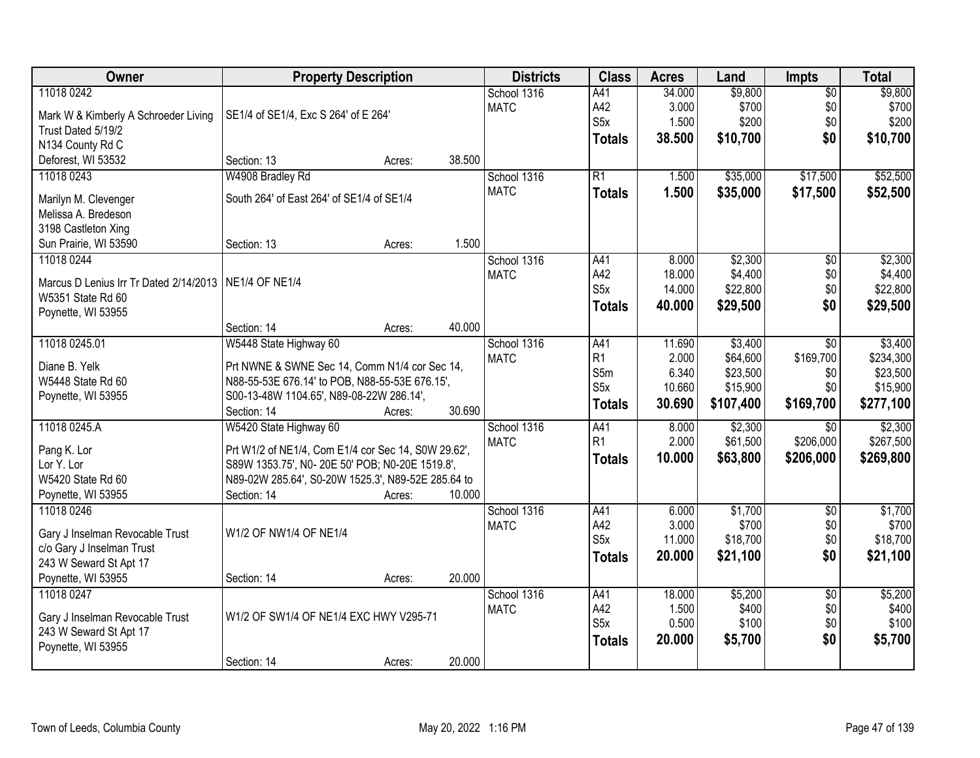| Owner                                  | <b>Property Description</b>                         |        |        | <b>Districts</b> | <b>Class</b>          | <b>Acres</b>    | Land             | <b>Impts</b>           | <b>Total</b>     |
|----------------------------------------|-----------------------------------------------------|--------|--------|------------------|-----------------------|-----------------|------------------|------------------------|------------------|
| 11018 0242                             |                                                     |        |        | School 1316      | A41                   | 34.000          | \$9,800          | $\overline{$0}$        | \$9,800          |
| Mark W & Kimberly A Schroeder Living   | SE1/4 of SE1/4, Exc S 264' of E 264'                |        |        | <b>MATC</b>      | A42                   | 3.000           | \$700            | \$0                    | \$700            |
| Trust Dated 5/19/2                     |                                                     |        |        |                  | S5x                   | 1.500           | \$200            | \$0                    | \$200            |
| N134 County Rd C                       |                                                     |        |        |                  | <b>Totals</b>         | 38.500          | \$10,700         | \$0                    | \$10,700         |
| Deforest, WI 53532                     | Section: 13                                         | Acres: | 38.500 |                  |                       |                 |                  |                        |                  |
| 11018 0243                             | W4908 Bradley Rd                                    |        |        | School 1316      | $\overline{R1}$       | 1.500           | \$35,000         | \$17,500               | \$52,500         |
|                                        |                                                     |        |        | <b>MATC</b>      | <b>Totals</b>         | 1.500           | \$35,000         | \$17,500               | \$52,500         |
| Marilyn M. Clevenger                   | South 264' of East 264' of SE1/4 of SE1/4           |        |        |                  |                       |                 |                  |                        |                  |
| Melissa A. Bredeson                    |                                                     |        |        |                  |                       |                 |                  |                        |                  |
| 3198 Castleton Xing                    |                                                     |        |        |                  |                       |                 |                  |                        |                  |
| Sun Prairie, WI 53590                  | Section: 13                                         | Acres: | 1.500  |                  |                       |                 |                  |                        |                  |
| 11018 0244                             |                                                     |        |        | School 1316      | A41                   | 8.000           | \$2,300          | \$0                    | \$2,300          |
| Marcus D Lenius Irr Tr Dated 2/14/2013 | <b>NE1/4 OF NE1/4</b>                               |        |        | <b>MATC</b>      | A42                   | 18.000          | \$4,400          | \$0                    | \$4,400          |
| W5351 State Rd 60                      |                                                     |        |        |                  | S <sub>5</sub> x      | 14.000          | \$22,800         | \$0                    | \$22,800         |
| Poynette, WI 53955                     |                                                     |        |        |                  | <b>Totals</b>         | 40.000          | \$29,500         | \$0                    | \$29,500         |
|                                        | Section: 14                                         | Acres: | 40.000 |                  |                       |                 |                  |                        |                  |
| 11018 0245.01                          | W5448 State Highway 60                              |        |        | School 1316      | A41                   | 11.690          | \$3,400          | \$0                    | \$3,400          |
|                                        |                                                     |        |        | <b>MATC</b>      | R1                    | 2.000           | \$64,600         | \$169,700              | \$234,300        |
| Diane B. Yelk                          | Prt NWNE & SWNE Sec 14, Comm N1/4 cor Sec 14,       |        |        |                  | S5m                   | 6.340           | \$23,500         | \$0                    | \$23,500         |
| W5448 State Rd 60                      | N88-55-53E 676.14' to POB, N88-55-53E 676.15',      |        |        |                  | S <sub>5</sub> x      | 10.660          | \$15,900         | \$0                    | \$15,900         |
| Poynette, WI 53955                     | S00-13-48W 1104.65', N89-08-22W 286.14',            |        |        |                  | <b>Totals</b>         | 30.690          | \$107,400        | \$169,700              | \$277,100        |
|                                        | Section: 14                                         | Acres: | 30.690 |                  |                       |                 |                  |                        |                  |
| 11018 0245.A                           | W5420 State Highway 60                              |        |        | School 1316      | A41<br>R <sub>1</sub> | 8.000           | \$2,300          | \$0                    | \$2,300          |
| Pang K. Lor                            | Prt W1/2 of NE1/4, Com E1/4 cor Sec 14, S0W 29.62', |        |        | <b>MATC</b>      |                       | 2.000           | \$61,500         | \$206,000              | \$267,500        |
| Lor Y. Lor                             | S89W 1353.75', NO- 20E 50' POB; NO-20E 1519.8',     |        |        |                  | <b>Totals</b>         | 10.000          | \$63,800         | \$206,000              | \$269,800        |
| W5420 State Rd 60                      | N89-02W 285.64', S0-20W 1525.3', N89-52E 285.64 to  |        |        |                  |                       |                 |                  |                        |                  |
| Poynette, WI 53955                     | Section: 14                                         | Acres: | 10.000 |                  |                       |                 |                  |                        |                  |
| 11018 0246                             |                                                     |        |        | School 1316      | A41                   | 6.000           | \$1,700          | $\overline{50}$        | \$1,700          |
|                                        | W1/2 OF NW1/4 OF NE1/4                              |        |        | <b>MATC</b>      | A42                   | 3.000           | \$700            | \$0                    | \$700            |
| Gary J Inselman Revocable Trust        |                                                     |        |        |                  | S <sub>5</sub> x      | 11.000          | \$18,700         | \$0                    | \$18,700         |
| c/o Gary J Inselman Trust              |                                                     |        |        |                  | <b>Totals</b>         | 20,000          | \$21,100         | \$0                    | \$21,100         |
| 243 W Seward St Apt 17                 |                                                     |        | 20.000 |                  |                       |                 |                  |                        |                  |
| Poynette, WI 53955                     | Section: 14                                         | Acres: |        |                  |                       |                 |                  |                        |                  |
| 11018 0247                             |                                                     |        |        | School 1316      | A41<br>A42            | 18.000<br>1.500 | \$5,200<br>\$400 | $\overline{50}$<br>\$0 | \$5,200<br>\$400 |
| Gary J Inselman Revocable Trust        | W1/2 OF SW1/4 OF NE1/4 EXC HWY V295-71              |        |        | <b>MATC</b>      | S <sub>5x</sub>       | 0.500           | \$100            |                        | \$100            |
| 243 W Seward St Apt 17                 |                                                     |        |        |                  |                       |                 |                  | \$0                    |                  |
| Poynette, WI 53955                     |                                                     |        |        |                  | <b>Totals</b>         | 20.000          | \$5,700          | \$0                    | \$5,700          |
|                                        | Section: 14                                         | Acres: | 20.000 |                  |                       |                 |                  |                        |                  |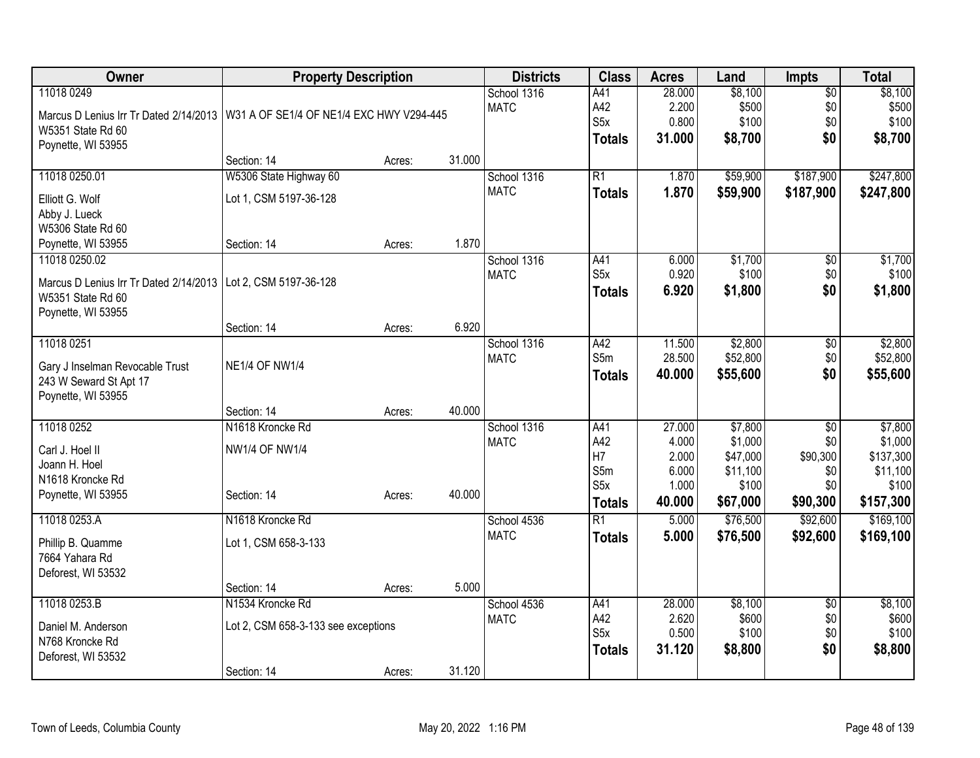| <b>Owner</b>                                                                      | <b>Property Description</b>         |        |        | <b>Districts</b> | <b>Class</b>     | <b>Acres</b> | Land     | <b>Impts</b>    | <b>Total</b> |
|-----------------------------------------------------------------------------------|-------------------------------------|--------|--------|------------------|------------------|--------------|----------|-----------------|--------------|
| 11018 0249                                                                        |                                     |        |        | School 1316      | A41              | 28.000       | \$8,100  | $\overline{50}$ | \$8,100      |
| Marcus D Lenius Irr Tr Dated 2/14/2013   W31 A OF SE1/4 OF NE1/4 EXC HWY V294-445 |                                     |        |        | <b>MATC</b>      | A42              | 2.200        | \$500    | \$0             | \$500        |
| W5351 State Rd 60                                                                 |                                     |        |        |                  | S <sub>5</sub> x | 0.800        | \$100    | \$0             | \$100        |
| Poynette, WI 53955                                                                |                                     |        |        |                  | <b>Totals</b>    | 31.000       | \$8,700  | \$0             | \$8,700      |
|                                                                                   | Section: 14                         | Acres: | 31.000 |                  |                  |              |          |                 |              |
| 11018 0250.01                                                                     | W5306 State Highway 60              |        |        | School 1316      | $\overline{R1}$  | 1.870        | \$59,900 | \$187,900       | \$247,800    |
| Elliott G. Wolf                                                                   | Lot 1, CSM 5197-36-128              |        |        | <b>MATC</b>      | <b>Totals</b>    | 1.870        | \$59,900 | \$187,900       | \$247,800    |
| Abby J. Lueck                                                                     |                                     |        |        |                  |                  |              |          |                 |              |
| W5306 State Rd 60                                                                 |                                     |        |        |                  |                  |              |          |                 |              |
| Poynette, WI 53955                                                                | Section: 14                         | Acres: | 1.870  |                  |                  |              |          |                 |              |
| 11018 0250.02                                                                     |                                     |        |        | School 1316      | A41              | 6.000        | \$1,700  | $\overline{50}$ | \$1,700      |
| Marcus D Lenius Irr Tr Dated 2/14/2013                                            | Lot 2, CSM 5197-36-128              |        |        | <b>MATC</b>      | S <sub>5x</sub>  | 0.920        | \$100    | \$0             | \$100        |
| W5351 State Rd 60                                                                 |                                     |        |        |                  | <b>Totals</b>    | 6.920        | \$1,800  | \$0             | \$1,800      |
| Poynette, WI 53955                                                                |                                     |        |        |                  |                  |              |          |                 |              |
|                                                                                   | Section: 14                         | Acres: | 6.920  |                  |                  |              |          |                 |              |
| 11018 0251                                                                        |                                     |        |        | School 1316      | A42              | 11.500       | \$2,800  | \$0             | \$2,800      |
| Gary J Inselman Revocable Trust                                                   | <b>NE1/4 OF NW1/4</b>               |        |        | <b>MATC</b>      | S5m              | 28.500       | \$52,800 | \$0             | \$52,800     |
| 243 W Seward St Apt 17                                                            |                                     |        |        |                  | <b>Totals</b>    | 40.000       | \$55,600 | \$0             | \$55,600     |
| Poynette, WI 53955                                                                |                                     |        |        |                  |                  |              |          |                 |              |
|                                                                                   | Section: 14                         | Acres: | 40.000 |                  |                  |              |          |                 |              |
| 11018 0252                                                                        | N1618 Kroncke Rd                    |        |        | School 1316      | A41              | 27.000       | \$7,800  | $\overline{50}$ | \$7,800      |
|                                                                                   |                                     |        |        | <b>MATC</b>      | A42              | 4.000        | \$1,000  | \$0             | \$1,000      |
| Carl J. Hoel II<br>Joann H. Hoel                                                  | <b>NW1/4 OF NW1/4</b>               |        |        |                  | H7               | 2.000        | \$47,000 | \$90,300        | \$137,300    |
| N1618 Kroncke Rd                                                                  |                                     |        |        |                  | S5m              | 6.000        | \$11,100 | \$0             | \$11,100     |
| Poynette, WI 53955                                                                | Section: 14                         | Acres: | 40.000 |                  | S <sub>5</sub> x | 1.000        | \$100    | \$0             | \$100        |
|                                                                                   |                                     |        |        |                  | <b>Totals</b>    | 40.000       | \$67,000 | \$90,300        | \$157,300    |
| 11018 0253.A                                                                      | N1618 Kroncke Rd                    |        |        | School 4536      | $\overline{R1}$  | 5.000        | \$76,500 | \$92,600        | \$169,100    |
| Phillip B. Quamme                                                                 | Lot 1, CSM 658-3-133                |        |        | <b>MATC</b>      | <b>Totals</b>    | 5.000        | \$76,500 | \$92,600        | \$169,100    |
| 7664 Yahara Rd                                                                    |                                     |        |        |                  |                  |              |          |                 |              |
| Deforest, WI 53532                                                                |                                     |        |        |                  |                  |              |          |                 |              |
|                                                                                   | Section: 14                         | Acres: | 5.000  |                  |                  |              |          |                 |              |
| 11018 0253.B                                                                      | N1534 Kroncke Rd                    |        |        | School 4536      | A41              | 28.000       | \$8,100  | \$0             | \$8,100      |
| Daniel M. Anderson                                                                | Lot 2, CSM 658-3-133 see exceptions |        |        | <b>MATC</b>      | A42              | 2.620        | \$600    | \$0             | \$600        |
| N768 Kroncke Rd                                                                   |                                     |        |        |                  | S5x              | 0.500        | \$100    | \$0             | \$100        |
| Deforest, WI 53532                                                                |                                     |        |        |                  | <b>Totals</b>    | 31.120       | \$8,800  | \$0             | \$8,800      |
|                                                                                   | Section: 14                         | Acres: | 31.120 |                  |                  |              |          |                 |              |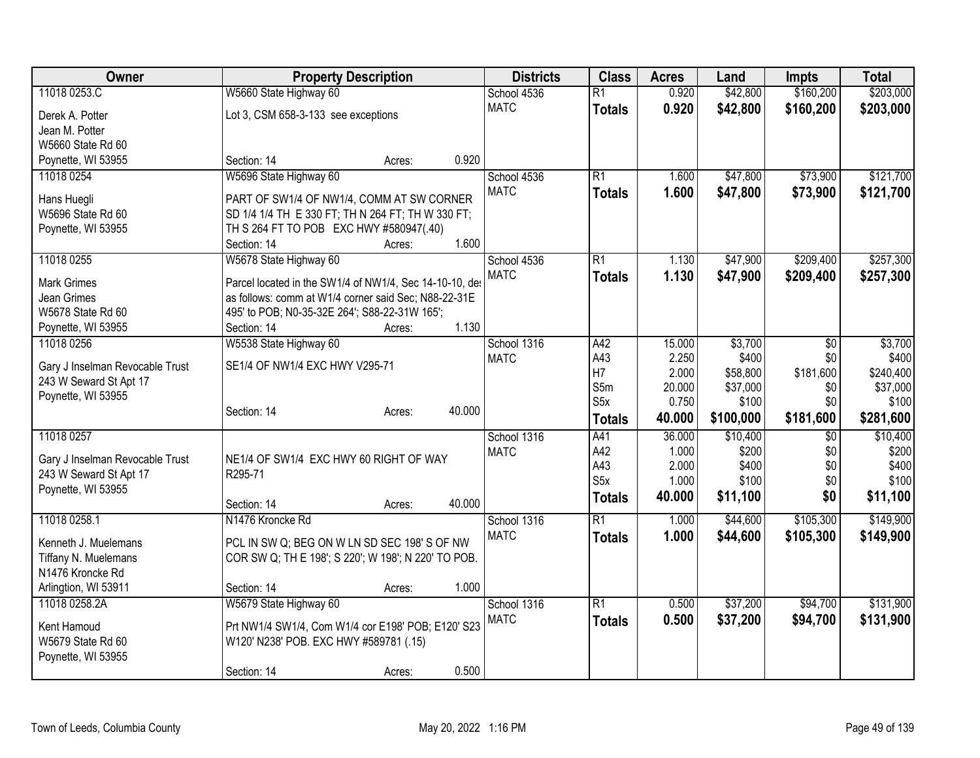| Owner                            | <b>Property Description</b>                                                                  | <b>Districts</b> | <b>Class</b>    | <b>Acres</b> | Land      | <b>Impts</b>    | <b>Total</b> |
|----------------------------------|----------------------------------------------------------------------------------------------|------------------|-----------------|--------------|-----------|-----------------|--------------|
| 11018 0253.C                     | W5660 State Highway 60                                                                       | School 4536      | $\overline{R1}$ | 0.920        | \$42,800  | \$160,200       | \$203,000    |
| Derek A. Potter                  | Lot 3, CSM 658-3-133 see exceptions                                                          | <b>MATC</b>      | <b>Totals</b>   | 0.920        | \$42,800  | \$160,200       | \$203,000    |
| Jean M. Potter                   |                                                                                              |                  |                 |              |           |                 |              |
| W5660 State Rd 60                |                                                                                              |                  |                 |              |           |                 |              |
| Poynette, WI 53955               | 0.920<br>Section: 14<br>Acres:                                                               |                  |                 |              |           |                 |              |
| 11018 0254                       | W5696 State Highway 60                                                                       | School 4536      | R1              | 1.600        | \$47,800  | \$73,900        | \$121,700    |
| Hans Huegli                      | PART OF SW1/4 OF NW1/4, COMM AT SW CORNER                                                    | <b>MATC</b>      | <b>Totals</b>   | 1.600        | \$47,800  | \$73,900        | \$121,700    |
| W5696 State Rd 60                | SD 1/4 1/4 TH E 330 FT; TH N 264 FT; TH W 330 FT;                                            |                  |                 |              |           |                 |              |
| Poynette, WI 53955               | TH S 264 FT TO POB EXC HWY #580947(.40)                                                      |                  |                 |              |           |                 |              |
|                                  | 1.600<br>Section: 14<br>Acres:                                                               |                  |                 |              |           |                 |              |
| 11018 0255                       | W5678 State Highway 60                                                                       | School 4536      | $\overline{R1}$ | 1.130        | \$47,900  | \$209,400       | \$257,300    |
| <b>Mark Grimes</b>               | Parcel located in the SW1/4 of NW1/4, Sec 14-10-10, det                                      | <b>MATC</b>      | <b>Totals</b>   | 1.130        | \$47,900  | \$209,400       | \$257,300    |
| Jean Grimes                      | as follows: comm at W1/4 corner said Sec; N88-22-31E                                         |                  |                 |              |           |                 |              |
| W5678 State Rd 60                | 495' to POB; N0-35-32E 264'; S88-22-31W 165';                                                |                  |                 |              |           |                 |              |
| Poynette, WI 53955               | 1.130<br>Section: 14<br>Acres:                                                               |                  |                 |              |           |                 |              |
| 11018 0256                       | W5538 State Highway 60                                                                       | School 1316      | A42             | 15.000       | \$3,700   | \$0             | \$3,700      |
|                                  |                                                                                              | <b>MATC</b>      | A43             | 2.250        | \$400     | \$0             | \$400        |
| Gary J Inselman Revocable Trust  | SE1/4 OF NW1/4 EXC HWY V295-71                                                               |                  | H7              | 2.000        | \$58,800  | \$181,600       | \$240,400    |
| 243 W Seward St Apt 17           |                                                                                              |                  | S5m             | 20.000       | \$37,000  | \$0             | \$37,000     |
| Poynette, WI 53955               | 40.000<br>Section: 14<br>Acres:                                                              |                  | S5x             | 0.750        | \$100     | \$0             | \$100        |
|                                  |                                                                                              |                  | <b>Totals</b>   | 40.000       | \$100,000 | \$181,600       | \$281,600    |
| 11018 0257                       |                                                                                              | School 1316      | A41             | 36.000       | \$10,400  | $\overline{50}$ | \$10,400     |
| Gary J Inselman Revocable Trust  | NE1/4 OF SW1/4 EXC HWY 60 RIGHT OF WAY                                                       | <b>MATC</b>      | A42             | 1.000        | \$200     | \$0             | \$200        |
| 243 W Seward St Apt 17           | R295-71                                                                                      |                  | A43             | 2.000        | \$400     | \$0             | \$400        |
| Poynette, WI 53955               |                                                                                              |                  | S <sub>5x</sub> | 1.000        | \$100     | \$0             | \$100        |
|                                  | 40.000<br>Section: 14<br>Acres:                                                              |                  | <b>Totals</b>   | 40.000       | \$11,100  | \$0             | \$11,100     |
| 11018 0258.1                     | N1476 Kroncke Rd                                                                             | School 1316      | R1              | 1.000        | \$44,600  | \$105,300       | \$149,900    |
| Kenneth J. Muelemans             | PCL IN SW Q; BEG ON W LN SD SEC 198'S OF NW                                                  | <b>MATC</b>      | <b>Totals</b>   | 1.000        | \$44,600  | \$105,300       | \$149,900    |
| Tiffany N. Muelemans             | COR SW Q; TH E 198'; S 220'; W 198'; N 220' TO POB.                                          |                  |                 |              |           |                 |              |
| N1476 Kroncke Rd                 |                                                                                              |                  |                 |              |           |                 |              |
| Arlingtion, WI 53911             | 1.000<br>Section: 14<br>Acres:                                                               |                  |                 |              |           |                 |              |
| 11018 0258.2A                    | W5679 State Highway 60                                                                       | School 1316      | $\overline{R1}$ | 0.500        | \$37,200  | \$94,700        | \$131,900    |
|                                  |                                                                                              | <b>MATC</b>      | <b>Totals</b>   | 0.500        | \$37,200  | \$94,700        | \$131,900    |
| Kent Hamoud<br>W5679 State Rd 60 | Prt NW1/4 SW1/4, Com W1/4 cor E198' POB; E120' S23<br>W120' N238' POB. EXC HWY #589781 (.15) |                  |                 |              |           |                 |              |
| Poynette, WI 53955               |                                                                                              |                  |                 |              |           |                 |              |
|                                  | 0.500<br>Section: 14<br>Acres:                                                               |                  |                 |              |           |                 |              |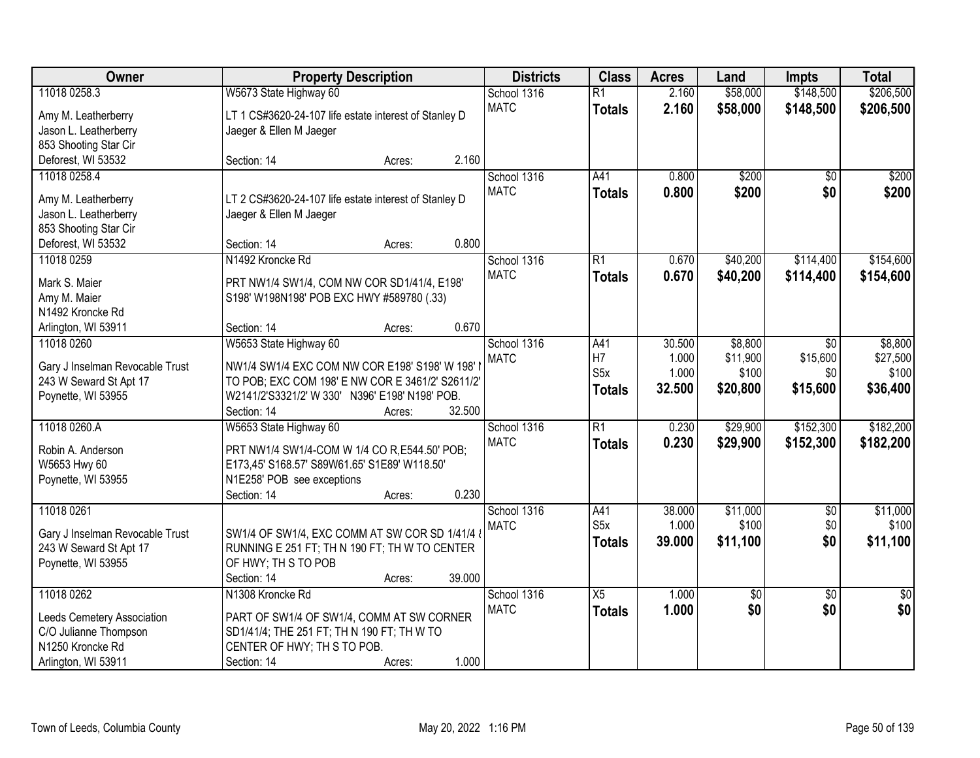| Owner                           | <b>Property Description</b>                           |        |        | <b>Districts</b> | <b>Class</b>     | <b>Acres</b> | Land            | <b>Impts</b>    | <b>Total</b>    |
|---------------------------------|-------------------------------------------------------|--------|--------|------------------|------------------|--------------|-----------------|-----------------|-----------------|
| 11018 0258.3                    | W5673 State Highway 60                                |        |        | School 1316      | $\overline{R1}$  | 2.160        | \$58,000        | \$148,500       | \$206,500       |
| Amy M. Leatherberry             | LT 1 CS#3620-24-107 life estate interest of Stanley D |        |        | <b>MATC</b>      | <b>Totals</b>    | 2.160        | \$58,000        | \$148,500       | \$206,500       |
| Jason L. Leatherberry           | Jaeger & Ellen M Jaeger                               |        |        |                  |                  |              |                 |                 |                 |
| 853 Shooting Star Cir           |                                                       |        |        |                  |                  |              |                 |                 |                 |
| Deforest, WI 53532              | Section: 14                                           | Acres: | 2.160  |                  |                  |              |                 |                 |                 |
| 11018 0258.4                    |                                                       |        |        | School 1316      | A41              | 0.800        | \$200           | $\overline{50}$ | \$200           |
|                                 |                                                       |        |        | <b>MATC</b>      | <b>Totals</b>    | 0.800        | \$200           | \$0             | \$200           |
| Amy M. Leatherberry             | LT 2 CS#3620-24-107 life estate interest of Stanley D |        |        |                  |                  |              |                 |                 |                 |
| Jason L. Leatherberry           | Jaeger & Ellen M Jaeger                               |        |        |                  |                  |              |                 |                 |                 |
| 853 Shooting Star Cir           |                                                       |        |        |                  |                  |              |                 |                 |                 |
| Deforest, WI 53532              | Section: 14                                           | Acres: | 0.800  |                  |                  |              |                 |                 |                 |
| 11018 0259                      | N1492 Kroncke Rd                                      |        |        | School 1316      | $\overline{R1}$  | 0.670        | \$40,200        | \$114,400       | \$154,600       |
| Mark S. Maier                   | PRT NW1/4 SW1/4, COM NW COR SD1/41/4, E198'           |        |        | <b>MATC</b>      | <b>Totals</b>    | 0.670        | \$40,200        | \$114,400       | \$154,600       |
| Amy M. Maier                    | S198' W198N198' POB EXC HWY #589780 (.33)             |        |        |                  |                  |              |                 |                 |                 |
| N1492 Kroncke Rd                |                                                       |        |        |                  |                  |              |                 |                 |                 |
| Arlington, WI 53911             | Section: 14                                           | Acres: | 0.670  |                  |                  |              |                 |                 |                 |
| 11018 0260                      | W5653 State Highway 60                                |        |        | School 1316      | A41              | 30.500       | \$8,800         | $\sqrt{6}$      | \$8,800         |
|                                 |                                                       |        |        | <b>MATC</b>      | H7               | 1.000        | \$11,900        | \$15,600        | \$27,500        |
| Gary J Inselman Revocable Trust | NW1/4 SW1/4 EXC COM NW COR E198' S198' W 198' I       |        |        |                  | S <sub>5</sub> x | 1.000        | \$100           | \$0             | \$100           |
| 243 W Seward St Apt 17          | TO POB; EXC COM 198' E NW COR E 3461/2' S2611/2'      |        |        |                  | <b>Totals</b>    | 32.500       | \$20,800        | \$15,600        | \$36,400        |
| Poynette, WI 53955              | W2141/2'S3321/2' W 330' N396' E198' N198' POB.        |        |        |                  |                  |              |                 |                 |                 |
|                                 | Section: 14                                           | Acres: | 32.500 |                  |                  |              |                 |                 |                 |
| 11018 0260.A                    | W5653 State Highway 60                                |        |        | School 1316      | $\overline{R1}$  | 0.230        | \$29,900        | \$152,300       | \$182,200       |
| Robin A. Anderson               | PRT NW1/4 SW1/4-COM W 1/4 CO R, E544.50' POB;         |        |        | <b>MATC</b>      | <b>Totals</b>    | 0.230        | \$29,900        | \$152,300       | \$182,200       |
| W5653 Hwy 60                    | E173,45' S168.57' S89W61.65' S1E89' W118.50'          |        |        |                  |                  |              |                 |                 |                 |
| Poynette, WI 53955              | N1E258' POB see exceptions                            |        |        |                  |                  |              |                 |                 |                 |
|                                 | Section: 14                                           | Acres: | 0.230  |                  |                  |              |                 |                 |                 |
| 11018 0261                      |                                                       |        |        | School 1316      | A41              | 38.000       | \$11,000        | $\sqrt{6}$      | \$11,000        |
|                                 |                                                       |        |        | <b>MATC</b>      | S <sub>5</sub> x | 1.000        | \$100           | \$0             | \$100           |
| Gary J Inselman Revocable Trust | SW1/4 OF SW1/4, EXC COMM AT SW COR SD 1/41/4 &        |        |        |                  | <b>Totals</b>    | 39.000       | \$11,100        | \$0             | \$11,100        |
| 243 W Seward St Apt 17          | RUNNING E 251 FT; TH N 190 FT; TH W TO CENTER         |        |        |                  |                  |              |                 |                 |                 |
| Poynette, WI 53955              | OF HWY; TH S TO POB                                   |        |        |                  |                  |              |                 |                 |                 |
|                                 | Section: 14                                           | Acres: | 39.000 |                  |                  |              |                 |                 |                 |
| 11018 0262                      | N1308 Kroncke Rd                                      |        |        | School 1316      | X5               | 1.000        | $\overline{50}$ | $\overline{50}$ | $\overline{50}$ |
| Leeds Cemetery Association      | PART OF SW1/4 OF SW1/4, COMM AT SW CORNER             |        |        | <b>MATC</b>      | <b>Totals</b>    | 1.000        | \$0             | \$0             | \$0             |
| C/O Julianne Thompson           | SD1/41/4; THE 251 FT; TH N 190 FT; TH W TO            |        |        |                  |                  |              |                 |                 |                 |
| N1250 Kroncke Rd                | CENTER OF HWY; TH S TO POB.                           |        |        |                  |                  |              |                 |                 |                 |
| Arlington, WI 53911             | Section: 14                                           | Acres: | 1.000  |                  |                  |              |                 |                 |                 |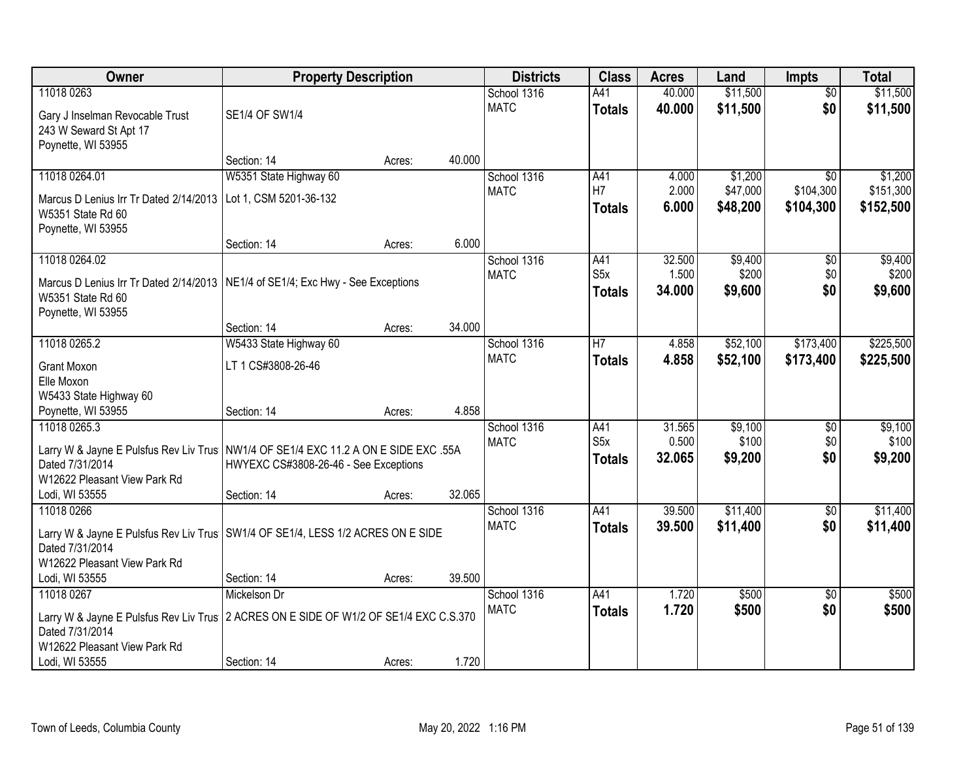| <b>Owner</b>                                                                          | <b>Property Description</b>                    |        |        | <b>Districts</b> | <b>Class</b>     | <b>Acres</b> | Land     | <b>Impts</b>    | <b>Total</b> |
|---------------------------------------------------------------------------------------|------------------------------------------------|--------|--------|------------------|------------------|--------------|----------|-----------------|--------------|
| 11018 0263                                                                            |                                                |        |        | School 1316      | A41              | 40.000       | \$11,500 | $\overline{50}$ | \$11,500     |
| Gary J Inselman Revocable Trust                                                       | SE1/4 OF SW1/4                                 |        |        | <b>MATC</b>      | <b>Totals</b>    | 40.000       | \$11,500 | \$0             | \$11,500     |
| 243 W Seward St Apt 17                                                                |                                                |        |        |                  |                  |              |          |                 |              |
| Poynette, WI 53955                                                                    |                                                |        |        |                  |                  |              |          |                 |              |
|                                                                                       | Section: 14                                    | Acres: | 40.000 |                  |                  |              |          |                 |              |
| 11018 0264.01                                                                         | W5351 State Highway 60                         |        |        | School 1316      | A41              | 4.000        | \$1,200  | $\overline{30}$ | \$1,200      |
| Marcus D Lenius Irr Tr Dated 2/14/2013                                                | Lot 1, CSM 5201-36-132                         |        |        | <b>MATC</b>      | H7               | 2.000        | \$47,000 | \$104,300       | \$151,300    |
| W5351 State Rd 60                                                                     |                                                |        |        |                  | <b>Totals</b>    | 6.000        | \$48,200 | \$104,300       | \$152,500    |
| Poynette, WI 53955                                                                    |                                                |        |        |                  |                  |              |          |                 |              |
|                                                                                       | Section: 14                                    | Acres: | 6.000  |                  |                  |              |          |                 |              |
| 11018 0264.02                                                                         |                                                |        |        | School 1316      | A41              | 32.500       | \$9,400  | $\sqrt[6]{}$    | \$9,400      |
| Marcus D Lenius Irr Tr Dated 2/14/2013   NE1/4 of SE1/4; Exc Hwy - See Exceptions     |                                                |        |        | <b>MATC</b>      | S5x              | 1.500        | \$200    | \$0             | \$200        |
| W5351 State Rd 60                                                                     |                                                |        |        |                  | <b>Totals</b>    | 34.000       | \$9,600  | \$0             | \$9,600      |
| Poynette, WI 53955                                                                    |                                                |        |        |                  |                  |              |          |                 |              |
|                                                                                       | Section: 14                                    | Acres: | 34.000 |                  |                  |              |          |                 |              |
| 11018 0265.2                                                                          | W5433 State Highway 60                         |        |        | School 1316      | $\overline{H}$   | 4.858        | \$52,100 | \$173,400       | \$225,500    |
| <b>Grant Moxon</b>                                                                    | LT 1 CS#3808-26-46                             |        |        | <b>MATC</b>      | <b>Totals</b>    | 4.858        | \$52,100 | \$173,400       | \$225,500    |
| Elle Moxon                                                                            |                                                |        |        |                  |                  |              |          |                 |              |
| W5433 State Highway 60                                                                |                                                |        |        |                  |                  |              |          |                 |              |
| Poynette, WI 53955                                                                    | Section: 14                                    | Acres: | 4.858  |                  |                  |              |          |                 |              |
| 11018 0265.3                                                                          |                                                |        |        | School 1316      | A41              | 31.565       | \$9,100  | \$0             | \$9,100      |
| Larry W & Jayne E Pulsfus Rev Liv Trus   NW1/4 OF SE1/4 EXC 11.2 A ON E SIDE EXC .55A |                                                |        |        | <b>MATC</b>      | S <sub>5</sub> x | 0.500        | \$100    | \$0             | \$100        |
| Dated 7/31/2014                                                                       | HWYEXC CS#3808-26-46 - See Exceptions          |        |        |                  | <b>Totals</b>    | 32.065       | \$9,200  | \$0             | \$9,200      |
| W12622 Pleasant View Park Rd                                                          |                                                |        |        |                  |                  |              |          |                 |              |
| Lodi, WI 53555                                                                        | Section: 14                                    | Acres: | 32.065 |                  |                  |              |          |                 |              |
| 11018 0266                                                                            |                                                |        |        | School 1316      | A41              | 39.500       | \$11,400 | $\sqrt{6}$      | \$11,400     |
| Larry W & Jayne E Pulsfus Rev Liv Trus   SW1/4 OF SE1/4, LESS 1/2 ACRES ON E SIDE     |                                                |        |        | <b>MATC</b>      | <b>Totals</b>    | 39.500       | \$11,400 | \$0             | \$11,400     |
| Dated 7/31/2014                                                                       |                                                |        |        |                  |                  |              |          |                 |              |
| W12622 Pleasant View Park Rd                                                          |                                                |        |        |                  |                  |              |          |                 |              |
| Lodi, WI 53555                                                                        | Section: 14                                    | Acres: | 39.500 |                  |                  |              |          |                 |              |
| 11018 0267                                                                            | Mickelson Dr                                   |        |        | School 1316      | A41              | 1.720        | \$500    | $\overline{30}$ | \$500        |
| Larry W & Jayne E Pulsfus Rev Liv Trus                                                | 2 ACRES ON E SIDE OF W1/2 OF SE1/4 EXC C.S.370 |        |        | <b>MATC</b>      | <b>Totals</b>    | 1.720        | \$500    | \$0             | \$500        |
| Dated 7/31/2014                                                                       |                                                |        |        |                  |                  |              |          |                 |              |
| W12622 Pleasant View Park Rd                                                          |                                                |        |        |                  |                  |              |          |                 |              |
| Lodi, WI 53555                                                                        | Section: 14                                    | Acres: | 1.720  |                  |                  |              |          |                 |              |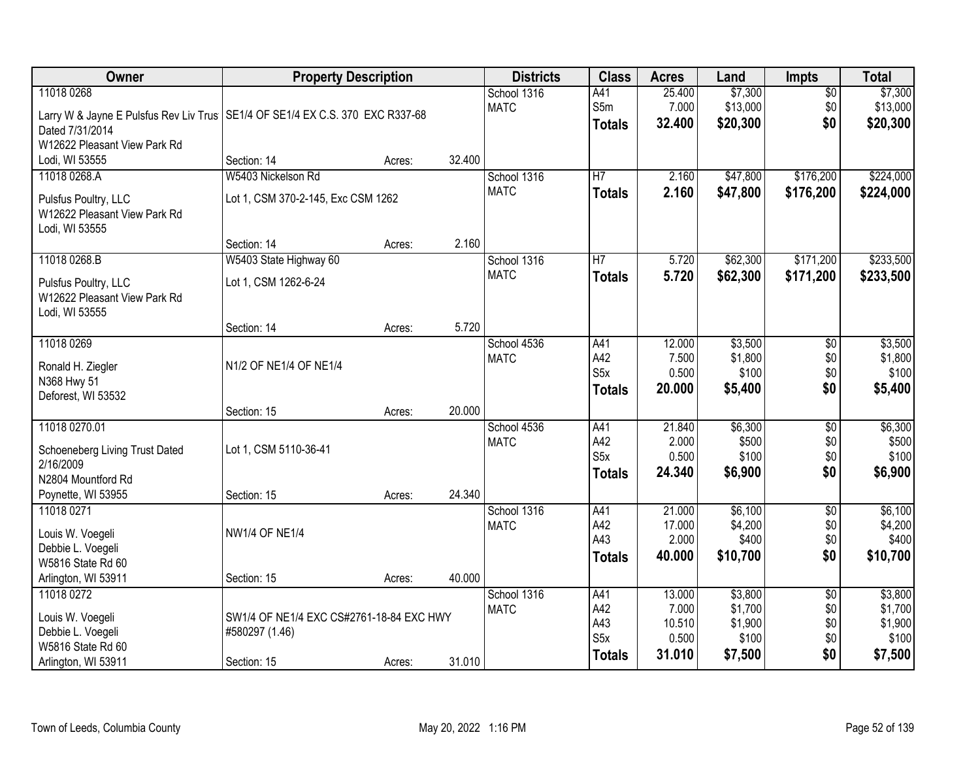| Owner                                                                                                                                            | <b>Property Description</b>                                               |        |        | <b>Districts</b>           | <b>Class</b>                                           | <b>Acres</b>                                 | Land                                              | <b>Impts</b>                                | <b>Total</b>                                      |
|--------------------------------------------------------------------------------------------------------------------------------------------------|---------------------------------------------------------------------------|--------|--------|----------------------------|--------------------------------------------------------|----------------------------------------------|---------------------------------------------------|---------------------------------------------|---------------------------------------------------|
| 11018 0268<br>Larry W & Jayne E Pulsfus Rev Liv Trus   SE1/4 OF SE1/4 EX C.S. 370 EXC R337-68<br>Dated 7/31/2014<br>W12622 Pleasant View Park Rd |                                                                           |        |        | School 1316<br><b>MATC</b> | A41<br>S5m<br><b>Totals</b>                            | 25.400<br>7.000<br>32.400                    | \$7,300<br>\$13,000<br>\$20,300                   | $\overline{50}$<br>\$0<br>\$0               | \$7,300<br>\$13,000<br>\$20,300                   |
| Lodi, WI 53555                                                                                                                                   | Section: 14                                                               | Acres: | 32.400 |                            |                                                        |                                              |                                                   |                                             |                                                   |
| 11018 0268.A<br>Pulsfus Poultry, LLC<br>W12622 Pleasant View Park Rd<br>Lodi, WI 53555                                                           | W5403 Nickelson Rd<br>Lot 1, CSM 370-2-145, Exc CSM 1262                  |        |        | School 1316<br><b>MATC</b> | $\overline{H}$<br><b>Totals</b>                        | 2.160<br>2.160                               | \$47,800<br>\$47,800                              | \$176,200<br>\$176,200                      | \$224,000<br>\$224,000                            |
|                                                                                                                                                  | Section: 14                                                               | Acres: | 2.160  |                            |                                                        |                                              |                                                   |                                             |                                                   |
| 11018 0268.B<br>Pulsfus Poultry, LLC<br>W12622 Pleasant View Park Rd<br>Lodi, WI 53555                                                           | W5403 State Highway 60<br>Lot 1, CSM 1262-6-24                            |        |        | School 1316<br><b>MATC</b> | $\overline{H}$<br><b>Totals</b>                        | 5.720<br>5.720                               | \$62,300<br>\$62,300                              | \$171,200<br>\$171,200                      | \$233,500<br>\$233,500                            |
|                                                                                                                                                  | Section: 14                                                               | Acres: | 5.720  |                            |                                                        |                                              |                                                   |                                             |                                                   |
| 11018 0269<br>Ronald H. Ziegler<br>N368 Hwy 51<br>Deforest, WI 53532                                                                             | N1/2 OF NE1/4 OF NE1/4                                                    |        |        | School 4536<br><b>MATC</b> | A41<br>A42<br>S <sub>5</sub> x<br><b>Totals</b>        | 12.000<br>7.500<br>0.500<br>20.000           | \$3,500<br>\$1,800<br>\$100<br>\$5,400            | \$0<br>\$0<br>\$0<br>\$0                    | \$3,500<br>\$1,800<br>\$100<br>\$5,400            |
|                                                                                                                                                  | Section: 15                                                               | Acres: | 20.000 |                            |                                                        |                                              |                                                   |                                             |                                                   |
| 11018 0270.01<br>Schoeneberg Living Trust Dated<br>2/16/2009<br>N2804 Mountford Rd<br>Poynette, WI 53955                                         | Lot 1, CSM 5110-36-41<br>Section: 15                                      | Acres: | 24.340 | School 4536<br><b>MATC</b> | A41<br>A42<br>S <sub>5</sub> x<br><b>Totals</b>        | 21.840<br>2.000<br>0.500<br>24.340           | \$6,300<br>\$500<br>\$100<br>\$6,900              | $\overline{50}$<br>\$0<br>\$0<br>\$0        | \$6,300<br>\$500<br>\$100<br>\$6,900              |
| 11018 0271<br>Louis W. Voegeli<br>Debbie L. Voegeli<br>W5816 State Rd 60                                                                         | <b>NW1/4 OF NE1/4</b>                                                     |        |        | School 1316<br><b>MATC</b> | A41<br>A42<br>A43<br><b>Totals</b>                     | 21.000<br>17.000<br>2.000<br>40.000          | \$6,100<br>\$4,200<br>\$400<br>\$10,700           | $\sqrt{6}$<br>\$0<br>\$0<br>\$0             | \$6,100<br>\$4,200<br>\$400<br>\$10,700           |
| Arlington, WI 53911                                                                                                                              | Section: 15                                                               | Acres: | 40.000 |                            |                                                        |                                              |                                                   |                                             |                                                   |
| 11018 0272<br>Louis W. Voegeli<br>Debbie L. Voegeli<br>W5816 State Rd 60<br>Arlington, WI 53911                                                  | SW1/4 OF NE1/4 EXC CS#2761-18-84 EXC HWY<br>#580297 (1.46)<br>Section: 15 | Acres: | 31.010 | School 1316<br><b>MATC</b> | A41<br>A42<br>A43<br>S <sub>5</sub> x<br><b>Totals</b> | 13.000<br>7.000<br>10.510<br>0.500<br>31.010 | \$3,800<br>\$1,700<br>\$1,900<br>\$100<br>\$7,500 | $\overline{50}$<br>\$0<br>\$0<br>\$0<br>\$0 | \$3,800<br>\$1,700<br>\$1,900<br>\$100<br>\$7,500 |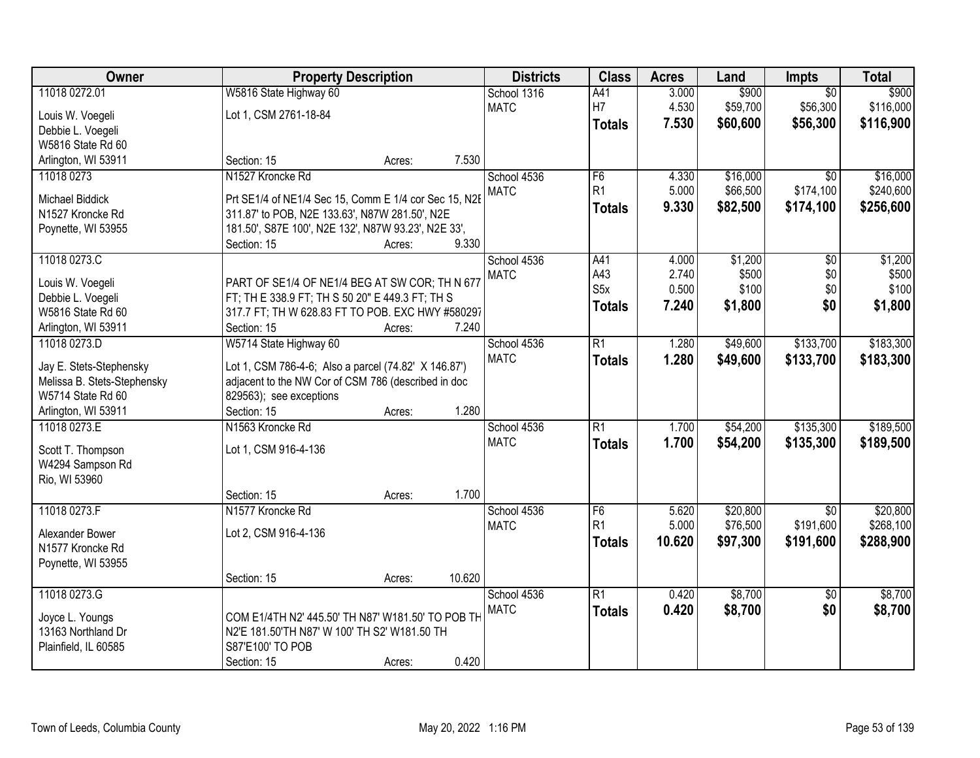| Owner                       | <b>Property Description</b>                           |                  | <b>Districts</b> | <b>Class</b>     | <b>Acres</b> | Land     | <b>Impts</b>    | <b>Total</b> |
|-----------------------------|-------------------------------------------------------|------------------|------------------|------------------|--------------|----------|-----------------|--------------|
| 11018 0272.01               | W5816 State Highway 60                                |                  | School 1316      | A41              | 3.000        | \$900    | $\overline{50}$ | \$900        |
| Louis W. Voegeli            | Lot 1, CSM 2761-18-84                                 |                  | <b>MATC</b>      | H7               | 4.530        | \$59,700 | \$56,300        | \$116,000    |
| Debbie L. Voegeli           |                                                       |                  |                  | <b>Totals</b>    | 7.530        | \$60,600 | \$56,300        | \$116,900    |
| W5816 State Rd 60           |                                                       |                  |                  |                  |              |          |                 |              |
| Arlington, WI 53911         | Section: 15                                           | 7.530<br>Acres:  |                  |                  |              |          |                 |              |
| 11018 0273                  | N1527 Kroncke Rd                                      |                  | School 4536      | F <sub>6</sub>   | 4.330        | \$16,000 | $\overline{50}$ | \$16,000     |
|                             |                                                       |                  | <b>MATC</b>      | R <sub>1</sub>   | 5.000        | \$66,500 | \$174,100       | \$240,600    |
| Michael Biddick             | Prt SE1/4 of NE1/4 Sec 15, Comm E 1/4 cor Sec 15, N2E |                  |                  | Totals           | 9.330        | \$82,500 | \$174,100       | \$256,600    |
| N1527 Kroncke Rd            | 311.87' to POB, N2E 133.63', N87W 281.50', N2E        |                  |                  |                  |              |          |                 |              |
| Poynette, WI 53955          | 181.50', S87E 100', N2E 132', N87W 93.23', N2E 33',   |                  |                  |                  |              |          |                 |              |
|                             | Section: 15                                           | 9.330<br>Acres:  |                  |                  |              |          |                 |              |
| 11018 0273.C                |                                                       |                  | School 4536      | A41              | 4.000        | \$1,200  | \$0             | \$1,200      |
| Louis W. Voegeli            | PART OF SE1/4 OF NE1/4 BEG AT SW COR; TH N 677        |                  | <b>MATC</b>      | A43              | 2.740        | \$500    | \$0             | \$500        |
| Debbie L. Voegeli           | FT; TH E 338.9 FT; TH S 50 20" E 449.3 FT; TH S       |                  |                  | S <sub>5</sub> x | 0.500        | \$100    | \$0             | \$100        |
| W5816 State Rd 60           | 317.7 FT; TH W 628.83 FT TO POB. EXC HWY #580297      |                  |                  | Totals           | 7.240        | \$1,800  | \$0             | \$1,800      |
| Arlington, WI 53911         | Section: 15                                           | 7.240<br>Acres:  |                  |                  |              |          |                 |              |
| 11018 0273.D                | W5714 State Highway 60                                |                  | School 4536      | $\overline{R1}$  | 1.280        | \$49,600 | \$133,700       | \$183,300    |
|                             |                                                       |                  | <b>MATC</b>      | <b>Totals</b>    | 1.280        | \$49,600 | \$133,700       | \$183,300    |
| Jay E. Stets-Stephensky     | Lot 1, CSM 786-4-6; Also a parcel (74.82' X 146.87')  |                  |                  |                  |              |          |                 |              |
| Melissa B. Stets-Stephensky | adjacent to the NW Cor of CSM 786 (described in doc   |                  |                  |                  |              |          |                 |              |
| W5714 State Rd 60           | 829563); see exceptions                               |                  |                  |                  |              |          |                 |              |
| Arlington, WI 53911         | Section: 15                                           | 1.280<br>Acres:  |                  |                  |              |          |                 |              |
| 11018 0273.E                | N1563 Kroncke Rd                                      |                  | School 4536      | $\overline{R1}$  | 1.700        | \$54,200 | \$135,300       | \$189,500    |
| Scott T. Thompson           | Lot 1, CSM 916-4-136                                  |                  | <b>MATC</b>      | <b>Totals</b>    | 1.700        | \$54,200 | \$135,300       | \$189,500    |
| W4294 Sampson Rd            |                                                       |                  |                  |                  |              |          |                 |              |
| Rio, WI 53960               |                                                       |                  |                  |                  |              |          |                 |              |
|                             | Section: 15                                           | 1.700<br>Acres:  |                  |                  |              |          |                 |              |
| 11018 0273.F                | N1577 Kroncke Rd                                      |                  | School 4536      | F <sub>6</sub>   | 5.620        | \$20,800 | $\overline{50}$ | \$20,800     |
| Alexander Bower             | Lot 2, CSM 916-4-136                                  |                  | <b>MATC</b>      | R <sub>1</sub>   | 5.000        | \$76,500 | \$191,600       | \$268,100    |
| N1577 Kroncke Rd            |                                                       |                  |                  | <b>Totals</b>    | 10.620       | \$97,300 | \$191,600       | \$288,900    |
| Poynette, WI 53955          |                                                       |                  |                  |                  |              |          |                 |              |
|                             | Section: 15                                           | 10.620<br>Acres: |                  |                  |              |          |                 |              |
| 11018 0273.G                |                                                       |                  | School 4536      | R1               | 0.420        | \$8,700  | $\sqrt{$0}$     | \$8,700      |
|                             |                                                       |                  | <b>MATC</b>      | <b>Totals</b>    | 0.420        | \$8,700  | \$0             | \$8,700      |
| Joyce L. Youngs             | COM E1/4TH N2' 445.50' TH N87' W181.50' TO POB TH     |                  |                  |                  |              |          |                 |              |
| 13163 Northland Dr          | N2'E 181.50'TH N87' W 100' TH S2' W181.50 TH          |                  |                  |                  |              |          |                 |              |
| Plainfield, IL 60585        | S87'E100' TO POB                                      |                  |                  |                  |              |          |                 |              |
|                             | Section: 15                                           | 0.420<br>Acres:  |                  |                  |              |          |                 |              |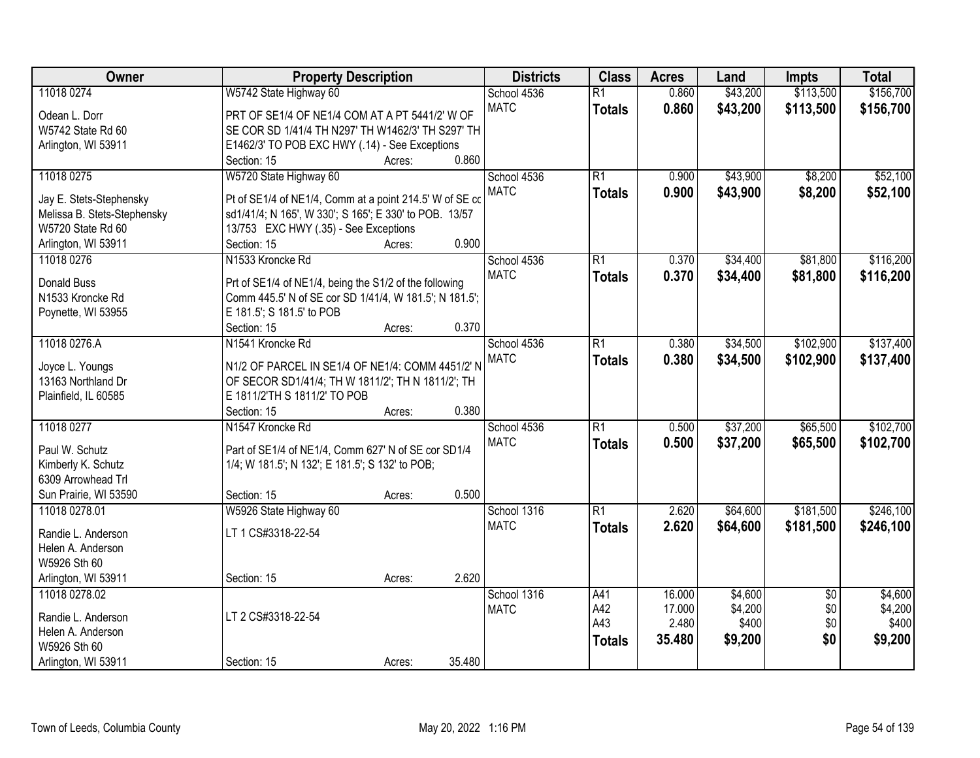| Owner                       | <b>Property Description</b>                             |        |        | <b>Districts</b> | <b>Class</b>    | <b>Acres</b> | Land     | <b>Impts</b>    | <b>Total</b> |
|-----------------------------|---------------------------------------------------------|--------|--------|------------------|-----------------|--------------|----------|-----------------|--------------|
| 11018 0274                  | W5742 State Highway 60                                  |        |        | School 4536      | $\overline{R1}$ | 0.860        | \$43,200 | \$113,500       | \$156,700    |
| Odean L. Dorr               | PRT OF SE1/4 OF NE1/4 COM AT A PT 5441/2' W OF          |        |        | <b>MATC</b>      | <b>Totals</b>   | 0.860        | \$43,200 | \$113,500       | \$156,700    |
| W5742 State Rd 60           | SE COR SD 1/41/4 TH N297' TH W1462/3' TH S297' TH       |        |        |                  |                 |              |          |                 |              |
| Arlington, WI 53911         | E1462/3' TO POB EXC HWY (.14) - See Exceptions          |        |        |                  |                 |              |          |                 |              |
|                             | Section: 15                                             | Acres: | 0.860  |                  |                 |              |          |                 |              |
| 11018 0275                  | W5720 State Highway 60                                  |        |        | School 4536      | $\overline{R1}$ | 0.900        | \$43,900 | \$8,200         | \$52,100     |
|                             |                                                         |        |        | <b>MATC</b>      | <b>Totals</b>   | 0.900        | \$43,900 | \$8,200         | \$52,100     |
| Jay E. Stets-Stephensky     | Pt of SE1/4 of NE1/4, Comm at a point 214.5' W of SE co |        |        |                  |                 |              |          |                 |              |
| Melissa B. Stets-Stephensky | sd1/41/4; N 165', W 330'; S 165'; E 330' to POB. 13/57  |        |        |                  |                 |              |          |                 |              |
| W5720 State Rd 60           | 13/753 EXC HWY (.35) - See Exceptions                   |        |        |                  |                 |              |          |                 |              |
| Arlington, WI 53911         | Section: 15                                             | Acres: | 0.900  |                  |                 |              |          |                 |              |
| 11018 0276                  | N1533 Kroncke Rd                                        |        |        | School 4536      | $\overline{R1}$ | 0.370        | \$34,400 | \$81,800        | \$116,200    |
| <b>Donald Buss</b>          | Prt of SE1/4 of NE1/4, being the S1/2 of the following  |        |        | <b>MATC</b>      | <b>Totals</b>   | 0.370        | \$34,400 | \$81,800        | \$116,200    |
| N1533 Kroncke Rd            | Comm 445.5' N of SE cor SD 1/41/4, W 181.5'; N 181.5';  |        |        |                  |                 |              |          |                 |              |
| Poynette, WI 53955          | E 181.5'; S 181.5' to POB                               |        |        |                  |                 |              |          |                 |              |
|                             | Section: 15                                             | Acres: | 0.370  |                  |                 |              |          |                 |              |
| 11018 0276.A                | N1541 Kroncke Rd                                        |        |        | School 4536      | $\overline{R1}$ | 0.380        | \$34,500 | \$102,900       | \$137,400    |
|                             |                                                         |        |        | <b>MATC</b>      | <b>Totals</b>   | 0.380        | \$34,500 | \$102,900       | \$137,400    |
| Joyce L. Youngs             | N1/2 OF PARCEL IN SE1/4 OF NE1/4: COMM 4451/2' N        |        |        |                  |                 |              |          |                 |              |
| 13163 Northland Dr          | OF SECOR SD1/41/4; TH W 1811/2'; TH N 1811/2'; TH       |        |        |                  |                 |              |          |                 |              |
| Plainfield, IL 60585        | E 1811/2'TH S 1811/2' TO POB                            |        |        |                  |                 |              |          |                 |              |
|                             | Section: 15                                             | Acres: | 0.380  |                  |                 |              |          |                 |              |
| 11018 0277                  | N1547 Kroncke Rd                                        |        |        | School 4536      | $\overline{R1}$ | 0.500        | \$37,200 | \$65,500        | \$102,700    |
| Paul W. Schutz              | Part of SE1/4 of NE1/4, Comm 627' N of SE cor SD1/4     |        |        | <b>MATC</b>      | <b>Totals</b>   | 0.500        | \$37,200 | \$65,500        | \$102,700    |
| Kimberly K. Schutz          | 1/4; W 181.5'; N 132'; E 181.5'; S 132' to POB;         |        |        |                  |                 |              |          |                 |              |
| 6309 Arrowhead Trl          |                                                         |        |        |                  |                 |              |          |                 |              |
| Sun Prairie, WI 53590       | Section: 15                                             | Acres: | 0.500  |                  |                 |              |          |                 |              |
| 11018 0278.01               | W5926 State Highway 60                                  |        |        | School 1316      | $\overline{R1}$ | 2.620        | \$64,600 | \$181,500       | \$246,100    |
|                             |                                                         |        |        | <b>MATC</b>      | <b>Totals</b>   | 2.620        | \$64,600 | \$181,500       | \$246,100    |
| Randie L. Anderson          | LT 1 CS#3318-22-54                                      |        |        |                  |                 |              |          |                 |              |
| Helen A. Anderson           |                                                         |        |        |                  |                 |              |          |                 |              |
| W5926 Sth 60                |                                                         |        |        |                  |                 |              |          |                 |              |
| Arlington, WI 53911         | Section: 15                                             | Acres: | 2.620  |                  |                 |              |          |                 |              |
| 11018 0278.02               |                                                         |        |        | School 1316      | A41             | 16.000       | \$4,600  | $\overline{50}$ | \$4,600      |
| Randie L. Anderson          | LT 2 CS#3318-22-54                                      |        |        | <b>MATC</b>      | A42             | 17.000       | \$4,200  | \$0             | \$4,200      |
| Helen A. Anderson           |                                                         |        |        |                  | A43             | 2.480        | \$400    | \$0             | \$400        |
| W5926 Sth 60                |                                                         |        |        |                  | <b>Totals</b>   | 35.480       | \$9,200  | \$0             | \$9,200      |
| Arlington, WI 53911         | Section: 15                                             | Acres: | 35.480 |                  |                 |              |          |                 |              |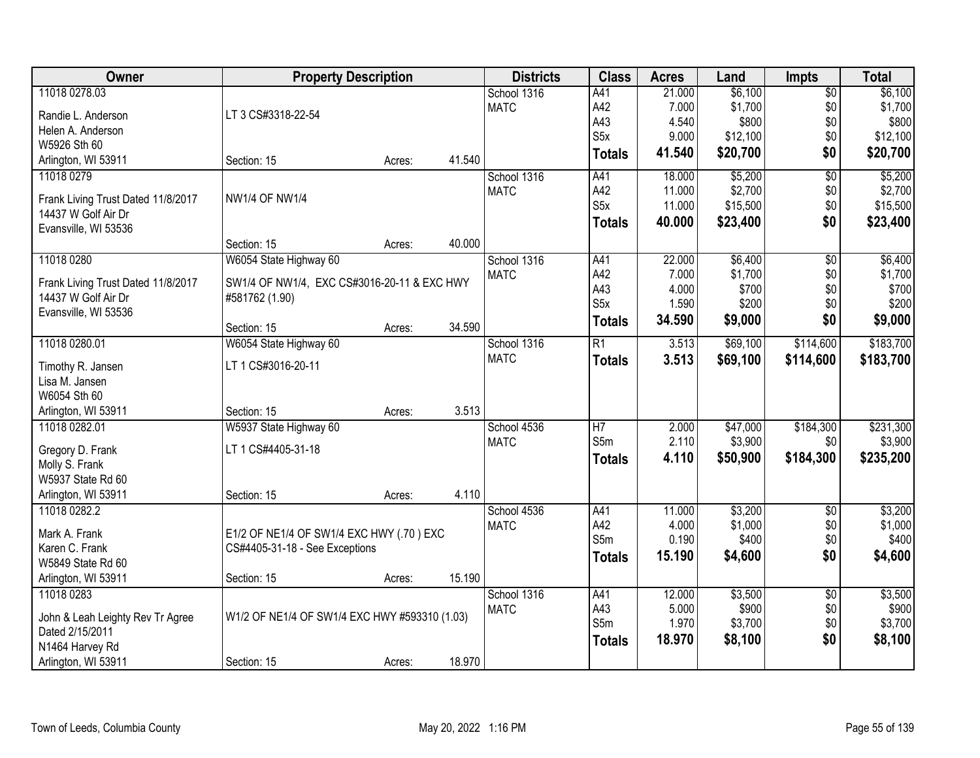| Owner<br><b>Property Description</b><br><b>Districts</b><br><b>Class</b><br><b>Acres</b><br>Land                                | <b>Impts</b>    | <b>Total</b>         |
|---------------------------------------------------------------------------------------------------------------------------------|-----------------|----------------------|
| 11018 0278.03<br>\$6,100<br>School 1316<br>A41<br>21.000                                                                        | $\overline{$0}$ | \$6,100              |
| A42<br>\$1,700<br><b>MATC</b><br>7.000<br>LT 3 CS#3318-22-54<br>Randie L. Anderson                                              | \$0             | \$1,700              |
| A43<br>4.540<br>\$800<br>Helen A. Anderson                                                                                      | \$0             | \$800                |
| S <sub>5</sub> x<br>\$12,100<br>9.000<br>W5926 Sth 60                                                                           | \$0             | \$12,100             |
| \$20,700<br>41.540<br><b>Totals</b><br>41.540<br>Arlington, WI 53911<br>Section: 15<br>Acres:                                   | \$0             | \$20,700             |
| \$5,200<br>11018 0279<br>A41<br>18.000<br>School 1316                                                                           | $\overline{50}$ | \$5,200              |
| A42<br>\$2,700<br><b>MATC</b><br>11.000<br>NW1/4 OF NW1/4                                                                       | \$0             | \$2,700              |
| Frank Living Trust Dated 11/8/2017<br>S <sub>5</sub> x<br>\$15,500<br>11.000<br>14437 W Golf Air Dr                             | \$0             | \$15,500             |
| 40.000<br>\$23,400<br><b>Totals</b><br>Evansville, WI 53536                                                                     | \$0             | \$23,400             |
| 40.000<br>Section: 15<br>Acres:                                                                                                 |                 |                      |
| \$6,400<br>11018 0280<br>W6054 State Highway 60<br>School 1316<br>22.000<br>A41                                                 | $\overline{50}$ | \$6,400              |
| A42<br>\$1,700<br><b>MATC</b><br>7.000                                                                                          | \$0             | \$1,700              |
| SW1/4 OF NW1/4, EXC CS#3016-20-11 & EXC HWY<br>Frank Living Trust Dated 11/8/2017<br>A43<br>\$700<br>4.000                      | \$0             | \$700                |
| 14437 W Golf Air Dr<br>#581762 (1.90)<br>S <sub>5</sub> x<br>\$200<br>1.590                                                     | \$0             | \$200                |
| Evansville, WI 53536<br>34.590<br>\$9,000<br><b>Totals</b><br>34.590<br>Section: 15<br>Acres:                                   | \$0             | \$9,000              |
| 11018 0280.01<br>$\overline{R1}$<br>\$69,100<br>W6054 State Highway 60<br>School 1316<br>3.513                                  | \$114,600       | \$183,700            |
| <b>MATC</b><br>3.513<br>\$69,100<br><b>Totals</b>                                                                               | \$114,600       | \$183,700            |
| LT 1 CS#3016-20-11<br>Timothy R. Jansen                                                                                         |                 |                      |
| Lisa M. Jansen                                                                                                                  |                 |                      |
| W6054 Sth 60                                                                                                                    |                 |                      |
| 3.513<br>Arlington, WI 53911<br>Section: 15<br>Acres:                                                                           |                 |                      |
| H <sub>7</sub><br>\$47,000<br>11018 0282.01<br>W5937 State Highway 60<br>2.000<br>School 4536<br>S5m<br>2.110<br>\$3,900        | \$184,300       | \$231,300<br>\$3,900 |
| <b>MATC</b><br>LT 1 CS#4405-31-18<br>Gregory D. Frank                                                                           | \$0             |                      |
| 4.110<br>\$50,900<br><b>Totals</b><br>Molly S. Frank                                                                            | \$184,300       | \$235,200            |
| W5937 State Rd 60                                                                                                               |                 |                      |
| 4.110<br>Arlington, WI 53911<br>Section: 15<br>Acres:                                                                           |                 |                      |
| \$3,200<br>11018 0282.2<br>School 4536<br>A41<br>11.000                                                                         | $\overline{50}$ | \$3,200              |
| A42<br>4.000<br>\$1,000<br><b>MATC</b><br>Mark A. Frank<br>E1/2 OF NE1/4 OF SW1/4 EXC HWY (.70) EXC                             | \$0             | \$1,000              |
| S5m<br>\$400<br>0.190<br>Karen C. Frank<br>CS#4405-31-18 - See Exceptions                                                       | \$0             | \$400                |
| 15.190<br>\$4,600<br><b>Totals</b><br>W5849 State Rd 60                                                                         | \$0             | \$4,600              |
| 15.190<br>Arlington, WI 53911<br>Section: 15<br>Acres:                                                                          |                 |                      |
| 11018 0283<br>School 1316<br>A41<br>12.000<br>\$3,500                                                                           | $\overline{50}$ | \$3,500              |
| A43<br>5.000<br>\$900<br><b>MATC</b>                                                                                            | \$0             | \$900                |
| W1/2 OF NE1/4 OF SW1/4 EXC HWY #593310 (1.03)<br>John & Leah Leighty Rev Tr Agree<br>S5m<br>1.970<br>\$3,700<br>Dated 2/15/2011 | \$0             | \$3,700              |
| 18.970<br>\$8,100<br><b>Totals</b><br>N1464 Harvey Rd                                                                           | \$0             | \$8,100              |
| 18.970<br>Arlington, WI 53911<br>Section: 15<br>Acres:                                                                          |                 |                      |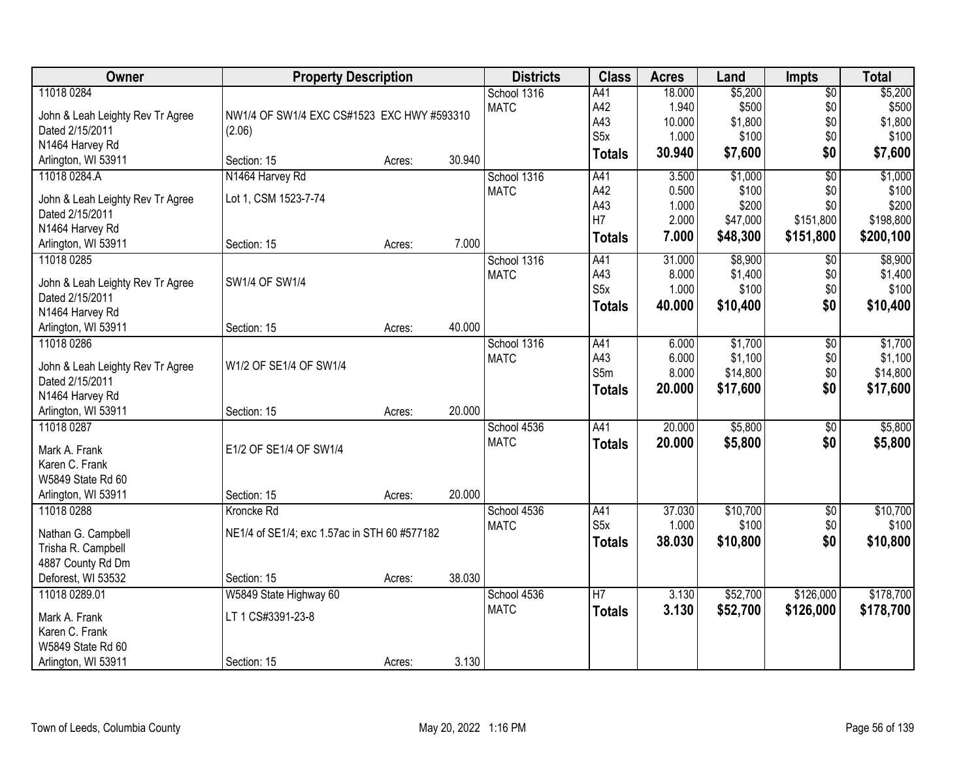| Owner                                               | <b>Property Description</b>                  |        |        | <b>Districts</b> | <b>Class</b>     | <b>Acres</b>    | Land              | <b>Impts</b>           | <b>Total</b>      |
|-----------------------------------------------------|----------------------------------------------|--------|--------|------------------|------------------|-----------------|-------------------|------------------------|-------------------|
| 11018 0284                                          |                                              |        |        | School 1316      | A41              | 18.000          | \$5,200           | $\overline{50}$        | \$5,200           |
| John & Leah Leighty Rev Tr Agree                    | NW1/4 OF SW1/4 EXC CS#1523 EXC HWY #593310   |        |        | <b>MATC</b>      | A42              | 1.940           | \$500             | \$0                    | \$500             |
| Dated 2/15/2011                                     | (2.06)                                       |        |        |                  | A43              | 10.000          | \$1,800           | \$0                    | \$1,800           |
| N1464 Harvey Rd                                     |                                              |        |        |                  | S <sub>5</sub> x | 1.000           | \$100             | \$0                    | \$100             |
| Arlington, WI 53911                                 | Section: 15                                  | Acres: | 30.940 |                  | <b>Totals</b>    | 30.940          | \$7,600           | \$0                    | \$7,600           |
| 11018 0284.A                                        | N1464 Harvey Rd                              |        |        | School 1316      | A41              | 3.500           | \$1,000           | $\overline{50}$        | \$1,000           |
| John & Leah Leighty Rev Tr Agree                    | Lot 1, CSM 1523-7-74                         |        |        | <b>MATC</b>      | A42              | 0.500           | \$100             | \$0                    | \$100             |
| Dated 2/15/2011                                     |                                              |        |        |                  | A43              | 1.000           | \$200             | \$0                    | \$200             |
| N1464 Harvey Rd                                     |                                              |        |        |                  | H7               | 2.000           | \$47,000          | \$151,800              | \$198,800         |
| Arlington, WI 53911                                 | Section: 15                                  | Acres: | 7.000  |                  | <b>Totals</b>    | 7.000           | \$48,300          | \$151,800              | \$200,100         |
| 11018 0285                                          |                                              |        |        | School 1316      | A41              | 31.000          | \$8,900           | $\sqrt[6]{}$           | \$8,900           |
| John & Leah Leighty Rev Tr Agree                    | SW1/4 OF SW1/4                               |        |        | <b>MATC</b>      | A43              | 8.000           | \$1,400           | \$0                    | \$1,400           |
| Dated 2/15/2011                                     |                                              |        |        |                  | S <sub>5</sub> x | 1.000           | \$100             | \$0                    | \$100             |
| N1464 Harvey Rd                                     |                                              |        |        |                  | <b>Totals</b>    | 40.000          | \$10,400          | \$0                    | \$10,400          |
| Arlington, WI 53911                                 | Section: 15                                  | Acres: | 40.000 |                  |                  |                 |                   |                        |                   |
| 11018 0286                                          |                                              |        |        | School 1316      | A41              | 6.000           | \$1,700           | \$0                    | \$1,700           |
|                                                     |                                              |        |        | <b>MATC</b>      | A43              | 6.000           | \$1,100           | \$0                    | \$1,100           |
| John & Leah Leighty Rev Tr Agree<br>Dated 2/15/2011 | W1/2 OF SE1/4 OF SW1/4                       |        |        |                  | S5m              | 8.000           | \$14,800          | \$0                    | \$14,800          |
| N1464 Harvey Rd                                     |                                              |        |        |                  | <b>Totals</b>    | 20.000          | \$17,600          | \$0                    | \$17,600          |
| Arlington, WI 53911                                 | Section: 15                                  | Acres: | 20.000 |                  |                  |                 |                   |                        |                   |
| 11018 0287                                          |                                              |        |        | School 4536      | A41              | 20.000          | \$5,800           | \$0                    | \$5,800           |
|                                                     |                                              |        |        | <b>MATC</b>      | <b>Totals</b>    | 20,000          | \$5,800           | \$0                    | \$5,800           |
| Mark A. Frank                                       | E1/2 OF SE1/4 OF SW1/4                       |        |        |                  |                  |                 |                   |                        |                   |
| Karen C. Frank                                      |                                              |        |        |                  |                  |                 |                   |                        |                   |
| W5849 State Rd 60                                   |                                              |        |        |                  |                  |                 |                   |                        |                   |
| Arlington, WI 53911                                 | Section: 15                                  | Acres: | 20.000 |                  |                  |                 |                   |                        |                   |
| 11018 0288                                          | Kroncke Rd                                   |        |        | School 4536      | A41<br>S5x       | 37.030<br>1.000 | \$10,700<br>\$100 | $\overline{$0}$<br>\$0 | \$10,700<br>\$100 |
| Nathan G. Campbell                                  | NE1/4 of SE1/4; exc 1.57ac in STH 60 #577182 |        |        | <b>MATC</b>      |                  | 38.030          | \$10,800          | \$0                    |                   |
| Trisha R. Campbell                                  |                                              |        |        |                  | <b>Totals</b>    |                 |                   |                        | \$10,800          |
| 4887 County Rd Dm                                   |                                              |        |        |                  |                  |                 |                   |                        |                   |
| Deforest, WI 53532                                  | Section: 15                                  | Acres: | 38.030 |                  |                  |                 |                   |                        |                   |
| 11018 0289.01                                       | W5849 State Highway 60                       |        |        | School 4536      | $\overline{H}$   | 3.130           | \$52,700          | \$126,000              | \$178,700         |
| Mark A. Frank                                       | LT 1 CS#3391-23-8                            |        |        | <b>MATC</b>      | <b>Totals</b>    | 3.130           | \$52,700          | \$126,000              | \$178,700         |
| Karen C. Frank                                      |                                              |        |        |                  |                  |                 |                   |                        |                   |
| W5849 State Rd 60                                   |                                              |        |        |                  |                  |                 |                   |                        |                   |
| Arlington, WI 53911                                 | Section: 15                                  | Acres: | 3.130  |                  |                  |                 |                   |                        |                   |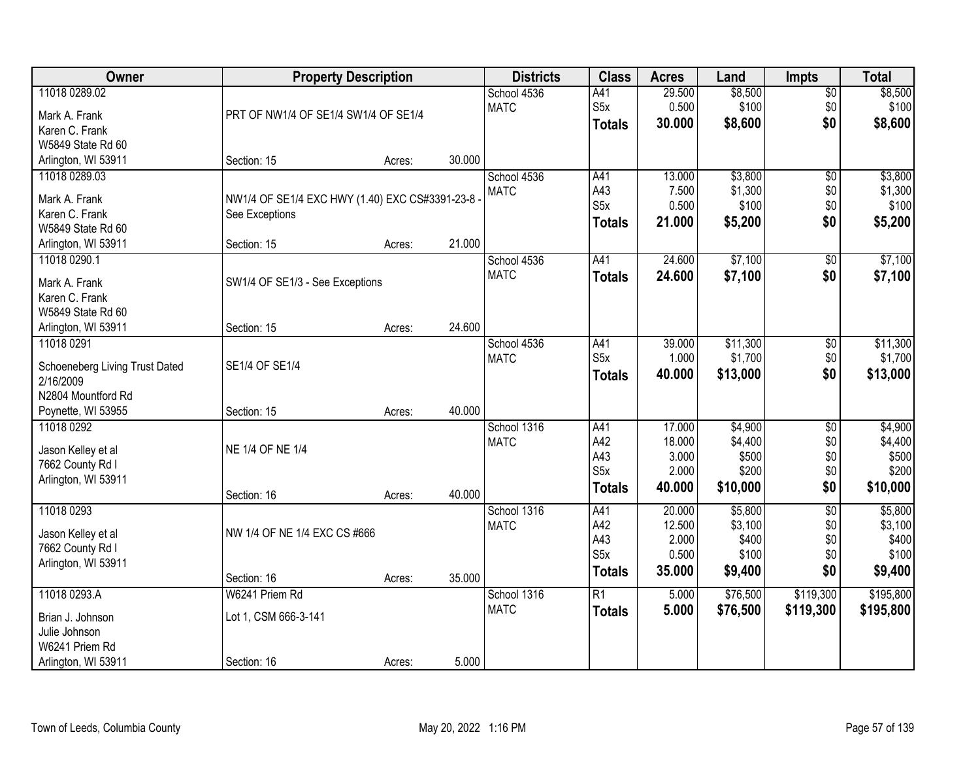| Owner                          |                                                | <b>Property Description</b> |        | <b>Districts</b> | <b>Class</b>     | <b>Acres</b> | Land     | <b>Impts</b>    | <b>Total</b> |
|--------------------------------|------------------------------------------------|-----------------------------|--------|------------------|------------------|--------------|----------|-----------------|--------------|
| 11018 0289.02                  |                                                |                             |        | School 4536      | A41              | 29.500       | \$8,500  | $\sqrt{$0}$     | \$8,500      |
| Mark A. Frank                  | PRT OF NW1/4 OF SE1/4 SW1/4 OF SE1/4           |                             |        | <b>MATC</b>      | S <sub>5</sub> x | 0.500        | \$100    | \$0             | \$100        |
| Karen C. Frank                 |                                                |                             |        |                  | <b>Totals</b>    | 30.000       | \$8,600  | \$0             | \$8,600      |
| W5849 State Rd 60              |                                                |                             |        |                  |                  |              |          |                 |              |
| Arlington, WI 53911            | Section: 15                                    | Acres:                      | 30.000 |                  |                  |              |          |                 |              |
| 11018 0289.03                  |                                                |                             |        | School 4536      | A41              | 13.000       | \$3,800  | $\overline{50}$ | \$3,800      |
|                                |                                                |                             |        | <b>MATC</b>      | A43              | 7.500        | \$1,300  | \$0             | \$1,300      |
| Mark A. Frank                  | NW1/4 OF SE1/4 EXC HWY (1.40) EXC CS#3391-23-8 |                             |        |                  | S <sub>5</sub> x | 0.500        | \$100    | \$0             | \$100        |
| Karen C. Frank                 | See Exceptions                                 |                             |        |                  | <b>Totals</b>    | 21.000       | \$5,200  | \$0             | \$5,200      |
| W5849 State Rd 60              |                                                |                             |        |                  |                  |              |          |                 |              |
| Arlington, WI 53911            | Section: 15                                    | Acres:                      | 21.000 |                  |                  |              |          |                 |              |
| 11018 0290.1                   |                                                |                             |        | School 4536      | A41              | 24.600       | \$7,100  | \$0             | \$7,100      |
| Mark A. Frank                  | SW1/4 OF SE1/3 - See Exceptions                |                             |        | <b>MATC</b>      | <b>Totals</b>    | 24.600       | \$7,100  | \$0             | \$7,100      |
| Karen C. Frank                 |                                                |                             |        |                  |                  |              |          |                 |              |
| W5849 State Rd 60              |                                                |                             |        |                  |                  |              |          |                 |              |
| Arlington, WI 53911            | Section: 15                                    | Acres:                      | 24.600 |                  |                  |              |          |                 |              |
| 11018 0291                     |                                                |                             |        | School 4536      | A41              | 39.000       | \$11,300 | $\sqrt[6]{3}$   | \$11,300     |
|                                |                                                |                             |        | <b>MATC</b>      | S <sub>5</sub> x | 1.000        | \$1,700  | \$0             | \$1,700      |
| Schoeneberg Living Trust Dated | SE1/4 OF SE1/4                                 |                             |        |                  | <b>Totals</b>    | 40.000       | \$13,000 | \$0             | \$13,000     |
| 2/16/2009                      |                                                |                             |        |                  |                  |              |          |                 |              |
| N2804 Mountford Rd             |                                                |                             |        |                  |                  |              |          |                 |              |
| Poynette, WI 53955             | Section: 15                                    | Acres:                      | 40.000 |                  |                  |              |          |                 |              |
| 11018 0292                     |                                                |                             |        | School 1316      | A41              | 17.000       | \$4,900  | $\overline{50}$ | \$4,900      |
| Jason Kelley et al             | NE 1/4 OF NE 1/4                               |                             |        | <b>MATC</b>      | A42              | 18.000       | \$4,400  | \$0             | \$4,400      |
| 7662 County Rd I               |                                                |                             |        |                  | A43              | 3.000        | \$500    | \$0             | \$500        |
| Arlington, WI 53911            |                                                |                             |        |                  | S <sub>5</sub> x | 2.000        | \$200    | \$0             | \$200        |
|                                | Section: 16                                    | Acres:                      | 40.000 |                  | <b>Totals</b>    | 40.000       | \$10,000 | \$0             | \$10,000     |
| 11018 0293                     |                                                |                             |        | School 1316      | A41              | 20.000       | \$5,800  | $\overline{50}$ | \$5,800      |
|                                |                                                |                             |        | <b>MATC</b>      | A42              | 12.500       | \$3,100  | \$0             | \$3,100      |
| Jason Kelley et al             | NW 1/4 OF NE 1/4 EXC CS #666                   |                             |        |                  | A43              | 2.000        | \$400    | \$0             | \$400        |
| 7662 County Rd I               |                                                |                             |        |                  | S <sub>5</sub> x | 0.500        | \$100    | \$0             | \$100        |
| Arlington, WI 53911            |                                                |                             |        |                  | <b>Totals</b>    | 35.000       | \$9,400  | \$0             | \$9,400      |
|                                | Section: 16                                    | Acres:                      | 35.000 |                  |                  |              |          |                 |              |
| 11018 0293.A                   | W6241 Priem Rd                                 |                             |        | School 1316      | $\overline{R1}$  | 5.000        | \$76,500 | \$119,300       | \$195,800    |
| Brian J. Johnson               | Lot 1, CSM 666-3-141                           |                             |        | <b>MATC</b>      | <b>Totals</b>    | 5.000        | \$76,500 | \$119,300       | \$195,800    |
| Julie Johnson                  |                                                |                             |        |                  |                  |              |          |                 |              |
| W6241 Priem Rd                 |                                                |                             |        |                  |                  |              |          |                 |              |
| Arlington, WI 53911            | Section: 16                                    | Acres:                      | 5.000  |                  |                  |              |          |                 |              |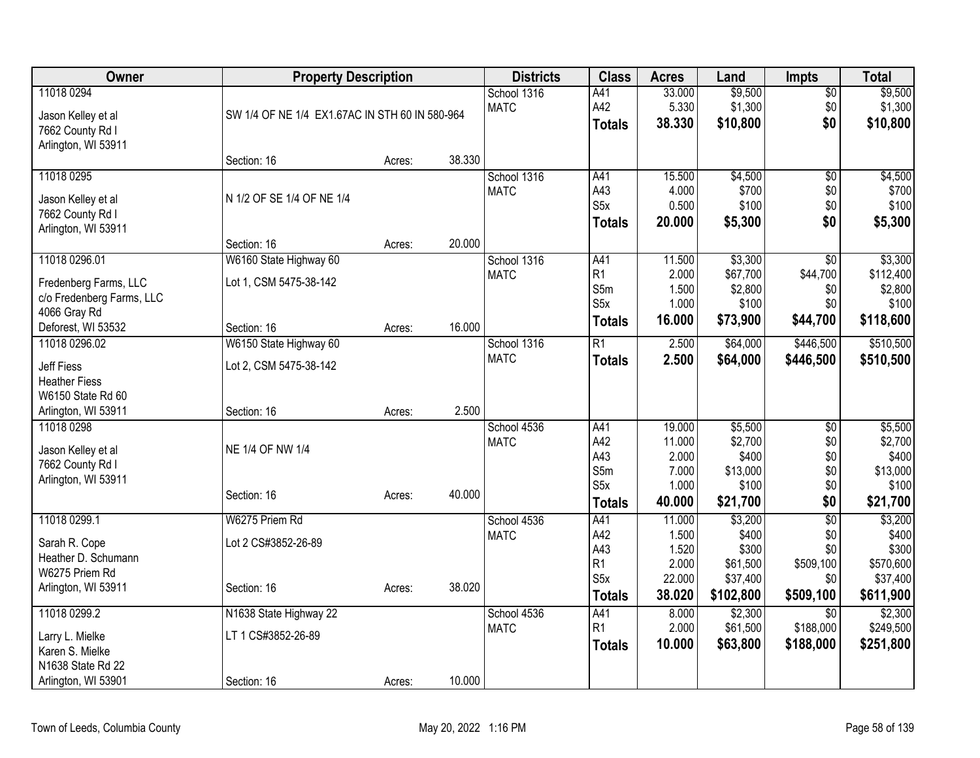| <b>Owner</b>                        | <b>Property Description</b>                    |        |        | <b>Districts</b> | <b>Class</b>     | <b>Acres</b> | Land      | <b>Impts</b>    | <b>Total</b> |
|-------------------------------------|------------------------------------------------|--------|--------|------------------|------------------|--------------|-----------|-----------------|--------------|
| 11018 0294                          |                                                |        |        | School 1316      | A41              | 33.000       | \$9,500   | $\sqrt{$0}$     | \$9,500      |
| Jason Kelley et al                  | SW 1/4 OF NE 1/4 EX1.67AC IN STH 60 IN 580-964 |        |        | <b>MATC</b>      | A42              | 5.330        | \$1,300   | \$0             | \$1,300      |
| 7662 County Rd I                    |                                                |        |        |                  | <b>Totals</b>    | 38.330       | \$10,800  | \$0             | \$10,800     |
| Arlington, WI 53911                 |                                                |        |        |                  |                  |              |           |                 |              |
|                                     | Section: 16                                    | Acres: | 38.330 |                  |                  |              |           |                 |              |
| 11018 0295                          |                                                |        |        | School 1316      | A41              | 15.500       | \$4,500   | $\overline{50}$ | \$4,500      |
| Jason Kelley et al                  | N 1/2 OF SE 1/4 OF NE 1/4                      |        |        | <b>MATC</b>      | A43              | 4.000        | \$700     | \$0             | \$700        |
| 7662 County Rd I                    |                                                |        |        |                  | S <sub>5</sub> x | 0.500        | \$100     | \$0             | \$100        |
| Arlington, WI 53911                 |                                                |        |        |                  | <b>Totals</b>    | 20.000       | \$5,300   | \$0             | \$5,300      |
|                                     | Section: 16                                    | Acres: | 20.000 |                  |                  |              |           |                 |              |
| 11018 0296.01                       | W6160 State Highway 60                         |        |        | School 1316      | A41              | 11.500       | \$3,300   | $\overline{50}$ | \$3,300      |
|                                     |                                                |        |        | <b>MATC</b>      | R1               | 2.000        | \$67,700  | \$44,700        | \$112,400    |
| Fredenberg Farms, LLC               | Lot 1, CSM 5475-38-142                         |        |        |                  | S5m              | 1.500        | \$2,800   | \$0             | \$2,800      |
| c/o Fredenberg Farms, LLC           |                                                |        |        |                  | S5x              | 1.000        | \$100     | \$0             | \$100        |
| 4066 Gray Rd                        |                                                |        | 16.000 |                  | <b>Totals</b>    | 16.000       | \$73,900  | \$44,700        | \$118,600    |
| Deforest, WI 53532<br>11018 0296.02 | Section: 16<br>W6150 State Highway 60          | Acres: |        | School 1316      | $\overline{R1}$  | 2.500        | \$64,000  | \$446,500       | \$510,500    |
|                                     |                                                |        |        | <b>MATC</b>      |                  |              |           |                 |              |
| <b>Jeff Fiess</b>                   | Lot 2, CSM 5475-38-142                         |        |        |                  | <b>Totals</b>    | 2.500        | \$64,000  | \$446,500       | \$510,500    |
| <b>Heather Fiess</b>                |                                                |        |        |                  |                  |              |           |                 |              |
| W6150 State Rd 60                   |                                                |        |        |                  |                  |              |           |                 |              |
| Arlington, WI 53911                 | Section: 16                                    | Acres: | 2.500  |                  |                  |              |           |                 |              |
| 11018 0298                          |                                                |        |        | School 4536      | A41              | 19.000       | \$5,500   | $\overline{50}$ | \$5,500      |
| Jason Kelley et al                  | NE 1/4 OF NW 1/4                               |        |        | <b>MATC</b>      | A42              | 11.000       | \$2,700   | \$0             | \$2,700      |
| 7662 County Rd I                    |                                                |        |        |                  | A43              | 2.000        | \$400     | \$0             | \$400        |
| Arlington, WI 53911                 |                                                |        |        |                  | S5m              | 7.000        | \$13,000  | \$0             | \$13,000     |
|                                     | Section: 16                                    | Acres: | 40.000 |                  | S <sub>5</sub> x | 1.000        | \$100     | \$0             | \$100        |
|                                     |                                                |        |        |                  | <b>Totals</b>    | 40.000       | \$21,700  | \$0             | \$21,700     |
| 11018 0299.1                        | W6275 Priem Rd                                 |        |        | School 4536      | A41              | 11.000       | \$3,200   | $\overline{50}$ | \$3,200      |
| Sarah R. Cope                       | Lot 2 CS#3852-26-89                            |        |        | <b>MATC</b>      | A42              | 1.500        | \$400     | \$0             | \$400        |
| Heather D. Schumann                 |                                                |        |        |                  | A43              | 1.520        | \$300     | \$0             | \$300        |
| W6275 Priem Rd                      |                                                |        |        |                  | R <sub>1</sub>   | 2.000        | \$61,500  | \$509,100       | \$570,600    |
| Arlington, WI 53911                 | Section: 16                                    | Acres: | 38.020 |                  | S <sub>5x</sub>  | 22.000       | \$37,400  | \$0             | \$37,400     |
|                                     |                                                |        |        |                  | <b>Totals</b>    | 38.020       | \$102,800 | \$509,100       | \$611,900    |
| 11018 0299.2                        | N1638 State Highway 22                         |        |        | School 4536      | A41              | 8.000        | \$2,300   | $\overline{50}$ | \$2,300      |
| Larry L. Mielke                     | LT 1 CS#3852-26-89                             |        |        | <b>MATC</b>      | R <sub>1</sub>   | 2.000        | \$61,500  | \$188,000       | \$249,500    |
| Karen S. Mielke                     |                                                |        |        |                  | <b>Totals</b>    | 10.000       | \$63,800  | \$188,000       | \$251,800    |
| N1638 State Rd 22                   |                                                |        |        |                  |                  |              |           |                 |              |
| Arlington, WI 53901                 | Section: 16                                    | Acres: | 10.000 |                  |                  |              |           |                 |              |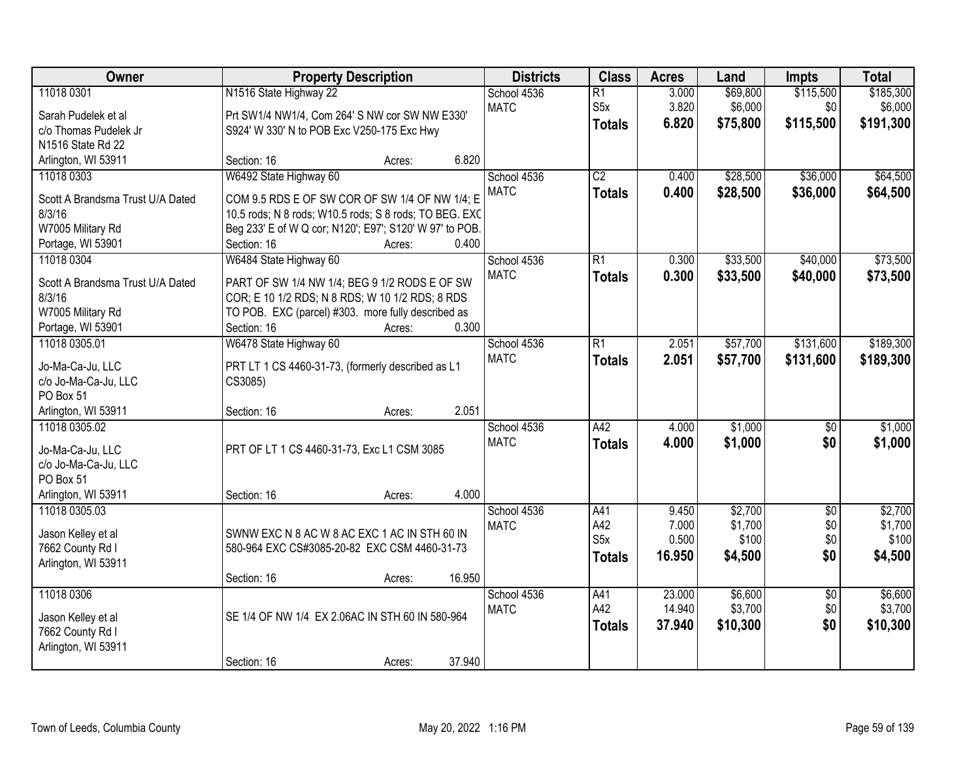| Owner                                      | <b>Property Description</b>                                                                              | <b>Districts</b> | <b>Class</b>     | <b>Acres</b> | Land     | <b>Impts</b>    | <b>Total</b> |
|--------------------------------------------|----------------------------------------------------------------------------------------------------------|------------------|------------------|--------------|----------|-----------------|--------------|
| 11018 0301                                 | N1516 State Highway 22                                                                                   | School 4536      | $\overline{R1}$  | 3.000        | \$69,800 | \$115,500       | \$185,300    |
| Sarah Pudelek et al                        | Prt SW1/4 NW1/4, Com 264' S NW cor SW NW E330'                                                           | <b>MATC</b>      | S5x              | 3.820        | \$6,000  | \$0             | \$6,000      |
| c/o Thomas Pudelek Jr                      | S924' W 330' N to POB Exc V250-175 Exc Hwy                                                               |                  | <b>Totals</b>    | 6.820        | \$75,800 | \$115,500       | \$191,300    |
| N1516 State Rd 22                          |                                                                                                          |                  |                  |              |          |                 |              |
| Arlington, WI 53911                        | 6.820<br>Section: 16<br>Acres:                                                                           |                  |                  |              |          |                 |              |
| 11018 0303                                 | W6492 State Highway 60                                                                                   | School 4536      | $\overline{C2}$  | 0.400        | \$28,500 | \$36,000        | \$64,500     |
|                                            |                                                                                                          | <b>MATC</b>      | <b>Totals</b>    | 0.400        | \$28,500 | \$36,000        | \$64,500     |
| Scott A Brandsma Trust U/A Dated<br>8/3/16 | COM 9.5 RDS E OF SW COR OF SW 1/4 OF NW 1/4; E<br>10.5 rods; N 8 rods; W10.5 rods; S 8 rods; TO BEG. EXC |                  |                  |              |          |                 |              |
| W7005 Military Rd                          | Beg 233' E of W Q cor; N120'; E97'; S120' W 97' to POB.                                                  |                  |                  |              |          |                 |              |
| Portage, WI 53901                          | 0.400<br>Section: 16<br>Acres:                                                                           |                  |                  |              |          |                 |              |
| 11018 0304                                 | W6484 State Highway 60                                                                                   | School 4536      | $\overline{R1}$  | 0.300        | \$33,500 | \$40,000        | \$73,500     |
|                                            |                                                                                                          | <b>MATC</b>      | <b>Totals</b>    | 0.300        | \$33,500 | \$40,000        | \$73,500     |
| Scott A Brandsma Trust U/A Dated           | PART OF SW 1/4 NW 1/4; BEG 9 1/2 RODS E OF SW                                                            |                  |                  |              |          |                 |              |
| 8/3/16                                     | COR; E 10 1/2 RDS; N 8 RDS; W 10 1/2 RDS; 8 RDS                                                          |                  |                  |              |          |                 |              |
| W7005 Military Rd                          | TO POB. EXC (parcel) #303. more fully described as<br>0.300<br>Section: 16<br>Acres:                     |                  |                  |              |          |                 |              |
| Portage, WI 53901<br>11018 0305.01         | W6478 State Highway 60                                                                                   | School 4536      | $\overline{R1}$  | 2.051        | \$57,700 | \$131,600       | \$189,300    |
|                                            |                                                                                                          | <b>MATC</b>      |                  | 2.051        | \$57,700 | \$131,600       | \$189,300    |
| Jo-Ma-Ca-Ju, LLC                           | PRT LT 1 CS 4460-31-73, (formerly described as L1                                                        |                  | <b>Totals</b>    |              |          |                 |              |
| c/o Jo-Ma-Ca-Ju, LLC                       | CS3085)                                                                                                  |                  |                  |              |          |                 |              |
| PO Box 51                                  |                                                                                                          |                  |                  |              |          |                 |              |
| Arlington, WI 53911                        | 2.051<br>Section: 16<br>Acres:                                                                           |                  |                  |              |          |                 |              |
| 11018 0305.02                              |                                                                                                          | School 4536      | A42              | 4.000        | \$1,000  | $\overline{50}$ | \$1,000      |
| Jo-Ma-Ca-Ju, LLC                           | PRT OF LT 1 CS 4460-31-73, Exc L1 CSM 3085                                                               | <b>MATC</b>      | <b>Totals</b>    | 4.000        | \$1,000  | \$0             | \$1,000      |
| c/o Jo-Ma-Ca-Ju, LLC                       |                                                                                                          |                  |                  |              |          |                 |              |
| PO Box 51                                  |                                                                                                          |                  |                  |              |          |                 |              |
| Arlington, WI 53911                        | 4.000<br>Section: 16<br>Acres:                                                                           |                  |                  |              |          |                 |              |
| 11018 0305.03                              |                                                                                                          | School 4536      | A41              | 9.450        | \$2,700  | $\overline{50}$ | \$2,700      |
| Jason Kelley et al                         | SWNW EXC N 8 AC W 8 AC EXC 1 AC IN STH 60 IN                                                             | <b>MATC</b>      | A42              | 7.000        | \$1,700  | \$0             | \$1,700      |
| 7662 County Rd I                           | 580-964 EXC CS#3085-20-82 EXC CSM 4460-31-73                                                             |                  | S <sub>5</sub> x | 0.500        | \$100    | \$0             | \$100        |
| Arlington, WI 53911                        |                                                                                                          |                  | <b>Totals</b>    | 16.950       | \$4,500  | \$0             | \$4,500      |
|                                            | 16.950<br>Section: 16<br>Acres:                                                                          |                  |                  |              |          |                 |              |
| 11018 0306                                 |                                                                                                          | School 4536      | A41              | 23,000       | \$6,600  | $\overline{50}$ | \$6,600      |
| Jason Kelley et al                         | SE 1/4 OF NW 1/4 EX 2.06AC IN STH 60 IN 580-964                                                          | <b>MATC</b>      | A42              | 14.940       | \$3,700  | \$0             | \$3,700      |
| 7662 County Rd I                           |                                                                                                          |                  | <b>Totals</b>    | 37.940       | \$10,300 | \$0             | \$10,300     |
| Arlington, WI 53911                        |                                                                                                          |                  |                  |              |          |                 |              |
|                                            | 37.940<br>Section: 16<br>Acres:                                                                          |                  |                  |              |          |                 |              |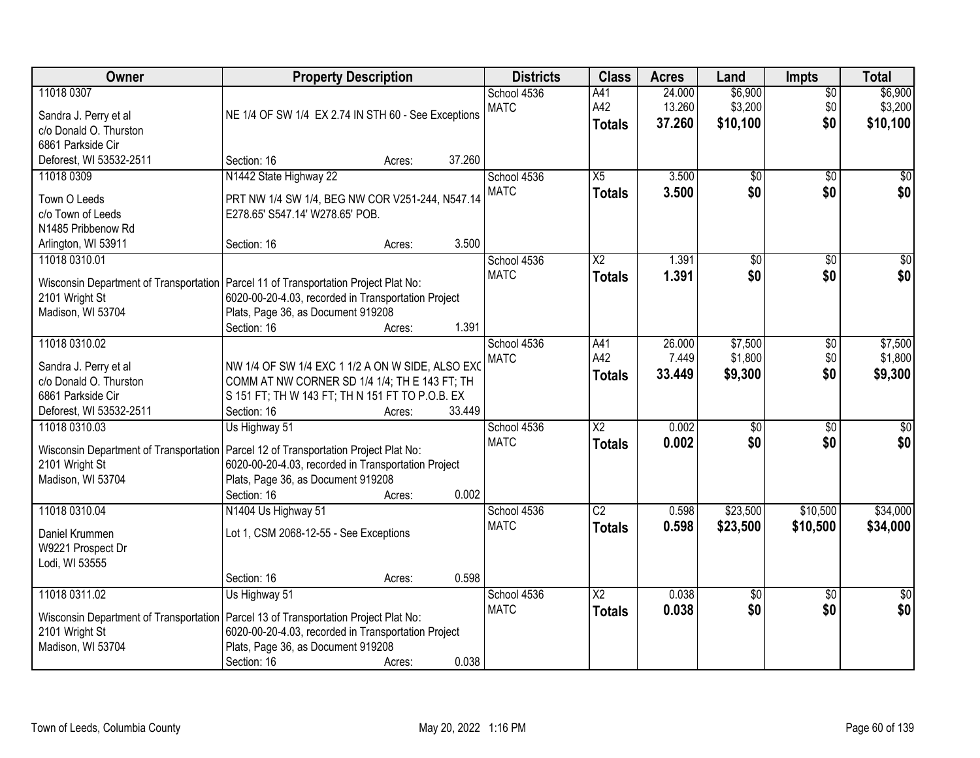| Owner                                                                                                            | <b>Property Description</b>                                                                                                                                                                                          | <b>Districts</b>           | <b>Class</b>                            | <b>Acres</b>               | Land                           | <b>Impts</b>                  | <b>Total</b>                   |
|------------------------------------------------------------------------------------------------------------------|----------------------------------------------------------------------------------------------------------------------------------------------------------------------------------------------------------------------|----------------------------|-----------------------------------------|----------------------------|--------------------------------|-------------------------------|--------------------------------|
| 11018 0307<br>Sandra J. Perry et al<br>c/o Donald O. Thurston<br>6861 Parkside Cir                               | NE 1/4 OF SW 1/4 EX 2.74 IN STH 60 - See Exceptions                                                                                                                                                                  | School 4536<br><b>MATC</b> | A41<br>A42<br><b>Totals</b>             | 24.000<br>13.260<br>37.260 | \$6,900<br>\$3,200<br>\$10,100 | $\overline{30}$<br>\$0<br>\$0 | \$6,900<br>\$3,200<br>\$10,100 |
| Deforest, WI 53532-2511                                                                                          | 37.260<br>Section: 16<br>Acres:                                                                                                                                                                                      |                            |                                         |                            |                                |                               |                                |
| 11018 0309<br>Town O Leeds<br>c/o Town of Leeds<br>N1485 Pribbenow Rd                                            | N1442 State Highway 22<br>PRT NW 1/4 SW 1/4, BEG NW COR V251-244, N547.14<br>E278.65' S547.14' W278.65' POB.<br>3.500<br>Section: 16<br>Acres:                                                                       | School 4536<br><b>MATC</b> | X5<br><b>Totals</b>                     | 3.500<br>3.500             | $\overline{50}$<br>\$0         | $\overline{50}$<br>\$0        | $\sqrt{50}$<br>\$0             |
| Arlington, WI 53911<br>11018 0310.01                                                                             |                                                                                                                                                                                                                      | School 4536                | $\overline{\text{X2}}$                  | 1.391                      | $\overline{50}$                | $\overline{50}$               | $\overline{50}$                |
| 2101 Wright St<br>Madison, WI 53704                                                                              | Wisconsin Department of Transportation   Parcel 11 of Transportation Project Plat No:<br>6020-00-20-4.03, recorded in Transportation Project<br>Plats, Page 36, as Document 919208<br>1.391<br>Section: 16<br>Acres: | <b>MATC</b>                | <b>Totals</b>                           | 1.391                      | \$0                            | \$0                           | \$0                            |
| 11018 0310.02<br>Sandra J. Perry et al<br>c/o Donald O. Thurston<br>6861 Parkside Cir<br>Deforest, WI 53532-2511 | NW 1/4 OF SW 1/4 EXC 1 1/2 A ON W SIDE, ALSO EXC<br>COMM AT NW CORNER SD 1/4 1/4; TH E 143 FT; TH<br>S 151 FT; TH W 143 FT; TH N 151 FT TO P.O.B. EX<br>33.449<br>Section: 16<br>Acres:                              | School 4536<br><b>MATC</b> | A41<br>A42<br><b>Totals</b>             | 26.000<br>7.449<br>33.449  | \$7,500<br>\$1,800<br>\$9,300  | \$0<br>\$0<br>\$0             | \$7,500<br>\$1,800<br>\$9,300  |
| 11018 0310.03<br>Wisconsin Department of Transportation<br>2101 Wright St<br>Madison, WI 53704                   | Us Highway 51<br>Parcel 12 of Transportation Project Plat No:<br>6020-00-20-4.03, recorded in Transportation Project<br>Plats, Page 36, as Document 919208<br>0.002<br>Section: 16<br>Acres:                         | School 4536<br><b>MATC</b> | $\overline{\text{X2}}$<br><b>Totals</b> | 0.002<br>0.002             | $\overline{50}$<br>\$0         | $\overline{30}$<br>\$0        | \$0<br>\$0                     |
| 11018 0310.04<br>Daniel Krummen<br>W9221 Prospect Dr<br>Lodi, WI 53555                                           | N1404 Us Highway 51<br>Lot 1, CSM 2068-12-55 - See Exceptions<br>0.598<br>Section: 16<br>Acres:                                                                                                                      | School 4536<br><b>MATC</b> | $\overline{C2}$<br><b>Totals</b>        | 0.598<br>0.598             | \$23,500<br>\$23,500           | \$10,500<br>\$10,500          | \$34,000<br>\$34,000           |
| 11018 0311.02<br>Wisconsin Department of Transportation<br>2101 Wright St<br>Madison, WI 53704                   | Us Highway 51<br>Parcel 13 of Transportation Project Plat No:<br>6020-00-20-4.03, recorded in Transportation Project<br>Plats, Page 36, as Document 919208<br>0.038<br>Section: 16<br>Acres:                         | School 4536<br><b>MATC</b> | $\overline{X2}$<br><b>Totals</b>        | 0.038<br>0.038             | $\overline{50}$<br>\$0         | $\overline{30}$<br>\$0        | $\overline{50}$<br>\$0         |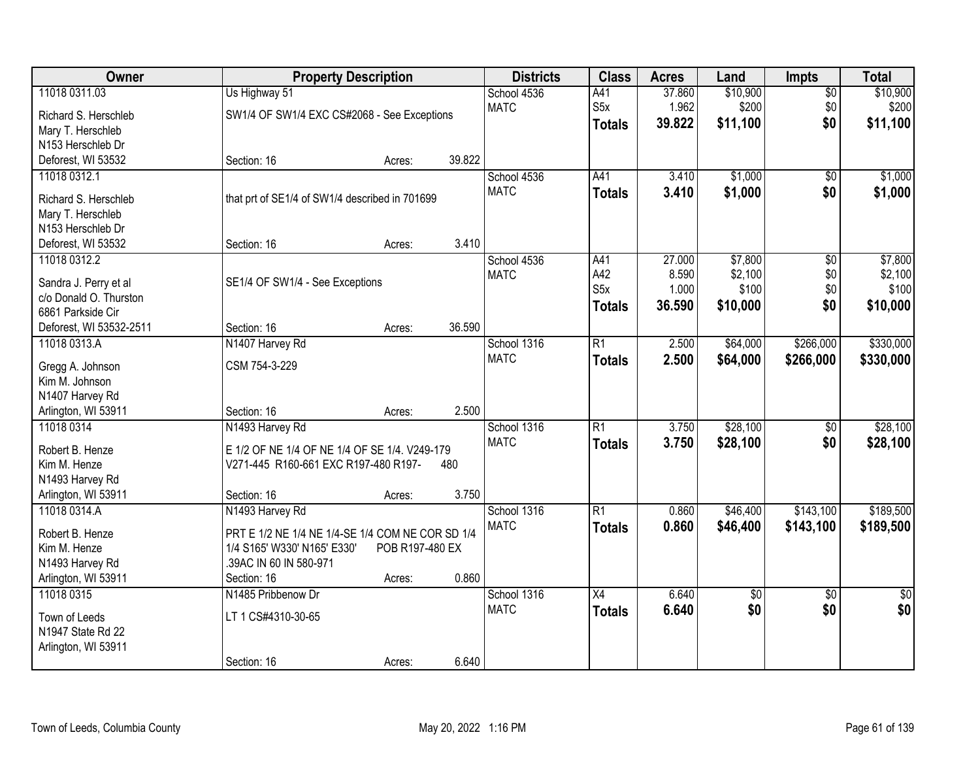| Owner                                           |                                                  | <b>Property Description</b> |        |                            | <b>Class</b>     | <b>Acres</b> | Land     | Impts           | <b>Total</b>    |
|-------------------------------------------------|--------------------------------------------------|-----------------------------|--------|----------------------------|------------------|--------------|----------|-----------------|-----------------|
| 11018 0311.03                                   | Us Highway 51                                    |                             |        | School 4536                | A41              | 37.860       | \$10,900 | $\overline{50}$ | \$10,900        |
| Richard S. Herschleb                            | SW1/4 OF SW1/4 EXC CS#2068 - See Exceptions      |                             |        | <b>MATC</b>                | S5x              | 1.962        | \$200    | \$0             | \$200           |
| Mary T. Herschleb                               |                                                  |                             |        |                            | <b>Totals</b>    | 39.822       | \$11,100 | \$0             | \$11,100        |
| N153 Herschleb Dr                               |                                                  |                             |        |                            |                  |              |          |                 |                 |
| Deforest, WI 53532                              | Section: 16                                      | Acres:                      | 39.822 |                            |                  |              |          |                 |                 |
| 11018 0312.1                                    |                                                  |                             |        | School 4536                | A41              | 3.410        | \$1,000  | \$0             | \$1,000         |
| Richard S. Herschleb                            | that prt of SE1/4 of SW1/4 described in 701699   |                             |        | <b>MATC</b>                | <b>Totals</b>    | 3.410        | \$1,000  | \$0             | \$1,000         |
| Mary T. Herschleb                               |                                                  |                             |        |                            |                  |              |          |                 |                 |
| N153 Herschleb Dr                               |                                                  |                             |        |                            |                  |              |          |                 |                 |
| Deforest, WI 53532                              | Section: 16                                      | Acres:                      | 3.410  |                            |                  |              |          |                 |                 |
| 11018 0312.2                                    |                                                  |                             |        | School 4536                | A41              | 27.000       | \$7,800  | $\overline{50}$ | \$7,800         |
|                                                 |                                                  |                             |        | <b>MATC</b>                | A42              | 8.590        | \$2,100  | \$0             | \$2,100         |
| Sandra J. Perry et al<br>c/o Donald O. Thurston | SE1/4 OF SW1/4 - See Exceptions                  |                             |        |                            | S <sub>5</sub> x | 1.000        | \$100    | \$0             | \$100           |
| 6861 Parkside Cir                               |                                                  |                             |        |                            | <b>Totals</b>    | 36.590       | \$10,000 | \$0             | \$10,000        |
| Deforest, WI 53532-2511                         | Section: 16                                      | Acres:                      | 36.590 |                            |                  |              |          |                 |                 |
| 11018 0313.A                                    | N1407 Harvey Rd                                  |                             |        | School 1316                | $\overline{R1}$  | 2.500        | \$64,000 | \$266,000       | \$330,000       |
|                                                 |                                                  |                             |        | <b>MATC</b>                | <b>Totals</b>    | 2.500        | \$64,000 | \$266,000       | \$330,000       |
| Gregg A. Johnson                                | CSM 754-3-229                                    |                             |        |                            |                  |              |          |                 |                 |
| Kim M. Johnson                                  |                                                  |                             |        |                            |                  |              |          |                 |                 |
| N1407 Harvey Rd                                 |                                                  |                             | 2.500  |                            |                  |              |          |                 |                 |
| Arlington, WI 53911<br>11018 0314               | Section: 16                                      | Acres:                      |        |                            | $\overline{R1}$  | 3.750        | \$28,100 |                 | \$28,100        |
|                                                 | N1493 Harvey Rd                                  |                             |        | School 1316<br><b>MATC</b> |                  |              |          | $\overline{50}$ |                 |
| Robert B. Henze                                 | E 1/2 OF NE 1/4 OF NE 1/4 OF SE 1/4. V249-179    |                             |        |                            | <b>Totals</b>    | 3.750        | \$28,100 | \$0             | \$28,100        |
| Kim M. Henze                                    | V271-445 R160-661 EXC R197-480 R197-             |                             | 480    |                            |                  |              |          |                 |                 |
| N1493 Harvey Rd                                 |                                                  |                             |        |                            |                  |              |          |                 |                 |
| Arlington, WI 53911                             | Section: 16                                      | Acres:                      | 3.750  |                            |                  |              |          |                 |                 |
| 11018 0314.A                                    | N1493 Harvey Rd                                  |                             |        | School 1316                | $\overline{R1}$  | 0.860        | \$46,400 | \$143,100       | \$189,500       |
| Robert B. Henze                                 | PRT E 1/2 NE 1/4 NE 1/4-SE 1/4 COM NE COR SD 1/4 |                             |        | <b>MATC</b>                | <b>Totals</b>    | 0.860        | \$46,400 | \$143,100       | \$189,500       |
| Kim M. Henze                                    | 1/4 S165' W330' N165' E330'                      | POB R197-480 EX             |        |                            |                  |              |          |                 |                 |
| N1493 Harvey Rd                                 | .39AC IN 60 IN 580-971                           |                             |        |                            |                  |              |          |                 |                 |
| Arlington, WI 53911                             | Section: 16                                      | Acres:                      | 0.860  |                            |                  |              |          |                 |                 |
| 11018 0315                                      | N1485 Pribbenow Dr                               |                             |        | School 1316                | $\overline{X4}$  | 6.640        | \$0      | $\overline{50}$ | $\overline{50}$ |
| Town of Leeds                                   | LT 1 CS#4310-30-65                               |                             |        | <b>MATC</b>                | <b>Totals</b>    | 6.640        | \$0      | \$0             | \$0             |
| N1947 State Rd 22                               |                                                  |                             |        |                            |                  |              |          |                 |                 |
| Arlington, WI 53911                             |                                                  |                             |        |                            |                  |              |          |                 |                 |
|                                                 | Section: 16                                      | Acres:                      | 6.640  |                            |                  |              |          |                 |                 |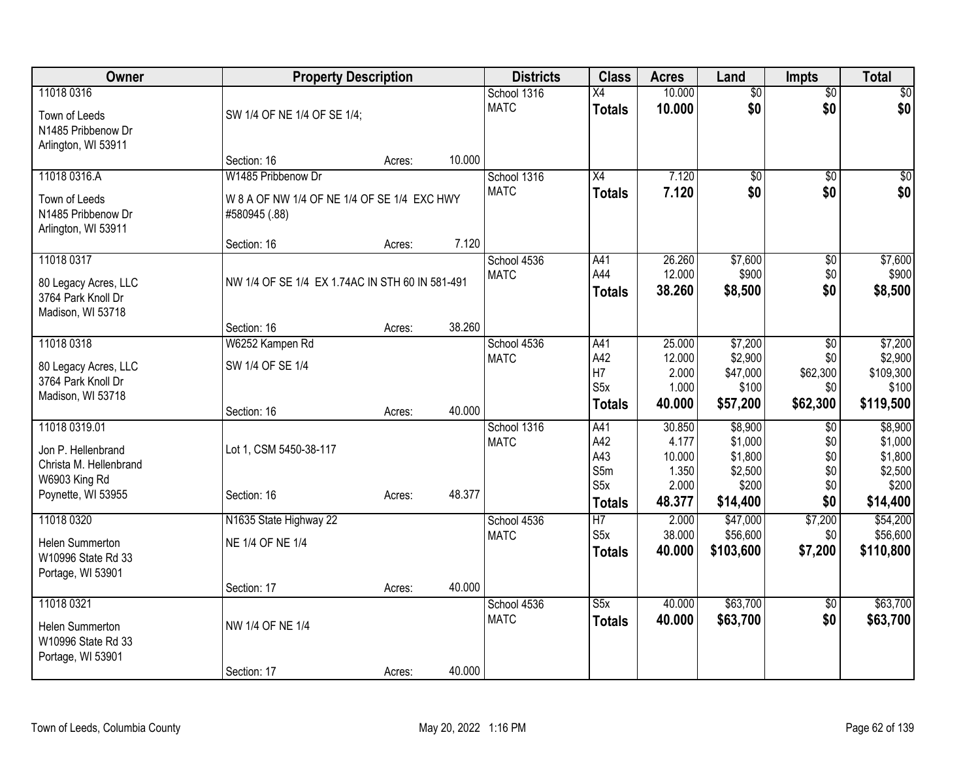| Owner                                                                          | <b>Property Description</b>                                       |        | <b>Districts</b>           | <b>Class</b>                           | <b>Acres</b>                                | Land                                              | <b>Impts</b>                              | <b>Total</b>                                      |
|--------------------------------------------------------------------------------|-------------------------------------------------------------------|--------|----------------------------|----------------------------------------|---------------------------------------------|---------------------------------------------------|-------------------------------------------|---------------------------------------------------|
| 11018 0316<br>Town of Leeds<br>N1485 Pribbenow Dr<br>Arlington, WI 53911       | SW 1/4 OF NE 1/4 OF SE 1/4;                                       |        | School 1316<br><b>MATC</b> | X4<br><b>Totals</b>                    | 10.000<br>10.000                            | $\overline{50}$<br>\$0                            | $\overline{50}$<br>\$0                    | $\sqrt{50}$<br>\$0                                |
|                                                                                | Section: 16                                                       | Acres: | 10.000                     |                                        |                                             |                                                   |                                           |                                                   |
| 11018 0316.A<br>Town of Leeds<br>N1485 Pribbenow Dr                            | W1485 Pribbenow Dr<br>W 8 A OF NW 1/4 OF NE 1/4 OF SE 1/4 EXC HWY |        | School 1316<br><b>MATC</b> | X4<br><b>Totals</b>                    | 7.120<br>7.120                              | \$0<br>\$0                                        | \$0<br>\$0                                | \$0<br>\$0                                        |
| Arlington, WI 53911                                                            | #580945 (.88)<br>Section: 16                                      | Acres: | 7.120                      |                                        |                                             |                                                   |                                           |                                                   |
| 11018 0317<br>80 Legacy Acres, LLC<br>3764 Park Knoll Dr<br>Madison, WI 53718  | NW 1/4 OF SE 1/4 EX 1.74AC IN STH 60 IN 581-491                   |        | School 4536<br><b>MATC</b> | A41<br>A44<br><b>Totals</b>            | 26.260<br>12.000<br>38.260                  | \$7,600<br>\$900<br>\$8,500                       | \$0<br>\$0<br>\$0                         | \$7,600<br>\$900<br>\$8,500                       |
|                                                                                | Section: 16                                                       | Acres: | 38.260                     |                                        |                                             |                                                   |                                           |                                                   |
| 11018 0318<br>80 Legacy Acres, LLC<br>3764 Park Knoll Dr<br>Madison, WI 53718  | W6252 Kampen Rd<br>SW 1/4 OF SE 1/4                               |        | School 4536<br><b>MATC</b> | A41<br>A42<br>H7<br>S5x                | 25.000<br>12.000<br>2.000<br>1.000          | \$7,200<br>\$2,900<br>\$47,000<br>\$100           | $\overline{50}$<br>\$0<br>\$62,300<br>\$0 | \$7,200<br>\$2,900<br>\$109,300<br>\$100          |
|                                                                                | Section: 16                                                       | Acres: | 40.000                     | <b>Totals</b>                          | 40.000                                      | \$57,200                                          | \$62,300                                  | \$119,500                                         |
| 11018 0319.01<br>Jon P. Hellenbrand<br>Christa M. Hellenbrand<br>W6903 King Rd | Lot 1, CSM 5450-38-117                                            |        | School 1316<br><b>MATC</b> | A41<br>A42<br>A43<br>S5m<br>S5x        | 30.850<br>4.177<br>10.000<br>1.350<br>2.000 | \$8,900<br>\$1,000<br>\$1,800<br>\$2,500<br>\$200 | \$0<br>\$0<br>\$0<br>\$0<br>\$0           | \$8,900<br>\$1,000<br>\$1,800<br>\$2,500<br>\$200 |
| Poynette, WI 53955                                                             | Section: 16                                                       | Acres: | 48.377                     | <b>Totals</b>                          | 48.377                                      | \$14,400                                          | \$0                                       | \$14,400                                          |
| 11018 0320<br>Helen Summerton<br>W10996 State Rd 33<br>Portage, WI 53901       | N1635 State Highway 22<br>NE 1/4 OF NE 1/4                        |        | School 4536<br><b>MATC</b> | $\overline{H}$<br>S5x<br><b>Totals</b> | 2.000<br>38.000<br>40.000                   | \$47,000<br>\$56,600<br>\$103,600                 | \$7,200<br>\$0<br>\$7,200                 | \$54,200<br>\$56,600<br>\$110,800                 |
|                                                                                | Section: 17                                                       | Acres: | 40.000                     |                                        |                                             |                                                   |                                           |                                                   |
| 11018 0321<br>Helen Summerton<br>W10996 State Rd 33<br>Portage, WI 53901       | NW 1/4 OF NE 1/4                                                  |        | School 4536<br><b>MATC</b> | S5x<br><b>Totals</b>                   | 40.000<br>40.000                            | \$63,700<br>\$63,700                              | \$0<br>\$0                                | \$63,700<br>\$63,700                              |
|                                                                                | Section: 17                                                       | Acres: | 40.000                     |                                        |                                             |                                                   |                                           |                                                   |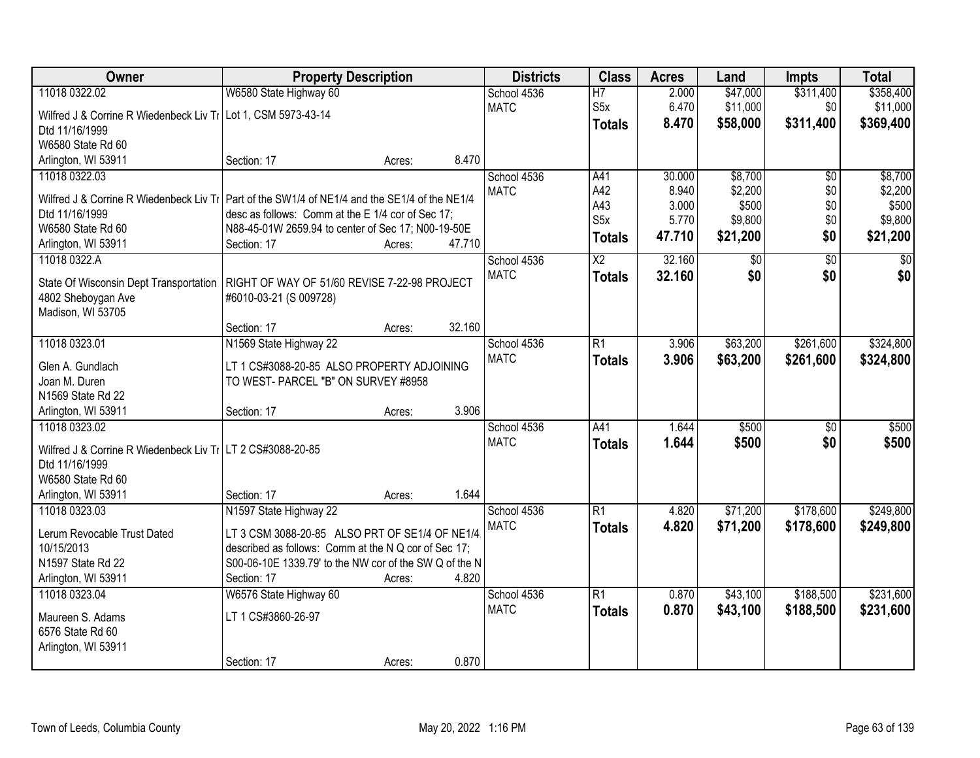| Owner                                                                                           | <b>Property Description</b>                                                       |        |        | <b>Districts</b> | <b>Class</b>     | <b>Acres</b> | Land     | <b>Impts</b>    | <b>Total</b>    |
|-------------------------------------------------------------------------------------------------|-----------------------------------------------------------------------------------|--------|--------|------------------|------------------|--------------|----------|-----------------|-----------------|
| 11018 0322.02                                                                                   | W6580 State Highway 60                                                            |        |        | School 4536      | $\overline{H}$   | 2.000        | \$47,000 | \$311,400       | \$358,400       |
| Wilfred J & Corrine R Wiedenbeck Liv Ti Lot 1, CSM 5973-43-14                                   |                                                                                   |        |        | <b>MATC</b>      | S5x              | 6.470        | \$11,000 | \$0             | \$11,000        |
| Dtd 11/16/1999                                                                                  |                                                                                   |        |        |                  | <b>Totals</b>    | 8.470        | \$58,000 | \$311,400       | \$369,400       |
| W6580 State Rd 60                                                                               |                                                                                   |        |        |                  |                  |              |          |                 |                 |
| Arlington, WI 53911                                                                             | Section: 17                                                                       | Acres: | 8.470  |                  |                  |              |          |                 |                 |
| 11018 0322.03                                                                                   |                                                                                   |        |        | School 4536      | A41              | 30.000       | \$8,700  | $\overline{50}$ | \$8,700         |
| Wilfred J & Corrine R Wiedenbeck Liv Tr   Part of the SW1/4 of NE1/4 and the SE1/4 of the NE1/4 |                                                                                   |        |        | <b>MATC</b>      | A42              | 8.940        | \$2,200  | \$0             | \$2,200         |
| Dtd 11/16/1999                                                                                  | desc as follows: Comm at the E 1/4 cor of Sec 17;                                 |        |        |                  | A43              | 3.000        | \$500    | \$0             | \$500           |
| W6580 State Rd 60                                                                               | N88-45-01W 2659.94 to center of Sec 17; N00-19-50E                                |        |        |                  | S <sub>5</sub> x | 5.770        | \$9,800  | \$0             | \$9,800         |
| Arlington, WI 53911                                                                             | Section: 17                                                                       | Acres: | 47.710 |                  | <b>Totals</b>    | 47.710       | \$21,200 | \$0             | \$21,200        |
| 11018 0322.A                                                                                    |                                                                                   |        |        | School 4536      | $\overline{X2}$  | 32.160       | \$0      | $\overline{50}$ | $\overline{50}$ |
| State Of Wisconsin Dept Transportation                                                          | RIGHT OF WAY OF 51/60 REVISE 7-22-98 PROJECT                                      |        |        | <b>MATC</b>      | <b>Totals</b>    | 32.160       | \$0      | \$0             | \$0             |
| 4802 Sheboygan Ave                                                                              | #6010-03-21 (S 009728)                                                            |        |        |                  |                  |              |          |                 |                 |
| Madison, WI 53705                                                                               |                                                                                   |        |        |                  |                  |              |          |                 |                 |
|                                                                                                 | Section: 17                                                                       | Acres: | 32.160 |                  |                  |              |          |                 |                 |
| 11018 0323.01                                                                                   | N1569 State Highway 22                                                            |        |        | School 4536      | $\overline{R1}$  | 3.906        | \$63,200 | \$261,600       | \$324,800       |
|                                                                                                 |                                                                                   |        |        | <b>MATC</b>      | <b>Totals</b>    | 3.906        | \$63,200 | \$261,600       | \$324,800       |
| Glen A. Gundlach<br>Joan M. Duren                                                               | LT 1 CS#3088-20-85 ALSO PROPERTY ADJOINING<br>TO WEST- PARCEL "B" ON SURVEY #8958 |        |        |                  |                  |              |          |                 |                 |
| N1569 State Rd 22                                                                               |                                                                                   |        |        |                  |                  |              |          |                 |                 |
| Arlington, WI 53911                                                                             | Section: 17                                                                       | Acres: | 3.906  |                  |                  |              |          |                 |                 |
| 11018 0323.02                                                                                   |                                                                                   |        |        | School 4536      | A41              | 1.644        | \$500    | \$0             | \$500           |
|                                                                                                 |                                                                                   |        |        | <b>MATC</b>      | <b>Totals</b>    | 1.644        | \$500    | \$0             | \$500           |
| Wilfred J & Corrine R Wiedenbeck Liv Ti LT 2 CS#3088-20-85<br>Dtd 11/16/1999                    |                                                                                   |        |        |                  |                  |              |          |                 |                 |
| W6580 State Rd 60                                                                               |                                                                                   |        |        |                  |                  |              |          |                 |                 |
| Arlington, WI 53911                                                                             | Section: 17                                                                       | Acres: | 1.644  |                  |                  |              |          |                 |                 |
| 11018 0323.03                                                                                   | N1597 State Highway 22                                                            |        |        | School 4536      | $\overline{R1}$  | 4.820        | \$71,200 | \$178,600       | \$249,800       |
|                                                                                                 |                                                                                   |        |        | <b>MATC</b>      | <b>Totals</b>    | 4.820        | \$71,200 | \$178,600       | \$249,800       |
| Lerum Revocable Trust Dated                                                                     | LT 3 CSM 3088-20-85 ALSO PRT OF SE1/4 OF NE1/4.                                   |        |        |                  |                  |              |          |                 |                 |
| 10/15/2013<br>N1597 State Rd 22                                                                 | described as follows: Comm at the N Q cor of Sec 17;                              |        |        |                  |                  |              |          |                 |                 |
| Arlington, WI 53911                                                                             | S00-06-10E 1339.79' to the NW cor of the SW Q of the N<br>Section: 17             | Acres: | 4.820  |                  |                  |              |          |                 |                 |
| 11018 0323.04                                                                                   | W6576 State Highway 60                                                            |        |        | School 4536      | $\overline{R1}$  | 0.870        | \$43,100 | \$188,500       | \$231,600       |
|                                                                                                 |                                                                                   |        |        | <b>MATC</b>      | <b>Totals</b>    | 0.870        | \$43,100 | \$188,500       | \$231,600       |
| Maureen S. Adams                                                                                | LT 1 CS#3860-26-97                                                                |        |        |                  |                  |              |          |                 |                 |
| 6576 State Rd 60                                                                                |                                                                                   |        |        |                  |                  |              |          |                 |                 |
| Arlington, WI 53911                                                                             |                                                                                   |        |        |                  |                  |              |          |                 |                 |
|                                                                                                 | Section: 17                                                                       | Acres: | 0.870  |                  |                  |              |          |                 |                 |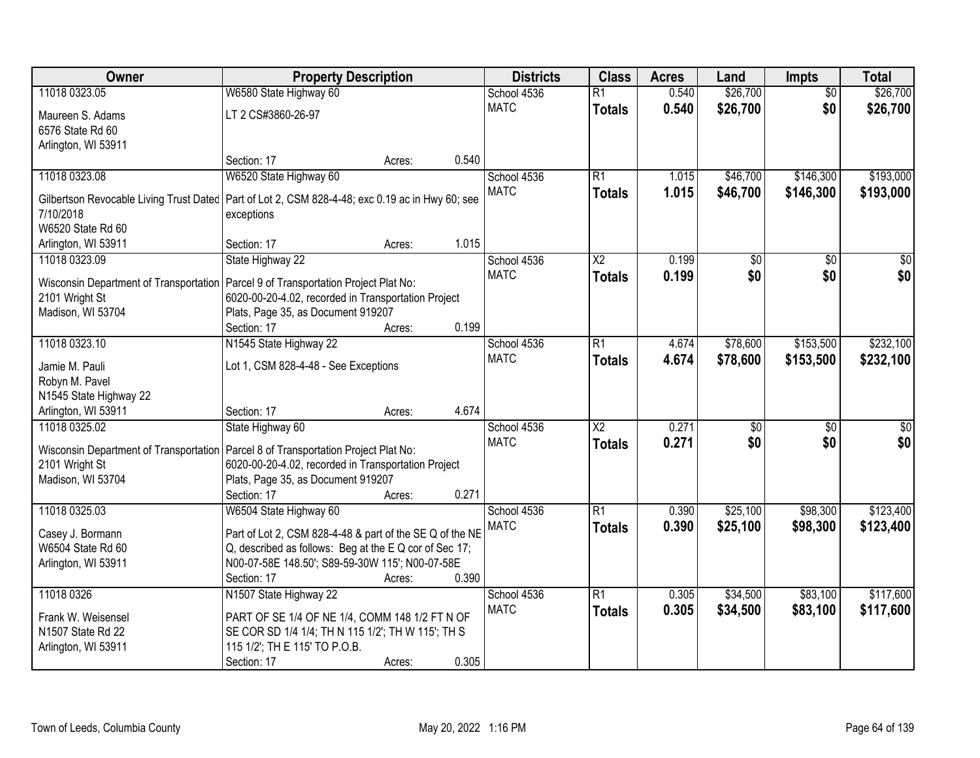| Owner                                                                                           | <b>Property Description</b>                              |        |       | <b>Districts</b> | <b>Class</b>           | <b>Acres</b> | Land            | <b>Impts</b>    | <b>Total</b> |
|-------------------------------------------------------------------------------------------------|----------------------------------------------------------|--------|-------|------------------|------------------------|--------------|-----------------|-----------------|--------------|
| 11018 0323.05                                                                                   | W6580 State Highway 60                                   |        |       | School 4536      | $\overline{R1}$        | 0.540        | \$26,700        | $\overline{30}$ | \$26,700     |
| Maureen S. Adams                                                                                | LT 2 CS#3860-26-97                                       |        |       | <b>MATC</b>      | <b>Totals</b>          | 0.540        | \$26,700        | \$0             | \$26,700     |
| 6576 State Rd 60                                                                                |                                                          |        |       |                  |                        |              |                 |                 |              |
| Arlington, WI 53911                                                                             |                                                          |        |       |                  |                        |              |                 |                 |              |
|                                                                                                 | Section: 17                                              | Acres: | 0.540 |                  |                        |              |                 |                 |              |
| 11018 0323.08                                                                                   | W6520 State Highway 60                                   |        |       | School 4536      | R1                     | 1.015        | \$46,700        | \$146,300       | \$193,000    |
|                                                                                                 |                                                          |        |       | <b>MATC</b>      | <b>Totals</b>          | 1.015        | \$46,700        | \$146,300       | \$193,000    |
| Gilbertson Revocable Living Trust Dated Part of Lot 2, CSM 828-4-48; exc 0.19 ac in Hwy 60; see |                                                          |        |       |                  |                        |              |                 |                 |              |
| 7/10/2018<br>W6520 State Rd 60                                                                  | exceptions                                               |        |       |                  |                        |              |                 |                 |              |
|                                                                                                 | Section: 17                                              |        | 1.015 |                  |                        |              |                 |                 |              |
| Arlington, WI 53911<br>11018 0323.09                                                            |                                                          | Acres: |       | School 4536      | X <sub>2</sub>         | 0.199        |                 |                 | \$0          |
|                                                                                                 | State Highway 22                                         |        |       |                  |                        |              | \$0             | \$0             |              |
| <b>Wisconsin Department of Transportation</b>                                                   | Parcel 9 of Transportation Project Plat No:              |        |       | <b>MATC</b>      | <b>Totals</b>          | 0.199        | \$0             | \$0             | \$0          |
| 2101 Wright St                                                                                  | 6020-00-20-4.02, recorded in Transportation Project      |        |       |                  |                        |              |                 |                 |              |
| Madison, WI 53704                                                                               | Plats, Page 35, as Document 919207                       |        |       |                  |                        |              |                 |                 |              |
|                                                                                                 | Section: 17                                              | Acres: | 0.199 |                  |                        |              |                 |                 |              |
| 11018 0323.10                                                                                   | N1545 State Highway 22                                   |        |       | School 4536      | R1                     | 4.674        | \$78,600        | \$153,500       | \$232,100    |
| Jamie M. Pauli                                                                                  | Lot 1, CSM 828-4-48 - See Exceptions                     |        |       | <b>MATC</b>      | <b>Totals</b>          | 4.674        | \$78,600        | \$153,500       | \$232,100    |
| Robyn M. Pavel                                                                                  |                                                          |        |       |                  |                        |              |                 |                 |              |
| N1545 State Highway 22                                                                          |                                                          |        |       |                  |                        |              |                 |                 |              |
| Arlington, WI 53911                                                                             | Section: 17                                              | Acres: | 4.674 |                  |                        |              |                 |                 |              |
| 11018 0325.02                                                                                   | State Highway 60                                         |        |       | School 4536      | $\overline{\text{X2}}$ | 0.271        | $\overline{50}$ | $\overline{50}$ | $\sqrt{50}$  |
|                                                                                                 |                                                          |        |       | <b>MATC</b>      | <b>Totals</b>          | 0.271        | \$0             | \$0             | \$0          |
| Wisconsin Department of Transportation                                                          | Parcel 8 of Transportation Project Plat No:              |        |       |                  |                        |              |                 |                 |              |
| 2101 Wright St                                                                                  | 6020-00-20-4.02, recorded in Transportation Project      |        |       |                  |                        |              |                 |                 |              |
| Madison, WI 53704                                                                               | Plats, Page 35, as Document 919207                       |        |       |                  |                        |              |                 |                 |              |
|                                                                                                 | Section: 17                                              | Acres: | 0.271 |                  |                        |              |                 |                 |              |
| 11018 0325.03                                                                                   | W6504 State Highway 60                                   |        |       | School 4536      | R1                     | 0.390        | \$25,100        | \$98,300        | \$123,400    |
| Casey J. Bormann                                                                                | Part of Lot 2, CSM 828-4-48 & part of the SE Q of the NE |        |       | <b>MATC</b>      | <b>Totals</b>          | 0.390        | \$25,100        | \$98,300        | \$123,400    |
| W6504 State Rd 60                                                                               | Q, described as follows: Beg at the E Q cor of Sec 17;   |        |       |                  |                        |              |                 |                 |              |
| Arlington, WI 53911                                                                             | N00-07-58E 148.50'; S89-59-30W 115'; N00-07-58E          |        |       |                  |                        |              |                 |                 |              |
|                                                                                                 | Section: 17                                              | Acres: | 0.390 |                  |                        |              |                 |                 |              |
| 11018 0326                                                                                      | N1507 State Highway 22                                   |        |       | School 4536      | R1                     | 0.305        | \$34,500        | \$83,100        | \$117,600    |
|                                                                                                 |                                                          |        |       | <b>MATC</b>      | <b>Totals</b>          | 0.305        | \$34,500        | \$83,100        | \$117,600    |
| Frank W. Weisensel                                                                              | PART OF SE 1/4 OF NE 1/4, COMM 148 1/2 FT N OF           |        |       |                  |                        |              |                 |                 |              |
| N1507 State Rd 22                                                                               | SE COR SD 1/4 1/4; TH N 115 1/2'; TH W 115'; TH S        |        |       |                  |                        |              |                 |                 |              |
| Arlington, WI 53911                                                                             | 115 1/2'; TH E 115' TO P.O.B.                            |        |       |                  |                        |              |                 |                 |              |
|                                                                                                 | Section: 17                                              | Acres: | 0.305 |                  |                        |              |                 |                 |              |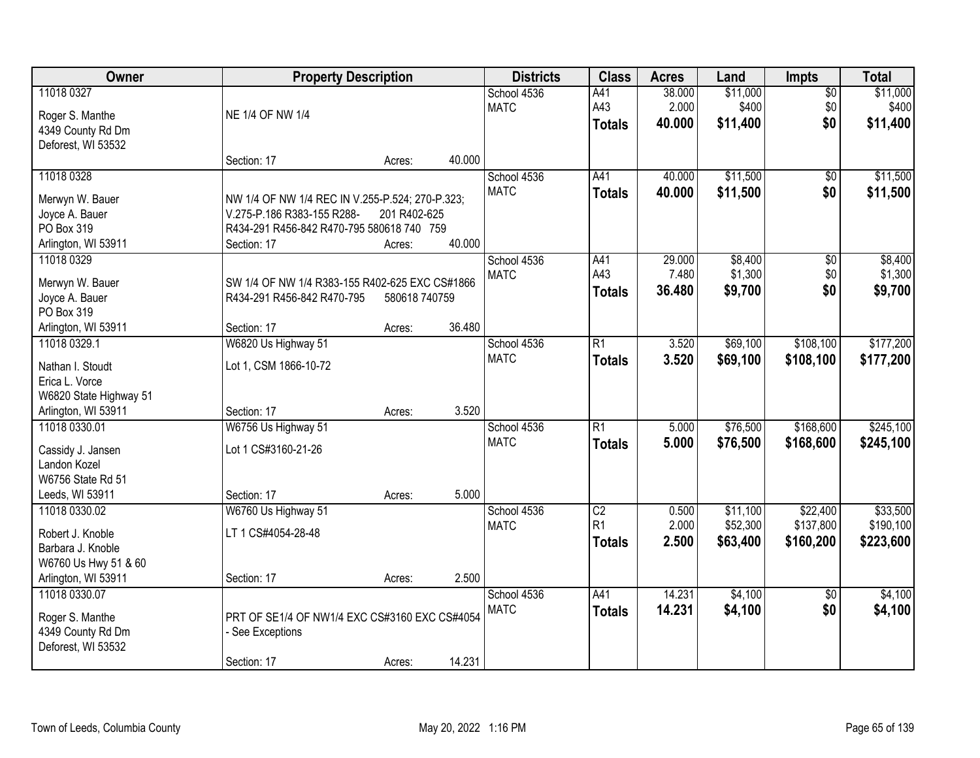| Owner                                                                                | <b>Property Description</b>                                                                                                |                         |        | <b>Districts</b>           | <b>Class</b>                    | <b>Acres</b>              | Land                          | <b>Impts</b>                  | <b>Total</b>                  |
|--------------------------------------------------------------------------------------|----------------------------------------------------------------------------------------------------------------------------|-------------------------|--------|----------------------------|---------------------------------|---------------------------|-------------------------------|-------------------------------|-------------------------------|
| 11018 0327<br>Roger S. Manthe<br>4349 County Rd Dm<br>Deforest, WI 53532             | NE 1/4 OF NW 1/4                                                                                                           |                         |        | School 4536<br><b>MATC</b> | A41<br>A43<br><b>Totals</b>     | 38.000<br>2.000<br>40.000 | \$11,000<br>\$400<br>\$11,400 | $\overline{50}$<br>\$0<br>\$0 | \$11,000<br>\$400<br>\$11,400 |
|                                                                                      | Section: 17                                                                                                                | Acres:                  | 40.000 |                            |                                 |                           |                               |                               |                               |
| 11018 0328<br>Merwyn W. Bauer<br>Joyce A. Bauer<br>PO Box 319                        | NW 1/4 OF NW 1/4 REC IN V.255-P.524; 270-P.323;<br>V.275-P.186 R383-155 R288-<br>R434-291 R456-842 R470-795 580618 740 759 | 201 R402-625            | 40.000 | School 4536<br><b>MATC</b> | A41<br><b>Totals</b>            | 40.000<br>40.000          | \$11,500<br>\$11,500          | $\overline{50}$<br>\$0        | \$11,500<br>\$11,500          |
| Arlington, WI 53911<br>11018 0329                                                    | Section: 17                                                                                                                | Acres:                  |        | School 4536                | A41                             | 29.000                    | \$8,400                       | $\overline{50}$               | \$8,400                       |
| Merwyn W. Bauer<br>Joyce A. Bauer<br>PO Box 319<br>Arlington, WI 53911               | SW 1/4 OF NW 1/4 R383-155 R402-625 EXC CS#1866<br>R434-291 R456-842 R470-795<br>Section: 17                                | 580618 740759<br>Acres: | 36.480 | <b>MATC</b>                | A43<br><b>Totals</b>            | 7.480<br>36.480           | \$1,300<br>\$9,700            | \$0<br>\$0                    | \$1,300<br>\$9,700            |
| 11018 0329.1                                                                         | W6820 Us Highway 51                                                                                                        |                         |        | School 4536                | $\overline{R1}$                 | 3.520                     | \$69,100                      | \$108,100                     | \$177,200                     |
| Nathan I. Stoudt<br>Erica L. Vorce<br>W6820 State Highway 51                         | Lot 1, CSM 1866-10-72                                                                                                      |                         | 3.520  | <b>MATC</b>                | <b>Totals</b>                   | 3.520                     | \$69,100                      | \$108,100                     | \$177,200                     |
| Arlington, WI 53911<br>11018 0330.01                                                 | Section: 17<br>W6756 Us Highway 51                                                                                         | Acres:                  |        | School 4536                | $\overline{R1}$                 | 5.000                     | \$76,500                      | \$168,600                     | \$245,100                     |
| Cassidy J. Jansen<br>Landon Kozel<br>W6756 State Rd 51<br>Leeds, WI 53911            | Lot 1 CS#3160-21-26<br>Section: 17                                                                                         | Acres:                  | 5.000  | <b>MATC</b>                | <b>Totals</b>                   | 5.000                     | \$76,500                      | \$168,600                     | \$245,100                     |
| 11018 0330.02                                                                        | W6760 Us Highway 51                                                                                                        |                         |        | School 4536                | $\overline{C2}$                 | 0.500                     | \$11,100                      | \$22,400                      | \$33,500                      |
| Robert J. Knoble<br>Barbara J. Knoble<br>W6760 Us Hwy 51 & 60<br>Arlington, WI 53911 | LT 1 CS#4054-28-48<br>Section: 17                                                                                          | Acres:                  | 2.500  | <b>MATC</b>                | R <sub>1</sub><br><b>Totals</b> | 2.000<br>2.500            | \$52,300<br>\$63,400          | \$137,800<br>\$160,200        | \$190,100<br>\$223,600        |
| 11018 0330.07                                                                        |                                                                                                                            |                         |        | School 4536                | A41                             | 14.231                    | \$4,100                       | $\overline{50}$               | \$4,100                       |
| Roger S. Manthe<br>4349 County Rd Dm<br>Deforest, WI 53532                           | PRT OF SE1/4 OF NW1/4 EXC CS#3160 EXC CS#4054<br>- See Exceptions<br>Section: 17                                           | Acres:                  | 14.231 | <b>MATC</b>                | <b>Totals</b>                   | 14.231                    | \$4,100                       | \$0                           | \$4,100                       |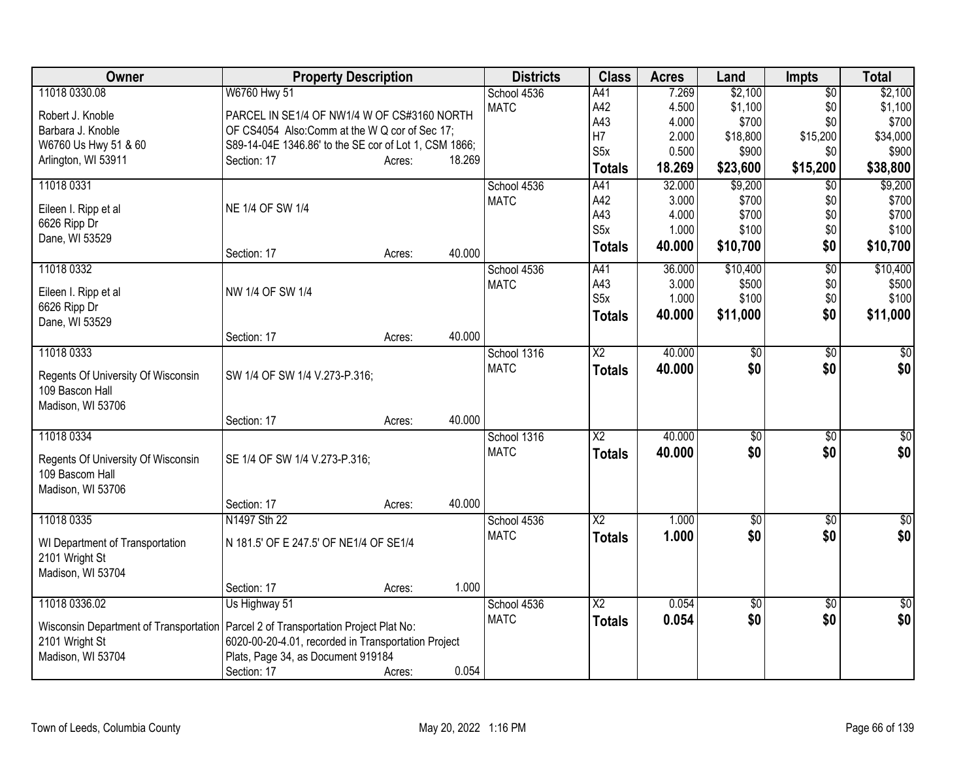| Owner<br><b>Districts</b><br><b>Class</b><br><b>Property Description</b><br><b>Acres</b><br>Land<br><b>Impts</b>                             | <b>Total</b>    |
|----------------------------------------------------------------------------------------------------------------------------------------------|-----------------|
| 11018 0330.08<br>W6760 Hwy 51<br>7.269<br>\$2,100<br>School 4536<br>A41<br>$\overline{50}$                                                   | \$2,100         |
| A42<br>\$1,100<br><b>MATC</b><br>4.500<br>\$0<br>PARCEL IN SE1/4 OF NW1/4 W OF CS#3160 NORTH<br>Robert J. Knoble                             | \$1,100         |
| A43<br>4.000<br>\$700<br>\$0<br>Barbara J. Knoble<br>OF CS4054 Also:Comm at the W Q cor of Sec 17;                                           | \$700           |
| H7<br>2.000<br>\$18,800<br>\$15,200<br>S89-14-04E 1346.86' to the SE cor of Lot 1, CSM 1866;<br>W6760 Us Hwy 51 & 60                         | \$34,000        |
| S <sub>5x</sub><br>0.500<br>\$900<br>\$0<br>Arlington, WI 53911<br>18.269<br>Section: 17<br>Acres:                                           | \$900           |
| \$15,200<br>18.269<br>\$23,600<br><b>Totals</b>                                                                                              | \$38,800        |
| 11018 0331<br>A41<br>32.000<br>\$9,200<br>School 4536<br>$\overline{50}$                                                                     | \$9,200         |
| A42<br>3.000<br>\$700<br>\$0<br><b>MATC</b><br>NE 1/4 OF SW 1/4<br>Eileen I. Ripp et al                                                      | \$700           |
| A43<br>4.000<br>\$700<br>\$0<br>6626 Ripp Dr                                                                                                 | \$700           |
| S <sub>5x</sub><br>1.000<br>\$100<br>\$0<br>Dane, WI 53529                                                                                   | \$100           |
| \$0<br>\$10,700<br>40.000<br><b>Totals</b><br>40.000<br>Section: 17<br>Acres:                                                                | \$10,700        |
| 11018 0332<br>School 4536<br>A41<br>\$10,400<br>$\overline{50}$<br>36.000                                                                    | \$10,400        |
| A43<br>\$500<br>3.000<br>\$0<br><b>MATC</b><br>NW 1/4 OF SW 1/4<br>Eileen I. Ripp et al                                                      | \$500           |
| S <sub>5</sub> x<br>\$100<br>\$0<br>1.000<br>6626 Ripp Dr                                                                                    | \$100           |
| \$0<br>40.000<br>\$11,000<br><b>Totals</b><br>Dane, WI 53529                                                                                 | \$11,000        |
| 40.000<br>Section: 17<br>Acres:                                                                                                              |                 |
| 11018 0333<br>$\overline{X2}$<br>40.000<br>$\overline{50}$<br>School 1316<br>\$0                                                             | \$0             |
| \$0<br>\$0<br><b>MATC</b><br>40.000<br><b>Totals</b>                                                                                         | \$0             |
| SW 1/4 OF SW 1/4 V.273-P.316;<br>Regents Of University Of Wisconsin                                                                          |                 |
| 109 Bascon Hall<br>Madison, WI 53706                                                                                                         |                 |
| 40.000<br>Section: 17<br>Acres:                                                                                                              |                 |
| 11018 0334<br>40.000<br>School 1316<br>$\overline{\text{X2}}$<br>\$0<br>$\overline{60}$                                                      | $\sqrt{50}$     |
| \$0<br><b>MATC</b><br>40.000<br>\$0                                                                                                          | \$0             |
| <b>Totals</b><br>SE 1/4 OF SW 1/4 V.273-P.316;<br>Regents Of University Of Wisconsin                                                         |                 |
| 109 Bascom Hall                                                                                                                              |                 |
| Madison, WI 53706                                                                                                                            |                 |
| 40.000<br>Section: 17<br>Acres:                                                                                                              |                 |
| 11018 0335<br>N1497 Sth 22<br>School 4536<br>$\overline{\text{X2}}$<br>1.000<br>\$0<br>$\overline{30}$                                       | \$0             |
| <b>MATC</b><br>\$0<br>1.000<br>\$0<br><b>Totals</b><br>N 181.5' OF E 247.5' OF NE1/4 OF SE1/4<br>WI Department of Transportation             | \$0             |
| 2101 Wright St                                                                                                                               |                 |
| Madison, WI 53704                                                                                                                            |                 |
| 1.000<br>Section: 17<br>Acres:                                                                                                               |                 |
| 11018 0336.02<br>Us Highway 51<br>$\overline{\text{X2}}$<br>0.054<br>$\overline{60}$<br>School 4536<br>\$0                                   | $\overline{30}$ |
| <b>MATC</b><br>\$0<br>0.054<br>\$0<br><b>Totals</b><br>Wisconsin Department of Transportation<br>Parcel 2 of Transportation Project Plat No: | \$0             |
| 2101 Wright St<br>6020-00-20-4.01, recorded in Transportation Project                                                                        |                 |
| Plats, Page 34, as Document 919184<br>Madison, WI 53704                                                                                      |                 |
| 0.054<br>Section: 17<br>Acres:                                                                                                               |                 |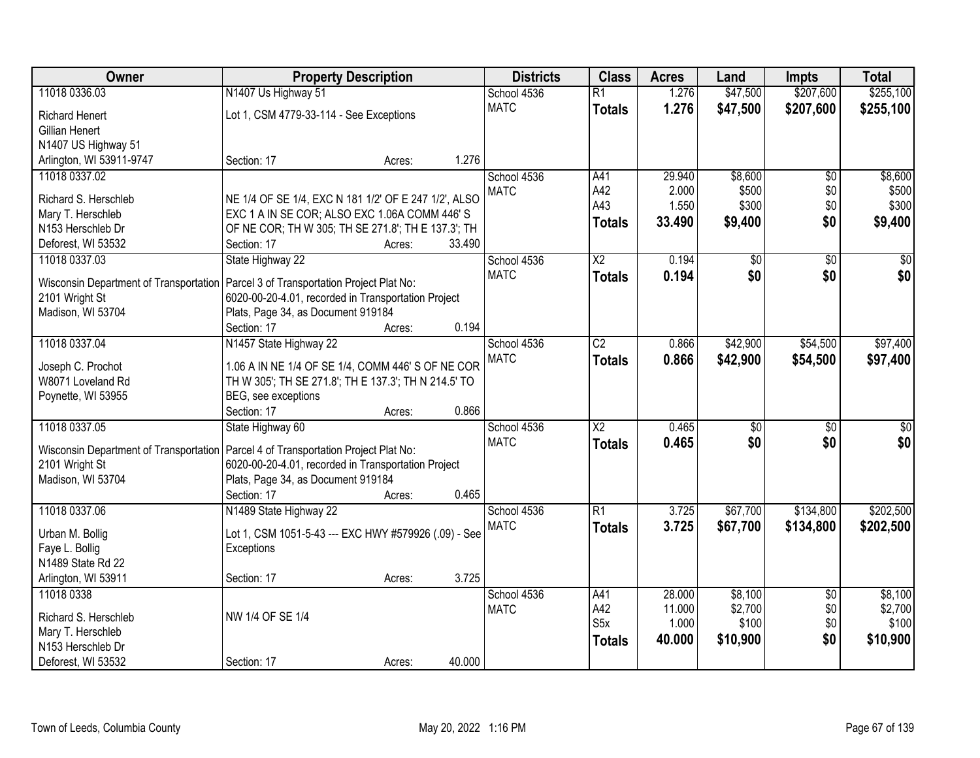| Owner                                  | <b>Property Description</b>                                                                               |        | <b>Districts</b> | <b>Class</b>           | <b>Acres</b> | Land            | <b>Impts</b>    | <b>Total</b>    |
|----------------------------------------|-----------------------------------------------------------------------------------------------------------|--------|------------------|------------------------|--------------|-----------------|-----------------|-----------------|
| 11018 0336.03                          | N1407 Us Highway 51                                                                                       |        | School 4536      | $\overline{R1}$        | 1.276        | \$47,500        | \$207,600       | \$255,100       |
| <b>Richard Henert</b>                  | Lot 1, CSM 4779-33-114 - See Exceptions                                                                   |        | <b>MATC</b>      | <b>Totals</b>          | 1.276        | \$47,500        | \$207,600       | \$255,100       |
| Gillian Henert                         |                                                                                                           |        |                  |                        |              |                 |                 |                 |
| N1407 US Highway 51                    |                                                                                                           |        |                  |                        |              |                 |                 |                 |
| Arlington, WI 53911-9747               | Section: 17<br>Acres:                                                                                     | 1.276  |                  |                        |              |                 |                 |                 |
| 11018 0337.02                          |                                                                                                           |        | School 4536      | A41                    | 29.940       | \$8,600         | $\overline{50}$ | \$8,600         |
|                                        |                                                                                                           |        | <b>MATC</b>      | A42                    | 2.000        | \$500           | \$0             | \$500           |
| Richard S. Herschleb                   | NE 1/4 OF SE 1/4, EXC N 181 1/2' OF E 247 1/2', ALSO                                                      |        |                  | A43                    | 1.550        | \$300           | \$0             | \$300           |
| Mary T. Herschleb                      | EXC 1 A IN SE COR; ALSO EXC 1.06A COMM 446'S                                                              |        |                  | <b>Totals</b>          | 33.490       | \$9,400         | \$0             | \$9,400         |
| N153 Herschleb Dr                      | OF NE COR; TH W 305; TH SE 271.8'; TH E 137.3'; TH                                                        |        |                  |                        |              |                 |                 |                 |
| Deforest, WI 53532                     | Section: 17<br>Acres:                                                                                     | 33.490 |                  |                        |              |                 |                 |                 |
| 11018 0337.03                          | State Highway 22                                                                                          |        | School 4536      | $\overline{\text{X2}}$ | 0.194        | $\overline{50}$ | $\overline{50}$ | $\overline{30}$ |
| Wisconsin Department of Transportation | Parcel 3 of Transportation Project Plat No:                                                               |        | <b>MATC</b>      | <b>Totals</b>          | 0.194        | \$0             | \$0             | \$0             |
| 2101 Wright St                         | 6020-00-20-4.01, recorded in Transportation Project                                                       |        |                  |                        |              |                 |                 |                 |
| Madison, WI 53704                      | Plats, Page 34, as Document 919184                                                                        |        |                  |                        |              |                 |                 |                 |
|                                        | Section: 17<br>Acres:                                                                                     | 0.194  |                  |                        |              |                 |                 |                 |
| 11018 0337.04                          | N1457 State Highway 22                                                                                    |        | School 4536      | $\overline{C2}$        | 0.866        | \$42,900        | \$54,500        | \$97,400        |
|                                        |                                                                                                           |        | <b>MATC</b>      | <b>Totals</b>          | 0.866        | \$42,900        | \$54,500        | \$97,400        |
| Joseph C. Prochot<br>W8071 Loveland Rd | 1.06 A IN NE 1/4 OF SE 1/4, COMM 446' S OF NE COR<br>TH W 305'; TH SE 271.8'; TH E 137.3'; TH N 214.5' TO |        |                  |                        |              |                 |                 |                 |
| Poynette, WI 53955                     | BEG, see exceptions                                                                                       |        |                  |                        |              |                 |                 |                 |
|                                        | Section: 17<br>Acres:                                                                                     | 0.866  |                  |                        |              |                 |                 |                 |
| 11018 0337.05                          | State Highway 60                                                                                          |        | School 4536      | $\overline{\text{X2}}$ | 0.465        | $\overline{50}$ | $\overline{50}$ | $\overline{30}$ |
|                                        |                                                                                                           |        | <b>MATC</b>      | <b>Totals</b>          | 0.465        | \$0             | \$0             | \$0             |
| Wisconsin Department of Transportation | Parcel 4 of Transportation Project Plat No:                                                               |        |                  |                        |              |                 |                 |                 |
| 2101 Wright St                         | 6020-00-20-4.01, recorded in Transportation Project                                                       |        |                  |                        |              |                 |                 |                 |
| Madison, WI 53704                      | Plats, Page 34, as Document 919184                                                                        |        |                  |                        |              |                 |                 |                 |
|                                        | Section: 17<br>Acres:                                                                                     | 0.465  |                  |                        |              |                 |                 |                 |
| 11018 0337.06                          | N1489 State Highway 22                                                                                    |        | School 4536      | R1                     | 3.725        | \$67,700        | \$134,800       | \$202,500       |
| Urban M. Bollig                        | Lot 1, CSM 1051-5-43 --- EXC HWY #579926 (.09) - See                                                      |        | <b>MATC</b>      | <b>Totals</b>          | 3.725        | \$67,700        | \$134,800       | \$202,500       |
| Faye L. Bollig                         | Exceptions                                                                                                |        |                  |                        |              |                 |                 |                 |
| N1489 State Rd 22                      |                                                                                                           |        |                  |                        |              |                 |                 |                 |
| Arlington, WI 53911                    | Section: 17<br>Acres:                                                                                     | 3.725  |                  |                        |              |                 |                 |                 |
| 11018 0338                             |                                                                                                           |        | School 4536      | A41                    | 28.000       | \$8,100         | $\overline{30}$ | \$8,100         |
|                                        |                                                                                                           |        | <b>MATC</b>      | A42                    | 11.000       | \$2,700         | \$0             | \$2,700         |
| Richard S. Herschleb                   | NW 1/4 OF SE 1/4                                                                                          |        |                  | S <sub>5</sub> x       | 1.000        | \$100           | \$0             | \$100           |
| Mary T. Herschleb                      |                                                                                                           |        |                  | <b>Totals</b>          | 40.000       | \$10,900        | \$0             | \$10,900        |
| N153 Herschleb Dr                      |                                                                                                           |        |                  |                        |              |                 |                 |                 |
| Deforest, WI 53532                     | Section: 17<br>Acres:                                                                                     | 40.000 |                  |                        |              |                 |                 |                 |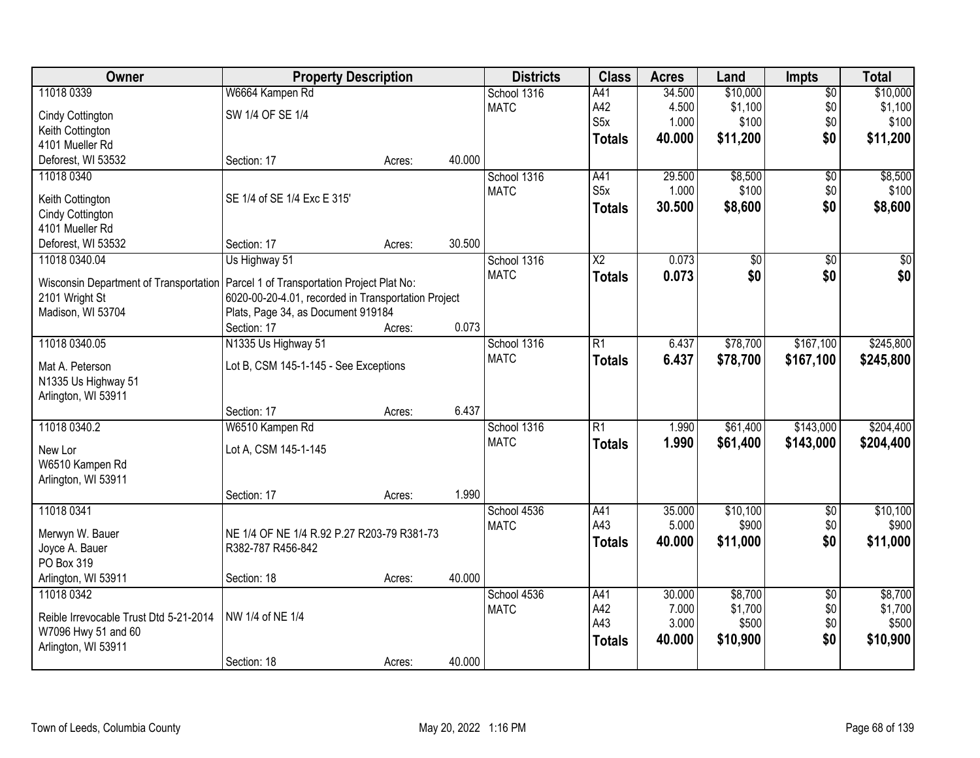| Owner                                  | <b>Property Description</b>                         |        |        | <b>Districts</b> | <b>Class</b>           | <b>Acres</b> | Land            | <b>Impts</b>    | <b>Total</b>    |
|----------------------------------------|-----------------------------------------------------|--------|--------|------------------|------------------------|--------------|-----------------|-----------------|-----------------|
| 11018 0339                             | W6664 Kampen Rd                                     |        |        | School 1316      | A41                    | 34.500       | \$10,000        | $\overline{50}$ | \$10,000        |
| Cindy Cottington                       | SW 1/4 OF SE 1/4                                    |        |        | <b>MATC</b>      | A42                    | 4.500        | \$1,100         | \$0             | \$1,100         |
| Keith Cottington                       |                                                     |        |        |                  | S <sub>5</sub> x       | 1.000        | \$100           | \$0             | \$100           |
| 4101 Mueller Rd                        |                                                     |        |        |                  | <b>Totals</b>          | 40.000       | \$11,200        | \$0             | \$11,200        |
| Deforest, WI 53532                     | Section: 17                                         | Acres: | 40.000 |                  |                        |              |                 |                 |                 |
| 11018 0340                             |                                                     |        |        | School 1316      | A41                    | 29.500       | \$8,500         | $\overline{50}$ | \$8,500         |
|                                        |                                                     |        |        | <b>MATC</b>      | S <sub>5x</sub>        | 1.000        | \$100           | \$0             | \$100           |
| Keith Cottington                       | SE 1/4 of SE 1/4 Exc E 315'                         |        |        |                  | <b>Totals</b>          | 30.500       | \$8,600         | \$0             | \$8,600         |
| Cindy Cottington                       |                                                     |        |        |                  |                        |              |                 |                 |                 |
| 4101 Mueller Rd                        |                                                     |        |        |                  |                        |              |                 |                 |                 |
| Deforest, WI 53532                     | Section: 17                                         | Acres: | 30.500 |                  |                        |              |                 |                 |                 |
| 11018 0340.04                          | Us Highway 51                                       |        |        | School 1316      | $\overline{\text{X2}}$ | 0.073        | $\overline{50}$ | $\overline{50}$ | $\overline{30}$ |
| Wisconsin Department of Transportation | Parcel 1 of Transportation Project Plat No:         |        |        | <b>MATC</b>      | <b>Totals</b>          | 0.073        | \$0             | \$0             | \$0             |
| 2101 Wright St                         | 6020-00-20-4.01, recorded in Transportation Project |        |        |                  |                        |              |                 |                 |                 |
| Madison, WI 53704                      | Plats, Page 34, as Document 919184                  |        |        |                  |                        |              |                 |                 |                 |
|                                        | Section: 17                                         | Acres: | 0.073  |                  |                        |              |                 |                 |                 |
| 11018 0340.05                          | N1335 Us Highway 51                                 |        |        | School 1316      | R1                     | 6.437        | \$78,700        | \$167,100       | \$245,800       |
| Mat A. Peterson                        | Lot B, CSM 145-1-145 - See Exceptions               |        |        | <b>MATC</b>      | <b>Totals</b>          | 6.437        | \$78,700        | \$167,100       | \$245,800       |
| N1335 Us Highway 51                    |                                                     |        |        |                  |                        |              |                 |                 |                 |
| Arlington, WI 53911                    |                                                     |        |        |                  |                        |              |                 |                 |                 |
|                                        | Section: 17                                         | Acres: | 6.437  |                  |                        |              |                 |                 |                 |
| 11018 0340.2                           | W6510 Kampen Rd                                     |        |        | School 1316      | $\overline{R1}$        | 1.990        | \$61,400        | \$143,000       | \$204,400       |
|                                        |                                                     |        |        | <b>MATC</b>      | <b>Totals</b>          | 1.990        | \$61,400        | \$143,000       | \$204,400       |
| New Lor                                | Lot A, CSM 145-1-145                                |        |        |                  |                        |              |                 |                 |                 |
| W6510 Kampen Rd                        |                                                     |        |        |                  |                        |              |                 |                 |                 |
| Arlington, WI 53911                    |                                                     |        |        |                  |                        |              |                 |                 |                 |
|                                        | Section: 17                                         | Acres: | 1.990  |                  |                        |              |                 |                 |                 |
| 11018 0341                             |                                                     |        |        | School 4536      | A41                    | 35.000       | \$10,100        | $\sqrt{6}$      | \$10,100        |
| Merwyn W. Bauer                        | NE 1/4 OF NE 1/4 R.92 P.27 R203-79 R381-73          |        |        | <b>MATC</b>      | A43                    | 5.000        | \$900           | \$0             | \$900           |
| Joyce A. Bauer                         | R382-787 R456-842                                   |        |        |                  | <b>Totals</b>          | 40.000       | \$11,000        | \$0             | \$11,000        |
| PO Box 319                             |                                                     |        |        |                  |                        |              |                 |                 |                 |
| Arlington, WI 53911                    | Section: 18                                         | Acres: | 40.000 |                  |                        |              |                 |                 |                 |
| 11018 0342                             |                                                     |        |        | School 4536      | A41                    | 30.000       | \$8,700         | $\overline{50}$ | \$8,700         |
|                                        |                                                     |        |        | <b>MATC</b>      | A42                    | 7.000        | \$1,700         | \$0             | \$1,700         |
| Reible Irrevocable Trust Dtd 5-21-2014 | NW 1/4 of NE 1/4                                    |        |        |                  | A43                    | 3.000        | \$500           | \$0             | \$500           |
| W7096 Hwy 51 and 60                    |                                                     |        |        |                  | <b>Totals</b>          | 40.000       | \$10,900        | \$0             | \$10,900        |
| Arlington, WI 53911                    |                                                     |        |        |                  |                        |              |                 |                 |                 |
|                                        | Section: 18                                         | Acres: | 40.000 |                  |                        |              |                 |                 |                 |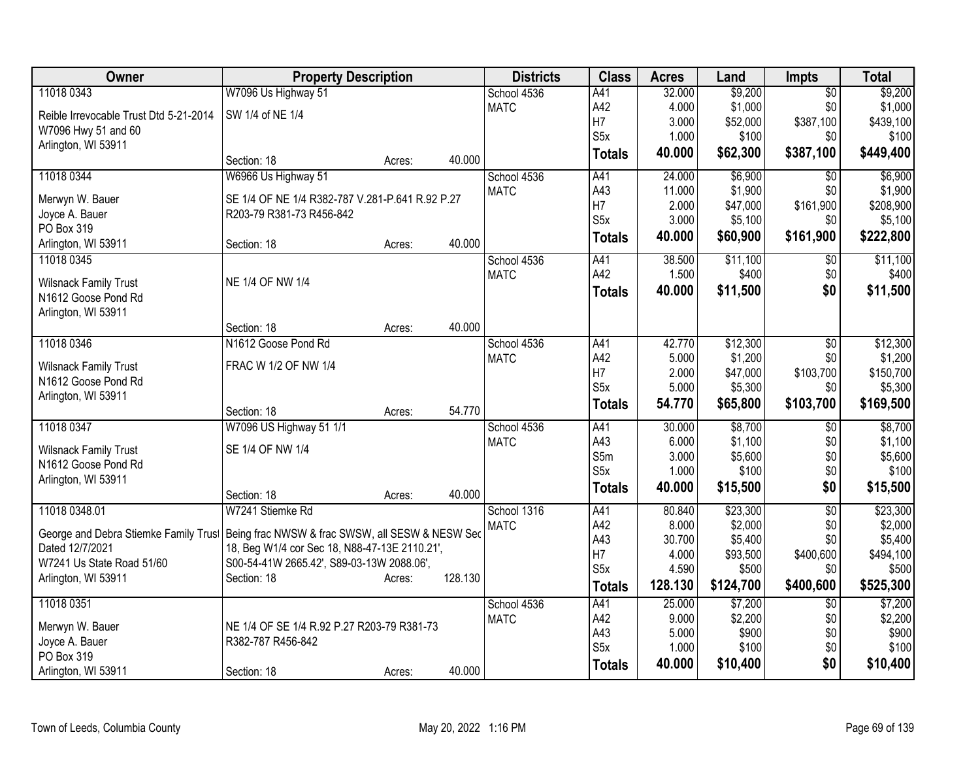| Owner                                               | <b>Property Description</b>                      |        |         | <b>Districts</b> | <b>Class</b>     | <b>Acres</b> | Land      | <b>Impts</b>    | <b>Total</b> |
|-----------------------------------------------------|--------------------------------------------------|--------|---------|------------------|------------------|--------------|-----------|-----------------|--------------|
| 11018 0343                                          | W7096 Us Highway 51                              |        |         | School 4536      | A41              | 32.000       | \$9,200   | $\overline{50}$ | \$9,200      |
| Reible Irrevocable Trust Dtd 5-21-2014              | SW 1/4 of NE 1/4                                 |        |         | <b>MATC</b>      | A42              | 4.000        | \$1,000   | \$0             | \$1,000      |
| W7096 Hwy 51 and 60                                 |                                                  |        |         |                  | H7               | 3.000        | \$52,000  | \$387,100       | \$439,100    |
| Arlington, WI 53911                                 |                                                  |        |         |                  | S <sub>5</sub> x | 1.000        | \$100     | \$0             | \$100        |
|                                                     | Section: 18                                      | Acres: | 40.000  |                  | <b>Totals</b>    | 40.000       | \$62,300  | \$387,100       | \$449,400    |
| 11018 0344                                          | W6966 Us Highway 51                              |        |         | School 4536      | A41              | 24.000       | \$6,900   | \$0             | \$6,900      |
| Merwyn W. Bauer                                     | SE 1/4 OF NE 1/4 R382-787 V.281-P.641 R.92 P.27  |        |         | <b>MATC</b>      | A43              | 11.000       | \$1,900   | \$0             | \$1,900      |
| Joyce A. Bauer                                      | R203-79 R381-73 R456-842                         |        |         |                  | H7               | 2.000        | \$47,000  | \$161,900       | \$208,900    |
| PO Box 319                                          |                                                  |        |         |                  | S <sub>5</sub> x | 3.000        | \$5,100   | \$0             | \$5,100      |
| Arlington, WI 53911                                 | Section: 18                                      | Acres: | 40.000  |                  | <b>Totals</b>    | 40.000       | \$60,900  | \$161,900       | \$222,800    |
| 11018 0345                                          |                                                  |        |         | School 4536      | A41              | 38.500       | \$11,100  | $\sqrt[6]{}$    | \$11,100     |
|                                                     | NE 1/4 OF NW 1/4                                 |        |         | <b>MATC</b>      | A42              | 1.500        | \$400     | \$0             | \$400        |
| <b>Wilsnack Family Trust</b><br>N1612 Goose Pond Rd |                                                  |        |         |                  | <b>Totals</b>    | 40.000       | \$11,500  | \$0             | \$11,500     |
| Arlington, WI 53911                                 |                                                  |        |         |                  |                  |              |           |                 |              |
|                                                     | Section: 18                                      | Acres: | 40.000  |                  |                  |              |           |                 |              |
| 11018 0346                                          | N1612 Goose Pond Rd                              |        |         | School 4536      | A41              | 42.770       | \$12,300  | $\overline{30}$ | \$12,300     |
|                                                     |                                                  |        |         | <b>MATC</b>      | A42              | 5.000        | \$1,200   | \$0             | \$1,200      |
| <b>Wilsnack Family Trust</b>                        | FRAC W 1/2 OF NW 1/4                             |        |         |                  | H7               | 2.000        | \$47,000  | \$103,700       | \$150,700    |
| N1612 Goose Pond Rd                                 |                                                  |        |         |                  | S <sub>5</sub> x | 5.000        | \$5,300   | \$0             | \$5,300      |
| Arlington, WI 53911                                 |                                                  |        |         |                  | <b>Totals</b>    | 54.770       | \$65,800  | \$103,700       | \$169,500    |
|                                                     | Section: 18                                      | Acres: | 54.770  |                  |                  |              |           |                 |              |
| 11018 0347                                          | W7096 US Highway 51 1/1                          |        |         | School 4536      | A41              | 30.000       | \$8,700   | \$0             | \$8,700      |
| <b>Wilsnack Family Trust</b>                        | SE 1/4 OF NW 1/4                                 |        |         | <b>MATC</b>      | A43              | 6.000        | \$1,100   | \$0             | \$1,100      |
| N1612 Goose Pond Rd                                 |                                                  |        |         |                  | S5m              | 3.000        | \$5,600   | \$0             | \$5,600      |
| Arlington, WI 53911                                 |                                                  |        |         |                  | S <sub>5</sub> x | 1.000        | \$100     | \$0             | \$100        |
|                                                     | Section: 18                                      | Acres: | 40.000  |                  | <b>Totals</b>    | 40.000       | \$15,500  | \$0             | \$15,500     |
| 11018 0348.01                                       | W7241 Stiemke Rd                                 |        |         | School 1316      | A41              | 80.840       | \$23,300  | $\overline{50}$ | \$23,300     |
| George and Debra Stiemke Family Trust               | Being frac NWSW & frac SWSW, all SESW & NESW Sec |        |         | <b>MATC</b>      | A42              | 8.000        | \$2,000   | \$0             | \$2,000      |
| Dated 12/7/2021                                     | 18, Beg W1/4 cor Sec 18, N88-47-13E 2110.21',    |        |         |                  | A43              | 30.700       | \$5,400   | \$0             | \$5,400      |
| W7241 Us State Road 51/60                           | S00-54-41W 2665.42', S89-03-13W 2088.06',        |        |         |                  | H <sub>7</sub>   | 4.000        | \$93,500  | \$400,600       | \$494,100    |
| Arlington, WI 53911                                 | Section: 18                                      | Acres: | 128.130 |                  | S <sub>5</sub> x | 4.590        | \$500     | \$0             | \$500        |
|                                                     |                                                  |        |         |                  | <b>Totals</b>    | 128.130      | \$124,700 | \$400,600       | \$525,300    |
| 11018 0351                                          |                                                  |        |         | School 4536      | A41              | 25.000       | \$7,200   | \$0             | \$7,200      |
| Merwyn W. Bauer                                     | NE 1/4 OF SE 1/4 R.92 P.27 R203-79 R381-73       |        |         | <b>MATC</b>      | A42              | 9.000        | \$2,200   | \$0             | \$2,200      |
| Joyce A. Bauer                                      | R382-787 R456-842                                |        |         |                  | A43              | 5.000        | \$900     | \$0             | \$900        |
| PO Box 319                                          |                                                  |        |         |                  | S <sub>5</sub> x | 1.000        | \$100     | \$0             | \$100        |
| Arlington, WI 53911                                 | Section: 18                                      | Acres: | 40.000  |                  | <b>Totals</b>    | 40.000       | \$10,400  | \$0             | \$10,400     |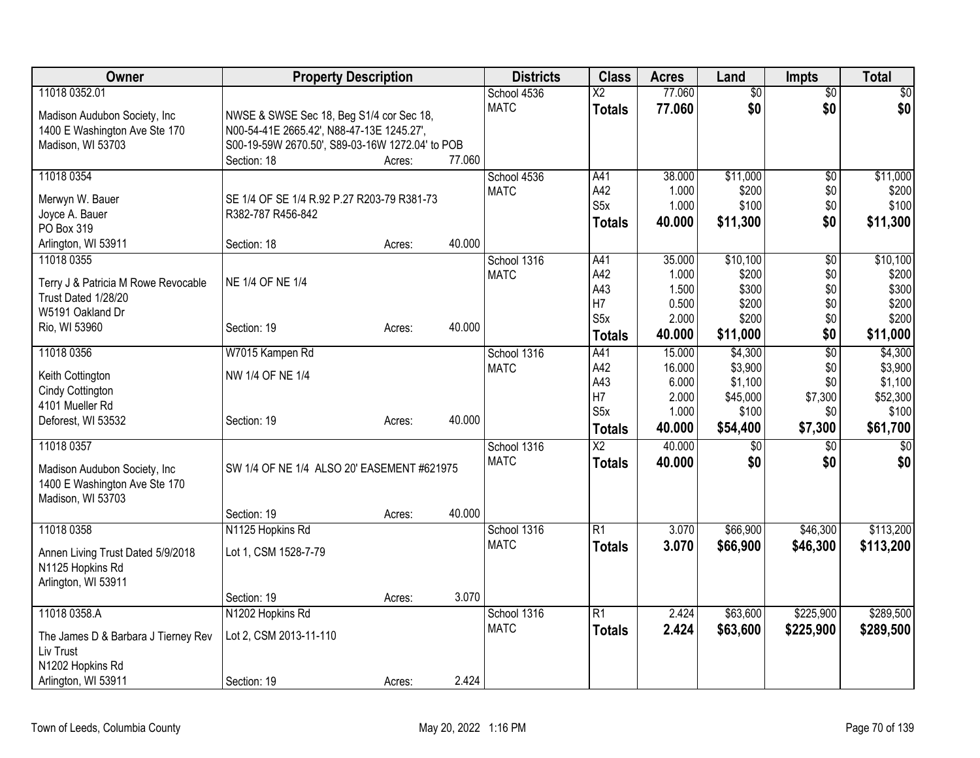| Owner                                              | <b>Property Description</b>                     |        |        | <b>Districts</b> | <b>Class</b>             | <b>Acres</b>    | Land               | <b>Impts</b>    | <b>Total</b>       |
|----------------------------------------------------|-------------------------------------------------|--------|--------|------------------|--------------------------|-----------------|--------------------|-----------------|--------------------|
| 11018 0352.01                                      |                                                 |        |        | School 4536      | $\overline{\mathsf{x2}}$ | 77.060          | $\overline{60}$    | $\overline{50}$ | $\sqrt{50}$        |
| Madison Audubon Society, Inc.                      | NWSE & SWSE Sec 18, Beg S1/4 cor Sec 18,        |        |        | <b>MATC</b>      | <b>Totals</b>            | 77.060          | \$0                | \$0             | \$0                |
| 1400 E Washington Ave Ste 170                      | N00-54-41E 2665.42', N88-47-13E 1245.27',       |        |        |                  |                          |                 |                    |                 |                    |
| Madison, WI 53703                                  | S00-19-59W 2670.50', S89-03-16W 1272.04' to POB |        |        |                  |                          |                 |                    |                 |                    |
|                                                    | Section: 18                                     | Acres: | 77.060 |                  |                          |                 |                    |                 |                    |
| 11018 0354                                         |                                                 |        |        | School 4536      | A41                      | 38.000          | \$11,000           | $\overline{50}$ | \$11,000           |
| Merwyn W. Bauer                                    | SE 1/4 OF SE 1/4 R.92 P.27 R203-79 R381-73      |        |        | <b>MATC</b>      | A42                      | 1.000           | \$200              | \$0             | \$200              |
| Joyce A. Bauer                                     | R382-787 R456-842                               |        |        |                  | S <sub>5</sub> x         | 1.000           | \$100              | \$0             | \$100              |
| PO Box 319                                         |                                                 |        |        |                  | <b>Totals</b>            | 40.000          | \$11,300           | \$0             | \$11,300           |
| Arlington, WI 53911                                | Section: 18                                     | Acres: | 40.000 |                  |                          |                 |                    |                 |                    |
| 11018 0355                                         |                                                 |        |        | School 1316      | A41                      | 35.000          | \$10,100           | \$0             | \$10,100           |
| Terry J & Patricia M Rowe Revocable                | NE 1/4 OF NE 1/4                                |        |        | <b>MATC</b>      | A42                      | 1.000           | \$200              | \$0             | \$200              |
| Trust Dated 1/28/20                                |                                                 |        |        |                  | A43                      | 1.500           | \$300              | \$0             | \$300              |
| W5191 Oakland Dr                                   |                                                 |        |        |                  | H7                       | 0.500           | \$200              | \$0             | \$200              |
| Rio, WI 53960                                      | Section: 19                                     | Acres: | 40.000 |                  | S <sub>5</sub> x         | 2.000           | \$200              | \$0             | \$200              |
|                                                    |                                                 |        |        |                  | <b>Totals</b>            | 40.000          | \$11,000           | \$0             | \$11,000           |
| 11018 0356                                         | W7015 Kampen Rd                                 |        |        | School 1316      | A41                      | 15.000          | \$4,300            | $\overline{50}$ | \$4,300<br>\$3,900 |
| Keith Cottington                                   | NW 1/4 OF NE 1/4                                |        |        | <b>MATC</b>      | A42<br>A43               | 16.000<br>6.000 | \$3,900<br>\$1,100 | \$0<br>\$0      | \$1,100            |
| Cindy Cottington                                   |                                                 |        |        |                  | H7                       | 2.000           | \$45,000           | \$7,300         | \$52,300           |
| 4101 Mueller Rd                                    |                                                 |        |        |                  | S <sub>5</sub> x         | 1.000           | \$100              | \$0             | \$100              |
| Deforest, WI 53532                                 | Section: 19                                     | Acres: | 40.000 |                  | <b>Totals</b>            | 40.000          | \$54,400           | \$7,300         | \$61,700           |
| 11018 0357                                         |                                                 |        |        | School 1316      | $\overline{\text{X2}}$   | 40.000          | $\overline{60}$    | $\overline{50}$ | $\sqrt{50}$        |
|                                                    |                                                 |        |        | <b>MATC</b>      | <b>Totals</b>            | 40.000          | \$0                | \$0             | \$0                |
| Madison Audubon Society, Inc.                      | SW 1/4 OF NE 1/4 ALSO 20' EASEMENT #621975      |        |        |                  |                          |                 |                    |                 |                    |
| 1400 E Washington Ave Ste 170<br>Madison, WI 53703 |                                                 |        |        |                  |                          |                 |                    |                 |                    |
|                                                    | Section: 19                                     | Acres: | 40.000 |                  |                          |                 |                    |                 |                    |
| 11018 0358                                         | N1125 Hopkins Rd                                |        |        | School 1316      | $\overline{R1}$          | 3.070           | \$66,900           | \$46,300        | \$113,200          |
|                                                    |                                                 |        |        | <b>MATC</b>      | <b>Totals</b>            | 3.070           | \$66,900           | \$46,300        | \$113,200          |
| Annen Living Trust Dated 5/9/2018                  | Lot 1, CSM 1528-7-79                            |        |        |                  |                          |                 |                    |                 |                    |
| N1125 Hopkins Rd                                   |                                                 |        |        |                  |                          |                 |                    |                 |                    |
| Arlington, WI 53911                                | Section: 19                                     | Acres: | 3.070  |                  |                          |                 |                    |                 |                    |
| 11018 0358.A                                       | N1202 Hopkins Rd                                |        |        | School 1316      | $\overline{R1}$          | 2.424           | \$63,600           | \$225,900       | \$289,500          |
|                                                    |                                                 |        |        | <b>MATC</b>      | <b>Totals</b>            | 2.424           | \$63,600           | \$225,900       | \$289,500          |
| The James D & Barbara J Tierney Rev                | Lot 2, CSM 2013-11-110                          |        |        |                  |                          |                 |                    |                 |                    |
| Liv Trust                                          |                                                 |        |        |                  |                          |                 |                    |                 |                    |
| N1202 Hopkins Rd                                   |                                                 |        | 2.424  |                  |                          |                 |                    |                 |                    |
| Arlington, WI 53911                                | Section: 19                                     | Acres: |        |                  |                          |                 |                    |                 |                    |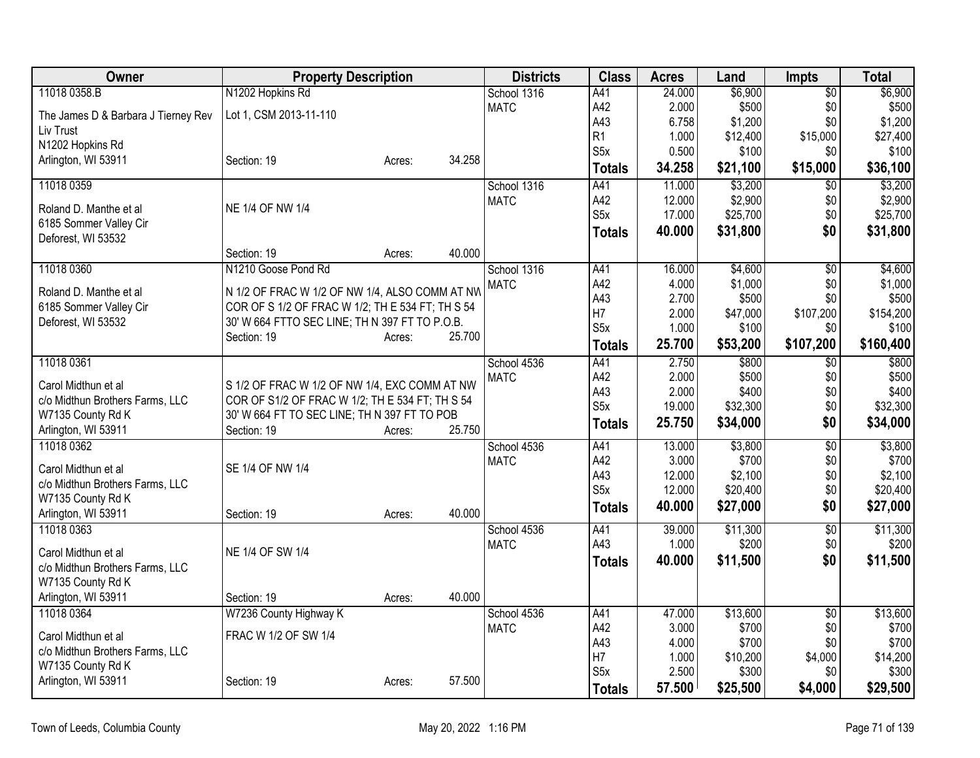| Owner                               | <b>Property Description</b>                      |                  | <b>Districts</b> | <b>Class</b>     | <b>Acres</b> | Land     | <b>Impts</b>    | <b>Total</b> |
|-------------------------------------|--------------------------------------------------|------------------|------------------|------------------|--------------|----------|-----------------|--------------|
| 11018 0358.B                        | N1202 Hopkins Rd                                 |                  | School 1316      | A41              | 24.000       | \$6,900  | $\overline{50}$ | \$6,900      |
| The James D & Barbara J Tierney Rev | Lot 1, CSM 2013-11-110                           |                  | <b>MATC</b>      | A42              | 2.000        | \$500    | \$0             | \$500        |
| Liv Trust                           |                                                  |                  |                  | A43              | 6.758        | \$1,200  | \$0             | \$1,200      |
| N1202 Hopkins Rd                    |                                                  |                  |                  | R1               | 1.000        | \$12,400 | \$15,000        | \$27,400     |
| Arlington, WI 53911                 | Section: 19                                      | 34.258<br>Acres: |                  | S <sub>5</sub> x | 0.500        | \$100    | \$0             | \$100        |
|                                     |                                                  |                  |                  | <b>Totals</b>    | 34.258       | \$21,100 | \$15,000        | \$36,100     |
| 11018 0359                          |                                                  |                  | School 1316      | A41              | 11.000       | \$3,200  | $\overline{30}$ | \$3,200      |
| Roland D. Manthe et al              | NE 1/4 OF NW 1/4                                 |                  | <b>MATC</b>      | A42              | 12.000       | \$2,900  | \$0             | \$2,900      |
| 6185 Sommer Valley Cir              |                                                  |                  |                  | S <sub>5</sub> x | 17.000       | \$25,700 | \$0             | \$25,700     |
| Deforest, WI 53532                  |                                                  |                  |                  | <b>Totals</b>    | 40.000       | \$31,800 | \$0             | \$31,800     |
|                                     | Section: 19                                      | 40.000<br>Acres: |                  |                  |              |          |                 |              |
| 11018 0360                          | N1210 Goose Pond Rd                              |                  | School 1316      | A41              | 16.000       | \$4,600  | $\overline{30}$ | \$4,600      |
| Roland D. Manthe et al              | N 1/2 OF FRAC W 1/2 OF NW 1/4, ALSO COMM AT NW   |                  | <b>MATC</b>      | A42              | 4.000        | \$1,000  | \$0             | \$1,000      |
| 6185 Sommer Valley Cir              | COR OF S 1/2 OF FRAC W 1/2; TH E 534 FT; TH S 54 |                  |                  | A43              | 2.700        | \$500    | \$0             | \$500        |
| Deforest, WI 53532                  | 30' W 664 FTTO SEC LINE; TH N 397 FT TO P.O.B.   |                  |                  | H7               | 2.000        | \$47,000 | \$107,200       | \$154,200    |
|                                     | Section: 19                                      | 25.700<br>Acres: |                  | S5x              | 1.000        | \$100    | \$0             | \$100        |
|                                     |                                                  |                  |                  | <b>Totals</b>    | 25.700       | \$53,200 | \$107,200       | \$160,400    |
| 11018 0361                          |                                                  |                  | School 4536      | A41              | 2.750        | \$800    | \$0             | \$800        |
| Carol Midthun et al                 | S 1/2 OF FRAC W 1/2 OF NW 1/4, EXC COMM AT NW    |                  | <b>MATC</b>      | A42              | 2.000        | \$500    | \$0             | \$500        |
| c/o Midthun Brothers Farms, LLC     | COR OF S1/2 OF FRAC W 1/2; TH E 534 FT; TH S 54  |                  |                  | A43              | 2.000        | \$400    | \$0             | \$400        |
| W7135 County Rd K                   | 30' W 664 FT TO SEC LINE; TH N 397 FT TO POB     |                  |                  | S <sub>5</sub> x | 19.000       | \$32,300 | \$0             | \$32,300     |
| Arlington, WI 53911                 | Section: 19                                      | 25.750<br>Acres: |                  | <b>Totals</b>    | 25.750       | \$34,000 | \$0             | \$34,000     |
| 11018 0362                          |                                                  |                  | School 4536      | A41              | 13.000       | \$3,800  | $\overline{50}$ | \$3,800      |
|                                     |                                                  |                  | <b>MATC</b>      | A42              | 3.000        | \$700    | \$0             | \$700        |
| Carol Midthun et al                 | SE 1/4 OF NW 1/4                                 |                  |                  | A43              | 12.000       | \$2,100  | \$0             | \$2,100      |
| c/o Midthun Brothers Farms, LLC     |                                                  |                  |                  | S <sub>5</sub> x | 12.000       | \$20,400 | \$0             | \$20,400     |
| W7135 County Rd K                   |                                                  |                  |                  | <b>Totals</b>    | 40.000       | \$27,000 | \$0             | \$27,000     |
| Arlington, WI 53911                 | Section: 19                                      | 40.000<br>Acres: |                  |                  |              |          |                 |              |
| 11018 0363                          |                                                  |                  | School 4536      | A41              | 39.000       | \$11,300 | $\overline{60}$ | \$11,300     |
| Carol Midthun et al                 | NE 1/4 OF SW 1/4                                 |                  | <b>MATC</b>      | A43              | 1.000        | \$200    | \$0             | \$200        |
| c/o Midthun Brothers Farms, LLC     |                                                  |                  |                  | <b>Totals</b>    | 40.000       | \$11,500 | \$0             | \$11,500     |
| W7135 County Rd K                   |                                                  |                  |                  |                  |              |          |                 |              |
| Arlington, WI 53911                 | Section: 19                                      | 40.000<br>Acres: |                  |                  |              |          |                 |              |
| 11018 0364                          | W7236 County Highway K                           |                  | School 4536      | A41              | 47.000       | \$13,600 | $\overline{50}$ | \$13,600     |
| Carol Midthun et al                 | FRAC W 1/2 OF SW 1/4                             |                  | <b>MATC</b>      | A42              | 3.000        | \$700    | \$0             | \$700        |
| c/o Midthun Brothers Farms, LLC     |                                                  |                  |                  | A43              | 4.000        | \$700    | \$0             | \$700        |
| W7135 County Rd K                   |                                                  |                  |                  | H7               | 1.000        | \$10,200 | \$4,000         | \$14,200     |
| Arlington, WI 53911                 | Section: 19                                      | 57.500<br>Acres: |                  | S <sub>5</sub> x | 2.500        | \$300    | \$0             | \$300        |
|                                     |                                                  |                  |                  | <b>Totals</b>    | 57.500       | \$25,500 | \$4,000         | \$29,500     |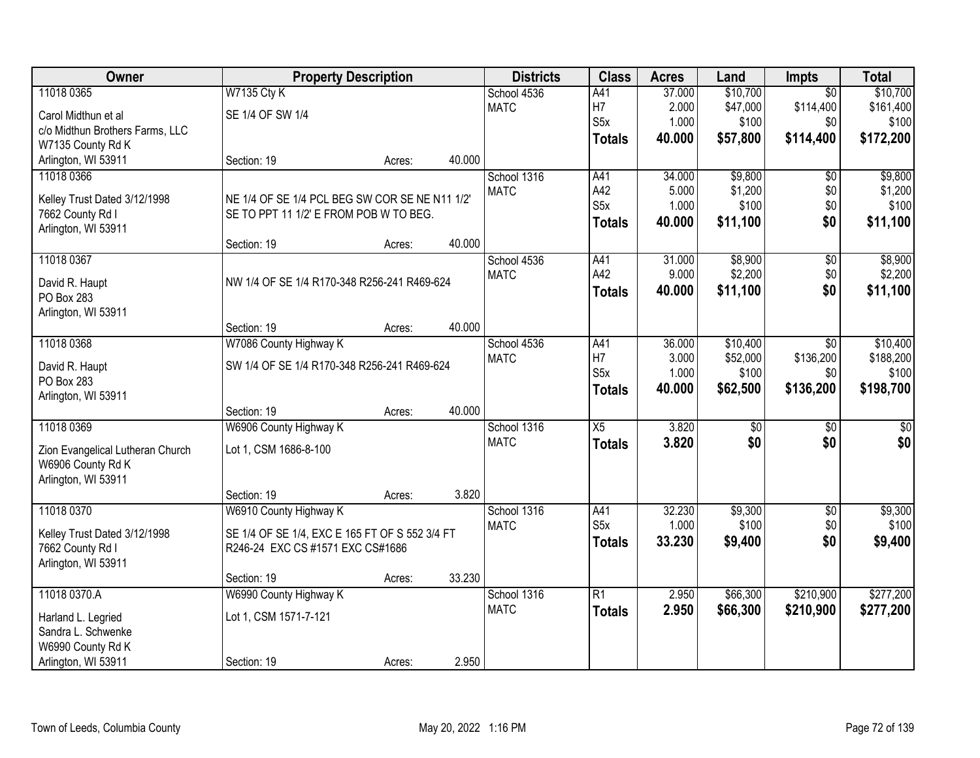| Owner                            | <b>Property Description</b>                    |        |        | <b>Districts</b> | <b>Class</b>     | <b>Acres</b> | Land     | <b>Impts</b>    | <b>Total</b> |
|----------------------------------|------------------------------------------------|--------|--------|------------------|------------------|--------------|----------|-----------------|--------------|
| 11018 0365                       | <b>W7135 Cty K</b>                             |        |        | School 4536      | A41              | 37.000       | \$10,700 | $\overline{50}$ | \$10,700     |
| Carol Midthun et al              | SE 1/4 OF SW 1/4                               |        |        | <b>MATC</b>      | H7               | 2.000        | \$47,000 | \$114,400       | \$161,400    |
| c/o Midthun Brothers Farms, LLC  |                                                |        |        |                  | S <sub>5</sub> x | 1.000        | \$100    | \$0             | \$100        |
| W7135 County Rd K                |                                                |        |        |                  | <b>Totals</b>    | 40.000       | \$57,800 | \$114,400       | \$172,200    |
| Arlington, WI 53911              | Section: 19                                    | Acres: | 40.000 |                  |                  |              |          |                 |              |
| 11018 0366                       |                                                |        |        | School 1316      | A41              | 34.000       | \$9,800  | $\overline{50}$ | \$9,800      |
| Kelley Trust Dated 3/12/1998     | NE 1/4 OF SE 1/4 PCL BEG SW COR SE NE N11 1/2' |        |        | <b>MATC</b>      | A42              | 5.000        | \$1,200  | \$0             | \$1,200      |
| 7662 County Rd I                 | SE TO PPT 11 1/2' E FROM POB W TO BEG.         |        |        |                  | S <sub>5</sub> x | 1.000        | \$100    | \$0             | \$100        |
| Arlington, WI 53911              |                                                |        |        |                  | <b>Totals</b>    | 40.000       | \$11,100 | \$0             | \$11,100     |
|                                  | Section: 19                                    | Acres: | 40.000 |                  |                  |              |          |                 |              |
| 11018 0367                       |                                                |        |        | School 4536      | A41              | 31.000       | \$8,900  | \$0             | \$8,900      |
| David R. Haupt                   | NW 1/4 OF SE 1/4 R170-348 R256-241 R469-624    |        |        | <b>MATC</b>      | A42              | 9.000        | \$2,200  | \$0             | \$2,200      |
| PO Box 283                       |                                                |        |        |                  | <b>Totals</b>    | 40.000       | \$11,100 | \$0             | \$11,100     |
| Arlington, WI 53911              |                                                |        |        |                  |                  |              |          |                 |              |
|                                  | Section: 19                                    | Acres: | 40.000 |                  |                  |              |          |                 |              |
| 11018 0368                       | W7086 County Highway K                         |        |        | School 4536      | A41              | 36.000       | \$10,400 | $\overline{30}$ | \$10,400     |
| David R. Haupt                   | SW 1/4 OF SE 1/4 R170-348 R256-241 R469-624    |        |        | <b>MATC</b>      | H <sub>7</sub>   | 3.000        | \$52,000 | \$136,200       | \$188,200    |
| PO Box 283                       |                                                |        |        |                  | S <sub>5</sub> x | 1.000        | \$100    | \$0             | \$100        |
| Arlington, WI 53911              |                                                |        |        |                  | <b>Totals</b>    | 40.000       | \$62,500 | \$136,200       | \$198,700    |
|                                  | Section: 19                                    | Acres: | 40.000 |                  |                  |              |          |                 |              |
| 11018 0369                       | W6906 County Highway K                         |        |        | School 1316      | $\overline{X5}$  | 3.820        | \$0      | $\sqrt{6}$      | \$0          |
| Zion Evangelical Lutheran Church | Lot 1, CSM 1686-8-100                          |        |        | <b>MATC</b>      | <b>Totals</b>    | 3.820        | \$0      | \$0             | \$0          |
| W6906 County Rd K                |                                                |        |        |                  |                  |              |          |                 |              |
| Arlington, WI 53911              |                                                |        |        |                  |                  |              |          |                 |              |
|                                  | Section: 19                                    | Acres: | 3.820  |                  |                  |              |          |                 |              |
| 11018 0370                       | W6910 County Highway K                         |        |        | School 1316      | A41              | 32.230       | \$9,300  | \$0             | \$9,300      |
| Kelley Trust Dated 3/12/1998     | SE 1/4 OF SE 1/4, EXC E 165 FT OF S 552 3/4 FT |        |        | <b>MATC</b>      | S <sub>5x</sub>  | 1.000        | \$100    | \$0             | \$100        |
| 7662 County Rd I                 | R246-24 EXC CS #1571 EXC CS#1686               |        |        |                  | <b>Totals</b>    | 33.230       | \$9,400  | \$0             | \$9,400      |
| Arlington, WI 53911              |                                                |        |        |                  |                  |              |          |                 |              |
|                                  | Section: 19                                    | Acres: | 33.230 |                  |                  |              |          |                 |              |
| 11018 0370.A                     | W6990 County Highway K                         |        |        | School 1316      | $\overline{R1}$  | 2.950        | \$66,300 | \$210,900       | \$277,200    |
| Harland L. Legried               | Lot 1, CSM 1571-7-121                          |        |        | <b>MATC</b>      | <b>Totals</b>    | 2.950        | \$66,300 | \$210,900       | \$277,200    |
| Sandra L. Schwenke               |                                                |        |        |                  |                  |              |          |                 |              |
| W6990 County Rd K                |                                                |        |        |                  |                  |              |          |                 |              |
| Arlington, WI 53911              | Section: 19                                    | Acres: | 2.950  |                  |                  |              |          |                 |              |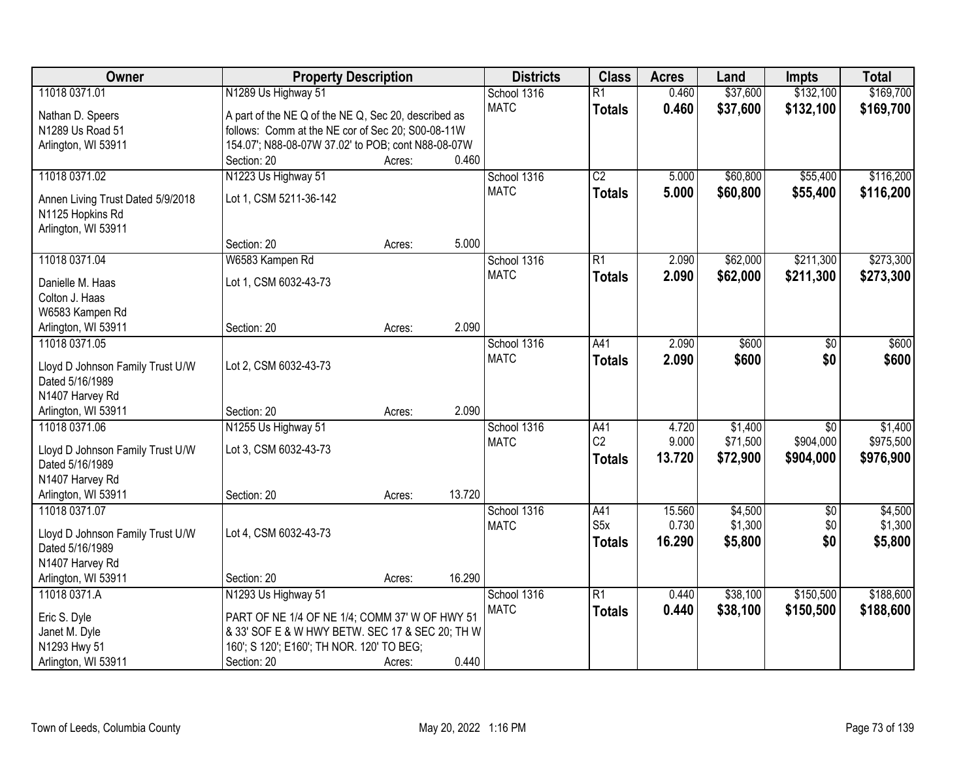| Owner                                               | <b>Property Description</b>                          |        |        | <b>Districts</b> | <b>Class</b>    | <b>Acres</b> | Land     | <b>Impts</b>    | <b>Total</b> |
|-----------------------------------------------------|------------------------------------------------------|--------|--------|------------------|-----------------|--------------|----------|-----------------|--------------|
| 11018 0371.01                                       | N1289 Us Highway 51                                  |        |        | School 1316      | $\overline{R1}$ | 0.460        | \$37,600 | \$132,100       | \$169,700    |
| Nathan D. Speers                                    | A part of the NE Q of the NE Q, Sec 20, described as |        |        | <b>MATC</b>      | <b>Totals</b>   | 0.460        | \$37,600 | \$132,100       | \$169,700    |
| N1289 Us Road 51                                    | follows: Comm at the NE cor of Sec 20; S00-08-11W    |        |        |                  |                 |              |          |                 |              |
| Arlington, WI 53911                                 | 154.07'; N88-08-07W 37.02' to POB; cont N88-08-07W   |        |        |                  |                 |              |          |                 |              |
|                                                     | Section: 20                                          | Acres: | 0.460  |                  |                 |              |          |                 |              |
| 11018 0371.02                                       | N1223 Us Highway 51                                  |        |        | School 1316      | $\overline{C2}$ | 5.000        | \$60,800 | \$55,400        | \$116,200    |
|                                                     |                                                      |        |        | <b>MATC</b>      | <b>Totals</b>   | 5.000        | \$60,800 | \$55,400        | \$116,200    |
| Annen Living Trust Dated 5/9/2018                   | Lot 1, CSM 5211-36-142                               |        |        |                  |                 |              |          |                 |              |
| N1125 Hopkins Rd<br>Arlington, WI 53911             |                                                      |        |        |                  |                 |              |          |                 |              |
|                                                     | Section: 20                                          | Acres: | 5.000  |                  |                 |              |          |                 |              |
| 11018 0371.04                                       | W6583 Kampen Rd                                      |        |        | School 1316      | $\overline{R1}$ | 2.090        | \$62,000 | \$211,300       | \$273,300    |
|                                                     |                                                      |        |        | <b>MATC</b>      |                 | 2.090        | \$62,000 | \$211,300       | \$273,300    |
| Danielle M. Haas                                    | Lot 1, CSM 6032-43-73                                |        |        |                  | <b>Totals</b>   |              |          |                 |              |
| Colton J. Haas                                      |                                                      |        |        |                  |                 |              |          |                 |              |
| W6583 Kampen Rd                                     |                                                      |        |        |                  |                 |              |          |                 |              |
| Arlington, WI 53911                                 | Section: 20                                          | Acres: | 2.090  |                  |                 |              |          |                 |              |
| 11018 0371.05                                       |                                                      |        |        | School 1316      | A41             | 2.090        | \$600    | $\frac{1}{20}$  | \$600        |
| Lloyd D Johnson Family Trust U/W                    | Lot 2, CSM 6032-43-73                                |        |        | <b>MATC</b>      | <b>Totals</b>   | 2.090        | \$600    | \$0             | \$600        |
| Dated 5/16/1989                                     |                                                      |        |        |                  |                 |              |          |                 |              |
| N1407 Harvey Rd                                     |                                                      |        |        |                  |                 |              |          |                 |              |
| Arlington, WI 53911                                 | Section: 20                                          | Acres: | 2.090  |                  |                 |              |          |                 |              |
| 11018 0371.06                                       | N1255 Us Highway 51                                  |        |        | School 1316      | A41             | 4.720        | \$1,400  | $\overline{30}$ | \$1,400      |
|                                                     |                                                      |        |        | <b>MATC</b>      | C <sub>2</sub>  | 9.000        | \$71,500 | \$904,000       | \$975,500    |
| Lloyd D Johnson Family Trust U/W<br>Dated 5/16/1989 | Lot 3, CSM 6032-43-73                                |        |        |                  | <b>Totals</b>   | 13.720       | \$72,900 | \$904,000       | \$976,900    |
| N1407 Harvey Rd                                     |                                                      |        |        |                  |                 |              |          |                 |              |
| Arlington, WI 53911                                 | Section: 20                                          | Acres: | 13.720 |                  |                 |              |          |                 |              |
| 11018 0371.07                                       |                                                      |        |        | School 1316      | A41             | 15.560       | \$4,500  | $\overline{50}$ | \$4,500      |
|                                                     |                                                      |        |        | <b>MATC</b>      | S5x             | 0.730        | \$1,300  | \$0             | \$1,300      |
| Lloyd D Johnson Family Trust U/W                    | Lot 4, CSM 6032-43-73                                |        |        |                  | <b>Totals</b>   | 16.290       | \$5,800  | \$0             | \$5,800      |
| Dated 5/16/1989                                     |                                                      |        |        |                  |                 |              |          |                 |              |
| N1407 Harvey Rd                                     |                                                      |        |        |                  |                 |              |          |                 |              |
| Arlington, WI 53911                                 | Section: 20                                          | Acres: | 16.290 |                  |                 |              |          |                 |              |
| 11018 0371.A                                        | N1293 Us Highway 51                                  |        |        | School 1316      | $\overline{R1}$ | 0.440        | \$38,100 | \$150,500       | \$188,600    |
| Eric S. Dyle                                        | PART OF NE 1/4 OF NE 1/4; COMM 37' W OF HWY 51       |        |        | <b>MATC</b>      | <b>Totals</b>   | 0.440        | \$38,100 | \$150,500       | \$188,600    |
| Janet M. Dyle                                       | & 33' SOF E & W HWY BETW. SEC 17 & SEC 20; TH W      |        |        |                  |                 |              |          |                 |              |
| N1293 Hwy 51                                        | 160'; S 120'; E160'; TH NOR. 120' TO BEG;            |        |        |                  |                 |              |          |                 |              |
| Arlington, WI 53911                                 | Section: 20                                          | Acres: | 0.440  |                  |                 |              |          |                 |              |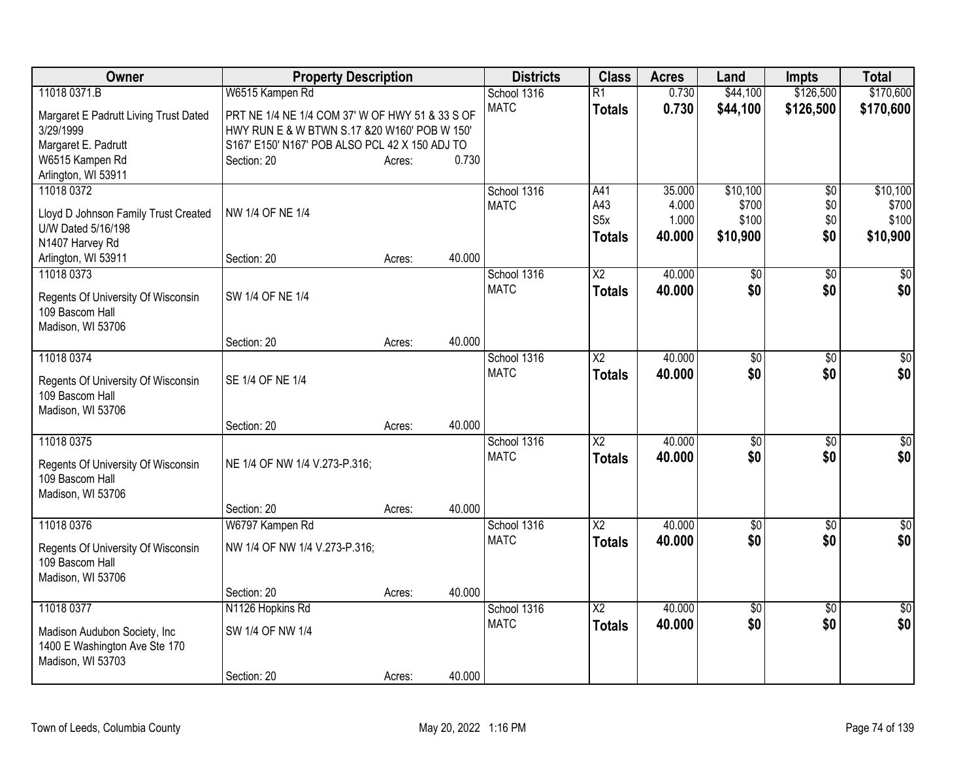| <b>Owner</b>                                                                                     | <b>Property Description</b>                                                                                                                        |        | <b>Districts</b>           | <b>Class</b>                                    | <b>Acres</b>                       | Land                                   | <b>Impts</b>                         | <b>Total</b>                           |
|--------------------------------------------------------------------------------------------------|----------------------------------------------------------------------------------------------------------------------------------------------------|--------|----------------------------|-------------------------------------------------|------------------------------------|----------------------------------------|--------------------------------------|----------------------------------------|
| 11018 0371.B                                                                                     | W6515 Kampen Rd                                                                                                                                    |        | School 1316                | $\overline{R1}$                                 | 0.730                              | \$44,100                               | \$126,500                            | \$170,600                              |
| Margaret E Padrutt Living Trust Dated<br>3/29/1999<br>Margaret E. Padrutt                        | PRT NE 1/4 NE 1/4 COM 37' W OF HWY 51 & 33 S OF<br>HWY RUN E & W BTWN S.17 & 20 W160' POB W 150'<br>S167' E150' N167' POB ALSO PCL 42 X 150 ADJ TO |        | <b>MATC</b>                | <b>Totals</b>                                   | 0.730                              | \$44,100                               | \$126,500                            | \$170,600                              |
| W6515 Kampen Rd                                                                                  | Section: 20                                                                                                                                        | Acres: | 0.730                      |                                                 |                                    |                                        |                                      |                                        |
| Arlington, WI 53911                                                                              |                                                                                                                                                    |        |                            |                                                 |                                    |                                        |                                      |                                        |
| 11018 0372<br>Lloyd D Johnson Family Trust Created<br>U/W Dated 5/16/198                         | NW 1/4 OF NE 1/4                                                                                                                                   |        | School 1316<br><b>MATC</b> | A41<br>A43<br>S <sub>5</sub> x<br><b>Totals</b> | 35.000<br>4.000<br>1.000<br>40.000 | \$10,100<br>\$700<br>\$100<br>\$10,900 | $\overline{50}$<br>\$0<br>\$0<br>\$0 | \$10,100<br>\$700<br>\$100<br>\$10,900 |
| N1407 Harvey Rd                                                                                  |                                                                                                                                                    |        | 40.000                     |                                                 |                                    |                                        |                                      |                                        |
| Arlington, WI 53911<br>11018 0373<br>Regents Of University Of Wisconsin                          | Section: 20<br>SW 1/4 OF NE 1/4                                                                                                                    | Acres: | School 1316<br><b>MATC</b> | $\overline{X2}$<br><b>Totals</b>                | 40.000<br>40.000                   | \$0<br>\$0                             | \$0<br>\$0                           | \$0<br>\$0                             |
| 109 Bascom Hall<br>Madison, WI 53706                                                             | Section: 20                                                                                                                                        | Acres: | 40.000                     |                                                 |                                    |                                        |                                      |                                        |
| 11018 0374<br>Regents Of University Of Wisconsin<br>109 Bascom Hall                              | SE 1/4 OF NE 1/4                                                                                                                                   |        | School 1316<br><b>MATC</b> | $\overline{X2}$<br><b>Totals</b>                | 40.000<br>40.000                   | \$0<br>\$0                             | \$0<br>\$0                           | \$0<br>\$0                             |
| Madison, WI 53706                                                                                | Section: 20                                                                                                                                        | Acres: | 40.000                     |                                                 |                                    |                                        |                                      |                                        |
| 11018 0375<br>Regents Of University Of Wisconsin<br>109 Bascom Hall<br>Madison, WI 53706         | NE 1/4 OF NW 1/4 V.273-P.316;                                                                                                                      |        | School 1316<br><b>MATC</b> | X2<br><b>Totals</b>                             | 40.000<br>40.000                   | \$0<br>\$0                             | \$0<br>\$0                           | $\sqrt{50}$<br>\$0                     |
|                                                                                                  | Section: 20                                                                                                                                        | Acres: | 40.000                     |                                                 |                                    |                                        |                                      |                                        |
| 11018 0376<br>Regents Of University Of Wisconsin<br>109 Bascom Hall<br>Madison, WI 53706         | W6797 Kampen Rd<br>NW 1/4 OF NW 1/4 V.273-P.316;                                                                                                   |        | School 1316<br><b>MATC</b> | $\overline{\text{X2}}$<br><b>Totals</b>         | 40.000<br>40.000                   | $\sqrt{$0}$<br>\$0                     | $\overline{50}$<br>\$0               | $\overline{30}$<br>\$0                 |
|                                                                                                  | Section: 20                                                                                                                                        | Acres: | 40.000                     |                                                 |                                    |                                        |                                      |                                        |
| 11018 0377<br>Madison Audubon Society, Inc<br>1400 E Washington Ave Ste 170<br>Madison, WI 53703 | N1126 Hopkins Rd<br>SW 1/4 OF NW 1/4                                                                                                               |        | School 1316<br><b>MATC</b> | $\overline{\text{X2}}$<br><b>Totals</b>         | 40.000<br>40.000                   | $\overline{50}$<br>\$0                 | $\overline{50}$<br>\$0               | $\overline{50}$<br>\$0                 |
|                                                                                                  | Section: 20                                                                                                                                        | Acres: | 40.000                     |                                                 |                                    |                                        |                                      |                                        |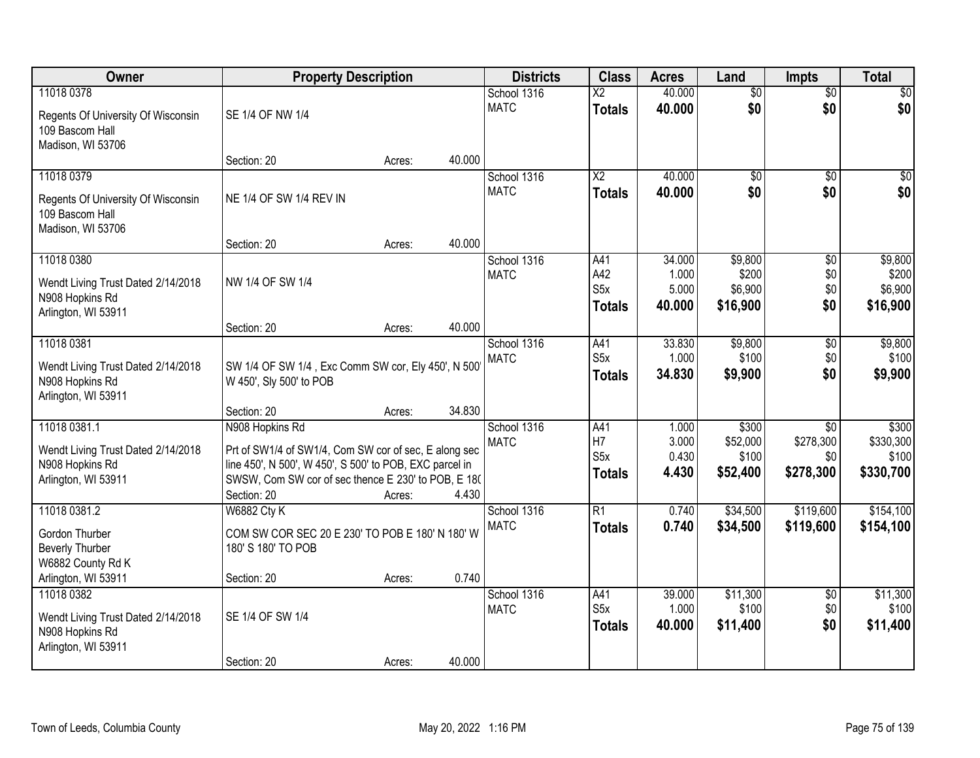| Owner                                                                                                | <b>Property Description</b>                                                                                                                                                                               |        |        | <b>Districts</b>           | <b>Class</b>                             | <b>Acres</b>                     | Land                                   | <b>Impts</b>                                     | <b>Total</b>                             |
|------------------------------------------------------------------------------------------------------|-----------------------------------------------------------------------------------------------------------------------------------------------------------------------------------------------------------|--------|--------|----------------------------|------------------------------------------|----------------------------------|----------------------------------------|--------------------------------------------------|------------------------------------------|
| 11018 0378<br>Regents Of University Of Wisconsin<br>109 Bascom Hall<br>Madison, WI 53706             | SE 1/4 OF NW 1/4                                                                                                                                                                                          |        |        | School 1316<br><b>MATC</b> | $\overline{\text{X2}}$<br><b>Totals</b>  | 40.000<br>40.000                 | $\overline{60}$<br>\$0                 | $\overline{50}$<br>\$0                           | \$0<br>\$0                               |
|                                                                                                      | Section: 20                                                                                                                                                                                               | Acres: | 40.000 |                            |                                          |                                  |                                        |                                                  |                                          |
| 11018 0379<br>Regents Of University Of Wisconsin<br>109 Bascom Hall<br>Madison, WI 53706             | NE 1/4 OF SW 1/4 REV IN                                                                                                                                                                                   |        |        | School 1316<br><b>MATC</b> | $\overline{\text{X2}}$<br><b>Totals</b>  | 40.000<br>40.000                 | $\overline{50}$<br>\$0                 | $\overline{50}$<br>\$0                           | \$0<br>\$0                               |
| 11018 0380                                                                                           | Section: 20                                                                                                                                                                                               | Acres: | 40.000 | School 1316                | A41                                      | 34.000                           | \$9,800                                |                                                  | \$9,800                                  |
| Wendt Living Trust Dated 2/14/2018<br>N908 Hopkins Rd<br>Arlington, WI 53911                         | NW 1/4 OF SW 1/4                                                                                                                                                                                          |        |        | <b>MATC</b>                | A42<br>S <sub>5</sub> x<br><b>Totals</b> | 1.000<br>5.000<br>40.000         | \$200<br>\$6,900<br>\$16,900           | \$0<br>\$0<br>\$0<br>\$0                         | \$200<br>\$6,900<br>\$16,900             |
|                                                                                                      | Section: 20                                                                                                                                                                                               | Acres: | 40.000 |                            |                                          |                                  |                                        |                                                  |                                          |
| 11018 0381<br>Wendt Living Trust Dated 2/14/2018<br>N908 Hopkins Rd<br>Arlington, WI 53911           | SW 1/4 OF SW 1/4, Exc Comm SW cor, Ely 450', N 500'<br>W 450', Sly 500' to POB                                                                                                                            |        |        | School 1316<br><b>MATC</b> | A41<br>S <sub>5</sub> x<br><b>Totals</b> | 33.830<br>1.000<br>34.830        | \$9,800<br>\$100<br>\$9,900            | \$0<br>\$0<br>\$0                                | \$9,800<br>\$100<br>\$9,900              |
|                                                                                                      | Section: 20                                                                                                                                                                                               | Acres: | 34.830 |                            |                                          |                                  |                                        |                                                  |                                          |
| 11018 0381.1<br>Wendt Living Trust Dated 2/14/2018<br>N908 Hopkins Rd<br>Arlington, WI 53911         | N908 Hopkins Rd<br>Prt of SW1/4 of SW1/4, Com SW cor of sec, E along sec<br>line 450', N 500', W 450', S 500' to POB, EXC parcel in<br>SWSW, Com SW cor of sec thence E 230' to POB, E 180<br>Section: 20 | Acres: | 4.430  | School 1316<br><b>MATC</b> | A41<br>H7<br>S5x<br><b>Totals</b>        | 1.000<br>3.000<br>0.430<br>4.430 | \$300<br>\$52,000<br>\$100<br>\$52,400 | $\overline{30}$<br>\$278,300<br>\$0<br>\$278,300 | \$300<br>\$330,300<br>\$100<br>\$330,700 |
| 11018 0381.2<br>Gordon Thurber<br><b>Beverly Thurber</b><br>W6882 County Rd K<br>Arlington, WI 53911 | <b>W6882 Cty K</b><br>COM SW COR SEC 20 E 230' TO POB E 180' N 180' W<br>180' S 180' TO POB<br>Section: 20                                                                                                | Acres: | 0.740  | School 1316<br><b>MATC</b> | $\overline{R1}$<br><b>Totals</b>         | 0.740<br>0.740                   | \$34,500<br>\$34,500                   | \$119,600<br>\$119,600                           | \$154,100<br>\$154,100                   |
| 11018 0382<br>Wendt Living Trust Dated 2/14/2018<br>N908 Hopkins Rd<br>Arlington, WI 53911           | SE 1/4 OF SW 1/4<br>Section: 20                                                                                                                                                                           | Acres: | 40.000 | School 1316<br><b>MATC</b> | A41<br>S <sub>5</sub> x<br><b>Totals</b> | 39.000<br>1.000<br>40.000        | \$11,300<br>\$100<br>\$11,400          | $\overline{60}$<br>\$0<br>\$0                    | \$11,300<br>\$100<br>\$11,400            |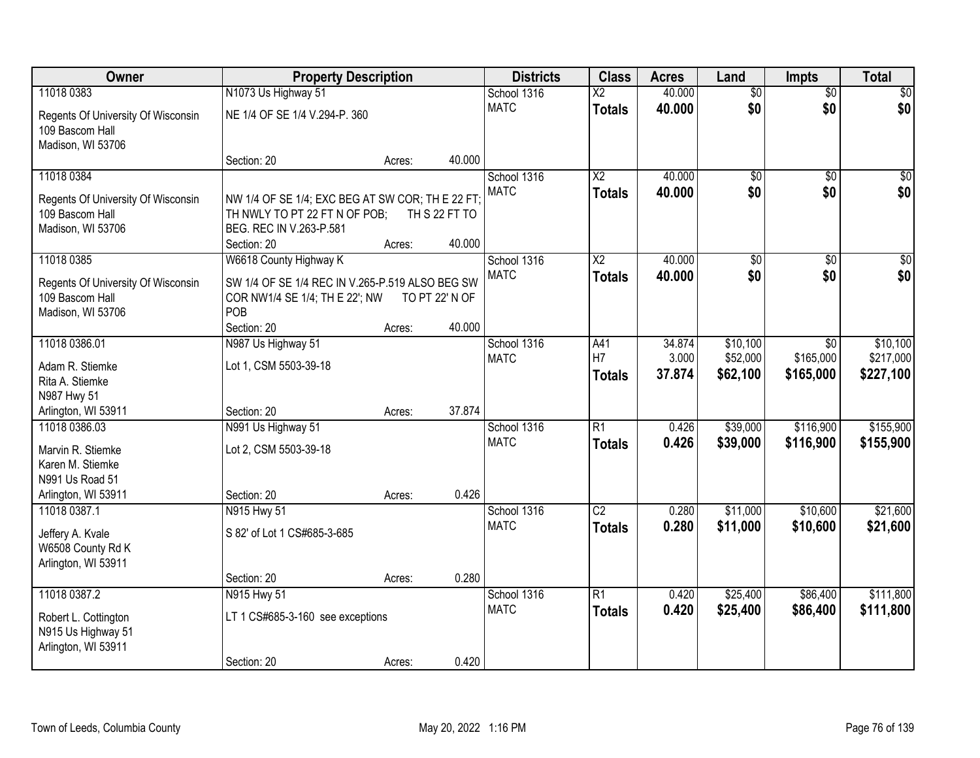| Owner                                                                                            | <b>Property Description</b>                                                                                                 | <b>Districts</b> | <b>Class</b>             | <b>Acres</b>               | Land                             | <b>Impts</b>     | <b>Total</b>           |                        |                        |
|--------------------------------------------------------------------------------------------------|-----------------------------------------------------------------------------------------------------------------------------|------------------|--------------------------|----------------------------|----------------------------------|------------------|------------------------|------------------------|------------------------|
| 11018 0383                                                                                       | N1073 Us Highway 51                                                                                                         |                  |                          | School 1316                | $\overline{\text{X2}}$           | 40.000           | $\overline{50}$        | $\overline{50}$        | \$0                    |
| Regents Of University Of Wisconsin<br>109 Bascom Hall<br>Madison, WI 53706                       | NE 1/4 OF SE 1/4 V.294-P. 360                                                                                               |                  |                          | <b>MATC</b>                | <b>Totals</b>                    | 40.000           | \$0                    | \$0                    | \$0                    |
|                                                                                                  | Section: 20                                                                                                                 | Acres:           | 40.000                   |                            |                                  |                  |                        |                        |                        |
| 11018 0384<br>Regents Of University Of Wisconsin<br>109 Bascom Hall<br>Madison, WI 53706         | NW 1/4 OF SE 1/4; EXC BEG AT SW COR; TH E 22 FT;<br>TH NWLY TO PT 22 FT N OF POB;<br>BEG. REC IN V.263-P.581<br>Section: 20 | Acres:           | TH S 22 FT TO<br>40.000  | School 1316<br><b>MATC</b> | $\overline{X2}$<br><b>Totals</b> | 40.000<br>40.000 | $\overline{50}$<br>\$0 | $\overline{50}$<br>\$0 | \$0<br>\$0             |
| 11018 0385                                                                                       | W6618 County Highway K                                                                                                      |                  |                          | School 1316                | $\overline{X2}$                  | 40.000           | \$0                    | \$0                    | $\overline{50}$        |
| Regents Of University Of Wisconsin<br>109 Bascom Hall<br>Madison, WI 53706                       | SW 1/4 OF SE 1/4 REC IN V.265-P.519 ALSO BEG SW<br>COR NW1/4 SE 1/4; TH E 22'; NW<br>POB<br>Section: 20                     | Acres:           | TO PT 22' N OF<br>40.000 | <b>MATC</b>                | <b>Totals</b>                    | 40.000           | \$0                    | \$0                    | \$0                    |
| 11018 0386.01                                                                                    | N987 Us Highway 51                                                                                                          |                  |                          | School 1316                | A41                              | 34.874           | \$10,100               | $\sqrt{6}$             | \$10,100               |
| Adam R. Stiemke<br>Rita A. Stiemke<br>N987 Hwy 51                                                | Lot 1, CSM 5503-39-18                                                                                                       |                  |                          | <b>MATC</b>                | H7<br><b>Totals</b>              | 3.000<br>37.874  | \$52,000<br>\$62,100   | \$165,000<br>\$165,000 | \$217,000<br>\$227,100 |
| Arlington, WI 53911                                                                              | Section: 20                                                                                                                 | Acres:           | 37.874                   |                            |                                  |                  |                        |                        |                        |
| 11018 0386.03<br>Marvin R. Stiemke<br>Karen M. Stiemke<br>N991 Us Road 51<br>Arlington, WI 53911 | N991 Us Highway 51<br>Lot 2, CSM 5503-39-18<br>Section: 20                                                                  | Acres:           | 0.426                    | School 1316<br><b>MATC</b> | $\overline{R1}$<br><b>Totals</b> | 0.426<br>0.426   | \$39,000<br>\$39,000   | \$116,900<br>\$116,900 | \$155,900<br>\$155,900 |
| 11018 0387.1                                                                                     | N915 Hwy 51                                                                                                                 |                  |                          | School 1316                | $\overline{C2}$                  | 0.280            | \$11,000               | \$10,600               | \$21,600               |
| Jeffery A. Kvale<br>W6508 County Rd K<br>Arlington, WI 53911                                     | S 82' of Lot 1 CS#685-3-685                                                                                                 |                  |                          | <b>MATC</b>                | <b>Totals</b>                    | 0.280            | \$11,000               | \$10,600               | \$21,600               |
|                                                                                                  | Section: 20                                                                                                                 | Acres:           | 0.280                    |                            |                                  |                  |                        |                        |                        |
| 11018 0387.2<br>Robert L. Cottington<br>N915 Us Highway 51<br>Arlington, WI 53911                | N915 Hwy 51<br>LT 1 CS#685-3-160 see exceptions<br>Section: 20                                                              | Acres:           | 0.420                    | School 1316<br><b>MATC</b> | $\overline{R1}$<br>Totals        | 0.420<br>0.420   | \$25,400<br>\$25,400   | \$86,400<br>\$86,400   | \$111,800<br>\$111,800 |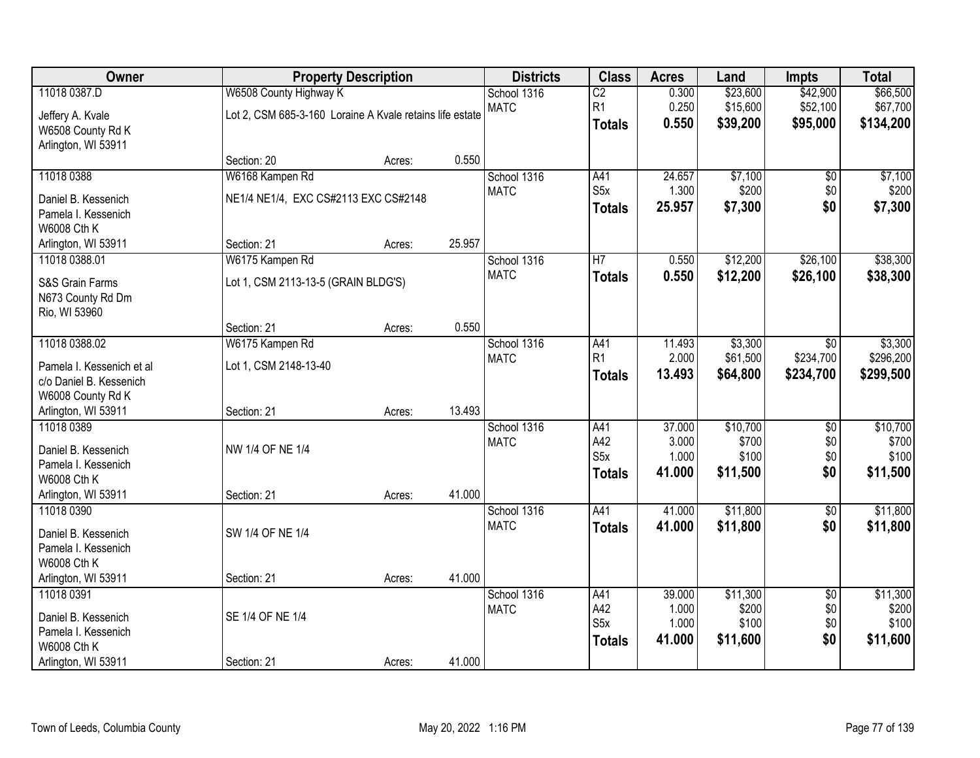| Owner                     |                                                          | <b>Property Description</b> |        | <b>Districts</b> | <b>Class</b>     | <b>Acres</b> | Land     | <b>Impts</b>    | <b>Total</b> |
|---------------------------|----------------------------------------------------------|-----------------------------|--------|------------------|------------------|--------------|----------|-----------------|--------------|
| 11018 0387.D              | W6508 County Highway K                                   |                             |        | School 1316      | $\overline{C2}$  | 0.300        | \$23,600 | \$42,900        | \$66,500     |
| Jeffery A. Kvale          | Lot 2, CSM 685-3-160 Loraine A Kvale retains life estate |                             |        | <b>MATC</b>      | R <sub>1</sub>   | 0.250        | \$15,600 | \$52,100        | \$67,700     |
| W6508 County Rd K         |                                                          |                             |        |                  | <b>Totals</b>    | 0.550        | \$39,200 | \$95,000        | \$134,200    |
| Arlington, WI 53911       |                                                          |                             |        |                  |                  |              |          |                 |              |
|                           | Section: 20                                              | Acres:                      | 0.550  |                  |                  |              |          |                 |              |
| 11018 0388                | W6168 Kampen Rd                                          |                             |        | School 1316      | A41              | 24.657       | \$7,100  | $\overline{60}$ | \$7,100      |
| Daniel B. Kessenich       | NE1/4 NE1/4, EXC CS#2113 EXC CS#2148                     |                             |        | <b>MATC</b>      | S <sub>5</sub> x | 1.300        | \$200    | \$0             | \$200        |
| Pamela I. Kessenich       |                                                          |                             |        |                  | <b>Totals</b>    | 25.957       | \$7,300  | \$0             | \$7,300      |
| <b>W6008 Cth K</b>        |                                                          |                             |        |                  |                  |              |          |                 |              |
| Arlington, WI 53911       | Section: 21                                              | Acres:                      | 25.957 |                  |                  |              |          |                 |              |
| 11018 0388.01             | W6175 Kampen Rd                                          |                             |        | School 1316      | $\overline{H}$   | 0.550        | \$12,200 | \$26,100        | \$38,300     |
| S&S Grain Farms           | Lot 1, CSM 2113-13-5 (GRAIN BLDG'S)                      |                             |        | <b>MATC</b>      | <b>Totals</b>    | 0.550        | \$12,200 | \$26,100        | \$38,300     |
| N673 County Rd Dm         |                                                          |                             |        |                  |                  |              |          |                 |              |
| Rio, WI 53960             |                                                          |                             |        |                  |                  |              |          |                 |              |
|                           | Section: 21                                              | Acres:                      | 0.550  |                  |                  |              |          |                 |              |
| 11018 0388.02             | W6175 Kampen Rd                                          |                             |        | School 1316      | A41              | 11.493       | \$3,300  | $\sqrt{6}$      | \$3,300      |
| Pamela I. Kessenich et al | Lot 1, CSM 2148-13-40                                    |                             |        | <b>MATC</b>      | R <sub>1</sub>   | 2.000        | \$61,500 | \$234,700       | \$296,200    |
| c/o Daniel B. Kessenich   |                                                          |                             |        |                  | <b>Totals</b>    | 13.493       | \$64,800 | \$234,700       | \$299,500    |
| W6008 County Rd K         |                                                          |                             |        |                  |                  |              |          |                 |              |
| Arlington, WI 53911       | Section: 21                                              | Acres:                      | 13.493 |                  |                  |              |          |                 |              |
| 11018 0389                |                                                          |                             |        | School 1316      | A41              | 37.000       | \$10,700 | $\overline{50}$ | \$10,700     |
| Daniel B. Kessenich       | NW 1/4 OF NE 1/4                                         |                             |        | <b>MATC</b>      | A42              | 3.000        | \$700    | \$0             | \$700        |
| Pamela I. Kessenich       |                                                          |                             |        |                  | S <sub>5</sub> x | 1.000        | \$100    | \$0             | \$100        |
| <b>W6008 Cth K</b>        |                                                          |                             |        |                  | <b>Totals</b>    | 41.000       | \$11,500 | \$0             | \$11,500     |
| Arlington, WI 53911       | Section: 21                                              | Acres:                      | 41.000 |                  |                  |              |          |                 |              |
| 11018 0390                |                                                          |                             |        | School 1316      | A41              | 41.000       | \$11,800 | $\overline{50}$ | \$11,800     |
| Daniel B. Kessenich       | SW 1/4 OF NE 1/4                                         |                             |        | <b>MATC</b>      | <b>Totals</b>    | 41.000       | \$11,800 | \$0             | \$11,800     |
| Pamela I. Kessenich       |                                                          |                             |        |                  |                  |              |          |                 |              |
| <b>W6008 Cth K</b>        |                                                          |                             |        |                  |                  |              |          |                 |              |
| Arlington, WI 53911       | Section: 21                                              | Acres:                      | 41.000 |                  |                  |              |          |                 |              |
| 11018 0391                |                                                          |                             |        | School 1316      | A41              | 39.000       | \$11,300 | $\sqrt{6}$      | \$11,300     |
| Daniel B. Kessenich       | SE 1/4 OF NE 1/4                                         |                             |        | <b>MATC</b>      | A42              | 1.000        | \$200    | \$0             | \$200        |
| Pamela I. Kessenich       |                                                          |                             |        |                  | S <sub>5</sub> x | 1.000        | \$100    | \$0             | \$100        |
| <b>W6008 Cth K</b>        |                                                          |                             |        |                  | <b>Totals</b>    | 41.000       | \$11,600 | \$0             | \$11,600     |
| Arlington, WI 53911       | Section: 21                                              | Acres:                      | 41.000 |                  |                  |              |          |                 |              |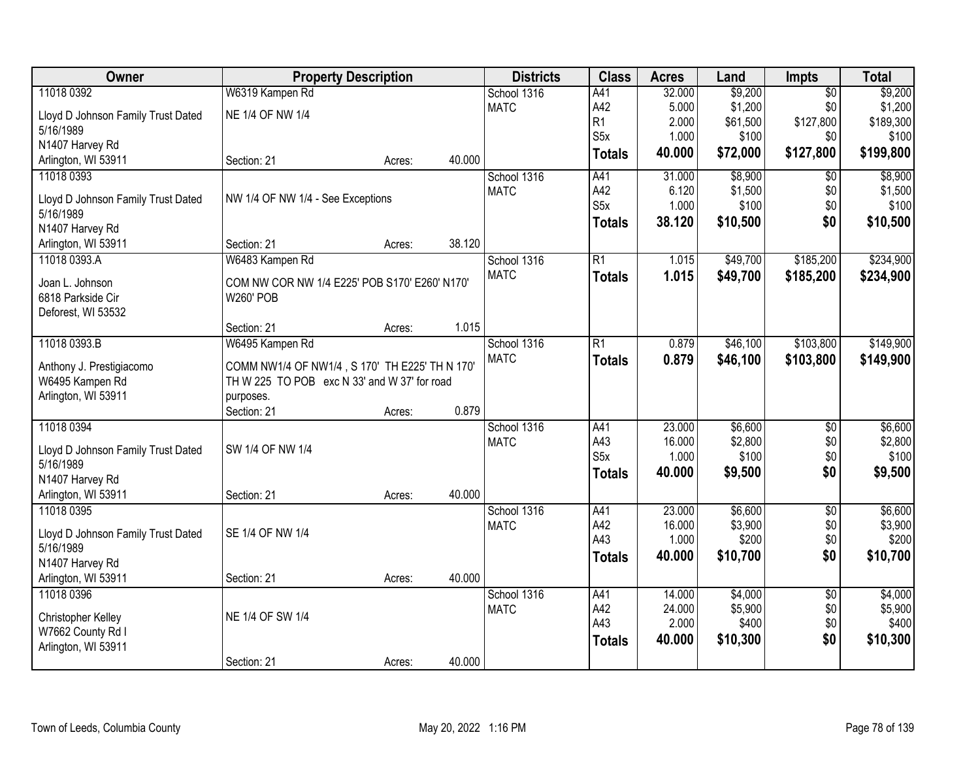| Owner                              | <b>Property Description</b>                    | <b>Districts</b> | <b>Class</b> | <b>Acres</b> | Land             | <b>Impts</b> | <b>Total</b> |                 |           |
|------------------------------------|------------------------------------------------|------------------|--------------|--------------|------------------|--------------|--------------|-----------------|-----------|
| 11018 0392                         | W6319 Kampen Rd                                |                  |              | School 1316  | A41              | 32.000       | \$9,200      | $\overline{50}$ | \$9,200   |
| Lloyd D Johnson Family Trust Dated | NE 1/4 OF NW 1/4                               |                  |              | <b>MATC</b>  | A42              | 5.000        | \$1,200      | \$0             | \$1,200   |
| 5/16/1989                          |                                                |                  |              |              | R <sub>1</sub>   | 2.000        | \$61,500     | \$127,800       | \$189,300 |
| N1407 Harvey Rd                    |                                                |                  |              |              | S <sub>5</sub> x | 1.000        | \$100        | \$0             | \$100     |
| Arlington, WI 53911                | Section: 21                                    | Acres:           | 40.000       |              | <b>Totals</b>    | 40.000       | \$72,000     | \$127,800       | \$199,800 |
| 11018 0393                         |                                                |                  |              | School 1316  | A41              | 31.000       | \$8,900      | $\overline{50}$ | \$8,900   |
|                                    |                                                |                  |              | <b>MATC</b>  | A42              | 6.120        | \$1,500      | \$0             | \$1,500   |
| Lloyd D Johnson Family Trust Dated | NW 1/4 OF NW 1/4 - See Exceptions              |                  |              |              | S <sub>5</sub> x | 1.000        | \$100        | \$0             | \$100     |
| 5/16/1989                          |                                                |                  |              |              | <b>Totals</b>    | 38.120       | \$10,500     | \$0             | \$10,500  |
| N1407 Harvey Rd                    |                                                |                  |              |              |                  |              |              |                 |           |
| Arlington, WI 53911                | Section: 21                                    | Acres:           | 38.120       |              |                  |              |              |                 |           |
| 11018 0393.A                       | W6483 Kampen Rd                                |                  |              | School 1316  | $\overline{R1}$  | 1.015        | \$49,700     | \$185,200       | \$234,900 |
| Joan L. Johnson                    | COM NW COR NW 1/4 E225' POB S170' E260' N170'  |                  |              | <b>MATC</b>  | <b>Totals</b>    | 1.015        | \$49,700     | \$185,200       | \$234,900 |
| 6818 Parkside Cir                  | <b>W260' POB</b>                               |                  |              |              |                  |              |              |                 |           |
| Deforest, WI 53532                 |                                                |                  |              |              |                  |              |              |                 |           |
|                                    | Section: 21                                    | Acres:           | 1.015        |              |                  |              |              |                 |           |
| 11018 0393.B                       | W6495 Kampen Rd                                |                  |              | School 1316  | R1               | 0.879        | \$46,100     | \$103,800       | \$149,900 |
| Anthony J. Prestigiacomo           | COMM NW1/4 OF NW1/4, S 170' TH E225' TH N 170' |                  |              | <b>MATC</b>  | <b>Totals</b>    | 0.879        | \$46,100     | \$103,800       | \$149,900 |
| W6495 Kampen Rd                    | TH W 225 TO POB exc N 33' and W 37' for road   |                  |              |              |                  |              |              |                 |           |
| Arlington, WI 53911                | purposes.                                      |                  |              |              |                  |              |              |                 |           |
|                                    | Section: 21                                    | Acres:           | 0.879        |              |                  |              |              |                 |           |
| 11018 0394                         |                                                |                  |              | School 1316  | A41              | 23.000       | \$6,600      | $\overline{30}$ | \$6,600   |
|                                    |                                                |                  |              | <b>MATC</b>  | A43              | 16.000       | \$2,800      | \$0             | \$2,800   |
| Lloyd D Johnson Family Trust Dated | SW 1/4 OF NW 1/4                               |                  |              |              | S <sub>5</sub> x | 1.000        | \$100        | \$0             | \$100     |
| 5/16/1989                          |                                                |                  |              |              | <b>Totals</b>    | 40.000       | \$9,500      | \$0             | \$9,500   |
| N1407 Harvey Rd                    |                                                |                  |              |              |                  |              |              |                 |           |
| Arlington, WI 53911                | Section: 21                                    | Acres:           | 40.000       |              |                  |              |              |                 |           |
| 11018 0395                         |                                                |                  |              | School 1316  | A41              | 23.000       | \$6,600      | $\overline{50}$ | \$6,600   |
| Lloyd D Johnson Family Trust Dated | SE 1/4 OF NW 1/4                               |                  |              | <b>MATC</b>  | A42              | 16.000       | \$3,900      | \$0             | \$3,900   |
| 5/16/1989                          |                                                |                  |              |              | A43              | 1.000        | \$200        | \$0             | \$200     |
| N1407 Harvey Rd                    |                                                |                  |              |              | <b>Totals</b>    | 40.000       | \$10,700     | \$0             | \$10,700  |
| Arlington, WI 53911                | Section: 21                                    | Acres:           | 40.000       |              |                  |              |              |                 |           |
| 11018 0396                         |                                                |                  |              | School 1316  | A41              | 14.000       | \$4,000      | $\overline{50}$ | \$4,000   |
|                                    |                                                |                  |              | <b>MATC</b>  | A42              | 24.000       | \$5,900      | \$0             | \$5,900   |
| Christopher Kelley                 | NE 1/4 OF SW 1/4                               |                  |              |              | A43              | 2.000        | \$400        | \$0             | \$400     |
| W7662 County Rd I                  |                                                |                  |              |              | <b>Totals</b>    | 40.000       | \$10,300     | \$0             | \$10,300  |
| Arlington, WI 53911                |                                                |                  |              |              |                  |              |              |                 |           |
|                                    | Section: 21                                    | Acres:           | 40.000       |              |                  |              |              |                 |           |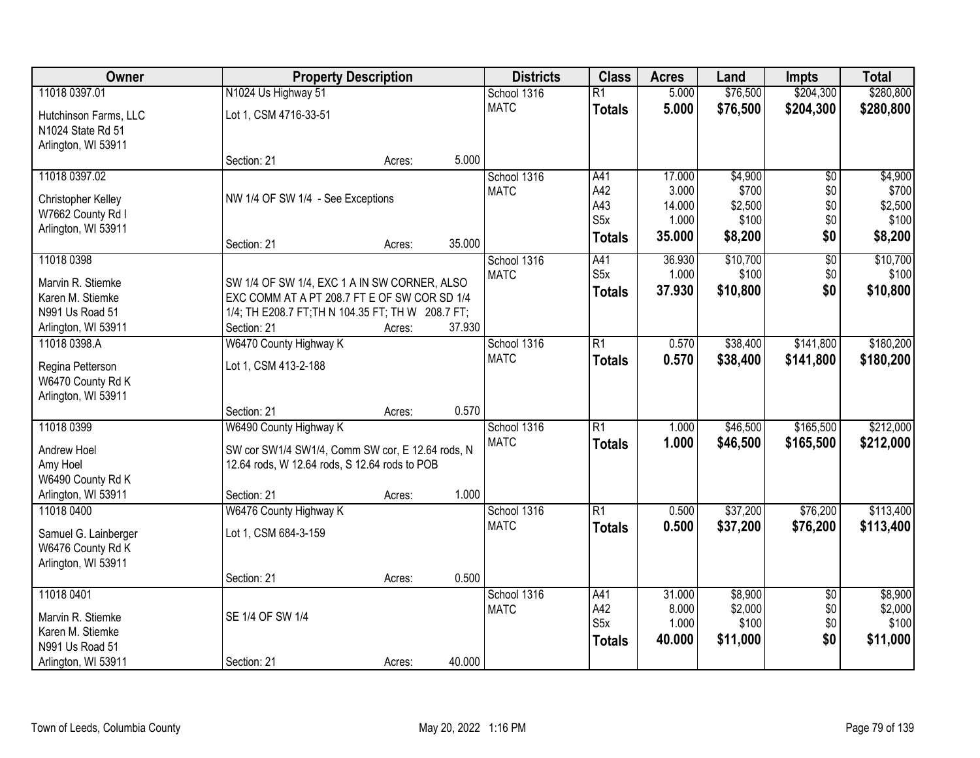| Owner                                      |                                                   | <b>Property Description</b> |        |                            | <b>Class</b>     | <b>Acres</b> | Land             | <b>Impts</b>           | <b>Total</b>     |
|--------------------------------------------|---------------------------------------------------|-----------------------------|--------|----------------------------|------------------|--------------|------------------|------------------------|------------------|
| 11018 0397.01                              | N1024 Us Highway 51                               |                             |        | School 1316                | $\overline{R1}$  | 5.000        | \$76,500         | \$204,300              | \$280,800        |
| Hutchinson Farms, LLC<br>N1024 State Rd 51 | Lot 1, CSM 4716-33-51                             |                             |        | <b>MATC</b>                | <b>Totals</b>    | 5.000        | \$76,500         | \$204,300              | \$280,800        |
| Arlington, WI 53911                        |                                                   |                             |        |                            |                  |              |                  |                        |                  |
| 11018 0397.02                              | Section: 21                                       | Acres:                      | 5.000  |                            |                  | 17.000       |                  |                        |                  |
|                                            |                                                   |                             |        | School 1316<br><b>MATC</b> | A41<br>A42       | 3.000        | \$4,900<br>\$700 | $\overline{50}$<br>\$0 | \$4,900<br>\$700 |
| Christopher Kelley                         | NW 1/4 OF SW 1/4 - See Exceptions                 |                             |        |                            | A43              | 14.000       | \$2,500          | \$0                    | \$2,500          |
| W7662 County Rd I                          |                                                   |                             |        |                            | S <sub>5</sub> x | 1.000        | \$100            | \$0                    | \$100            |
| Arlington, WI 53911                        |                                                   |                             |        |                            | <b>Totals</b>    | 35.000       | \$8,200          | \$0                    | \$8,200          |
| 11018 0398                                 | Section: 21                                       | Acres:                      | 35.000 |                            | A41              | 36.930       | \$10,700         | $\overline{50}$        | \$10,700         |
|                                            |                                                   |                             |        | School 1316<br><b>MATC</b> | S <sub>5</sub> x | 1.000        | \$100            | \$0                    | \$100            |
| Marvin R. Stiemke                          | SW 1/4 OF SW 1/4, EXC 1 A IN SW CORNER, ALSO      |                             |        |                            | <b>Totals</b>    | 37.930       | \$10,800         | \$0                    | \$10,800         |
| Karen M. Stiemke                           | EXC COMM AT A PT 208.7 FT E OF SW COR SD 1/4      |                             |        |                            |                  |              |                  |                        |                  |
| N991 Us Road 51                            | 1/4; TH E208.7 FT; TH N 104.35 FT; TH W 208.7 FT; |                             |        |                            |                  |              |                  |                        |                  |
| Arlington, WI 53911                        | Section: 21                                       | Acres:                      | 37.930 |                            |                  |              |                  |                        |                  |
| 11018 0398.A                               | W6470 County Highway K                            |                             |        | School 1316                | $\overline{R1}$  | 0.570        | \$38,400         | \$141,800              | \$180,200        |
| Regina Petterson                           | Lot 1, CSM 413-2-188                              |                             |        | <b>MATC</b>                | <b>Totals</b>    | 0.570        | \$38,400         | \$141,800              | \$180,200        |
| W6470 County Rd K                          |                                                   |                             |        |                            |                  |              |                  |                        |                  |
| Arlington, WI 53911                        |                                                   |                             |        |                            |                  |              |                  |                        |                  |
|                                            | Section: 21                                       | Acres:                      | 0.570  |                            |                  |              |                  |                        |                  |
| 11018 0399                                 | W6490 County Highway K                            |                             |        | School 1316                | $\overline{R1}$  | 1.000        | \$46,500         | \$165,500              | \$212,000        |
| Andrew Hoel                                | SW cor SW1/4 SW1/4, Comm SW cor, E 12.64 rods, N  |                             |        | <b>MATC</b>                | <b>Totals</b>    | 1.000        | \$46,500         | \$165,500              | \$212,000        |
| Amy Hoel                                   | 12.64 rods, W 12.64 rods, S 12.64 rods to POB     |                             |        |                            |                  |              |                  |                        |                  |
| W6490 County Rd K                          |                                                   |                             |        |                            |                  |              |                  |                        |                  |
| Arlington, WI 53911                        | Section: 21                                       | Acres:                      | 1.000  |                            |                  |              |                  |                        |                  |
| 11018 0400                                 | W6476 County Highway K                            |                             |        | School 1316                | $\overline{R1}$  | 0.500        | \$37,200         | \$76,200               | \$113,400        |
| Samuel G. Lainberger                       | Lot 1, CSM 684-3-159                              |                             |        | <b>MATC</b>                | <b>Totals</b>    | 0.500        | \$37,200         | \$76,200               | \$113,400        |
| W6476 County Rd K                          |                                                   |                             |        |                            |                  |              |                  |                        |                  |
| Arlington, WI 53911                        |                                                   |                             |        |                            |                  |              |                  |                        |                  |
|                                            | Section: 21                                       | Acres:                      | 0.500  |                            |                  |              |                  |                        |                  |
| 11018 0401                                 |                                                   |                             |        | School 1316                | A41              | 31.000       | \$8,900          | $\overline{30}$        | \$8,900          |
| Marvin R. Stiemke                          | SE 1/4 OF SW 1/4                                  |                             |        | <b>MATC</b>                | A42              | 8.000        | \$2,000          | \$0                    | \$2,000          |
| Karen M. Stiemke                           |                                                   |                             |        |                            | S <sub>5</sub> x | 1.000        | \$100            | \$0                    | \$100            |
| N991 Us Road 51                            |                                                   |                             |        |                            | <b>Totals</b>    | 40.000       | \$11,000         | \$0                    | \$11,000         |
| Arlington, WI 53911                        | Section: 21                                       | Acres:                      | 40.000 |                            |                  |              |                  |                        |                  |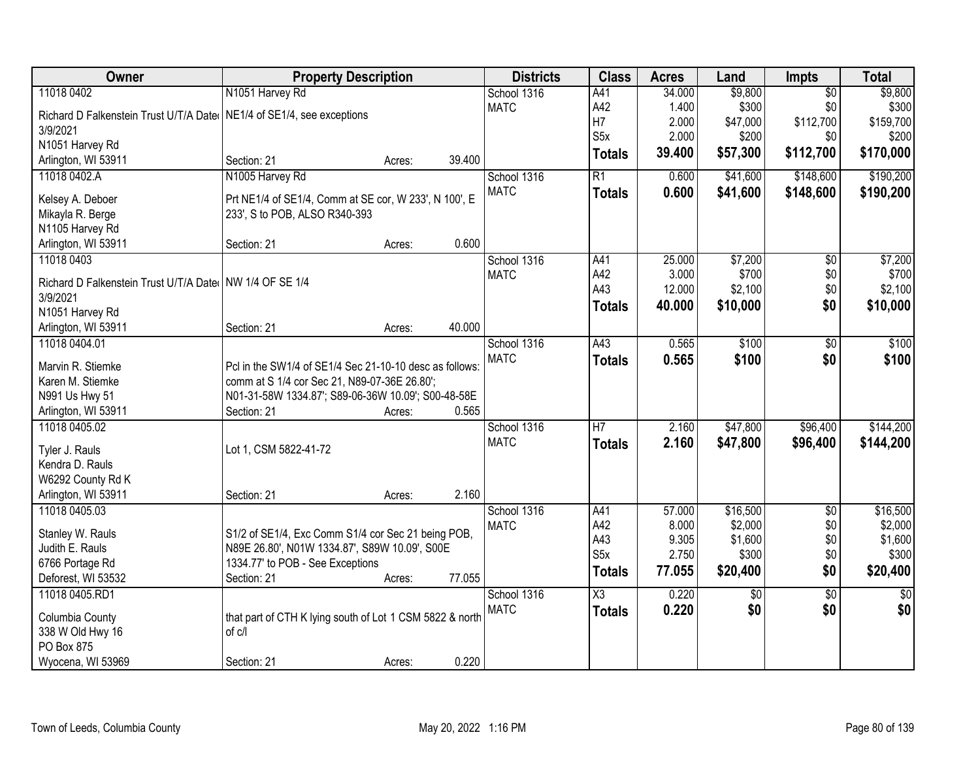| Owner<br><b>Impts</b>                                                                                                              |                 |
|------------------------------------------------------------------------------------------------------------------------------------|-----------------|
| 11018 0402<br>N1051 Harvey Rd<br>\$9,800<br>School 1316<br>A41<br>34.000<br>$\overline{50}$                                        | \$9,800         |
| \$0<br><b>MATC</b><br>A42<br>1.400<br>\$300<br>Richard D Falkenstein Trust U/T/A Dater NE1/4 of SE1/4, see exceptions              | \$300           |
| H7<br>\$112,700<br>2.000<br>\$47,000<br>3/9/2021                                                                                   | \$159,700       |
| S <sub>5</sub> x<br>2.000<br>\$200<br>\$0<br>N1051 Harvey Rd                                                                       | \$200           |
| \$112,700<br>39.400<br>\$57,300<br>Totals<br>39.400<br>Arlington, WI 53911<br>Section: 21<br>Acres:                                | \$170,000       |
| N1005 Harvey Rd<br>R1<br>\$41,600<br>\$148,600<br>11018 0402.A<br>School 1316<br>0.600                                             | \$190,200       |
| <b>MATC</b><br>0.600<br>\$41,600<br>\$148,600<br><b>Totals</b>                                                                     | \$190,200       |
| Prt NE1/4 of SE1/4, Comm at SE cor, W 233', N 100', E<br>Kelsey A. Deboer                                                          |                 |
| 233', S to POB, ALSO R340-393<br>Mikayla R. Berge                                                                                  |                 |
| N1105 Harvey Rd                                                                                                                    |                 |
| 0.600<br>Arlington, WI 53911<br>Section: 21<br>Acres:                                                                              |                 |
| \$7,200<br>11018 0403<br>School 1316<br>25.000<br>$\overline{50}$<br>A41                                                           | \$7,200         |
| A42<br>\$0<br>3.000<br>\$700<br><b>MATC</b><br>Richard D Falkenstein Trust U/T/A Date   NW 1/4 OF SE 1/4                           | \$700           |
| A43<br>12.000<br>\$0<br>\$2,100<br>3/9/2021                                                                                        | \$2,100         |
| \$10,000<br>\$0<br>40.000<br><b>Totals</b><br>N1051 Harvey Rd                                                                      | \$10,000        |
| 40.000<br>Arlington, WI 53911<br>Section: 21<br>Acres:                                                                             |                 |
| A43<br>0.565<br>\$100<br>11018 0404.01<br>School 1316<br>\$0                                                                       | \$100           |
| <b>MATC</b><br>0.565<br>\$100<br>\$0<br><b>Totals</b>                                                                              | \$100           |
| Marvin R. Stiemke<br>Pcl in the SW1/4 of SE1/4 Sec 21-10-10 desc as follows:                                                       |                 |
| Karen M. Stiemke<br>comm at S 1/4 cor Sec 21, N89-07-36E 26.80';                                                                   |                 |
| N991 Us Hwy 51<br>N01-31-58W 1334.87'; S89-06-36W 10.09'; S00-48-58E                                                               |                 |
| 0.565<br>Section: 21<br>Arlington, WI 53911<br>Acres:                                                                              |                 |
| $\overline{H}$<br>\$47,800<br>\$96,400<br>11018 0405.02<br>2.160<br>School 1316                                                    | \$144,200       |
| <b>MATC</b><br>2.160<br>\$47,800<br>\$96,400<br><b>Totals</b><br>Lot 1, CSM 5822-41-72<br>Tyler J. Rauls                           | \$144,200       |
| Kendra D. Rauls                                                                                                                    |                 |
| W6292 County Rd K                                                                                                                  |                 |
| 2.160<br>Arlington, WI 53911<br>Section: 21<br>Acres:                                                                              |                 |
| \$16,500<br>$\overline{60}$<br>11018 0405.03<br>School 1316<br>A41<br>57.000                                                       | \$16,500        |
| \$0<br>A42<br>8.000<br>\$2,000<br><b>MATC</b>                                                                                      | \$2,000         |
| S1/2 of SE1/4, Exc Comm S1/4 cor Sec 21 being POB,<br>Stanley W. Rauls<br>A43<br>\$0<br>9.305<br>\$1,600                           | \$1,600         |
| N89E 26.80', N01W 1334.87', S89W 10.09', S00E<br>Judith E. Rauls<br>S5x<br>2.750<br>\$0<br>\$300                                   | \$300           |
| 1334.77' to POB - See Exceptions<br>6766 Portage Rd<br>\$0<br>77.055<br>\$20,400<br><b>Totals</b>                                  | \$20,400        |
| Deforest, WI 53532<br>77.055<br>Section: 21<br>Acres:                                                                              |                 |
| 11018 0405.RD1<br>School 1316<br>X3<br>0.220<br>$\overline{50}$<br>$\overline{50}$                                                 | $\overline{50}$ |
| <b>MATC</b><br>0.220<br>\$0<br>\$0<br><b>Totals</b><br>that part of CTH K lying south of Lot 1 CSM 5822 & north<br>Columbia County | \$0             |
| 338 W Old Hwy 16<br>of c/l                                                                                                         |                 |
| PO Box 875                                                                                                                         |                 |
| 0.220<br>Wyocena, WI 53969<br>Section: 21<br>Acres:                                                                                |                 |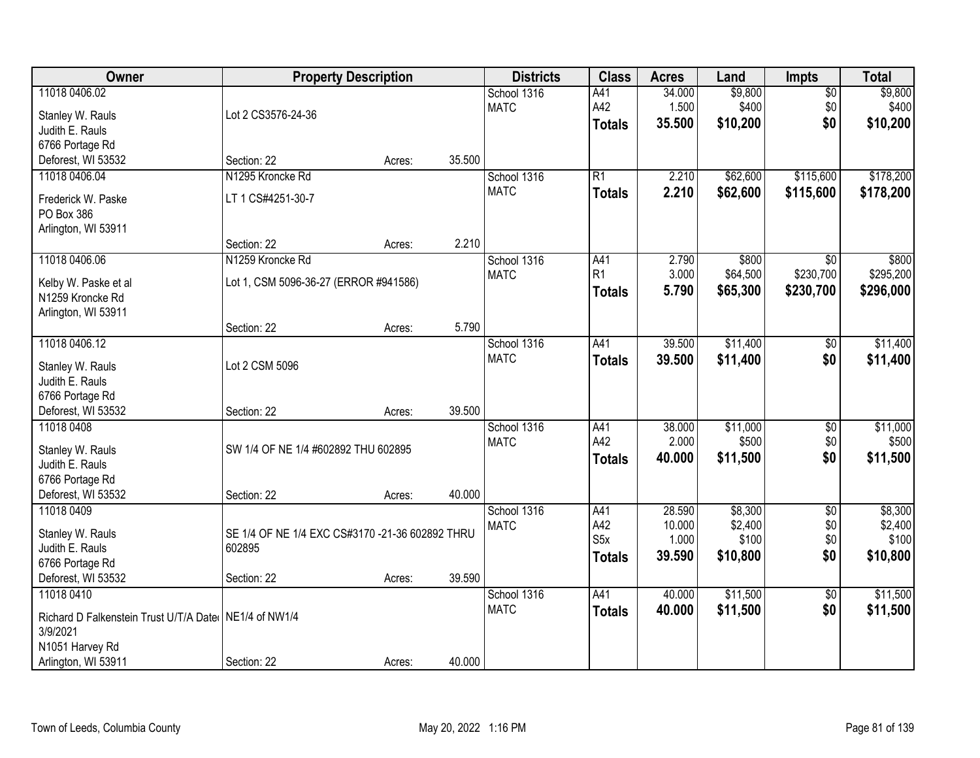| Owner                                                   | <b>Property Description</b>                     |        |        | <b>Districts</b> | <b>Class</b>     | <b>Acres</b>     | Land               | <b>Impts</b>    | <b>Total</b>       |
|---------------------------------------------------------|-------------------------------------------------|--------|--------|------------------|------------------|------------------|--------------------|-----------------|--------------------|
| 11018 0406.02                                           |                                                 |        |        | School 1316      | A41              | 34.000           | \$9,800            | $\overline{50}$ | \$9,800            |
| Stanley W. Rauls                                        | Lot 2 CS3576-24-36                              |        |        | <b>MATC</b>      | A42              | 1.500            | \$400              | \$0             | \$400              |
| Judith E. Rauls                                         |                                                 |        |        |                  | <b>Totals</b>    | 35.500           | \$10,200           | \$0             | \$10,200           |
| 6766 Portage Rd                                         |                                                 |        |        |                  |                  |                  |                    |                 |                    |
| Deforest, WI 53532                                      | Section: 22                                     | Acres: | 35.500 |                  |                  |                  |                    |                 |                    |
| 11018 0406.04                                           | N1295 Kroncke Rd                                |        |        | School 1316      | R1               | 2.210            | \$62,600           | \$115,600       | \$178,200          |
|                                                         |                                                 |        |        | <b>MATC</b>      | <b>Totals</b>    | 2.210            | \$62,600           | \$115,600       | \$178,200          |
| Frederick W. Paske                                      | LT 1 CS#4251-30-7                               |        |        |                  |                  |                  |                    |                 |                    |
| PO Box 386                                              |                                                 |        |        |                  |                  |                  |                    |                 |                    |
| Arlington, WI 53911                                     | Section: 22                                     | Acres: | 2.210  |                  |                  |                  |                    |                 |                    |
| 11018 0406.06                                           | N1259 Kroncke Rd                                |        |        | School 1316      | A41              | 2.790            | \$800              | $\overline{50}$ | \$800              |
|                                                         |                                                 |        |        | <b>MATC</b>      | R1               | 3.000            | \$64,500           | \$230,700       | \$295,200          |
| Kelby W. Paske et al                                    | Lot 1, CSM 5096-36-27 (ERROR #941586)           |        |        |                  | <b>Totals</b>    | 5.790            | \$65,300           | \$230,700       | \$296,000          |
| N1259 Kroncke Rd                                        |                                                 |        |        |                  |                  |                  |                    |                 |                    |
| Arlington, WI 53911                                     |                                                 |        |        |                  |                  |                  |                    |                 |                    |
|                                                         | Section: 22                                     | Acres: | 5.790  |                  |                  |                  |                    |                 |                    |
| 11018 0406.12                                           |                                                 |        |        | School 1316      | A41              | 39.500           | \$11,400           | \$0             | \$11,400           |
| Stanley W. Rauls                                        | Lot 2 CSM 5096                                  |        |        | <b>MATC</b>      | <b>Totals</b>    | 39.500           | \$11,400           | \$0             | \$11,400           |
| Judith E. Rauls                                         |                                                 |        |        |                  |                  |                  |                    |                 |                    |
| 6766 Portage Rd                                         |                                                 |        |        |                  |                  |                  |                    |                 |                    |
| Deforest, WI 53532                                      | Section: 22                                     | Acres: | 39.500 |                  |                  |                  |                    |                 |                    |
| 11018 0408                                              |                                                 |        |        | School 1316      | A41              | 38.000           | \$11,000           | $\overline{30}$ | \$11,000           |
|                                                         |                                                 |        |        | <b>MATC</b>      | A42              | 2.000            | \$500              | \$0             | \$500              |
| Stanley W. Rauls                                        | SW 1/4 OF NE 1/4 #602892 THU 602895             |        |        |                  | <b>Totals</b>    | 40.000           | \$11,500           | \$0             | \$11,500           |
| Judith E. Rauls                                         |                                                 |        |        |                  |                  |                  |                    |                 |                    |
| 6766 Portage Rd                                         |                                                 |        |        |                  |                  |                  |                    |                 |                    |
| Deforest, WI 53532                                      | Section: 22                                     | Acres: | 40.000 |                  |                  |                  |                    |                 |                    |
| 11018 0409                                              |                                                 |        |        | School 1316      | A41<br>A42       | 28.590<br>10.000 | \$8,300<br>\$2,400 | $\overline{60}$ | \$8,300<br>\$2,400 |
| Stanley W. Rauls                                        | SE 1/4 OF NE 1/4 EXC CS#3170 -21-36 602892 THRU |        |        | <b>MATC</b>      | S <sub>5</sub> x | 1.000            | \$100              | \$0<br>\$0      | \$100              |
| Judith E. Rauls                                         | 602895                                          |        |        |                  |                  | 39.590           | \$10,800           | \$0             | \$10,800           |
| 6766 Portage Rd                                         |                                                 |        |        |                  | Totals           |                  |                    |                 |                    |
| Deforest, WI 53532                                      | Section: 22                                     | Acres: | 39.590 |                  |                  |                  |                    |                 |                    |
| 11018 0410                                              |                                                 |        |        | School 1316      | A41              | 40.000           | \$11,500           | $\overline{50}$ | \$11,500           |
| Richard D Falkenstein Trust U/T/A Date   NE1/4 of NW1/4 |                                                 |        |        | <b>MATC</b>      | <b>Totals</b>    | 40.000           | \$11,500           | \$0             | \$11,500           |
| 3/9/2021                                                |                                                 |        |        |                  |                  |                  |                    |                 |                    |
| N1051 Harvey Rd                                         |                                                 |        |        |                  |                  |                  |                    |                 |                    |
| Arlington, WI 53911                                     | Section: 22                                     | Acres: | 40.000 |                  |                  |                  |                    |                 |                    |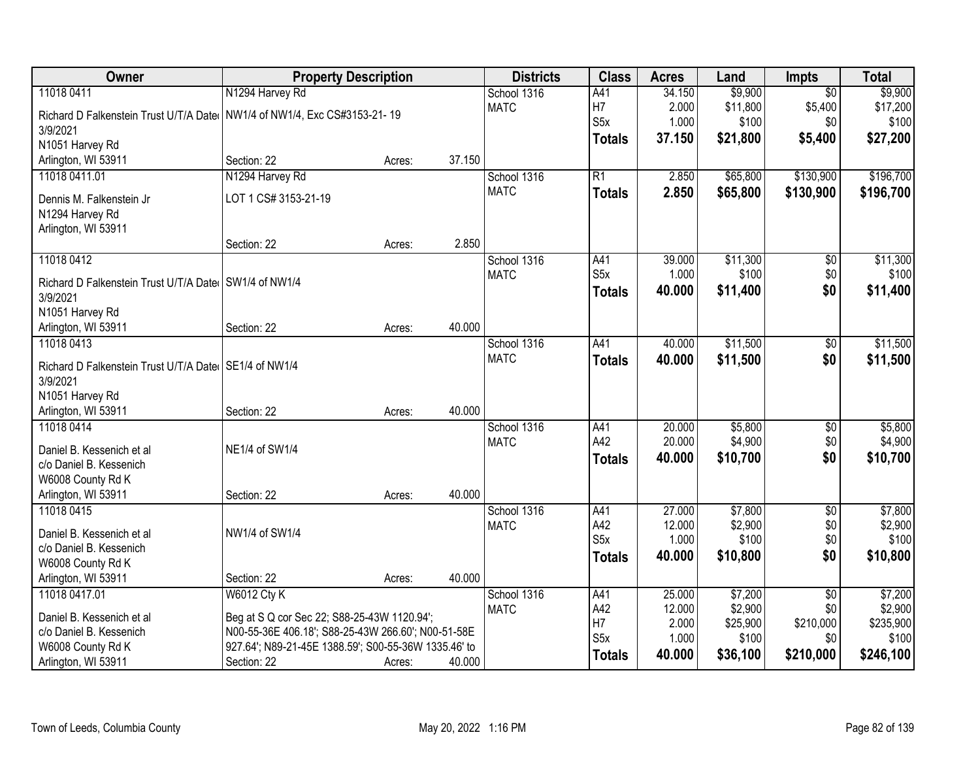| Owner                                                   | <b>Property Description</b>                          |        |        | <b>Districts</b>           | <b>Class</b>     | <b>Acres</b>     | Land               | Impts                  | <b>Total</b>       |
|---------------------------------------------------------|------------------------------------------------------|--------|--------|----------------------------|------------------|------------------|--------------------|------------------------|--------------------|
| 11018 0411                                              | N1294 Harvey Rd                                      |        |        | School 1316                | A41              | 34.150           | \$9,900            | $\overline{50}$        | \$9,900            |
| Richard D Falkenstein Trust U/T/A Date                  | NW1/4 of NW1/4, Exc CS#3153-21-19                    |        |        | <b>MATC</b>                | H7               | 2.000            | \$11,800           | \$5,400                | \$17,200           |
| 3/9/2021                                                |                                                      |        |        |                            | S <sub>5</sub> x | 1.000            | \$100              | \$0                    | \$100              |
| N1051 Harvey Rd                                         |                                                      |        |        |                            | <b>Totals</b>    | 37.150           | \$21,800           | \$5,400                | \$27,200           |
| Arlington, WI 53911                                     | Section: 22                                          | Acres: | 37.150 |                            |                  |                  |                    |                        |                    |
| 11018 0411.01                                           | N1294 Harvey Rd                                      |        |        | School 1316                | $\overline{R1}$  | 2.850            | \$65,800           | \$130,900              | \$196,700          |
| Dennis M. Falkenstein Jr                                | LOT 1 CS# 3153-21-19                                 |        |        | <b>MATC</b>                | <b>Totals</b>    | 2.850            | \$65,800           | \$130,900              | \$196,700          |
| N1294 Harvey Rd                                         |                                                      |        |        |                            |                  |                  |                    |                        |                    |
| Arlington, WI 53911                                     |                                                      |        |        |                            |                  |                  |                    |                        |                    |
|                                                         | Section: 22                                          | Acres: | 2.850  |                            |                  |                  |                    |                        |                    |
| 11018 0412                                              |                                                      |        |        | School 1316                | A41              | 39.000           | \$11,300           | $\overline{50}$        | \$11,300           |
| Richard D Falkenstein Trust U/T/A Date SW1/4 of NW1/4   |                                                      |        |        | <b>MATC</b>                | S <sub>5</sub> x | 1.000            | \$100              | \$0                    | \$100              |
| 3/9/2021                                                |                                                      |        |        |                            | <b>Totals</b>    | 40.000           | \$11,400           | \$0                    | \$11,400           |
| N1051 Harvey Rd                                         |                                                      |        |        |                            |                  |                  |                    |                        |                    |
| Arlington, WI 53911                                     | Section: 22                                          | Acres: | 40.000 |                            |                  |                  |                    |                        |                    |
| 11018 0413                                              |                                                      |        |        | School 1316                | A41              | 40.000           | \$11,500           | \$0                    | \$11,500           |
| Richard D Falkenstein Trust U/T/A Date   SE1/4 of NW1/4 |                                                      |        |        | <b>MATC</b>                | <b>Totals</b>    | 40.000           | \$11,500           | \$0                    | \$11,500           |
| 3/9/2021                                                |                                                      |        |        |                            |                  |                  |                    |                        |                    |
| N1051 Harvey Rd                                         |                                                      |        |        |                            |                  |                  |                    |                        |                    |
| Arlington, WI 53911                                     | Section: 22                                          | Acres: | 40.000 |                            |                  |                  |                    |                        |                    |
| 11018 0414                                              |                                                      |        |        | School 1316                | A41              | 20.000           | \$5,800            | \$0                    | \$5,800            |
|                                                         |                                                      |        |        | <b>MATC</b>                | A42              | 20.000           | \$4,900            | \$0                    | \$4,900            |
| Daniel B. Kessenich et al                               | NE1/4 of SW1/4                                       |        |        |                            | <b>Totals</b>    | 40.000           | \$10,700           | \$0                    | \$10,700           |
| c/o Daniel B. Kessenich<br>W6008 County Rd K            |                                                      |        |        |                            |                  |                  |                    |                        |                    |
| Arlington, WI 53911                                     | Section: 22                                          | Acres: | 40.000 |                            |                  |                  |                    |                        |                    |
| 11018 0415                                              |                                                      |        |        | School 1316                | A41              | 27.000           | \$7,800            | $\overline{50}$        | \$7,800            |
|                                                         |                                                      |        |        | <b>MATC</b>                | A42              | 12.000           | \$2,900            | \$0                    | \$2,900            |
| Daniel B. Kessenich et al                               | NW1/4 of SW1/4                                       |        |        |                            | S5x              | 1.000            | \$100              | \$0                    | \$100              |
| c/o Daniel B. Kessenich                                 |                                                      |        |        |                            | <b>Totals</b>    | 40.000           | \$10,800           | \$0                    | \$10,800           |
| W6008 County Rd K                                       |                                                      |        |        |                            |                  |                  |                    |                        |                    |
| Arlington, WI 53911                                     | Section: 22                                          | Acres: | 40.000 |                            |                  |                  |                    |                        |                    |
| 11018 0417.01                                           | <b>W6012 Cty K</b>                                   |        |        | School 1316<br><b>MATC</b> | A41<br>A42       | 25.000<br>12.000 | \$7,200<br>\$2,900 | $\overline{50}$<br>\$0 | \$7,200<br>\$2,900 |
| Daniel B. Kessenich et al                               | Beg at S Q cor Sec 22; S88-25-43W 1120.94';          |        |        |                            | H7               | 2.000            | \$25,900           | \$210,000              | \$235,900          |
| c/o Daniel B. Kessenich                                 | N00-55-36E 406.18'; S88-25-43W 266.60'; N00-51-58E   |        |        |                            | S5x              | 1.000            | \$100              | \$0                    | \$100              |
| W6008 County Rd K                                       | 927.64'; N89-21-45E 1388.59'; S00-55-36W 1335.46' to |        |        |                            | <b>Totals</b>    | 40.000           | \$36,100           | \$210,000              | \$246,100          |
| Arlington, WI 53911                                     | Section: 22                                          | Acres: | 40.000 |                            |                  |                  |                    |                        |                    |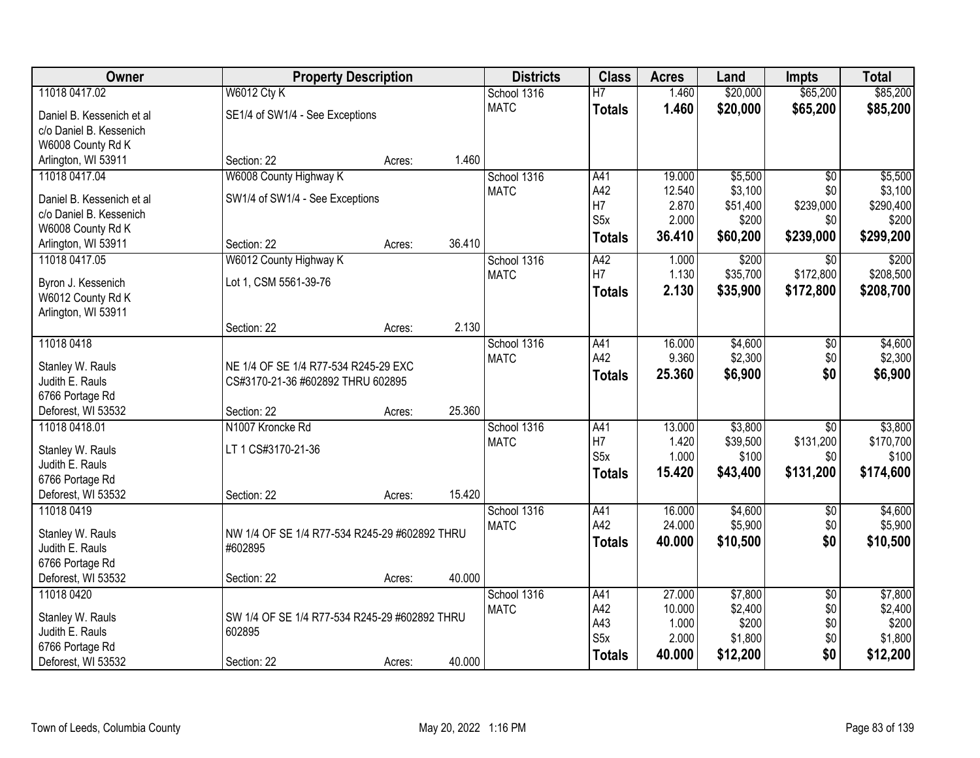| Owner                     | <b>Property Description</b>                   |                  | <b>Districts</b> | <b>Class</b>            | <b>Acres</b>   | Land             | <b>Impts</b>    | <b>Total</b>     |
|---------------------------|-----------------------------------------------|------------------|------------------|-------------------------|----------------|------------------|-----------------|------------------|
| 11018 0417.02             | <b>W6012 Cty K</b>                            |                  | School 1316      | $\overline{H}$          | 1.460          | \$20,000         | \$65,200        | \$85,200         |
| Daniel B. Kessenich et al | SE1/4 of SW1/4 - See Exceptions               |                  | <b>MATC</b>      | <b>Totals</b>           | 1.460          | \$20,000         | \$65,200        | \$85,200         |
| c/o Daniel B. Kessenich   |                                               |                  |                  |                         |                |                  |                 |                  |
| W6008 County Rd K         |                                               |                  |                  |                         |                |                  |                 |                  |
| Arlington, WI 53911       | Section: 22                                   | 1.460<br>Acres:  |                  |                         |                |                  |                 |                  |
| 11018 0417.04             | W6008 County Highway K                        |                  | School 1316      | A41                     | 19.000         | \$5,500          | $\overline{50}$ | \$5,500          |
| Daniel B. Kessenich et al | SW1/4 of SW1/4 - See Exceptions               |                  | <b>MATC</b>      | A42                     | 12.540         | \$3,100          | \$0             | \$3,100          |
| c/o Daniel B. Kessenich   |                                               |                  |                  | H7                      | 2.870          | \$51,400         | \$239,000       | \$290,400        |
| W6008 County Rd K         |                                               |                  |                  | S <sub>5</sub> x        | 2.000          | \$200            | \$0             | \$200            |
| Arlington, WI 53911       | Section: 22                                   | 36.410<br>Acres: |                  | <b>Totals</b>           | 36.410         | \$60,200         | \$239,000       | \$299,200        |
| 11018 0417.05             | W6012 County Highway K                        |                  | School 1316      | A42                     | 1.000          | \$200            | \$0             | \$200            |
| Byron J. Kessenich        | Lot 1, CSM 5561-39-76                         |                  | <b>MATC</b>      | H7                      | 1.130          | \$35,700         | \$172,800       | \$208,500        |
| W6012 County Rd K         |                                               |                  |                  | <b>Totals</b>           | 2.130          | \$35,900         | \$172,800       | \$208,700        |
| Arlington, WI 53911       |                                               |                  |                  |                         |                |                  |                 |                  |
|                           | Section: 22                                   | 2.130<br>Acres:  |                  |                         |                |                  |                 |                  |
| 11018 0418                |                                               |                  | School 1316      | A41                     | 16.000         | \$4,600          | $\sqrt[6]{3}$   | \$4,600          |
| Stanley W. Rauls          | NE 1/4 OF SE 1/4 R77-534 R245-29 EXC          |                  | <b>MATC</b>      | A42                     | 9.360          | \$2,300          | \$0             | \$2,300          |
| Judith E. Rauls           | CS#3170-21-36 #602892 THRU 602895             |                  |                  | <b>Totals</b>           | 25.360         | \$6,900          | \$0             | \$6,900          |
| 6766 Portage Rd           |                                               |                  |                  |                         |                |                  |                 |                  |
| Deforest, WI 53532        | Section: 22                                   | 25.360<br>Acres: |                  |                         |                |                  |                 |                  |
| 11018 0418.01             | N1007 Kroncke Rd                              |                  | School 1316      | A41                     | 13.000         | \$3,800          | \$0             | \$3,800          |
| Stanley W. Rauls          | LT 1 CS#3170-21-36                            |                  | <b>MATC</b>      | H <sub>7</sub>          | 1.420          | \$39,500         | \$131,200       | \$170,700        |
| Judith E. Rauls           |                                               |                  |                  | S <sub>5</sub> x        | 1.000          | \$100            | \$0             | \$100            |
| 6766 Portage Rd           |                                               |                  |                  | <b>Totals</b>           | 15.420         | \$43,400         | \$131,200       | \$174,600        |
| Deforest, WI 53532        | Section: 22                                   | 15.420<br>Acres: |                  |                         |                |                  |                 |                  |
| 11018 0419                |                                               |                  | School 1316      | A41                     | 16.000         | \$4,600          | \$0             | \$4,600          |
| Stanley W. Rauls          | NW 1/4 OF SE 1/4 R77-534 R245-29 #602892 THRU |                  | <b>MATC</b>      | A42                     | 24.000         | \$5,900          | \$0             | \$5,900          |
| Judith E. Rauls           | #602895                                       |                  |                  | <b>Totals</b>           | 40.000         | \$10,500         | \$0             | \$10,500         |
| 6766 Portage Rd           |                                               |                  |                  |                         |                |                  |                 |                  |
| Deforest, WI 53532        | Section: 22                                   | 40.000<br>Acres: |                  |                         |                |                  |                 |                  |
| 11018 0420                |                                               |                  | School 1316      | A41                     | 27.000         | \$7,800          | $\overline{50}$ | \$7,800          |
| Stanley W. Rauls          | SW 1/4 OF SE 1/4 R77-534 R245-29 #602892 THRU |                  | <b>MATC</b>      | A42                     | 10.000         | \$2,400          | \$0             | \$2,400          |
| Judith E. Rauls           | 602895                                        |                  |                  | A43<br>S <sub>5</sub> x | 1.000<br>2.000 | \$200<br>\$1,800 | \$0<br>\$0      | \$200<br>\$1,800 |
| 6766 Portage Rd           |                                               |                  |                  | <b>Totals</b>           | 40.000         | \$12,200         | \$0             | \$12,200         |
| Deforest, WI 53532        | Section: 22                                   | 40.000<br>Acres: |                  |                         |                |                  |                 |                  |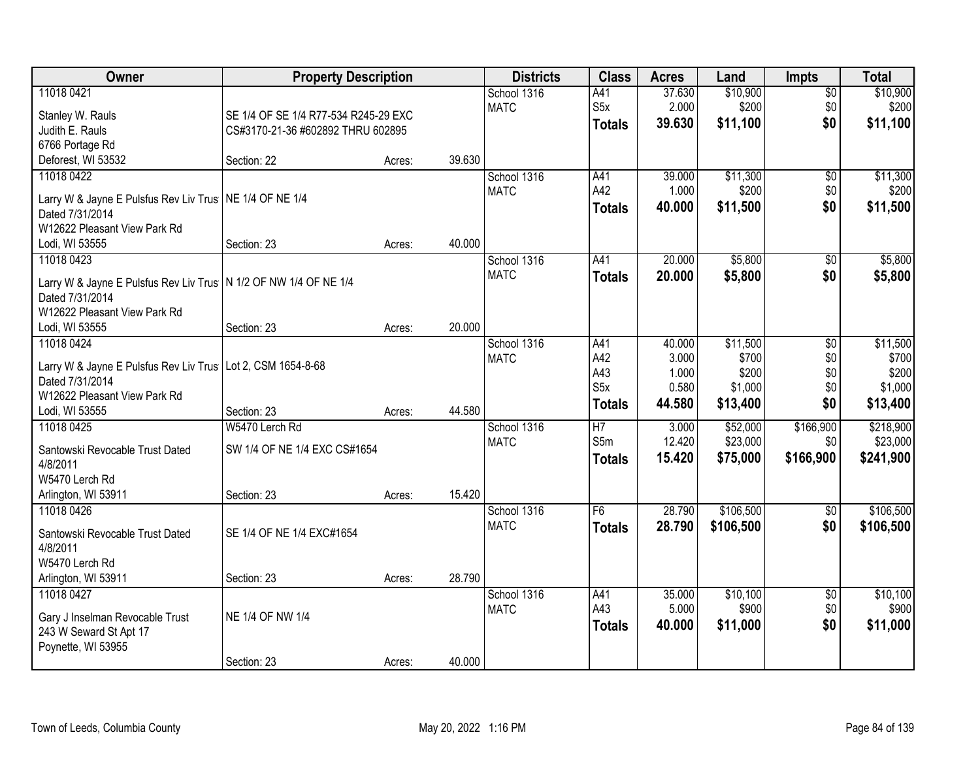| Owner                                                              | <b>Property Description</b>          |        |        | <b>Districts</b> | <b>Class</b>     | <b>Acres</b> | Land      | <b>Impts</b>    | <b>Total</b> |
|--------------------------------------------------------------------|--------------------------------------|--------|--------|------------------|------------------|--------------|-----------|-----------------|--------------|
| 11018 0421                                                         |                                      |        |        | School 1316      | A41              | 37.630       | \$10,900  | $\overline{50}$ | \$10,900     |
| Stanley W. Rauls                                                   | SE 1/4 OF SE 1/4 R77-534 R245-29 EXC |        |        | <b>MATC</b>      | S <sub>5</sub> x | 2.000        | \$200     | \$0             | \$200        |
| Judith E. Rauls                                                    | CS#3170-21-36 #602892 THRU 602895    |        |        |                  | <b>Totals</b>    | 39.630       | \$11,100  | \$0             | \$11,100     |
| 6766 Portage Rd                                                    |                                      |        |        |                  |                  |              |           |                 |              |
| Deforest, WI 53532                                                 | Section: 22                          | Acres: | 39.630 |                  |                  |              |           |                 |              |
| 11018 0422                                                         |                                      |        |        | School 1316      | A41              | 39.000       | \$11,300  | $\overline{50}$ | \$11,300     |
|                                                                    |                                      |        |        | <b>MATC</b>      | A42              | 1.000        | \$200     | \$0             | \$200        |
| Larry W & Jayne E Pulsfus Rev Liv Trus   NE 1/4 OF NE 1/4          |                                      |        |        |                  | <b>Totals</b>    | 40.000       | \$11,500  | \$0             | \$11,500     |
| Dated 7/31/2014                                                    |                                      |        |        |                  |                  |              |           |                 |              |
| W12622 Pleasant View Park Rd                                       |                                      |        | 40.000 |                  |                  |              |           |                 |              |
| Lodi, WI 53555                                                     | Section: 23                          | Acres: |        |                  | A41              |              | \$5,800   |                 | \$5,800      |
| 11018 0423                                                         |                                      |        |        | School 1316      |                  | 20.000       |           | \$0             |              |
| Larry W & Jayne E Pulsfus Rev Liv Trus   N 1/2 OF NW 1/4 OF NE 1/4 |                                      |        |        | <b>MATC</b>      | <b>Totals</b>    | 20.000       | \$5,800   | \$0             | \$5,800      |
| Dated 7/31/2014                                                    |                                      |        |        |                  |                  |              |           |                 |              |
| W12622 Pleasant View Park Rd                                       |                                      |        |        |                  |                  |              |           |                 |              |
| Lodi, WI 53555                                                     | Section: 23                          | Acres: | 20.000 |                  |                  |              |           |                 |              |
| 11018 0424                                                         |                                      |        |        | School 1316      | A41              | 40.000       | \$11,500  | \$0             | \$11,500     |
| Larry W & Jayne E Pulsfus Rev Liv Trus   Lot 2, CSM 1654-8-68      |                                      |        |        | <b>MATC</b>      | A42              | 3.000        | \$700     | \$0             | \$700        |
| Dated 7/31/2014                                                    |                                      |        |        |                  | A43              | 1.000        | \$200     | \$0             | \$200        |
| W12622 Pleasant View Park Rd                                       |                                      |        |        |                  | S <sub>5</sub> x | 0.580        | \$1,000   | \$0             | \$1,000      |
| Lodi, WI 53555                                                     | Section: 23                          | Acres: | 44.580 |                  | <b>Totals</b>    | 44.580       | \$13,400  | \$0             | \$13,400     |
| 11018 0425                                                         | W5470 Lerch Rd                       |        |        | School 1316      | $\overline{H7}$  | 3.000        | \$52,000  | \$166,900       | \$218,900    |
|                                                                    |                                      |        |        | <b>MATC</b>      | S <sub>5m</sub>  | 12.420       | \$23,000  | \$0             | \$23,000     |
| Santowski Revocable Trust Dated                                    | SW 1/4 OF NE 1/4 EXC CS#1654         |        |        |                  | <b>Totals</b>    | 15.420       | \$75,000  | \$166,900       | \$241,900    |
| 4/8/2011                                                           |                                      |        |        |                  |                  |              |           |                 |              |
| W5470 Lerch Rd                                                     |                                      |        |        |                  |                  |              |           |                 |              |
| Arlington, WI 53911                                                | Section: 23                          | Acres: | 15.420 |                  |                  |              |           |                 |              |
| 11018 0426                                                         |                                      |        |        | School 1316      | F6               | 28.790       | \$106,500 | \$0             | \$106,500    |
| Santowski Revocable Trust Dated                                    | SE 1/4 OF NE 1/4 EXC#1654            |        |        | <b>MATC</b>      | <b>Totals</b>    | 28.790       | \$106,500 | \$0             | \$106,500    |
| 4/8/2011                                                           |                                      |        |        |                  |                  |              |           |                 |              |
| W5470 Lerch Rd                                                     |                                      |        |        |                  |                  |              |           |                 |              |
| Arlington, WI 53911                                                | Section: 23                          | Acres: | 28.790 |                  |                  |              |           |                 |              |
| 11018 0427                                                         |                                      |        |        | School 1316      | A41              | 35.000       | \$10,100  | \$0             | \$10,100     |
|                                                                    |                                      |        |        | <b>MATC</b>      | A43              | 5.000        | \$900     | \$0             | \$900        |
| Gary J Inselman Revocable Trust                                    | NE 1/4 OF NW 1/4                     |        |        |                  | <b>Totals</b>    | 40.000       | \$11,000  | \$0             | \$11,000     |
| 243 W Seward St Apt 17<br>Poynette, WI 53955                       |                                      |        |        |                  |                  |              |           |                 |              |
|                                                                    |                                      |        | 40.000 |                  |                  |              |           |                 |              |
|                                                                    | Section: 23                          | Acres: |        |                  |                  |              |           |                 |              |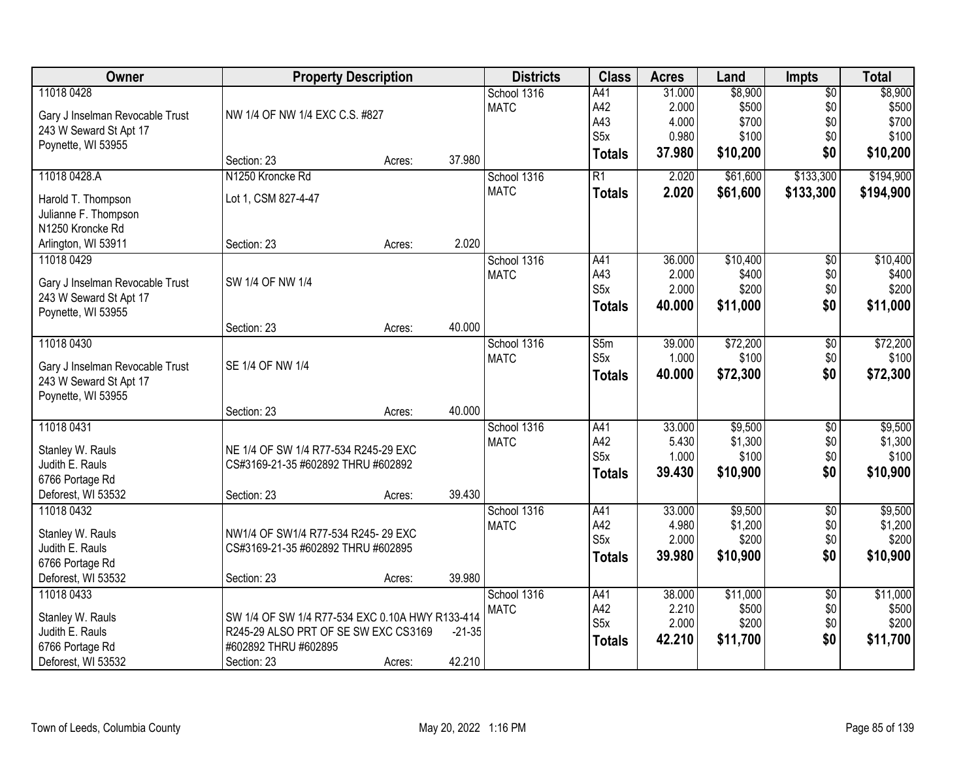| \$8,900<br>11018 0428<br>School 1316<br>A41<br>$\overline{$0}$<br>31.000<br>A42<br>\$500<br><b>MATC</b><br>2.000<br>\$500<br>\$0<br>NW 1/4 OF NW 1/4 EXC C.S. #827<br>Gary J Inselman Revocable Trust<br>A43<br>4.000<br>\$700<br>\$0<br>\$700<br>243 W Seward St Apt 17<br>S <sub>5</sub> x<br>0.980<br>\$100<br>\$0<br>\$100<br>Poynette, WI 53955<br>37.980<br>\$10,200<br>\$0<br>\$10,200<br><b>Totals</b><br>37.980<br>Section: 23<br>Acres:<br>N1250 Kroncke Rd<br>\$133,300<br>11018 0428.A<br>R1<br>\$61,600<br>School 1316<br>2.020<br><b>MATC</b><br>2.020<br>\$61,600<br>\$133,300<br><b>Totals</b><br>Lot 1, CSM 827-4-47<br>Harold T. Thompson<br>Julianne F. Thompson<br>N1250 Kroncke Rd<br>2.020<br>Arlington, WI 53911<br>Section: 23<br>Acres:<br>11018 0429<br>\$10,400<br>School 1316<br>A41<br>36.000<br>\$0<br>A43<br>\$400<br>\$0<br><b>MATC</b><br>2.000<br>SW 1/4 OF NW 1/4<br>Gary J Inselman Revocable Trust<br>S <sub>5</sub> x<br>2.000<br>\$200<br>\$0<br>243 W Seward St Apt 17<br>40.000<br>\$11,000<br>\$0<br>\$11,000<br>Totals<br>Poynette, WI 53955<br>40.000<br>Section: 23<br>Acres:<br>11018 0430<br>\$72,200<br>School 1316<br>S5m<br>39.000<br>\$0<br>S <sub>5</sub> x<br>\$100<br><b>MATC</b><br>1.000<br>\$0<br>SE 1/4 OF NW 1/4<br>Gary J Inselman Revocable Trust<br>\$0<br>40.000<br>\$72,300<br><b>Totals</b><br>243 W Seward St Apt 17<br>Poynette, WI 53955<br>40.000<br>Section: 23<br>Acres:<br>11018 0431<br>33.000<br>\$9,500<br>A41<br>$\overline{50}$<br>School 1316<br>A42<br>5.430<br>\$1,300<br>\$0<br><b>MATC</b><br>NE 1/4 OF SW 1/4 R77-534 R245-29 EXC<br>Stanley W. Rauls<br>S <sub>5</sub> x<br>\$100<br>\$0<br>1.000<br>Judith E. Rauls<br>CS#3169-21-35 #602892 THRU #602892<br>\$0<br>39.430<br>\$10,900<br>\$10,900<br><b>Totals</b> | Owner           | <b>Property Description</b> | <b>Districts</b> | <b>Class</b> | <b>Acres</b> | Land    | <b>Impts</b> | <b>Total</b> |
|----------------------------------------------------------------------------------------------------------------------------------------------------------------------------------------------------------------------------------------------------------------------------------------------------------------------------------------------------------------------------------------------------------------------------------------------------------------------------------------------------------------------------------------------------------------------------------------------------------------------------------------------------------------------------------------------------------------------------------------------------------------------------------------------------------------------------------------------------------------------------------------------------------------------------------------------------------------------------------------------------------------------------------------------------------------------------------------------------------------------------------------------------------------------------------------------------------------------------------------------------------------------------------------------------------------------------------------------------------------------------------------------------------------------------------------------------------------------------------------------------------------------------------------------------------------------------------------------------------------------------------------------------------------------------------------------------------------------------------------------------------------------------------------------------------|-----------------|-----------------------------|------------------|--------------|--------------|---------|--------------|--------------|
|                                                                                                                                                                                                                                                                                                                                                                                                                                                                                                                                                                                                                                                                                                                                                                                                                                                                                                                                                                                                                                                                                                                                                                                                                                                                                                                                                                                                                                                                                                                                                                                                                                                                                                                                                                                                          |                 |                             |                  |              |              | \$8,900 |              |              |
|                                                                                                                                                                                                                                                                                                                                                                                                                                                                                                                                                                                                                                                                                                                                                                                                                                                                                                                                                                                                                                                                                                                                                                                                                                                                                                                                                                                                                                                                                                                                                                                                                                                                                                                                                                                                          |                 |                             |                  |              |              |         |              |              |
|                                                                                                                                                                                                                                                                                                                                                                                                                                                                                                                                                                                                                                                                                                                                                                                                                                                                                                                                                                                                                                                                                                                                                                                                                                                                                                                                                                                                                                                                                                                                                                                                                                                                                                                                                                                                          |                 |                             |                  |              |              |         |              |              |
|                                                                                                                                                                                                                                                                                                                                                                                                                                                                                                                                                                                                                                                                                                                                                                                                                                                                                                                                                                                                                                                                                                                                                                                                                                                                                                                                                                                                                                                                                                                                                                                                                                                                                                                                                                                                          |                 |                             |                  |              |              |         |              |              |
|                                                                                                                                                                                                                                                                                                                                                                                                                                                                                                                                                                                                                                                                                                                                                                                                                                                                                                                                                                                                                                                                                                                                                                                                                                                                                                                                                                                                                                                                                                                                                                                                                                                                                                                                                                                                          |                 |                             |                  |              |              |         |              |              |
| \$194,900<br>\$10,400<br>\$400<br>\$200<br>\$72,200<br>\$100<br>\$72,300<br>\$9,500<br>\$100                                                                                                                                                                                                                                                                                                                                                                                                                                                                                                                                                                                                                                                                                                                                                                                                                                                                                                                                                                                                                                                                                                                                                                                                                                                                                                                                                                                                                                                                                                                                                                                                                                                                                                             |                 |                             |                  |              |              |         |              | \$194,900    |
|                                                                                                                                                                                                                                                                                                                                                                                                                                                                                                                                                                                                                                                                                                                                                                                                                                                                                                                                                                                                                                                                                                                                                                                                                                                                                                                                                                                                                                                                                                                                                                                                                                                                                                                                                                                                          |                 |                             |                  |              |              |         |              |              |
|                                                                                                                                                                                                                                                                                                                                                                                                                                                                                                                                                                                                                                                                                                                                                                                                                                                                                                                                                                                                                                                                                                                                                                                                                                                                                                                                                                                                                                                                                                                                                                                                                                                                                                                                                                                                          |                 |                             |                  |              |              |         |              |              |
|                                                                                                                                                                                                                                                                                                                                                                                                                                                                                                                                                                                                                                                                                                                                                                                                                                                                                                                                                                                                                                                                                                                                                                                                                                                                                                                                                                                                                                                                                                                                                                                                                                                                                                                                                                                                          |                 |                             |                  |              |              |         |              |              |
|                                                                                                                                                                                                                                                                                                                                                                                                                                                                                                                                                                                                                                                                                                                                                                                                                                                                                                                                                                                                                                                                                                                                                                                                                                                                                                                                                                                                                                                                                                                                                                                                                                                                                                                                                                                                          |                 |                             |                  |              |              |         |              |              |
|                                                                                                                                                                                                                                                                                                                                                                                                                                                                                                                                                                                                                                                                                                                                                                                                                                                                                                                                                                                                                                                                                                                                                                                                                                                                                                                                                                                                                                                                                                                                                                                                                                                                                                                                                                                                          |                 |                             |                  |              |              |         |              |              |
|                                                                                                                                                                                                                                                                                                                                                                                                                                                                                                                                                                                                                                                                                                                                                                                                                                                                                                                                                                                                                                                                                                                                                                                                                                                                                                                                                                                                                                                                                                                                                                                                                                                                                                                                                                                                          |                 |                             |                  |              |              |         |              |              |
|                                                                                                                                                                                                                                                                                                                                                                                                                                                                                                                                                                                                                                                                                                                                                                                                                                                                                                                                                                                                                                                                                                                                                                                                                                                                                                                                                                                                                                                                                                                                                                                                                                                                                                                                                                                                          |                 |                             |                  |              |              |         |              |              |
|                                                                                                                                                                                                                                                                                                                                                                                                                                                                                                                                                                                                                                                                                                                                                                                                                                                                                                                                                                                                                                                                                                                                                                                                                                                                                                                                                                                                                                                                                                                                                                                                                                                                                                                                                                                                          |                 |                             |                  |              |              |         |              |              |
|                                                                                                                                                                                                                                                                                                                                                                                                                                                                                                                                                                                                                                                                                                                                                                                                                                                                                                                                                                                                                                                                                                                                                                                                                                                                                                                                                                                                                                                                                                                                                                                                                                                                                                                                                                                                          |                 |                             |                  |              |              |         |              |              |
|                                                                                                                                                                                                                                                                                                                                                                                                                                                                                                                                                                                                                                                                                                                                                                                                                                                                                                                                                                                                                                                                                                                                                                                                                                                                                                                                                                                                                                                                                                                                                                                                                                                                                                                                                                                                          |                 |                             |                  |              |              |         |              |              |
|                                                                                                                                                                                                                                                                                                                                                                                                                                                                                                                                                                                                                                                                                                                                                                                                                                                                                                                                                                                                                                                                                                                                                                                                                                                                                                                                                                                                                                                                                                                                                                                                                                                                                                                                                                                                          |                 |                             |                  |              |              |         |              |              |
|                                                                                                                                                                                                                                                                                                                                                                                                                                                                                                                                                                                                                                                                                                                                                                                                                                                                                                                                                                                                                                                                                                                                                                                                                                                                                                                                                                                                                                                                                                                                                                                                                                                                                                                                                                                                          |                 |                             |                  |              |              |         |              |              |
|                                                                                                                                                                                                                                                                                                                                                                                                                                                                                                                                                                                                                                                                                                                                                                                                                                                                                                                                                                                                                                                                                                                                                                                                                                                                                                                                                                                                                                                                                                                                                                                                                                                                                                                                                                                                          |                 |                             |                  |              |              |         |              |              |
| \$1,300                                                                                                                                                                                                                                                                                                                                                                                                                                                                                                                                                                                                                                                                                                                                                                                                                                                                                                                                                                                                                                                                                                                                                                                                                                                                                                                                                                                                                                                                                                                                                                                                                                                                                                                                                                                                  |                 |                             |                  |              |              |         |              |              |
|                                                                                                                                                                                                                                                                                                                                                                                                                                                                                                                                                                                                                                                                                                                                                                                                                                                                                                                                                                                                                                                                                                                                                                                                                                                                                                                                                                                                                                                                                                                                                                                                                                                                                                                                                                                                          |                 |                             |                  |              |              |         |              |              |
|                                                                                                                                                                                                                                                                                                                                                                                                                                                                                                                                                                                                                                                                                                                                                                                                                                                                                                                                                                                                                                                                                                                                                                                                                                                                                                                                                                                                                                                                                                                                                                                                                                                                                                                                                                                                          |                 |                             |                  |              |              |         |              |              |
|                                                                                                                                                                                                                                                                                                                                                                                                                                                                                                                                                                                                                                                                                                                                                                                                                                                                                                                                                                                                                                                                                                                                                                                                                                                                                                                                                                                                                                                                                                                                                                                                                                                                                                                                                                                                          |                 |                             |                  |              |              |         |              |              |
|                                                                                                                                                                                                                                                                                                                                                                                                                                                                                                                                                                                                                                                                                                                                                                                                                                                                                                                                                                                                                                                                                                                                                                                                                                                                                                                                                                                                                                                                                                                                                                                                                                                                                                                                                                                                          |                 |                             |                  |              |              |         |              |              |
|                                                                                                                                                                                                                                                                                                                                                                                                                                                                                                                                                                                                                                                                                                                                                                                                                                                                                                                                                                                                                                                                                                                                                                                                                                                                                                                                                                                                                                                                                                                                                                                                                                                                                                                                                                                                          | 6766 Portage Rd |                             |                  |              |              |         |              |              |
| 39.430<br>Deforest, WI 53532<br>Section: 23<br>Acres:                                                                                                                                                                                                                                                                                                                                                                                                                                                                                                                                                                                                                                                                                                                                                                                                                                                                                                                                                                                                                                                                                                                                                                                                                                                                                                                                                                                                                                                                                                                                                                                                                                                                                                                                                    |                 |                             |                  |              |              |         |              |              |
| 11018 0432<br>A41<br>33.000<br>\$9,500<br>$\overline{50}$<br>\$9,500<br>School 1316                                                                                                                                                                                                                                                                                                                                                                                                                                                                                                                                                                                                                                                                                                                                                                                                                                                                                                                                                                                                                                                                                                                                                                                                                                                                                                                                                                                                                                                                                                                                                                                                                                                                                                                      |                 |                             |                  |              |              |         |              |              |
| A42<br>4.980<br>\$1,200<br>\$0<br>\$1,200<br><b>MATC</b><br>Stanley W. Rauls<br>NW1/4 OF SW1/4 R77-534 R245-29 EXC                                                                                                                                                                                                                                                                                                                                                                                                                                                                                                                                                                                                                                                                                                                                                                                                                                                                                                                                                                                                                                                                                                                                                                                                                                                                                                                                                                                                                                                                                                                                                                                                                                                                                       |                 |                             |                  |              |              |         |              |              |
| S5x<br>2.000<br>\$200<br>\$0<br>\$200<br>Judith E. Rauls<br>CS#3169-21-35 #602892 THRU #602895                                                                                                                                                                                                                                                                                                                                                                                                                                                                                                                                                                                                                                                                                                                                                                                                                                                                                                                                                                                                                                                                                                                                                                                                                                                                                                                                                                                                                                                                                                                                                                                                                                                                                                           |                 |                             |                  |              |              |         |              |              |
| 39.980<br>\$10,900<br>\$10,900<br>\$0<br><b>Totals</b><br>6766 Portage Rd                                                                                                                                                                                                                                                                                                                                                                                                                                                                                                                                                                                                                                                                                                                                                                                                                                                                                                                                                                                                                                                                                                                                                                                                                                                                                                                                                                                                                                                                                                                                                                                                                                                                                                                                |                 |                             |                  |              |              |         |              |              |
| 39.980<br>Deforest, WI 53532<br>Section: 23<br>Acres:                                                                                                                                                                                                                                                                                                                                                                                                                                                                                                                                                                                                                                                                                                                                                                                                                                                                                                                                                                                                                                                                                                                                                                                                                                                                                                                                                                                                                                                                                                                                                                                                                                                                                                                                                    |                 |                             |                  |              |              |         |              |              |
| 11018 0433<br>School 1316<br>38.000<br>\$11,000<br>\$11,000<br>A41<br>$\overline{50}$                                                                                                                                                                                                                                                                                                                                                                                                                                                                                                                                                                                                                                                                                                                                                                                                                                                                                                                                                                                                                                                                                                                                                                                                                                                                                                                                                                                                                                                                                                                                                                                                                                                                                                                    |                 |                             |                  |              |              |         |              |              |
| A42<br>2.210<br>\$500<br>\$500<br><b>MATC</b><br>\$0                                                                                                                                                                                                                                                                                                                                                                                                                                                                                                                                                                                                                                                                                                                                                                                                                                                                                                                                                                                                                                                                                                                                                                                                                                                                                                                                                                                                                                                                                                                                                                                                                                                                                                                                                     |                 |                             |                  |              |              |         |              |              |
| SW 1/4 OF SW 1/4 R77-534 EXC 0.10A HWY R133-414<br>Stanley W. Rauls<br>S5x<br>2.000<br>\$200<br>\$200<br>\$0<br>Judith E. Rauls<br>R245-29 ALSO PRT OF SE SW EXC CS3169<br>$-21-35$                                                                                                                                                                                                                                                                                                                                                                                                                                                                                                                                                                                                                                                                                                                                                                                                                                                                                                                                                                                                                                                                                                                                                                                                                                                                                                                                                                                                                                                                                                                                                                                                                      |                 |                             |                  |              |              |         |              |              |
| \$11,700<br>\$0<br>\$11,700<br>42.210<br><b>Totals</b><br>#602892 THRU #602895<br>6766 Portage Rd                                                                                                                                                                                                                                                                                                                                                                                                                                                                                                                                                                                                                                                                                                                                                                                                                                                                                                                                                                                                                                                                                                                                                                                                                                                                                                                                                                                                                                                                                                                                                                                                                                                                                                        |                 |                             |                  |              |              |         |              |              |
| 42.210<br>Deforest, WI 53532<br>Section: 23<br>Acres:                                                                                                                                                                                                                                                                                                                                                                                                                                                                                                                                                                                                                                                                                                                                                                                                                                                                                                                                                                                                                                                                                                                                                                                                                                                                                                                                                                                                                                                                                                                                                                                                                                                                                                                                                    |                 |                             |                  |              |              |         |              |              |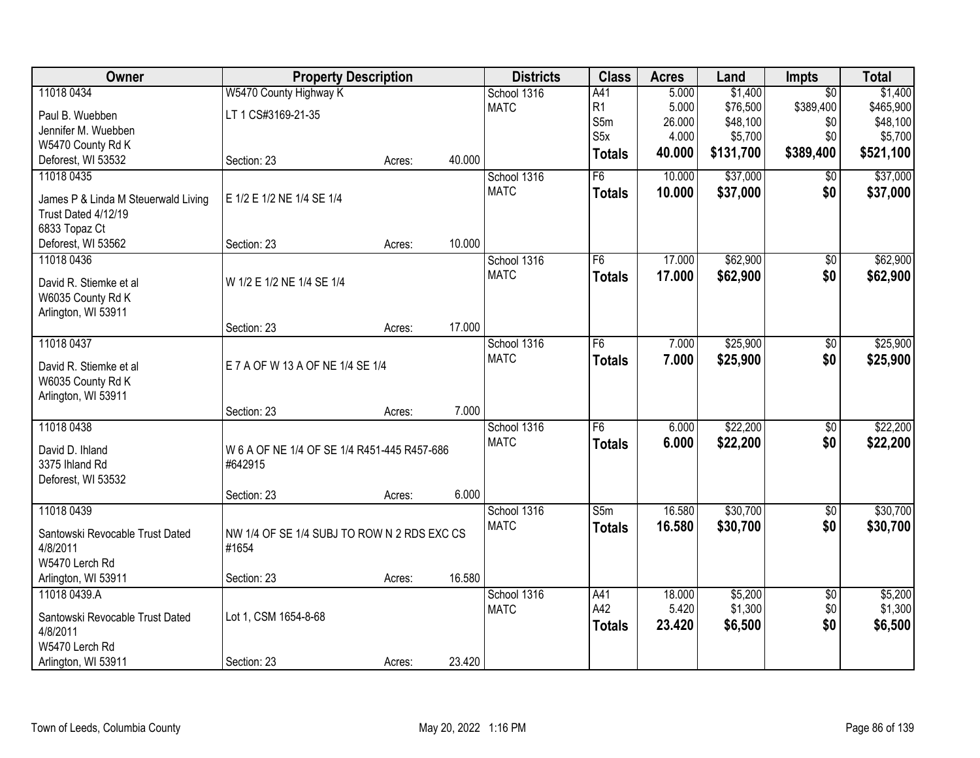| Owner                                    | <b>Property Description</b>                 |        |        | <b>Districts</b>           | <b>Class</b>     | <b>Acres</b>     | Land      | Impts             | <b>Total</b> |
|------------------------------------------|---------------------------------------------|--------|--------|----------------------------|------------------|------------------|-----------|-------------------|--------------|
| 11018 0434                               | W5470 County Highway K                      |        |        | School 1316                | A41              | 5.000            | \$1,400   | $\overline{50}$   | \$1,400      |
| Paul B. Wuebben                          | LT 1 CS#3169-21-35                          |        |        | <b>MATC</b>                | R1               | 5.000            | \$76,500  | \$389,400         | \$465,900    |
| Jennifer M. Wuebben                      |                                             |        |        |                            | S5m              | 26.000           | \$48,100  | \$0               | \$48,100     |
| W5470 County Rd K                        |                                             |        |        |                            | S <sub>5</sub> x | 4.000            | \$5,700   | \$0               | \$5,700      |
| Deforest, WI 53532                       | Section: 23                                 | Acres: | 40.000 |                            | <b>Totals</b>    | 40.000           | \$131,700 | \$389,400         | \$521,100    |
| 11018 0435                               |                                             |        |        | School 1316                | $\overline{F6}$  | 10.000           | \$37,000  | \$0               | \$37,000     |
| James P & Linda M Steuerwald Living      | E 1/2 E 1/2 NE 1/4 SE 1/4                   |        |        | <b>MATC</b>                | <b>Totals</b>    | 10.000           | \$37,000  | \$0               | \$37,000     |
| Trust Dated 4/12/19                      |                                             |        |        |                            |                  |                  |           |                   |              |
| 6833 Topaz Ct                            |                                             |        |        |                            |                  |                  |           |                   |              |
| Deforest, WI 53562                       | Section: 23                                 | Acres: | 10.000 |                            |                  |                  |           |                   |              |
| 11018 0436                               |                                             |        |        | School 1316                | F6               | 17.000           | \$62,900  | $\overline{50}$   | \$62,900     |
|                                          |                                             |        |        | <b>MATC</b>                | <b>Totals</b>    | 17.000           | \$62,900  | \$0               | \$62,900     |
| David R. Stiemke et al                   | W 1/2 E 1/2 NE 1/4 SE 1/4                   |        |        |                            |                  |                  |           |                   |              |
| W6035 County Rd K<br>Arlington, WI 53911 |                                             |        |        |                            |                  |                  |           |                   |              |
|                                          | Section: 23                                 | Acres: | 17.000 |                            |                  |                  |           |                   |              |
| 11018 0437                               |                                             |        |        | School 1316                | F6               | 7.000            | \$25,900  | \$0               | \$25,900     |
|                                          |                                             |        |        | <b>MATC</b>                | <b>Totals</b>    | 7.000            | \$25,900  | \$0               | \$25,900     |
| David R. Stiemke et al                   | E 7 A OF W 13 A OF NE 1/4 SE 1/4            |        |        |                            |                  |                  |           |                   |              |
| W6035 County Rd K                        |                                             |        |        |                            |                  |                  |           |                   |              |
| Arlington, WI 53911                      | Section: 23                                 | Acres: | 7.000  |                            |                  |                  |           |                   |              |
| 11018 0438                               |                                             |        |        | School 1316                | F6               | 6.000            | \$22,200  | $\overline{50}$   | \$22,200     |
|                                          |                                             |        |        | <b>MATC</b>                | <b>Totals</b>    | 6.000            | \$22,200  | \$0               | \$22,200     |
| David D. Ihland                          | W 6 A OF NE 1/4 OF SE 1/4 R451-445 R457-686 |        |        |                            |                  |                  |           |                   |              |
| 3375 Ihland Rd                           | #642915                                     |        |        |                            |                  |                  |           |                   |              |
| Deforest, WI 53532                       |                                             |        |        |                            |                  |                  |           |                   |              |
| 11018 0439                               | Section: 23                                 | Acres: | 6.000  |                            |                  |                  |           |                   |              |
|                                          |                                             |        |        | School 1316<br><b>MATC</b> | S5m              | 16.580<br>16.580 | \$30,700  | $\sqrt{6}$<br>\$0 | \$30,700     |
| Santowski Revocable Trust Dated          | NW 1/4 OF SE 1/4 SUBJ TO ROW N 2 RDS EXC CS |        |        |                            | <b>Totals</b>    |                  | \$30,700  |                   | \$30,700     |
| 4/8/2011                                 | #1654                                       |        |        |                            |                  |                  |           |                   |              |
| W5470 Lerch Rd                           |                                             |        |        |                            |                  |                  |           |                   |              |
| Arlington, WI 53911                      | Section: 23                                 | Acres: | 16.580 |                            |                  |                  |           |                   |              |
| 11018 0439.A                             |                                             |        |        | School 1316                | A41              | 18.000           | \$5,200   | $\overline{50}$   | \$5,200      |
| Santowski Revocable Trust Dated          | Lot 1, CSM 1654-8-68                        |        |        | <b>MATC</b>                | A42              | 5.420            | \$1,300   | \$0               | \$1,300      |
| 4/8/2011                                 |                                             |        |        |                            | <b>Totals</b>    | 23.420           | \$6,500   | \$0               | \$6,500      |
| W5470 Lerch Rd                           |                                             |        |        |                            |                  |                  |           |                   |              |
| Arlington, WI 53911                      | Section: 23                                 | Acres: | 23.420 |                            |                  |                  |           |                   |              |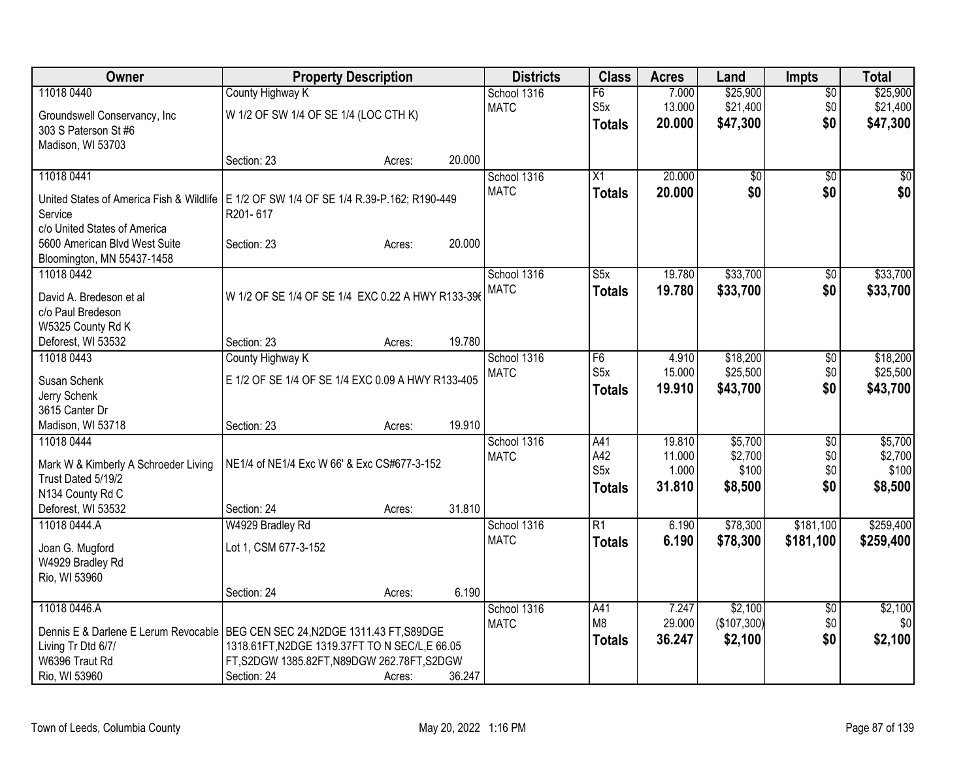| $\overline{50}$<br>S5x<br><b>MATC</b><br>13.000<br>\$21,400<br>\$0<br>\$21,400<br>W 1/2 OF SW 1/4 OF SE 1/4 (LOC CTH K)<br>Groundswell Conservancy, Inc.<br>\$0<br>20.000<br>\$47,300<br><b>Totals</b><br>303 S Paterson St #6<br>Madison, WI 53703<br>20.000<br>Section: 23<br>Acres:<br>20.000<br>11018 0441<br>$\overline{50}$<br>School 1316<br>X1<br>\$0<br>\$0<br>\$0<br>\$0<br><b>MATC</b><br>20,000<br><b>Totals</b><br>United States of America Fish & Wildlife   E 1/2 OF SW 1/4 OF SE 1/4 R.39-P.162; R190-449<br>Service<br>R201-617<br>c/o United States of America<br>20.000<br>5600 American Blvd West Suite<br>Section: 23<br>Acres:<br>Bloomington, MN 55437-1458<br>S5x<br>\$33,700<br>11018 0442<br>School 1316<br>19.780<br>$\overline{60}$<br><b>MATC</b><br>19.780<br>\$33,700<br>\$0<br><b>Totals</b><br>W 1/2 OF SE 1/4 OF SE 1/4 EXC 0.22 A HWY R133-396<br>David A. Bredeson et al<br>c/o Paul Bredeson<br>W5325 County Rd K<br>19.780<br>Deforest, WI 53532<br>Section: 23<br>Acres:<br>11018 0443<br>School 1316<br>F <sub>6</sub><br>\$18,200<br>County Highway K<br>4.910<br>\$0<br>S5x<br>\$25,500<br>\$0<br><b>MATC</b><br>15.000<br>E 1/2 OF SE 1/4 OF SE 1/4 EXC 0.09 A HWY R133-405<br>Susan Schenk<br>19.910<br>\$43,700<br>\$0<br>\$43,700<br><b>Totals</b><br>Jerry Schenk<br>3615 Canter Dr<br>19.910<br>Madison, WI 53718<br>Section: 23<br>Acres:<br>11018 0444<br>19.810<br>\$5,700<br>School 1316<br>A41<br>\$0<br>A42<br>11.000<br>\$2,700<br>\$0<br><b>MATC</b><br>NE1/4 of NE1/4 Exc W 66' & Exc CS#677-3-152<br>Mark W & Kimberly A Schroeder Living<br>S <sub>5</sub> x<br>1.000<br>\$100<br>\$0<br>Trust Dated 5/19/2<br>31.810<br>\$8,500<br>\$0<br>\$8,500<br>Totals<br>N134 County Rd C<br>Deforest, WI 53532<br>31.810<br>Section: 24<br>Acres:<br>11018 0444.A<br>W4929 Bradley Rd<br>School 1316<br>R1<br>6.190<br>\$78,300<br>\$181,100 | Owner      | <b>Property Description</b> | <b>Districts</b> | <b>Class</b> | <b>Acres</b> | Land     | <b>Impts</b> | <b>Total</b> |
|-------------------------------------------------------------------------------------------------------------------------------------------------------------------------------------------------------------------------------------------------------------------------------------------------------------------------------------------------------------------------------------------------------------------------------------------------------------------------------------------------------------------------------------------------------------------------------------------------------------------------------------------------------------------------------------------------------------------------------------------------------------------------------------------------------------------------------------------------------------------------------------------------------------------------------------------------------------------------------------------------------------------------------------------------------------------------------------------------------------------------------------------------------------------------------------------------------------------------------------------------------------------------------------------------------------------------------------------------------------------------------------------------------------------------------------------------------------------------------------------------------------------------------------------------------------------------------------------------------------------------------------------------------------------------------------------------------------------------------------------------------------------------------------------------------------------------------------------------------------------------------------------------|------------|-----------------------------|------------------|--------------|--------------|----------|--------------|--------------|
| \$47,300<br>\$259,400                                                                                                                                                                                                                                                                                                                                                                                                                                                                                                                                                                                                                                                                                                                                                                                                                                                                                                                                                                                                                                                                                                                                                                                                                                                                                                                                                                                                                                                                                                                                                                                                                                                                                                                                                                                                                                                                           | 11018 0440 | County Highway K            | School 1316      | F6           | 7.000        | \$25,900 |              | \$25,900     |
|                                                                                                                                                                                                                                                                                                                                                                                                                                                                                                                                                                                                                                                                                                                                                                                                                                                                                                                                                                                                                                                                                                                                                                                                                                                                                                                                                                                                                                                                                                                                                                                                                                                                                                                                                                                                                                                                                                 |            |                             |                  |              |              |          |              |              |
| \$0<br>\$18,200<br>\$5,700<br>\$100                                                                                                                                                                                                                                                                                                                                                                                                                                                                                                                                                                                                                                                                                                                                                                                                                                                                                                                                                                                                                                                                                                                                                                                                                                                                                                                                                                                                                                                                                                                                                                                                                                                                                                                                                                                                                                                             |            |                             |                  |              |              |          |              |              |
|                                                                                                                                                                                                                                                                                                                                                                                                                                                                                                                                                                                                                                                                                                                                                                                                                                                                                                                                                                                                                                                                                                                                                                                                                                                                                                                                                                                                                                                                                                                                                                                                                                                                                                                                                                                                                                                                                                 |            |                             |                  |              |              |          |              |              |
|                                                                                                                                                                                                                                                                                                                                                                                                                                                                                                                                                                                                                                                                                                                                                                                                                                                                                                                                                                                                                                                                                                                                                                                                                                                                                                                                                                                                                                                                                                                                                                                                                                                                                                                                                                                                                                                                                                 |            |                             |                  |              |              |          |              |              |
| \$33,700<br>\$33,700<br>\$25,500                                                                                                                                                                                                                                                                                                                                                                                                                                                                                                                                                                                                                                                                                                                                                                                                                                                                                                                                                                                                                                                                                                                                                                                                                                                                                                                                                                                                                                                                                                                                                                                                                                                                                                                                                                                                                                                                |            |                             |                  |              |              |          |              |              |
|                                                                                                                                                                                                                                                                                                                                                                                                                                                                                                                                                                                                                                                                                                                                                                                                                                                                                                                                                                                                                                                                                                                                                                                                                                                                                                                                                                                                                                                                                                                                                                                                                                                                                                                                                                                                                                                                                                 |            |                             |                  |              |              |          |              |              |
|                                                                                                                                                                                                                                                                                                                                                                                                                                                                                                                                                                                                                                                                                                                                                                                                                                                                                                                                                                                                                                                                                                                                                                                                                                                                                                                                                                                                                                                                                                                                                                                                                                                                                                                                                                                                                                                                                                 |            |                             |                  |              |              |          |              |              |
|                                                                                                                                                                                                                                                                                                                                                                                                                                                                                                                                                                                                                                                                                                                                                                                                                                                                                                                                                                                                                                                                                                                                                                                                                                                                                                                                                                                                                                                                                                                                                                                                                                                                                                                                                                                                                                                                                                 |            |                             |                  |              |              |          |              |              |
|                                                                                                                                                                                                                                                                                                                                                                                                                                                                                                                                                                                                                                                                                                                                                                                                                                                                                                                                                                                                                                                                                                                                                                                                                                                                                                                                                                                                                                                                                                                                                                                                                                                                                                                                                                                                                                                                                                 |            |                             |                  |              |              |          |              |              |
|                                                                                                                                                                                                                                                                                                                                                                                                                                                                                                                                                                                                                                                                                                                                                                                                                                                                                                                                                                                                                                                                                                                                                                                                                                                                                                                                                                                                                                                                                                                                                                                                                                                                                                                                                                                                                                                                                                 |            |                             |                  |              |              |          |              |              |
|                                                                                                                                                                                                                                                                                                                                                                                                                                                                                                                                                                                                                                                                                                                                                                                                                                                                                                                                                                                                                                                                                                                                                                                                                                                                                                                                                                                                                                                                                                                                                                                                                                                                                                                                                                                                                                                                                                 |            |                             |                  |              |              |          |              |              |
|                                                                                                                                                                                                                                                                                                                                                                                                                                                                                                                                                                                                                                                                                                                                                                                                                                                                                                                                                                                                                                                                                                                                                                                                                                                                                                                                                                                                                                                                                                                                                                                                                                                                                                                                                                                                                                                                                                 |            |                             |                  |              |              |          |              |              |
|                                                                                                                                                                                                                                                                                                                                                                                                                                                                                                                                                                                                                                                                                                                                                                                                                                                                                                                                                                                                                                                                                                                                                                                                                                                                                                                                                                                                                                                                                                                                                                                                                                                                                                                                                                                                                                                                                                 |            |                             |                  |              |              |          |              |              |
|                                                                                                                                                                                                                                                                                                                                                                                                                                                                                                                                                                                                                                                                                                                                                                                                                                                                                                                                                                                                                                                                                                                                                                                                                                                                                                                                                                                                                                                                                                                                                                                                                                                                                                                                                                                                                                                                                                 |            |                             |                  |              |              |          |              |              |
|                                                                                                                                                                                                                                                                                                                                                                                                                                                                                                                                                                                                                                                                                                                                                                                                                                                                                                                                                                                                                                                                                                                                                                                                                                                                                                                                                                                                                                                                                                                                                                                                                                                                                                                                                                                                                                                                                                 |            |                             |                  |              |              |          |              |              |
|                                                                                                                                                                                                                                                                                                                                                                                                                                                                                                                                                                                                                                                                                                                                                                                                                                                                                                                                                                                                                                                                                                                                                                                                                                                                                                                                                                                                                                                                                                                                                                                                                                                                                                                                                                                                                                                                                                 |            |                             |                  |              |              |          |              |              |
|                                                                                                                                                                                                                                                                                                                                                                                                                                                                                                                                                                                                                                                                                                                                                                                                                                                                                                                                                                                                                                                                                                                                                                                                                                                                                                                                                                                                                                                                                                                                                                                                                                                                                                                                                                                                                                                                                                 |            |                             |                  |              |              |          |              |              |
|                                                                                                                                                                                                                                                                                                                                                                                                                                                                                                                                                                                                                                                                                                                                                                                                                                                                                                                                                                                                                                                                                                                                                                                                                                                                                                                                                                                                                                                                                                                                                                                                                                                                                                                                                                                                                                                                                                 |            |                             |                  |              |              |          |              |              |
| \$2,700                                                                                                                                                                                                                                                                                                                                                                                                                                                                                                                                                                                                                                                                                                                                                                                                                                                                                                                                                                                                                                                                                                                                                                                                                                                                                                                                                                                                                                                                                                                                                                                                                                                                                                                                                                                                                                                                                         |            |                             |                  |              |              |          |              |              |
|                                                                                                                                                                                                                                                                                                                                                                                                                                                                                                                                                                                                                                                                                                                                                                                                                                                                                                                                                                                                                                                                                                                                                                                                                                                                                                                                                                                                                                                                                                                                                                                                                                                                                                                                                                                                                                                                                                 |            |                             |                  |              |              |          |              |              |
|                                                                                                                                                                                                                                                                                                                                                                                                                                                                                                                                                                                                                                                                                                                                                                                                                                                                                                                                                                                                                                                                                                                                                                                                                                                                                                                                                                                                                                                                                                                                                                                                                                                                                                                                                                                                                                                                                                 |            |                             |                  |              |              |          |              |              |
|                                                                                                                                                                                                                                                                                                                                                                                                                                                                                                                                                                                                                                                                                                                                                                                                                                                                                                                                                                                                                                                                                                                                                                                                                                                                                                                                                                                                                                                                                                                                                                                                                                                                                                                                                                                                                                                                                                 |            |                             |                  |              |              |          |              |              |
|                                                                                                                                                                                                                                                                                                                                                                                                                                                                                                                                                                                                                                                                                                                                                                                                                                                                                                                                                                                                                                                                                                                                                                                                                                                                                                                                                                                                                                                                                                                                                                                                                                                                                                                                                                                                                                                                                                 |            |                             |                  |              |              |          |              |              |
|                                                                                                                                                                                                                                                                                                                                                                                                                                                                                                                                                                                                                                                                                                                                                                                                                                                                                                                                                                                                                                                                                                                                                                                                                                                                                                                                                                                                                                                                                                                                                                                                                                                                                                                                                                                                                                                                                                 |            |                             |                  |              |              |          |              |              |
|                                                                                                                                                                                                                                                                                                                                                                                                                                                                                                                                                                                                                                                                                                                                                                                                                                                                                                                                                                                                                                                                                                                                                                                                                                                                                                                                                                                                                                                                                                                                                                                                                                                                                                                                                                                                                                                                                                 |            |                             |                  |              |              |          |              |              |
|                                                                                                                                                                                                                                                                                                                                                                                                                                                                                                                                                                                                                                                                                                                                                                                                                                                                                                                                                                                                                                                                                                                                                                                                                                                                                                                                                                                                                                                                                                                                                                                                                                                                                                                                                                                                                                                                                                 |            |                             |                  |              |              |          |              |              |
|                                                                                                                                                                                                                                                                                                                                                                                                                                                                                                                                                                                                                                                                                                                                                                                                                                                                                                                                                                                                                                                                                                                                                                                                                                                                                                                                                                                                                                                                                                                                                                                                                                                                                                                                                                                                                                                                                                 |            |                             |                  |              |              |          |              |              |
| <b>MATC</b><br>6.190<br>\$78,300<br>\$181,100<br>\$259,400<br><b>Totals</b><br>Lot 1, CSM 677-3-152<br>Joan G. Mugford                                                                                                                                                                                                                                                                                                                                                                                                                                                                                                                                                                                                                                                                                                                                                                                                                                                                                                                                                                                                                                                                                                                                                                                                                                                                                                                                                                                                                                                                                                                                                                                                                                                                                                                                                                          |            |                             |                  |              |              |          |              |              |
| W4929 Bradley Rd                                                                                                                                                                                                                                                                                                                                                                                                                                                                                                                                                                                                                                                                                                                                                                                                                                                                                                                                                                                                                                                                                                                                                                                                                                                                                                                                                                                                                                                                                                                                                                                                                                                                                                                                                                                                                                                                                |            |                             |                  |              |              |          |              |              |
| Rio, WI 53960                                                                                                                                                                                                                                                                                                                                                                                                                                                                                                                                                                                                                                                                                                                                                                                                                                                                                                                                                                                                                                                                                                                                                                                                                                                                                                                                                                                                                                                                                                                                                                                                                                                                                                                                                                                                                                                                                   |            |                             |                  |              |              |          |              |              |
| 6.190<br>Section: 24<br>Acres:                                                                                                                                                                                                                                                                                                                                                                                                                                                                                                                                                                                                                                                                                                                                                                                                                                                                                                                                                                                                                                                                                                                                                                                                                                                                                                                                                                                                                                                                                                                                                                                                                                                                                                                                                                                                                                                                  |            |                             |                  |              |              |          |              |              |
| 11018 0446.A<br>\$2,100<br>\$2,100<br>School 1316<br>A41<br>7.247<br>\$0                                                                                                                                                                                                                                                                                                                                                                                                                                                                                                                                                                                                                                                                                                                                                                                                                                                                                                                                                                                                                                                                                                                                                                                                                                                                                                                                                                                                                                                                                                                                                                                                                                                                                                                                                                                                                        |            |                             |                  |              |              |          |              |              |
| M <sub>8</sub><br>29.000<br>(\$107,300)<br>\$0<br>\$0<br><b>MATC</b><br>Dennis E & Darlene E Lerum Revocable   BEG CEN SEC 24, N2DGE 1311.43 FT, S89DGE                                                                                                                                                                                                                                                                                                                                                                                                                                                                                                                                                                                                                                                                                                                                                                                                                                                                                                                                                                                                                                                                                                                                                                                                                                                                                                                                                                                                                                                                                                                                                                                                                                                                                                                                         |            |                             |                  |              |              |          |              |              |
| \$0<br>\$2,100<br>36.247<br>\$2,100<br><b>Totals</b><br>Living Tr Dtd 6/7/<br>1318.61FT, N2DGE 1319.37FT TO N SEC/L, E 66.05                                                                                                                                                                                                                                                                                                                                                                                                                                                                                                                                                                                                                                                                                                                                                                                                                                                                                                                                                                                                                                                                                                                                                                                                                                                                                                                                                                                                                                                                                                                                                                                                                                                                                                                                                                    |            |                             |                  |              |              |          |              |              |
| W6396 Traut Rd<br>FT, S2DGW 1385.82FT, N89DGW 262.78FT, S2DGW                                                                                                                                                                                                                                                                                                                                                                                                                                                                                                                                                                                                                                                                                                                                                                                                                                                                                                                                                                                                                                                                                                                                                                                                                                                                                                                                                                                                                                                                                                                                                                                                                                                                                                                                                                                                                                   |            |                             |                  |              |              |          |              |              |
| Rio, WI 53960<br>Section: 24<br>36.247<br>Acres:                                                                                                                                                                                                                                                                                                                                                                                                                                                                                                                                                                                                                                                                                                                                                                                                                                                                                                                                                                                                                                                                                                                                                                                                                                                                                                                                                                                                                                                                                                                                                                                                                                                                                                                                                                                                                                                |            |                             |                  |              |              |          |              |              |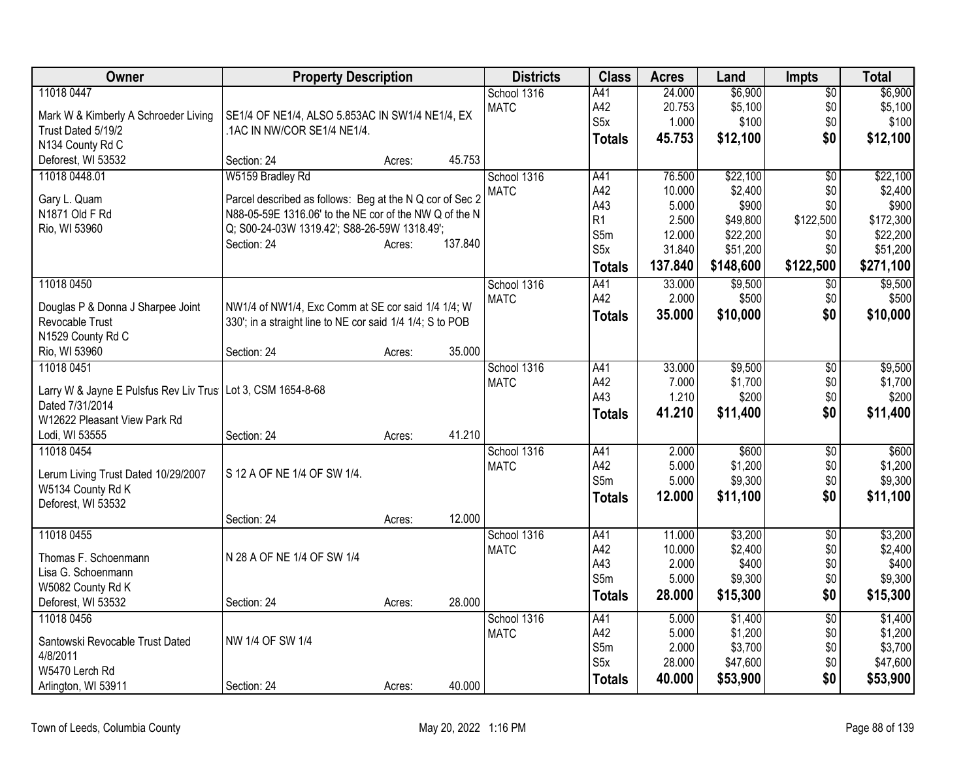| Owner                                                         | <b>Property Description</b>                               |         | <b>Districts</b> | <b>Class</b>     | <b>Acres</b> | Land      | <b>Impts</b>    | <b>Total</b> |
|---------------------------------------------------------------|-----------------------------------------------------------|---------|------------------|------------------|--------------|-----------|-----------------|--------------|
| 11018 0447                                                    |                                                           |         | School 1316      | A41              | 24.000       | \$6,900   | $\overline{50}$ | \$6,900      |
| Mark W & Kimberly A Schroeder Living                          | SE1/4 OF NE1/4, ALSO 5.853AC IN SW1/4 NE1/4, EX           |         | <b>MATC</b>      | A42              | 20.753       | \$5,100   | \$0             | \$5,100      |
| Trust Dated 5/19/2                                            | .1AC IN NW/COR SE1/4 NE1/4.                               |         |                  | S <sub>5</sub> x | 1.000        | \$100     | \$0             | \$100        |
| N134 County Rd C                                              |                                                           |         |                  | <b>Totals</b>    | 45.753       | \$12,100  | \$0             | \$12,100     |
| Deforest, WI 53532                                            | Section: 24<br>Acres:                                     | 45.753  |                  |                  |              |           |                 |              |
| 11018 0448.01                                                 | W5159 Bradley Rd                                          |         | School 1316      | A41              | 76.500       | \$22,100  | $\overline{50}$ | \$22,100     |
| Gary L. Quam                                                  | Parcel described as follows: Beg at the N Q cor of Sec 2  |         | <b>MATC</b>      | A42              | 10.000       | \$2,400   | \$0             | \$2,400      |
| N1871 Old F Rd                                                | N88-05-59E 1316.06' to the NE cor of the NW Q of the N    |         |                  | A43              | 5.000        | \$900     | \$0             | \$900        |
| Rio, WI 53960                                                 | Q; S00-24-03W 1319.42'; S88-26-59W 1318.49';              |         |                  | R1               | 2.500        | \$49,800  | \$122,500       | \$172,300    |
|                                                               | Section: 24<br>Acres:                                     | 137.840 |                  | S5m              | 12.000       | \$22,200  | \$0             | \$22,200     |
|                                                               |                                                           |         |                  | S <sub>5</sub> x | 31.840       | \$51,200  | \$0             | \$51,200     |
|                                                               |                                                           |         |                  | <b>Totals</b>    | 137.840      | \$148,600 | \$122,500       | \$271,100    |
| 11018 0450                                                    |                                                           |         | School 1316      | A41              | 33.000       | \$9,500   | \$0             | \$9,500      |
| Douglas P & Donna J Sharpee Joint                             | NW1/4 of NW1/4, Exc Comm at SE cor said 1/4 1/4; W        |         | <b>MATC</b>      | A42              | 2.000        | \$500     | \$0             | \$500        |
| Revocable Trust                                               | 330'; in a straight line to NE cor said 1/4 1/4; S to POB |         |                  | <b>Totals</b>    | 35.000       | \$10,000  | \$0             | \$10,000     |
| N1529 County Rd C                                             |                                                           |         |                  |                  |              |           |                 |              |
| Rio, WI 53960                                                 | Section: 24<br>Acres:                                     | 35.000  |                  |                  |              |           |                 |              |
| 11018 0451                                                    |                                                           |         | School 1316      | A41              | 33.000       | \$9,500   | \$0             | \$9,500      |
|                                                               |                                                           |         | <b>MATC</b>      | A42              | 7.000        | \$1,700   | \$0             | \$1,700      |
| Larry W & Jayne E Pulsfus Rev Liv Trus   Lot 3, CSM 1654-8-68 |                                                           |         |                  | A43              | 1.210        | \$200     | \$0             | \$200        |
| Dated 7/31/2014                                               |                                                           |         |                  | <b>Totals</b>    | 41.210       | \$11,400  | \$0             | \$11,400     |
| W12622 Pleasant View Park Rd                                  |                                                           |         |                  |                  |              |           |                 |              |
| Lodi, WI 53555                                                | Section: 24<br>Acres:                                     | 41.210  |                  |                  |              |           |                 |              |
| 11018 0454                                                    |                                                           |         | School 1316      | A41              | 2.000        | \$600     | $\overline{50}$ | \$600        |
| Lerum Living Trust Dated 10/29/2007                           | S 12 A OF NE 1/4 OF SW 1/4.                               |         | <b>MATC</b>      | A42              | 5.000        | \$1,200   | \$0             | \$1,200      |
| W5134 County Rd K                                             |                                                           |         |                  | S5m              | 5.000        | \$9,300   | \$0             | \$9,300      |
| Deforest, WI 53532                                            |                                                           |         |                  | <b>Totals</b>    | 12.000       | \$11,100  | \$0             | \$11,100     |
|                                                               | Section: 24<br>Acres:                                     | 12.000  |                  |                  |              |           |                 |              |
| 11018 0455                                                    |                                                           |         | School 1316      | A41              | 11.000       | \$3,200   | $\overline{50}$ | \$3,200      |
|                                                               |                                                           |         | <b>MATC</b>      | A42              | 10.000       | \$2,400   | \$0             | \$2,400      |
| Thomas F. Schoenmann                                          | N 28 A OF NE 1/4 OF SW 1/4                                |         |                  | A43              | 2.000        | \$400     | \$0             | \$400        |
| Lisa G. Schoenmann                                            |                                                           |         |                  | S5m              | 5.000        | \$9,300   | \$0             | \$9,300      |
| W5082 County Rd K                                             |                                                           |         |                  | <b>Totals</b>    | 28.000       | \$15,300  | \$0             | \$15,300     |
| Deforest, WI 53532                                            | Section: 24<br>Acres:                                     | 28.000  |                  |                  |              |           |                 |              |
| 11018 0456                                                    |                                                           |         | School 1316      | A41              | 5.000        | \$1,400   | $\overline{50}$ | \$1,400      |
| Santowski Revocable Trust Dated                               | NW 1/4 OF SW 1/4                                          |         | <b>MATC</b>      | A42              | 5.000        | \$1,200   | \$0             | \$1,200      |
| 4/8/2011                                                      |                                                           |         |                  | S5m              | 2.000        | \$3,700   | \$0             | \$3,700      |
| W5470 Lerch Rd                                                |                                                           |         |                  | S <sub>5</sub> x | 28.000       | \$47,600  | \$0             | \$47,600     |
| Arlington, WI 53911                                           | Section: 24<br>Acres:                                     | 40.000  |                  | <b>Totals</b>    | 40.000       | \$53,900  | \$0             | \$53,900     |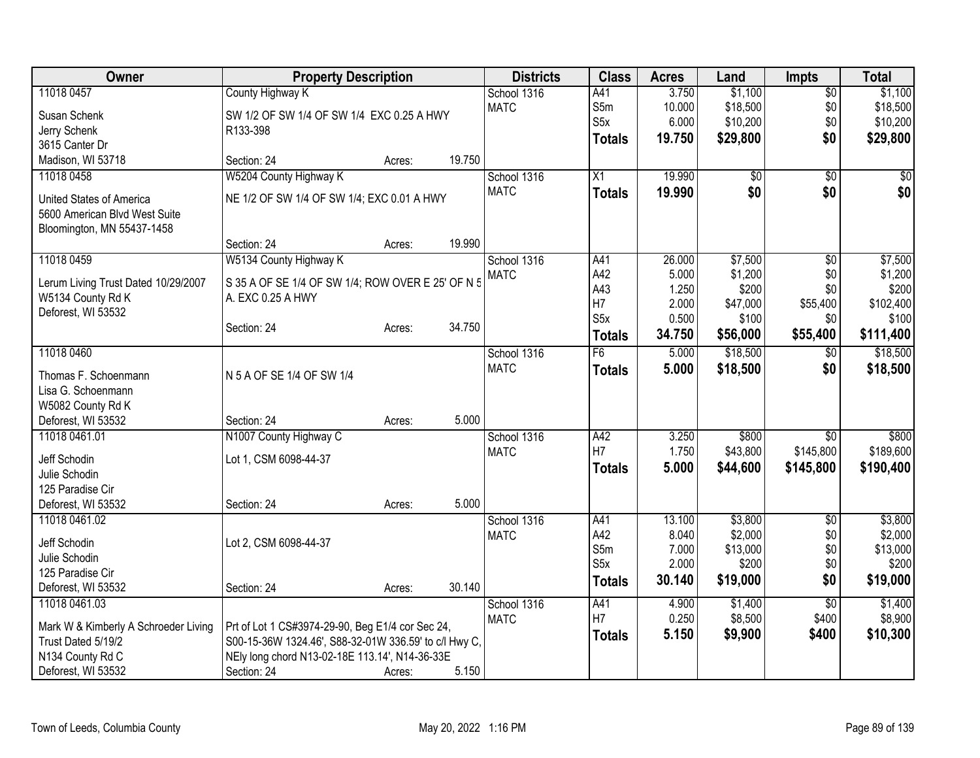| <b>Owner</b>                                             | <b>Property Description</b>                           |        |        | <b>Districts</b>           | <b>Class</b>     | <b>Acres</b>   | Land               | <b>Impts</b>    | <b>Total</b>       |
|----------------------------------------------------------|-------------------------------------------------------|--------|--------|----------------------------|------------------|----------------|--------------------|-----------------|--------------------|
| 11018 0457                                               | County Highway K                                      |        |        | School 1316                | A41              | 3.750          | \$1,100            | $\overline{50}$ | \$1,100            |
| Susan Schenk                                             | SW 1/2 OF SW 1/4 OF SW 1/4 EXC 0.25 A HWY             |        |        | <b>MATC</b>                | S5m              | 10.000         | \$18,500           | \$0             | \$18,500           |
| Jerry Schenk                                             | R133-398                                              |        |        |                            | S <sub>5x</sub>  | 6.000          | \$10,200           | \$0             | \$10,200           |
| 3615 Canter Dr                                           |                                                       |        |        |                            | <b>Totals</b>    | 19.750         | \$29,800           | \$0             | \$29,800           |
| Madison, WI 53718                                        | Section: 24                                           | Acres: | 19.750 |                            |                  |                |                    |                 |                    |
| 11018 0458                                               | W5204 County Highway K                                |        |        | School 1316                | X1               | 19.990         | \$0                | $\sqrt{50}$     | \$0                |
| United States of America                                 | NE 1/2 OF SW 1/4 OF SW 1/4; EXC 0.01 A HWY            |        |        | <b>MATC</b>                | <b>Totals</b>    | 19.990         | \$0                | \$0             | \$0                |
| 5600 American Blvd West Suite                            |                                                       |        |        |                            |                  |                |                    |                 |                    |
| Bloomington, MN 55437-1458                               |                                                       |        |        |                            |                  |                |                    |                 |                    |
|                                                          | Section: 24                                           | Acres: | 19.990 |                            |                  |                |                    |                 |                    |
| 11018 0459                                               | W5134 County Highway K                                |        |        | School 1316                | A41              | 26.000         | \$7,500            | $\overline{50}$ | \$7,500            |
|                                                          | S 35 A OF SE 1/4 OF SW 1/4; ROW OVER E 25' OF N 5     |        |        | <b>MATC</b>                | A42              | 5.000          | \$1,200            | \$0             | \$1,200            |
| Lerum Living Trust Dated 10/29/2007<br>W5134 County Rd K | A. EXC 0.25 A HWY                                     |        |        |                            | A43              | 1.250          | \$200              | \$0             | \$200              |
| Deforest, WI 53532                                       |                                                       |        |        |                            | H7               | 2.000          | \$47,000           | \$55,400        | \$102,400          |
|                                                          | Section: 24                                           | Acres: | 34.750 |                            | S <sub>5</sub> x | 0.500          | \$100              | \$0             | \$100              |
|                                                          |                                                       |        |        |                            | <b>Totals</b>    | 34.750         | \$56,000           | \$55,400        | \$111,400          |
| 11018 0460                                               |                                                       |        |        | School 1316                | F6               | 5.000          | \$18,500           | $\overline{50}$ | \$18,500           |
| Thomas F. Schoenmann                                     | N 5 A OF SE 1/4 OF SW 1/4                             |        |        | <b>MATC</b>                | <b>Totals</b>    | 5.000          | \$18,500           | \$0             | \$18,500           |
| Lisa G. Schoenmann                                       |                                                       |        |        |                            |                  |                |                    |                 |                    |
| W5082 County Rd K                                        |                                                       |        |        |                            |                  |                |                    |                 |                    |
| Deforest, WI 53532                                       | Section: 24                                           | Acres: | 5.000  |                            |                  |                |                    |                 |                    |
| 11018 0461.01                                            | N1007 County Highway C                                |        |        | School 1316                | A42              | 3.250          | \$800              | $\overline{50}$ | \$800              |
| Jeff Schodin                                             | Lot 1, CSM 6098-44-37                                 |        |        | <b>MATC</b>                | H7               | 1.750          | \$43,800           | \$145,800       | \$189,600          |
| Julie Schodin                                            |                                                       |        |        |                            | Totals           | 5.000          | \$44,600           | \$145,800       | \$190,400          |
| 125 Paradise Cir                                         |                                                       |        |        |                            |                  |                |                    |                 |                    |
| Deforest, WI 53532                                       | Section: 24                                           | Acres: | 5.000  |                            |                  |                |                    |                 |                    |
| 11018 0461.02                                            |                                                       |        |        | School 1316                | A41              | 13.100         | \$3,800            | \$0             | \$3,800            |
|                                                          |                                                       |        |        | <b>MATC</b>                | A42              | 8.040          | \$2,000            | \$0             | \$2,000            |
| Jeff Schodin                                             | Lot 2, CSM 6098-44-37                                 |        |        |                            | S5m              | 7.000          | \$13,000           | \$0             | \$13,000           |
| Julie Schodin                                            |                                                       |        |        |                            | S5x              | 2.000          | \$200              | \$0             | \$200              |
| 125 Paradise Cir                                         |                                                       |        |        |                            | <b>Totals</b>    | 30.140         | \$19,000           | \$0             | \$19,000           |
| Deforest, WI 53532<br>11018 0461.03                      | Section: 24                                           | Acres: | 30.140 |                            |                  |                |                    |                 |                    |
|                                                          |                                                       |        |        | School 1316<br><b>MATC</b> | A41<br>H7        | 4.900<br>0.250 | \$1,400<br>\$8,500 | \$0<br>\$400    | \$1,400<br>\$8,900 |
| Mark W & Kimberly A Schroeder Living                     | Prt of Lot 1 CS#3974-29-90, Beg E1/4 cor Sec 24,      |        |        |                            |                  | 5.150          |                    | \$400           |                    |
| Trust Dated 5/19/2                                       | S00-15-36W 1324.46', S88-32-01W 336.59' to c/l Hwy C, |        |        |                            | <b>Totals</b>    |                | \$9,900            |                 | \$10,300           |
| N134 County Rd C                                         | NEly long chord N13-02-18E 113.14', N14-36-33E        |        |        |                            |                  |                |                    |                 |                    |
| Deforest, WI 53532                                       | Section: 24                                           | Acres: | 5.150  |                            |                  |                |                    |                 |                    |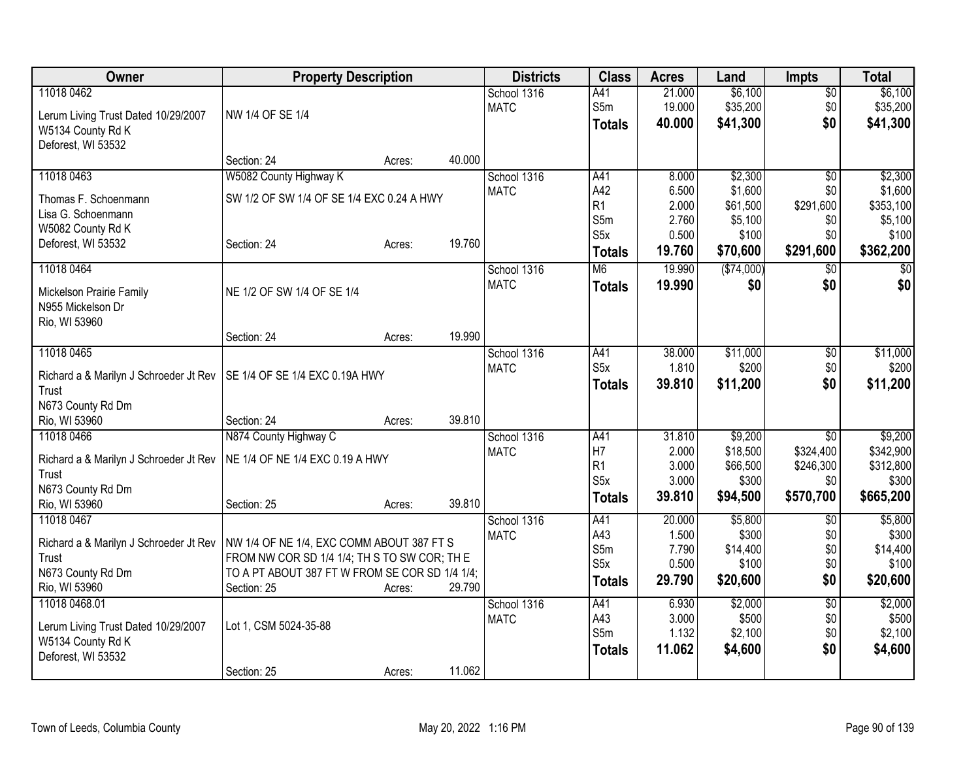| Owner                                  | <b>Property Description</b>                    |        |        | <b>Districts</b> | <b>Class</b>     | <b>Acres</b>   | Land             | <b>Impts</b>    | <b>Total</b>     |
|----------------------------------------|------------------------------------------------|--------|--------|------------------|------------------|----------------|------------------|-----------------|------------------|
| 11018 0462                             |                                                |        |        | School 1316      | A41              | 21.000         | \$6,100          | $\overline{50}$ | \$6,100          |
| Lerum Living Trust Dated 10/29/2007    | NW 1/4 OF SE 1/4                               |        |        | <b>MATC</b>      | S5m              | 19.000         | \$35,200         | \$0             | \$35,200         |
| W5134 County Rd K                      |                                                |        |        |                  | <b>Totals</b>    | 40.000         | \$41,300         | \$0             | \$41,300         |
| Deforest, WI 53532                     |                                                |        |        |                  |                  |                |                  |                 |                  |
|                                        | Section: 24                                    | Acres: | 40.000 |                  |                  |                |                  |                 |                  |
| 11018 0463                             | W5082 County Highway K                         |        |        | School 1316      | A41              | 8.000          | \$2,300          | \$0             | \$2,300          |
| Thomas F. Schoenmann                   | SW 1/2 OF SW 1/4 OF SE 1/4 EXC 0.24 A HWY      |        |        | <b>MATC</b>      | A42              | 6.500          | \$1,600          | \$0             | \$1,600          |
| Lisa G. Schoenmann                     |                                                |        |        |                  | R <sub>1</sub>   | 2.000          | \$61,500         | \$291,600       | \$353,100        |
| W5082 County Rd K                      |                                                |        |        |                  | S5m              | 2.760          | \$5,100          | \$0             | \$5,100          |
| Deforest, WI 53532                     | Section: 24                                    | Acres: | 19.760 |                  | S <sub>5</sub> x | 0.500          | \$100            | \$0             | \$100            |
|                                        |                                                |        |        |                  | <b>Totals</b>    | 19.760         | \$70,600         | \$291,600       | \$362,200        |
| 11018 0464                             |                                                |        |        | School 1316      | M <sub>6</sub>   | 19.990         | (\$74,000)       | $\overline{50}$ | $\overline{30}$  |
| Mickelson Prairie Family               | NE 1/2 OF SW 1/4 OF SE 1/4                     |        |        | <b>MATC</b>      | <b>Totals</b>    | 19,990         | \$0              | \$0             | \$0              |
| N955 Mickelson Dr                      |                                                |        |        |                  |                  |                |                  |                 |                  |
| Rio, WI 53960                          |                                                |        |        |                  |                  |                |                  |                 |                  |
|                                        | Section: 24                                    | Acres: | 19.990 |                  |                  |                |                  |                 |                  |
| 11018 0465                             |                                                |        |        | School 1316      | A41              | 38.000         | \$11,000         | $\overline{60}$ | \$11,000         |
| Richard a & Marilyn J Schroeder Jt Rev | SE 1/4 OF SE 1/4 EXC 0.19A HWY                 |        |        | <b>MATC</b>      | S <sub>5</sub> x | 1.810          | \$200            | \$0             | \$200            |
| Trust                                  |                                                |        |        |                  | <b>Totals</b>    | 39.810         | \$11,200         | \$0             | \$11,200         |
| N673 County Rd Dm                      |                                                |        |        |                  |                  |                |                  |                 |                  |
| Rio, WI 53960                          | Section: 24                                    | Acres: | 39.810 |                  |                  |                |                  |                 |                  |
| 11018 0466                             | N874 County Highway C                          |        |        | School 1316      | A41              | 31.810         | \$9,200          | $\overline{50}$ | \$9,200          |
|                                        |                                                |        |        | <b>MATC</b>      | H <sub>7</sub>   | 2.000          | \$18,500         | \$324,400       | \$342,900        |
| Richard a & Marilyn J Schroeder Jt Rev | NE 1/4 OF NE 1/4 EXC 0.19 A HWY                |        |        |                  | R <sub>1</sub>   | 3.000          | \$66,500         | \$246,300       | \$312,800        |
| Trust<br>N673 County Rd Dm             |                                                |        |        |                  | S <sub>5</sub> x | 3.000          | \$300            | \$0             | \$300            |
| Rio, WI 53960                          | Section: 25                                    | Acres: | 39.810 |                  | <b>Totals</b>    | 39.810         | \$94,500         | \$570,700       | \$665,200        |
| 11018 0467                             |                                                |        |        | School 1316      | A41              | 20.000         | \$5,800          | \$0             | \$5,800          |
|                                        |                                                |        |        | <b>MATC</b>      | A43              | 1.500          | \$300            | \$0             | \$300            |
| Richard a & Marilyn J Schroeder Jt Rev | NW 1/4 OF NE 1/4, EXC COMM ABOUT 387 FT S      |        |        |                  | S5m              | 7.790          | \$14,400         | \$0             | \$14,400         |
| Trust                                  | FROM NW COR SD 1/4 1/4; TH S TO SW COR; TH E   |        |        |                  | S5x              | 0.500          | \$100            | \$0             | \$100            |
| N673 County Rd Dm                      | TO A PT ABOUT 387 FT W FROM SE COR SD 1/4 1/4; |        |        |                  | <b>Totals</b>    | 29.790         | \$20,600         | \$0             | \$20,600         |
| Rio, WI 53960                          | Section: 25                                    | Acres: | 29.790 |                  |                  |                |                  |                 |                  |
| 11018 0468.01                          |                                                |        |        | School 1316      | A41<br>A43       | 6.930<br>3.000 | \$2,000          | $\overline{50}$ | \$2,000<br>\$500 |
| Lerum Living Trust Dated 10/29/2007    | Lot 1, CSM 5024-35-88                          |        |        | <b>MATC</b>      | S5m              | 1.132          | \$500<br>\$2,100 | \$0<br>\$0      | \$2,100          |
| W5134 County Rd K                      |                                                |        |        |                  |                  | 11.062         | \$4,600          | \$0             | \$4,600          |
| Deforest, WI 53532                     |                                                |        |        |                  | <b>Totals</b>    |                |                  |                 |                  |
|                                        | Section: 25                                    | Acres: | 11.062 |                  |                  |                |                  |                 |                  |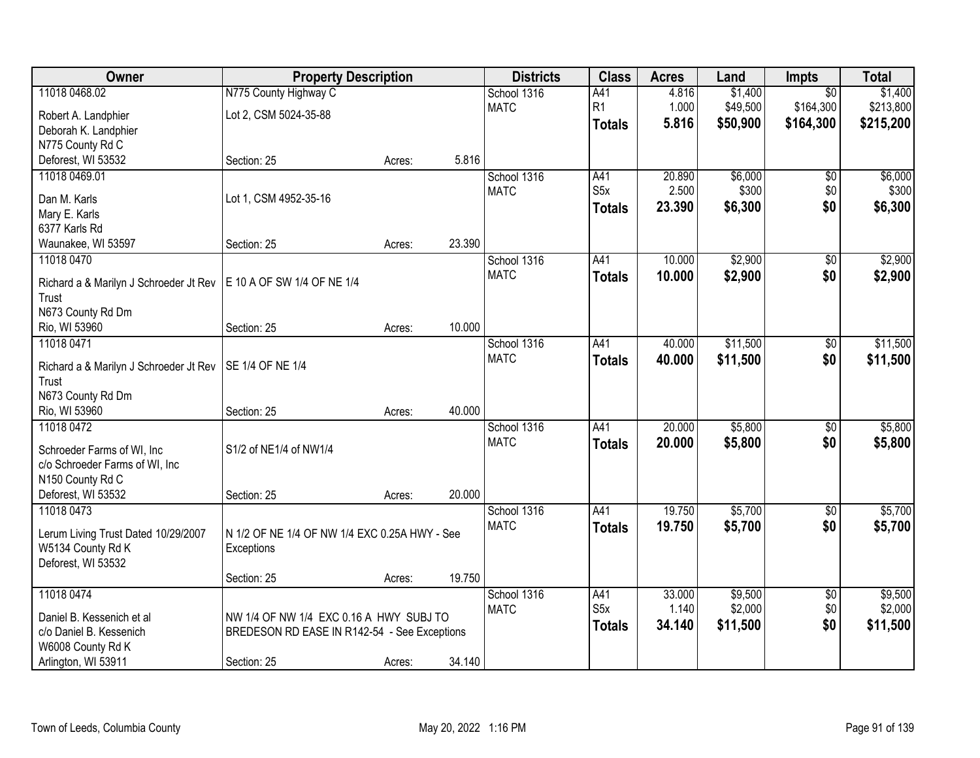| 11018 0468.02<br>N775 County Highway C<br>\$1,400<br>\$1,400<br>School 1316<br>A41<br>4.816<br>$\overline{50}$<br>R1<br>\$213,800<br><b>MATC</b><br>1.000<br>\$49,500<br>\$164,300<br>Lot 2, CSM 5024-35-88<br>Robert A. Landphier<br>5.816<br>\$50,900<br>\$164,300<br>\$215,200<br><b>Totals</b><br>Deborah K. Landphier<br>N775 County Rd C<br>5.816<br>Deforest, WI 53532<br>Section: 25<br>Acres: |
|--------------------------------------------------------------------------------------------------------------------------------------------------------------------------------------------------------------------------------------------------------------------------------------------------------------------------------------------------------------------------------------------------------|
|                                                                                                                                                                                                                                                                                                                                                                                                        |
|                                                                                                                                                                                                                                                                                                                                                                                                        |
|                                                                                                                                                                                                                                                                                                                                                                                                        |
|                                                                                                                                                                                                                                                                                                                                                                                                        |
|                                                                                                                                                                                                                                                                                                                                                                                                        |
| \$6,000<br>A41<br>20.890<br>\$6,000<br>11018 0469.01<br>School 1316<br>\$0                                                                                                                                                                                                                                                                                                                             |
| S5x<br>2.500<br>\$300<br>\$0<br>\$300<br><b>MATC</b>                                                                                                                                                                                                                                                                                                                                                   |
| Lot 1, CSM 4952-35-16<br>Dan M. Karls<br>\$0<br>23.390<br>\$6,300<br>\$6,300<br><b>Totals</b>                                                                                                                                                                                                                                                                                                          |
| Mary E. Karls                                                                                                                                                                                                                                                                                                                                                                                          |
| 6377 Karls Rd<br>23.390<br>Section: 25                                                                                                                                                                                                                                                                                                                                                                 |
| Waunakee, WI 53597<br>Acres:<br>\$2,900<br>\$2,900<br>11018 0470<br>School 1316<br>A41<br>10.000                                                                                                                                                                                                                                                                                                       |
| \$0<br><b>MATC</b>                                                                                                                                                                                                                                                                                                                                                                                     |
| \$0<br>10.000<br>\$2,900<br>\$2,900<br><b>Totals</b><br>E 10 A OF SW 1/4 OF NE 1/4<br>Richard a & Marilyn J Schroeder Jt Rev                                                                                                                                                                                                                                                                           |
| Trust                                                                                                                                                                                                                                                                                                                                                                                                  |
| N673 County Rd Dm                                                                                                                                                                                                                                                                                                                                                                                      |
| 10.000<br>Rio, WI 53960<br>Section: 25<br>Acres:                                                                                                                                                                                                                                                                                                                                                       |
| 11018 0471<br>40.000<br>\$11,500<br>\$11,500<br>School 1316<br>A41<br>\$0                                                                                                                                                                                                                                                                                                                              |
| <b>MATC</b><br>40.000<br>\$11,500<br>\$0<br>\$11,500<br><b>Totals</b><br>SE 1/4 OF NE 1/4<br>Richard a & Marilyn J Schroeder Jt Rev                                                                                                                                                                                                                                                                    |
| Trust                                                                                                                                                                                                                                                                                                                                                                                                  |
| N673 County Rd Dm                                                                                                                                                                                                                                                                                                                                                                                      |
| 40.000<br>Rio, WI 53960<br>Section: 25<br>Acres:                                                                                                                                                                                                                                                                                                                                                       |
| 20.000<br>\$5,800<br>\$5,800<br>11018 0472<br>A41<br>School 1316<br>$\overline{50}$                                                                                                                                                                                                                                                                                                                    |
| <b>MATC</b><br>20.000<br>\$5,800<br>\$0<br>\$5,800<br><b>Totals</b>                                                                                                                                                                                                                                                                                                                                    |
| S1/2 of NE1/4 of NW1/4<br>Schroeder Farms of WI, Inc                                                                                                                                                                                                                                                                                                                                                   |
| c/o Schroeder Farms of WI, Inc                                                                                                                                                                                                                                                                                                                                                                         |
| N150 County Rd C                                                                                                                                                                                                                                                                                                                                                                                       |
| 20.000<br>Deforest, WI 53532<br>Section: 25<br>Acres:                                                                                                                                                                                                                                                                                                                                                  |
| 11018 0473<br>A41<br>19.750<br>\$5,700<br>\$5,700<br>School 1316<br>$\sqrt{6}$                                                                                                                                                                                                                                                                                                                         |
| <b>MATC</b><br>\$0<br>19.750<br>\$5,700<br>\$5,700<br><b>Totals</b><br>N 1/2 OF NE 1/4 OF NW 1/4 EXC 0.25A HWY - See<br>Lerum Living Trust Dated 10/29/2007                                                                                                                                                                                                                                            |
| W5134 County Rd K<br>Exceptions                                                                                                                                                                                                                                                                                                                                                                        |
| Deforest, WI 53532                                                                                                                                                                                                                                                                                                                                                                                     |
| 19.750<br>Section: 25<br>Acres:                                                                                                                                                                                                                                                                                                                                                                        |
| 11018 0474<br>33.000<br>\$9,500<br>\$9,500<br>School 1316<br>A41<br>$\overline{50}$                                                                                                                                                                                                                                                                                                                    |
| \$2,000<br>\$2,000<br>S <sub>5</sub> x<br>1.140<br>\$0<br><b>MATC</b><br>Daniel B. Kessenich et al<br>NW 1/4 OF NW 1/4 EXC 0.16 A HWY SUBJ TO                                                                                                                                                                                                                                                          |
| \$0<br>\$11,500<br>34.140<br>\$11,500<br><b>Totals</b><br>c/o Daniel B. Kessenich<br>BREDESON RD EASE IN R142-54 - See Exceptions                                                                                                                                                                                                                                                                      |
| W6008 County Rd K                                                                                                                                                                                                                                                                                                                                                                                      |
| 34.140<br>Arlington, WI 53911<br>Section: 25<br>Acres:                                                                                                                                                                                                                                                                                                                                                 |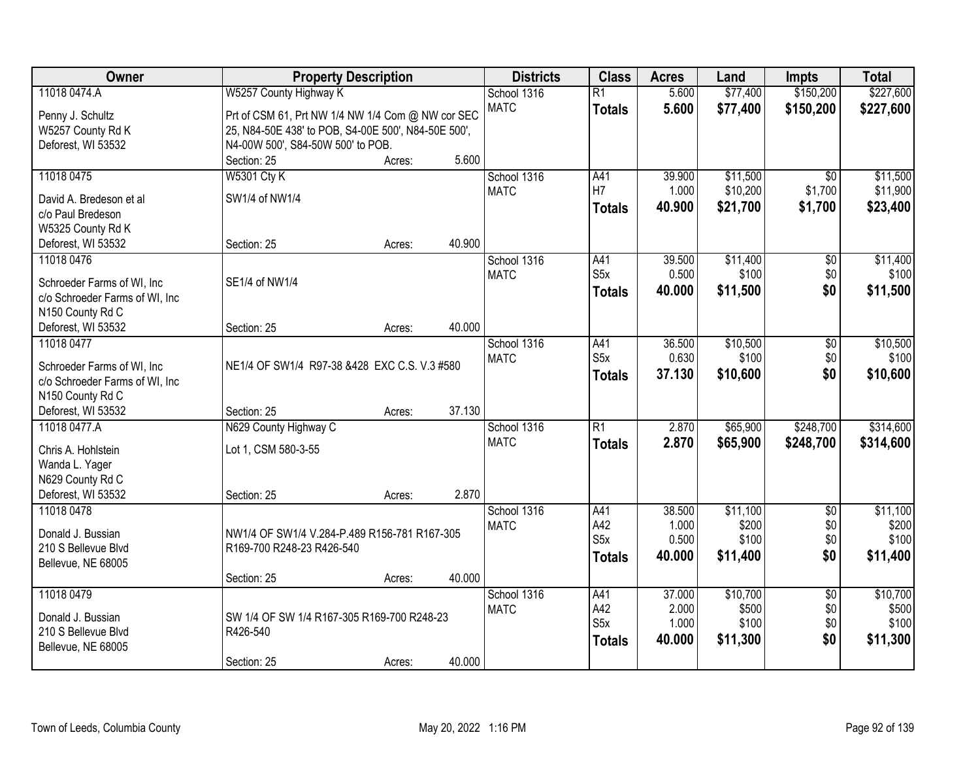| Owner                          | <b>Property Description</b>                         |        |        | <b>Districts</b>           | <b>Class</b>           | <b>Acres</b> | Land     | Impts           | <b>Total</b> |
|--------------------------------|-----------------------------------------------------|--------|--------|----------------------------|------------------------|--------------|----------|-----------------|--------------|
| 11018 0474.A                   | W5257 County Highway K                              |        |        | School 1316                | $\overline{R1}$        | 5.600        | \$77,400 | \$150,200       | \$227,600    |
| Penny J. Schultz               | Prt of CSM 61, Prt NW 1/4 NW 1/4 Com @ NW cor SEC   |        |        | <b>MATC</b>                | <b>Totals</b>          | 5.600        | \$77,400 | \$150,200       | \$227,600    |
| W5257 County Rd K              | 25, N84-50E 438' to POB, S4-00E 500', N84-50E 500', |        |        |                            |                        |              |          |                 |              |
| Deforest, WI 53532             | N4-00W 500', S84-50W 500' to POB.                   |        |        |                            |                        |              |          |                 |              |
|                                | Section: 25                                         | Acres: | 5.600  |                            |                        |              |          |                 |              |
| 11018 0475                     | <b>W5301 Cty K</b>                                  |        |        | School 1316                | A41                    | 39.900       | \$11,500 | $\overline{30}$ | \$11,500     |
|                                | SW1/4 of NW1/4                                      |        |        | <b>MATC</b>                | H7                     | 1.000        | \$10,200 | \$1,700         | \$11,900     |
| David A. Bredeson et al        |                                                     |        |        |                            | <b>Totals</b>          | 40.900       | \$21,700 | \$1,700         | \$23,400     |
| c/o Paul Bredeson              |                                                     |        |        |                            |                        |              |          |                 |              |
| W5325 County Rd K              |                                                     |        | 40.900 |                            |                        |              |          |                 |              |
| Deforest, WI 53532             | Section: 25                                         | Acres: |        |                            |                        |              |          |                 |              |
| 11018 0476                     |                                                     |        |        | School 1316                | A41<br>S <sub>5x</sub> | 39.500       | \$11,400 | $\overline{50}$ | \$11,400     |
| Schroeder Farms of WI, Inc.    | SE1/4 of NW1/4                                      |        |        | <b>MATC</b>                |                        | 0.500        | \$100    | \$0             | \$100        |
| c/o Schroeder Farms of WI, Inc |                                                     |        |        |                            | Totals                 | 40.000       | \$11,500 | \$0             | \$11,500     |
| N150 County Rd C               |                                                     |        |        |                            |                        |              |          |                 |              |
| Deforest, WI 53532             | Section: 25                                         | Acres: | 40.000 |                            |                        |              |          |                 |              |
| 11018 0477                     |                                                     |        |        | School 1316                | A41                    | 36.500       | \$10,500 | \$0             | \$10,500     |
|                                |                                                     |        |        | <b>MATC</b>                | S5x                    | 0.630        | \$100    | \$0             | \$100        |
| Schroeder Farms of WI, Inc     | NE1/4 OF SW1/4 R97-38 &428 EXC C.S. V.3 #580        |        |        |                            | <b>Totals</b>          | 37.130       | \$10,600 | \$0             | \$10,600     |
| c/o Schroeder Farms of WI, Inc |                                                     |        |        |                            |                        |              |          |                 |              |
| N150 County Rd C               |                                                     |        | 37.130 |                            |                        |              |          |                 |              |
| Deforest, WI 53532             | Section: 25                                         | Acres: |        |                            | $\overline{R1}$        | 2.870        |          | \$248,700       | \$314,600    |
| 11018 0477.A                   | N629 County Highway C                               |        |        | School 1316<br><b>MATC</b> |                        |              | \$65,900 |                 |              |
| Chris A. Hohlstein             | Lot 1, CSM 580-3-55                                 |        |        |                            | <b>Totals</b>          | 2.870        | \$65,900 | \$248,700       | \$314,600    |
| Wanda L. Yager                 |                                                     |        |        |                            |                        |              |          |                 |              |
| N629 County Rd C               |                                                     |        |        |                            |                        |              |          |                 |              |
| Deforest, WI 53532             | Section: 25                                         | Acres: | 2.870  |                            |                        |              |          |                 |              |
| 11018 0478                     |                                                     |        |        | School 1316                | A41                    | 38.500       | \$11,100 | $\overline{60}$ | \$11,100     |
| Donald J. Bussian              | NW1/4 OF SW1/4 V.284-P.489 R156-781 R167-305        |        |        | <b>MATC</b>                | A42                    | 1.000        | \$200    | \$0             | \$200        |
| 210 S Bellevue Blvd            | R169-700 R248-23 R426-540                           |        |        |                            | S5x                    | 0.500        | \$100    | \$0             | \$100        |
| Bellevue, NE 68005             |                                                     |        |        |                            | <b>Totals</b>          | 40.000       | \$11,400 | \$0             | \$11,400     |
|                                | Section: 25                                         | Acres: | 40.000 |                            |                        |              |          |                 |              |
| 11018 0479                     |                                                     |        |        | School 1316                | A41                    | 37.000       | \$10,700 | $\overline{50}$ | \$10,700     |
|                                |                                                     |        |        | <b>MATC</b>                | A42                    | 2.000        | \$500    | \$0             | \$500        |
| Donald J. Bussian              | SW 1/4 OF SW 1/4 R167-305 R169-700 R248-23          |        |        |                            | S5x                    | 1.000        | \$100    | \$0             | \$100        |
| 210 S Bellevue Blvd            | R426-540                                            |        |        |                            | <b>Totals</b>          | 40.000       | \$11,300 | \$0             | \$11,300     |
| Bellevue, NE 68005             |                                                     |        |        |                            |                        |              |          |                 |              |
|                                | Section: 25                                         | Acres: | 40.000 |                            |                        |              |          |                 |              |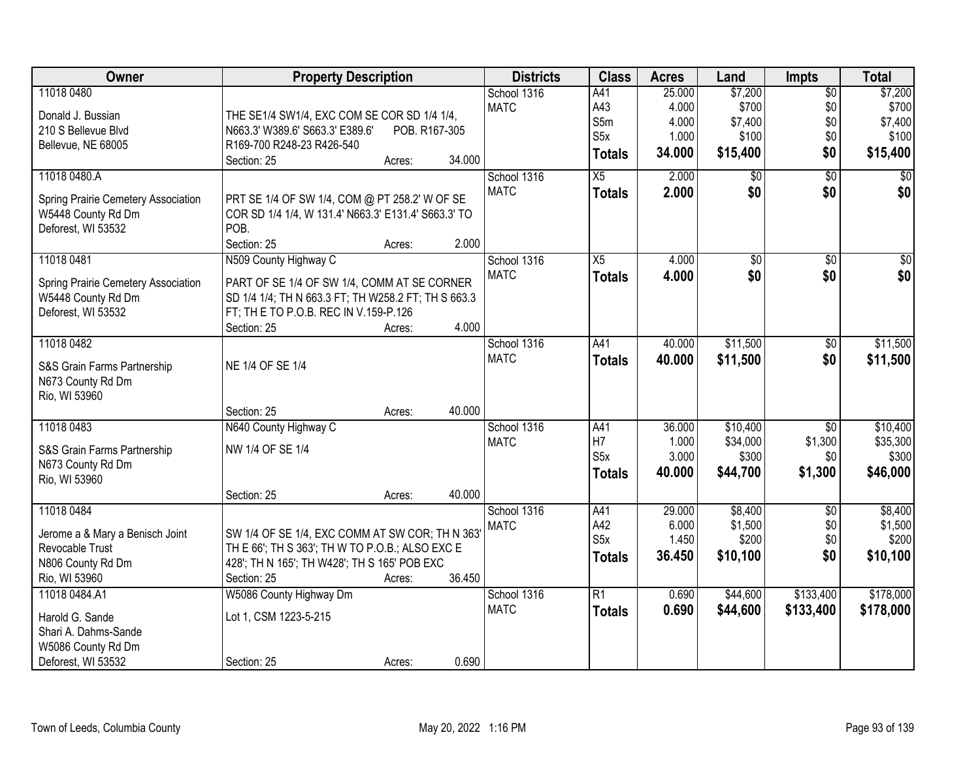| Owner                                    | <b>Property Description</b>                                 | <b>Districts</b>           | <b>Class</b>     | <b>Acres</b> | Land            | <b>Impts</b>    | <b>Total</b>    |
|------------------------------------------|-------------------------------------------------------------|----------------------------|------------------|--------------|-----------------|-----------------|-----------------|
| 11018 0480                               |                                                             | School 1316                | A41              | 25.000       | \$7,200         | $\sqrt{$0}$     | \$7,200         |
| Donald J. Bussian                        | THE SE1/4 SW1/4, EXC COM SE COR SD 1/4 1/4,                 | <b>MATC</b>                | A43              | 4.000        | \$700           | \$0             | \$700           |
| 210 S Bellevue Blvd                      | N663.3' W389.6' S663.3' E389.6'<br>POB. R167-305            |                            | S5m              | 4.000        | \$7,400         | \$0             | \$7,400         |
| Bellevue, NE 68005                       | R169-700 R248-23 R426-540                                   |                            | S5x              | 1.000        | \$100           | \$0             | \$100           |
|                                          | 34.000<br>Section: 25<br>Acres:                             |                            | <b>Totals</b>    | 34.000       | \$15,400        | \$0             | \$15,400        |
| 11018 0480.A                             |                                                             | School 1316                | $\overline{X5}$  | 2.000        | \$0             | $\overline{50}$ | $\overline{50}$ |
|                                          |                                                             | <b>MATC</b>                | <b>Totals</b>    | 2.000        | \$0             | \$0             | \$0             |
| Spring Prairie Cemetery Association      | PRT SE 1/4 OF SW 1/4, COM @ PT 258.2' W OF SE               |                            |                  |              |                 |                 |                 |
| W5448 County Rd Dm<br>Deforest, WI 53532 | COR SD 1/4 1/4, W 131.4' N663.3' E131.4' S663.3' TO<br>POB. |                            |                  |              |                 |                 |                 |
|                                          | 2.000<br>Section: 25<br>Acres:                              |                            |                  |              |                 |                 |                 |
| 11018 0481                               | N509 County Highway C                                       | School 1316                | X5               | 4.000        | $\overline{50}$ | \$0             | $\overline{50}$ |
|                                          |                                                             | <b>MATC</b>                | <b>Totals</b>    | 4.000        | \$0             | \$0             | \$0             |
| Spring Prairie Cemetery Association      | PART OF SE 1/4 OF SW 1/4, COMM AT SE CORNER                 |                            |                  |              |                 |                 |                 |
| W5448 County Rd Dm                       | SD 1/4 1/4; TH N 663.3 FT; TH W258.2 FT; TH S 663.3         |                            |                  |              |                 |                 |                 |
| Deforest, WI 53532                       | FT; TH E TO P.O.B. REC IN V.159-P.126                       |                            |                  |              |                 |                 |                 |
|                                          | 4.000<br>Section: 25<br>Acres:                              |                            |                  |              |                 |                 |                 |
| 11018 0482                               |                                                             | School 1316                | A41              | 40.000       | \$11,500        | \$0             | \$11,500        |
| S&S Grain Farms Partnership              | NE 1/4 OF SE 1/4                                            | <b>MATC</b>                | <b>Totals</b>    | 40.000       | \$11,500        | \$0             | \$11,500        |
| N673 County Rd Dm                        |                                                             |                            |                  |              |                 |                 |                 |
| Rio, WI 53960                            |                                                             |                            |                  |              |                 |                 |                 |
|                                          | 40.000<br>Section: 25<br>Acres:                             |                            |                  |              |                 |                 |                 |
| 11018 0483                               | N640 County Highway C                                       | School 1316                | A41              | 36.000       | \$10,400        | $\overline{50}$ | \$10,400        |
| S&S Grain Farms Partnership              | NW 1/4 OF SE 1/4                                            | <b>MATC</b>                | H7               | 1.000        | \$34,000        | \$1,300         | \$35,300        |
| N673 County Rd Dm                        |                                                             |                            | S5x              | 3.000        | \$300           | \$0             | \$300           |
| Rio, WI 53960                            |                                                             |                            | <b>Totals</b>    | 40.000       | \$44,700        | \$1,300         | \$46,000        |
|                                          | 40.000<br>Section: 25<br>Acres:                             |                            |                  |              |                 |                 |                 |
| 11018 0484                               |                                                             | School 1316                | A41              | 29.000       | \$8,400         | $\overline{50}$ | \$8,400         |
|                                          |                                                             | <b>MATC</b>                | A42              | 6.000        | \$1,500         | \$0             | \$1,500         |
| Jerome a & Mary a Benisch Joint          | SW 1/4 OF SE 1/4, EXC COMM AT SW COR; TH N 363'             |                            | S <sub>5</sub> x | 1.450        | \$200           | \$0             | \$200           |
| Revocable Trust                          | TH E 66'; TH S 363'; TH W TO P.O.B.; ALSO EXC E             |                            | <b>Totals</b>    | 36.450       | \$10,100        | \$0             | \$10,100        |
| N806 County Rd Dm                        | 428'; TH N 165'; TH W428'; TH S 165' POB EXC                |                            |                  |              |                 |                 |                 |
| Rio, WI 53960                            | 36.450<br>Section: 25<br>Acres:                             |                            |                  |              |                 |                 |                 |
| 11018 0484.A1                            | W5086 County Highway Dm                                     | School 1316<br><b>MATC</b> | $\overline{R1}$  | 0.690        | \$44,600        | \$133,400       | \$178,000       |
| Harold G. Sande                          | Lot 1, CSM 1223-5-215                                       |                            | <b>Totals</b>    | 0.690        | \$44,600        | \$133,400       | \$178,000       |
| Shari A. Dahms-Sande                     |                                                             |                            |                  |              |                 |                 |                 |
| W5086 County Rd Dm                       |                                                             |                            |                  |              |                 |                 |                 |
| Deforest, WI 53532                       | 0.690<br>Section: 25<br>Acres:                              |                            |                  |              |                 |                 |                 |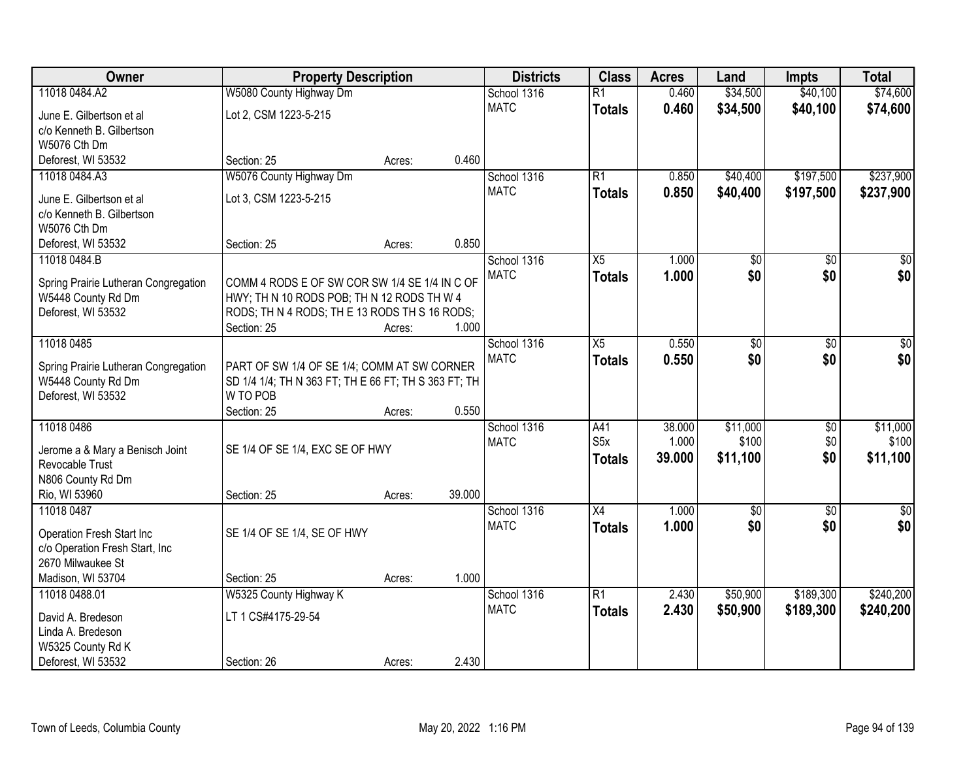| Owner                                                      | <b>Property Description</b>                                                                 |        |        | <b>Districts</b> | <b>Class</b>    | <b>Acres</b> | Land            | <b>Impts</b>    | <b>Total</b> |
|------------------------------------------------------------|---------------------------------------------------------------------------------------------|--------|--------|------------------|-----------------|--------------|-----------------|-----------------|--------------|
| 11018 0484.A2                                              | W5080 County Highway Dm                                                                     |        |        | School 1316      | $\overline{R1}$ | 0.460        | \$34,500        | \$40,100        | \$74,600     |
| June E. Gilbertson et al                                   | Lot 2, CSM 1223-5-215                                                                       |        |        | <b>MATC</b>      | <b>Totals</b>   | 0.460        | \$34,500        | \$40,100        | \$74,600     |
| c/o Kenneth B. Gilbertson                                  |                                                                                             |        |        |                  |                 |              |                 |                 |              |
| W5076 Cth Dm                                               |                                                                                             |        |        |                  |                 |              |                 |                 |              |
| Deforest, WI 53532                                         | Section: 25                                                                                 | Acres: | 0.460  |                  |                 |              |                 |                 |              |
| 11018 0484.A3                                              | W5076 County Highway Dm                                                                     |        |        | School 1316      | $\overline{R1}$ | 0.850        | \$40,400        | \$197,500       | \$237,900    |
| June E. Gilbertson et al                                   | Lot 3, CSM 1223-5-215                                                                       |        |        | <b>MATC</b>      | <b>Totals</b>   | 0.850        | \$40,400        | \$197,500       | \$237,900    |
| c/o Kenneth B. Gilbertson                                  |                                                                                             |        |        |                  |                 |              |                 |                 |              |
| W5076 Cth Dm                                               |                                                                                             |        |        |                  |                 |              |                 |                 |              |
| Deforest, WI 53532                                         | Section: 25                                                                                 | Acres: | 0.850  |                  |                 |              |                 |                 |              |
| 11018 0484.B                                               |                                                                                             |        |        | School 1316      | X5              | 1.000        | \$0             | \$0             | \$0          |
|                                                            |                                                                                             |        |        | <b>MATC</b>      | <b>Totals</b>   | 1.000        | \$0             | \$0             | \$0          |
| Spring Prairie Lutheran Congregation<br>W5448 County Rd Dm | COMM 4 RODS E OF SW COR SW 1/4 SE 1/4 IN C OF<br>HWY; TH N 10 RODS POB; TH N 12 RODS TH W 4 |        |        |                  |                 |              |                 |                 |              |
| Deforest, WI 53532                                         | RODS; TH N 4 RODS; TH E 13 RODS TH S 16 RODS;                                               |        |        |                  |                 |              |                 |                 |              |
|                                                            | Section: 25                                                                                 | Acres: | 1.000  |                  |                 |              |                 |                 |              |
| 11018 0485                                                 |                                                                                             |        |        | School 1316      | X5              | 0.550        | \$0             | \$0             | \$0          |
|                                                            |                                                                                             |        |        | <b>MATC</b>      | <b>Totals</b>   | 0.550        | \$0             | \$0             | \$0          |
| Spring Prairie Lutheran Congregation                       | PART OF SW 1/4 OF SE 1/4; COMM AT SW CORNER                                                 |        |        |                  |                 |              |                 |                 |              |
| W5448 County Rd Dm                                         | SD 1/4 1/4; TH N 363 FT; TH E 66 FT; TH S 363 FT; TH<br>W TO POB                            |        |        |                  |                 |              |                 |                 |              |
| Deforest, WI 53532                                         | Section: 25                                                                                 | Acres: | 0.550  |                  |                 |              |                 |                 |              |
| 11018 0486                                                 |                                                                                             |        |        | School 1316      | A41             | 38.000       | \$11,000        | $\overline{30}$ | \$11,000     |
|                                                            |                                                                                             |        |        | <b>MATC</b>      | S5x             | 1.000        | \$100           | \$0             | \$100        |
| Jerome a & Mary a Benisch Joint                            | SE 1/4 OF SE 1/4, EXC SE OF HWY                                                             |        |        |                  | <b>Totals</b>   | 39.000       | \$11,100        | \$0             | \$11,100     |
| <b>Revocable Trust</b>                                     |                                                                                             |        |        |                  |                 |              |                 |                 |              |
| N806 County Rd Dm                                          |                                                                                             |        |        |                  |                 |              |                 |                 |              |
| Rio, WI 53960                                              | Section: 25                                                                                 | Acres: | 39.000 |                  |                 |              |                 |                 |              |
| 11018 0487                                                 |                                                                                             |        |        | School 1316      | $\overline{X4}$ | 1.000        | $\overline{60}$ | $\overline{50}$ | $\sqrt{50}$  |
| Operation Fresh Start Inc                                  | SE 1/4 OF SE 1/4, SE OF HWY                                                                 |        |        | <b>MATC</b>      | <b>Totals</b>   | 1.000        | \$0             | \$0             | \$0          |
| c/o Operation Fresh Start, Inc                             |                                                                                             |        |        |                  |                 |              |                 |                 |              |
| 2670 Milwaukee St                                          |                                                                                             |        |        |                  |                 |              |                 |                 |              |
| Madison, WI 53704                                          | Section: 25                                                                                 | Acres: | 1.000  |                  |                 |              |                 |                 |              |
| 11018 0488.01                                              | W5325 County Highway K                                                                      |        |        | School 1316      | $\overline{R1}$ | 2.430        | \$50,900        | \$189,300       | \$240,200    |
| David A. Bredeson                                          | LT 1 CS#4175-29-54                                                                          |        |        | <b>MATC</b>      | <b>Totals</b>   | 2.430        | \$50,900        | \$189,300       | \$240,200    |
| Linda A. Bredeson                                          |                                                                                             |        |        |                  |                 |              |                 |                 |              |
| W5325 County Rd K                                          |                                                                                             |        |        |                  |                 |              |                 |                 |              |
| Deforest, WI 53532                                         | Section: 26                                                                                 | Acres: | 2.430  |                  |                 |              |                 |                 |              |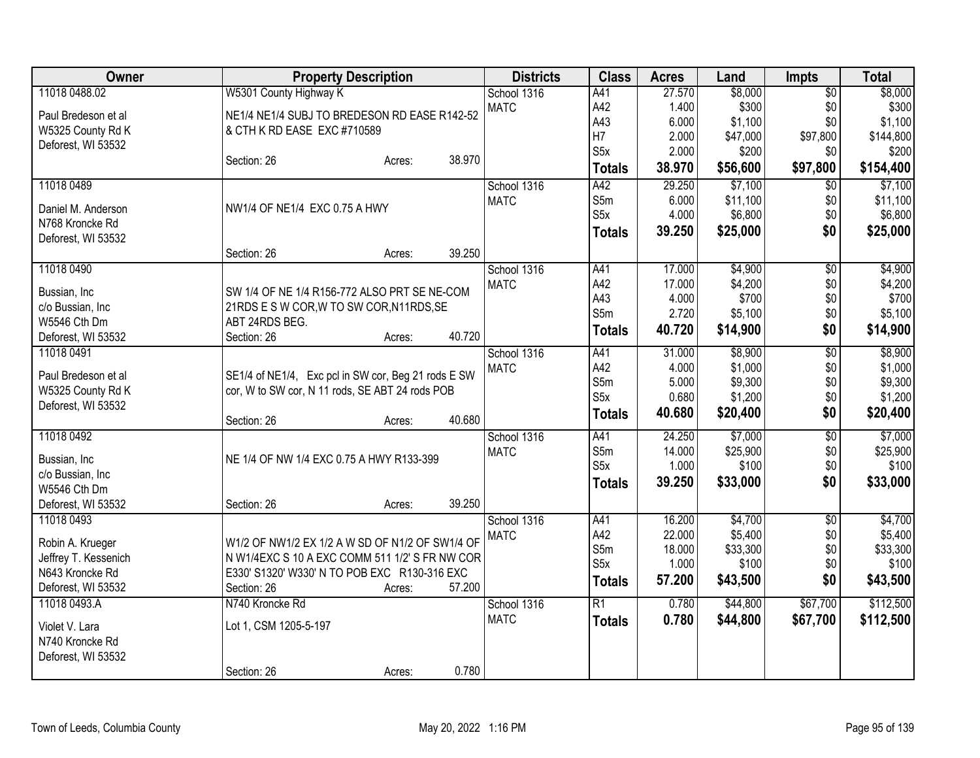| Owner                | <b>Property Description</b>                         | <b>Districts</b> | <b>Class</b>     | <b>Acres</b> | Land     | <b>Impts</b>    | <b>Total</b> |
|----------------------|-----------------------------------------------------|------------------|------------------|--------------|----------|-----------------|--------------|
| 11018 0488.02        | W5301 County Highway K                              | School 1316      | A41              | 27.570       | \$8,000  | $\overline{50}$ | \$8,000      |
| Paul Bredeson et al  | NE1/4 NE1/4 SUBJ TO BREDESON RD EASE R142-52        | <b>MATC</b>      | A42              | 1.400        | \$300    | \$0             | \$300        |
| W5325 County Rd K    | & CTH K RD EASE EXC #710589                         |                  | A43              | 6.000        | \$1,100  | \$0             | \$1,100      |
| Deforest, WI 53532   |                                                     |                  | H7               | 2.000        | \$47,000 | \$97,800        | \$144,800    |
|                      | 38.970<br>Section: 26<br>Acres:                     |                  | S <sub>5x</sub>  | 2.000        | \$200    | \$0             | \$200        |
|                      |                                                     |                  | <b>Totals</b>    | 38.970       | \$56,600 | \$97,800        | \$154,400    |
| 11018 0489           |                                                     | School 1316      | A42              | 29.250       | \$7,100  | $\overline{50}$ | \$7,100      |
| Daniel M. Anderson   | NW1/4 OF NE1/4 EXC 0.75 A HWY                       | <b>MATC</b>      | S5m              | 6.000        | \$11,100 | \$0             | \$11,100     |
| N768 Kroncke Rd      |                                                     |                  | S <sub>5</sub> x | 4.000        | \$6,800  | \$0             | \$6,800      |
| Deforest, WI 53532   |                                                     |                  | <b>Totals</b>    | 39.250       | \$25,000 | \$0             | \$25,000     |
|                      | 39.250<br>Section: 26<br>Acres:                     |                  |                  |              |          |                 |              |
| 11018 0490           |                                                     | School 1316      | A41              | 17.000       | \$4,900  | $\overline{50}$ | \$4,900      |
| Bussian, Inc         | SW 1/4 OF NE 1/4 R156-772 ALSO PRT SE NE-COM        | <b>MATC</b>      | A42              | 17.000       | \$4,200  | \$0             | \$4,200      |
| c/o Bussian, Inc     | 21RDS E S W COR, W TO SW COR, N11RDS, SE            |                  | A43              | 4.000        | \$700    | \$0             | \$700        |
| W5546 Cth Dm         | ABT 24RDS BEG.                                      |                  | S5m              | 2.720        | \$5,100  | \$0             | \$5,100      |
| Deforest, WI 53532   | 40.720<br>Section: 26<br>Acres:                     |                  | <b>Totals</b>    | 40.720       | \$14,900 | \$0             | \$14,900     |
| 11018 0491           |                                                     | School 1316      | A41              | 31.000       | \$8,900  | $\overline{50}$ | \$8,900      |
|                      |                                                     | <b>MATC</b>      | A42              | 4.000        | \$1,000  | \$0             | \$1,000      |
| Paul Bredeson et al  | SE1/4 of NE1/4, Exc pcl in SW cor, Beg 21 rods E SW |                  | S5m              | 5.000        | \$9,300  | \$0             | \$9,300      |
| W5325 County Rd K    | cor, W to SW cor, N 11 rods, SE ABT 24 rods POB     |                  | S5x              | 0.680        | \$1,200  | \$0             | \$1,200      |
| Deforest, WI 53532   |                                                     |                  | <b>Totals</b>    | 40.680       | \$20,400 | \$0             | \$20,400     |
|                      | 40.680<br>Section: 26<br>Acres:                     |                  |                  |              |          |                 |              |
| 11018 0492           |                                                     | School 1316      | A41              | 24.250       | \$7,000  | $\overline{50}$ | \$7,000      |
| Bussian, Inc         | NE 1/4 OF NW 1/4 EXC 0.75 A HWY R133-399            | <b>MATC</b>      | S5m              | 14.000       | \$25,900 | \$0             | \$25,900     |
| c/o Bussian, Inc     |                                                     |                  | S5x              | 1.000        | \$100    | \$0             | \$100        |
| W5546 Cth Dm         |                                                     |                  | <b>Totals</b>    | 39.250       | \$33,000 | \$0             | \$33,000     |
| Deforest, WI 53532   | 39.250<br>Section: 26<br>Acres:                     |                  |                  |              |          |                 |              |
| 11018 0493           |                                                     | School 1316      | A41              | 16.200       | \$4,700  | \$0             | \$4,700      |
| Robin A. Krueger     | W1/2 OF NW1/2 EX 1/2 A W SD OF N1/2 OF SW1/4 OF     | <b>MATC</b>      | A42              | 22.000       | \$5,400  | \$0             | \$5,400      |
| Jeffrey T. Kessenich | N W1/4EXC S 10 A EXC COMM 511 1/2' S FR NW COR      |                  | S5m              | 18.000       | \$33,300 | \$0             | \$33,300     |
| N643 Kroncke Rd      | E330' S1320' W330' N TO POB EXC R130-316 EXC        |                  | S5x              | 1.000        | \$100    | \$0             | \$100        |
| Deforest, WI 53532   | 57.200<br>Section: 26<br>Acres:                     |                  | <b>Totals</b>    | 57.200       | \$43,500 | \$0             | \$43,500     |
| 11018 0493.A         | N740 Kroncke Rd                                     | School 1316      | $\overline{R1}$  | 0.780        | \$44,800 | \$67,700        | \$112,500    |
|                      |                                                     | <b>MATC</b>      | <b>Totals</b>    | 0.780        | \$44,800 | \$67,700        | \$112,500    |
| Violet V. Lara       | Lot 1, CSM 1205-5-197                               |                  |                  |              |          |                 |              |
| N740 Kroncke Rd      |                                                     |                  |                  |              |          |                 |              |
| Deforest, WI 53532   |                                                     |                  |                  |              |          |                 |              |
|                      | 0.780<br>Section: 26<br>Acres:                      |                  |                  |              |          |                 |              |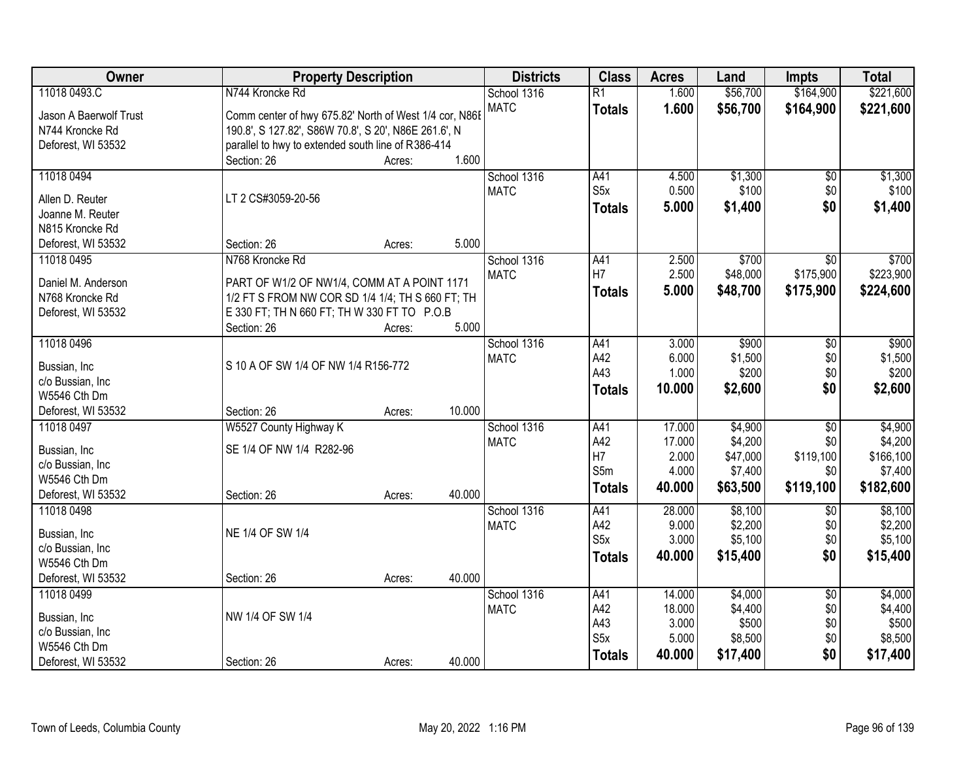| Owner                  | <b>Property Description</b>                            |        |        | <b>Districts</b> | <b>Class</b>     | <b>Acres</b>    | Land             | <b>Impts</b>    | <b>Total</b>     |
|------------------------|--------------------------------------------------------|--------|--------|------------------|------------------|-----------------|------------------|-----------------|------------------|
| 11018 0493.C           | N744 Kroncke Rd                                        |        |        | School 1316      | $\overline{R1}$  | 1.600           | \$56,700         | \$164,900       | \$221,600        |
| Jason A Baerwolf Trust | Comm center of hwy 675.82' North of West 1/4 cor, N86E |        |        | <b>MATC</b>      | <b>Totals</b>    | 1.600           | \$56,700         | \$164,900       | \$221,600        |
| N744 Kroncke Rd        | 190.8', S 127.82', S86W 70.8', S 20', N86E 261.6', N   |        |        |                  |                  |                 |                  |                 |                  |
| Deforest, WI 53532     | parallel to hwy to extended south line of R386-414     |        |        |                  |                  |                 |                  |                 |                  |
|                        | Section: 26                                            | Acres: | 1.600  |                  |                  |                 |                  |                 |                  |
| 11018 0494             |                                                        |        |        | School 1316      | A41              | 4.500           | \$1,300          | $\overline{50}$ | \$1,300          |
|                        |                                                        |        |        | <b>MATC</b>      | S5x              | 0.500           | \$100            | \$0             | \$100            |
| Allen D. Reuter        | LT 2 CS#3059-20-56                                     |        |        |                  | <b>Totals</b>    | 5.000           | \$1,400          | \$0             | \$1,400          |
| Joanne M. Reuter       |                                                        |        |        |                  |                  |                 |                  |                 |                  |
| N815 Kroncke Rd        |                                                        |        |        |                  |                  |                 |                  |                 |                  |
| Deforest, WI 53532     | Section: 26                                            | Acres: | 5.000  |                  |                  |                 |                  |                 |                  |
| 11018 0495             | N768 Kroncke Rd                                        |        |        | School 1316      | A41              | 2.500           | \$700            | $\overline{50}$ | \$700            |
| Daniel M. Anderson     | PART OF W1/2 OF NW1/4, COMM AT A POINT 1171            |        |        | <b>MATC</b>      | H7               | 2.500           | \$48,000         | \$175,900       | \$223,900        |
| N768 Kroncke Rd        | 1/2 FT S FROM NW COR SD 1/4 1/4; TH S 660 FT; TH       |        |        |                  | <b>Totals</b>    | 5.000           | \$48,700         | \$175,900       | \$224,600        |
| Deforest, WI 53532     | E 330 FT; TH N 660 FT; TH W 330 FT TO P.O.B            |        |        |                  |                  |                 |                  |                 |                  |
|                        | Section: 26                                            | Acres: | 5.000  |                  |                  |                 |                  |                 |                  |
| 11018 0496             |                                                        |        |        | School 1316      | A41              | 3.000           | \$900            | \$0             | \$900            |
|                        |                                                        |        |        | <b>MATC</b>      | A42              | 6.000           | \$1,500          | \$0             | \$1,500          |
| Bussian, Inc           | S 10 A OF SW 1/4 OF NW 1/4 R156-772                    |        |        |                  | A43              | 1.000           | \$200            | \$0             | \$200            |
| c/o Bussian, Inc       |                                                        |        |        |                  | <b>Totals</b>    | 10.000          | \$2,600          | \$0             | \$2,600          |
| W5546 Cth Dm           |                                                        |        |        |                  |                  |                 |                  |                 |                  |
| Deforest, WI 53532     | Section: 26                                            | Acres: | 10.000 |                  |                  |                 |                  |                 |                  |
| 11018 0497             | W5527 County Highway K                                 |        |        | School 1316      | A41              | 17.000          | \$4,900          | $\overline{30}$ | \$4,900          |
| Bussian, Inc           | SE 1/4 OF NW 1/4 R282-96                               |        |        | <b>MATC</b>      | A42              | 17.000          | \$4,200          | \$0             | \$4,200          |
| c/o Bussian, Inc       |                                                        |        |        |                  | H7               | 2.000           | \$47,000         | \$119,100       | \$166,100        |
| W5546 Cth Dm           |                                                        |        |        |                  | S5m              | 4.000           | \$7,400          | \$0             | \$7,400          |
| Deforest, WI 53532     | Section: 26                                            | Acres: | 40.000 |                  | <b>Totals</b>    | 40.000          | \$63,500         | \$119,100       | \$182,600        |
| 11018 0498             |                                                        |        |        | School 1316      | A41              | 28.000          | \$8,100          | $\overline{50}$ | \$8,100          |
|                        | NE 1/4 OF SW 1/4                                       |        |        | <b>MATC</b>      | A42              | 9.000           | \$2,200          | \$0             | \$2,200          |
| Bussian, Inc           |                                                        |        |        |                  | S5x              | 3.000           | \$5,100          | \$0             | \$5,100          |
| c/o Bussian, Inc       |                                                        |        |        |                  | <b>Totals</b>    | 40.000          | \$15,400         | \$0             | \$15,400         |
| W5546 Cth Dm           |                                                        |        |        |                  |                  |                 |                  |                 |                  |
| Deforest, WI 53532     | Section: 26                                            | Acres: | 40.000 |                  |                  |                 |                  |                 |                  |
| 11018 0499             |                                                        |        |        | School 1316      | A41              | 14.000          | \$4,000          | $\overline{50}$ | \$4,000          |
| Bussian, Inc           | NW 1/4 OF SW 1/4                                       |        |        | <b>MATC</b>      | A42<br>A43       | 18.000<br>3.000 | \$4,400<br>\$500 | \$0<br>\$0      | \$4,400<br>\$500 |
| c/o Bussian, Inc       |                                                        |        |        |                  | S <sub>5</sub> x |                 |                  |                 | \$8,500          |
| W5546 Cth Dm           |                                                        |        |        |                  |                  | 5.000           | \$8,500          | \$0<br>\$0      |                  |
| Deforest, WI 53532     | Section: 26                                            | Acres: | 40.000 |                  | <b>Totals</b>    | 40.000          | \$17,400         |                 | \$17,400         |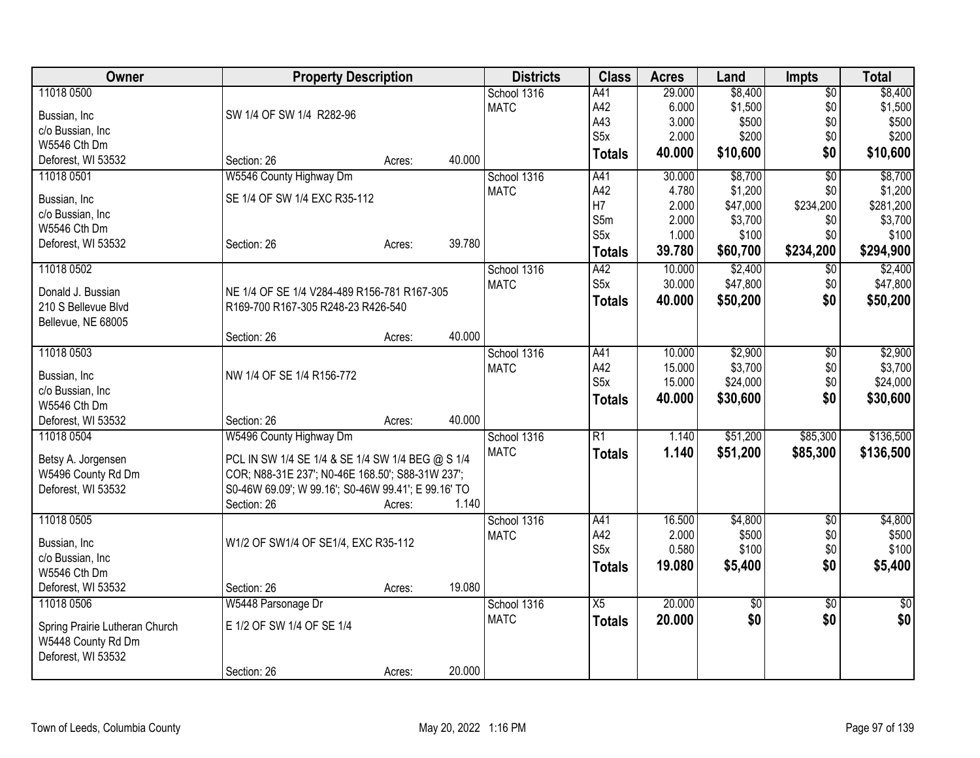| Owner                          | <b>Property Description</b>                         |        |        | <b>Districts</b> | <b>Class</b>     | <b>Acres</b> | Land     | <b>Impts</b>    | <b>Total</b> |
|--------------------------------|-----------------------------------------------------|--------|--------|------------------|------------------|--------------|----------|-----------------|--------------|
| 11018 0500                     |                                                     |        |        | School 1316      | A41              | 29.000       | \$8,400  | $\overline{50}$ | \$8,400      |
| Bussian, Inc                   | SW 1/4 OF SW 1/4 R282-96                            |        |        | <b>MATC</b>      | A42              | 6.000        | \$1,500  | \$0             | \$1,500      |
| c/o Bussian, Inc               |                                                     |        |        |                  | A43              | 3.000        | \$500    | \$0             | \$500        |
| W5546 Cth Dm                   |                                                     |        |        |                  | S <sub>5</sub> x | 2.000        | \$200    | \$0             | \$200        |
| Deforest, WI 53532             | Section: 26                                         | Acres: | 40.000 |                  | <b>Totals</b>    | 40.000       | \$10,600 | \$0             | \$10,600     |
| 11018 0501                     | W5546 County Highway Dm                             |        |        | School 1316      | A41              | 30.000       | \$8,700  | $\overline{50}$ | \$8,700      |
| Bussian, Inc                   | SE 1/4 OF SW 1/4 EXC R35-112                        |        |        | <b>MATC</b>      | A42              | 4.780        | \$1,200  | \$0             | \$1,200      |
| c/o Bussian, Inc               |                                                     |        |        |                  | H <sub>7</sub>   | 2.000        | \$47,000 | \$234,200       | \$281,200    |
| W5546 Cth Dm                   |                                                     |        |        |                  | S5m              | 2.000        | \$3,700  | \$0             | \$3,700      |
| Deforest, WI 53532             | Section: 26                                         | Acres: | 39.780 |                  | S5x              | 1.000        | \$100    | \$0             | \$100        |
|                                |                                                     |        |        |                  | <b>Totals</b>    | 39.780       | \$60,700 | \$234,200       | \$294,900    |
| 11018 0502                     |                                                     |        |        | School 1316      | A42              | 10.000       | \$2,400  | $\overline{50}$ | \$2,400      |
| Donald J. Bussian              | NE 1/4 OF SE 1/4 V284-489 R156-781 R167-305         |        |        | <b>MATC</b>      | S <sub>5</sub> x | 30.000       | \$47,800 | \$0\$           | \$47,800     |
| 210 S Bellevue Blvd            | R169-700 R167-305 R248-23 R426-540                  |        |        |                  | <b>Totals</b>    | 40.000       | \$50,200 | \$0             | \$50,200     |
| Bellevue, NE 68005             |                                                     |        |        |                  |                  |              |          |                 |              |
|                                | Section: 26                                         | Acres: | 40.000 |                  |                  |              |          |                 |              |
| 11018 0503                     |                                                     |        |        | School 1316      | A41              | 10.000       | \$2,900  | $\overline{50}$ | \$2,900      |
|                                |                                                     |        |        | <b>MATC</b>      | A42              | 15.000       | \$3,700  | \$0             | \$3,700      |
| Bussian, Inc                   | NW 1/4 OF SE 1/4 R156-772                           |        |        |                  | S <sub>5</sub> x | 15.000       | \$24,000 | \$0             | \$24,000     |
| c/o Bussian, Inc               |                                                     |        |        |                  | <b>Totals</b>    | 40.000       | \$30,600 | \$0             | \$30,600     |
| W5546 Cth Dm                   |                                                     |        |        |                  |                  |              |          |                 |              |
| Deforest, WI 53532             | Section: 26                                         | Acres: | 40.000 |                  |                  |              |          |                 |              |
| 11018 0504                     | W5496 County Highway Dm                             |        |        | School 1316      | $\overline{R1}$  | 1.140        | \$51,200 | \$85,300        | \$136,500    |
| Betsy A. Jorgensen             | PCL IN SW 1/4 SE 1/4 & SE 1/4 SW 1/4 BEG @ S 1/4    |        |        | <b>MATC</b>      | <b>Totals</b>    | 1.140        | \$51,200 | \$85,300        | \$136,500    |
| W5496 County Rd Dm             | COR; N88-31E 237'; N0-46E 168.50'; S88-31W 237';    |        |        |                  |                  |              |          |                 |              |
| Deforest, WI 53532             | S0-46W 69.09'; W 99.16'; S0-46W 99.41'; E 99.16' TO |        |        |                  |                  |              |          |                 |              |
|                                | Section: 26                                         | Acres: | 1.140  |                  |                  |              |          |                 |              |
| 11018 0505                     |                                                     |        |        | School 1316      | A41              | 16.500       | \$4,800  | $\sqrt[6]{30}$  | \$4,800      |
|                                |                                                     |        |        | <b>MATC</b>      | A42              | 2.000        | \$500    | \$0             | \$500        |
| Bussian, Inc                   | W1/2 OF SW1/4 OF SE1/4, EXC R35-112                 |        |        |                  | S5x              | 0.580        | \$100    | \$0\$           | \$100        |
| c/o Bussian, Inc               |                                                     |        |        |                  | <b>Totals</b>    | 19.080       | \$5,400  | \$0             | \$5,400      |
| W5546 Cth Dm                   |                                                     |        |        |                  |                  |              |          |                 |              |
| Deforest, WI 53532             | Section: 26                                         | Acres: | 19.080 |                  |                  |              |          |                 |              |
| 11018 0506                     | W5448 Parsonage Dr                                  |        |        | School 1316      | X5               | 20.000       | \$0      | \$0             | \$0          |
| Spring Prairie Lutheran Church | E 1/2 OF SW 1/4 OF SE 1/4                           |        |        | <b>MATC</b>      | <b>Totals</b>    | 20.000       | \$0      | \$0             | \$0          |
| W5448 County Rd Dm             |                                                     |        |        |                  |                  |              |          |                 |              |
| Deforest, WI 53532             |                                                     |        |        |                  |                  |              |          |                 |              |
|                                | Section: 26                                         | Acres: | 20.000 |                  |                  |              |          |                 |              |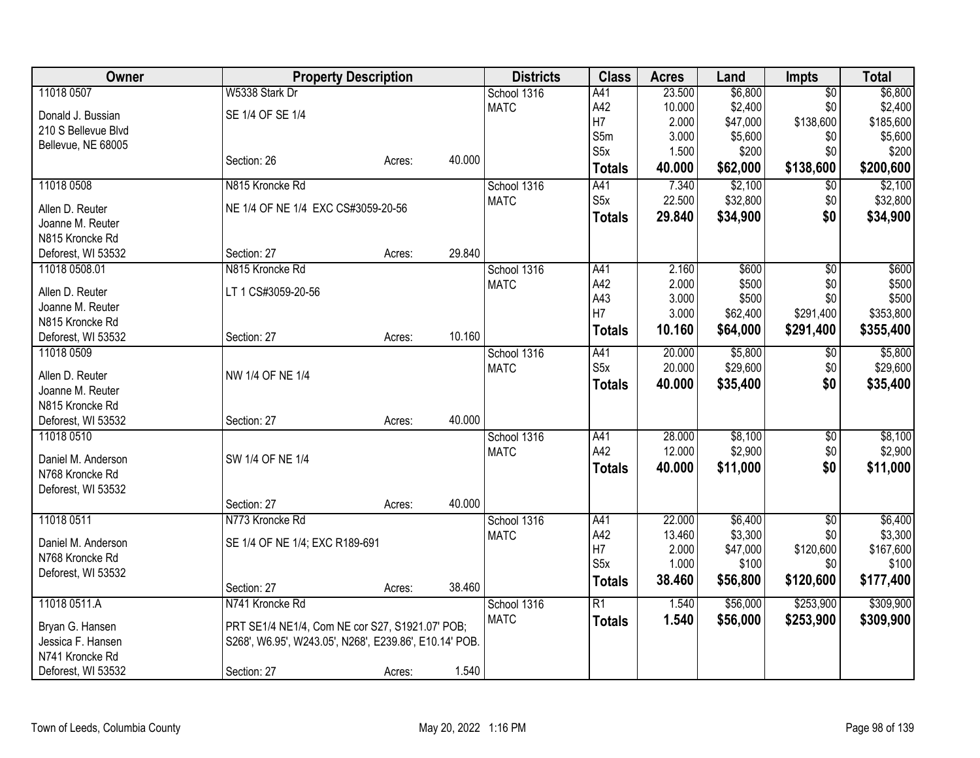| <b>Class</b><br>Owner<br><b>Property Description</b><br><b>Districts</b><br><b>Acres</b><br>Land                                                  | <b>Total</b><br><b>Impts</b>      |
|---------------------------------------------------------------------------------------------------------------------------------------------------|-----------------------------------|
| 11018 0507<br>W5338 Stark Dr<br>23.500<br>\$6,800<br>School 1316<br>A41                                                                           | \$6,800<br>$\overline{50}$        |
| A42<br>10.000<br>\$2,400<br><b>MATC</b><br>SE 1/4 OF SE 1/4<br>Donald J. Bussian                                                                  | \$0<br>\$2,400                    |
| H7<br>2.000<br>\$47,000<br>210 S Bellevue Blvd                                                                                                    | \$138,600<br>\$185,600            |
| S5m<br>3.000<br>\$5,600<br>Bellevue, NE 68005                                                                                                     | \$0<br>\$5,600                    |
| S5x<br>1.500<br>\$200<br>40.000<br>Section: 26<br>Acres:                                                                                          | \$0<br>\$200                      |
| 40.000<br>\$62,000<br><b>Totals</b>                                                                                                               | \$138,600<br>\$200,600            |
| \$2,100<br>11018 0508<br>N815 Kroncke Rd<br>A41<br>7.340<br>School 1316                                                                           | \$2,100<br>$\overline{50}$        |
| S5x<br>22.500<br>\$32,800<br><b>MATC</b><br>NE 1/4 OF NE 1/4 EXC CS#3059-20-56<br>Allen D. Reuter                                                 | \$0<br>\$32,800                   |
| 29.840<br>\$34,900<br><b>Totals</b><br>Joanne M. Reuter                                                                                           | \$0<br>\$34,900                   |
| N815 Kroncke Rd                                                                                                                                   |                                   |
| 29.840<br>Deforest, WI 53532<br>Section: 27<br>Acres:                                                                                             |                                   |
| 11018 0508.01<br>N815 Kroncke Rd<br>2.160<br>\$600<br>School 1316<br>A41                                                                          | $\overline{50}$<br>\$600          |
| A42<br>2.000<br>\$500<br><b>MATC</b><br>LT 1 CS#3059-20-56<br>Allen D. Reuter                                                                     | \$500<br>\$0                      |
| A43<br>3.000<br>\$500<br>Joanne M. Reuter                                                                                                         | \$500<br>\$0                      |
| H7<br>3.000<br>\$62,400<br>N815 Kroncke Rd                                                                                                        | \$353,800<br>\$291,400            |
| 10.160<br>\$64,000<br><b>Totals</b><br>10.160<br>Deforest, WI 53532<br>Section: 27<br>Acres:                                                      | \$291,400<br>\$355,400            |
| 20.000<br>\$5,800<br>11018 0509<br>School 1316<br>A41                                                                                             | \$5,800<br>$\sqrt{6}$             |
| S <sub>5</sub> x<br>20.000<br>\$29,600<br><b>MATC</b>                                                                                             | \$0<br>\$29,600                   |
| NW 1/4 OF NE 1/4<br>Allen D. Reuter<br>\$35,400<br>40.000<br><b>Totals</b>                                                                        | \$0<br>\$35,400                   |
| Joanne M. Reuter                                                                                                                                  |                                   |
| N815 Kroncke Rd<br>40.000                                                                                                                         |                                   |
| Deforest, WI 53532<br>Section: 27<br>Acres:<br>28.000<br>\$8,100<br>11018 0510                                                                    | \$8,100                           |
| School 1316<br>A41<br>A42<br>\$2,900<br><b>MATC</b><br>12.000                                                                                     | $\overline{60}$<br>\$0<br>\$2,900 |
| SW 1/4 OF NE 1/4<br>Daniel M. Anderson<br>\$11,000<br>40.000                                                                                      | \$0<br>\$11,000                   |
| <b>Totals</b><br>N768 Kroncke Rd                                                                                                                  |                                   |
| Deforest, WI 53532                                                                                                                                |                                   |
| 40.000<br>Section: 27<br>Acres:                                                                                                                   |                                   |
| N773 Kroncke Rd<br>11018 0511<br>22.000<br>\$6,400<br>School 1316<br>A41                                                                          | $\overline{50}$<br>\$6,400        |
| \$3,300<br><b>MATC</b><br>A42<br>13.460<br>SE 1/4 OF NE 1/4; EXC R189-691<br>Daniel M. Anderson                                                   | \$3,300<br>\$0                    |
| H7<br>2.000<br>\$47,000<br>N768 Kroncke Rd                                                                                                        | \$120,600<br>\$167,600            |
| S <sub>5</sub> x<br>1.000<br>\$100<br>Deforest, WI 53532                                                                                          | \$100<br>\$0                      |
| 38.460<br>\$56,800<br><b>Totals</b><br>38.460<br>Section: 27<br>Acres:                                                                            | \$120,600<br>\$177,400            |
| 11018 0511.A<br>N741 Kroncke Rd<br>\$56,000<br>School 1316<br>R1<br>1.540                                                                         | \$309,900<br>\$253,900            |
| <b>MATC</b><br>1.540<br>\$56,000<br><b>Totals</b>                                                                                                 | \$253,900<br>\$309,900            |
| PRT SE1/4 NE1/4, Com NE cor S27, S1921.07' POB;<br>Bryan G. Hansen<br>Jessica F. Hansen<br>S268', W6.95', W243.05', N268', E239.86', E10.14' POB. |                                   |
| N741 Kroncke Rd                                                                                                                                   |                                   |
| 1.540<br>Deforest, WI 53532<br>Section: 27<br>Acres:                                                                                              |                                   |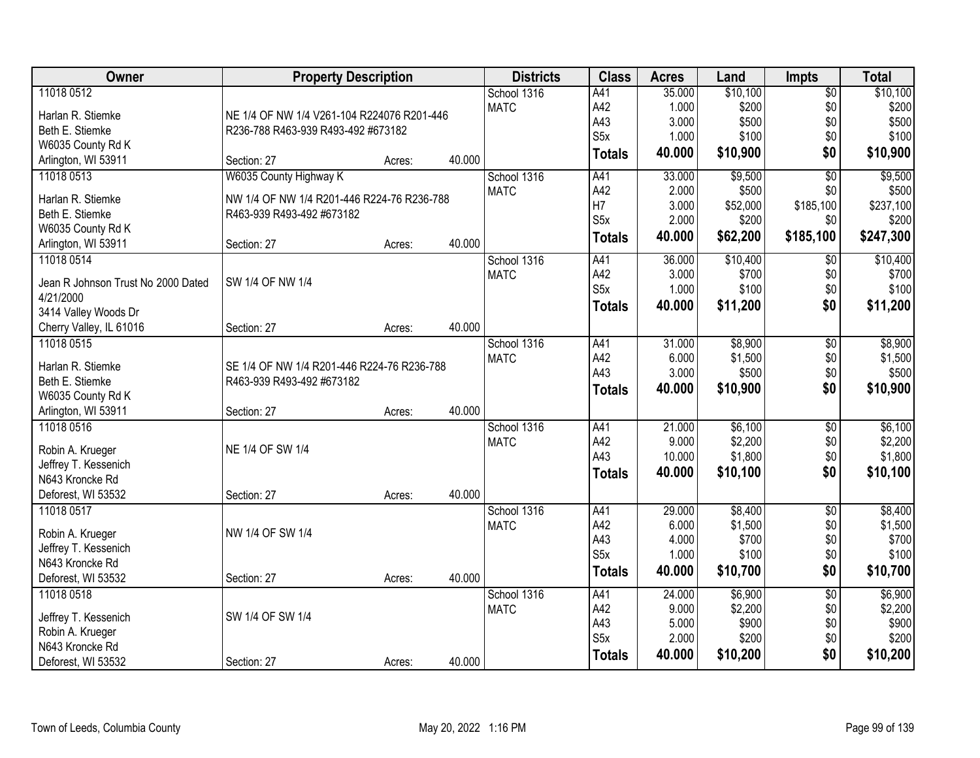| Owner                              | <b>Property Description</b>                |        |        | <b>Districts</b> | <b>Class</b>     | <b>Acres</b> | Land     | <b>Impts</b>    | <b>Total</b> |
|------------------------------------|--------------------------------------------|--------|--------|------------------|------------------|--------------|----------|-----------------|--------------|
| 11018 0512                         |                                            |        |        | School 1316      | A41              | 35.000       | \$10,100 | $\overline{50}$ | \$10,100     |
| Harlan R. Stiemke                  | NE 1/4 OF NW 1/4 V261-104 R224076 R201-446 |        |        | <b>MATC</b>      | A42              | 1.000        | \$200    | \$0             | \$200        |
| Beth E. Stiemke                    | R236-788 R463-939 R493-492 #673182         |        |        |                  | A43              | 3.000        | \$500    | \$0             | \$500        |
| W6035 County Rd K                  |                                            |        |        |                  | S <sub>5</sub> x | 1.000        | \$100    | \$0             | \$100        |
| Arlington, WI 53911                | Section: 27                                | Acres: | 40.000 |                  | <b>Totals</b>    | 40.000       | \$10,900 | \$0             | \$10,900     |
| 11018 0513                         | W6035 County Highway K                     |        |        | School 1316      | A41              | 33.000       | \$9,500  | $\overline{50}$ | \$9,500      |
| Harlan R. Stiemke                  | NW 1/4 OF NW 1/4 R201-446 R224-76 R236-788 |        |        | <b>MATC</b>      | A42              | 2.000        | \$500    | \$0             | \$500        |
| Beth E. Stiemke                    | R463-939 R493-492 #673182                  |        |        |                  | H7               | 3.000        | \$52,000 | \$185,100       | \$237,100    |
| W6035 County Rd K                  |                                            |        |        |                  | S <sub>5</sub> x | 2.000        | \$200    | \$0             | \$200        |
| Arlington, WI 53911                | Section: 27                                | Acres: | 40.000 |                  | <b>Totals</b>    | 40.000       | \$62,200 | \$185,100       | \$247,300    |
| 11018 0514                         |                                            |        |        | School 1316      | A41              | 36.000       | \$10,400 | $\sqrt[6]{}$    | \$10,400     |
|                                    |                                            |        |        | <b>MATC</b>      | A42              | 3.000        | \$700    | \$0             | \$700        |
| Jean R Johnson Trust No 2000 Dated | SW 1/4 OF NW 1/4                           |        |        |                  | S <sub>5</sub> x | 1.000        | \$100    | \$0             | \$100        |
| 4/21/2000                          |                                            |        |        |                  |                  | 40.000       | \$11,200 | \$0             | \$11,200     |
| 3414 Valley Woods Dr               |                                            |        |        |                  | <b>Totals</b>    |              |          |                 |              |
| Cherry Valley, IL 61016            | Section: 27                                | Acres: | 40.000 |                  |                  |              |          |                 |              |
| 11018 0515                         |                                            |        |        | School 1316      | A41              | 31.000       | \$8,900  | \$0             | \$8,900      |
| Harlan R. Stiemke                  | SE 1/4 OF NW 1/4 R201-446 R224-76 R236-788 |        |        | <b>MATC</b>      | A42              | 6.000        | \$1,500  | \$0             | \$1,500      |
| Beth E. Stiemke                    | R463-939 R493-492 #673182                  |        |        |                  | A43              | 3.000        | \$500    | \$0             | \$500        |
| W6035 County Rd K                  |                                            |        |        |                  | <b>Totals</b>    | 40.000       | \$10,900 | \$0             | \$10,900     |
| Arlington, WI 53911                | Section: 27                                |        | 40.000 |                  |                  |              |          |                 |              |
| 11018 0516                         |                                            | Acres: |        | School 1316      | A41              | 21.000       | \$6,100  | $\overline{50}$ | \$6,100      |
|                                    |                                            |        |        | <b>MATC</b>      | A42              | 9.000        | \$2,200  | \$0             | \$2,200      |
| Robin A. Krueger                   | NE 1/4 OF SW 1/4                           |        |        |                  | A43              | 10.000       | \$1,800  | \$0             | \$1,800      |
| Jeffrey T. Kessenich               |                                            |        |        |                  |                  | 40.000       |          | \$0             |              |
| N643 Kroncke Rd                    |                                            |        |        |                  | <b>Totals</b>    |              | \$10,100 |                 | \$10,100     |
| Deforest, WI 53532                 | Section: 27                                | Acres: | 40.000 |                  |                  |              |          |                 |              |
| 11018 0517                         |                                            |        |        | School 1316      | A41              | 29.000       | \$8,400  | $\overline{50}$ | \$8,400      |
| Robin A. Krueger                   | NW 1/4 OF SW 1/4                           |        |        | <b>MATC</b>      | A42              | 6.000        | \$1,500  | \$0             | \$1,500      |
| Jeffrey T. Kessenich               |                                            |        |        |                  | A43              | 4.000        | \$700    | \$0             | \$700        |
| N643 Kroncke Rd                    |                                            |        |        |                  | S <sub>5</sub> x | 1.000        | \$100    | \$0             | \$100        |
| Deforest, WI 53532                 | Section: 27                                | Acres: | 40.000 |                  | <b>Totals</b>    | 40.000       | \$10,700 | \$0             | \$10,700     |
| 11018 0518                         |                                            |        |        | School 1316      | A41              | 24.000       | \$6,900  | $\overline{50}$ | \$6,900      |
|                                    |                                            |        |        | <b>MATC</b>      | A42              | 9.000        | \$2,200  | \$0             | \$2,200      |
| Jeffrey T. Kessenich               | SW 1/4 OF SW 1/4                           |        |        |                  | A43              | 5.000        | \$900    | \$0             | \$900        |
| Robin A. Krueger                   |                                            |        |        |                  | S <sub>5</sub> x | 2.000        | \$200    | \$0             | \$200        |
| N643 Kroncke Rd                    |                                            |        |        |                  | <b>Totals</b>    | 40.000       | \$10,200 | \$0             | \$10,200     |
| Deforest, WI 53532                 | Section: 27                                | Acres: | 40.000 |                  |                  |              |          |                 |              |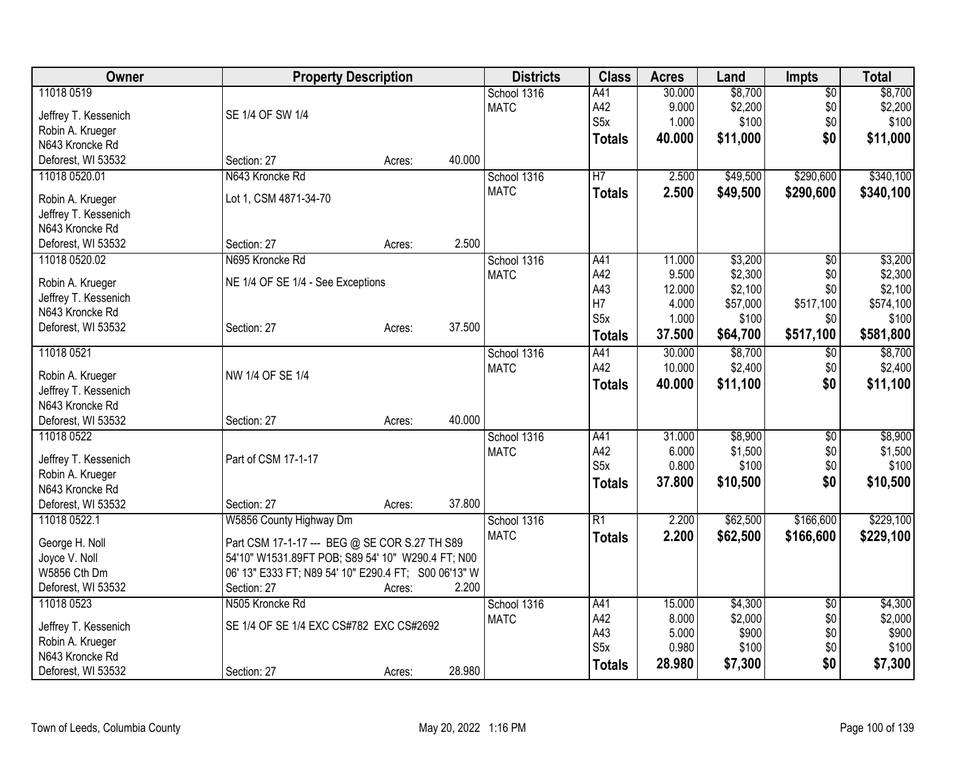| Owner                         | <b>Property Description</b>                                                                        |        |        | <b>Districts</b> | <b>Class</b>            | <b>Acres</b>   | Land             | <b>Impts</b>    | <b>Total</b>     |
|-------------------------------|----------------------------------------------------------------------------------------------------|--------|--------|------------------|-------------------------|----------------|------------------|-----------------|------------------|
| 11018 0519                    |                                                                                                    |        |        | School 1316      | A41                     | 30.000         | \$8,700          | $\overline{50}$ | \$8,700          |
| Jeffrey T. Kessenich          | SE 1/4 OF SW 1/4                                                                                   |        |        | <b>MATC</b>      | A42                     | 9.000          | \$2,200          | \$0             | \$2,200          |
| Robin A. Krueger              |                                                                                                    |        |        |                  | S <sub>5</sub> x        | 1.000          | \$100            | \$0             | \$100            |
| N643 Kroncke Rd               |                                                                                                    |        |        |                  | <b>Totals</b>           | 40.000         | \$11,000         | \$0             | \$11,000         |
| Deforest, WI 53532            | Section: 27                                                                                        | Acres: | 40.000 |                  |                         |                |                  |                 |                  |
| 11018 0520.01                 | N643 Kroncke Rd                                                                                    |        |        | School 1316      | H <sub>7</sub>          | 2.500          | \$49,500         | \$290,600       | \$340,100        |
|                               |                                                                                                    |        |        | <b>MATC</b>      |                         | 2.500          | \$49,500         | \$290,600       | \$340,100        |
| Robin A. Krueger              | Lot 1, CSM 4871-34-70                                                                              |        |        |                  | <b>Totals</b>           |                |                  |                 |                  |
| Jeffrey T. Kessenich          |                                                                                                    |        |        |                  |                         |                |                  |                 |                  |
| N643 Kroncke Rd               |                                                                                                    |        |        |                  |                         |                |                  |                 |                  |
| Deforest, WI 53532            | Section: 27                                                                                        | Acres: | 2.500  |                  |                         |                |                  |                 |                  |
| 11018 0520.02                 | N695 Kroncke Rd                                                                                    |        |        | School 1316      | A41                     | 11.000         | \$3,200          | $\overline{50}$ | \$3,200          |
| Robin A. Krueger              | NE 1/4 OF SE 1/4 - See Exceptions                                                                  |        |        | <b>MATC</b>      | A42                     | 9.500          | \$2,300          | \$0             | \$2,300          |
| Jeffrey T. Kessenich          |                                                                                                    |        |        |                  | A43                     | 12.000         | \$2,100          | \$0             | \$2,100          |
| N643 Kroncke Rd               |                                                                                                    |        |        |                  | H7                      | 4.000          | \$57,000         | \$517,100       | \$574,100        |
| Deforest, WI 53532            | Section: 27                                                                                        | Acres: | 37.500 |                  | S <sub>5</sub> x        | 1.000          | \$100            | \$0             | \$100            |
|                               |                                                                                                    |        |        |                  | <b>Totals</b>           | 37.500         | \$64,700         | \$517,100       | \$581,800        |
| 11018 0521                    |                                                                                                    |        |        | School 1316      | A41                     | 30.000         | \$8,700          | $\overline{60}$ | \$8,700          |
|                               |                                                                                                    |        |        | <b>MATC</b>      | A42                     | 10.000         | \$2,400          | \$0             | \$2,400          |
| Robin A. Krueger              | NW 1/4 OF SE 1/4                                                                                   |        |        |                  | <b>Totals</b>           | 40.000         | \$11,100         | \$0             | \$11,100         |
| Jeffrey T. Kessenich          |                                                                                                    |        |        |                  |                         |                |                  |                 |                  |
| N643 Kroncke Rd               |                                                                                                    |        | 40.000 |                  |                         |                |                  |                 |                  |
| Deforest, WI 53532            | Section: 27                                                                                        | Acres: |        |                  |                         |                |                  |                 |                  |
| 11018 0522                    |                                                                                                    |        |        | School 1316      | A41                     | 31.000         | \$8,900          | $\overline{50}$ | \$8,900          |
| Jeffrey T. Kessenich          | Part of CSM 17-1-17                                                                                |        |        | <b>MATC</b>      | A42<br>S <sub>5</sub> x | 6.000<br>0.800 | \$1,500<br>\$100 | \$0<br>\$0      | \$1,500<br>\$100 |
| Robin A. Krueger              |                                                                                                    |        |        |                  |                         |                |                  |                 |                  |
| N643 Kroncke Rd               |                                                                                                    |        |        |                  | <b>Totals</b>           | 37.800         | \$10,500         | \$0             | \$10,500         |
| Deforest, WI 53532            | Section: 27                                                                                        | Acres: | 37.800 |                  |                         |                |                  |                 |                  |
| 11018 0522.1                  | W5856 County Highway Dm                                                                            |        |        | School 1316      | $\overline{R1}$         | 2.200          | \$62,500         | \$166,600       | \$229,100        |
|                               |                                                                                                    |        |        | <b>MATC</b>      | <b>Totals</b>           | 2.200          | \$62,500         | \$166,600       | \$229,100        |
| George H. Noll                | Part CSM 17-1-17 --- BEG @ SE COR S.27 TH S89<br>54'10" W1531.89FT POB; S89 54' 10" W290.4 FT; N00 |        |        |                  |                         |                |                  |                 |                  |
| Joyce V. Noll<br>W5856 Cth Dm |                                                                                                    |        |        |                  |                         |                |                  |                 |                  |
| Deforest, WI 53532            | 06' 13" E333 FT; N89 54' 10" E290.4 FT; S00 06'13" W<br>Section: 27                                | Acres: | 2.200  |                  |                         |                |                  |                 |                  |
| 11018 0523                    | N505 Kroncke Rd                                                                                    |        |        | School 1316      | A41                     | 15.000         | \$4,300          |                 | \$4,300          |
|                               |                                                                                                    |        |        |                  | A42                     | 8.000          |                  | \$0             |                  |
| Jeffrey T. Kessenich          | SE 1/4 OF SE 1/4 EXC CS#782 EXC CS#2692                                                            |        |        | <b>MATC</b>      | A43                     | 5.000          | \$2,000<br>\$900 | \$0<br>\$0      | \$2,000<br>\$900 |
| Robin A. Krueger              |                                                                                                    |        |        |                  | S <sub>5</sub> x        | 0.980          | \$100            | \$0             | \$100            |
| N643 Kroncke Rd               |                                                                                                    |        |        |                  |                         | 28.980         | \$7,300          | \$0             | \$7,300          |
| Deforest, WI 53532            | Section: 27                                                                                        | Acres: | 28.980 |                  | <b>Totals</b>           |                |                  |                 |                  |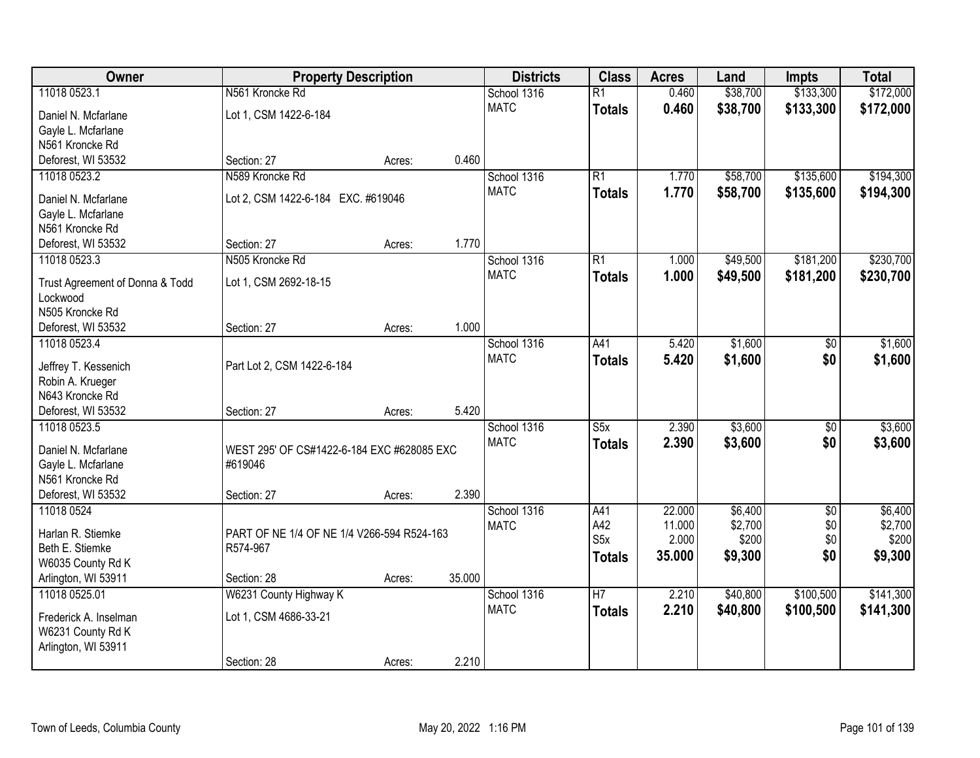| Owner                              |                                            | <b>Property Description</b> |        | <b>Districts</b>           | <b>Class</b>            | <b>Acres</b> | Land     | <b>Impts</b>    | <b>Total</b> |
|------------------------------------|--------------------------------------------|-----------------------------|--------|----------------------------|-------------------------|--------------|----------|-----------------|--------------|
| 11018 0523.1                       | N561 Kroncke Rd                            |                             |        | School 1316                | $\overline{R1}$         | 0.460        | \$38,700 | \$133,300       | \$172,000    |
| Daniel N. Mcfarlane                | Lot 1, CSM 1422-6-184                      |                             |        | <b>MATC</b>                | <b>Totals</b>           | 0.460        | \$38,700 | \$133,300       | \$172,000    |
| Gayle L. Mcfarlane                 |                                            |                             |        |                            |                         |              |          |                 |              |
| N561 Kroncke Rd                    |                                            |                             |        |                            |                         |              |          |                 |              |
| Deforest, WI 53532                 | Section: 27                                | Acres:                      | 0.460  |                            |                         |              |          |                 |              |
| 11018 0523.2                       | N589 Kroncke Rd                            |                             |        | School 1316                | $\overline{R1}$         | 1.770        | \$58,700 | \$135,600       | \$194,300    |
| Daniel N. Mcfarlane                | Lot 2, CSM 1422-6-184 EXC. #619046         |                             |        | <b>MATC</b>                | <b>Totals</b>           | 1.770        | \$58,700 | \$135,600       | \$194,300    |
| Gayle L. Mcfarlane                 |                                            |                             |        |                            |                         |              |          |                 |              |
| N561 Kroncke Rd                    |                                            |                             |        |                            |                         |              |          |                 |              |
| Deforest, WI 53532                 | Section: 27                                | Acres:                      | 1.770  |                            |                         |              |          |                 |              |
| 11018 0523.3                       | N505 Kroncke Rd                            |                             |        | School 1316                | R1                      | 1.000        | \$49,500 | \$181,200       | \$230,700    |
|                                    |                                            |                             |        | <b>MATC</b>                | <b>Totals</b>           | 1.000        | \$49,500 | \$181,200       | \$230,700    |
| Trust Agreement of Donna & Todd    | Lot 1, CSM 2692-18-15                      |                             |        |                            |                         |              |          |                 |              |
| Lockwood                           |                                            |                             |        |                            |                         |              |          |                 |              |
| N505 Kroncke Rd                    |                                            |                             |        |                            |                         |              |          |                 |              |
| Deforest, WI 53532<br>11018 0523.4 | Section: 27                                | Acres:                      | 1.000  |                            |                         | 5.420        | \$1,600  |                 | \$1,600      |
|                                    |                                            |                             |        | School 1316<br><b>MATC</b> | A41                     |              |          | $\sqrt[6]{}$    |              |
| Jeffrey T. Kessenich               | Part Lot 2, CSM 1422-6-184                 |                             |        |                            | <b>Totals</b>           | 5.420        | \$1,600  | \$0             | \$1,600      |
| Robin A. Krueger                   |                                            |                             |        |                            |                         |              |          |                 |              |
| N643 Kroncke Rd                    |                                            |                             |        |                            |                         |              |          |                 |              |
| Deforest, WI 53532                 | Section: 27                                | Acres:                      | 5.420  |                            |                         |              |          |                 |              |
| 11018 0523.5                       |                                            |                             |        | School 1316                | $\overline{\text{S5x}}$ | 2.390        | \$3,600  | $\overline{50}$ | \$3,600      |
| Daniel N. Mcfarlane                | WEST 295' OF CS#1422-6-184 EXC #628085 EXC |                             |        | <b>MATC</b>                | <b>Totals</b>           | 2.390        | \$3,600  | \$0             | \$3,600      |
| Gayle L. Mcfarlane                 | #619046                                    |                             |        |                            |                         |              |          |                 |              |
| N561 Kroncke Rd                    |                                            |                             |        |                            |                         |              |          |                 |              |
| Deforest, WI 53532                 | Section: 27                                | Acres:                      | 2.390  |                            |                         |              |          |                 |              |
| 11018 0524                         |                                            |                             |        | School 1316                | A41                     | 22.000       | \$6,400  | $\overline{50}$ | \$6,400      |
| Harlan R. Stiemke                  | PART OF NE 1/4 OF NE 1/4 V266-594 R524-163 |                             |        | <b>MATC</b>                | A42                     | 11.000       | \$2,700  | \$0             | \$2,700      |
| Beth E. Stiemke                    | R574-967                                   |                             |        |                            | S <sub>5</sub> x        | 2.000        | \$200    | \$0             | \$200        |
| W6035 County Rd K                  |                                            |                             |        |                            | <b>Totals</b>           | 35.000       | \$9,300  | \$0             | \$9,300      |
| Arlington, WI 53911                | Section: 28                                | Acres:                      | 35.000 |                            |                         |              |          |                 |              |
| 11018 0525.01                      | W6231 County Highway K                     |                             |        | School 1316                | $\overline{H7}$         | 2.210        | \$40,800 | \$100,500       | \$141,300    |
|                                    |                                            |                             |        | <b>MATC</b>                | <b>Totals</b>           | 2.210        | \$40,800 | \$100,500       | \$141,300    |
| Frederick A. Inselman              | Lot 1, CSM 4686-33-21                      |                             |        |                            |                         |              |          |                 |              |
| W6231 County Rd K                  |                                            |                             |        |                            |                         |              |          |                 |              |
| Arlington, WI 53911                |                                            |                             | 2.210  |                            |                         |              |          |                 |              |
|                                    | Section: 28                                | Acres:                      |        |                            |                         |              |          |                 |              |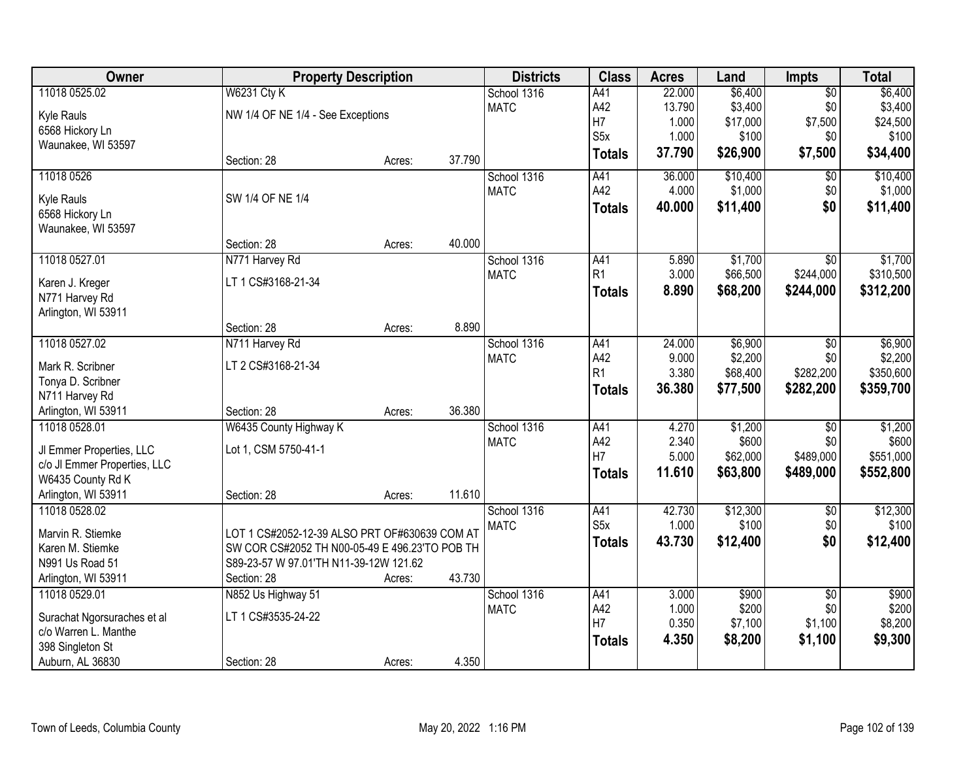| Owner                                               | <b>Property Description</b>                    |        |        | <b>Districts</b> | <b>Class</b>     | <b>Acres</b> | Land     | Impts           | <b>Total</b> |
|-----------------------------------------------------|------------------------------------------------|--------|--------|------------------|------------------|--------------|----------|-----------------|--------------|
| 11018 0525.02                                       | <b>W6231 Cty K</b>                             |        |        | School 1316      | A41              | 22.000       | \$6,400  | $\overline{60}$ | \$6,400      |
| Kyle Rauls                                          | NW 1/4 OF NE 1/4 - See Exceptions              |        |        | <b>MATC</b>      | A42              | 13.790       | \$3,400  | \$0             | \$3,400      |
| 6568 Hickory Ln                                     |                                                |        |        |                  | H7               | 1.000        | \$17,000 | \$7,500         | \$24,500     |
| Waunakee, WI 53597                                  |                                                |        |        |                  | S <sub>5</sub> x | 1.000        | \$100    | \$0             | \$100        |
|                                                     | Section: 28                                    | Acres: | 37.790 |                  | <b>Totals</b>    | 37.790       | \$26,900 | \$7,500         | \$34,400     |
| 11018 0526                                          |                                                |        |        | School 1316      | A41              | 36.000       | \$10,400 | \$0             | \$10,400     |
|                                                     | SW 1/4 OF NE 1/4                               |        |        | <b>MATC</b>      | A42              | 4.000        | \$1,000  | \$0             | \$1,000      |
| Kyle Rauls<br>6568 Hickory Ln                       |                                                |        |        |                  | <b>Totals</b>    | 40.000       | \$11,400 | \$0             | \$11,400     |
| Waunakee, WI 53597                                  |                                                |        |        |                  |                  |              |          |                 |              |
|                                                     | Section: 28                                    | Acres: | 40.000 |                  |                  |              |          |                 |              |
| 11018 0527.01                                       | N771 Harvey Rd                                 |        |        | School 1316      | A41              | 5.890        | \$1,700  | $\overline{50}$ | \$1,700      |
|                                                     |                                                |        |        | <b>MATC</b>      | R1               | 3.000        | \$66,500 | \$244,000       | \$310,500    |
| Karen J. Kreger                                     | LT 1 CS#3168-21-34                             |        |        |                  | <b>Totals</b>    | 8.890        | \$68,200 | \$244,000       | \$312,200    |
| N771 Harvey Rd                                      |                                                |        |        |                  |                  |              |          |                 |              |
| Arlington, WI 53911                                 | Section: 28                                    | Acres: | 8.890  |                  |                  |              |          |                 |              |
| 11018 0527.02                                       | N711 Harvey Rd                                 |        |        | School 1316      | A41              | 24.000       | \$6,900  | \$0             | \$6,900      |
|                                                     |                                                |        |        | <b>MATC</b>      | A42              | 9.000        | \$2,200  | \$0             | \$2,200      |
| Mark R. Scribner                                    | LT 2 CS#3168-21-34                             |        |        |                  | R1               | 3.380        | \$68,400 | \$282,200       | \$350,600    |
| Tonya D. Scribner                                   |                                                |        |        |                  | <b>Totals</b>    | 36.380       | \$77,500 | \$282,200       | \$359,700    |
| N711 Harvey Rd                                      |                                                |        |        |                  |                  |              |          |                 |              |
| Arlington, WI 53911                                 | Section: 28                                    | Acres: | 36.380 |                  |                  |              |          |                 |              |
| 11018 0528.01                                       | W6435 County Highway K                         |        |        | School 1316      | A41              | 4.270        | \$1,200  | $\overline{50}$ | \$1,200      |
| JI Emmer Properties, LLC                            | Lot 1, CSM 5750-41-1                           |        |        | <b>MATC</b>      | A42<br>H7        | 2.340        | \$600    | \$0             | \$600        |
| c/o JI Emmer Properties, LLC                        |                                                |        |        |                  |                  | 5.000        | \$62,000 | \$489,000       | \$551,000    |
| W6435 County Rd K                                   |                                                |        |        |                  | <b>Totals</b>    | 11.610       | \$63,800 | \$489,000       | \$552,800    |
| Arlington, WI 53911                                 | Section: 28                                    | Acres: | 11.610 |                  |                  |              |          |                 |              |
| 11018 0528.02                                       |                                                |        |        | School 1316      | A41              | 42.730       | \$12,300 | $\overline{50}$ | \$12,300     |
| Marvin R. Stiemke                                   | LOT 1 CS#2052-12-39 ALSO PRT OF#630639 COM AT  |        |        | <b>MATC</b>      | S <sub>5x</sub>  | 1.000        | \$100    | \$0             | \$100        |
| Karen M. Stiemke                                    | SW COR CS#2052 TH N00-05-49 E 496.23'TO POB TH |        |        |                  | <b>Totals</b>    | 43.730       | \$12,400 | \$0             | \$12,400     |
| N991 Us Road 51                                     | S89-23-57 W 97.01'TH N11-39-12W 121.62         |        |        |                  |                  |              |          |                 |              |
| Arlington, WI 53911                                 | Section: 28                                    | Acres: | 43.730 |                  |                  |              |          |                 |              |
| 11018 0529.01                                       | N852 Us Highway 51                             |        |        | School 1316      | A41              | 3.000        | \$900    | $\overline{50}$ | \$900        |
|                                                     | LT 1 CS#3535-24-22                             |        |        | <b>MATC</b>      | A42              | 1.000        | \$200    | \$0             | \$200        |
| Surachat Ngorsuraches et al<br>c/o Warren L. Manthe |                                                |        |        |                  | H7               | 0.350        | \$7,100  | \$1,100         | \$8,200      |
| 398 Singleton St                                    |                                                |        |        |                  | <b>Totals</b>    | 4.350        | \$8,200  | \$1,100         | \$9,300      |
| Auburn, AL 36830                                    | Section: 28                                    | Acres: | 4.350  |                  |                  |              |          |                 |              |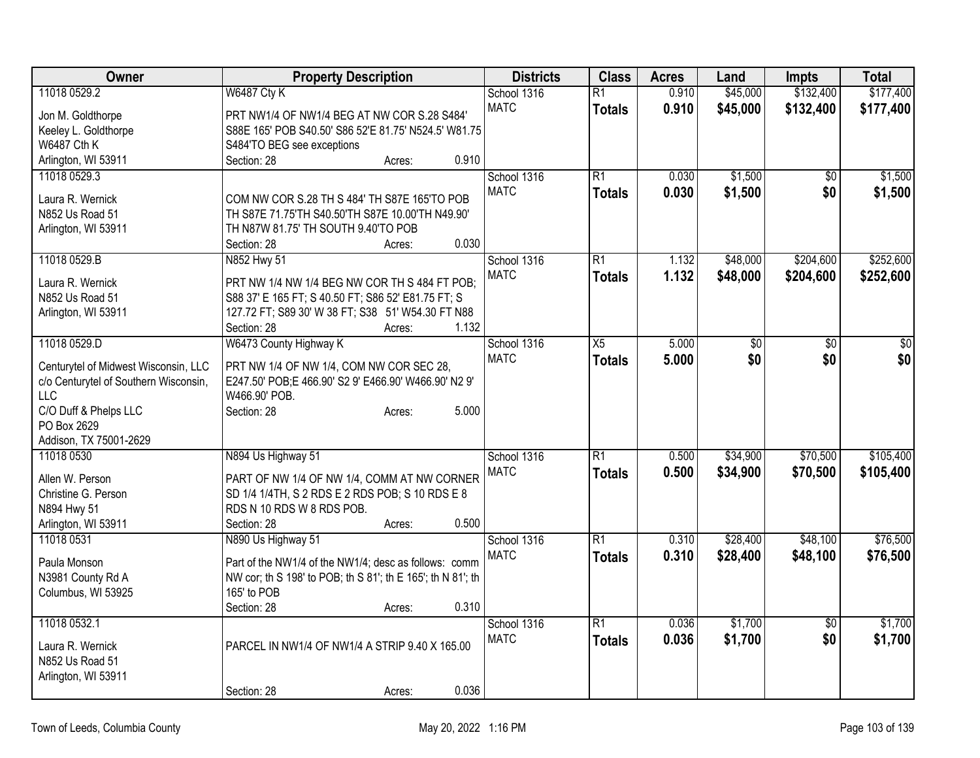| Owner                                 | <b>Property Description</b>                                                         | <b>Districts</b> | <b>Class</b>    | <b>Acres</b> | Land            | <b>Impts</b>    | <b>Total</b>    |
|---------------------------------------|-------------------------------------------------------------------------------------|------------------|-----------------|--------------|-----------------|-----------------|-----------------|
| 11018 0529.2                          | <b>W6487 Cty K</b>                                                                  | School 1316      | R1              | 0.910        | \$45,000        | \$132,400       | \$177,400       |
| Jon M. Goldthorpe                     | PRT NW1/4 OF NW1/4 BEG AT NW COR S.28 S484'                                         | <b>MATC</b>      | <b>Totals</b>   | 0.910        | \$45,000        | \$132,400       | \$177,400       |
| Keeley L. Goldthorpe                  | S88E 165' POB S40.50' S86 52'E 81.75' N524.5' W81.75                                |                  |                 |              |                 |                 |                 |
| <b>W6487 Cth K</b>                    | S484'TO BEG see exceptions                                                          |                  |                 |              |                 |                 |                 |
| Arlington, WI 53911                   | 0.910<br>Section: 28<br>Acres:                                                      |                  |                 |              |                 |                 |                 |
| 11018 0529.3                          |                                                                                     | School 1316      | R1              | 0.030        | \$1,500         | \$0             | \$1,500         |
| Laura R. Wernick                      | COM NW COR S.28 TH S 484' TH S87E 165'TO POB                                        | <b>MATC</b>      | <b>Totals</b>   | 0.030        | \$1,500         | \$0             | \$1,500         |
| N852 Us Road 51                       | TH S87E 71.75'TH S40.50'TH S87E 10.00'TH N49.90'                                    |                  |                 |              |                 |                 |                 |
| Arlington, WI 53911                   | TH N87W 81.75' TH SOUTH 9.40'TO POB                                                 |                  |                 |              |                 |                 |                 |
|                                       | 0.030<br>Section: 28<br>Acres:                                                      |                  |                 |              |                 |                 |                 |
| 11018 0529.B                          | N852 Hwy 51                                                                         | School 1316      | $\overline{R1}$ | 1.132        | \$48,000        | \$204,600       | \$252,600       |
|                                       |                                                                                     | <b>MATC</b>      | <b>Totals</b>   | 1.132        | \$48,000        | \$204,600       | \$252,600       |
| Laura R. Wernick                      | PRT NW 1/4 NW 1/4 BEG NW COR TH S 484 FT POB;                                       |                  |                 |              |                 |                 |                 |
| N852 Us Road 51                       | S88 37' E 165 FT; S 40.50 FT; S86 52' E81.75 FT; S                                  |                  |                 |              |                 |                 |                 |
| Arlington, WI 53911                   | 127.72 FT; S89 30' W 38 FT; S38 51' W54.30 FT N88<br>1.132<br>Section: 28<br>Acres: |                  |                 |              |                 |                 |                 |
| 11018 0529.D                          | W6473 County Highway K                                                              | School 1316      | X5              | 5.000        | $\overline{50}$ | $\overline{50}$ | $\overline{50}$ |
|                                       |                                                                                     | <b>MATC</b>      | <b>Totals</b>   | 5.000        | \$0             | \$0             | \$0             |
| Centurytel of Midwest Wisconsin, LLC  | PRT NW 1/4 OF NW 1/4, COM NW COR SEC 28,                                            |                  |                 |              |                 |                 |                 |
| c/o Centurytel of Southern Wisconsin, | E247.50' POB;E 466.90' S2 9' E466.90' W466.90' N2 9'                                |                  |                 |              |                 |                 |                 |
| <b>LLC</b>                            | W466.90' POB.                                                                       |                  |                 |              |                 |                 |                 |
| C/O Duff & Phelps LLC                 | 5.000<br>Section: 28<br>Acres:                                                      |                  |                 |              |                 |                 |                 |
| PO Box 2629                           |                                                                                     |                  |                 |              |                 |                 |                 |
| Addison, TX 75001-2629                |                                                                                     |                  |                 |              |                 |                 |                 |
| 11018 0530                            | N894 Us Highway 51                                                                  | School 1316      | R1              | 0.500        | \$34,900        | \$70,500        | \$105,400       |
| Allen W. Person                       | PART OF NW 1/4 OF NW 1/4, COMM AT NW CORNER                                         | <b>MATC</b>      | <b>Totals</b>   | 0.500        | \$34,900        | \$70,500        | \$105,400       |
| Christine G. Person                   | SD 1/4 1/4TH, S 2 RDS E 2 RDS POB; S 10 RDS E 8                                     |                  |                 |              |                 |                 |                 |
| N894 Hwy 51                           | RDS N 10 RDS W 8 RDS POB.                                                           |                  |                 |              |                 |                 |                 |
| Arlington, WI 53911                   | Section: 28<br>0.500<br>Acres:                                                      |                  |                 |              |                 |                 |                 |
| 11018 0531                            | N890 Us Highway 51                                                                  | School 1316      | R1              | 0.310        | \$28,400        | \$48,100        | \$76,500        |
| Paula Monson                          | Part of the NW1/4 of the NW1/4; desc as follows: comm                               | <b>MATC</b>      | <b>Totals</b>   | 0.310        | \$28,400        | \$48,100        | \$76,500        |
| N3981 County Rd A                     | NW cor; th S 198' to POB; th S 81'; th E 165'; th N 81'; th                         |                  |                 |              |                 |                 |                 |
| Columbus, WI 53925                    | 165' to POB                                                                         |                  |                 |              |                 |                 |                 |
|                                       | 0.310<br>Section: 28<br>Acres:                                                      |                  |                 |              |                 |                 |                 |
| 11018 0532.1                          |                                                                                     | School 1316      | R1              | 0.036        | \$1,700         | $\sqrt{$0}$     | \$1,700         |
| Laura R. Wernick                      | PARCEL IN NW1/4 OF NW1/4 A STRIP 9.40 X 165.00                                      | <b>MATC</b>      | <b>Totals</b>   | 0.036        | \$1,700         | \$0             | \$1,700         |
| N852 Us Road 51                       |                                                                                     |                  |                 |              |                 |                 |                 |
| Arlington, WI 53911                   |                                                                                     |                  |                 |              |                 |                 |                 |
|                                       | 0.036<br>Section: 28<br>Acres:                                                      |                  |                 |              |                 |                 |                 |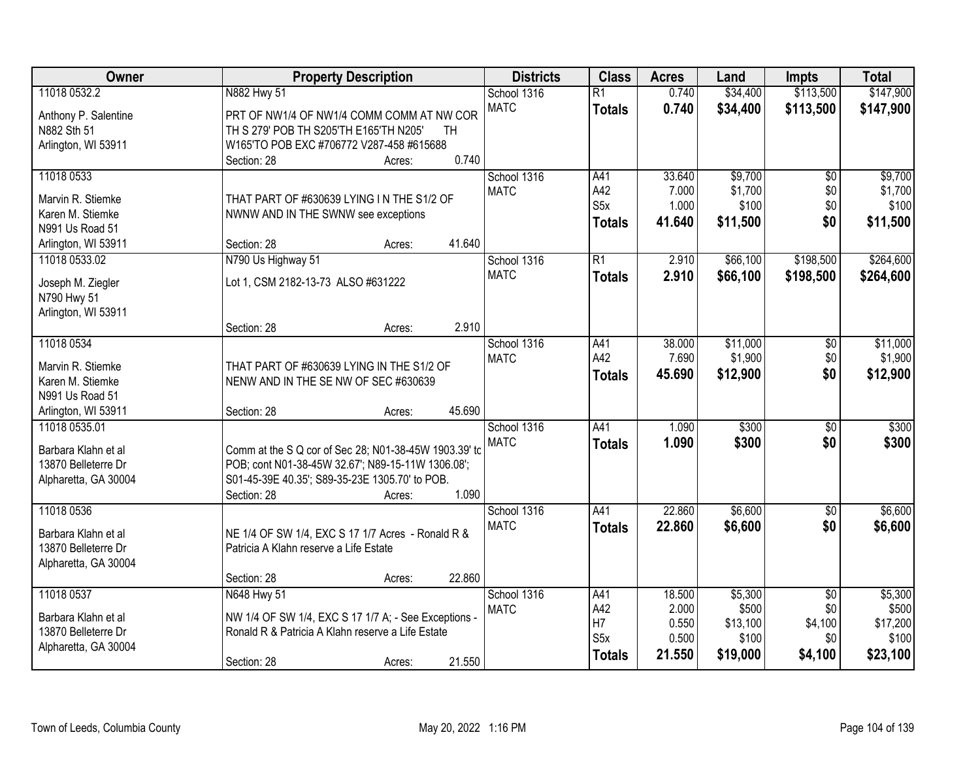| Owner                | <b>Property Description</b>                           | <b>Districts</b> | <b>Class</b>     | <b>Acres</b> | Land     | <b>Impts</b>    | <b>Total</b> |
|----------------------|-------------------------------------------------------|------------------|------------------|--------------|----------|-----------------|--------------|
| 11018 0532.2         | N882 Hwy 51                                           | School 1316      | $\overline{R1}$  | 0.740        | \$34,400 | \$113,500       | \$147,900    |
| Anthony P. Salentine | PRT OF NW1/4 OF NW1/4 COMM COMM AT NW COR             | <b>MATC</b>      | <b>Totals</b>    | 0.740        | \$34,400 | \$113,500       | \$147,900    |
| N882 Sth 51          | TH S 279' POB TH S205'TH E165'TH N205'<br>TH          |                  |                  |              |          |                 |              |
| Arlington, WI 53911  | W165'TO POB EXC #706772 V287-458 #615688              |                  |                  |              |          |                 |              |
|                      | 0.740<br>Section: 28<br>Acres:                        |                  |                  |              |          |                 |              |
| 11018 0533           |                                                       | School 1316      | A41              | 33.640       | \$9,700  | \$0             | \$9,700      |
| Marvin R. Stiemke    | THAT PART OF #630639 LYING IN THE S1/2 OF             | <b>MATC</b>      | A42              | 7.000        | \$1,700  | \$0             | \$1,700      |
| Karen M. Stiemke     | NWNW AND IN THE SWNW see exceptions                   |                  | S <sub>5</sub> x | 1.000        | \$100    | \$0             | \$100        |
| N991 Us Road 51      |                                                       |                  | <b>Totals</b>    | 41.640       | \$11,500 | \$0             | \$11,500     |
| Arlington, WI 53911  | 41.640<br>Section: 28<br>Acres:                       |                  |                  |              |          |                 |              |
| 11018 0533.02        | N790 Us Highway 51                                    | School 1316      | $\overline{R1}$  | 2.910        | \$66,100 | \$198,500       | \$264,600    |
|                      |                                                       | <b>MATC</b>      | <b>Totals</b>    | 2.910        | \$66,100 | \$198,500       | \$264,600    |
| Joseph M. Ziegler    | Lot 1, CSM 2182-13-73 ALSO #631222                    |                  |                  |              |          |                 |              |
| N790 Hwy 51          |                                                       |                  |                  |              |          |                 |              |
| Arlington, WI 53911  | 2.910                                                 |                  |                  |              |          |                 |              |
| 11018 0534           | Section: 28<br>Acres:                                 | School 1316      | A41              | 38.000       | \$11,000 |                 | \$11,000     |
|                      |                                                       | <b>MATC</b>      | A42              | 7.690        | \$1,900  | \$0<br>\$0      | \$1,900      |
| Marvin R. Stiemke    | THAT PART OF #630639 LYING IN THE S1/2 OF             |                  |                  | 45.690       | \$12,900 | \$0             | \$12,900     |
| Karen M. Stiemke     | NENW AND IN THE SE NW OF SEC #630639                  |                  | <b>Totals</b>    |              |          |                 |              |
| N991 Us Road 51      |                                                       |                  |                  |              |          |                 |              |
| Arlington, WI 53911  | 45.690<br>Section: 28<br>Acres:                       |                  |                  |              |          |                 |              |
| 11018 0535.01        |                                                       | School 1316      | A41              | 1.090        | \$300    | $\overline{50}$ | \$300        |
| Barbara Klahn et al  | Comm at the S Q cor of Sec 28; N01-38-45W 1903.39' to | <b>MATC</b>      | <b>Totals</b>    | 1.090        | \$300    | \$0             | \$300        |
| 13870 Belleterre Dr  | POB; cont N01-38-45W 32.67'; N89-15-11W 1306.08';     |                  |                  |              |          |                 |              |
| Alpharetta, GA 30004 | S01-45-39E 40.35'; S89-35-23E 1305.70' to POB.        |                  |                  |              |          |                 |              |
|                      | 1.090<br>Section: 28<br>Acres:                        |                  |                  |              |          |                 |              |
| 11018 0536           |                                                       | School 1316      | A41              | 22.860       | \$6,600  | \$0             | \$6,600      |
| Barbara Klahn et al  | NE 1/4 OF SW 1/4, EXC S 17 1/7 Acres - Ronald R &     | <b>MATC</b>      | <b>Totals</b>    | 22.860       | \$6,600  | \$0             | \$6,600      |
| 13870 Belleterre Dr  | Patricia A Klahn reserve a Life Estate                |                  |                  |              |          |                 |              |
| Alpharetta, GA 30004 |                                                       |                  |                  |              |          |                 |              |
|                      | 22.860<br>Section: 28<br>Acres:                       |                  |                  |              |          |                 |              |
| 11018 0537           | N648 Hwy 51                                           | School 1316      | A41              | 18.500       | \$5,300  | $\overline{50}$ | \$5,300      |
|                      |                                                       | <b>MATC</b>      | A42              | 2.000        | \$500    | \$0             | \$500        |
| Barbara Klahn et al  | NW 1/4 OF SW 1/4, EXC S 17 1/7 A; - See Exceptions -  |                  | H7               | 0.550        | \$13,100 | \$4,100         | \$17,200     |
| 13870 Belleterre Dr  | Ronald R & Patricia A Klahn reserve a Life Estate     |                  | S <sub>5</sub> x | 0.500        | \$100    | \$0             | \$100        |
| Alpharetta, GA 30004 |                                                       |                  | <b>Totals</b>    | 21.550       | \$19,000 | \$4,100         | \$23,100     |
|                      | 21.550<br>Section: 28<br>Acres:                       |                  |                  |              |          |                 |              |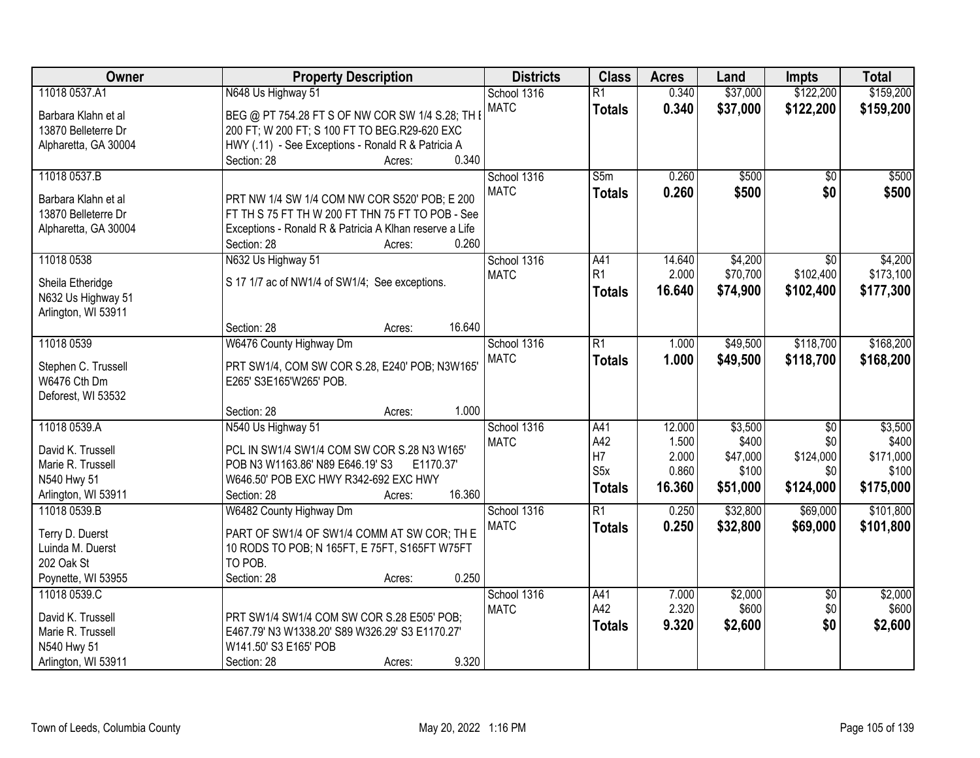| Owner                               | <b>Property Description</b>                                               | <b>Districts</b> | <b>Class</b>     | <b>Acres</b> | Land     | <b>Impts</b>    | <b>Total</b> |
|-------------------------------------|---------------------------------------------------------------------------|------------------|------------------|--------------|----------|-----------------|--------------|
| 11018 0537.A1                       | N648 Us Highway 51                                                        | School 1316      | $\overline{R1}$  | 0.340        | \$37,000 | \$122,200       | \$159,200    |
| Barbara Klahn et al                 | BEG @ PT 754.28 FT S OF NW COR SW 1/4 S.28; TH I                          | <b>MATC</b>      | <b>Totals</b>    | 0.340        | \$37,000 | \$122,200       | \$159,200    |
| 13870 Belleterre Dr                 | 200 FT; W 200 FT; S 100 FT TO BEG.R29-620 EXC                             |                  |                  |              |          |                 |              |
| Alpharetta, GA 30004                | HWY (.11) - See Exceptions - Ronald R & Patricia A                        |                  |                  |              |          |                 |              |
|                                     | 0.340<br>Section: 28<br>Acres:                                            |                  |                  |              |          |                 |              |
| 11018 0537.B                        |                                                                           | School 1316      | S5m              | 0.260        | \$500    | $\overline{50}$ | \$500        |
|                                     |                                                                           | <b>MATC</b>      | <b>Totals</b>    | 0.260        | \$500    | \$0             | \$500        |
| Barbara Klahn et al                 | PRT NW 1/4 SW 1/4 COM NW COR S520' POB; E 200                             |                  |                  |              |          |                 |              |
| 13870 Belleterre Dr                 | FT TH S 75 FT TH W 200 FT THN 75 FT TO POB - See                          |                  |                  |              |          |                 |              |
| Alpharetta, GA 30004                | Exceptions - Ronald R & Patricia A Klhan reserve a Life<br>0.260          |                  |                  |              |          |                 |              |
|                                     | Section: 28<br>Acres:                                                     |                  |                  |              |          |                 |              |
| 11018 0538                          | N632 Us Highway 51                                                        | School 1316      | A41              | 14.640       | \$4,200  | $\overline{50}$ | \$4,200      |
| Sheila Etheridge                    | S 17 1/7 ac of NW1/4 of SW1/4; See exceptions.                            | <b>MATC</b>      | R <sub>1</sub>   | 2.000        | \$70,700 | \$102,400       | \$173,100    |
| N632 Us Highway 51                  |                                                                           |                  | <b>Totals</b>    | 16.640       | \$74,900 | \$102,400       | \$177,300    |
| Arlington, WI 53911                 |                                                                           |                  |                  |              |          |                 |              |
|                                     | 16.640<br>Section: 28<br>Acres:                                           |                  |                  |              |          |                 |              |
| 11018 0539                          | W6476 County Highway Dm                                                   | School 1316      | $\overline{R1}$  | 1.000        | \$49,500 | \$118,700       | \$168,200    |
|                                     |                                                                           | <b>MATC</b>      | <b>Totals</b>    | 1.000        | \$49,500 | \$118,700       | \$168,200    |
| Stephen C. Trussell<br>W6476 Cth Dm | PRT SW1/4, COM SW COR S.28, E240' POB; N3W165'<br>E265' S3E165'W265' POB. |                  |                  |              |          |                 |              |
|                                     |                                                                           |                  |                  |              |          |                 |              |
| Deforest, WI 53532                  | 1.000<br>Section: 28<br>Acres:                                            |                  |                  |              |          |                 |              |
| 11018 0539.A                        | N540 Us Highway 51                                                        | School 1316      | A41              | 12.000       | \$3,500  | $\overline{50}$ | \$3,500      |
|                                     |                                                                           | <b>MATC</b>      | A42              | 1.500        | \$400    | \$0             | \$400        |
| David K. Trussell                   | PCL IN SW1/4 SW1/4 COM SW COR S.28 N3 W165'                               |                  | H7               | 2.000        | \$47,000 | \$124,000       | \$171,000    |
| Marie R. Trussell                   | POB N3 W1163.86' N89 E646.19' S3<br>E1170.37                              |                  | S <sub>5</sub> x | 0.860        | \$100    | \$0             | \$100        |
| N540 Hwy 51                         | W646.50' POB EXC HWY R342-692 EXC HWY                                     |                  |                  |              |          |                 |              |
| Arlington, WI 53911                 | 16.360<br>Section: 28<br>Acres:                                           |                  | <b>Totals</b>    | 16.360       | \$51,000 | \$124,000       | \$175,000    |
| 11018 0539.B                        | W6482 County Highway Dm                                                   | School 1316      | $\overline{R1}$  | 0.250        | \$32,800 | \$69,000        | \$101,800    |
| Terry D. Duerst                     | PART OF SW1/4 OF SW1/4 COMM AT SW COR; TH E                               | <b>MATC</b>      | <b>Totals</b>    | 0.250        | \$32,800 | \$69,000        | \$101,800    |
| Luinda M. Duerst                    | 10 RODS TO POB; N 165FT, E 75FT, S165FT W75FT                             |                  |                  |              |          |                 |              |
| 202 Oak St                          | TO POB.                                                                   |                  |                  |              |          |                 |              |
| Poynette, WI 53955                  | 0.250<br>Section: 28<br>Acres:                                            |                  |                  |              |          |                 |              |
| 11018 0539.C                        |                                                                           | School 1316      | A41              | 7.000        | \$2,000  | $\sqrt{6}$      | \$2,000      |
|                                     |                                                                           | <b>MATC</b>      | A42              | 2.320        | \$600    | \$0             | \$600        |
| David K. Trussell                   | PRT SW1/4 SW1/4 COM SW COR S.28 E505' POB;                                |                  | <b>Totals</b>    | 9.320        | \$2,600  | \$0             | \$2,600      |
| Marie R. Trussell                   | E467.79' N3 W1338.20' S89 W326.29' S3 E1170.27'                           |                  |                  |              |          |                 |              |
| N540 Hwy 51                         | W141.50' S3 E165' POB                                                     |                  |                  |              |          |                 |              |
| Arlington, WI 53911                 | 9.320<br>Section: 28<br>Acres:                                            |                  |                  |              |          |                 |              |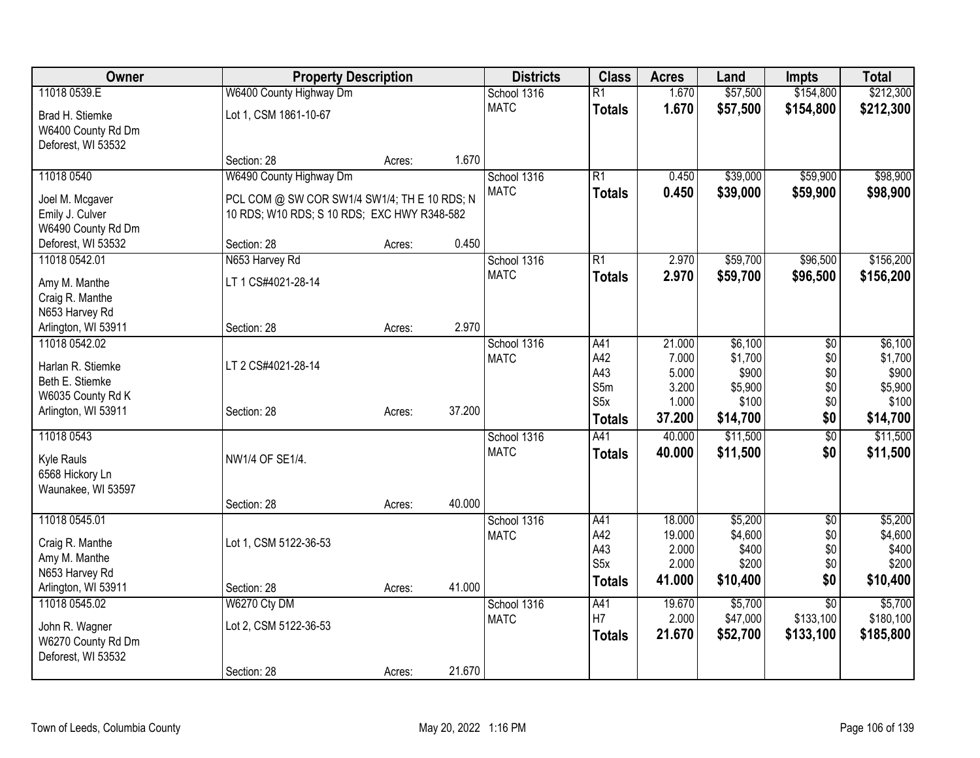| Owner               | <b>Property Description</b>                  |        |        | <b>Districts</b>           | <b>Class</b>     | <b>Acres</b>     | Land               | <b>Impts</b>           | <b>Total</b>     |
|---------------------|----------------------------------------------|--------|--------|----------------------------|------------------|------------------|--------------------|------------------------|------------------|
| 11018 0539.E        | W6400 County Highway Dm                      |        |        | School 1316                | $\overline{R1}$  | 1.670            | \$57,500           | \$154,800              | \$212,300        |
| Brad H. Stiemke     | Lot 1, CSM 1861-10-67                        |        |        | <b>MATC</b>                | <b>Totals</b>    | 1.670            | \$57,500           | \$154,800              | \$212,300        |
| W6400 County Rd Dm  |                                              |        |        |                            |                  |                  |                    |                        |                  |
| Deforest, WI 53532  |                                              |        |        |                            |                  |                  |                    |                        |                  |
|                     | Section: 28                                  | Acres: | 1.670  |                            |                  |                  |                    |                        |                  |
| 11018 0540          | W6490 County Highway Dm                      |        |        | School 1316                | $\overline{R1}$  | 0.450            | \$39,000           | \$59,900               | \$98,900         |
| Joel M. Mcgaver     | PCL COM @ SW COR SW1/4 SW1/4; TH E 10 RDS; N |        |        | <b>MATC</b>                | <b>Totals</b>    | 0.450            | \$39,000           | \$59,900               | \$98,900         |
| Emily J. Culver     | 10 RDS; W10 RDS; S 10 RDS; EXC HWY R348-582  |        |        |                            |                  |                  |                    |                        |                  |
| W6490 County Rd Dm  |                                              |        |        |                            |                  |                  |                    |                        |                  |
| Deforest, WI 53532  | Section: 28                                  | Acres: | 0.450  |                            |                  |                  |                    |                        |                  |
| 11018 0542.01       | N653 Harvey Rd                               |        |        | School 1316                | $\overline{R1}$  | 2.970            | \$59,700           | \$96,500               | \$156,200        |
| Amy M. Manthe       | LT 1 CS#4021-28-14                           |        |        | <b>MATC</b>                | <b>Totals</b>    | 2.970            | \$59,700           | \$96,500               | \$156,200        |
| Craig R. Manthe     |                                              |        |        |                            |                  |                  |                    |                        |                  |
| N653 Harvey Rd      |                                              |        |        |                            |                  |                  |                    |                        |                  |
| Arlington, WI 53911 | Section: 28                                  | Acres: | 2.970  |                            |                  |                  |                    |                        |                  |
| 11018 0542.02       |                                              |        |        | School 1316                | A41              | 21.000           | \$6,100            | \$0                    | \$6,100          |
| Harlan R. Stiemke   | LT 2 CS#4021-28-14                           |        |        | <b>MATC</b>                | A42              | 7.000            | \$1,700            | \$0                    | \$1,700          |
| Beth E. Stiemke     |                                              |        |        |                            | A43              | 5.000            | \$900              | \$0                    | \$900            |
| W6035 County Rd K   |                                              |        |        |                            | S5m<br>S5x       | 3.200<br>1.000   | \$5,900<br>\$100   | \$0<br>\$0             | \$5,900<br>\$100 |
| Arlington, WI 53911 | Section: 28                                  | Acres: | 37.200 |                            | <b>Totals</b>    | 37.200           | \$14,700           | \$0                    | \$14,700         |
|                     |                                              |        |        |                            |                  | 40.000           | \$11,500           |                        | \$11,500         |
| 11018 0543          |                                              |        |        | School 1316<br><b>MATC</b> | A41              | 40.000           |                    | $\overline{60}$<br>\$0 |                  |
| Kyle Rauls          | NW1/4 OF SE1/4.                              |        |        |                            | <b>Totals</b>    |                  | \$11,500           |                        | \$11,500         |
| 6568 Hickory Ln     |                                              |        |        |                            |                  |                  |                    |                        |                  |
| Waunakee, WI 53597  |                                              |        |        |                            |                  |                  |                    |                        |                  |
|                     | Section: 28                                  | Acres: | 40.000 |                            |                  |                  |                    |                        |                  |
| 11018 0545.01       |                                              |        |        | School 1316                | A41<br>A42       | 18.000<br>19.000 | \$5,200<br>\$4,600 | \$0                    | \$5,200          |
| Craig R. Manthe     | Lot 1, CSM 5122-36-53                        |        |        | <b>MATC</b>                | A43              | 2.000            | \$400              | \$0<br>\$0             | \$4,600<br>\$400 |
| Amy M. Manthe       |                                              |        |        |                            | S <sub>5</sub> x | 2.000            | \$200              | \$0                    | \$200            |
| N653 Harvey Rd      |                                              |        |        |                            | <b>Totals</b>    | 41.000           | \$10,400           | \$0                    | \$10,400         |
| Arlington, WI 53911 | Section: 28                                  | Acres: | 41.000 |                            |                  |                  |                    |                        |                  |
| 11018 0545.02       | W6270 Cty DM                                 |        |        | School 1316                | A41<br>H7        | 19.670           | \$5,700            | $\overline{50}$        | \$5,700          |
| John R. Wagner      | Lot 2, CSM 5122-36-53                        |        |        | <b>MATC</b>                |                  | 2.000            | \$47,000           | \$133,100              | \$180,100        |
| W6270 County Rd Dm  |                                              |        |        |                            | <b>Totals</b>    | 21.670           | \$52,700           | \$133,100              | \$185,800        |
| Deforest, WI 53532  |                                              |        |        |                            |                  |                  |                    |                        |                  |
|                     | Section: 28                                  | Acres: | 21.670 |                            |                  |                  |                    |                        |                  |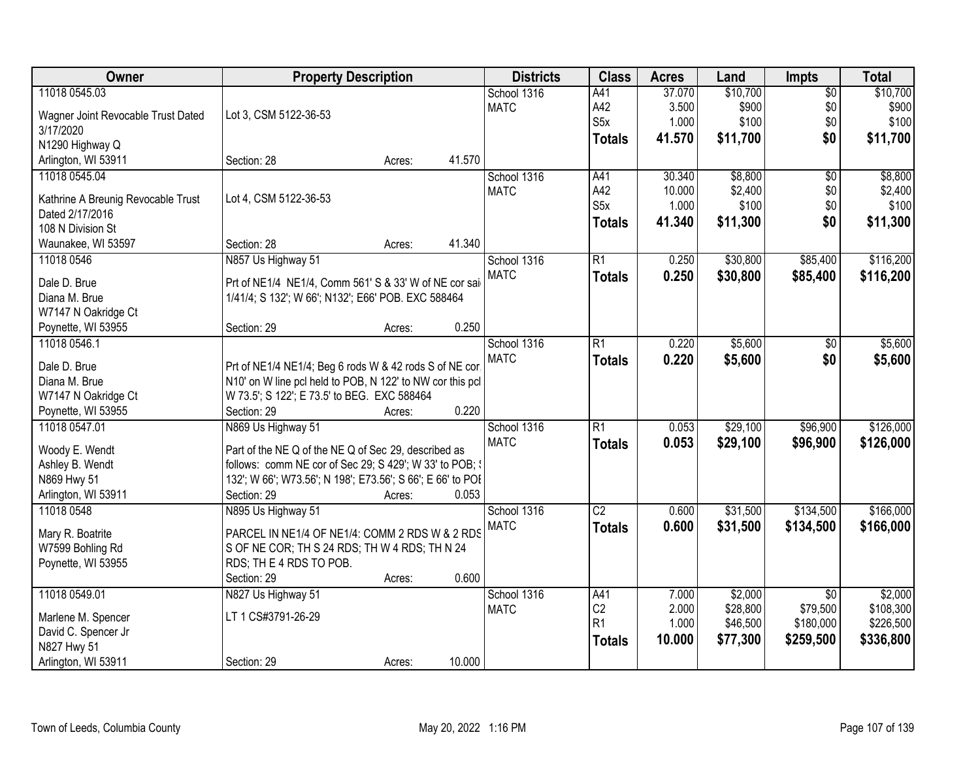| Owner                              | <b>Property Description</b>                                |        |        | <b>Districts</b> | <b>Class</b>     | <b>Acres</b> | Land     | <b>Impts</b>    | <b>Total</b> |
|------------------------------------|------------------------------------------------------------|--------|--------|------------------|------------------|--------------|----------|-----------------|--------------|
| 11018 0545.03                      |                                                            |        |        | School 1316      | A41              | 37.070       | \$10,700 | \$0             | \$10,700     |
| Wagner Joint Revocable Trust Dated | Lot 3, CSM 5122-36-53                                      |        |        | <b>MATC</b>      | A42              | 3.500        | \$900    | \$0             | \$900        |
| 3/17/2020                          |                                                            |        |        |                  | S <sub>5</sub> x | 1.000        | \$100    | \$0             | \$100        |
| N1290 Highway Q                    |                                                            |        |        |                  | <b>Totals</b>    | 41.570       | \$11,700 | \$0             | \$11,700     |
| Arlington, WI 53911                | Section: 28                                                | Acres: | 41.570 |                  |                  |              |          |                 |              |
| 11018 0545.04                      |                                                            |        |        | School 1316      | A41              | 30.340       | \$8,800  | $\overline{50}$ | \$8,800      |
|                                    |                                                            |        |        | <b>MATC</b>      | A42              | 10.000       | \$2,400  | \$0             | \$2,400      |
| Kathrine A Breunig Revocable Trust | Lot 4, CSM 5122-36-53                                      |        |        |                  | S5x              | 1.000        | \$100    | \$0             | \$100        |
| Dated 2/17/2016                    |                                                            |        |        |                  |                  | 41.340       | \$11,300 | \$0             |              |
| 108 N Division St                  |                                                            |        |        |                  | <b>Totals</b>    |              |          |                 | \$11,300     |
| Waunakee, WI 53597                 | Section: 28                                                | Acres: | 41.340 |                  |                  |              |          |                 |              |
| 11018 0546                         | N857 Us Highway 51                                         |        |        | School 1316      | R1               | 0.250        | \$30,800 | \$85,400        | \$116,200    |
|                                    |                                                            |        |        | <b>MATC</b>      | <b>Totals</b>    | 0.250        | \$30,800 | \$85,400        | \$116,200    |
| Dale D. Brue                       | Prt of NE1/4 NE1/4, Comm 561' S & 33' W of NE cor sai      |        |        |                  |                  |              |          |                 |              |
| Diana M. Brue                      | 1/41/4; S 132'; W 66'; N132'; E66' POB. EXC 588464         |        |        |                  |                  |              |          |                 |              |
| W7147 N Oakridge Ct                | Section: 29                                                |        | 0.250  |                  |                  |              |          |                 |              |
| Poynette, WI 53955                 |                                                            | Acres: |        |                  |                  |              |          |                 |              |
| 11018 0546.1                       |                                                            |        |        | School 1316      | $\overline{R1}$  | 0.220        | \$5,600  | \$0             | \$5,600      |
| Dale D. Brue                       | Prt of NE1/4 NE1/4; Beg 6 rods W & 42 rods S of NE cor.    |        |        | <b>MATC</b>      | <b>Totals</b>    | 0.220        | \$5,600  | \$0             | \$5,600      |
| Diana M. Brue                      | N10' on W line pcl held to POB, N 122' to NW cor this pcl  |        |        |                  |                  |              |          |                 |              |
| W7147 N Oakridge Ct                | W 73.5'; S 122'; E 73.5' to BEG. EXC 588464                |        |        |                  |                  |              |          |                 |              |
| Poynette, WI 53955                 | Section: 29                                                | Acres: | 0.220  |                  |                  |              |          |                 |              |
| 11018 0547.01                      | N869 Us Highway 51                                         |        |        | School 1316      | $\overline{R1}$  | 0.053        | \$29,100 | \$96,900        | \$126,000    |
|                                    |                                                            |        |        | <b>MATC</b>      | <b>Totals</b>    | 0.053        | \$29,100 | \$96,900        | \$126,000    |
| Woody E. Wendt                     | Part of the NE Q of the NE Q of Sec 29, described as       |        |        |                  |                  |              |          |                 |              |
| Ashley B. Wendt                    | follows: comm NE cor of Sec 29; S 429'; W 33' to POB; {    |        |        |                  |                  |              |          |                 |              |
| N869 Hwy 51                        | 132'; W 66'; W73.56'; N 198'; E73.56'; S 66'; E 66' to POI |        |        |                  |                  |              |          |                 |              |
| Arlington, WI 53911                | Section: 29                                                | Acres: | 0.053  |                  |                  |              |          |                 |              |
| 11018 0548                         | N895 Us Highway 51                                         |        |        | School 1316      | $\overline{C2}$  | 0.600        | \$31,500 | \$134,500       | \$166,000    |
| Mary R. Boatrite                   | PARCEL IN NE1/4 OF NE1/4: COMM 2 RDS W & 2 RDS             |        |        | <b>MATC</b>      | <b>Totals</b>    | 0.600        | \$31,500 | \$134,500       | \$166,000    |
| W7599 Bohling Rd                   | S OF NE COR; TH S 24 RDS; TH W 4 RDS; TH N 24              |        |        |                  |                  |              |          |                 |              |
| Poynette, WI 53955                 | RDS; TH E 4 RDS TO POB.                                    |        |        |                  |                  |              |          |                 |              |
|                                    | Section: 29                                                | Acres: | 0.600  |                  |                  |              |          |                 |              |
| 11018 0549.01                      | N827 Us Highway 51                                         |        |        | School 1316      | A41              | 7.000        | \$2,000  | $\overline{50}$ | \$2,000      |
|                                    |                                                            |        |        | <b>MATC</b>      | C <sub>2</sub>   | 2.000        | \$28,800 | \$79,500        | \$108,300    |
| Marlene M. Spencer                 | LT 1 CS#3791-26-29                                         |        |        |                  | R <sub>1</sub>   | 1.000        | \$46,500 | \$180,000       | \$226,500    |
| David C. Spencer Jr                |                                                            |        |        |                  | Totals           | 10.000       | \$77,300 | \$259,500       | \$336,800    |
| N827 Hwy 51                        |                                                            |        |        |                  |                  |              |          |                 |              |
| Arlington, WI 53911                | Section: 29                                                | Acres: | 10.000 |                  |                  |              |          |                 |              |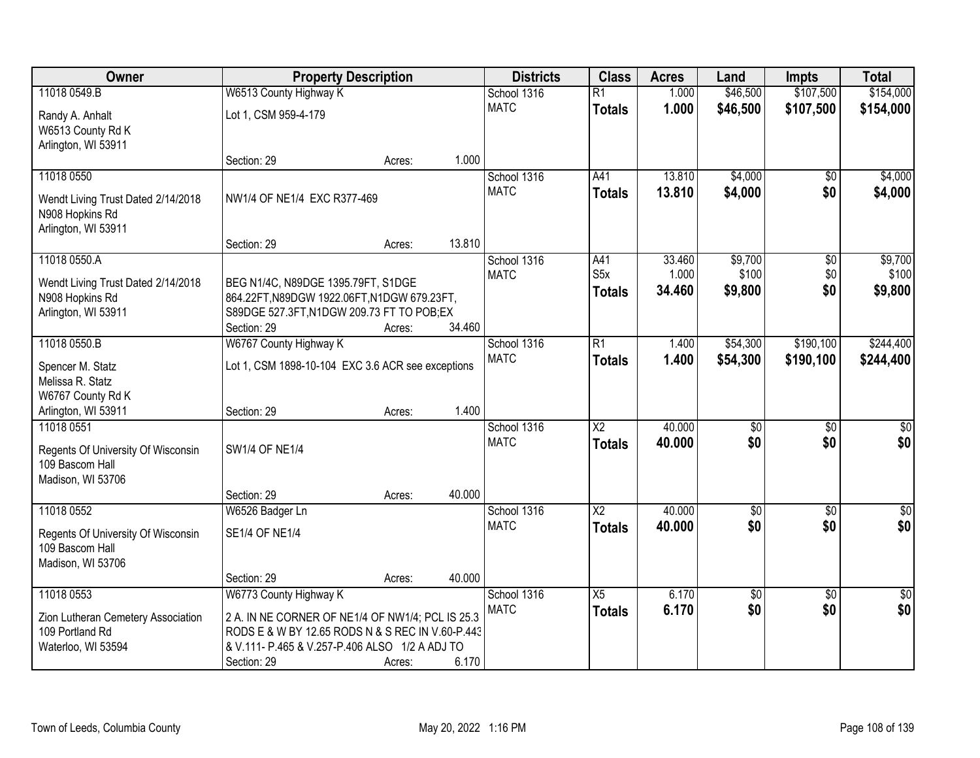| \$107,500<br>11018 0549.B<br>W6513 County Highway K<br>1.000<br>\$46,500<br>School 1316<br>$\overline{R1}$<br><b>MATC</b><br>1.000<br>\$46,500<br>\$107,500<br><b>Totals</b><br>Lot 1, CSM 959-4-179 | \$154,000        |
|------------------------------------------------------------------------------------------------------------------------------------------------------------------------------------------------------|------------------|
|                                                                                                                                                                                                      |                  |
| Randy A. Anhalt                                                                                                                                                                                      | \$154,000        |
| W6513 County Rd K                                                                                                                                                                                    |                  |
| Arlington, WI 53911                                                                                                                                                                                  |                  |
| 1.000<br>Section: 29<br>Acres:                                                                                                                                                                       |                  |
| 13.810<br>\$4,000<br>11018 0550<br>School 1316<br>A41<br>\$0                                                                                                                                         | \$4,000          |
| <b>MATC</b><br>13.810<br>\$4,000<br>\$0<br><b>Totals</b><br>NW1/4 OF NE1/4 EXC R377-469<br>Wendt Living Trust Dated 2/14/2018                                                                        | \$4,000          |
| N908 Hopkins Rd                                                                                                                                                                                      |                  |
| Arlington, WI 53911                                                                                                                                                                                  |                  |
| 13.810<br>Section: 29<br>Acres:<br>11018 0550.A                                                                                                                                                      |                  |
| \$9,700<br>School 1316<br>A41<br>33.460<br>$\overline{50}$<br>S <sub>5</sub> x<br>\$100<br>\$0<br>1.000<br><b>MATC</b>                                                                               | \$9,700<br>\$100 |
| Wendt Living Trust Dated 2/14/2018<br>BEG N1/4C, N89DGE 1395.79FT, S1DGE<br>34.460<br>\$9,800<br>\$0<br><b>Totals</b>                                                                                | \$9,800          |
| N908 Hopkins Rd<br>864.22FT, N89DGW 1922.06FT, N1DGW 679.23FT,                                                                                                                                       |                  |
| S89DGE 527.3FT, N1DGW 209.73 FT TO POB;EX<br>Arlington, WI 53911<br>34.460                                                                                                                           |                  |
| Section: 29<br>Acres:<br>11018 0550.B<br>W6767 County Highway K<br>$\overline{R1}$<br>\$54,300<br>\$190,100<br>School 1316<br>1.400                                                                  | \$244,400        |
| <b>MATC</b><br>1.400<br>\$54,300<br>\$190,100<br><b>Totals</b>                                                                                                                                       | \$244,400        |
| Lot 1, CSM 1898-10-104 EXC 3.6 ACR see exceptions<br>Spencer M. Statz                                                                                                                                |                  |
| Melissa R. Statz                                                                                                                                                                                     |                  |
| W6767 County Rd K<br>1.400                                                                                                                                                                           |                  |
| Arlington, WI 53911<br>Section: 29<br>Acres:<br>$\overline{\mathsf{x2}}$<br>40.000<br>$\overline{50}$<br>$\overline{50}$<br>11018 0551<br>School 1316                                                | \$0              |
| <b>MATC</b><br>40.000<br>\$0<br>\$0<br><b>Totals</b>                                                                                                                                                 | \$0              |
| <b>SW1/4 OF NE1/4</b><br>Regents Of University Of Wisconsin                                                                                                                                          |                  |
| 109 Bascom Hall                                                                                                                                                                                      |                  |
| Madison, WI 53706<br>40.000<br>Section: 29<br>Acres:                                                                                                                                                 |                  |
| $\overline{X2}$<br>40.000<br>11018 0552<br>School 1316<br>$\sqrt{50}$<br>$\overline{50}$<br>W6526 Badger Ln                                                                                          | $\overline{50}$  |
| \$0<br><b>MATC</b><br>40.000<br>\$0<br><b>Totals</b>                                                                                                                                                 | \$0              |
| <b>SE1/4 OF NE1/4</b><br>Regents Of University Of Wisconsin                                                                                                                                          |                  |
| 109 Bascom Hall<br>Madison, WI 53706                                                                                                                                                                 |                  |
| 40.000<br>Section: 29<br>Acres:                                                                                                                                                                      |                  |
| 11018 0553<br>W6773 County Highway K<br>School 1316<br>X5<br>6.170<br>\$0<br>$\overline{30}$                                                                                                         | $\overline{50}$  |
| \$0<br><b>MATC</b><br>6.170<br>\$0<br><b>Totals</b>                                                                                                                                                  | \$0              |
| Zion Lutheran Cemetery Association<br>2 A. IN NE CORNER OF NE1/4 OF NW1/4; PCL IS 25.3                                                                                                               |                  |
| 109 Portland Rd<br>RODS E & W BY 12.65 RODS N & S REC IN V.60-P.443<br>& V.111- P.465 & V.257-P.406 ALSO 1/2 A ADJ TO<br>Waterloo, WI 53594                                                          |                  |
| 6.170<br>Section: 29<br>Acres:                                                                                                                                                                       |                  |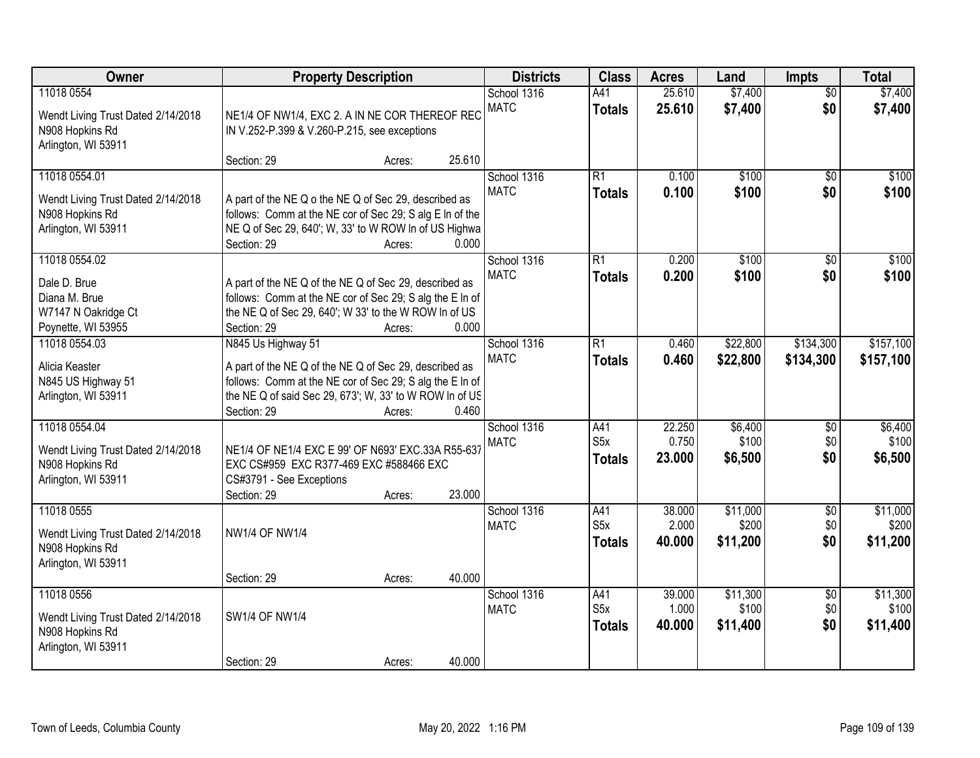| Owner                                                                                         | <b>Property Description</b>                                                                                                                                                                                                                     | <b>Districts</b>           | <b>Class</b>                             | <b>Acres</b>              | Land                          | <b>Impts</b>                  | <b>Total</b>                  |
|-----------------------------------------------------------------------------------------------|-------------------------------------------------------------------------------------------------------------------------------------------------------------------------------------------------------------------------------------------------|----------------------------|------------------------------------------|---------------------------|-------------------------------|-------------------------------|-------------------------------|
| 11018 0554<br>Wendt Living Trust Dated 2/14/2018<br>N908 Hopkins Rd<br>Arlington, WI 53911    | NE1/4 OF NW1/4, EXC 2. A IN NE COR THEREOF REC<br>IN V.252-P.399 & V.260-P.215, see exceptions                                                                                                                                                  | School 1316<br><b>MATC</b> | A41<br><b>Totals</b>                     | 25.610<br>25.610          | \$7,400<br>\$7,400            | $\overline{50}$<br>\$0        | \$7,400<br>\$7,400            |
| 11018 0554.01<br>Wendt Living Trust Dated 2/14/2018<br>N908 Hopkins Rd<br>Arlington, WI 53911 | 25.610<br>Section: 29<br>Acres:<br>A part of the NE Q o the NE Q of Sec 29, described as<br>follows: Comm at the NE cor of Sec 29; S alg E In of the<br>NE Q of Sec 29, 640'; W, 33' to W ROW In of US Highwa<br>0.000<br>Section: 29<br>Acres: | School 1316<br><b>MATC</b> | R1<br><b>Totals</b>                      | 0.100<br>0.100            | \$100<br>\$100                | $\overline{50}$<br>\$0        | \$100<br>\$100                |
| 11018 0554.02<br>Dale D. Brue<br>Diana M. Brue<br>W7147 N Oakridge Ct<br>Poynette, WI 53955   | A part of the NE Q of the NE Q of Sec 29, described as<br>follows: Comm at the NE cor of Sec 29; S alg the E In of<br>the NE Q of Sec 29, 640'; W 33' to the W ROW In of US<br>Section: 29<br>0.000<br>Acres:                                   | School 1316<br><b>MATC</b> | R1<br><b>Totals</b>                      | 0.200<br>0.200            | \$100<br>\$100                | \$0<br>\$0                    | \$100<br>\$100                |
| 11018 0554.03<br>Alicia Keaster<br>N845 US Highway 51<br>Arlington, WI 53911                  | N845 Us Highway 51<br>A part of the NE Q of the NE Q of Sec 29, described as<br>follows: Comm at the NE cor of Sec 29; S alg the E In of<br>the NE Q of said Sec 29, 673'; W, 33' to W ROW In of US<br>0.460<br>Section: 29<br>Acres:           | School 1316<br><b>MATC</b> | $\overline{R1}$<br><b>Totals</b>         | 0.460<br>0.460            | \$22,800<br>\$22,800          | \$134,300<br>\$134,300        | \$157,100<br>\$157,100        |
| 11018 0554.04<br>Wendt Living Trust Dated 2/14/2018<br>N908 Hopkins Rd<br>Arlington, WI 53911 | NE1/4 OF NE1/4 EXC E 99' OF N693' EXC.33A R55-637<br>EXC CS#959 EXC R377-469 EXC #588466 EXC<br>CS#3791 - See Exceptions<br>Section: 29<br>23.000<br>Acres:                                                                                     | School 1316<br><b>MATC</b> | A41<br>S5x<br><b>Totals</b>              | 22.250<br>0.750<br>23.000 | \$6,400<br>\$100<br>\$6,500   | $\overline{50}$<br>\$0<br>\$0 | \$6,400<br>\$100<br>\$6,500   |
| 11018 0555<br>Wendt Living Trust Dated 2/14/2018<br>N908 Hopkins Rd<br>Arlington, WI 53911    | <b>NW1/4 OF NW1/4</b><br>40.000<br>Section: 29<br>Acres:                                                                                                                                                                                        | School 1316<br><b>MATC</b> | A41<br>S5x<br><b>Totals</b>              | 38.000<br>2.000<br>40.000 | \$11,000<br>\$200<br>\$11,200 | $\sqrt{$0}$<br>\$0<br>\$0     | \$11,000<br>\$200<br>\$11,200 |
| 11018 0556<br>Wendt Living Trust Dated 2/14/2018<br>N908 Hopkins Rd<br>Arlington, WI 53911    | <b>SW1/4 OF NW1/4</b><br>40.000<br>Section: 29<br>Acres:                                                                                                                                                                                        | School 1316<br><b>MATC</b> | A41<br>S <sub>5</sub> x<br><b>Totals</b> | 39.000<br>1.000<br>40.000 | \$11,300<br>\$100<br>\$11,400 | $\overline{30}$<br>\$0<br>\$0 | \$11,300<br>\$100<br>\$11,400 |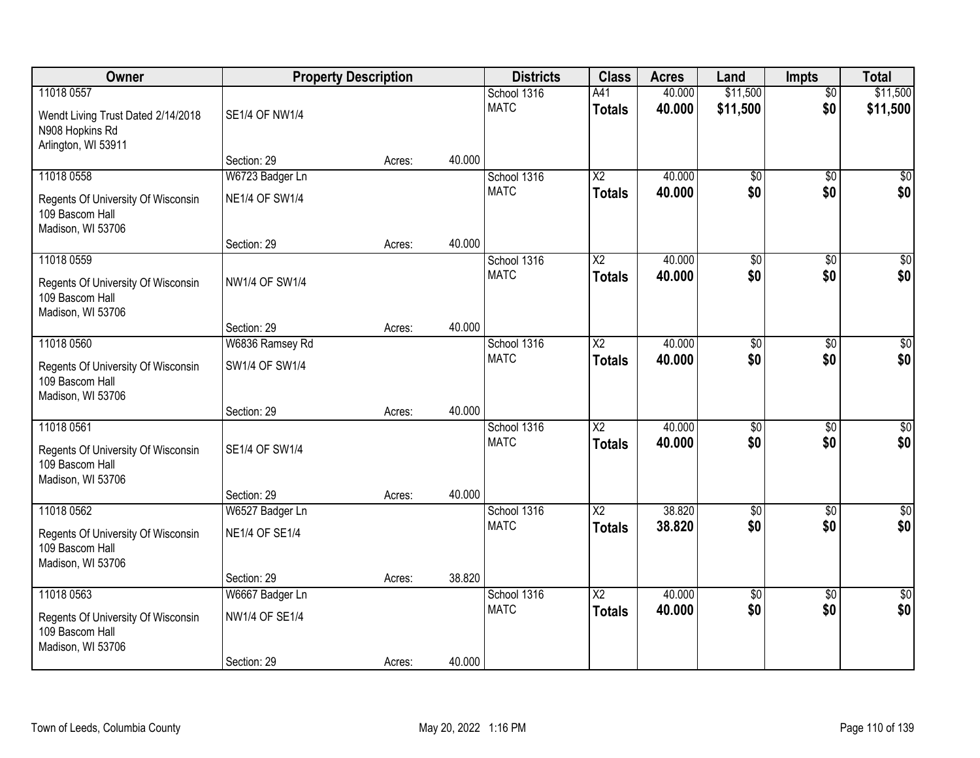| <b>Owner</b>                                                                               |                                          | <b>Property Description</b> |        | <b>Districts</b>           | <b>Class</b>                            | <b>Acres</b>     | Land                   | Impts                  | <b>Total</b>           |
|--------------------------------------------------------------------------------------------|------------------------------------------|-----------------------------|--------|----------------------------|-----------------------------------------|------------------|------------------------|------------------------|------------------------|
| 11018 0557<br>Wendt Living Trust Dated 2/14/2018<br>N908 Hopkins Rd<br>Arlington, WI 53911 | <b>SE1/4 OF NW1/4</b>                    |                             |        | School 1316<br><b>MATC</b> | A41<br><b>Totals</b>                    | 40.000<br>40.000 | \$11,500<br>\$11,500   | $\overline{50}$<br>\$0 | \$11,500<br>\$11,500   |
|                                                                                            | Section: 29                              | Acres:                      | 40.000 |                            |                                         |                  |                        |                        |                        |
| 11018 0558<br>Regents Of University Of Wisconsin<br>109 Bascom Hall<br>Madison, WI 53706   | W6723 Badger Ln<br><b>NE1/4 OF SW1/4</b> |                             |        | School 1316<br><b>MATC</b> | $\overline{X2}$<br><b>Totals</b>        | 40.000<br>40.000 | $\overline{50}$<br>\$0 | $\overline{50}$<br>\$0 | \$0<br>\$0             |
| 11018 0559                                                                                 | Section: 29                              | Acres:                      | 40.000 | School 1316                | X2                                      | 40.000           | \$0                    | \$0                    | $\overline{50}$        |
| Regents Of University Of Wisconsin<br>109 Bascom Hall<br>Madison, WI 53706                 | NW1/4 OF SW1/4                           |                             |        | <b>MATC</b>                | <b>Totals</b>                           | 40.000           | \$0                    | \$0                    | \$0                    |
|                                                                                            | Section: 29                              | Acres:                      | 40.000 |                            |                                         |                  |                        |                        |                        |
| 11018 0560<br>Regents Of University Of Wisconsin<br>109 Bascom Hall<br>Madison, WI 53706   | W6836 Ramsey Rd<br>SW1/4 OF SW1/4        |                             |        | School 1316<br><b>MATC</b> | X <sub>2</sub><br><b>Totals</b>         | 40.000<br>40.000 | \$0<br>\$0             | $\sqrt{6}$<br>\$0      | $\sqrt{50}$<br>\$0     |
|                                                                                            | Section: 29                              | Acres:                      | 40.000 |                            |                                         |                  |                        |                        |                        |
| 11018 0561<br>Regents Of University Of Wisconsin<br>109 Bascom Hall<br>Madison, WI 53706   | SE1/4 OF SW1/4<br>Section: 29            | Acres:                      | 40.000 | School 1316<br><b>MATC</b> | $\overline{\text{X2}}$<br><b>Totals</b> | 40.000<br>40.000 | $\overline{50}$<br>\$0 | $\overline{50}$<br>\$0 | $\overline{50}$<br>\$0 |
| 11018 0562                                                                                 | W6527 Badger Ln                          |                             |        | School 1316                | $\overline{X2}$                         | 38.820           | $\overline{50}$        | $\overline{50}$        | $\overline{\$0}$       |
| Regents Of University Of Wisconsin<br>109 Bascom Hall<br>Madison, WI 53706                 | <b>NE1/4 OF SE1/4</b>                    |                             |        | <b>MATC</b>                | <b>Totals</b>                           | 38.820           | \$0                    | \$0                    | \$0                    |
|                                                                                            | Section: 29                              | Acres:                      | 38.820 |                            |                                         |                  |                        |                        |                        |
| 11018 0563<br>Regents Of University Of Wisconsin<br>109 Bascom Hall<br>Madison, WI 53706   | W6667 Badger Ln<br>NW1/4 OF SE1/4        |                             | 40.000 | School 1316<br><b>MATC</b> | $\overline{\text{X2}}$<br><b>Totals</b> | 40.000<br>40.000 | $\overline{50}$<br>\$0 | $\overline{50}$<br>\$0 | \$0<br>\$0             |
|                                                                                            | Section: 29                              | Acres:                      |        |                            |                                         |                  |                        |                        |                        |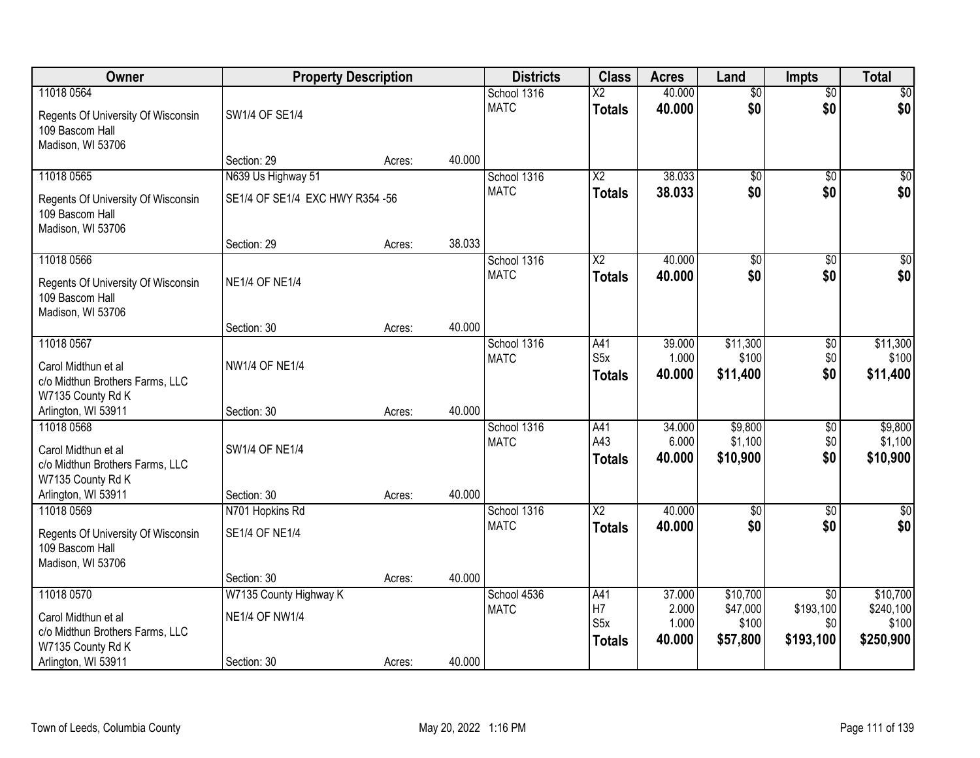| Owner                                                                                                            | <b>Property Description</b>                                    |        |        | <b>Districts</b>           | <b>Class</b>                                   | <b>Acres</b>                       | Land                                      | <b>Impts</b>                                     | <b>Total</b>                                |
|------------------------------------------------------------------------------------------------------------------|----------------------------------------------------------------|--------|--------|----------------------------|------------------------------------------------|------------------------------------|-------------------------------------------|--------------------------------------------------|---------------------------------------------|
| 11018 0564<br>Regents Of University Of Wisconsin<br>109 Bascom Hall<br>Madison, WI 53706                         | SW1/4 OF SE1/4                                                 |        |        | School 1316<br><b>MATC</b> | $\overline{\text{X2}}$<br><b>Totals</b>        | 40.000<br>40.000                   | $\overline{50}$<br>\$0                    | $\overline{50}$<br>\$0                           | \$0<br>\$0                                  |
|                                                                                                                  | Section: 29                                                    | Acres: | 40.000 |                            |                                                |                                    |                                           |                                                  |                                             |
| 11018 0565<br>Regents Of University Of Wisconsin<br>109 Bascom Hall<br>Madison, WI 53706                         | N639 Us Highway 51<br>SE1/4 OF SE1/4 EXC HWY R354 -56          |        |        | School 1316<br><b>MATC</b> | $\overline{\text{X2}}$<br><b>Totals</b>        | 38.033<br>38.033                   | $\overline{50}$<br>\$0                    | $\overline{50}$<br>\$0                           | \$0<br>\$0                                  |
| 11018 0566                                                                                                       | Section: 29                                                    | Acres: | 38.033 | School 1316                | $\overline{\text{X2}}$                         | 40.000                             | $\overline{50}$                           | \$0                                              | $\overline{\$0}$                            |
| Regents Of University Of Wisconsin<br>109 Bascom Hall<br>Madison, WI 53706                                       | <b>NE1/4 OF NE1/4</b>                                          |        |        | <b>MATC</b>                | <b>Totals</b>                                  | 40.000                             | \$0                                       | \$0                                              | \$0                                         |
|                                                                                                                  | Section: 30                                                    | Acres: | 40.000 |                            |                                                |                                    |                                           |                                                  |                                             |
| 11018 0567<br>Carol Midthun et al<br>c/o Midthun Brothers Farms, LLC<br>W7135 County Rd K                        | <b>NW1/4 OF NE1/4</b>                                          |        |        | School 1316<br><b>MATC</b> | A41<br>S <sub>5</sub> x<br><b>Totals</b>       | 39.000<br>1.000<br>40.000          | \$11,300<br>\$100<br>\$11,400             | \$0<br>\$0<br>\$0                                | \$11,300<br>\$100<br>\$11,400               |
| Arlington, WI 53911                                                                                              | Section: 30                                                    | Acres: | 40.000 |                            |                                                |                                    |                                           |                                                  |                                             |
| 11018 0568<br>Carol Midthun et al<br>c/o Midthun Brothers Farms, LLC<br>W7135 County Rd K<br>Arlington, WI 53911 | <b>SW1/4 OF NE1/4</b><br>Section: 30                           | Acres: | 40.000 | School 1316<br><b>MATC</b> | A41<br>A43<br><b>Totals</b>                    | 34.000<br>6.000<br>40.000          | \$9,800<br>\$1,100<br>\$10,900            | \$0<br>\$0<br>\$0                                | \$9,800<br>\$1,100<br>\$10,900              |
| 11018 0569                                                                                                       | N701 Hopkins Rd                                                |        |        | School 1316                | $\overline{X2}$                                | 40.000                             | $\sqrt{6}$                                | \$0                                              | $\sqrt{30}$                                 |
| Regents Of University Of Wisconsin<br>109 Bascom Hall<br>Madison, WI 53706                                       | <b>SE1/4 OF NE1/4</b>                                          |        |        | <b>MATC</b>                | <b>Totals</b>                                  | 40.000                             | \$0                                       | \$0                                              | \$0                                         |
|                                                                                                                  | Section: 30                                                    | Acres: | 40.000 |                            |                                                |                                    |                                           |                                                  |                                             |
| 11018 0570<br>Carol Midthun et al<br>c/o Midthun Brothers Farms, LLC<br>W7135 County Rd K<br>Arlington, WI 53911 | W7135 County Highway K<br><b>NE1/4 OF NW1/4</b><br>Section: 30 | Acres: | 40.000 | School 4536<br><b>MATC</b> | A41<br>H7<br>S <sub>5</sub> x<br><b>Totals</b> | 37.000<br>2.000<br>1.000<br>40.000 | \$10,700<br>\$47,000<br>\$100<br>\$57,800 | $\overline{50}$<br>\$193,100<br>\$0<br>\$193,100 | \$10,700<br>\$240,100<br>\$100<br>\$250,900 |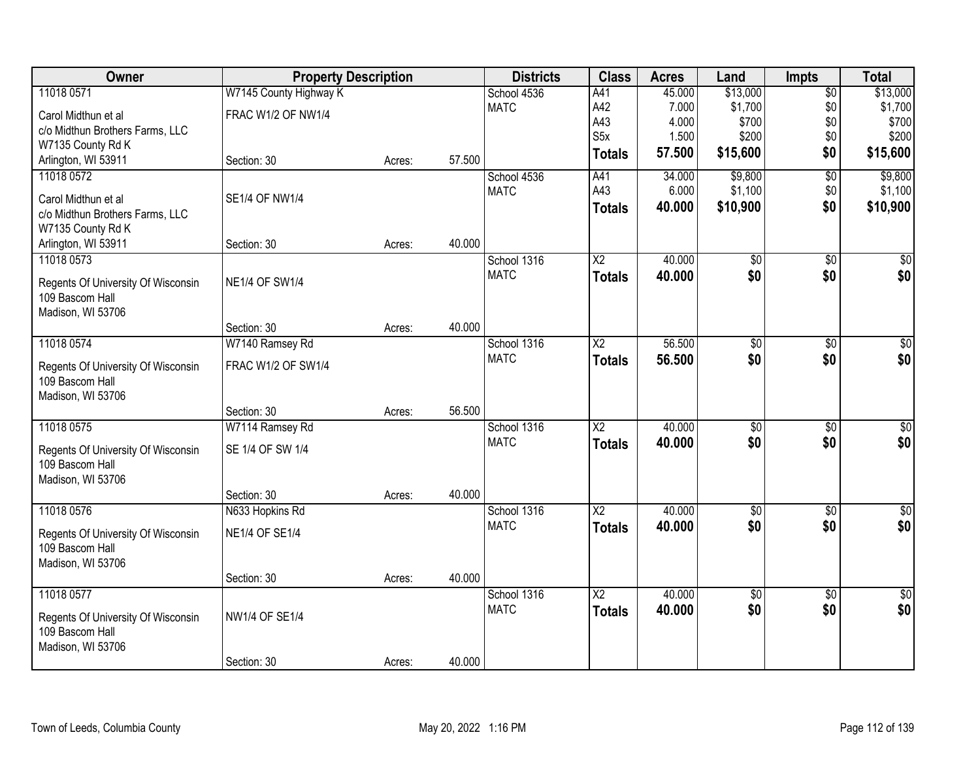| Owner                              | <b>Property Description</b> |        |        | <b>Districts</b> | <b>Class</b>           | <b>Acres</b> | Land            | <b>Impts</b>    | <b>Total</b>     |
|------------------------------------|-----------------------------|--------|--------|------------------|------------------------|--------------|-----------------|-----------------|------------------|
| 11018 0571                         | W7145 County Highway K      |        |        | School 4536      | A41                    | 45.000       | \$13,000        | $\overline{50}$ | \$13,000         |
| Carol Midthun et al                | <b>FRAC W1/2 OF NW1/4</b>   |        |        | <b>MATC</b>      | A42                    | 7.000        | \$1,700         | \$0             | \$1,700          |
| c/o Midthun Brothers Farms, LLC    |                             |        |        |                  | A43                    | 4.000        | \$700           | \$0             | \$700            |
| W7135 County Rd K                  |                             |        |        |                  | S <sub>5</sub> x       | 1.500        | \$200           | \$0             | \$200            |
| Arlington, WI 53911                | Section: 30                 | Acres: | 57.500 |                  | <b>Totals</b>          | 57.500       | \$15,600        | \$0             | \$15,600         |
| 11018 0572                         |                             |        |        | School 4536      | A41                    | 34.000       | \$9,800         | $\overline{50}$ | \$9,800          |
| Carol Midthun et al                | SE1/4 OF NW1/4              |        |        | <b>MATC</b>      | A43                    | 6.000        | \$1,100         | \$0             | \$1,100          |
| c/o Midthun Brothers Farms, LLC    |                             |        |        |                  | <b>Totals</b>          | 40.000       | \$10,900        | \$0             | \$10,900         |
| W7135 County Rd K                  |                             |        |        |                  |                        |              |                 |                 |                  |
| Arlington, WI 53911                | Section: 30                 | Acres: | 40.000 |                  |                        |              |                 |                 |                  |
| 11018 0573                         |                             |        |        | School 1316      | $\overline{\text{X2}}$ | 40.000       | $\overline{50}$ | $\overline{50}$ | $\overline{30}$  |
| Regents Of University Of Wisconsin | <b>NE1/4 OF SW1/4</b>       |        |        | <b>MATC</b>      | <b>Totals</b>          | 40.000       | \$0             | \$0             | \$0              |
| 109 Bascom Hall                    |                             |        |        |                  |                        |              |                 |                 |                  |
| Madison, WI 53706                  |                             |        |        |                  |                        |              |                 |                 |                  |
|                                    | Section: 30                 | Acres: | 40.000 |                  |                        |              |                 |                 |                  |
| 11018 0574                         | W7140 Ramsey Rd             |        |        | School 1316      | X <sub>2</sub>         | 56.500       | \$0             | \$0             | \$0              |
| Regents Of University Of Wisconsin | FRAC W1/2 OF SW1/4          |        |        | <b>MATC</b>      | <b>Totals</b>          | 56.500       | \$0             | \$0             | \$0              |
| 109 Bascom Hall                    |                             |        |        |                  |                        |              |                 |                 |                  |
| Madison, WI 53706                  |                             |        |        |                  |                        |              |                 |                 |                  |
|                                    | Section: 30                 | Acres: | 56.500 |                  |                        |              |                 |                 |                  |
| 11018 0575                         | W7114 Ramsey Rd             |        |        | School 1316      | $\overline{\text{X2}}$ | 40.000       | $\overline{50}$ | $\overline{30}$ | $\overline{\$0}$ |
| Regents Of University Of Wisconsin | SE 1/4 OF SW 1/4            |        |        | <b>MATC</b>      | <b>Totals</b>          | 40.000       | \$0             | \$0             | \$0              |
| 109 Bascom Hall                    |                             |        |        |                  |                        |              |                 |                 |                  |
| Madison, WI 53706                  |                             |        |        |                  |                        |              |                 |                 |                  |
|                                    | Section: 30                 | Acres: | 40.000 |                  |                        |              |                 |                 |                  |
| 11018 0576                         | N633 Hopkins Rd             |        |        | School 1316      | $\overline{X2}$        | 40.000       | $\sqrt{6}$      | $\sqrt{6}$      | \$0              |
| Regents Of University Of Wisconsin | <b>NE1/4 OF SE1/4</b>       |        |        | <b>MATC</b>      | <b>Totals</b>          | 40.000       | \$0             | \$0             | \$0              |
| 109 Bascom Hall                    |                             |        |        |                  |                        |              |                 |                 |                  |
| Madison, WI 53706                  |                             |        |        |                  |                        |              |                 |                 |                  |
|                                    | Section: 30                 | Acres: | 40.000 |                  |                        |              |                 |                 |                  |
| 11018 0577                         |                             |        |        | School 1316      | $\overline{\text{X2}}$ | 40.000       | $\overline{50}$ | $\overline{30}$ | $\overline{50}$  |
| Regents Of University Of Wisconsin | NW1/4 OF SE1/4              |        |        | <b>MATC</b>      | <b>Totals</b>          | 40.000       | \$0             | \$0             | \$0              |
| 109 Bascom Hall                    |                             |        |        |                  |                        |              |                 |                 |                  |
| Madison, WI 53706                  |                             |        |        |                  |                        |              |                 |                 |                  |
|                                    | Section: 30                 | Acres: | 40.000 |                  |                        |              |                 |                 |                  |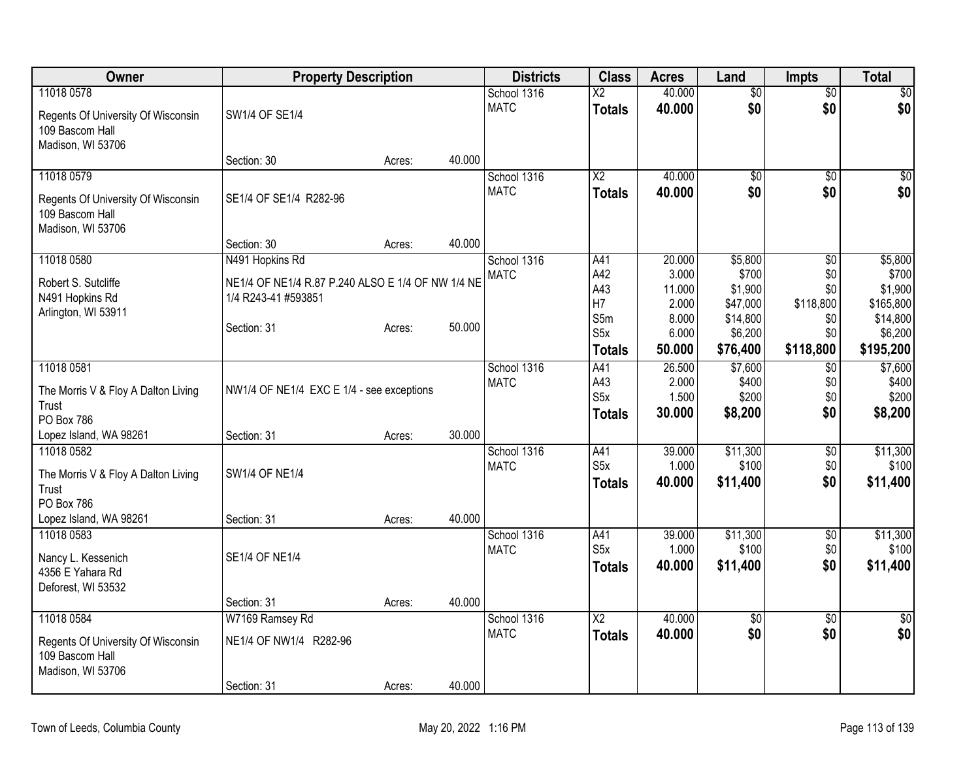| Owner                                        | <b>Property Description</b>                       |        |        | <b>Districts</b> | <b>Class</b>           | <b>Acres</b>   | Land                | <b>Impts</b>    | <b>Total</b>        |
|----------------------------------------------|---------------------------------------------------|--------|--------|------------------|------------------------|----------------|---------------------|-----------------|---------------------|
| 11018 0578                                   |                                                   |        |        | School 1316      | $\overline{X2}$        | 40.000         | $\overline{50}$     | \$0             | \$0                 |
| Regents Of University Of Wisconsin           | SW1/4 OF SE1/4                                    |        |        | <b>MATC</b>      | <b>Totals</b>          | 40.000         | \$0                 | \$0             | \$0                 |
| 109 Bascom Hall                              |                                                   |        |        |                  |                        |                |                     |                 |                     |
| Madison, WI 53706                            |                                                   |        | 40.000 |                  |                        |                |                     |                 |                     |
| 11018 0579                                   | Section: 30                                       | Acres: |        | School 1316      | $\overline{X2}$        | 40.000         | $\overline{50}$     | \$0             | $\sqrt{50}$         |
|                                              |                                                   |        |        | <b>MATC</b>      | <b>Totals</b>          | 40.000         | \$0                 | \$0             | \$0                 |
| Regents Of University Of Wisconsin           | SE1/4 OF SE1/4 R282-96                            |        |        |                  |                        |                |                     |                 |                     |
| 109 Bascom Hall<br>Madison, WI 53706         |                                                   |        |        |                  |                        |                |                     |                 |                     |
|                                              | Section: 30                                       | Acres: | 40.000 |                  |                        |                |                     |                 |                     |
| 11018 0580                                   | N491 Hopkins Rd                                   |        |        | School 1316      | A41                    | 20.000         | \$5,800             | \$0             | \$5,800             |
| Robert S. Sutcliffe                          | NE1/4 OF NE1/4 R.87 P.240 ALSO E 1/4 OF NW 1/4 NE |        |        | <b>MATC</b>      | A42                    | 3.000          | \$700               | \$0             | \$700               |
| N491 Hopkins Rd                              | 1/4 R243-41 #593851                               |        |        |                  | A43                    | 11.000         | \$1,900             | \$0             | \$1,900             |
| Arlington, WI 53911                          |                                                   |        |        |                  | H7                     | 2.000          | \$47,000            | \$118,800       | \$165,800           |
|                                              | Section: 31                                       | Acres: | 50.000 |                  | S5m<br>S5x             | 8.000<br>6.000 | \$14,800<br>\$6,200 | \$0<br>\$0      | \$14,800<br>\$6,200 |
|                                              |                                                   |        |        |                  | <b>Totals</b>          | 50.000         | \$76,400            | \$118,800       | \$195,200           |
| 11018 0581                                   |                                                   |        |        | School 1316      | A41                    | 26.500         | \$7,600             | \$0             | \$7,600             |
|                                              |                                                   |        |        | <b>MATC</b>      | A43                    | 2.000          | \$400               | \$0             | \$400               |
| The Morris V & Floy A Dalton Living          | NW1/4 OF NE1/4 EXC E 1/4 - see exceptions         |        |        |                  | S <sub>5</sub> x       | 1.500          | \$200               | \$0             | \$200               |
| Trust<br>PO Box 786                          |                                                   |        |        |                  | <b>Totals</b>          | 30.000         | \$8,200             | \$0             | \$8,200             |
| Lopez Island, WA 98261                       | Section: 31                                       | Acres: | 30.000 |                  |                        |                |                     |                 |                     |
| 11018 0582                                   |                                                   |        |        | School 1316      | A41                    | 39.000         | \$11,300            | $\sqrt{6}$      | \$11,300            |
|                                              | SW1/4 OF NE1/4                                    |        |        | <b>MATC</b>      | S <sub>5</sub> x       | 1.000          | \$100               | \$0             | \$100               |
| The Morris V & Floy A Dalton Living<br>Trust |                                                   |        |        |                  | <b>Totals</b>          | 40.000         | \$11,400            | \$0             | \$11,400            |
| <b>PO Box 786</b>                            |                                                   |        |        |                  |                        |                |                     |                 |                     |
| Lopez Island, WA 98261                       | Section: 31                                       | Acres: | 40.000 |                  |                        |                |                     |                 |                     |
| 11018 0583                                   |                                                   |        |        | School 1316      | A41                    | 39.000         | \$11,300            | $\sqrt{$0}$     | \$11,300            |
| Nancy L. Kessenich                           | <b>SE1/4 OF NE1/4</b>                             |        |        | <b>MATC</b>      | S5x                    | 1.000          | \$100               | \$0             | \$100               |
| 4356 E Yahara Rd                             |                                                   |        |        |                  | <b>Totals</b>          | 40.000         | \$11,400            | \$0             | \$11,400            |
| Deforest, WI 53532                           |                                                   |        |        |                  |                        |                |                     |                 |                     |
|                                              | Section: 31                                       | Acres: | 40.000 |                  |                        |                |                     |                 |                     |
| 11018 0584                                   | W7169 Ramsey Rd                                   |        |        | School 1316      | $\overline{\text{X2}}$ | 40.000         | $\overline{50}$     | $\overline{30}$ | \$0                 |
| Regents Of University Of Wisconsin           | NE1/4 OF NW1/4 R282-96                            |        |        | <b>MATC</b>      | <b>Totals</b>          | 40.000         | \$0                 | \$0             | \$0                 |
| 109 Bascom Hall                              |                                                   |        |        |                  |                        |                |                     |                 |                     |
| Madison, WI 53706                            |                                                   |        |        |                  |                        |                |                     |                 |                     |
|                                              | Section: 31                                       | Acres: | 40.000 |                  |                        |                |                     |                 |                     |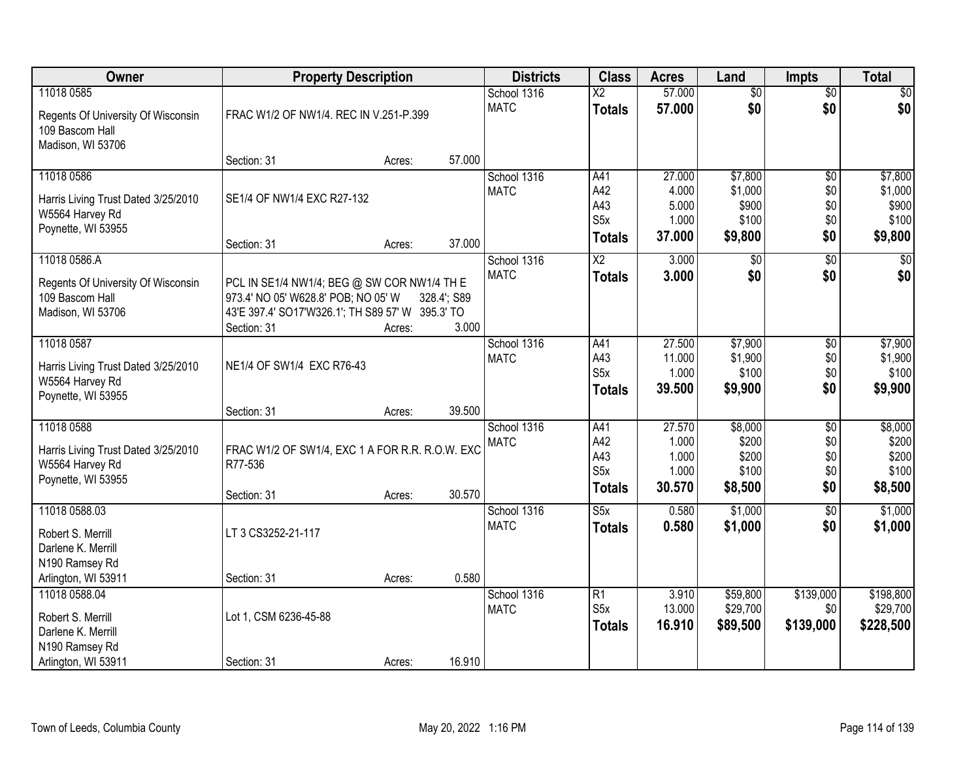| Owner                                 | <b>Property Description</b>                                     |        |             | <b>Districts</b>           | <b>Class</b>            | <b>Acres</b>   | Land                | <b>Impts</b>    | <b>Total</b>     |
|---------------------------------------|-----------------------------------------------------------------|--------|-------------|----------------------------|-------------------------|----------------|---------------------|-----------------|------------------|
| 11018 0585                            |                                                                 |        |             | School 1316                | $\overline{\text{X2}}$  | 57.000         | $\overline{50}$     | $\overline{60}$ | $\sqrt{50}$      |
| Regents Of University Of Wisconsin    | FRAC W1/2 OF NW1/4. REC IN V.251-P.399                          |        |             | <b>MATC</b>                | <b>Totals</b>           | 57.000         | \$0                 | \$0             | \$0              |
| 109 Bascom Hall                       |                                                                 |        |             |                            |                         |                |                     |                 |                  |
| Madison, WI 53706                     |                                                                 |        |             |                            |                         |                |                     |                 |                  |
|                                       | Section: 31                                                     | Acres: | 57.000      |                            |                         |                |                     |                 |                  |
| 11018 0586                            |                                                                 |        |             | School 1316                | A41                     | 27.000         | \$7,800             | $\overline{50}$ | \$7,800          |
| Harris Living Trust Dated 3/25/2010   | SE1/4 OF NW1/4 EXC R27-132                                      |        |             | <b>MATC</b>                | A42<br>A43              | 4.000<br>5.000 | \$1,000<br>\$900    | \$0<br>\$0      | \$1,000<br>\$900 |
| W5564 Harvey Rd                       |                                                                 |        |             |                            | S <sub>5</sub> x        | 1.000          | \$100               | \$0             | \$100            |
| Poynette, WI 53955                    |                                                                 |        |             |                            | <b>Totals</b>           | 37.000         | \$9,800             | \$0             | \$9,800          |
| 11018 0586.A                          | Section: 31                                                     | Acres: | 37.000      |                            |                         | 3.000          |                     |                 | \$0              |
|                                       |                                                                 |        |             | School 1316<br><b>MATC</b> | X2<br><b>Totals</b>     | 3.000          | $\sqrt[6]{}$<br>\$0 | \$0<br>\$0      | \$0              |
| Regents Of University Of Wisconsin    | PCL IN SE1/4 NW1/4; BEG @ SW COR NW1/4 TH E                     |        |             |                            |                         |                |                     |                 |                  |
| 109 Bascom Hall                       | 973.4' NO 05' W628.8' POB; NO 05' W                             |        | 328.4'; S89 |                            |                         |                |                     |                 |                  |
| Madison, WI 53706                     | 43'E 397.4' SO17'W326.1'; TH S89 57' W 395.3' TO<br>Section: 31 |        | 3.000       |                            |                         |                |                     |                 |                  |
| 11018 0587                            |                                                                 | Acres: |             | School 1316                | A41                     | 27.500         | \$7,900             | \$0             | \$7,900          |
|                                       |                                                                 |        |             | <b>MATC</b>                | A43                     | 11.000         | \$1,900             | \$0             | \$1,900          |
| Harris Living Trust Dated 3/25/2010   | NE1/4 OF SW1/4 EXC R76-43                                       |        |             |                            | S <sub>5x</sub>         | 1.000          | \$100               | \$0             | \$100            |
| W5564 Harvey Rd                       |                                                                 |        |             |                            | <b>Totals</b>           | 39.500         | \$9,900             | \$0             | \$9,900          |
| Poynette, WI 53955                    | Section: 31                                                     | Acres: | 39.500      |                            |                         |                |                     |                 |                  |
| 11018 0588                            |                                                                 |        |             | School 1316                | A41                     | 27.570         | \$8,000             | $\overline{50}$ | \$8,000          |
|                                       |                                                                 |        |             | <b>MATC</b>                | A42                     | 1.000          | \$200               | \$0             | \$200            |
| Harris Living Trust Dated 3/25/2010   | FRAC W1/2 OF SW1/4, EXC 1 A FOR R.R. R.O.W. EXC                 |        |             |                            | A43                     | 1.000          | \$200               | \$0             | \$200            |
| W5564 Harvey Rd<br>Poynette, WI 53955 | R77-536                                                         |        |             |                            | S <sub>5</sub> x        | 1.000          | \$100               | \$0             | \$100            |
|                                       | Section: 31                                                     | Acres: | 30.570      |                            | <b>Totals</b>           | 30.570         | \$8,500             | \$0             | \$8,500          |
| 11018 0588.03                         |                                                                 |        |             | School 1316                | $\overline{\text{S5x}}$ | 0.580          | \$1,000             | $\overline{60}$ | \$1,000          |
| Robert S. Merrill                     | LT 3 CS3252-21-117                                              |        |             | <b>MATC</b>                | <b>Totals</b>           | 0.580          | \$1,000             | \$0             | \$1,000          |
| Darlene K. Merrill                    |                                                                 |        |             |                            |                         |                |                     |                 |                  |
| N190 Ramsey Rd                        |                                                                 |        |             |                            |                         |                |                     |                 |                  |
| Arlington, WI 53911                   | Section: 31                                                     | Acres: | 0.580       |                            |                         |                |                     |                 |                  |
| 11018 0588.04                         |                                                                 |        |             | School 1316                | R1                      | 3.910          | \$59,800            | \$139,000       | \$198,800        |
| Robert S. Merrill                     | Lot 1, CSM 6236-45-88                                           |        |             | <b>MATC</b>                | S <sub>5x</sub>         | 13.000         | \$29,700            | \$0             | \$29,700         |
| Darlene K. Merrill                    |                                                                 |        |             |                            | <b>Totals</b>           | 16.910         | \$89,500            | \$139,000       | \$228,500        |
| N190 Ramsey Rd                        |                                                                 |        |             |                            |                         |                |                     |                 |                  |
| Arlington, WI 53911                   | Section: 31                                                     | Acres: | 16.910      |                            |                         |                |                     |                 |                  |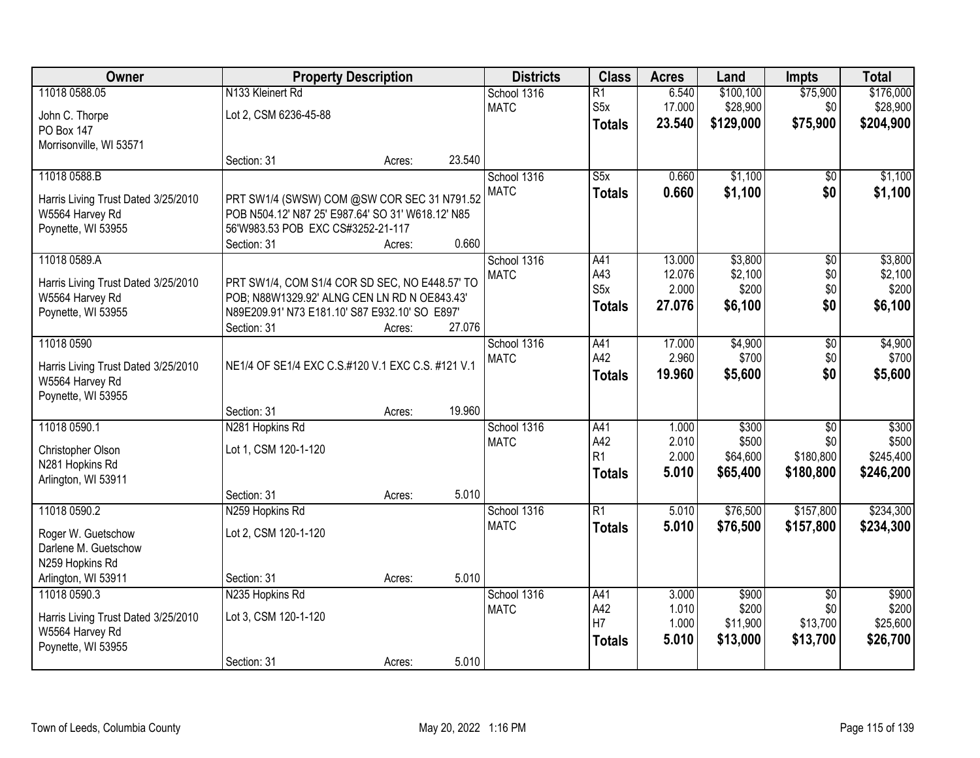| Owner                               | <b>Property Description</b>                       |        |        | <b>Districts</b> | <b>Class</b>            | <b>Acres</b>    | Land                 | <b>Impts</b>     | <b>Total</b>         |
|-------------------------------------|---------------------------------------------------|--------|--------|------------------|-------------------------|-----------------|----------------------|------------------|----------------------|
| 11018 0588.05                       | N133 Kleinert Rd                                  |        |        | School 1316      | $\overline{R1}$         | 6.540           | \$100, 100           | \$75,900         | \$176,000            |
| John C. Thorpe                      | Lot 2, CSM 6236-45-88                             |        |        | <b>MATC</b>      | S <sub>5</sub> x        | 17.000          | \$28,900             | \$0              | \$28,900             |
| PO Box 147                          |                                                   |        |        |                  | <b>Totals</b>           | 23.540          | \$129,000            | \$75,900         | \$204,900            |
| Morrisonville, WI 53571             |                                                   |        |        |                  |                         |                 |                      |                  |                      |
|                                     | Section: 31                                       | Acres: | 23.540 |                  |                         |                 |                      |                  |                      |
| 11018 0588.B                        |                                                   |        |        | School 1316      | S5x                     | 0.660           | \$1,100              | \$0              | \$1,100              |
| Harris Living Trust Dated 3/25/2010 | PRT SW1/4 (SWSW) COM @SW COR SEC 31 N791.52       |        |        | <b>MATC</b>      | <b>Totals</b>           | 0.660           | \$1,100              | \$0              | \$1,100              |
| W5564 Harvey Rd                     | POB N504.12' N87 25' E987.64' SO 31' W618.12' N85 |        |        |                  |                         |                 |                      |                  |                      |
| Poynette, WI 53955                  | 56'W983.53 POB EXC CS#3252-21-117                 |        |        |                  |                         |                 |                      |                  |                      |
|                                     | Section: 31                                       | Acres: | 0.660  |                  |                         |                 |                      |                  |                      |
| 11018 0589.A                        |                                                   |        |        | School 1316      | A41                     | 13.000          | \$3,800              | $\overline{50}$  | \$3,800              |
| Harris Living Trust Dated 3/25/2010 | PRT SW1/4, COM S1/4 COR SD SEC, NO E448.57' TO    |        |        | <b>MATC</b>      | A43<br>S <sub>5</sub> x | 12.076<br>2.000 | \$2,100<br>\$200     | \$0<br>\$0       | \$2,100<br>\$200     |
| W5564 Harvey Rd                     | POB; N88W1329.92' ALNG CEN LN RD N OE843.43'      |        |        |                  |                         | 27.076          | \$6,100              | \$0              | \$6,100              |
| Poynette, WI 53955                  | N89E209.91' N73 E181.10' S87 E932.10' SO E897'    |        |        |                  | <b>Totals</b>           |                 |                      |                  |                      |
|                                     | Section: 31                                       | Acres: | 27.076 |                  |                         |                 |                      |                  |                      |
| 11018 0590                          |                                                   |        |        | School 1316      | A41                     | 17.000          | \$4,900              | \$0              | \$4,900              |
| Harris Living Trust Dated 3/25/2010 | NE1/4 OF SE1/4 EXC C.S.#120 V.1 EXC C.S. #121 V.1 |        |        | <b>MATC</b>      | A42                     | 2.960           | \$700                | \$0              | \$700                |
| W5564 Harvey Rd                     |                                                   |        |        |                  | <b>Totals</b>           | 19.960          | \$5,600              | \$0              | \$5,600              |
| Poynette, WI 53955                  |                                                   |        |        |                  |                         |                 |                      |                  |                      |
|                                     | Section: 31                                       | Acres: | 19.960 |                  |                         |                 |                      |                  |                      |
| 11018 0590.1                        | N281 Hopkins Rd                                   |        |        | School 1316      | A41                     | 1.000           | \$300                | $\overline{50}$  | \$300                |
| Christopher Olson                   | Lot 1, CSM 120-1-120                              |        |        | <b>MATC</b>      | A42<br>R <sub>1</sub>   | 2.010<br>2.000  | \$500<br>\$64,600    | \$0<br>\$180,800 | \$500<br>\$245,400   |
| N281 Hopkins Rd                     |                                                   |        |        |                  | <b>Totals</b>           | 5.010           | \$65,400             | \$180,800        | \$246,200            |
| Arlington, WI 53911                 |                                                   |        |        |                  |                         |                 |                      |                  |                      |
|                                     | Section: 31                                       | Acres: | 5.010  |                  |                         |                 |                      |                  |                      |
| 11018 0590.2                        | N259 Hopkins Rd                                   |        |        | School 1316      | $\overline{R1}$         | 5.010           | \$76,500             | \$157,800        | \$234,300            |
| Roger W. Guetschow                  | Lot 2, CSM 120-1-120                              |        |        | <b>MATC</b>      | <b>Totals</b>           | 5.010           | \$76,500             | \$157,800        | \$234,300            |
| Darlene M. Guetschow                |                                                   |        |        |                  |                         |                 |                      |                  |                      |
| N259 Hopkins Rd                     |                                                   |        |        |                  |                         |                 |                      |                  |                      |
| Arlington, WI 53911                 | Section: 31                                       | Acres: | 5.010  |                  |                         |                 |                      |                  |                      |
| 11018 0590.3                        | N235 Hopkins Rd                                   |        |        | School 1316      | A41                     | 3.000           | \$900                | $\overline{50}$  | \$900                |
| Harris Living Trust Dated 3/25/2010 | Lot 3, CSM 120-1-120                              |        |        | <b>MATC</b>      | A42<br>H7               | 1.010<br>1.000  | \$200                | \$0<br>\$13,700  | \$200                |
| W5564 Harvey Rd                     |                                                   |        |        |                  |                         | 5.010           | \$11,900<br>\$13,000 | \$13,700         | \$25,600<br>\$26,700 |
| Poynette, WI 53955                  |                                                   |        |        |                  | <b>Totals</b>           |                 |                      |                  |                      |
|                                     | Section: 31                                       | Acres: | 5.010  |                  |                         |                 |                      |                  |                      |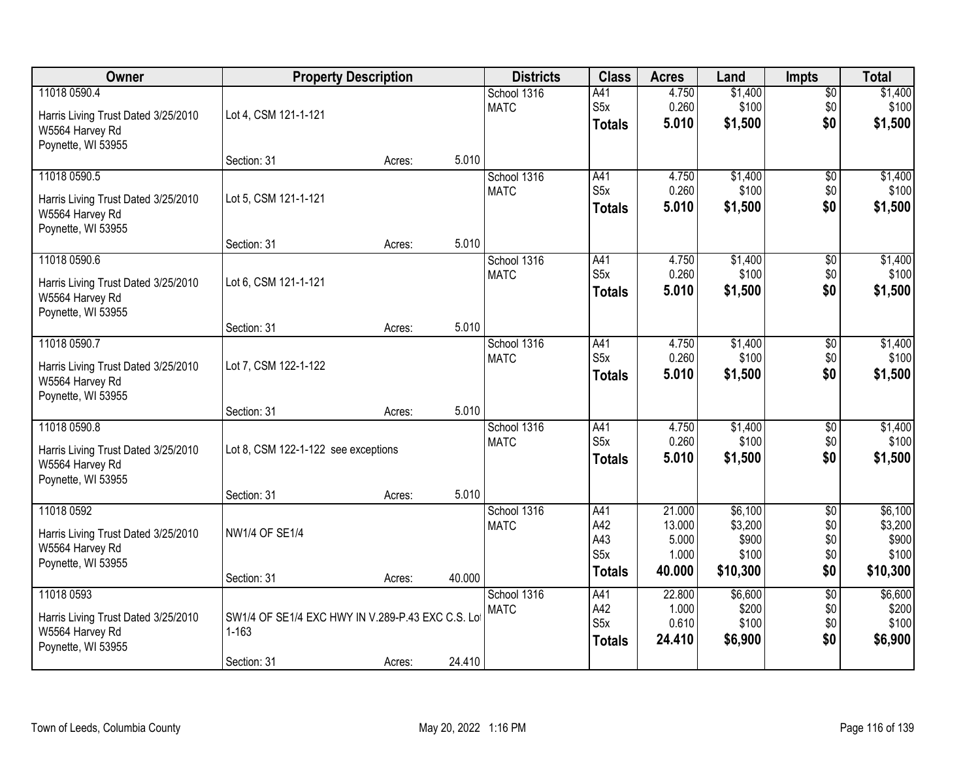| Owner                                                                                        |                                                                | <b>Property Description</b> |        | <b>Districts</b>           | <b>Class</b>                                           | <b>Acres</b>                                 | Land                                             | <b>Impts</b>                                | <b>Total</b>                                     |
|----------------------------------------------------------------------------------------------|----------------------------------------------------------------|-----------------------------|--------|----------------------------|--------------------------------------------------------|----------------------------------------------|--------------------------------------------------|---------------------------------------------|--------------------------------------------------|
| 11018 0590.4<br>Harris Living Trust Dated 3/25/2010<br>W5564 Harvey Rd<br>Poynette, WI 53955 | Lot 4, CSM 121-1-121                                           |                             |        | School 1316<br><b>MATC</b> | A41<br>S <sub>5</sub> x<br><b>Totals</b>               | 4.750<br>0.260<br>5.010                      | \$1,400<br>\$100<br>\$1,500                      | \$0<br>\$0<br>\$0                           | \$1,400<br>\$100<br>\$1,500                      |
|                                                                                              | Section: 31                                                    | Acres:                      | 5.010  |                            |                                                        |                                              |                                                  |                                             |                                                  |
| 11018 0590.5<br>Harris Living Trust Dated 3/25/2010<br>W5564 Harvey Rd<br>Poynette, WI 53955 | Lot 5, CSM 121-1-121                                           |                             |        | School 1316<br><b>MATC</b> | A41<br>S <sub>5x</sub><br><b>Totals</b>                | 4.750<br>0.260<br>5.010                      | \$1,400<br>\$100<br>\$1,500                      | $\overline{50}$<br>\$0<br>\$0               | \$1,400<br>\$100<br>\$1,500                      |
|                                                                                              | Section: 31                                                    | Acres:                      | 5.010  |                            |                                                        |                                              |                                                  |                                             |                                                  |
| 11018 0590.6<br>Harris Living Trust Dated 3/25/2010<br>W5564 Harvey Rd<br>Poynette, WI 53955 | Lot 6, CSM 121-1-121                                           |                             |        | School 1316<br><b>MATC</b> | A41<br>S <sub>5</sub> x<br><b>Totals</b>               | 4.750<br>0.260<br>5.010                      | \$1,400<br>\$100<br>\$1,500                      | $\sqrt[6]{3}$<br>\$0<br>\$0                 | \$1,400<br>\$100<br>\$1,500                      |
|                                                                                              | Section: 31                                                    | Acres:                      | 5.010  |                            |                                                        |                                              |                                                  |                                             |                                                  |
| 11018 0590.7<br>Harris Living Trust Dated 3/25/2010<br>W5564 Harvey Rd<br>Poynette, WI 53955 | Lot 7, CSM 122-1-122                                           |                             |        | School 1316<br><b>MATC</b> | A41<br>S <sub>5</sub> x<br><b>Totals</b>               | 4.750<br>0.260<br>5.010                      | \$1,400<br>\$100<br>\$1,500                      | \$0<br>\$0<br>\$0                           | \$1,400<br>\$100<br>\$1,500                      |
|                                                                                              | Section: 31                                                    | Acres:                      | 5.010  |                            |                                                        |                                              |                                                  |                                             |                                                  |
| 11018 0590.8<br>Harris Living Trust Dated 3/25/2010<br>W5564 Harvey Rd<br>Poynette, WI 53955 | Lot 8, CSM 122-1-122 see exceptions                            |                             |        | School 1316<br><b>MATC</b> | A41<br>S5x<br><b>Totals</b>                            | 4.750<br>0.260<br>5.010                      | \$1,400<br>\$100<br>\$1,500                      | \$0<br>\$0<br>\$0                           | \$1,400<br>\$100<br>\$1,500                      |
|                                                                                              | Section: 31                                                    | Acres:                      | 5.010  |                            |                                                        |                                              |                                                  |                                             |                                                  |
| 11018 0592<br>Harris Living Trust Dated 3/25/2010<br>W5564 Harvey Rd<br>Poynette, WI 53955   | <b>NW1/4 OF SE1/4</b>                                          |                             |        | School 1316<br><b>MATC</b> | A41<br>A42<br>A43<br>S <sub>5</sub> x<br><b>Totals</b> | 21.000<br>13.000<br>5.000<br>1.000<br>40.000 | \$6,100<br>\$3,200<br>\$900<br>\$100<br>\$10,300 | $\overline{50}$<br>\$0<br>\$0<br>\$0<br>\$0 | \$6,100<br>\$3,200<br>\$900<br>\$100<br>\$10,300 |
| 11018 0593                                                                                   | Section: 31                                                    | Acres:                      | 40.000 | School 1316                | A41                                                    | 22.800                                       | \$6,600                                          | $\overline{50}$                             | \$6,600                                          |
| Harris Living Trust Dated 3/25/2010<br>W5564 Harvey Rd<br>Poynette, WI 53955                 | SW1/4 OF SE1/4 EXC HWY IN V.289-P.43 EXC C.S. Lot<br>$1 - 163$ |                             |        | <b>MATC</b>                | A42<br>S <sub>5</sub> x<br><b>Totals</b>               | 1.000<br>0.610<br>24.410                     | \$200<br>\$100<br>\$6,900                        | \$0<br>\$0<br>\$0                           | \$200<br>\$100<br>\$6,900                        |
|                                                                                              | Section: 31                                                    | Acres:                      | 24.410 |                            |                                                        |                                              |                                                  |                                             |                                                  |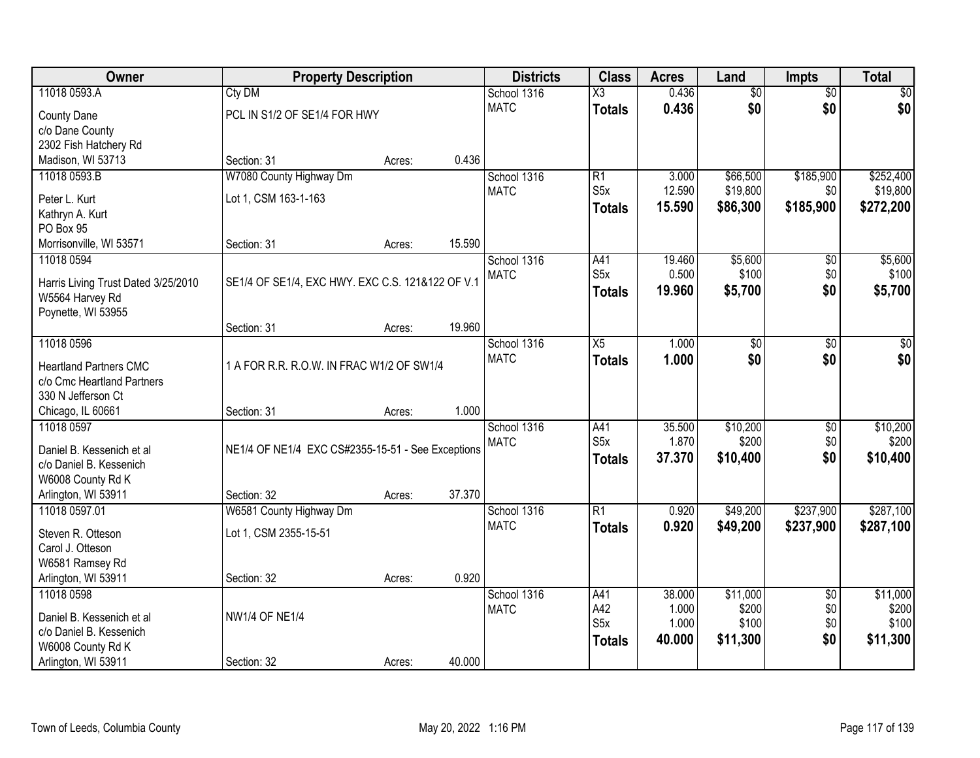| Owner                                                       | <b>Property Description</b>                       |        |        | <b>Districts</b> | <b>Class</b>           | <b>Acres</b>    | Land              | Impts                  | <b>Total</b>   |
|-------------------------------------------------------------|---------------------------------------------------|--------|--------|------------------|------------------------|-----------------|-------------------|------------------------|----------------|
| 11018 0593.A                                                | Cty DM                                            |        |        | School 1316      | $\overline{\text{X3}}$ | 0.436           | $\overline{60}$   | $\overline{50}$        | \$0            |
| <b>County Dane</b>                                          | PCL IN S1/2 OF SE1/4 FOR HWY                      |        |        | <b>MATC</b>      | <b>Totals</b>          | 0.436           | \$0               | \$0                    | \$0            |
| c/o Dane County                                             |                                                   |        |        |                  |                        |                 |                   |                        |                |
| 2302 Fish Hatchery Rd                                       |                                                   |        |        |                  |                        |                 |                   |                        |                |
| Madison, WI 53713                                           | Section: 31                                       | Acres: | 0.436  |                  |                        |                 |                   |                        |                |
| 11018 0593.B                                                | W7080 County Highway Dm                           |        |        | School 1316      | $\overline{R1}$        | 3.000           | \$66,500          | \$185,900              | \$252,400      |
| Peter L. Kurt                                               | Lot 1, CSM 163-1-163                              |        |        | <b>MATC</b>      | S <sub>5</sub> x       | 12.590          | \$19,800          | \$0                    | \$19,800       |
| Kathryn A. Kurt                                             |                                                   |        |        |                  | <b>Totals</b>          | 15.590          | \$86,300          | \$185,900              | \$272,200      |
| PO Box 95                                                   |                                                   |        |        |                  |                        |                 |                   |                        |                |
| Morrisonville, WI 53571                                     | Section: 31                                       | Acres: | 15.590 |                  |                        |                 |                   |                        |                |
| 11018 0594                                                  |                                                   |        |        | School 1316      | A41                    | 19.460          | \$5,600           | $\overline{50}$        | \$5,600        |
| Harris Living Trust Dated 3/25/2010                         | SE1/4 OF SE1/4, EXC HWY. EXC C.S. 121&122 OF V.1  |        |        | <b>MATC</b>      | S <sub>5</sub> x       | 0.500           | \$100             | \$0                    | \$100          |
| W5564 Harvey Rd                                             |                                                   |        |        |                  | <b>Totals</b>          | 19,960          | \$5,700           | \$0                    | \$5,700        |
| Poynette, WI 53955                                          |                                                   |        |        |                  |                        |                 |                   |                        |                |
|                                                             | Section: 31                                       | Acres: | 19.960 |                  |                        |                 |                   |                        |                |
| 11018 0596                                                  |                                                   |        |        | School 1316      | X5                     | 1.000           | \$0               | \$0                    | \$0            |
|                                                             |                                                   |        |        | <b>MATC</b>      | <b>Totals</b>          | 1.000           | \$0               | \$0                    | \$0            |
| <b>Heartland Partners CMC</b><br>c/o Cmc Heartland Partners | 1 A FOR R.R. R.O.W. IN FRAC W1/2 OF SW1/4         |        |        |                  |                        |                 |                   |                        |                |
| 330 N Jefferson Ct                                          |                                                   |        |        |                  |                        |                 |                   |                        |                |
| Chicago, IL 60661                                           | Section: 31                                       | Acres: | 1.000  |                  |                        |                 |                   |                        |                |
| 11018 0597                                                  |                                                   |        |        | School 1316      | A41                    | 35.500          | \$10,200          | $\overline{50}$        | \$10,200       |
|                                                             |                                                   |        |        | <b>MATC</b>      | S5x                    | 1.870           | \$200             | \$0                    | \$200          |
| Daniel B. Kessenich et al                                   | NE1/4 OF NE1/4 EXC CS#2355-15-51 - See Exceptions |        |        |                  | <b>Totals</b>          | 37.370          | \$10,400          | \$0                    | \$10,400       |
| c/o Daniel B. Kessenich                                     |                                                   |        |        |                  |                        |                 |                   |                        |                |
| W6008 County Rd K<br>Arlington, WI 53911                    | Section: 32                                       | Acres: | 37.370 |                  |                        |                 |                   |                        |                |
| 11018 0597.01                                               | W6581 County Highway Dm                           |        |        | School 1316      | $\overline{R1}$        | 0.920           | \$49,200          | \$237,900              | \$287,100      |
|                                                             |                                                   |        |        | <b>MATC</b>      | <b>Totals</b>          | 0.920           | \$49,200          | \$237,900              | \$287,100      |
| Steven R. Otteson                                           | Lot 1, CSM 2355-15-51                             |        |        |                  |                        |                 |                   |                        |                |
| Carol J. Otteson                                            |                                                   |        |        |                  |                        |                 |                   |                        |                |
| W6581 Ramsey Rd                                             |                                                   |        |        |                  |                        |                 |                   |                        |                |
| Arlington, WI 53911                                         | Section: 32                                       | Acres: | 0.920  |                  |                        |                 |                   |                        |                |
| 11018 0598                                                  |                                                   |        |        | School 1316      | A41<br>A42             | 38.000<br>1.000 | \$11,000<br>\$200 | $\overline{30}$<br>\$0 | \$11,000       |
| Daniel B. Kessenich et al                                   | <b>NW1/4 OF NE1/4</b>                             |        |        | <b>MATC</b>      | S <sub>5</sub> x       | 1.000           | \$100             | \$0                    | \$200<br>\$100 |
| c/o Daniel B. Kessenich                                     |                                                   |        |        |                  | <b>Totals</b>          | 40.000          | \$11,300          | \$0                    | \$11,300       |
| W6008 County Rd K                                           |                                                   |        |        |                  |                        |                 |                   |                        |                |
| Arlington, WI 53911                                         | Section: 32                                       | Acres: | 40.000 |                  |                        |                 |                   |                        |                |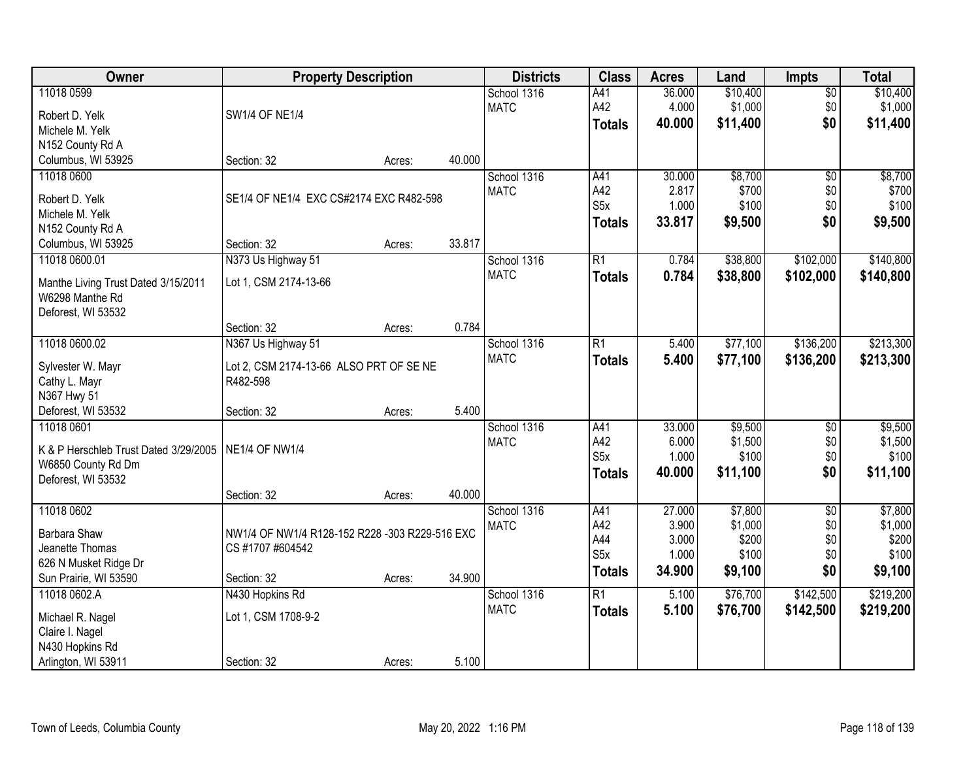| <b>Owner</b>                          | <b>Property Description</b>                    |        |        | <b>Districts</b> | <b>Class</b>     | <b>Acres</b> | Land     | <b>Impts</b>    | <b>Total</b> |
|---------------------------------------|------------------------------------------------|--------|--------|------------------|------------------|--------------|----------|-----------------|--------------|
| 11018 0599                            |                                                |        |        | School 1316      | A41              | 36.000       | \$10,400 | $\overline{50}$ | \$10,400     |
| Robert D. Yelk                        | <b>SW1/4 OF NE1/4</b>                          |        |        | <b>MATC</b>      | A42              | 4.000        | \$1,000  | \$0             | \$1,000      |
| Michele M. Yelk                       |                                                |        |        |                  | <b>Totals</b>    | 40.000       | \$11,400 | \$0             | \$11,400     |
| N152 County Rd A                      |                                                |        |        |                  |                  |              |          |                 |              |
| Columbus, WI 53925                    | Section: 32                                    | Acres: | 40.000 |                  |                  |              |          |                 |              |
| 11018 0600                            |                                                |        |        | School 1316      | A41              | 30.000       | \$8,700  | $\overline{50}$ | \$8,700      |
|                                       |                                                |        |        | <b>MATC</b>      | A42              | 2.817        | \$700    | \$0             | \$700        |
| Robert D. Yelk                        | SE1/4 OF NE1/4 EXC CS#2174 EXC R482-598        |        |        |                  | S <sub>5</sub> x | 1.000        | \$100    | \$0             | \$100        |
| Michele M. Yelk                       |                                                |        |        |                  | <b>Totals</b>    | 33.817       | \$9,500  | \$0             | \$9,500      |
| N152 County Rd A                      |                                                |        |        |                  |                  |              |          |                 |              |
| Columbus, WI 53925                    | Section: 32                                    | Acres: | 33.817 |                  |                  |              |          |                 |              |
| 11018 0600.01                         | N373 Us Highway 51                             |        |        | School 1316      | $\overline{R1}$  | 0.784        | \$38,800 | \$102,000       | \$140,800    |
| Manthe Living Trust Dated 3/15/2011   | Lot 1, CSM 2174-13-66                          |        |        | <b>MATC</b>      | <b>Totals</b>    | 0.784        | \$38,800 | \$102,000       | \$140,800    |
| W6298 Manthe Rd                       |                                                |        |        |                  |                  |              |          |                 |              |
| Deforest, WI 53532                    |                                                |        |        |                  |                  |              |          |                 |              |
|                                       | Section: 32                                    | Acres: | 0.784  |                  |                  |              |          |                 |              |
| 11018 0600.02                         | N367 Us Highway 51                             |        |        | School 1316      | $\overline{R1}$  | 5.400        | \$77,100 | \$136,200       | \$213,300    |
|                                       |                                                |        |        | <b>MATC</b>      | <b>Totals</b>    | 5.400        | \$77,100 | \$136,200       | \$213,300    |
| Sylvester W. Mayr                     | Lot 2, CSM 2174-13-66 ALSO PRT OF SE NE        |        |        |                  |                  |              |          |                 |              |
| Cathy L. Mayr                         | R482-598                                       |        |        |                  |                  |              |          |                 |              |
| N367 Hwy 51                           |                                                |        |        |                  |                  |              |          |                 |              |
| Deforest, WI 53532                    | Section: 32                                    | Acres: | 5.400  |                  |                  |              |          |                 |              |
| 11018 0601                            |                                                |        |        | School 1316      | A41              | 33.000       | \$9,500  | $\overline{30}$ | \$9,500      |
| K & P Herschleb Trust Dated 3/29/2005 | <b>NE1/4 OF NW1/4</b>                          |        |        | <b>MATC</b>      | A42              | 6.000        | \$1,500  | \$0             | \$1,500      |
| W6850 County Rd Dm                    |                                                |        |        |                  | S <sub>5</sub> x | 1.000        | \$100    | \$0             | \$100        |
| Deforest, WI 53532                    |                                                |        |        |                  | <b>Totals</b>    | 40.000       | \$11,100 | \$0             | \$11,100     |
|                                       | Section: 32                                    | Acres: | 40.000 |                  |                  |              |          |                 |              |
| 11018 0602                            |                                                |        |        | School 1316      | A41              | 27.000       | \$7,800  | $\overline{50}$ | \$7,800      |
|                                       |                                                |        |        | <b>MATC</b>      | A42              | 3.900        | \$1,000  | \$0             | \$1,000      |
| Barbara Shaw                          | NW1/4 OF NW1/4 R128-152 R228 -303 R229-516 EXC |        |        |                  | A44              | 3.000        | \$200    | \$0             | \$200        |
| Jeanette Thomas                       | CS #1707 #604542                               |        |        |                  | S <sub>5</sub> x | 1.000        | \$100    | \$0             | \$100        |
| 626 N Musket Ridge Dr                 |                                                |        |        |                  | <b>Totals</b>    | 34.900       | \$9,100  | \$0             | \$9,100      |
| Sun Prairie, WI 53590                 | Section: 32                                    | Acres: | 34.900 |                  |                  |              |          |                 |              |
| 11018 0602.A                          | N430 Hopkins Rd                                |        |        | School 1316      | $\overline{R1}$  | 5.100        | \$76,700 | \$142,500       | \$219,200    |
| Michael R. Nagel                      | Lot 1, CSM 1708-9-2                            |        |        | <b>MATC</b>      | <b>Totals</b>    | 5.100        | \$76,700 | \$142,500       | \$219,200    |
| Claire I. Nagel                       |                                                |        |        |                  |                  |              |          |                 |              |
| N430 Hopkins Rd                       |                                                |        |        |                  |                  |              |          |                 |              |
| Arlington, WI 53911                   | Section: 32                                    | Acres: | 5.100  |                  |                  |              |          |                 |              |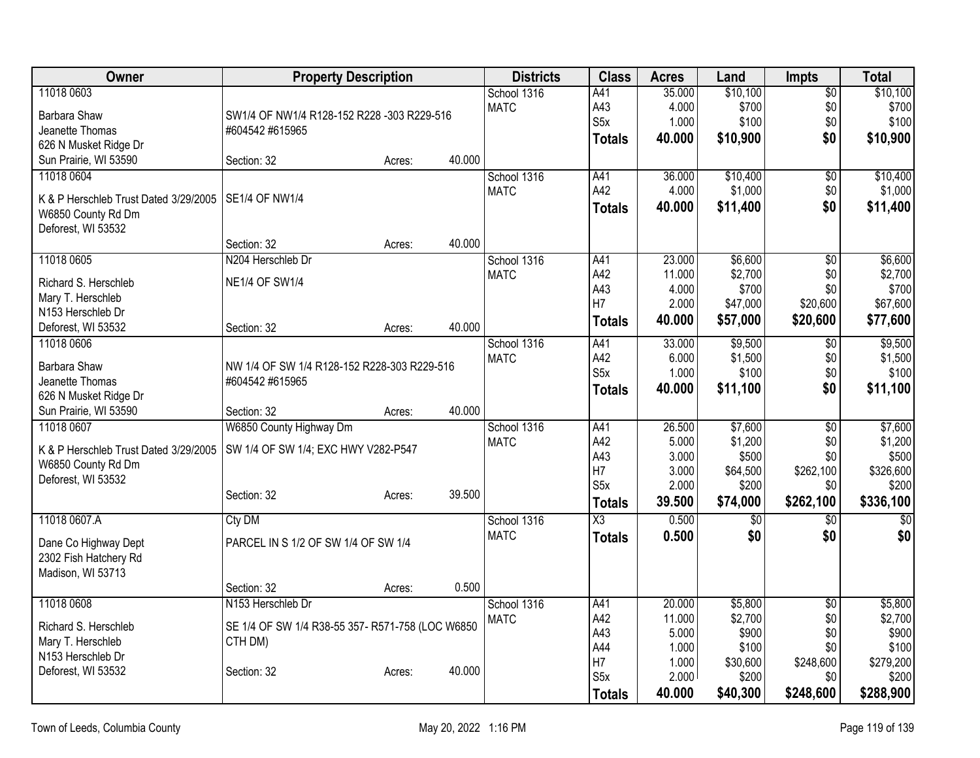| Owner                                   | <b>Property Description</b>                      |        |        | <b>Districts</b> | <b>Class</b>                       | <b>Acres</b>   | Land              | <b>Impts</b>     | <b>Total</b>       |
|-----------------------------------------|--------------------------------------------------|--------|--------|------------------|------------------------------------|----------------|-------------------|------------------|--------------------|
| 11018 0603                              |                                                  |        |        | School 1316      | A41                                | 35.000         | \$10,100          | $\overline{60}$  | \$10,100           |
| Barbara Shaw                            | SW1/4 OF NW1/4 R128-152 R228 -303 R229-516       |        |        | <b>MATC</b>      | A43                                | 4.000          | \$700             | \$0              | \$700              |
| Jeanette Thomas                         | #604542 #615965                                  |        |        |                  | S <sub>5</sub> x                   | 1.000          | \$100             | \$0              | \$100              |
| 626 N Musket Ridge Dr                   |                                                  |        |        |                  | <b>Totals</b>                      | 40.000         | \$10,900          | \$0              | \$10,900           |
| Sun Prairie, WI 53590                   | Section: 32                                      | Acres: | 40.000 |                  |                                    |                |                   |                  |                    |
| 11018 0604                              |                                                  |        |        | School 1316      | A41                                | 36.000         | \$10,400          | $\overline{50}$  | \$10,400           |
| K & P Herschleb Trust Dated 3/29/2005   | <b>SE1/4 OF NW1/4</b>                            |        |        | <b>MATC</b>      | A42                                | 4.000          | \$1,000           | \$0              | \$1,000            |
| W6850 County Rd Dm                      |                                                  |        |        |                  | <b>Totals</b>                      | 40.000         | \$11,400          | \$0              | \$11,400           |
| Deforest, WI 53532                      |                                                  |        |        |                  |                                    |                |                   |                  |                    |
|                                         | Section: 32                                      | Acres: | 40.000 |                  |                                    |                |                   |                  |                    |
| 11018 0605                              | N204 Herschleb Dr                                |        |        | School 1316      | A41                                | 23.000         | \$6,600           | $\overline{50}$  | \$6,600            |
|                                         |                                                  |        |        | <b>MATC</b>      | A42                                | 11.000         | \$2,700           | \$0              | \$2,700            |
| Richard S. Herschleb                    | <b>NE1/4 OF SW1/4</b>                            |        |        |                  | A43                                | 4.000          | \$700             | \$0              | \$700              |
| Mary T. Herschleb                       |                                                  |        |        |                  | H7                                 | 2.000          | \$47,000          | \$20,600         | \$67,600           |
| N153 Herschleb Dr<br>Deforest, WI 53532 | Section: 32                                      |        | 40.000 |                  | <b>Totals</b>                      | 40.000         | \$57,000          | \$20,600         | \$77,600           |
| 11018 0606                              |                                                  | Acres: |        | School 1316      | A41                                | 33.000         | \$9,500           | $\overline{50}$  | \$9,500            |
|                                         |                                                  |        |        | <b>MATC</b>      | A42                                | 6.000          | \$1,500           | \$0              | \$1,500            |
| Barbara Shaw                            | NW 1/4 OF SW 1/4 R128-152 R228-303 R229-516      |        |        |                  | S <sub>5</sub> x                   | 1.000          | \$100             | \$0              | \$100              |
| Jeanette Thomas                         | #604542 #615965                                  |        |        |                  | <b>Totals</b>                      | 40.000         | \$11,100          | \$0              | \$11,100           |
| 626 N Musket Ridge Dr                   |                                                  |        |        |                  |                                    |                |                   |                  |                    |
| Sun Prairie, WI 53590                   | Section: 32                                      | Acres: | 40.000 |                  |                                    |                |                   |                  |                    |
| 11018 0607                              | W6850 County Highway Dm                          |        |        | School 1316      | A41                                | 26.500         | \$7,600           | $\overline{50}$  | \$7,600            |
| K & P Herschleb Trust Dated 3/29/2005   | SW 1/4 OF SW 1/4; EXC HWY V282-P547              |        |        | <b>MATC</b>      | A42                                | 5.000          | \$1,200           | \$0              | \$1,200            |
| W6850 County Rd Dm                      |                                                  |        |        |                  | A43<br>H7                          | 3.000<br>3.000 | \$500             | \$0<br>\$262,100 | \$500<br>\$326,600 |
| Deforest, WI 53532                      |                                                  |        |        |                  | S <sub>5</sub> x                   | 2.000          | \$64,500<br>\$200 | \$0              | \$200              |
|                                         | Section: 32                                      | Acres: | 39.500 |                  |                                    | 39.500         | \$74,000          | \$262,100        | \$336,100          |
|                                         |                                                  |        |        |                  | <b>Totals</b>                      |                |                   |                  |                    |
| 11018 0607.A                            | Cty DM                                           |        |        | School 1316      | $\overline{\text{X3}}$             | 0.500          | $\overline{50}$   | $\overline{50}$  | $\overline{30}$    |
| Dane Co Highway Dept                    | PARCEL IN S 1/2 OF SW 1/4 OF SW 1/4              |        |        | <b>MATC</b>      | <b>Totals</b>                      | 0.500          | \$0               | \$0              | \$0                |
| 2302 Fish Hatchery Rd                   |                                                  |        |        |                  |                                    |                |                   |                  |                    |
| Madison, WI 53713                       |                                                  |        |        |                  |                                    |                |                   |                  |                    |
|                                         | Section: 32                                      | Acres: | 0.500  |                  |                                    |                |                   |                  |                    |
| 11018 0608                              | N153 Herschleb Dr                                |        |        | School 1316      | A41                                | 20.000         | \$5,800           | $\overline{50}$  | \$5,800            |
| Richard S. Herschleb                    | SE 1/4 OF SW 1/4 R38-55 357- R571-758 (LOC W6850 |        |        | <b>MATC</b>      | A42                                | 11.000         | \$2,700           | \$0              | \$2,700            |
| Mary T. Herschleb                       | CTH DM)                                          |        |        |                  | A43                                | 5.000          | \$900             | \$0              | \$900              |
| N153 Herschleb Dr                       |                                                  |        |        |                  | A44                                | 1.000          | \$100             | \$0              | \$100              |
| Deforest, WI 53532                      | Section: 32                                      | Acres: | 40.000 |                  | H <sub>7</sub><br>S <sub>5</sub> x | 1.000<br>2.000 | \$30,600<br>\$200 | \$248,600<br>\$0 | \$279,200<br>\$200 |
|                                         |                                                  |        |        |                  |                                    |                |                   |                  |                    |
|                                         |                                                  |        |        |                  | <b>Totals</b>                      | 40.000         | \$40,300          | \$248,600        | \$288,900          |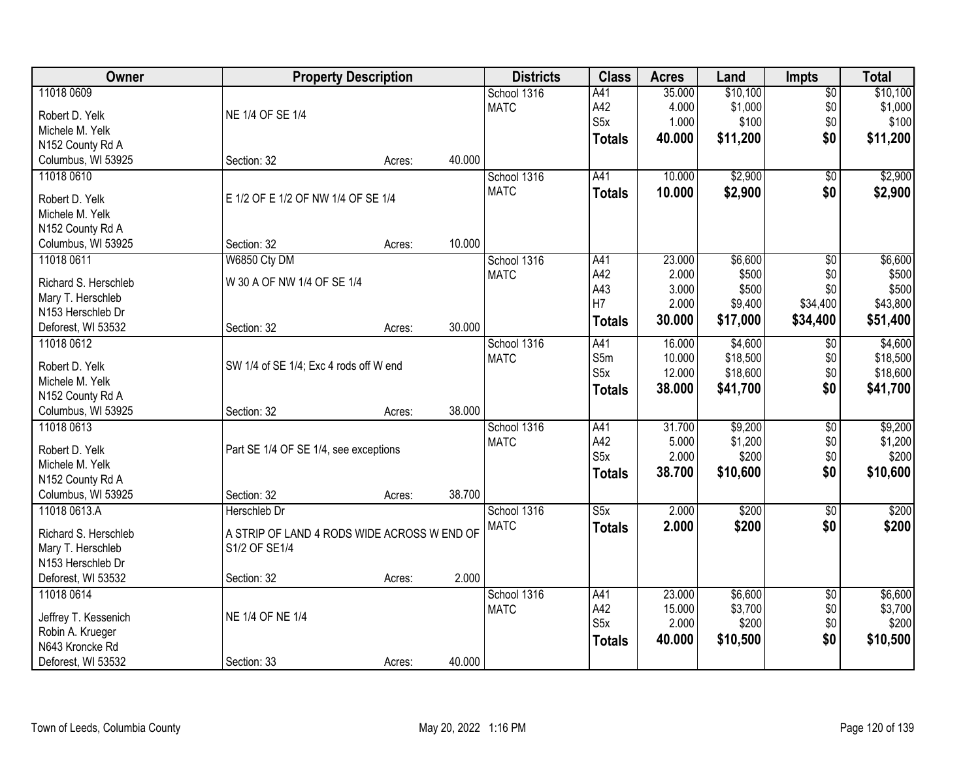| Owner                | <b>Property Description</b>                 |        |        | <b>Districts</b>           | <b>Class</b>            | <b>Acres</b> | Land     | <b>Impts</b>           | <b>Total</b>     |
|----------------------|---------------------------------------------|--------|--------|----------------------------|-------------------------|--------------|----------|------------------------|------------------|
| 11018 0609           |                                             |        |        | School 1316                | A41                     | 35.000       | \$10,100 | $\overline{$0}$        | \$10,100         |
| Robert D. Yelk       | NE 1/4 OF SE 1/4                            |        |        | <b>MATC</b>                | A42                     | 4.000        | \$1,000  | \$0                    | \$1,000          |
| Michele M. Yelk      |                                             |        |        |                            | S <sub>5</sub> x        | 1.000        | \$100    | \$0                    | \$100            |
| N152 County Rd A     |                                             |        |        |                            | <b>Totals</b>           | 40.000       | \$11,200 | \$0                    | \$11,200         |
| Columbus, WI 53925   | Section: 32                                 | Acres: | 40.000 |                            |                         |              |          |                        |                  |
| 11018 0610           |                                             |        |        | School 1316                | A41                     | 10.000       | \$2,900  | $\overline{50}$        | \$2,900          |
|                      |                                             |        |        | <b>MATC</b>                | <b>Totals</b>           | 10.000       | \$2,900  | \$0                    | \$2,900          |
| Robert D. Yelk       | E 1/2 OF E 1/2 OF NW 1/4 OF SE 1/4          |        |        |                            |                         |              |          |                        |                  |
| Michele M. Yelk      |                                             |        |        |                            |                         |              |          |                        |                  |
| N152 County Rd A     |                                             |        | 10.000 |                            |                         |              |          |                        |                  |
| Columbus, WI 53925   | Section: 32                                 | Acres: |        |                            |                         | 23.000       | \$6,600  |                        |                  |
| 11018 0611           | W6850 Cty DM                                |        |        | School 1316<br><b>MATC</b> | A41<br>A42              | 2.000        | \$500    | $\overline{50}$<br>\$0 | \$6,600<br>\$500 |
| Richard S. Herschleb | W 30 A OF NW 1/4 OF SE 1/4                  |        |        |                            | A43                     | 3.000        | \$500    | \$0                    | \$500            |
| Mary T. Herschleb    |                                             |        |        |                            | H7                      | 2.000        | \$9,400  | \$34,400               | \$43,800         |
| N153 Herschleb Dr    |                                             |        |        |                            | <b>Totals</b>           | 30.000       | \$17,000 | \$34,400               | \$51,400         |
| Deforest, WI 53532   | Section: 32                                 | Acres: | 30.000 |                            |                         |              |          |                        |                  |
| 11018 0612           |                                             |        |        | School 1316                | A41                     | 16.000       | \$4,600  | \$0                    | \$4,600          |
| Robert D. Yelk       | SW 1/4 of SE 1/4; Exc 4 rods off W end      |        |        | <b>MATC</b>                | S5m                     | 10.000       | \$18,500 | \$0                    | \$18,500         |
| Michele M. Yelk      |                                             |        |        |                            | S <sub>5</sub> x        | 12.000       | \$18,600 | \$0                    | \$18,600         |
| N152 County Rd A     |                                             |        |        |                            | <b>Totals</b>           | 38.000       | \$41,700 | \$0                    | \$41,700         |
| Columbus, WI 53925   | Section: 32                                 | Acres: | 38.000 |                            |                         |              |          |                        |                  |
| 11018 0613           |                                             |        |        | School 1316                | A41                     | 31.700       | \$9,200  | $\overline{50}$        | \$9,200          |
|                      |                                             |        |        | <b>MATC</b>                | A42                     | 5.000        | \$1,200  | \$0                    | \$1,200          |
| Robert D. Yelk       | Part SE 1/4 OF SE 1/4, see exceptions       |        |        |                            | S <sub>5</sub> x        | 2.000        | \$200    | \$0                    | \$200            |
| Michele M. Yelk      |                                             |        |        |                            | <b>Totals</b>           | 38.700       | \$10,600 | \$0                    | \$10,600         |
| N152 County Rd A     |                                             |        |        |                            |                         |              |          |                        |                  |
| Columbus, WI 53925   | Section: 32                                 | Acres: | 38.700 |                            |                         |              |          |                        |                  |
| 11018 0613.A         | Herschleb Dr                                |        |        | School 1316                | $\overline{\text{S5x}}$ | 2.000        | \$200    | $\overline{50}$        | \$200            |
| Richard S. Herschleb | A STRIP OF LAND 4 RODS WIDE ACROSS W END OF |        |        | <b>MATC</b>                | <b>Totals</b>           | 2.000        | \$200    | \$0                    | \$200            |
| Mary T. Herschleb    | S1/2 OF SE1/4                               |        |        |                            |                         |              |          |                        |                  |
| N153 Herschleb Dr    |                                             |        |        |                            |                         |              |          |                        |                  |
| Deforest, WI 53532   | Section: 32                                 | Acres: | 2.000  |                            |                         |              |          |                        |                  |
| 11018 0614           |                                             |        |        | School 1316                | A41                     | 23.000       | \$6,600  | $\overline{60}$        | \$6,600          |
| Jeffrey T. Kessenich | NE 1/4 OF NE 1/4                            |        |        | <b>MATC</b>                | A42                     | 15.000       | \$3,700  | \$0                    | \$3,700          |
| Robin A. Krueger     |                                             |        |        |                            | S5x                     | 2.000        | \$200    | \$0                    | \$200            |
| N643 Kroncke Rd      |                                             |        |        |                            | <b>Totals</b>           | 40.000       | \$10,500 | \$0                    | \$10,500         |
| Deforest, WI 53532   | Section: 33                                 | Acres: | 40.000 |                            |                         |              |          |                        |                  |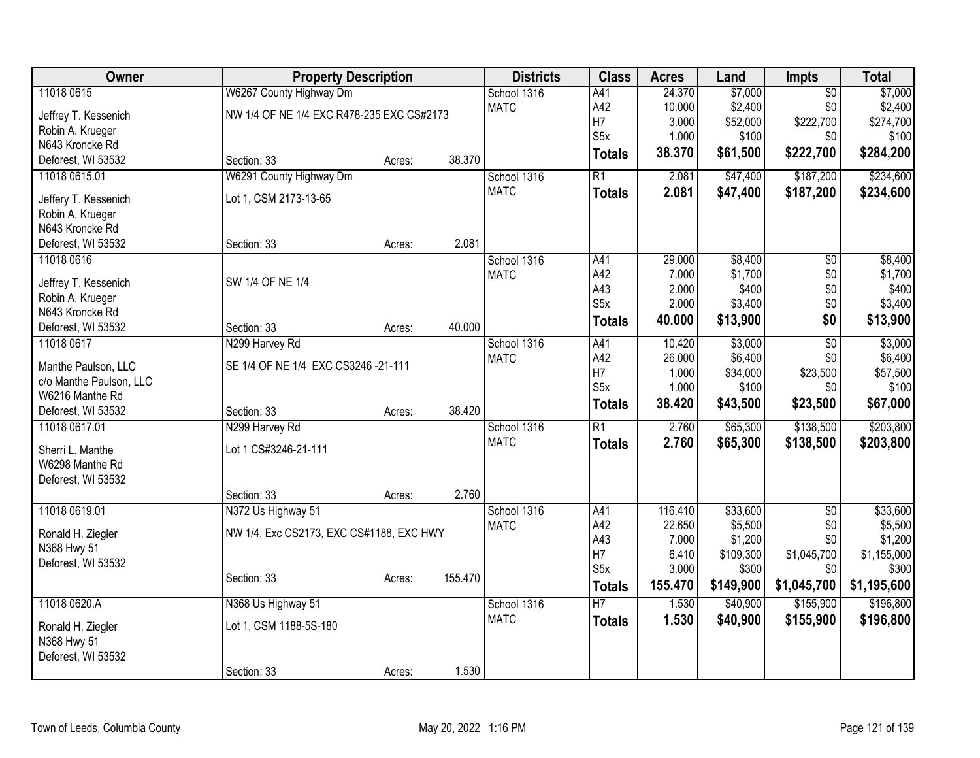| <b>Owner</b>                     |                                           | <b>Property Description</b> |         |             | <b>Class</b>           | <b>Acres</b>   | Land              | <b>Impts</b>    | <b>Total</b>      |
|----------------------------------|-------------------------------------------|-----------------------------|---------|-------------|------------------------|----------------|-------------------|-----------------|-------------------|
| 11018 0615                       | W6267 County Highway Dm                   |                             |         | School 1316 | A41                    | 24.370         | \$7,000           | $\overline{50}$ | \$7,000           |
| Jeffrey T. Kessenich             | NW 1/4 OF NE 1/4 EXC R478-235 EXC CS#2173 |                             |         | <b>MATC</b> | A42                    | 10.000         | \$2,400           | \$0             | \$2,400           |
| Robin A. Krueger                 |                                           |                             |         |             | H7                     | 3.000          | \$52,000          | \$222,700       | \$274,700         |
| N643 Kroncke Rd                  |                                           |                             |         |             | S <sub>5</sub> x       | 1.000          | \$100             | \$0             | \$100             |
| Deforest, WI 53532               | Section: 33                               | Acres:                      | 38.370  |             | <b>Totals</b>          | 38.370         | \$61,500          | \$222,700       | \$284,200         |
| 11018 0615.01                    | W6291 County Highway Dm                   |                             |         | School 1316 | $\overline{R1}$        | 2.081          | \$47,400          | \$187,200       | \$234,600         |
| Jeffery T. Kessenich             | Lot 1, CSM 2173-13-65                     |                             |         | <b>MATC</b> | <b>Totals</b>          | 2.081          | \$47,400          | \$187,200       | \$234,600         |
| Robin A. Krueger                 |                                           |                             |         |             |                        |                |                   |                 |                   |
| N643 Kroncke Rd                  |                                           |                             |         |             |                        |                |                   |                 |                   |
| Deforest, WI 53532               | Section: 33                               | Acres:                      | 2.081   |             |                        |                |                   |                 |                   |
| 11018 0616                       |                                           |                             |         | School 1316 | A41                    | 29.000         | \$8,400           | \$0             | \$8,400           |
|                                  |                                           |                             |         | <b>MATC</b> | A42                    | 7.000          | \$1,700           | \$0             | \$1,700           |
| Jeffrey T. Kessenich             | SW 1/4 OF NE 1/4                          |                             |         |             | A43                    | 2.000          | \$400             | \$0             | \$400             |
| Robin A. Krueger                 |                                           |                             |         |             | S <sub>5</sub> x       | 2.000          | \$3,400           | \$0             | \$3,400           |
| N643 Kroncke Rd                  |                                           |                             |         |             | <b>Totals</b>          | 40.000         | \$13,900          | \$0             | \$13,900          |
| Deforest, WI 53532               | Section: 33                               | Acres:                      | 40.000  |             |                        |                |                   |                 |                   |
| 11018 0617                       | N299 Harvey Rd                            |                             |         | School 1316 | A41                    | 10.420         | \$3,000           | $\overline{50}$ | \$3,000           |
| Manthe Paulson, LLC              | SE 1/4 OF NE 1/4 EXC CS3246 -21-111       |                             |         | <b>MATC</b> | A42                    | 26.000         | \$6,400           | \$0             | \$6,400           |
| c/o Manthe Paulson, LLC          |                                           |                             |         |             | H7<br>S <sub>5</sub> x | 1.000<br>1.000 | \$34,000<br>\$100 | \$23,500<br>\$0 | \$57,500<br>\$100 |
| W6216 Manthe Rd                  |                                           |                             |         |             |                        |                |                   |                 |                   |
| Deforest, WI 53532               | Section: 33                               | Acres:                      | 38.420  |             | <b>Totals</b>          | 38.420         | \$43,500          | \$23,500        | \$67,000          |
| 11018 0617.01                    | N299 Harvey Rd                            |                             |         | School 1316 | $\overline{R1}$        | 2.760          | \$65,300          | \$138,500       | \$203,800         |
| Sherri L. Manthe                 | Lot 1 CS#3246-21-111                      |                             |         | <b>MATC</b> | <b>Totals</b>          | 2.760          | \$65,300          | \$138,500       | \$203,800         |
| W6298 Manthe Rd                  |                                           |                             |         |             |                        |                |                   |                 |                   |
| Deforest, WI 53532               |                                           |                             |         |             |                        |                |                   |                 |                   |
|                                  | Section: 33                               | Acres:                      | 2.760   |             |                        |                |                   |                 |                   |
| 11018 0619.01                    | N372 Us Highway 51                        |                             |         | School 1316 | A41                    | 116.410        | \$33,600          | $\overline{50}$ | \$33,600          |
|                                  |                                           |                             |         | <b>MATC</b> | A42                    | 22.650         | \$5,500           | \$0             | \$5,500           |
| Ronald H. Ziegler                | NW 1/4, Exc CS2173, EXC CS#1188, EXC HWY  |                             |         |             | A43                    | 7.000          | \$1,200           | \$0             | \$1,200           |
| N368 Hwy 51                      |                                           |                             |         |             | H7                     | 6.410          | \$109,300         | \$1,045,700     | \$1,155,000       |
| Deforest, WI 53532               |                                           |                             |         |             | S <sub>5</sub> x       | 3.000          | \$300             | \$0             | \$300             |
|                                  | Section: 33                               | Acres:                      | 155.470 |             | <b>Totals</b>          | 155.470        | \$149,900         | \$1,045,700     | \$1,195,600       |
| 11018 0620.A                     | N368 Us Highway 51                        |                             |         | School 1316 | $\overline{H}$         | 1.530          | \$40,900          | \$155,900       | \$196,800         |
|                                  |                                           |                             |         | <b>MATC</b> | <b>Totals</b>          | 1.530          | \$40,900          | \$155,900       | \$196,800         |
| Ronald H. Ziegler<br>N368 Hwy 51 | Lot 1, CSM 1188-5S-180                    |                             |         |             |                        |                |                   |                 |                   |
| Deforest, WI 53532               |                                           |                             |         |             |                        |                |                   |                 |                   |
|                                  | Section: 33                               | Acres:                      | 1.530   |             |                        |                |                   |                 |                   |
|                                  |                                           |                             |         |             |                        |                |                   |                 |                   |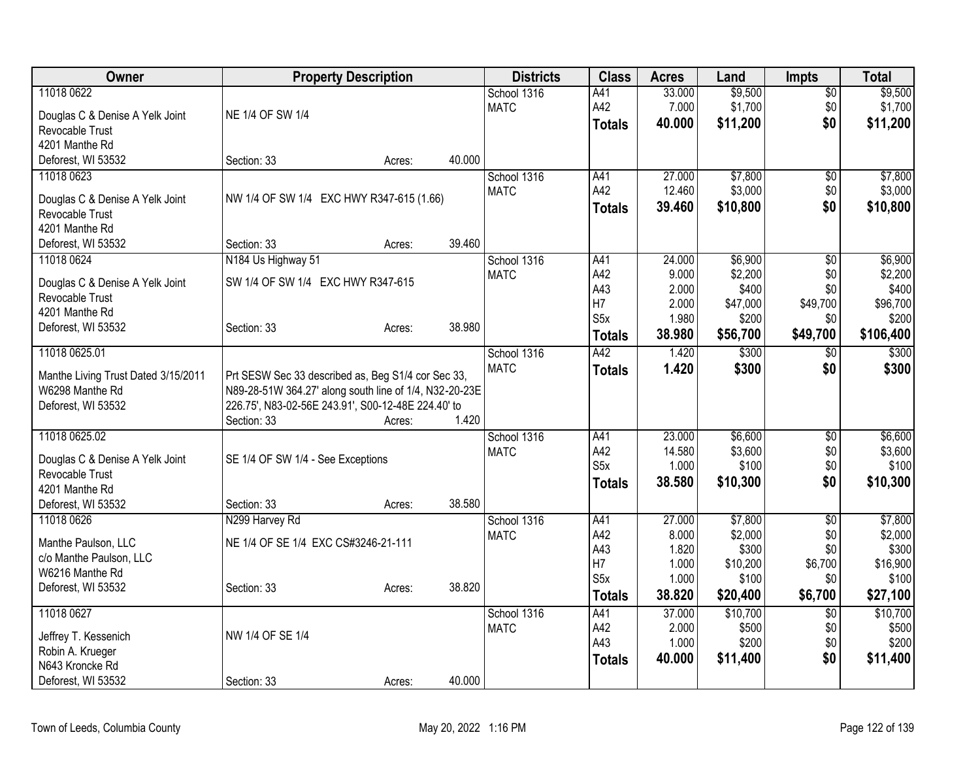| Owner                               |                                                        | <b>Property Description</b> |        | <b>Districts</b> | <b>Class</b>     | <b>Acres</b> | Land     | <b>Impts</b>    | <b>Total</b>   |
|-------------------------------------|--------------------------------------------------------|-----------------------------|--------|------------------|------------------|--------------|----------|-----------------|----------------|
| 11018 0622                          |                                                        |                             |        | School 1316      | A41              | 33.000       | \$9,500  | $\sqrt{$0}$     | \$9,500        |
| Douglas C & Denise A Yelk Joint     | NE 1/4 OF SW 1/4                                       |                             |        | <b>MATC</b>      | A42              | 7.000        | \$1,700  | \$0             | \$1,700        |
| Revocable Trust                     |                                                        |                             |        |                  | <b>Totals</b>    | 40.000       | \$11,200 | \$0             | \$11,200       |
| 4201 Manthe Rd                      |                                                        |                             |        |                  |                  |              |          |                 |                |
| Deforest, WI 53532                  | Section: 33                                            | Acres:                      | 40.000 |                  |                  |              |          |                 |                |
| 11018 0623                          |                                                        |                             |        | School 1316      | A41              | 27.000       | \$7,800  | $\overline{60}$ | \$7,800        |
| Douglas C & Denise A Yelk Joint     | NW 1/4 OF SW 1/4 EXC HWY R347-615 (1.66)               |                             |        | <b>MATC</b>      | A42              | 12.460       | \$3,000  | \$0             | \$3,000        |
| Revocable Trust                     |                                                        |                             |        |                  | <b>Totals</b>    | 39.460       | \$10,800 | \$0             | \$10,800       |
| 4201 Manthe Rd                      |                                                        |                             |        |                  |                  |              |          |                 |                |
| Deforest, WI 53532                  | Section: 33                                            | Acres:                      | 39.460 |                  |                  |              |          |                 |                |
| 11018 0624                          | N184 Us Highway 51                                     |                             |        | School 1316      | A41              | 24.000       | \$6,900  | \$0             | \$6,900        |
| Douglas C & Denise A Yelk Joint     | SW 1/4 OF SW 1/4 EXC HWY R347-615                      |                             |        | <b>MATC</b>      | A42              | 9.000        | \$2,200  | \$0             | \$2,200        |
| Revocable Trust                     |                                                        |                             |        |                  | A43              | 2.000        | \$400    | \$0             | \$400          |
| 4201 Manthe Rd                      |                                                        |                             |        |                  | H <sub>7</sub>   | 2.000        | \$47,000 | \$49,700        | \$96,700       |
| Deforest, WI 53532                  | Section: 33                                            | Acres:                      | 38.980 |                  | S <sub>5</sub> x | 1.980        | \$200    | \$0             | \$200          |
|                                     |                                                        |                             |        |                  | <b>Totals</b>    | 38.980       | \$56,700 | \$49,700        | \$106,400      |
| 11018 0625.01                       |                                                        |                             |        | School 1316      | A42              | 1.420        | \$300    | $\overline{50}$ | \$300          |
| Manthe Living Trust Dated 3/15/2011 | Prt SESW Sec 33 described as, Beg S1/4 cor Sec 33,     |                             |        | <b>MATC</b>      | <b>Totals</b>    | 1.420        | \$300    | \$0             | \$300          |
| W6298 Manthe Rd                     | N89-28-51W 364.27' along south line of 1/4, N32-20-23E |                             |        |                  |                  |              |          |                 |                |
| Deforest, WI 53532                  | 226.75', N83-02-56E 243.91', S00-12-48E 224.40' to     |                             |        |                  |                  |              |          |                 |                |
|                                     | Section: 33                                            | Acres:                      | 1.420  |                  |                  |              |          |                 |                |
| 11018 0625.02                       |                                                        |                             |        | School 1316      | A41              | 23.000       | \$6,600  | $\overline{60}$ | \$6,600        |
| Douglas C & Denise A Yelk Joint     | SE 1/4 OF SW 1/4 - See Exceptions                      |                             |        | <b>MATC</b>      | A42              | 14.580       | \$3,600  | \$0             | \$3,600        |
| Revocable Trust                     |                                                        |                             |        |                  | S <sub>5</sub> x | 1.000        | \$100    | \$0             | \$100          |
| 4201 Manthe Rd                      |                                                        |                             |        |                  | <b>Totals</b>    | 38.580       | \$10,300 | \$0             | \$10,300       |
| Deforest, WI 53532                  | Section: 33                                            | Acres:                      | 38.580 |                  |                  |              |          |                 |                |
| 11018 0626                          | N299 Harvey Rd                                         |                             |        | School 1316      | A41              | 27.000       | \$7,800  | \$0             | \$7,800        |
| Manthe Paulson, LLC                 | NE 1/4 OF SE 1/4 EXC CS#3246-21-111                    |                             |        | <b>MATC</b>      | A42              | 8.000        | \$2,000  | \$0             | \$2,000        |
| c/o Manthe Paulson, LLC             |                                                        |                             |        |                  | A43              | 1.820        | \$300    | \$0             | \$300          |
| W6216 Manthe Rd                     |                                                        |                             |        |                  | H7               | 1.000        | \$10,200 | \$6,700         | \$16,900       |
| Deforest, WI 53532                  | Section: 33                                            | Acres:                      | 38.820 |                  | S <sub>5</sub> x | 1.000        | \$100    | \$0             | \$100          |
|                                     |                                                        |                             |        |                  | <b>Totals</b>    | 38.820       | \$20,400 | \$6,700         | \$27,100       |
| 11018 0627                          |                                                        |                             |        | School 1316      | A41              | 37.000       | \$10,700 | $\overline{50}$ | \$10,700       |
| Jeffrey T. Kessenich                | NW 1/4 OF SE 1/4                                       |                             |        | <b>MATC</b>      | A42              | 2.000        | \$500    | \$0             | \$500<br>\$200 |
| Robin A. Krueger                    |                                                        |                             |        |                  | A43              | 1.000        | \$200    | \$0<br>\$0      |                |
| N643 Kroncke Rd                     |                                                        |                             |        |                  | <b>Totals</b>    | 40.000       | \$11,400 |                 | \$11,400       |
| Deforest, WI 53532                  | Section: 33                                            | Acres:                      | 40.000 |                  |                  |              |          |                 |                |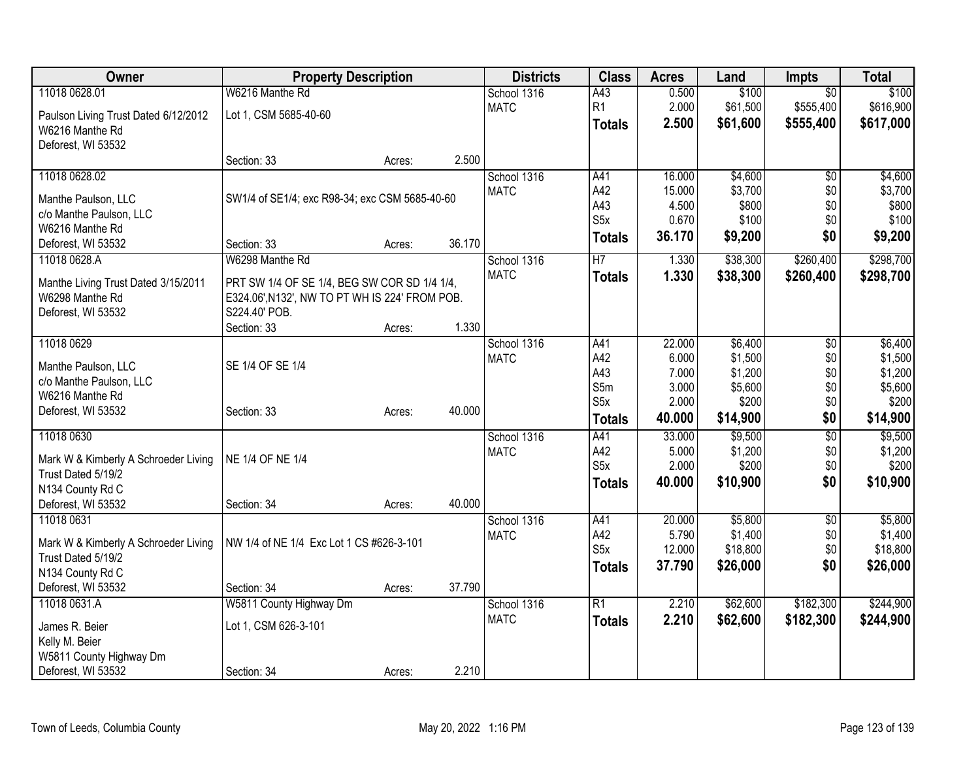| Owner                                                      | <b>Property Description</b>                                     |        |        | <b>Districts</b> | <b>Class</b>     | <b>Acres</b> | Land     | <b>Impts</b>    | <b>Total</b> |
|------------------------------------------------------------|-----------------------------------------------------------------|--------|--------|------------------|------------------|--------------|----------|-----------------|--------------|
| 11018 0628.01                                              | W6216 Manthe Rd                                                 |        |        | School 1316      | A43              | 0.500        | \$100    | $\overline{50}$ | \$100        |
| Paulson Living Trust Dated 6/12/2012                       | Lot 1, CSM 5685-40-60                                           |        |        | <b>MATC</b>      | R <sub>1</sub>   | 2.000        | \$61,500 | \$555,400       | \$616,900    |
| W6216 Manthe Rd                                            |                                                                 |        |        |                  | <b>Totals</b>    | 2.500        | \$61,600 | \$555,400       | \$617,000    |
| Deforest, WI 53532                                         |                                                                 |        |        |                  |                  |              |          |                 |              |
|                                                            | Section: 33                                                     | Acres: | 2.500  |                  |                  |              |          |                 |              |
| 11018 0628.02                                              |                                                                 |        |        | School 1316      | A41              | 16.000       | \$4,600  | \$0             | \$4,600      |
| Manthe Paulson, LLC                                        | SW1/4 of SE1/4; exc R98-34; exc CSM 5685-40-60                  |        |        | <b>MATC</b>      | A42              | 15.000       | \$3,700  | \$0             | \$3,700      |
| c/o Manthe Paulson, LLC                                    |                                                                 |        |        |                  | A43              | 4.500        | \$800    | \$0             | \$800        |
| W6216 Manthe Rd                                            |                                                                 |        |        |                  | S <sub>5</sub> x | 0.670        | \$100    | \$0             | \$100        |
| Deforest, WI 53532                                         | Section: 33                                                     | Acres: | 36.170 |                  | <b>Totals</b>    | 36.170       | \$9,200  | \$0             | \$9,200      |
| 11018 0628.A                                               | W6298 Manthe Rd                                                 |        |        | School 1316      | $\overline{H7}$  | 1.330        | \$38,300 | \$260,400       | \$298,700    |
|                                                            |                                                                 |        |        | <b>MATC</b>      | <b>Totals</b>    | 1.330        | \$38,300 | \$260,400       | \$298,700    |
| Manthe Living Trust Dated 3/15/2011                        | PRT SW 1/4 OF SE 1/4, BEG SW COR SD 1/4 1/4,                    |        |        |                  |                  |              |          |                 |              |
| W6298 Manthe Rd<br>Deforest, WI 53532                      | E324.06', N132', NW TO PT WH IS 224' FROM POB.<br>S224.40' POB. |        |        |                  |                  |              |          |                 |              |
|                                                            | Section: 33                                                     | Acres: | 1.330  |                  |                  |              |          |                 |              |
| 11018 0629                                                 |                                                                 |        |        | School 1316      | A41              | 22.000       | \$6,400  | $\overline{60}$ | \$6,400      |
|                                                            |                                                                 |        |        | <b>MATC</b>      | A42              | 6.000        | \$1,500  | \$0             | \$1,500      |
| Manthe Paulson, LLC                                        | SE 1/4 OF SE 1/4                                                |        |        |                  | A43              | 7.000        | \$1,200  | \$0             | \$1,200      |
| c/o Manthe Paulson, LLC                                    |                                                                 |        |        |                  | S5m              | 3.000        | \$5,600  | \$0             | \$5,600      |
| W6216 Manthe Rd                                            |                                                                 |        |        |                  | S <sub>5</sub> x | 2.000        | \$200    | \$0             | \$200        |
| Deforest, WI 53532                                         | Section: 33                                                     | Acres: | 40.000 |                  | <b>Totals</b>    | 40.000       | \$14,900 | \$0             | \$14,900     |
| 11018 0630                                                 |                                                                 |        |        | School 1316      | A41              | 33.000       | \$9,500  | $\overline{50}$ | \$9,500      |
|                                                            | NE 1/4 OF NE 1/4                                                |        |        | <b>MATC</b>      | A42              | 5.000        | \$1,200  | \$0             | \$1,200      |
| Mark W & Kimberly A Schroeder Living<br>Trust Dated 5/19/2 |                                                                 |        |        |                  | S <sub>5</sub> x | 2.000        | \$200    | \$0             | \$200        |
| N134 County Rd C                                           |                                                                 |        |        |                  | <b>Totals</b>    | 40.000       | \$10,900 | \$0             | \$10,900     |
| Deforest, WI 53532                                         | Section: 34                                                     | Acres: | 40.000 |                  |                  |              |          |                 |              |
| 11018 0631                                                 |                                                                 |        |        | School 1316      | A41              | 20.000       | \$5,800  | \$0             | \$5,800      |
|                                                            |                                                                 |        |        | <b>MATC</b>      | A42              | 5.790        | \$1,400  | \$0             | \$1,400      |
| Mark W & Kimberly A Schroeder Living                       | NW 1/4 of NE 1/4 Exc Lot 1 CS #626-3-101                        |        |        |                  | S <sub>5x</sub>  | 12.000       | \$18,800 | \$0             | \$18,800     |
| Trust Dated 5/19/2                                         |                                                                 |        |        |                  | <b>Totals</b>    | 37.790       | \$26,000 | \$0             | \$26,000     |
| N134 County Rd C<br>Deforest, WI 53532                     | Section: 34                                                     | Acres: | 37.790 |                  |                  |              |          |                 |              |
| 11018 0631.A                                               | W5811 County Highway Dm                                         |        |        | School 1316      | $\overline{R1}$  | 2.210        | \$62,600 | \$182,300       | \$244,900    |
|                                                            |                                                                 |        |        | <b>MATC</b>      | <b>Totals</b>    | 2.210        | \$62,600 | \$182,300       | \$244,900    |
| James R. Beier                                             | Lot 1, CSM 626-3-101                                            |        |        |                  |                  |              |          |                 |              |
| Kelly M. Beier                                             |                                                                 |        |        |                  |                  |              |          |                 |              |
| W5811 County Highway Dm                                    |                                                                 |        |        |                  |                  |              |          |                 |              |
| Deforest, WI 53532                                         | Section: 34                                                     | Acres: | 2.210  |                  |                  |              |          |                 |              |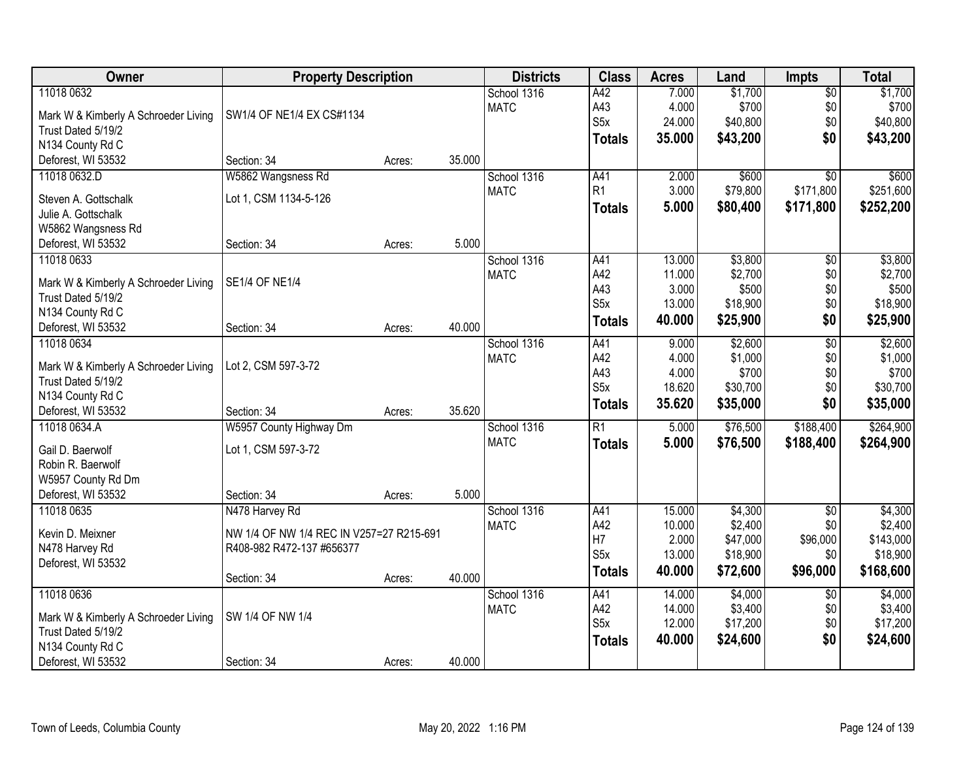| 11018 0632<br>A42<br>7.000<br>\$1,700<br>School 1316<br>$\overline{50}$                                         | \$1,700               |
|-----------------------------------------------------------------------------------------------------------------|-----------------------|
|                                                                                                                 |                       |
| <b>MATC</b><br>A43<br>4.000<br>SW1/4 OF NE1/4 EX CS#1134<br>Mark W & Kimberly A Schroeder Living                | \$700<br>\$700<br>\$0 |
| S <sub>5</sub> x<br>24.000<br>\$40,800<br>\$0<br>Trust Dated 5/19/2                                             | \$40,800              |
| \$0<br>35.000<br>\$43,200<br><b>Totals</b><br>N134 County Rd C                                                  | \$43,200              |
| Deforest, WI 53532<br>Section: 34<br>35.000<br>Acres:                                                           |                       |
| W5862 Wangsness Rd<br>A41<br>\$600<br>$\overline{50}$<br>11018 0632.D<br>School 1316<br>2.000                   | \$600                 |
| R1<br>3.000<br>\$171,800<br><b>MATC</b><br>\$79,800                                                             | \$251,600             |
| Lot 1, CSM 1134-5-126<br>Steven A. Gottschalk<br>5.000<br>\$80,400<br>\$171,800<br><b>Totals</b>                | \$252,200             |
| Julie A. Gottschalk                                                                                             |                       |
| W5862 Wangsness Rd                                                                                              |                       |
| 5.000<br>Deforest, WI 53532<br>Section: 34<br>Acres:                                                            |                       |
| \$3,800<br>11018 0633<br>School 1316<br>13.000<br>A41<br>\$0                                                    | \$3,800               |
| A42<br>\$2,700<br>\$0<br><b>MATC</b><br>11.000<br><b>SE1/4 OF NE1/4</b><br>Mark W & Kimberly A Schroeder Living | \$2,700               |
| A43<br>3.000<br>\$500<br>\$0<br>Trust Dated 5/19/2                                                              | \$500                 |
| S <sub>5</sub> x<br>13.000<br>\$18,900<br>\$0<br>N134 County Rd C                                               | \$18,900              |
| \$0<br>40.000<br>\$25,900<br><b>Totals</b><br>40.000<br>Deforest, WI 53532<br>Section: 34<br>Acres:             | \$25,900              |
| \$2,600<br>$\overline{50}$<br>11018 0634<br>School 1316<br>A41<br>9.000                                         | \$2,600               |
| A42<br>4.000<br>\$1,000<br>\$0<br><b>MATC</b>                                                                   | \$1,000               |
| Lot 2, CSM 597-3-72<br>Mark W & Kimberly A Schroeder Living<br>A43<br>4.000<br>\$700<br>\$0                     | \$700                 |
| Trust Dated 5/19/2<br>S <sub>5</sub> x<br>18.620<br>\$30,700<br>\$0                                             | \$30,700              |
| N134 County Rd C<br>35.620<br>\$35,000<br>\$0<br><b>Totals</b>                                                  | \$35,000              |
| 35.620<br>Deforest, WI 53532<br>Section: 34<br>Acres:                                                           |                       |
| $\overline{R1}$<br>\$76,500<br>\$188,400<br>11018 0634.A<br>W5957 County Highway Dm<br>School 1316<br>5.000     | \$264,900             |
| <b>MATC</b><br>5.000<br>\$76,500<br>\$188,400<br><b>Totals</b><br>Lot 1, CSM 597-3-72<br>Gail D. Baerwolf       | \$264,900             |
| Robin R. Baerwolf                                                                                               |                       |
| W5957 County Rd Dm                                                                                              |                       |
| 5.000<br>Deforest, WI 53532<br>Section: 34<br>Acres:                                                            |                       |
| 11018 0635<br>\$4,300<br>School 1316<br>A41<br>15.000<br>$\overline{50}$<br>N478 Harvey Rd                      | \$4,300               |
| \$2,400<br>A42<br>10.000<br>\$0<br><b>MATC</b>                                                                  | \$2,400               |
| Kevin D. Meixner<br>NW 1/4 OF NW 1/4 REC IN V257=27 R215-691<br>H7<br>\$47,000<br>\$96,000<br>2.000             | \$143,000             |
| N478 Harvey Rd<br>R408-982 R472-137 #656377<br>S <sub>5x</sub><br>13.000<br>\$18,900<br>\$0                     | \$18,900              |
| Deforest, WI 53532<br>40.000<br>\$72,600<br>\$96,000<br><b>Totals</b>                                           | \$168,600             |
| 40.000<br>Section: 34<br>Acres:                                                                                 |                       |
| 11018 0636<br>\$4,000<br>School 1316<br>A41<br>14.000<br>$\overline{60}$                                        | \$4,000               |
| A42<br>14.000<br>\$3,400<br>\$0<br><b>MATC</b><br>SW 1/4 OF NW 1/4<br>Mark W & Kimberly A Schroeder Living      | \$3,400               |
| S <sub>5x</sub><br>\$17,200<br>12.000<br>\$0<br>Trust Dated 5/19/2                                              | \$17,200              |
| \$0<br>\$24,600<br>40.000<br><b>Totals</b><br>N134 County Rd C                                                  | \$24,600              |
| 40.000<br>Deforest, WI 53532<br>Section: 34<br>Acres:                                                           |                       |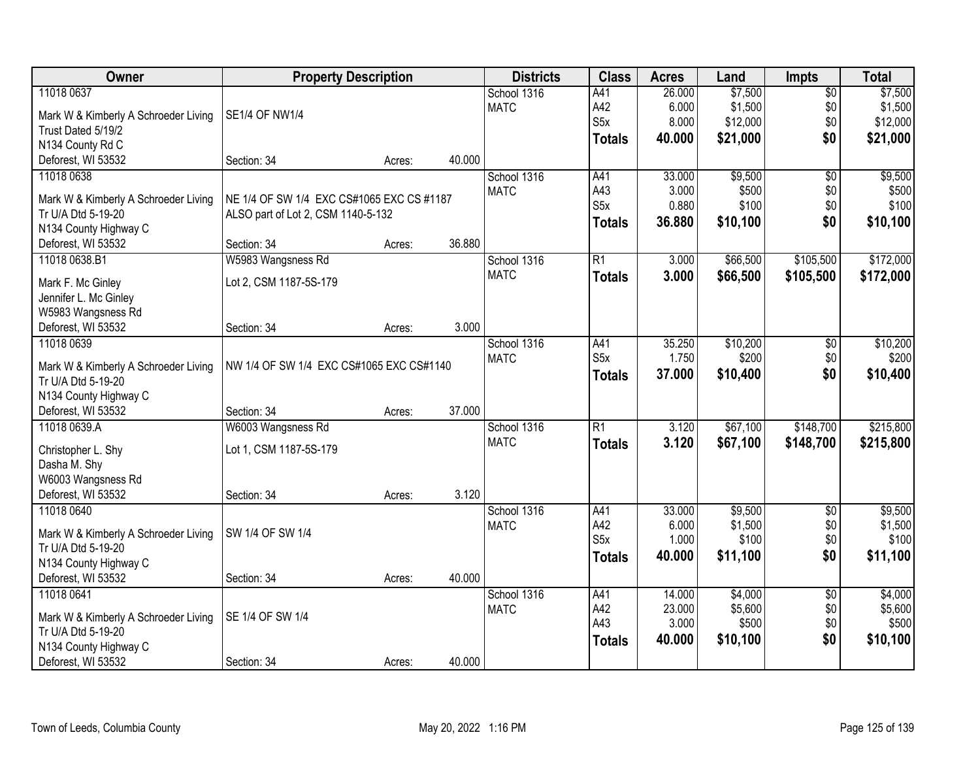| Owner                                |                                           | <b>Property Description</b> |        | <b>Districts</b> | <b>Class</b>     | <b>Acres</b> | Land     | <b>Impts</b>    | <b>Total</b> |
|--------------------------------------|-------------------------------------------|-----------------------------|--------|------------------|------------------|--------------|----------|-----------------|--------------|
| 11018 0637                           |                                           |                             |        | School 1316      | A41              | 26.000       | \$7,500  | $\overline{50}$ | \$7,500      |
| Mark W & Kimberly A Schroeder Living | <b>SE1/4 OF NW1/4</b>                     |                             |        | <b>MATC</b>      | A42              | 6.000        | \$1,500  | \$0             | \$1,500      |
| Trust Dated 5/19/2                   |                                           |                             |        |                  | S <sub>5</sub> x | 8.000        | \$12,000 | \$0             | \$12,000     |
| N134 County Rd C                     |                                           |                             |        |                  | <b>Totals</b>    | 40.000       | \$21,000 | \$0             | \$21,000     |
| Deforest, WI 53532                   | Section: 34                               | Acres:                      | 40.000 |                  |                  |              |          |                 |              |
| 11018 0638                           |                                           |                             |        | School 1316      | A41              | 33.000       | \$9,500  | $\overline{50}$ | \$9,500      |
|                                      |                                           |                             |        | <b>MATC</b>      | A43              | 3.000        | \$500    | \$0             | \$500        |
| Mark W & Kimberly A Schroeder Living | NE 1/4 OF SW 1/4 EXC CS#1065 EXC CS #1187 |                             |        |                  | S <sub>5</sub> x | 0.880        | \$100    | \$0             | \$100        |
| Tr U/A Dtd 5-19-20                   | ALSO part of Lot 2, CSM 1140-5-132        |                             |        |                  | <b>Totals</b>    | 36.880       | \$10,100 | \$0             | \$10,100     |
| N134 County Highway C                |                                           |                             |        |                  |                  |              |          |                 |              |
| Deforest, WI 53532                   | Section: 34                               | Acres:                      | 36.880 |                  |                  |              |          |                 |              |
| 11018 0638.B1                        | W5983 Wangsness Rd                        |                             |        | School 1316      | $\overline{R1}$  | 3.000        | \$66,500 | \$105,500       | \$172,000    |
| Mark F. Mc Ginley                    | Lot 2, CSM 1187-5S-179                    |                             |        | <b>MATC</b>      | <b>Totals</b>    | 3.000        | \$66,500 | \$105,500       | \$172,000    |
| Jennifer L. Mc Ginley                |                                           |                             |        |                  |                  |              |          |                 |              |
| W5983 Wangsness Rd                   |                                           |                             |        |                  |                  |              |          |                 |              |
| Deforest, WI 53532                   | Section: 34                               | Acres:                      | 3.000  |                  |                  |              |          |                 |              |
| 11018 0639                           |                                           |                             |        | School 1316      | A41              | 35.250       | \$10,200 | \$0             | \$10,200     |
|                                      |                                           |                             |        | <b>MATC</b>      | S <sub>5</sub> x | 1.750        | \$200    | \$0             | \$200        |
| Mark W & Kimberly A Schroeder Living | NW 1/4 OF SW 1/4 EXC CS#1065 EXC CS#1140  |                             |        |                  |                  | 37.000       | \$10,400 | \$0             | \$10,400     |
| Tr U/A Dtd 5-19-20                   |                                           |                             |        |                  | <b>Totals</b>    |              |          |                 |              |
| N134 County Highway C                |                                           |                             |        |                  |                  |              |          |                 |              |
| Deforest, WI 53532                   | Section: 34                               | Acres:                      | 37.000 |                  |                  |              |          |                 |              |
| 11018 0639.A                         | W6003 Wangsness Rd                        |                             |        | School 1316      | $\overline{R1}$  | 3.120        | \$67,100 | \$148,700       | \$215,800    |
| Christopher L. Shy                   | Lot 1, CSM 1187-5S-179                    |                             |        | <b>MATC</b>      | <b>Totals</b>    | 3.120        | \$67,100 | \$148,700       | \$215,800    |
| Dasha M. Shy                         |                                           |                             |        |                  |                  |              |          |                 |              |
| W6003 Wangsness Rd                   |                                           |                             |        |                  |                  |              |          |                 |              |
| Deforest, WI 53532                   | Section: 34                               | Acres:                      | 3.120  |                  |                  |              |          |                 |              |
| 11018 0640                           |                                           |                             |        | School 1316      | A41              | 33.000       | \$9,500  | $\sqrt{6}$      | \$9,500      |
|                                      |                                           |                             |        | <b>MATC</b>      | A42              | 6.000        | \$1,500  | \$0             | \$1,500      |
| Mark W & Kimberly A Schroeder Living | SW 1/4 OF SW 1/4                          |                             |        |                  | S <sub>5x</sub>  | 1.000        | \$100    | \$0             | \$100        |
| Tr U/A Dtd 5-19-20                   |                                           |                             |        |                  | <b>Totals</b>    | 40.000       | \$11,100 | \$0             | \$11,100     |
| N134 County Highway C                |                                           |                             |        |                  |                  |              |          |                 |              |
| Deforest, WI 53532                   | Section: 34                               | Acres:                      | 40.000 |                  |                  |              |          |                 |              |
| 11018 0641                           |                                           |                             |        | School 1316      | A41              | 14.000       | \$4,000  | $\overline{50}$ | \$4,000      |
| Mark W & Kimberly A Schroeder Living | SE 1/4 OF SW 1/4                          |                             |        | <b>MATC</b>      | A42              | 23.000       | \$5,600  | \$0             | \$5,600      |
| Tr U/A Dtd 5-19-20                   |                                           |                             |        |                  | A43              | 3.000        | \$500    | \$0             | \$500        |
| N134 County Highway C                |                                           |                             |        |                  | <b>Totals</b>    | 40.000       | \$10,100 | \$0             | \$10,100     |
| Deforest, WI 53532                   | Section: 34                               | Acres:                      | 40.000 |                  |                  |              |          |                 |              |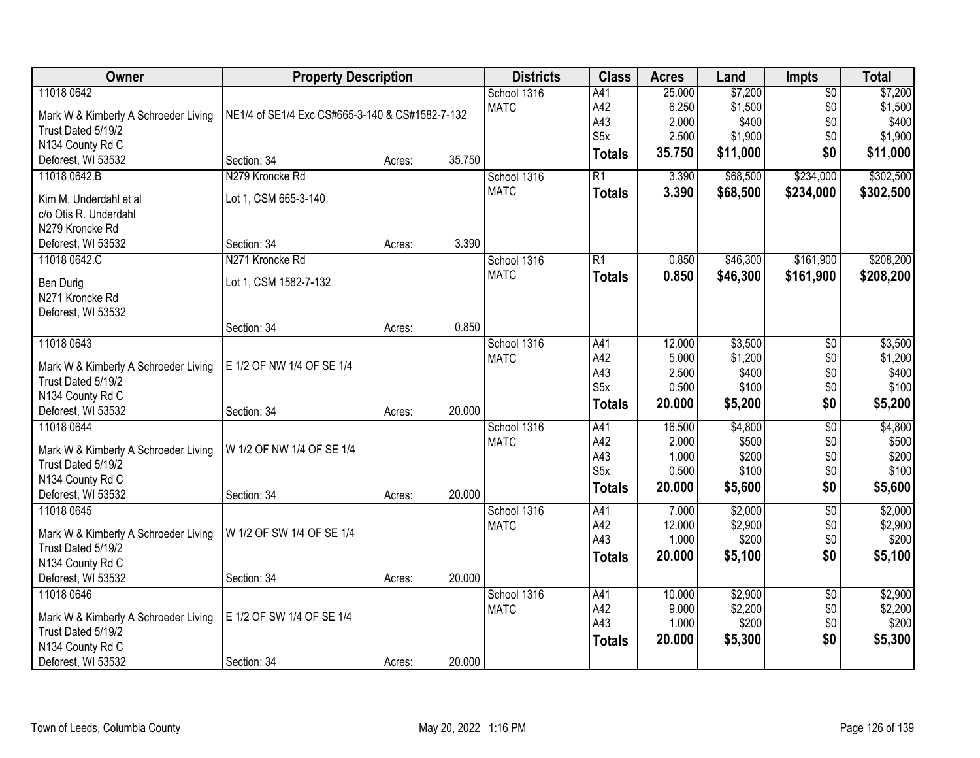| Owner                                    | <b>Property Description</b>                     |        |        | <b>Districts</b> | <b>Class</b>     | <b>Acres</b>    | Land             | <b>Impts</b>    | <b>Total</b>     |
|------------------------------------------|-------------------------------------------------|--------|--------|------------------|------------------|-----------------|------------------|-----------------|------------------|
| 11018 0642                               |                                                 |        |        | School 1316      | A41              | 25.000          | \$7,200          | $\overline{50}$ | \$7,200          |
| Mark W & Kimberly A Schroeder Living     | NE1/4 of SE1/4 Exc CS#665-3-140 & CS#1582-7-132 |        |        | <b>MATC</b>      | A42              | 6.250           | \$1,500          | \$0             | \$1,500          |
| Trust Dated 5/19/2                       |                                                 |        |        |                  | A43              | 2.000           | \$400            | \$0             | \$400            |
| N134 County Rd C                         |                                                 |        |        |                  | S <sub>5</sub> x | 2.500           | \$1,900          | \$0             | \$1,900          |
| Deforest, WI 53532                       | Section: 34                                     | Acres: | 35.750 |                  | <b>Totals</b>    | 35.750          | \$11,000         | \$0             | \$11,000         |
| 11018 0642.B                             | N279 Kroncke Rd                                 |        |        | School 1316      | $\overline{R1}$  | 3.390           | \$68,500         | \$234,000       | \$302,500        |
|                                          |                                                 |        |        | <b>MATC</b>      | <b>Totals</b>    | 3.390           | \$68,500         | \$234,000       | \$302,500        |
| Kim M. Underdahl et al                   | Lot 1, CSM 665-3-140                            |        |        |                  |                  |                 |                  |                 |                  |
| c/o Otis R. Underdahl<br>N279 Kroncke Rd |                                                 |        |        |                  |                  |                 |                  |                 |                  |
| Deforest, WI 53532                       | Section: 34                                     | Acres: | 3.390  |                  |                  |                 |                  |                 |                  |
| 11018 0642.C                             | N271 Kroncke Rd                                 |        |        | School 1316      | R1               | 0.850           | \$46,300         | \$161,900       | \$208,200        |
|                                          |                                                 |        |        | <b>MATC</b>      |                  | 0.850           | \$46,300         | \$161,900       | \$208,200        |
| Ben Durig                                | Lot 1, CSM 1582-7-132                           |        |        |                  | <b>Totals</b>    |                 |                  |                 |                  |
| N271 Kroncke Rd                          |                                                 |        |        |                  |                  |                 |                  |                 |                  |
| Deforest, WI 53532                       |                                                 |        |        |                  |                  |                 |                  |                 |                  |
|                                          | Section: 34                                     | Acres: | 0.850  |                  |                  |                 |                  |                 |                  |
| 11018 0643                               |                                                 |        |        | School 1316      | A41              | 12.000          | \$3,500          | \$0             | \$3,500          |
| Mark W & Kimberly A Schroeder Living     | E 1/2 OF NW 1/4 OF SE 1/4                       |        |        | <b>MATC</b>      | A42              | 5.000           | \$1,200          | \$0             | \$1,200          |
| Trust Dated 5/19/2                       |                                                 |        |        |                  | A43              | 2.500           | \$400            | \$0             | \$400            |
| N134 County Rd C                         |                                                 |        |        |                  | S <sub>5</sub> x | 0.500           | \$100            | \$0             | \$100            |
| Deforest, WI 53532                       | Section: 34                                     | Acres: | 20.000 |                  | <b>Totals</b>    | 20.000          | \$5,200          | \$0             | \$5,200          |
| 11018 0644                               |                                                 |        |        | School 1316      | A41              | 16.500          | \$4,800          | $\overline{50}$ | \$4,800          |
| Mark W & Kimberly A Schroeder Living     | W 1/2 OF NW 1/4 OF SE 1/4                       |        |        | <b>MATC</b>      | A42              | 2.000           | \$500            | \$0             | \$500            |
| Trust Dated 5/19/2                       |                                                 |        |        |                  | A43              | 1.000           | \$200            | \$0             | \$200            |
| N134 County Rd C                         |                                                 |        |        |                  | S <sub>5</sub> x | 0.500           | \$100            | \$0             | \$100            |
| Deforest, WI 53532                       | Section: 34                                     | Acres: | 20.000 |                  | <b>Totals</b>    | 20.000          | \$5,600          | \$0             | \$5,600          |
| 11018 0645                               |                                                 |        |        | School 1316      | A41              | 7.000           | \$2,000          | $\overline{50}$ | \$2,000          |
|                                          |                                                 |        |        | <b>MATC</b>      | A42              | 12.000          | \$2,900          | \$0             | \$2,900          |
| Mark W & Kimberly A Schroeder Living     | W 1/2 OF SW 1/4 OF SE 1/4                       |        |        |                  | A43              | 1.000           | \$200            | \$0             | \$200            |
| Trust Dated 5/19/2                       |                                                 |        |        |                  | Totals           | 20.000          | \$5,100          | \$0             | \$5,100          |
| N134 County Rd C                         |                                                 |        |        |                  |                  |                 |                  |                 |                  |
| Deforest, WI 53532                       | Section: 34                                     | Acres: | 20.000 |                  |                  |                 |                  |                 |                  |
| 11018 0646                               |                                                 |        |        | School 1316      | A41              | 10.000<br>9.000 | \$2,900          | $\overline{30}$ | \$2,900          |
| Mark W & Kimberly A Schroeder Living     | E 1/2 OF SW 1/4 OF SE 1/4                       |        |        | <b>MATC</b>      | A42<br>A43       | 1.000           | \$2,200<br>\$200 | \$0             | \$2,200<br>\$200 |
| Trust Dated 5/19/2                       |                                                 |        |        |                  |                  |                 |                  | \$0             |                  |
| N134 County Rd C                         |                                                 |        |        |                  | <b>Totals</b>    | 20.000          | \$5,300          | \$0             | \$5,300          |
| Deforest, WI 53532                       | Section: 34                                     | Acres: | 20.000 |                  |                  |                 |                  |                 |                  |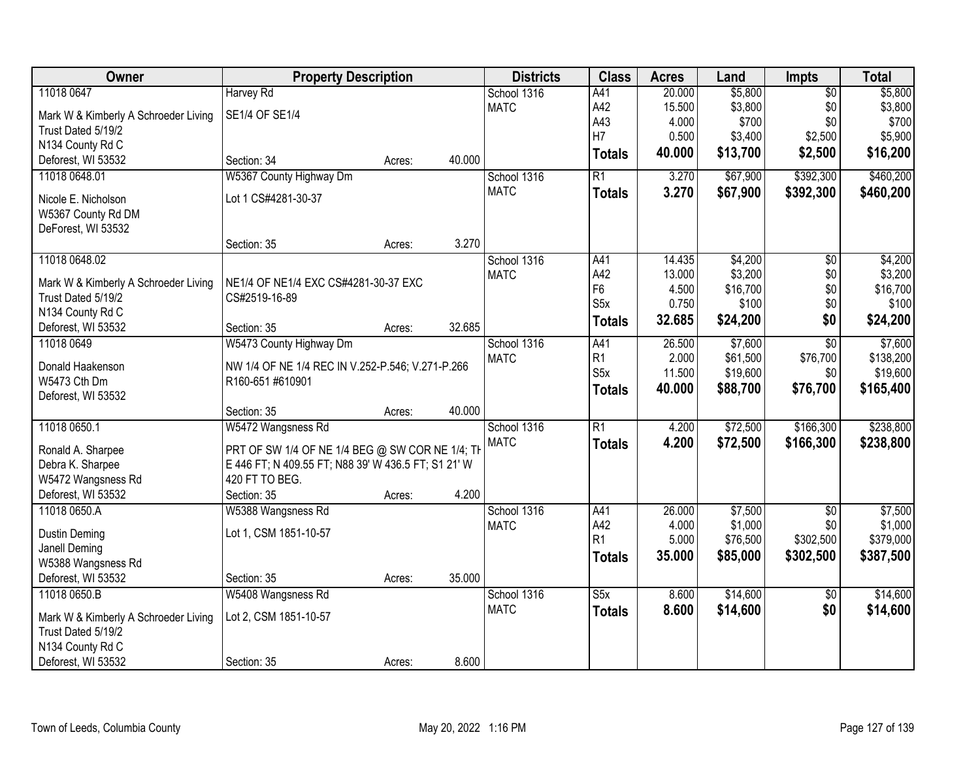| Owner                                | <b>Property Description</b>                         |        |        | <b>Districts</b> | <b>Class</b>            | <b>Acres</b> | Land     | Impts           | <b>Total</b> |
|--------------------------------------|-----------------------------------------------------|--------|--------|------------------|-------------------------|--------------|----------|-----------------|--------------|
| 11018 0647                           | <b>Harvey Rd</b>                                    |        |        | School 1316      | A41                     | 20.000       | \$5,800  | $\overline{50}$ | \$5,800      |
| Mark W & Kimberly A Schroeder Living | SE1/4 OF SE1/4                                      |        |        | <b>MATC</b>      | A42                     | 15.500       | \$3,800  | \$0             | \$3,800      |
| Trust Dated 5/19/2                   |                                                     |        |        |                  | A43                     | 4.000        | \$700    | \$0             | \$700        |
| N134 County Rd C                     |                                                     |        |        |                  | H7                      | 0.500        | \$3,400  | \$2,500         | \$5,900      |
| Deforest, WI 53532                   | Section: 34                                         | Acres: | 40.000 |                  | <b>Totals</b>           | 40.000       | \$13,700 | \$2,500         | \$16,200     |
| 11018 0648.01                        | W5367 County Highway Dm                             |        |        | School 1316      | $\overline{R1}$         | 3.270        | \$67,900 | \$392,300       | \$460,200    |
|                                      |                                                     |        |        | <b>MATC</b>      | <b>Totals</b>           | 3.270        | \$67,900 | \$392,300       | \$460,200    |
| Nicole E. Nicholson                  | Lot 1 CS#4281-30-37                                 |        |        |                  |                         |              |          |                 |              |
| W5367 County Rd DM                   |                                                     |        |        |                  |                         |              |          |                 |              |
| DeForest, WI 53532                   |                                                     |        |        |                  |                         |              |          |                 |              |
|                                      | Section: 35                                         | Acres: | 3.270  |                  |                         |              |          |                 |              |
| 11018 0648.02                        |                                                     |        |        | School 1316      | A41                     | 14.435       | \$4,200  | $\overline{50}$ | \$4,200      |
| Mark W & Kimberly A Schroeder Living | NE1/4 OF NE1/4 EXC CS#4281-30-37 EXC                |        |        | <b>MATC</b>      | A42                     | 13.000       | \$3,200  | $$0$$           | \$3,200      |
| Trust Dated 5/19/2                   | CS#2519-16-89                                       |        |        |                  | F <sub>6</sub>          | 4.500        | \$16,700 | \$0             | \$16,700     |
| N134 County Rd C                     |                                                     |        |        |                  | S <sub>5</sub> x        | 0.750        | \$100    | \$0             | \$100        |
| Deforest, WI 53532                   | Section: 35                                         | Acres: | 32.685 |                  | <b>Totals</b>           | 32.685       | \$24,200 | \$0             | \$24,200     |
| 11018 0649                           | W5473 County Highway Dm                             |        |        | School 1316      | A41                     | 26.500       | \$7,600  | $\overline{50}$ | \$7,600      |
|                                      |                                                     |        |        | <b>MATC</b>      | R1                      | 2.000        | \$61,500 | \$76,700        | \$138,200    |
| Donald Haakenson                     | NW 1/4 OF NE 1/4 REC IN V.252-P.546; V.271-P.266    |        |        |                  | S <sub>5</sub> x        | 11.500       | \$19,600 | \$0             | \$19,600     |
| W5473 Cth Dm                         | R160-651 #610901                                    |        |        |                  | <b>Totals</b>           | 40.000       | \$88,700 | \$76,700        | \$165,400    |
| Deforest, WI 53532                   |                                                     |        |        |                  |                         |              |          |                 |              |
|                                      | Section: 35                                         | Acres: | 40.000 |                  |                         |              |          |                 |              |
| 11018 0650.1                         | W5472 Wangsness Rd                                  |        |        | School 1316      | $\overline{R1}$         | 4.200        | \$72,500 | \$166,300       | \$238,800    |
| Ronald A. Sharpee                    | PRT OF SW 1/4 OF NE 1/4 BEG @ SW COR NE 1/4; TH     |        |        | <b>MATC</b>      | <b>Totals</b>           | 4.200        | \$72,500 | \$166,300       | \$238,800    |
| Debra K. Sharpee                     | E 446 FT; N 409.55 FT; N88 39' W 436.5 FT; S1 21' W |        |        |                  |                         |              |          |                 |              |
| W5472 Wangsness Rd                   | 420 FT TO BEG.                                      |        |        |                  |                         |              |          |                 |              |
| Deforest, WI 53532                   | Section: 35                                         | Acres: | 4.200  |                  |                         |              |          |                 |              |
| 11018 0650.A                         | W5388 Wangsness Rd                                  |        |        | School 1316      | A41                     | 26.000       | \$7,500  | $\overline{50}$ | \$7,500      |
|                                      |                                                     |        |        | <b>MATC</b>      | A42                     | 4.000        | \$1,000  | \$0             | \$1,000      |
| Dustin Deming                        | Lot 1, CSM 1851-10-57                               |        |        |                  | R <sub>1</sub>          | 5.000        | \$76,500 | \$302,500       | \$379,000    |
| Janell Deming                        |                                                     |        |        |                  | <b>Totals</b>           | 35.000       | \$85,000 | \$302,500       | \$387,500    |
| W5388 Wangsness Rd                   |                                                     |        |        |                  |                         |              |          |                 |              |
| Deforest, WI 53532                   | Section: 35                                         | Acres: | 35.000 |                  |                         |              |          |                 |              |
| 11018 0650.B                         | W5408 Wangsness Rd                                  |        |        | School 1316      | $\overline{\text{S5x}}$ | 8.600        | \$14,600 | $\overline{50}$ | \$14,600     |
| Mark W & Kimberly A Schroeder Living | Lot 2, CSM 1851-10-57                               |        |        | <b>MATC</b>      | <b>Totals</b>           | 8.600        | \$14,600 | \$0             | \$14,600     |
| Trust Dated 5/19/2                   |                                                     |        |        |                  |                         |              |          |                 |              |
| N134 County Rd C                     |                                                     |        |        |                  |                         |              |          |                 |              |
| Deforest, WI 53532                   | Section: 35                                         | Acres: | 8.600  |                  |                         |              |          |                 |              |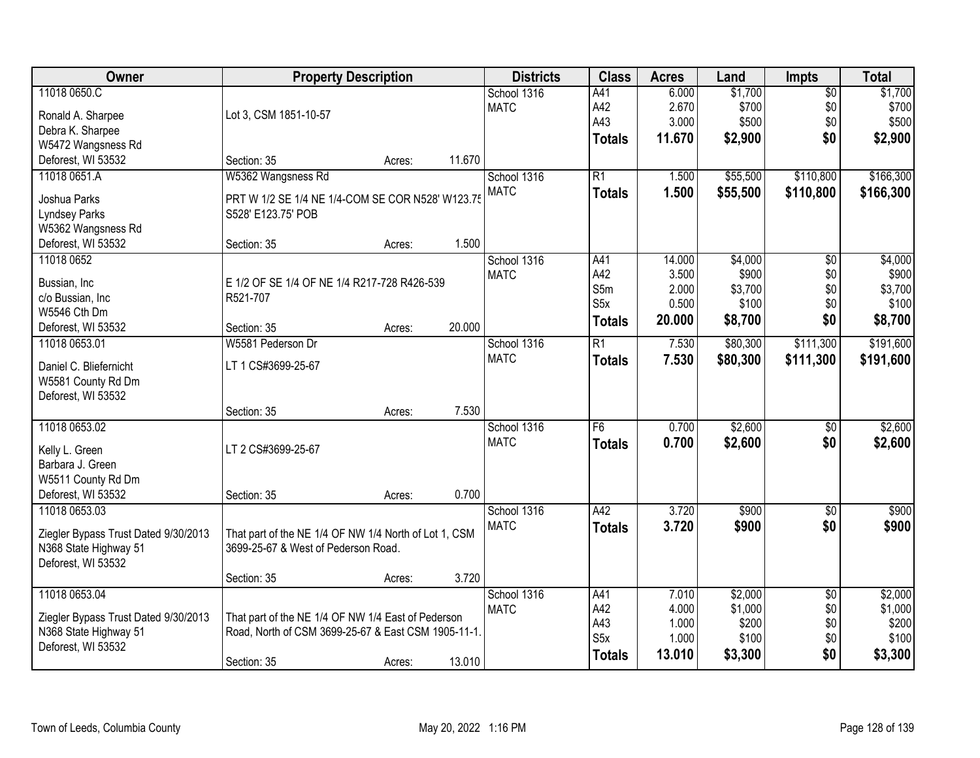| Owner                                       | <b>Property Description</b>                                                                               |        |        | <b>Districts</b> | <b>Class</b>     | <b>Acres</b> | Land     | <b>Impts</b>    | <b>Total</b> |
|---------------------------------------------|-----------------------------------------------------------------------------------------------------------|--------|--------|------------------|------------------|--------------|----------|-----------------|--------------|
| 11018 0650.C                                |                                                                                                           |        |        | School 1316      | A41              | 6.000        | \$1,700  | $\overline{60}$ | \$1,700      |
| Ronald A. Sharpee                           | Lot 3, CSM 1851-10-57                                                                                     |        |        | <b>MATC</b>      | A42              | 2.670        | \$700    | \$0             | \$700        |
| Debra K. Sharpee                            |                                                                                                           |        |        |                  | A43              | 3.000        | \$500    | \$0             | \$500        |
| W5472 Wangsness Rd                          |                                                                                                           |        |        |                  | <b>Totals</b>    | 11.670       | \$2,900  | \$0             | \$2,900      |
| Deforest, WI 53532                          | Section: 35                                                                                               | Acres: | 11.670 |                  |                  |              |          |                 |              |
| 11018 0651.A                                | W5362 Wangsness Rd                                                                                        |        |        | School 1316      | $\overline{R1}$  | 1.500        | \$55,500 | \$110,800       | \$166,300    |
|                                             |                                                                                                           |        |        | <b>MATC</b>      | <b>Totals</b>    | 1.500        | \$55,500 | \$110,800       | \$166,300    |
| Joshua Parks                                | PRT W 1/2 SE 1/4 NE 1/4-COM SE COR N528' W123.75                                                          |        |        |                  |                  |              |          |                 |              |
| <b>Lyndsey Parks</b>                        | S528' E123.75' POB                                                                                        |        |        |                  |                  |              |          |                 |              |
| W5362 Wangsness Rd<br>Deforest, WI 53532    | Section: 35                                                                                               |        | 1.500  |                  |                  |              |          |                 |              |
| 11018 0652                                  |                                                                                                           | Acres: |        | School 1316      | A41              | 14.000       | \$4,000  |                 | \$4,000      |
|                                             |                                                                                                           |        |        | <b>MATC</b>      | A42              | 3.500        | \$900    | \$0<br>\$0      | \$900        |
| Bussian, Inc                                | E 1/2 OF SE 1/4 OF NE 1/4 R217-728 R426-539                                                               |        |        |                  | S5m              | 2.000        | \$3,700  | \$0             | \$3,700      |
| c/o Bussian, Inc                            | R521-707                                                                                                  |        |        |                  | S <sub>5</sub> x | 0.500        | \$100    | \$0             | \$100        |
| W5546 Cth Dm                                |                                                                                                           |        |        |                  | <b>Totals</b>    | 20.000       | \$8,700  | \$0             | \$8,700      |
| Deforest, WI 53532                          | Section: 35                                                                                               | Acres: | 20.000 |                  |                  |              |          |                 |              |
| 11018 0653.01                               | W5581 Pederson Dr                                                                                         |        |        | School 1316      | R1               | 7.530        | \$80,300 | \$111,300       | \$191,600    |
| Daniel C. Bliefernicht                      | LT 1 CS#3699-25-67                                                                                        |        |        | <b>MATC</b>      | <b>Totals</b>    | 7.530        | \$80,300 | \$111,300       | \$191,600    |
| W5581 County Rd Dm                          |                                                                                                           |        |        |                  |                  |              |          |                 |              |
| Deforest, WI 53532                          |                                                                                                           |        |        |                  |                  |              |          |                 |              |
|                                             | Section: 35                                                                                               | Acres: | 7.530  |                  |                  |              |          |                 |              |
| 11018 0653.02                               |                                                                                                           |        |        | School 1316      | F6               | 0.700        | \$2,600  | \$0             | \$2,600      |
|                                             |                                                                                                           |        |        | <b>MATC</b>      | <b>Totals</b>    | 0.700        | \$2,600  | \$0             | \$2,600      |
| Kelly L. Green                              | LT 2 CS#3699-25-67                                                                                        |        |        |                  |                  |              |          |                 |              |
| Barbara J. Green                            |                                                                                                           |        |        |                  |                  |              |          |                 |              |
| W5511 County Rd Dm                          |                                                                                                           |        |        |                  |                  |              |          |                 |              |
| Deforest, WI 53532                          | Section: 35                                                                                               | Acres: | 0.700  |                  |                  |              |          |                 |              |
| 11018 0653.03                               |                                                                                                           |        |        | School 1316      | A42              | 3.720        | \$900    | $\sqrt{$0}$     | \$900        |
| Ziegler Bypass Trust Dated 9/30/2013        | That part of the NE 1/4 OF NW 1/4 North of Lot 1, CSM                                                     |        |        | <b>MATC</b>      | <b>Totals</b>    | 3.720        | \$900    | \$0             | \$900        |
| N368 State Highway 51                       | 3699-25-67 & West of Pederson Road.                                                                       |        |        |                  |                  |              |          |                 |              |
| Deforest, WI 53532                          |                                                                                                           |        |        |                  |                  |              |          |                 |              |
|                                             | Section: 35                                                                                               | Acres: | 3.720  |                  |                  |              |          |                 |              |
| 11018 0653.04                               |                                                                                                           |        |        | School 1316      | A41              | 7.010        | \$2,000  | $\overline{50}$ | \$2,000      |
|                                             |                                                                                                           |        |        | <b>MATC</b>      | A42              | 4.000        | \$1,000  | \$0             | \$1,000      |
| Ziegler Bypass Trust Dated 9/30/2013        | That part of the NE 1/4 OF NW 1/4 East of Pederson<br>Road, North of CSM 3699-25-67 & East CSM 1905-11-1. |        |        |                  | A43              | 1.000        | \$200    | \$0             | \$200        |
| N368 State Highway 51<br>Deforest, WI 53532 |                                                                                                           |        |        |                  | S <sub>5</sub> x | 1.000        | \$100    | \$0             | \$100        |
|                                             |                                                                                                           |        |        |                  | <b>Totals</b>    | 13.010       | \$3,300  | \$0             | \$3,300      |
|                                             | Section: 35                                                                                               | Acres: | 13.010 |                  |                  |              |          |                 |              |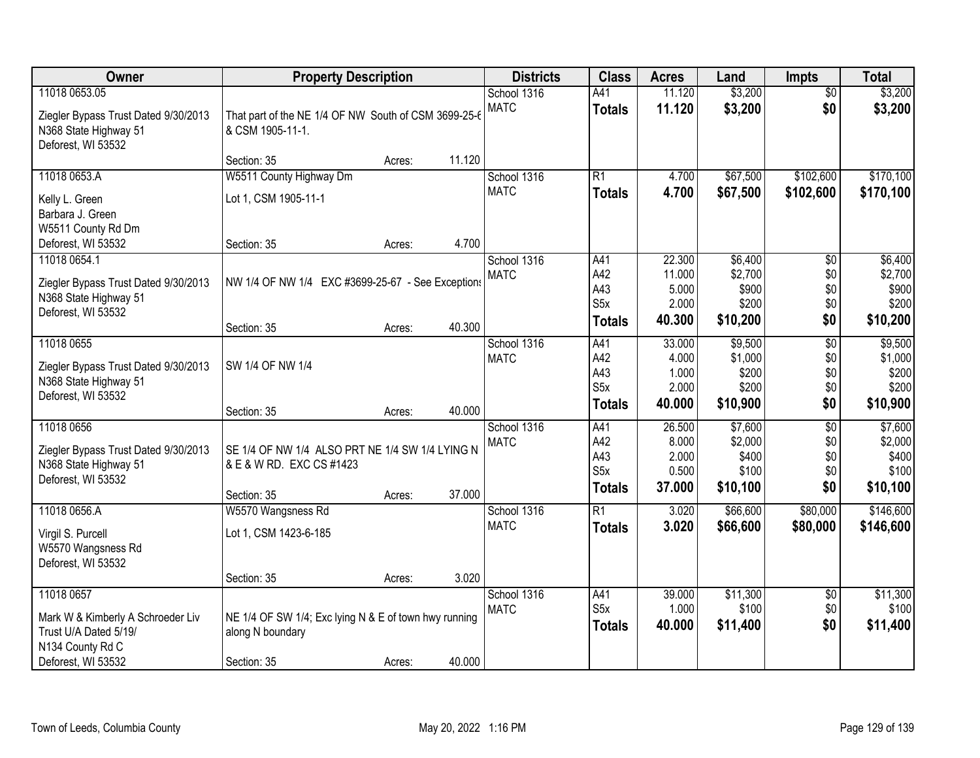| Owner                                                                                                | <b>Property Description</b>                                                                |        |        | <b>Districts</b>           | <b>Class</b>                                          | <b>Acres</b>                                 | Land                                             | <b>Impts</b>                                | <b>Total</b>                                     |
|------------------------------------------------------------------------------------------------------|--------------------------------------------------------------------------------------------|--------|--------|----------------------------|-------------------------------------------------------|----------------------------------------------|--------------------------------------------------|---------------------------------------------|--------------------------------------------------|
| 11018 0653.05<br>Ziegler Bypass Trust Dated 9/30/2013<br>N368 State Highway 51<br>Deforest, WI 53532 | That part of the NE 1/4 OF NW South of CSM 3699-25-6<br>& CSM 1905-11-1.                   |        |        | School 1316<br><b>MATC</b> | A41<br><b>Totals</b>                                  | 11.120<br>11.120                             | \$3,200<br>\$3,200                               | $\overline{50}$<br>\$0                      | \$3,200<br>\$3,200                               |
|                                                                                                      | Section: 35                                                                                | Acres: | 11.120 |                            |                                                       |                                              |                                                  |                                             |                                                  |
| 11018 0653.A<br>Kelly L. Green<br>Barbara J. Green                                                   | W5511 County Highway Dm<br>Lot 1, CSM 1905-11-1                                            |        |        | School 1316<br><b>MATC</b> | R1<br><b>Totals</b>                                   | 4.700<br>4.700                               | \$67,500<br>\$67,500                             | \$102,600<br>\$102,600                      | \$170,100<br>\$170,100                           |
| W5511 County Rd Dm<br>Deforest, WI 53532                                                             | Section: 35                                                                                | Acres: | 4.700  |                            |                                                       |                                              |                                                  |                                             |                                                  |
| 11018 0654.1<br>Ziegler Bypass Trust Dated 9/30/2013<br>N368 State Highway 51<br>Deforest, WI 53532  | NW 1/4 OF NW 1/4 EXC #3699-25-67 - See Exceptions                                          |        |        | School 1316<br><b>MATC</b> | A41<br>A42<br>A43<br>S <sub>5</sub> x                 | 22.300<br>11.000<br>5.000<br>2.000<br>40.300 | \$6,400<br>\$2,700<br>\$900<br>\$200<br>\$10,200 | \$0<br>\$0<br>\$0<br>\$0<br>\$0             | \$6,400<br>\$2,700<br>\$900<br>\$200<br>\$10,200 |
|                                                                                                      | Section: 35                                                                                | Acres: | 40.300 |                            | <b>Totals</b>                                         |                                              |                                                  |                                             |                                                  |
| 11018 0655<br>Ziegler Bypass Trust Dated 9/30/2013<br>N368 State Highway 51<br>Deforest, WI 53532    | SW 1/4 OF NW 1/4                                                                           |        |        | School 1316<br><b>MATC</b> | A41<br>A42<br>A43<br>S5x                              | 33.000<br>4.000<br>1.000<br>2.000            | \$9,500<br>\$1,000<br>\$200<br>\$200             | $\overline{50}$<br>\$0<br>\$0<br>\$0        | \$9,500<br>\$1,000<br>\$200<br>\$200             |
|                                                                                                      | Section: 35                                                                                | Acres: | 40.000 |                            | <b>Totals</b>                                         | 40.000                                       | \$10,900                                         | \$0                                         | \$10,900                                         |
| 11018 0656<br>Ziegler Bypass Trust Dated 9/30/2013<br>N368 State Highway 51<br>Deforest, WI 53532    | SE 1/4 OF NW 1/4 ALSO PRT NE 1/4 SW 1/4 LYING N<br>& E & W RD. EXC CS #1423<br>Section: 35 | Acres: | 37.000 | School 1316<br><b>MATC</b> | A41<br>A42<br>A43<br>S <sub>5x</sub><br><b>Totals</b> | 26.500<br>8.000<br>2.000<br>0.500<br>37.000  | \$7,600<br>\$2,000<br>\$400<br>\$100<br>\$10,100 | $\overline{50}$<br>\$0<br>\$0<br>\$0<br>\$0 | \$7,600<br>\$2,000<br>\$400<br>\$100<br>\$10,100 |
| 11018 0656.A<br>Virgil S. Purcell<br>W5570 Wangsness Rd<br>Deforest, WI 53532                        | W5570 Wangsness Rd<br>Lot 1, CSM 1423-6-185                                                |        |        | School 1316<br><b>MATC</b> | $\overline{R1}$<br><b>Totals</b>                      | 3.020<br>3.020                               | \$66,600<br>\$66,600                             | \$80,000<br>\$80,000                        | \$146,600<br>\$146,600                           |
|                                                                                                      | Section: 35                                                                                | Acres: | 3.020  |                            |                                                       |                                              |                                                  |                                             |                                                  |
| 11018 0657<br>Mark W & Kimberly A Schroeder Liv<br>Trust U/A Dated 5/19/<br>N134 County Rd C         | NE 1/4 OF SW 1/4; Exc lying N & E of town hwy running<br>along N boundary                  |        |        | School 1316<br><b>MATC</b> | A41<br>S <sub>5x</sub><br><b>Totals</b>               | 39.000<br>1.000<br>40.000                    | \$11,300<br>\$100<br>\$11,400                    | $\overline{50}$<br>\$0<br>\$0               | \$11,300<br>\$100<br>\$11,400                    |
| Deforest, WI 53532                                                                                   | Section: 35                                                                                | Acres: | 40.000 |                            |                                                       |                                              |                                                  |                                             |                                                  |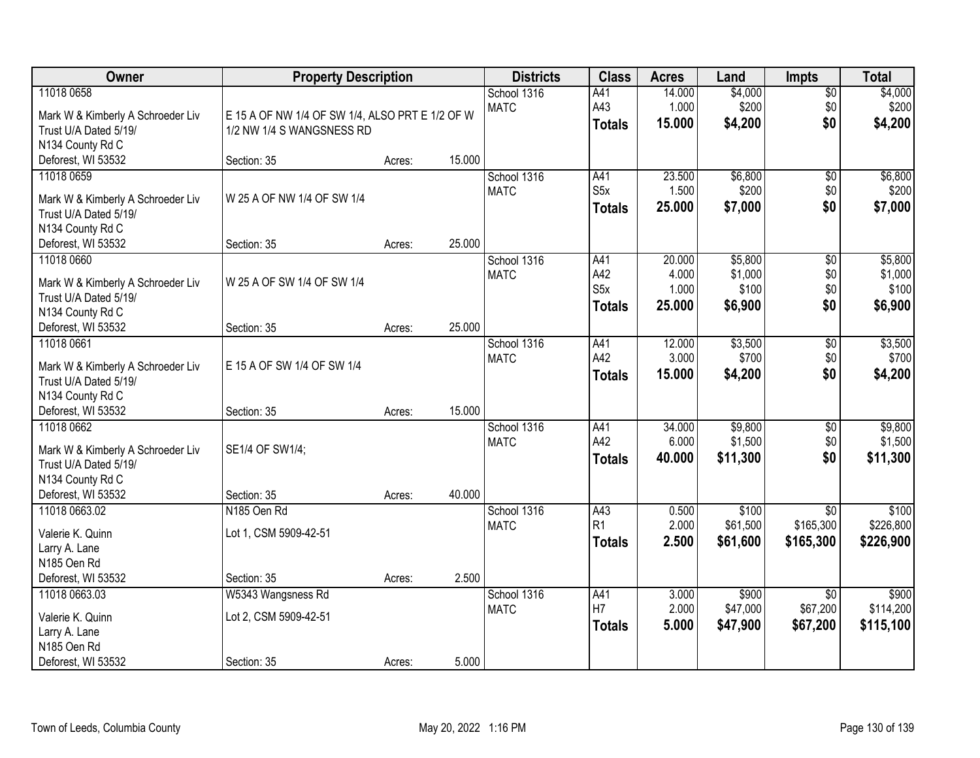| Owner                                                                                                              | <b>Property Description</b>                                                  |        |        | <b>Districts</b>           | <b>Class</b>                                    | <b>Acres</b>                       | Land                                   | <b>Impts</b>                  | <b>Total</b>                           |
|--------------------------------------------------------------------------------------------------------------------|------------------------------------------------------------------------------|--------|--------|----------------------------|-------------------------------------------------|------------------------------------|----------------------------------------|-------------------------------|----------------------------------------|
| 11018 0658<br>Mark W & Kimberly A Schroeder Liv<br>Trust U/A Dated 5/19/<br>N134 County Rd C                       | E 15 A OF NW 1/4 OF SW 1/4, ALSO PRT E 1/2 OF W<br>1/2 NW 1/4 S WANGSNESS RD |        |        | School 1316<br><b>MATC</b> | A41<br>A43<br><b>Totals</b>                     | 14.000<br>1.000<br>15.000          | \$4,000<br>\$200<br>\$4,200            | $\sqrt{$0}$<br>\$0<br>\$0     | \$4,000<br>\$200<br>\$4,200            |
| Deforest, WI 53532                                                                                                 | Section: 35                                                                  | Acres: | 15.000 |                            |                                                 |                                    |                                        |                               |                                        |
| 11018 0659<br>Mark W & Kimberly A Schroeder Liv<br>Trust U/A Dated 5/19/<br>N134 County Rd C                       | W 25 A OF NW 1/4 OF SW 1/4                                                   |        |        | School 1316<br><b>MATC</b> | A41<br>S5x<br><b>Totals</b>                     | 23.500<br>1.500<br>25.000          | \$6,800<br>\$200<br>\$7,000            | \$0<br>\$0<br>\$0             | \$6,800<br>\$200<br>\$7,000            |
| Deforest, WI 53532                                                                                                 | Section: 35                                                                  | Acres: | 25.000 |                            |                                                 |                                    |                                        |                               |                                        |
| 11018 0660<br>Mark W & Kimberly A Schroeder Liv<br>Trust U/A Dated 5/19/<br>N134 County Rd C                       | W 25 A OF SW 1/4 OF SW 1/4                                                   |        |        | School 1316<br><b>MATC</b> | A41<br>A42<br>S <sub>5</sub> x<br><b>Totals</b> | 20.000<br>4.000<br>1.000<br>25.000 | \$5,800<br>\$1,000<br>\$100<br>\$6,900 | \$0<br>\$0<br>\$0<br>\$0      | \$5,800<br>\$1,000<br>\$100<br>\$6,900 |
| Deforest, WI 53532                                                                                                 | Section: 35                                                                  | Acres: | 25.000 |                            |                                                 |                                    |                                        |                               |                                        |
| 11018 0661<br>Mark W & Kimberly A Schroeder Liv<br>Trust U/A Dated 5/19/<br>N134 County Rd C                       | E 15 A OF SW 1/4 OF SW 1/4                                                   |        |        | School 1316<br><b>MATC</b> | A41<br>A42<br><b>Totals</b>                     | 12.000<br>3.000<br>15.000          | \$3,500<br>\$700<br>\$4,200            | \$0<br>\$0<br>\$0             | \$3,500<br>\$700<br>\$4,200            |
| Deforest, WI 53532                                                                                                 | Section: 35                                                                  | Acres: | 15.000 |                            |                                                 |                                    |                                        |                               |                                        |
| 11018 0662<br>Mark W & Kimberly A Schroeder Liv<br>Trust U/A Dated 5/19/<br>N134 County Rd C<br>Deforest, WI 53532 | SE1/4 OF SW1/4;<br>Section: 35                                               | Acres: | 40.000 | School 1316<br><b>MATC</b> | A41<br>A42<br><b>Totals</b>                     | 34.000<br>6.000<br>40.000          | \$9,800<br>\$1,500<br>\$11,300         | $\overline{50}$<br>\$0<br>\$0 | \$9,800<br>\$1,500<br>\$11,300         |
| 11018 0663.02                                                                                                      | N <sub>185</sub> Oen Rd                                                      |        |        | School 1316                | A43                                             | 0.500                              | \$100                                  | $\overline{50}$               | \$100                                  |
| Valerie K. Quinn<br>Larry A. Lane<br>N185 Oen Rd                                                                   | Lot 1, CSM 5909-42-51                                                        |        | 2.500  | <b>MATC</b>                | R <sub>1</sub><br><b>Totals</b>                 | 2.000<br>2.500                     | \$61,500<br>\$61,600                   | \$165,300<br>\$165,300        | \$226,800<br>\$226,900                 |
| Deforest, WI 53532<br>11018 0663.03                                                                                | Section: 35<br>W5343 Wangsness Rd                                            | Acres: |        | School 1316                | A41                                             | 3.000                              | \$900                                  | $\overline{50}$               | \$900                                  |
| Valerie K. Quinn<br>Larry A. Lane<br>N185 Oen Rd<br>Deforest, WI 53532                                             | Lot 2, CSM 5909-42-51<br>Section: 35                                         | Acres: | 5.000  | <b>MATC</b>                | H7<br><b>Totals</b>                             | 2.000<br>5.000                     | \$47,000<br>\$47,900                   | \$67,200<br>\$67,200          | \$114,200<br>\$115,100                 |
|                                                                                                                    |                                                                              |        |        |                            |                                                 |                                    |                                        |                               |                                        |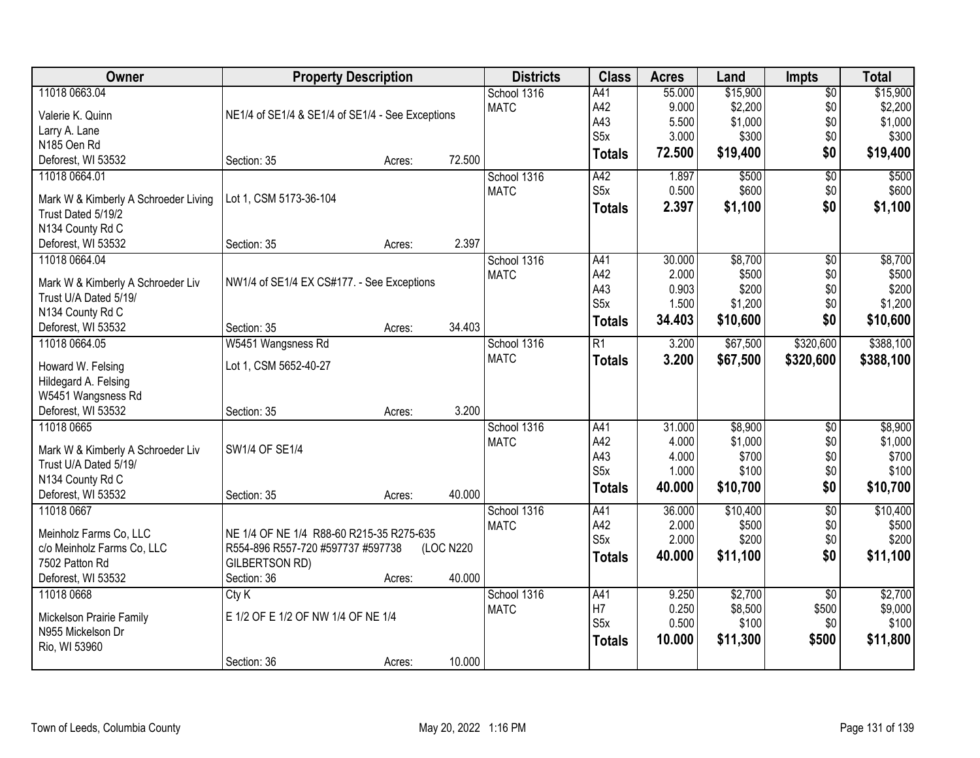| <b>Owner</b>                         | <b>Property Description</b>                      | <b>Districts</b> | <b>Class</b> | <b>Acres</b> | Land             | <b>Impts</b>   | <b>Total</b>     |                 |                  |
|--------------------------------------|--------------------------------------------------|------------------|--------------|--------------|------------------|----------------|------------------|-----------------|------------------|
| 11018 0663.04                        |                                                  |                  |              | School 1316  | A41              | 55.000         | \$15,900         | $\overline{50}$ | \$15,900         |
| Valerie K. Quinn                     | NE1/4 of SE1/4 & SE1/4 of SE1/4 - See Exceptions |                  |              | <b>MATC</b>  | A42              | 9.000          | \$2,200          | \$0             | \$2,200          |
| Larry A. Lane                        |                                                  |                  |              |              | A43              | 5.500          | \$1,000          | \$0             | \$1,000          |
| N185 Oen Rd                          |                                                  |                  |              |              | S <sub>5</sub> x | 3.000          | \$300            | \$0             | \$300            |
| Deforest, WI 53532                   | Section: 35                                      | Acres:           | 72.500       |              | <b>Totals</b>    | 72.500         | \$19,400         | \$0             | \$19,400         |
| 11018 0664.01                        |                                                  |                  |              | School 1316  | A42              | 1.897          | \$500            | $\overline{50}$ | \$500            |
|                                      |                                                  |                  |              | <b>MATC</b>  | S5x              | 0.500          | \$600            | \$0             | \$600            |
| Mark W & Kimberly A Schroeder Living | Lot 1, CSM 5173-36-104                           |                  |              |              | <b>Totals</b>    | 2.397          | \$1,100          | \$0             | \$1,100          |
| Trust Dated 5/19/2                   |                                                  |                  |              |              |                  |                |                  |                 |                  |
| N134 County Rd C                     |                                                  |                  | 2.397        |              |                  |                |                  |                 |                  |
| Deforest, WI 53532                   | Section: 35                                      | Acres:           |              |              |                  |                |                  |                 |                  |
| 11018 0664.04                        |                                                  |                  |              | School 1316  | A41              | 30.000         | \$8,700          | \$0             | \$8,700          |
| Mark W & Kimberly A Schroeder Liv    | NW1/4 of SE1/4 EX CS#177. - See Exceptions       |                  |              | <b>MATC</b>  | A42<br>A43       | 2.000          | \$500            | \$0             | \$500            |
| Trust U/A Dated 5/19/                |                                                  |                  |              |              | S5x              | 0.903<br>1.500 | \$200<br>\$1,200 | \$0<br>\$0      | \$200<br>\$1,200 |
| N134 County Rd C                     |                                                  |                  |              |              |                  |                |                  |                 |                  |
| Deforest, WI 53532                   | Section: 35                                      | Acres:           | 34.403       |              | <b>Totals</b>    | 34.403         | \$10,600         | \$0             | \$10,600         |
| 11018 0664.05                        | W5451 Wangsness Rd                               |                  |              | School 1316  | $\overline{R1}$  | 3.200          | \$67,500         | \$320,600       | \$388,100        |
| Howard W. Felsing                    | Lot 1, CSM 5652-40-27                            |                  |              | <b>MATC</b>  | <b>Totals</b>    | 3.200          | \$67,500         | \$320,600       | \$388,100        |
| Hildegard A. Felsing                 |                                                  |                  |              |              |                  |                |                  |                 |                  |
| W5451 Wangsness Rd                   |                                                  |                  |              |              |                  |                |                  |                 |                  |
| Deforest, WI 53532                   | Section: 35                                      | Acres:           | 3.200        |              |                  |                |                  |                 |                  |
| 11018 0665                           |                                                  |                  |              | School 1316  | A41              | 31.000         | \$8,900          | $\overline{50}$ | \$8,900          |
|                                      |                                                  |                  |              | <b>MATC</b>  | A42              | 4.000          | \$1,000          | \$0             | \$1,000          |
| Mark W & Kimberly A Schroeder Liv    | SW1/4 OF SE1/4                                   |                  |              |              | A43              | 4.000          | \$700            | \$0             | \$700            |
| Trust U/A Dated 5/19/                |                                                  |                  |              |              | S <sub>5</sub> x | 1.000          | \$100            | \$0             | \$100            |
| N134 County Rd C                     |                                                  |                  |              |              | <b>Totals</b>    | 40.000         | \$10,700         | \$0             | \$10,700         |
| Deforest, WI 53532                   | Section: 35                                      | Acres:           | 40.000       |              |                  |                |                  |                 |                  |
| 11018 0667                           |                                                  |                  |              | School 1316  | A41              | 36.000         | \$10,400         | $\overline{50}$ | \$10,400         |
| Meinholz Farms Co, LLC               | NE 1/4 OF NE 1/4 R88-60 R215-35 R275-635         |                  |              | <b>MATC</b>  | A42              | 2.000          | \$500            | \$0             | \$500            |
| c/o Meinholz Farms Co, LLC           | R554-896 R557-720 #597737 #597738                |                  | (LOC N220    |              | S5x              | 2.000          | \$200            | \$0             | \$200            |
| 7502 Patton Rd                       | GILBERTSON RD)                                   |                  |              |              | <b>Totals</b>    | 40.000         | \$11,100         | \$0             | \$11,100         |
| Deforest, WI 53532                   | Section: 36                                      | Acres:           | 40.000       |              |                  |                |                  |                 |                  |
| 11018 0668                           | CtyK                                             |                  |              | School 1316  | A41              | 9.250          | \$2,700          | $\overline{50}$ | \$2,700          |
|                                      |                                                  |                  |              | <b>MATC</b>  | H7               | 0.250          | \$8,500          | \$500           | \$9,000          |
| Mickelson Prairie Family             | E 1/2 OF E 1/2 OF NW 1/4 OF NE 1/4               |                  |              |              | S5x              | 0.500          | \$100            | \$0             | \$100            |
| N955 Mickelson Dr                    |                                                  |                  |              |              | <b>Totals</b>    | 10.000         | \$11,300         | \$500           | \$11,800         |
| Rio, WI 53960                        |                                                  |                  |              |              |                  |                |                  |                 |                  |
|                                      | Section: 36                                      | Acres:           | 10.000       |              |                  |                |                  |                 |                  |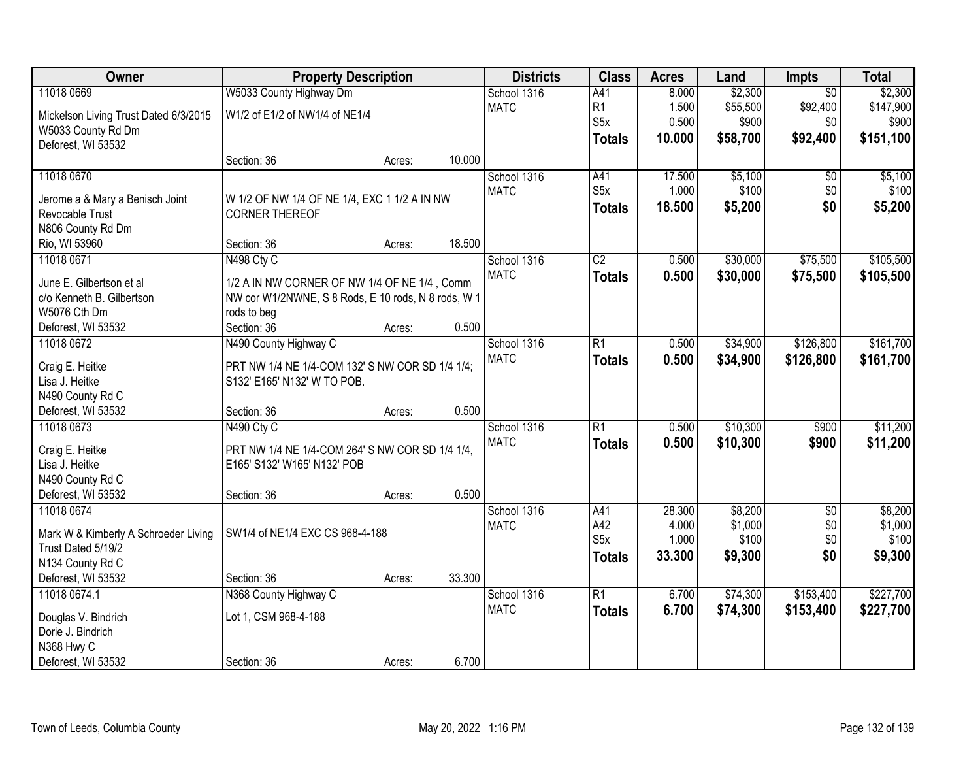| Owner                                 | <b>Property Description</b>                         |        |        | <b>Districts</b> | <b>Class</b>     | <b>Acres</b> | Land     | <b>Impts</b>    | <b>Total</b> |
|---------------------------------------|-----------------------------------------------------|--------|--------|------------------|------------------|--------------|----------|-----------------|--------------|
| 11018 0669                            | W5033 County Highway Dm                             |        |        | School 1316      | A41              | 8.000        | \$2,300  | $\overline{50}$ | \$2,300      |
| Mickelson Living Trust Dated 6/3/2015 | W1/2 of E1/2 of NW1/4 of NE1/4                      |        |        | <b>MATC</b>      | R1               | 1.500        | \$55,500 | \$92,400        | \$147,900    |
| W5033 County Rd Dm                    |                                                     |        |        |                  | S <sub>5</sub> x | 0.500        | \$900    | \$0             | \$900        |
| Deforest, WI 53532                    |                                                     |        |        |                  | <b>Totals</b>    | 10.000       | \$58,700 | \$92,400        | \$151,100    |
|                                       | Section: 36                                         | Acres: | 10.000 |                  |                  |              |          |                 |              |
| 11018 0670                            |                                                     |        |        | School 1316      | A41              | 17.500       | \$5,100  | \$0             | \$5,100      |
|                                       |                                                     |        |        | <b>MATC</b>      | S <sub>5</sub> x | 1.000        | \$100    | \$0             | \$100        |
| Jerome a & Mary a Benisch Joint       | W 1/2 OF NW 1/4 OF NE 1/4, EXC 1 1/2 A IN NW        |        |        |                  | <b>Totals</b>    | 18.500       | \$5,200  | \$0             | \$5,200      |
| Revocable Trust<br>N806 County Rd Dm  | <b>CORNER THEREOF</b>                               |        |        |                  |                  |              |          |                 |              |
| Rio, WI 53960                         | Section: 36                                         | Acres: | 18.500 |                  |                  |              |          |                 |              |
| 11018 0671                            | N498 Cty C                                          |        |        | School 1316      | $\overline{C2}$  | 0.500        | \$30,000 | \$75,500        | \$105,500    |
|                                       |                                                     |        |        | <b>MATC</b>      | <b>Totals</b>    | 0.500        | \$30,000 | \$75,500        | \$105,500    |
| June E. Gilbertson et al              | 1/2 A IN NW CORNER OF NW 1/4 OF NE 1/4, Comm        |        |        |                  |                  |              |          |                 |              |
| c/o Kenneth B. Gilbertson             | NW cor W1/2NWNE, S 8 Rods, E 10 rods, N 8 rods, W 1 |        |        |                  |                  |              |          |                 |              |
| W5076 Cth Dm                          | rods to beg                                         |        |        |                  |                  |              |          |                 |              |
| Deforest, WI 53532                    | Section: 36                                         | Acres: | 0.500  |                  |                  |              |          |                 |              |
| 11018 0672                            | N490 County Highway C                               |        |        | School 1316      | $\overline{R1}$  | 0.500        | \$34,900 | \$126,800       | \$161,700    |
| Craig E. Heitke                       | PRT NW 1/4 NE 1/4-COM 132' S NW COR SD 1/4 1/4;     |        |        | <b>MATC</b>      | <b>Totals</b>    | 0.500        | \$34,900 | \$126,800       | \$161,700    |
| Lisa J. Heitke                        | S132' E165' N132' W TO POB.                         |        |        |                  |                  |              |          |                 |              |
| N490 County Rd C                      |                                                     |        |        |                  |                  |              |          |                 |              |
| Deforest, WI 53532                    | Section: 36                                         | Acres: | 0.500  |                  |                  |              |          |                 |              |
| 11018 0673                            | N490 Cty C                                          |        |        | School 1316      | $\overline{R1}$  | 0.500        | \$10,300 | \$900           | \$11,200     |
| Craig E. Heitke                       | PRT NW 1/4 NE 1/4-COM 264' S NW COR SD 1/4 1/4,     |        |        | <b>MATC</b>      | <b>Totals</b>    | 0.500        | \$10,300 | \$900           | \$11,200     |
| Lisa J. Heitke                        | E165' S132' W165' N132' POB                         |        |        |                  |                  |              |          |                 |              |
| N490 County Rd C                      |                                                     |        |        |                  |                  |              |          |                 |              |
| Deforest, WI 53532                    | Section: 36                                         | Acres: | 0.500  |                  |                  |              |          |                 |              |
| 11018 0674                            |                                                     |        |        | School 1316      | A41              | 28.300       | \$8,200  | $\overline{50}$ | \$8,200      |
|                                       |                                                     |        |        | <b>MATC</b>      | A42              | 4.000        | \$1,000  | \$0             | \$1,000      |
| Mark W & Kimberly A Schroeder Living  | SW1/4 of NE1/4 EXC CS 968-4-188                     |        |        |                  | S <sub>5</sub> x | 1.000        | \$100    | \$0             | \$100        |
| Trust Dated 5/19/2                    |                                                     |        |        |                  | <b>Totals</b>    | 33.300       | \$9,300  | \$0             | \$9,300      |
| N134 County Rd C                      |                                                     |        |        |                  |                  |              |          |                 |              |
| Deforest, WI 53532                    | Section: 36                                         | Acres: | 33.300 |                  |                  |              |          |                 |              |
| 11018 0674.1                          | N368 County Highway C                               |        |        | School 1316      | $\overline{R1}$  | 6.700        | \$74,300 | \$153,400       | \$227,700    |
| Douglas V. Bindrich                   | Lot 1, CSM 968-4-188                                |        |        | <b>MATC</b>      | <b>Totals</b>    | 6.700        | \$74,300 | \$153,400       | \$227,700    |
| Dorie J. Bindrich                     |                                                     |        |        |                  |                  |              |          |                 |              |
| N368 Hwy C                            |                                                     |        |        |                  |                  |              |          |                 |              |
| Deforest, WI 53532                    | Section: 36                                         | Acres: | 6.700  |                  |                  |              |          |                 |              |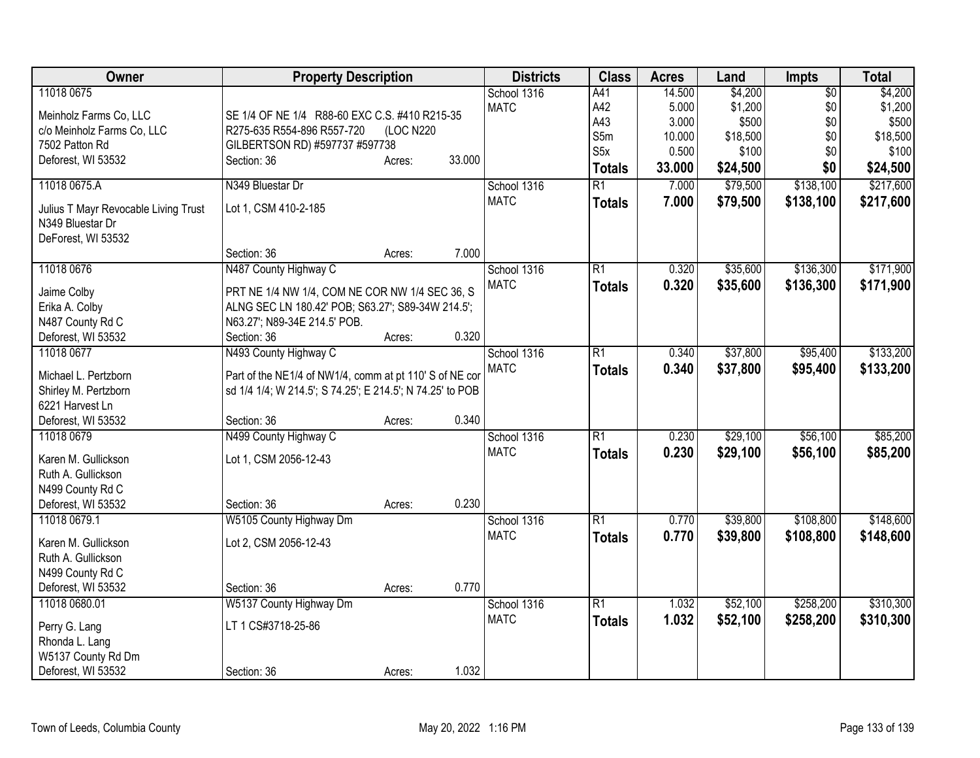| Owner                                | <b>Property Description</b>                               |           |        | <b>Districts</b> | <b>Class</b>    | <b>Acres</b> | Land     | <b>Impts</b>    | <b>Total</b> |
|--------------------------------------|-----------------------------------------------------------|-----------|--------|------------------|-----------------|--------------|----------|-----------------|--------------|
| 11018 0675                           |                                                           |           |        | School 1316      | A41             | 14.500       | \$4,200  | $\overline{50}$ | \$4,200      |
| Meinholz Farms Co, LLC               | SE 1/4 OF NE 1/4 R88-60 EXC C.S. #410 R215-35             |           |        | <b>MATC</b>      | A42             | 5.000        | \$1,200  | \$0             | \$1,200      |
| c/o Meinholz Farms Co, LLC           | R275-635 R554-896 R557-720                                | (LOC N220 |        |                  | A43             | 3.000        | \$500    | \$0             | \$500        |
| 7502 Patton Rd                       | GILBERTSON RD) #597737 #597738                            |           |        |                  | S5m             | 10.000       | \$18,500 | \$0             | \$18,500     |
| Deforest, WI 53532                   | Section: 36                                               | Acres:    | 33.000 |                  | S5x             | 0.500        | \$100    | \$0             | \$100        |
|                                      |                                                           |           |        |                  | <b>Totals</b>   | 33.000       | \$24,500 | \$0             | \$24,500     |
| 11018 0675.A                         | N349 Bluestar Dr                                          |           |        | School 1316      | $\overline{R1}$ | 7.000        | \$79,500 | \$138,100       | \$217,600    |
| Julius T Mayr Revocable Living Trust | Lot 1, CSM 410-2-185                                      |           |        | <b>MATC</b>      | <b>Totals</b>   | 7.000        | \$79,500 | \$138,100       | \$217,600    |
| N349 Bluestar Dr                     |                                                           |           |        |                  |                 |              |          |                 |              |
| DeForest, WI 53532                   |                                                           |           |        |                  |                 |              |          |                 |              |
|                                      | Section: 36                                               | Acres:    | 7.000  |                  |                 |              |          |                 |              |
| 11018 0676                           | N487 County Highway C                                     |           |        | School 1316      | $\overline{R1}$ | 0.320        | \$35,600 | \$136,300       | \$171,900    |
|                                      |                                                           |           |        | <b>MATC</b>      | <b>Totals</b>   | 0.320        | \$35,600 | \$136,300       | \$171,900    |
| Jaime Colby                          | PRT NE 1/4 NW 1/4, COM NE COR NW 1/4 SEC 36, S            |           |        |                  |                 |              |          |                 |              |
| Erika A. Colby                       | ALNG SEC LN 180.42' POB; S63.27'; S89-34W 214.5';         |           |        |                  |                 |              |          |                 |              |
| N487 County Rd C                     | N63.27'; N89-34E 214.5' POB.                              |           |        |                  |                 |              |          |                 |              |
| Deforest, WI 53532                   | Section: 36                                               | Acres:    | 0.320  |                  |                 |              |          |                 |              |
| 11018 0677                           | N493 County Highway C                                     |           |        | School 1316      | R1              | 0.340        | \$37,800 | \$95,400        | \$133,200    |
| Michael L. Pertzborn                 | Part of the NE1/4 of NW1/4, comm at pt 110' S of NE cor   |           |        | <b>MATC</b>      | <b>Totals</b>   | 0.340        | \$37,800 | \$95,400        | \$133,200    |
| Shirley M. Pertzborn                 | sd 1/4 1/4; W 214.5'; S 74.25'; E 214.5'; N 74.25' to POB |           |        |                  |                 |              |          |                 |              |
| 6221 Harvest Ln                      |                                                           |           |        |                  |                 |              |          |                 |              |
| Deforest, WI 53532                   | Section: 36                                               | Acres:    | 0.340  |                  |                 |              |          |                 |              |
| 11018 0679                           | N499 County Highway C                                     |           |        | School 1316      | R1              | 0.230        | \$29,100 | \$56,100        | \$85,200     |
| Karen M. Gullickson                  | Lot 1, CSM 2056-12-43                                     |           |        | <b>MATC</b>      | <b>Totals</b>   | 0.230        | \$29,100 | \$56,100        | \$85,200     |
| Ruth A. Gullickson                   |                                                           |           |        |                  |                 |              |          |                 |              |
| N499 County Rd C                     |                                                           |           |        |                  |                 |              |          |                 |              |
| Deforest, WI 53532                   | Section: 36                                               | Acres:    | 0.230  |                  |                 |              |          |                 |              |
| 11018 0679.1                         | W5105 County Highway Dm                                   |           |        | School 1316      | R1              | 0.770        | \$39,800 | \$108,800       | \$148,600    |
|                                      |                                                           |           |        | <b>MATC</b>      | <b>Totals</b>   | 0.770        | \$39,800 | \$108,800       | \$148,600    |
| Karen M. Gullickson                  | Lot 2, CSM 2056-12-43                                     |           |        |                  |                 |              |          |                 |              |
| Ruth A. Gullickson                   |                                                           |           |        |                  |                 |              |          |                 |              |
| N499 County Rd C                     |                                                           |           |        |                  |                 |              |          |                 |              |
| Deforest, WI 53532                   | Section: 36                                               | Acres:    | 0.770  |                  |                 |              |          |                 |              |
| 11018 0680.01                        | W5137 County Highway Dm                                   |           |        | School 1316      | R1              | 1.032        | \$52,100 | \$258,200       | \$310,300    |
| Perry G. Lang                        | LT 1 CS#3718-25-86                                        |           |        | <b>MATC</b>      | <b>Totals</b>   | 1.032        | \$52,100 | \$258,200       | \$310,300    |
| Rhonda L. Lang                       |                                                           |           |        |                  |                 |              |          |                 |              |
| W5137 County Rd Dm                   |                                                           |           |        |                  |                 |              |          |                 |              |
| Deforest, WI 53532                   | Section: 36                                               | Acres:    | 1.032  |                  |                 |              |          |                 |              |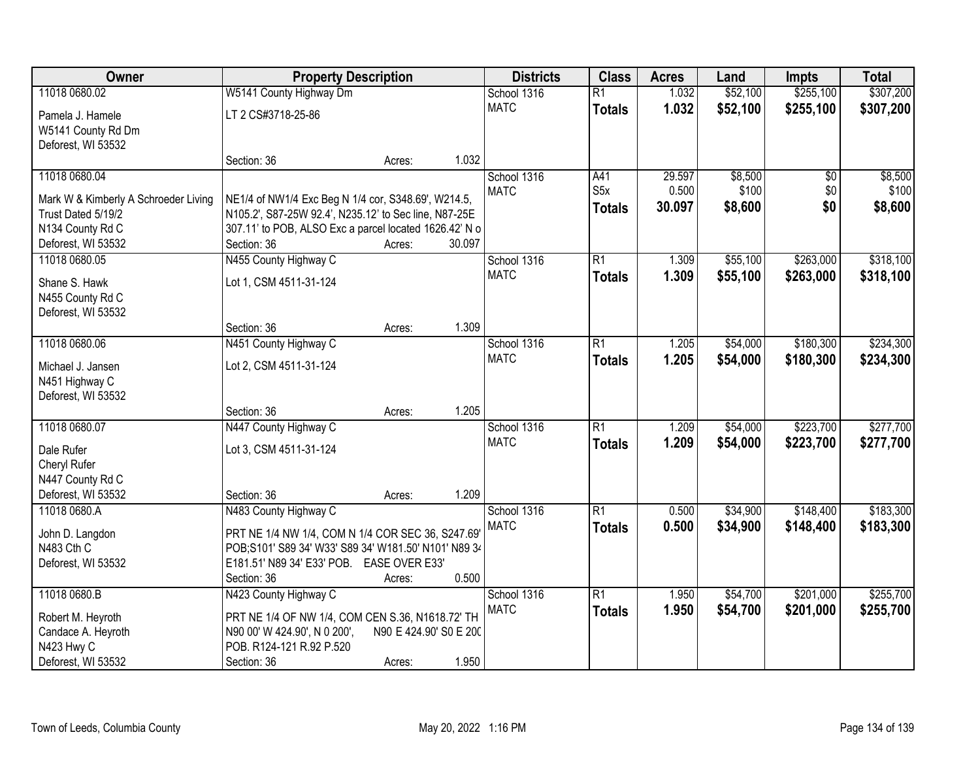| \$255,100<br>\$307,200<br>11018 0680.02<br>W5141 County Highway Dm<br>$\overline{R1}$<br>1.032<br>\$52,100<br>School 1316<br><b>MATC</b><br>1.032<br>\$52,100<br>\$255,100<br>\$307,200<br><b>Totals</b><br>LT 2 CS#3718-25-86<br>Pamela J. Hamele<br>W5141 County Rd Dm<br>Deforest, WI 53532<br>1.032<br>Section: 36<br>Acres:<br>\$8,500<br>11018 0680.04<br>School 1316<br>29.597<br>$\overline{50}$<br>\$8,500<br>A41<br>S5x<br>0.500<br>\$100<br>\$0<br>\$100<br><b>MATC</b><br>NE1/4 of NW1/4 Exc Beg N 1/4 cor, S348.69', W214.5,<br>Mark W & Kimberly A Schroeder Living<br>\$0<br>\$8,600<br>30.097<br>\$8,600<br><b>Totals</b><br>Trust Dated 5/19/2<br>N105.2', S87-25W 92.4', N235.12' to Sec line, N87-25E<br>N134 County Rd C<br>307.11' to POB, ALSO Exc a parcel located 1626.42' N o<br>30.097<br>Deforest, WI 53532<br>Section: 36<br>Acres:<br>\$55,100<br>\$263,000<br>\$318,100<br>11018 0680.05<br>N455 County Highway C<br>School 1316<br>$\overline{R1}$<br>1.309<br><b>MATC</b><br>1.309<br>\$55,100<br>\$263,000<br>\$318,100<br><b>Totals</b><br>Shane S. Hawk<br>Lot 1, CSM 4511-31-124<br>N455 County Rd C<br>Deforest, WI 53532<br>1.309<br>Section: 36<br>Acres:<br>11018 0680.06<br>$\overline{R1}$<br>\$54,000<br>\$180,300<br>\$234,300<br>N451 County Highway C<br>School 1316<br>1.205<br><b>MATC</b><br>1.205<br>\$54,000<br>\$180,300<br>\$234,300<br><b>Totals</b><br>Lot 2, CSM 4511-31-124<br>Michael J. Jansen<br>N451 Highway C<br>Deforest, WI 53532<br>1.205<br>Section: 36<br>Acres:<br>$\overline{R1}$<br>\$54,000<br>\$223,700<br>\$277,700<br>11018 0680.07<br>N447 County Highway C<br>1.209<br>School 1316<br><b>MATC</b><br>1.209<br>\$54,000<br>\$223,700<br>\$277,700<br><b>Totals</b><br>Lot 3, CSM 4511-31-124<br>Dale Rufer<br>Cheryl Rufer<br>N447 County Rd C<br>1.209<br>Deforest, WI 53532<br>Section: 36<br>Acres:<br>$\overline{R1}$<br>\$34,900<br>\$148,400<br>\$183,300<br>11018 0680.A<br>N483 County Highway C<br>School 1316<br>0.500<br><b>MATC</b><br>0.500<br>\$34,900<br>\$148,400<br>\$183,300<br><b>Totals</b><br>PRT NE 1/4 NW 1/4, COM N 1/4 COR SEC 36, S247.69<br>John D. Langdon<br>N483 Cth C<br>POB;S101' S89 34' W33' S89 34' W181.50' N101' N89 34<br>E181.51' N89 34' E33' POB. EASE OVER E33'<br>Deforest, WI 53532<br>0.500<br>Section: 36<br>Acres:<br>\$255,700<br>11018 0680.B<br>N423 County Highway C<br>School 1316<br>$\overline{R1}$<br>\$54,700<br>\$201,000<br>1.950<br>1.950<br><b>MATC</b><br>\$54,700<br>\$201,000<br>\$255,700<br><b>Totals</b><br>Robert M. Heyroth<br>PRT NE 1/4 OF NW 1/4, COM CEN S.36, N1618.72' TH<br>N90 E 424.90' S0 E 200<br>Candace A. Heyroth<br>N90 00' W 424.90', N 0 200',<br>POB. R124-121 R.92 P.520<br>N423 Hwy C | Owner | <b>Property Description</b> |  |  | <b>Districts</b> | <b>Class</b> | <b>Acres</b> | Land | Impts | <b>Total</b> |
|----------------------------------------------------------------------------------------------------------------------------------------------------------------------------------------------------------------------------------------------------------------------------------------------------------------------------------------------------------------------------------------------------------------------------------------------------------------------------------------------------------------------------------------------------------------------------------------------------------------------------------------------------------------------------------------------------------------------------------------------------------------------------------------------------------------------------------------------------------------------------------------------------------------------------------------------------------------------------------------------------------------------------------------------------------------------------------------------------------------------------------------------------------------------------------------------------------------------------------------------------------------------------------------------------------------------------------------------------------------------------------------------------------------------------------------------------------------------------------------------------------------------------------------------------------------------------------------------------------------------------------------------------------------------------------------------------------------------------------------------------------------------------------------------------------------------------------------------------------------------------------------------------------------------------------------------------------------------------------------------------------------------------------------------------------------------------------------------------------------------------------------------------------------------------------------------------------------------------------------------------------------------------------------------------------------------------------------------------------------------------------------------------------------------------------------------------------------------------------------------------------------------------------------------------------------------------------------------------------------------------------------------------------------------------------------------------------------------------------------------------------|-------|-----------------------------|--|--|------------------|--------------|--------------|------|-------|--------------|
|                                                                                                                                                                                                                                                                                                                                                                                                                                                                                                                                                                                                                                                                                                                                                                                                                                                                                                                                                                                                                                                                                                                                                                                                                                                                                                                                                                                                                                                                                                                                                                                                                                                                                                                                                                                                                                                                                                                                                                                                                                                                                                                                                                                                                                                                                                                                                                                                                                                                                                                                                                                                                                                                                                                                                          |       |                             |  |  |                  |              |              |      |       |              |
|                                                                                                                                                                                                                                                                                                                                                                                                                                                                                                                                                                                                                                                                                                                                                                                                                                                                                                                                                                                                                                                                                                                                                                                                                                                                                                                                                                                                                                                                                                                                                                                                                                                                                                                                                                                                                                                                                                                                                                                                                                                                                                                                                                                                                                                                                                                                                                                                                                                                                                                                                                                                                                                                                                                                                          |       |                             |  |  |                  |              |              |      |       |              |
|                                                                                                                                                                                                                                                                                                                                                                                                                                                                                                                                                                                                                                                                                                                                                                                                                                                                                                                                                                                                                                                                                                                                                                                                                                                                                                                                                                                                                                                                                                                                                                                                                                                                                                                                                                                                                                                                                                                                                                                                                                                                                                                                                                                                                                                                                                                                                                                                                                                                                                                                                                                                                                                                                                                                                          |       |                             |  |  |                  |              |              |      |       |              |
|                                                                                                                                                                                                                                                                                                                                                                                                                                                                                                                                                                                                                                                                                                                                                                                                                                                                                                                                                                                                                                                                                                                                                                                                                                                                                                                                                                                                                                                                                                                                                                                                                                                                                                                                                                                                                                                                                                                                                                                                                                                                                                                                                                                                                                                                                                                                                                                                                                                                                                                                                                                                                                                                                                                                                          |       |                             |  |  |                  |              |              |      |       |              |
|                                                                                                                                                                                                                                                                                                                                                                                                                                                                                                                                                                                                                                                                                                                                                                                                                                                                                                                                                                                                                                                                                                                                                                                                                                                                                                                                                                                                                                                                                                                                                                                                                                                                                                                                                                                                                                                                                                                                                                                                                                                                                                                                                                                                                                                                                                                                                                                                                                                                                                                                                                                                                                                                                                                                                          |       |                             |  |  |                  |              |              |      |       |              |
|                                                                                                                                                                                                                                                                                                                                                                                                                                                                                                                                                                                                                                                                                                                                                                                                                                                                                                                                                                                                                                                                                                                                                                                                                                                                                                                                                                                                                                                                                                                                                                                                                                                                                                                                                                                                                                                                                                                                                                                                                                                                                                                                                                                                                                                                                                                                                                                                                                                                                                                                                                                                                                                                                                                                                          |       |                             |  |  |                  |              |              |      |       |              |
|                                                                                                                                                                                                                                                                                                                                                                                                                                                                                                                                                                                                                                                                                                                                                                                                                                                                                                                                                                                                                                                                                                                                                                                                                                                                                                                                                                                                                                                                                                                                                                                                                                                                                                                                                                                                                                                                                                                                                                                                                                                                                                                                                                                                                                                                                                                                                                                                                                                                                                                                                                                                                                                                                                                                                          |       |                             |  |  |                  |              |              |      |       |              |
|                                                                                                                                                                                                                                                                                                                                                                                                                                                                                                                                                                                                                                                                                                                                                                                                                                                                                                                                                                                                                                                                                                                                                                                                                                                                                                                                                                                                                                                                                                                                                                                                                                                                                                                                                                                                                                                                                                                                                                                                                                                                                                                                                                                                                                                                                                                                                                                                                                                                                                                                                                                                                                                                                                                                                          |       |                             |  |  |                  |              |              |      |       |              |
|                                                                                                                                                                                                                                                                                                                                                                                                                                                                                                                                                                                                                                                                                                                                                                                                                                                                                                                                                                                                                                                                                                                                                                                                                                                                                                                                                                                                                                                                                                                                                                                                                                                                                                                                                                                                                                                                                                                                                                                                                                                                                                                                                                                                                                                                                                                                                                                                                                                                                                                                                                                                                                                                                                                                                          |       |                             |  |  |                  |              |              |      |       |              |
|                                                                                                                                                                                                                                                                                                                                                                                                                                                                                                                                                                                                                                                                                                                                                                                                                                                                                                                                                                                                                                                                                                                                                                                                                                                                                                                                                                                                                                                                                                                                                                                                                                                                                                                                                                                                                                                                                                                                                                                                                                                                                                                                                                                                                                                                                                                                                                                                                                                                                                                                                                                                                                                                                                                                                          |       |                             |  |  |                  |              |              |      |       |              |
|                                                                                                                                                                                                                                                                                                                                                                                                                                                                                                                                                                                                                                                                                                                                                                                                                                                                                                                                                                                                                                                                                                                                                                                                                                                                                                                                                                                                                                                                                                                                                                                                                                                                                                                                                                                                                                                                                                                                                                                                                                                                                                                                                                                                                                                                                                                                                                                                                                                                                                                                                                                                                                                                                                                                                          |       |                             |  |  |                  |              |              |      |       |              |
|                                                                                                                                                                                                                                                                                                                                                                                                                                                                                                                                                                                                                                                                                                                                                                                                                                                                                                                                                                                                                                                                                                                                                                                                                                                                                                                                                                                                                                                                                                                                                                                                                                                                                                                                                                                                                                                                                                                                                                                                                                                                                                                                                                                                                                                                                                                                                                                                                                                                                                                                                                                                                                                                                                                                                          |       |                             |  |  |                  |              |              |      |       |              |
|                                                                                                                                                                                                                                                                                                                                                                                                                                                                                                                                                                                                                                                                                                                                                                                                                                                                                                                                                                                                                                                                                                                                                                                                                                                                                                                                                                                                                                                                                                                                                                                                                                                                                                                                                                                                                                                                                                                                                                                                                                                                                                                                                                                                                                                                                                                                                                                                                                                                                                                                                                                                                                                                                                                                                          |       |                             |  |  |                  |              |              |      |       |              |
|                                                                                                                                                                                                                                                                                                                                                                                                                                                                                                                                                                                                                                                                                                                                                                                                                                                                                                                                                                                                                                                                                                                                                                                                                                                                                                                                                                                                                                                                                                                                                                                                                                                                                                                                                                                                                                                                                                                                                                                                                                                                                                                                                                                                                                                                                                                                                                                                                                                                                                                                                                                                                                                                                                                                                          |       |                             |  |  |                  |              |              |      |       |              |
|                                                                                                                                                                                                                                                                                                                                                                                                                                                                                                                                                                                                                                                                                                                                                                                                                                                                                                                                                                                                                                                                                                                                                                                                                                                                                                                                                                                                                                                                                                                                                                                                                                                                                                                                                                                                                                                                                                                                                                                                                                                                                                                                                                                                                                                                                                                                                                                                                                                                                                                                                                                                                                                                                                                                                          |       |                             |  |  |                  |              |              |      |       |              |
|                                                                                                                                                                                                                                                                                                                                                                                                                                                                                                                                                                                                                                                                                                                                                                                                                                                                                                                                                                                                                                                                                                                                                                                                                                                                                                                                                                                                                                                                                                                                                                                                                                                                                                                                                                                                                                                                                                                                                                                                                                                                                                                                                                                                                                                                                                                                                                                                                                                                                                                                                                                                                                                                                                                                                          |       |                             |  |  |                  |              |              |      |       |              |
|                                                                                                                                                                                                                                                                                                                                                                                                                                                                                                                                                                                                                                                                                                                                                                                                                                                                                                                                                                                                                                                                                                                                                                                                                                                                                                                                                                                                                                                                                                                                                                                                                                                                                                                                                                                                                                                                                                                                                                                                                                                                                                                                                                                                                                                                                                                                                                                                                                                                                                                                                                                                                                                                                                                                                          |       |                             |  |  |                  |              |              |      |       |              |
|                                                                                                                                                                                                                                                                                                                                                                                                                                                                                                                                                                                                                                                                                                                                                                                                                                                                                                                                                                                                                                                                                                                                                                                                                                                                                                                                                                                                                                                                                                                                                                                                                                                                                                                                                                                                                                                                                                                                                                                                                                                                                                                                                                                                                                                                                                                                                                                                                                                                                                                                                                                                                                                                                                                                                          |       |                             |  |  |                  |              |              |      |       |              |
|                                                                                                                                                                                                                                                                                                                                                                                                                                                                                                                                                                                                                                                                                                                                                                                                                                                                                                                                                                                                                                                                                                                                                                                                                                                                                                                                                                                                                                                                                                                                                                                                                                                                                                                                                                                                                                                                                                                                                                                                                                                                                                                                                                                                                                                                                                                                                                                                                                                                                                                                                                                                                                                                                                                                                          |       |                             |  |  |                  |              |              |      |       |              |
|                                                                                                                                                                                                                                                                                                                                                                                                                                                                                                                                                                                                                                                                                                                                                                                                                                                                                                                                                                                                                                                                                                                                                                                                                                                                                                                                                                                                                                                                                                                                                                                                                                                                                                                                                                                                                                                                                                                                                                                                                                                                                                                                                                                                                                                                                                                                                                                                                                                                                                                                                                                                                                                                                                                                                          |       |                             |  |  |                  |              |              |      |       |              |
|                                                                                                                                                                                                                                                                                                                                                                                                                                                                                                                                                                                                                                                                                                                                                                                                                                                                                                                                                                                                                                                                                                                                                                                                                                                                                                                                                                                                                                                                                                                                                                                                                                                                                                                                                                                                                                                                                                                                                                                                                                                                                                                                                                                                                                                                                                                                                                                                                                                                                                                                                                                                                                                                                                                                                          |       |                             |  |  |                  |              |              |      |       |              |
|                                                                                                                                                                                                                                                                                                                                                                                                                                                                                                                                                                                                                                                                                                                                                                                                                                                                                                                                                                                                                                                                                                                                                                                                                                                                                                                                                                                                                                                                                                                                                                                                                                                                                                                                                                                                                                                                                                                                                                                                                                                                                                                                                                                                                                                                                                                                                                                                                                                                                                                                                                                                                                                                                                                                                          |       |                             |  |  |                  |              |              |      |       |              |
|                                                                                                                                                                                                                                                                                                                                                                                                                                                                                                                                                                                                                                                                                                                                                                                                                                                                                                                                                                                                                                                                                                                                                                                                                                                                                                                                                                                                                                                                                                                                                                                                                                                                                                                                                                                                                                                                                                                                                                                                                                                                                                                                                                                                                                                                                                                                                                                                                                                                                                                                                                                                                                                                                                                                                          |       |                             |  |  |                  |              |              |      |       |              |
|                                                                                                                                                                                                                                                                                                                                                                                                                                                                                                                                                                                                                                                                                                                                                                                                                                                                                                                                                                                                                                                                                                                                                                                                                                                                                                                                                                                                                                                                                                                                                                                                                                                                                                                                                                                                                                                                                                                                                                                                                                                                                                                                                                                                                                                                                                                                                                                                                                                                                                                                                                                                                                                                                                                                                          |       |                             |  |  |                  |              |              |      |       |              |
|                                                                                                                                                                                                                                                                                                                                                                                                                                                                                                                                                                                                                                                                                                                                                                                                                                                                                                                                                                                                                                                                                                                                                                                                                                                                                                                                                                                                                                                                                                                                                                                                                                                                                                                                                                                                                                                                                                                                                                                                                                                                                                                                                                                                                                                                                                                                                                                                                                                                                                                                                                                                                                                                                                                                                          |       |                             |  |  |                  |              |              |      |       |              |
|                                                                                                                                                                                                                                                                                                                                                                                                                                                                                                                                                                                                                                                                                                                                                                                                                                                                                                                                                                                                                                                                                                                                                                                                                                                                                                                                                                                                                                                                                                                                                                                                                                                                                                                                                                                                                                                                                                                                                                                                                                                                                                                                                                                                                                                                                                                                                                                                                                                                                                                                                                                                                                                                                                                                                          |       |                             |  |  |                  |              |              |      |       |              |
|                                                                                                                                                                                                                                                                                                                                                                                                                                                                                                                                                                                                                                                                                                                                                                                                                                                                                                                                                                                                                                                                                                                                                                                                                                                                                                                                                                                                                                                                                                                                                                                                                                                                                                                                                                                                                                                                                                                                                                                                                                                                                                                                                                                                                                                                                                                                                                                                                                                                                                                                                                                                                                                                                                                                                          |       |                             |  |  |                  |              |              |      |       |              |
|                                                                                                                                                                                                                                                                                                                                                                                                                                                                                                                                                                                                                                                                                                                                                                                                                                                                                                                                                                                                                                                                                                                                                                                                                                                                                                                                                                                                                                                                                                                                                                                                                                                                                                                                                                                                                                                                                                                                                                                                                                                                                                                                                                                                                                                                                                                                                                                                                                                                                                                                                                                                                                                                                                                                                          |       |                             |  |  |                  |              |              |      |       |              |
|                                                                                                                                                                                                                                                                                                                                                                                                                                                                                                                                                                                                                                                                                                                                                                                                                                                                                                                                                                                                                                                                                                                                                                                                                                                                                                                                                                                                                                                                                                                                                                                                                                                                                                                                                                                                                                                                                                                                                                                                                                                                                                                                                                                                                                                                                                                                                                                                                                                                                                                                                                                                                                                                                                                                                          |       |                             |  |  |                  |              |              |      |       |              |
|                                                                                                                                                                                                                                                                                                                                                                                                                                                                                                                                                                                                                                                                                                                                                                                                                                                                                                                                                                                                                                                                                                                                                                                                                                                                                                                                                                                                                                                                                                                                                                                                                                                                                                                                                                                                                                                                                                                                                                                                                                                                                                                                                                                                                                                                                                                                                                                                                                                                                                                                                                                                                                                                                                                                                          |       |                             |  |  |                  |              |              |      |       |              |
|                                                                                                                                                                                                                                                                                                                                                                                                                                                                                                                                                                                                                                                                                                                                                                                                                                                                                                                                                                                                                                                                                                                                                                                                                                                                                                                                                                                                                                                                                                                                                                                                                                                                                                                                                                                                                                                                                                                                                                                                                                                                                                                                                                                                                                                                                                                                                                                                                                                                                                                                                                                                                                                                                                                                                          |       |                             |  |  |                  |              |              |      |       |              |
|                                                                                                                                                                                                                                                                                                                                                                                                                                                                                                                                                                                                                                                                                                                                                                                                                                                                                                                                                                                                                                                                                                                                                                                                                                                                                                                                                                                                                                                                                                                                                                                                                                                                                                                                                                                                                                                                                                                                                                                                                                                                                                                                                                                                                                                                                                                                                                                                                                                                                                                                                                                                                                                                                                                                                          |       |                             |  |  |                  |              |              |      |       |              |
|                                                                                                                                                                                                                                                                                                                                                                                                                                                                                                                                                                                                                                                                                                                                                                                                                                                                                                                                                                                                                                                                                                                                                                                                                                                                                                                                                                                                                                                                                                                                                                                                                                                                                                                                                                                                                                                                                                                                                                                                                                                                                                                                                                                                                                                                                                                                                                                                                                                                                                                                                                                                                                                                                                                                                          |       |                             |  |  |                  |              |              |      |       |              |
|                                                                                                                                                                                                                                                                                                                                                                                                                                                                                                                                                                                                                                                                                                                                                                                                                                                                                                                                                                                                                                                                                                                                                                                                                                                                                                                                                                                                                                                                                                                                                                                                                                                                                                                                                                                                                                                                                                                                                                                                                                                                                                                                                                                                                                                                                                                                                                                                                                                                                                                                                                                                                                                                                                                                                          |       |                             |  |  |                  |              |              |      |       |              |
| 1.950<br>Deforest, WI 53532<br>Section: 36<br>Acres:                                                                                                                                                                                                                                                                                                                                                                                                                                                                                                                                                                                                                                                                                                                                                                                                                                                                                                                                                                                                                                                                                                                                                                                                                                                                                                                                                                                                                                                                                                                                                                                                                                                                                                                                                                                                                                                                                                                                                                                                                                                                                                                                                                                                                                                                                                                                                                                                                                                                                                                                                                                                                                                                                                     |       |                             |  |  |                  |              |              |      |       |              |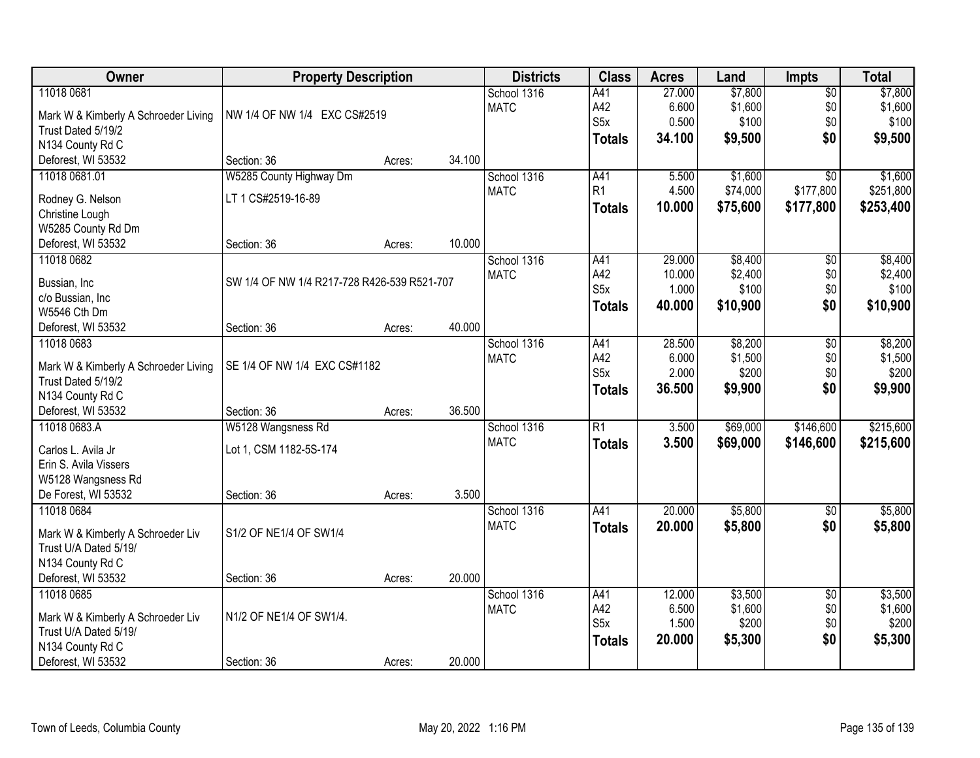| Owner                                | <b>Property Description</b>                 |        |        | <b>Districts</b>           | <b>Class</b>     | <b>Acres</b> | Land     | <b>Impts</b>    | <b>Total</b> |
|--------------------------------------|---------------------------------------------|--------|--------|----------------------------|------------------|--------------|----------|-----------------|--------------|
| 11018 0681                           |                                             |        |        | School 1316                | A41              | 27.000       | \$7,800  | $\overline{60}$ | \$7,800      |
| Mark W & Kimberly A Schroeder Living | NW 1/4 OF NW 1/4 EXC CS#2519                |        |        | <b>MATC</b>                | A42              | 6.600        | \$1,600  | \$0             | \$1,600      |
| Trust Dated 5/19/2                   |                                             |        |        |                            | S <sub>5</sub> x | 0.500        | \$100    | \$0             | \$100        |
| N134 County Rd C                     |                                             |        |        |                            | <b>Totals</b>    | 34.100       | \$9,500  | \$0             | \$9,500      |
| Deforest, WI 53532                   | Section: 36                                 | Acres: | 34.100 |                            |                  |              |          |                 |              |
| 11018 0681.01                        | W5285 County Highway Dm                     |        |        | School 1316                | A41              | 5.500        | \$1,600  | $\overline{50}$ | \$1,600      |
|                                      |                                             |        |        | <b>MATC</b>                | R1               | 4.500        | \$74,000 | \$177,800       | \$251,800    |
| Rodney G. Nelson                     | LT 1 CS#2519-16-89                          |        |        |                            | <b>Totals</b>    | 10.000       | \$75,600 | \$177,800       | \$253,400    |
| Christine Lough                      |                                             |        |        |                            |                  |              |          |                 |              |
| W5285 County Rd Dm                   |                                             |        |        |                            |                  |              |          |                 |              |
| Deforest, WI 53532                   | Section: 36                                 | Acres: | 10.000 |                            |                  |              |          |                 |              |
| 11018 0682                           |                                             |        |        | School 1316                | A41              | 29.000       | \$8,400  | \$0             | \$8,400      |
| Bussian, Inc                         | SW 1/4 OF NW 1/4 R217-728 R426-539 R521-707 |        |        | <b>MATC</b>                | A42<br>S5x       | 10.000       | \$2,400  | \$0             | \$2,400      |
| c/o Bussian, Inc                     |                                             |        |        |                            |                  | 1.000        | \$100    | \$0             | \$100        |
| W5546 Cth Dm                         |                                             |        |        |                            | <b>Totals</b>    | 40.000       | \$10,900 | \$0             | \$10,900     |
| Deforest, WI 53532                   | Section: 36                                 | Acres: | 40.000 |                            |                  |              |          |                 |              |
| 11018 0683                           |                                             |        |        | School 1316                | A41              | 28.500       | \$8,200  | $\overline{50}$ | \$8,200      |
|                                      |                                             |        |        | <b>MATC</b>                | A42              | 6.000        | \$1,500  | \$0             | \$1,500      |
| Mark W & Kimberly A Schroeder Living | SE 1/4 OF NW 1/4 EXC CS#1182                |        |        |                            | S <sub>5</sub> x | 2.000        | \$200    | \$0             | \$200        |
| Trust Dated 5/19/2                   |                                             |        |        |                            | <b>Totals</b>    | 36.500       | \$9,900  | \$0             | \$9,900      |
| N134 County Rd C                     |                                             |        | 36.500 |                            |                  |              |          |                 |              |
| Deforest, WI 53532<br>11018 0683.A   | Section: 36                                 | Acres: |        |                            | $\overline{R1}$  | 3.500        |          | \$146,600       | \$215,600    |
|                                      | W5128 Wangsness Rd                          |        |        | School 1316<br><b>MATC</b> |                  |              | \$69,000 |                 |              |
| Carlos L. Avila Jr                   | Lot 1, CSM 1182-5S-174                      |        |        |                            | <b>Totals</b>    | 3.500        | \$69,000 | \$146,600       | \$215,600    |
| Erin S. Avila Vissers                |                                             |        |        |                            |                  |              |          |                 |              |
| W5128 Wangsness Rd                   |                                             |        |        |                            |                  |              |          |                 |              |
| De Forest, WI 53532                  | Section: 36                                 | Acres: | 3.500  |                            |                  |              |          |                 |              |
| 11018 0684                           |                                             |        |        | School 1316                | A41              | 20.000       | \$5,800  | $\sqrt{$0}$     | \$5,800      |
| Mark W & Kimberly A Schroeder Liv    | S1/2 OF NE1/4 OF SW1/4                      |        |        | <b>MATC</b>                | <b>Totals</b>    | 20,000       | \$5,800  | \$0             | \$5,800      |
| Trust U/A Dated 5/19/                |                                             |        |        |                            |                  |              |          |                 |              |
| N134 County Rd C                     |                                             |        |        |                            |                  |              |          |                 |              |
| Deforest, WI 53532                   | Section: 36                                 | Acres: | 20.000 |                            |                  |              |          |                 |              |
| 11018 0685                           |                                             |        |        | School 1316                | A41              | 12.000       | \$3,500  | $\overline{50}$ | \$3,500      |
|                                      |                                             |        |        | <b>MATC</b>                | A42              | 6.500        | \$1,600  | \$0             | \$1,600      |
| Mark W & Kimberly A Schroeder Liv    | N1/2 OF NE1/4 OF SW1/4.                     |        |        |                            | S <sub>5</sub> x | 1.500        | \$200    | \$0             | \$200        |
| Trust U/A Dated 5/19/                |                                             |        |        |                            | <b>Totals</b>    | 20.000       | \$5,300  | \$0             | \$5,300      |
| N134 County Rd C                     |                                             |        |        |                            |                  |              |          |                 |              |
| Deforest, WI 53532                   | Section: 36                                 | Acres: | 20.000 |                            |                  |              |          |                 |              |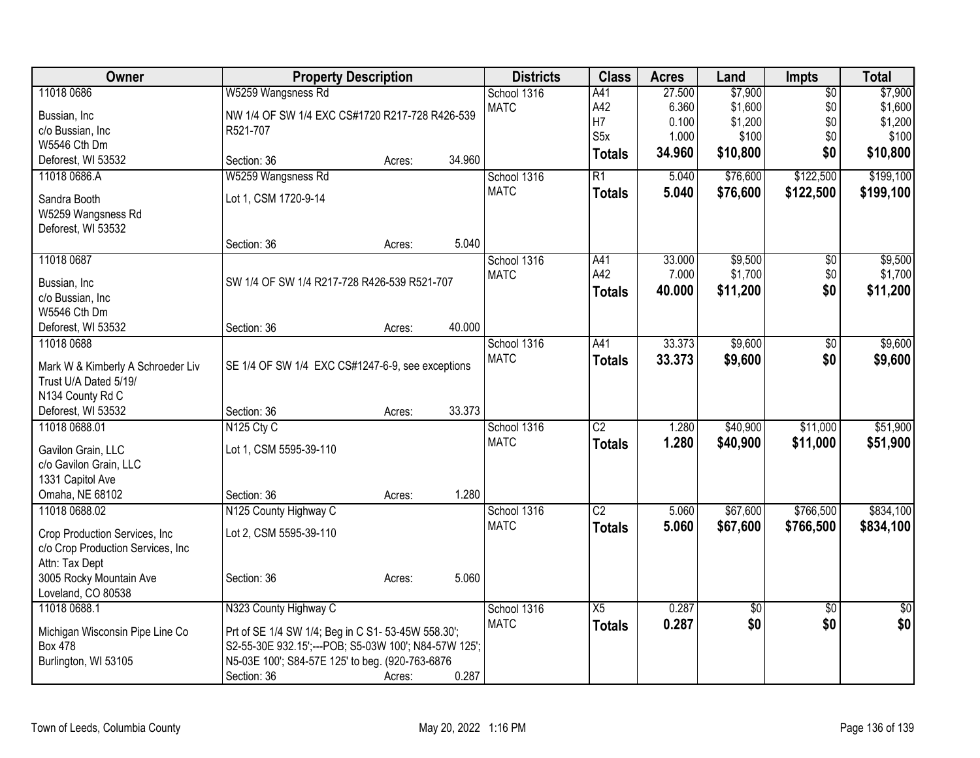| Owner                             | <b>Property Description</b>                          |        |        | <b>Districts</b> | <b>Class</b>     | <b>Acres</b> | Land        | Impts           | <b>Total</b>    |
|-----------------------------------|------------------------------------------------------|--------|--------|------------------|------------------|--------------|-------------|-----------------|-----------------|
| 11018 0686                        | W5259 Wangsness Rd                                   |        |        | School 1316      | A41              | 27.500       | \$7,900     | $\overline{60}$ | \$7,900         |
| Bussian, Inc                      | NW 1/4 OF SW 1/4 EXC CS#1720 R217-728 R426-539       |        |        | <b>MATC</b>      | A42              | 6.360        | \$1,600     | \$0             | \$1,600         |
| c/o Bussian, Inc                  | R521-707                                             |        |        |                  | H7               | 0.100        | \$1,200     | \$0             | \$1,200         |
| W5546 Cth Dm                      |                                                      |        |        |                  | S <sub>5</sub> x | 1.000        | \$100       | \$0             | \$100           |
| Deforest, WI 53532                | Section: 36                                          | Acres: | 34.960 |                  | <b>Totals</b>    | 34.960       | \$10,800    | \$0             | \$10,800        |
| 11018 0686.A                      | W5259 Wangsness Rd                                   |        |        | School 1316      | $\overline{R1}$  | 5.040        | \$76,600    | \$122,500       | \$199,100       |
| Sandra Booth                      | Lot 1, CSM 1720-9-14                                 |        |        | <b>MATC</b>      | <b>Totals</b>    | 5.040        | \$76,600    | \$122,500       | \$199,100       |
| W5259 Wangsness Rd                |                                                      |        |        |                  |                  |              |             |                 |                 |
| Deforest, WI 53532                |                                                      |        |        |                  |                  |              |             |                 |                 |
|                                   | Section: 36                                          | Acres: | 5.040  |                  |                  |              |             |                 |                 |
| 11018 0687                        |                                                      |        |        | School 1316      | A41              | 33.000       | \$9,500     | \$0             | \$9,500         |
| Bussian, Inc                      | SW 1/4 OF SW 1/4 R217-728 R426-539 R521-707          |        |        | <b>MATC</b>      | A42              | 7.000        | \$1,700     | \$0             | \$1,700         |
| c/o Bussian, Inc                  |                                                      |        |        |                  | <b>Totals</b>    | 40.000       | \$11,200    | \$0             | \$11,200        |
| W5546 Cth Dm                      |                                                      |        |        |                  |                  |              |             |                 |                 |
| Deforest, WI 53532                | Section: 36                                          | Acres: | 40.000 |                  |                  |              |             |                 |                 |
| 11018 0688                        |                                                      |        |        | School 1316      | A41              | 33.373       | \$9,600     | $\overline{50}$ | \$9,600         |
| Mark W & Kimberly A Schroeder Liv | SE 1/4 OF SW 1/4 EXC CS#1247-6-9, see exceptions     |        |        | <b>MATC</b>      | <b>Totals</b>    | 33.373       | \$9,600     | \$0             | \$9,600         |
| Trust U/A Dated 5/19/             |                                                      |        |        |                  |                  |              |             |                 |                 |
| N134 County Rd C                  |                                                      |        |        |                  |                  |              |             |                 |                 |
| Deforest, WI 53532                | Section: 36                                          | Acres: | 33.373 |                  |                  |              |             |                 |                 |
| 11018 0688.01                     | N <sub>125</sub> Cty C                               |        |        | School 1316      | $\overline{C2}$  | 1.280        | \$40,900    | \$11,000        | \$51,900        |
| Gavilon Grain, LLC                | Lot 1, CSM 5595-39-110                               |        |        | <b>MATC</b>      | <b>Totals</b>    | 1.280        | \$40,900    | \$11,000        | \$51,900        |
| c/o Gavilon Grain, LLC            |                                                      |        |        |                  |                  |              |             |                 |                 |
| 1331 Capitol Ave                  |                                                      |        |        |                  |                  |              |             |                 |                 |
| Omaha, NE 68102                   | Section: 36                                          | Acres: | 1.280  |                  |                  |              |             |                 |                 |
| 11018 0688.02                     | N125 County Highway C                                |        |        | School 1316      | $\overline{C2}$  | 5.060        | \$67,600    | \$766,500       | \$834,100       |
| Crop Production Services, Inc.    | Lot 2, CSM 5595-39-110                               |        |        | <b>MATC</b>      | <b>Totals</b>    | 5.060        | \$67,600    | \$766,500       | \$834,100       |
| c/o Crop Production Services, Inc |                                                      |        |        |                  |                  |              |             |                 |                 |
| Attn: Tax Dept                    |                                                      |        |        |                  |                  |              |             |                 |                 |
| 3005 Rocky Mountain Ave           | Section: 36                                          | Acres: | 5.060  |                  |                  |              |             |                 |                 |
| Loveland, CO 80538                |                                                      |        |        |                  |                  |              |             |                 |                 |
| 11018 0688.1                      | N323 County Highway C                                |        |        | School 1316      | $\overline{X5}$  | 0.287        | $\sqrt{50}$ | $\overline{50}$ | $\overline{50}$ |
| Michigan Wisconsin Pipe Line Co   | Prt of SE 1/4 SW 1/4; Beg in C S1- 53-45W 558.30';   |        |        | <b>MATC</b>      | <b>Totals</b>    | 0.287        | \$0         | \$0             | \$0             |
| <b>Box 478</b>                    | S2-55-30E 932.15';---POB; S5-03W 100'; N84-57W 125'; |        |        |                  |                  |              |             |                 |                 |
| Burlington, WI 53105              | N5-03E 100'; S84-57E 125' to beg. (920-763-6876      |        |        |                  |                  |              |             |                 |                 |
|                                   | Section: 36                                          | Acres: | 0.287  |                  |                  |              |             |                 |                 |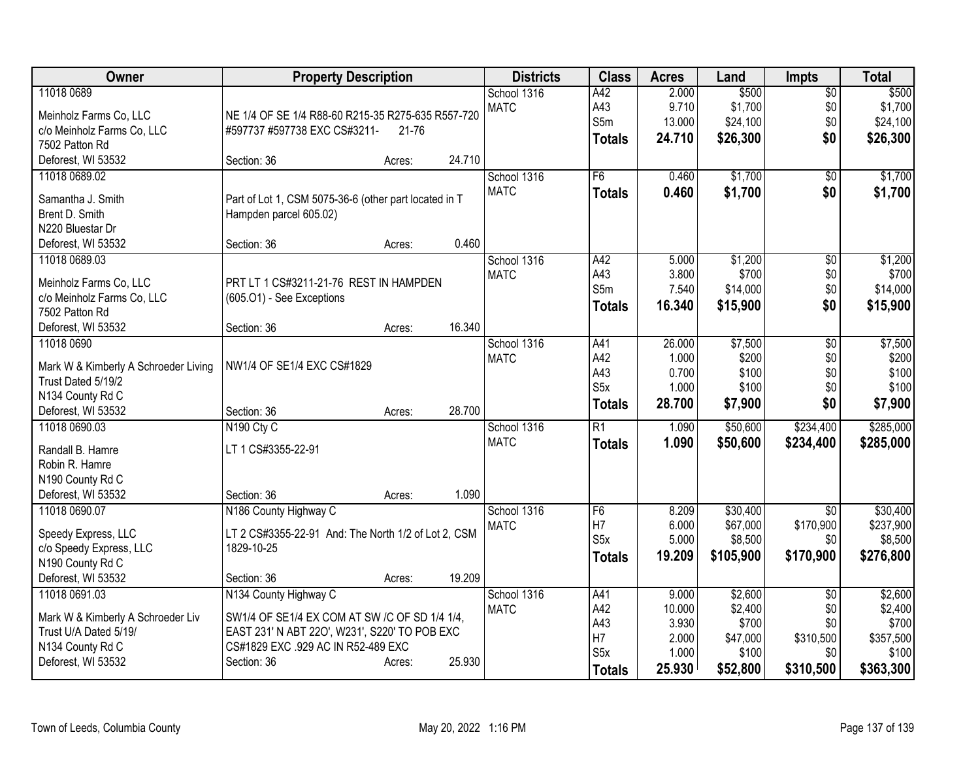| Owner                                  | <b>Property Description</b>                                                         | <b>Districts</b> | <b>Class</b>     | <b>Acres</b> | Land      | <b>Impts</b>    | <b>Total</b> |
|----------------------------------------|-------------------------------------------------------------------------------------|------------------|------------------|--------------|-----------|-----------------|--------------|
| 11018 0689                             |                                                                                     | School 1316      | A42              | 2.000        | \$500     | $\overline{50}$ | \$500        |
| Meinholz Farms Co, LLC                 | NE 1/4 OF SE 1/4 R88-60 R215-35 R275-635 R557-720                                   | <b>MATC</b>      | A43              | 9.710        | \$1,700   | \$0             | \$1,700      |
| c/o Meinholz Farms Co, LLC             | #597737 #597738 EXC CS#3211-<br>21-76                                               |                  | S5m              | 13.000       | \$24,100  | \$0             | \$24,100     |
| 7502 Patton Rd                         |                                                                                     |                  | <b>Totals</b>    | 24.710       | \$26,300  | \$0             | \$26,300     |
| Deforest, WI 53532                     | 24.710<br>Section: 36<br>Acres:                                                     |                  |                  |              |           |                 |              |
| 11018 0689.02                          |                                                                                     | School 1316      | F6               | 0.460        | \$1,700   | \$0             | \$1,700      |
|                                        |                                                                                     | <b>MATC</b>      | <b>Totals</b>    | 0.460        | \$1,700   | \$0             | \$1,700      |
| Samantha J. Smith                      | Part of Lot 1, CSM 5075-36-6 (other part located in T                               |                  |                  |              |           |                 |              |
| Brent D. Smith<br>N220 Bluestar Dr     | Hampden parcel 605.02)                                                              |                  |                  |              |           |                 |              |
| Deforest, WI 53532                     | 0.460<br>Section: 36<br>Acres:                                                      |                  |                  |              |           |                 |              |
| 11018 0689.03                          |                                                                                     | School 1316      | A42              | 5.000        | \$1,200   | $\overline{50}$ | \$1,200      |
|                                        |                                                                                     | <b>MATC</b>      | A43              | 3.800        | \$700     | \$0             | \$700        |
| Meinholz Farms Co, LLC                 | PRT LT 1 CS#3211-21-76 REST IN HAMPDEN                                              |                  | S5m              | 7.540        | \$14,000  | \$0             | \$14,000     |
| c/o Meinholz Farms Co, LLC             | (605.O1) - See Exceptions                                                           |                  | <b>Totals</b>    | 16.340       | \$15,900  | \$0             | \$15,900     |
| 7502 Patton Rd                         |                                                                                     |                  |                  |              |           |                 |              |
| Deforest, WI 53532                     | 16.340<br>Section: 36<br>Acres:                                                     |                  |                  |              |           |                 |              |
| 11018 0690                             |                                                                                     | School 1316      | A41              | 26.000       | \$7,500   | \$0             | \$7,500      |
| Mark W & Kimberly A Schroeder Living   | NW1/4 OF SE1/4 EXC CS#1829                                                          | <b>MATC</b>      | A42              | 1.000        | \$200     | \$0             | \$200        |
| Trust Dated 5/19/2                     |                                                                                     |                  | A43              | 0.700        | \$100     | \$0             | \$100        |
| N134 County Rd C                       |                                                                                     |                  | S <sub>5</sub> x | 1.000        | \$100     | \$0             | \$100        |
| Deforest, WI 53532                     | 28.700<br>Section: 36<br>Acres:                                                     |                  | <b>Totals</b>    | 28.700       | \$7,900   | \$0             | \$7,900      |
| 11018 0690.03                          | N <sub>190</sub> Cty C                                                              | School 1316      | R1               | 1.090        | \$50,600  | \$234,400       | \$285,000    |
|                                        |                                                                                     | <b>MATC</b>      | <b>Totals</b>    | 1.090        | \$50,600  | \$234,400       | \$285,000    |
| Randall B. Hamre                       | LT 1 CS#3355-22-91                                                                  |                  |                  |              |           |                 |              |
| Robin R. Hamre                         |                                                                                     |                  |                  |              |           |                 |              |
| N190 County Rd C                       |                                                                                     |                  |                  |              |           |                 |              |
| Deforest, WI 53532                     | 1.090<br>Section: 36<br>Acres:                                                      |                  |                  |              |           |                 |              |
| 11018 0690.07                          | N186 County Highway C                                                               | School 1316      | F6               | 8.209        | \$30,400  | $\overline{50}$ | \$30,400     |
| Speedy Express, LLC                    | LT 2 CS#3355-22-91 And: The North 1/2 of Lot 2, CSM                                 | <b>MATC</b>      | H7               | 6.000        | \$67,000  | \$170,900       | \$237,900    |
| c/o Speedy Express, LLC                | 1829-10-25                                                                          |                  | S <sub>5</sub> x | 5.000        | \$8,500   | \$0             | \$8,500      |
| N190 County Rd C                       |                                                                                     |                  | <b>Totals</b>    | 19.209       | \$105,900 | \$170,900       | \$276,800    |
| Deforest, WI 53532                     | 19.209<br>Section: 36<br>Acres:                                                     |                  |                  |              |           |                 |              |
| 11018 0691.03                          | N134 County Highway C                                                               | School 1316      | A41              | 9.000        | \$2,600   | $\overline{50}$ | \$2,600      |
|                                        |                                                                                     | <b>MATC</b>      | A42              | 10.000       | \$2,400   | \$0             | \$2,400      |
| Mark W & Kimberly A Schroeder Liv      | SW1/4 OF SE1/4 EX COM AT SW /C OF SD 1/4 1/4,                                       |                  | A43              | 3.930        | \$700     | \$0             | \$700        |
| Trust U/A Dated 5/19/                  | EAST 231' N ABT 220', W231', S220' TO POB EXC<br>CS#1829 EXC .929 AC IN R52-489 EXC |                  | H7               | 2.000        | \$47,000  | \$310,500       | \$357,500    |
| N134 County Rd C<br>Deforest, WI 53532 | 25.930<br>Section: 36                                                               |                  | S <sub>5</sub> x | 1.000        | \$100     | \$0             | \$100        |
|                                        | Acres:                                                                              |                  | <b>Totals</b>    | 25.930       | \$52,800  | \$310,500       | \$363,300    |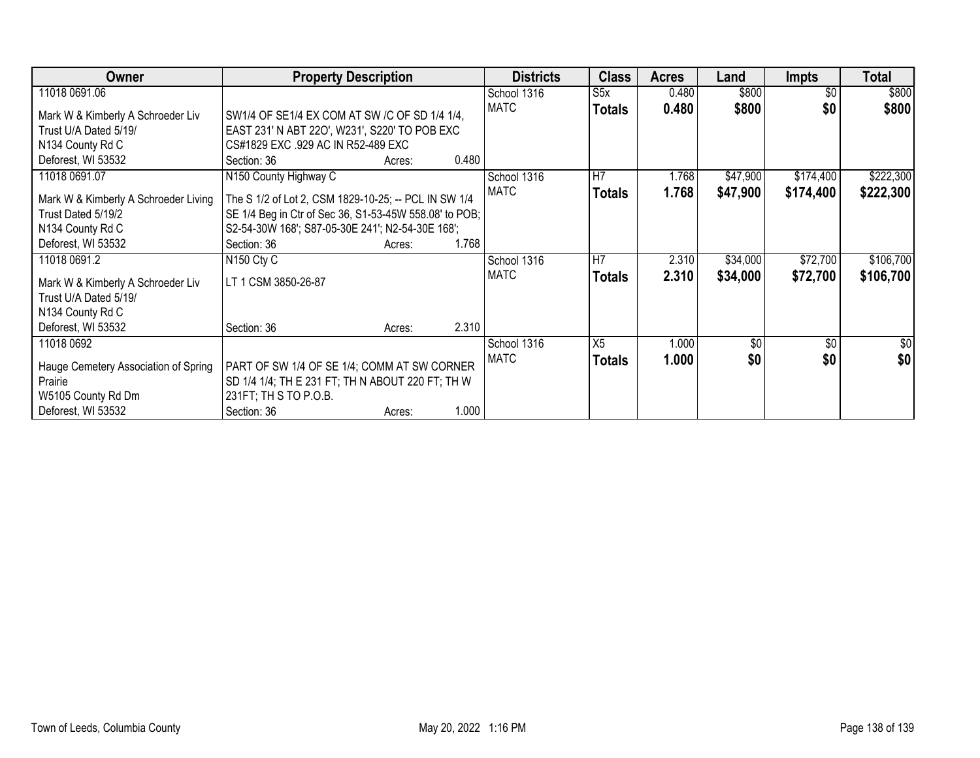| Owner                                | <b>Property Description</b>                            |        |       | <b>Districts</b> | <b>Class</b>   | <b>Acres</b> | Land         | <b>Impts</b>  | <b>Total</b> |
|--------------------------------------|--------------------------------------------------------|--------|-------|------------------|----------------|--------------|--------------|---------------|--------------|
| 11018 0691.06                        |                                                        |        |       | School 1316      | S5x            | 0.480        | \$800        | \$0           | \$800        |
| Mark W & Kimberly A Schroeder Liv    | SW1/4 OF SE1/4 EX COM AT SW /C OF SD 1/4 1/4,          |        |       | <b>MATC</b>      | <b>Totals</b>  | 0.480        | \$800        | \$0           | \$800        |
| Trust U/A Dated 5/19/                | EAST 231' N ABT 220', W231', S220' TO POB EXC          |        |       |                  |                |              |              |               |              |
| N134 County Rd C                     | CS#1829 EXC .929 AC IN R52-489 EXC                     |        |       |                  |                |              |              |               |              |
| Deforest, WI 53532                   | Section: 36                                            | Acres: | 0.480 |                  |                |              |              |               |              |
| 11018 0691.07                        | N150 County Highway C                                  |        |       | School 1316      | lH7            | 1.768        | \$47,900     | \$174,400     | \$222,300    |
| Mark W & Kimberly A Schroeder Living | The S 1/2 of Lot 2, CSM 1829-10-25; -- PCL IN SW 1/4   |        |       | MATC             | <b>Totals</b>  | 1.768        | \$47,900     | \$174,400     | \$222,300    |
| Trust Dated 5/19/2                   | SE 1/4 Beg in Ctr of Sec 36, S1-53-45W 558.08' to POB; |        |       |                  |                |              |              |               |              |
| N134 County Rd C                     | S2-54-30W 168'; S87-05-30E 241'; N2-54-30E 168';       |        |       |                  |                |              |              |               |              |
| Deforest, WI 53532                   | Section: 36                                            | Acres: | 1.768 |                  |                |              |              |               |              |
| 11018 0691.2                         | N <sub>150</sub> Cty C                                 |        |       | School 1316      | H <sub>7</sub> | 2.310        | \$34,000     | \$72,700      | \$106,700    |
| Mark W & Kimberly A Schroeder Liv    | LT 1 CSM 3850-26-87                                    |        |       | MATC             | <b>Totals</b>  | 2.310        | \$34,000     | \$72,700      | \$106,700    |
| Trust U/A Dated 5/19/                |                                                        |        |       |                  |                |              |              |               |              |
| N134 County Rd C                     |                                                        |        |       |                  |                |              |              |               |              |
| Deforest, WI 53532                   | Section: 36                                            | Acres: | 2.310 |                  |                |              |              |               |              |
| 11018 0692                           |                                                        |        |       | School 1316      | X5             | 1.000        | $\sqrt[6]{}$ | $\sqrt[6]{3}$ | \$0          |
| Hauge Cemetery Association of Spring | PART OF SW 1/4 OF SE 1/4; COMM AT SW CORNER            |        |       | <b>MATC</b>      | <b>Totals</b>  | 1.000        | \$0          | \$0           | \$0          |
| Prairie                              | SD 1/4 1/4; TH E 231 FT; TH N ABOUT 220 FT; TH W       |        |       |                  |                |              |              |               |              |
| W5105 County Rd Dm                   | 231FT; TH S TO P.O.B.                                  |        |       |                  |                |              |              |               |              |
| Deforest, WI 53532                   | Section: 36                                            | Acres: | 1.000 |                  |                |              |              |               |              |